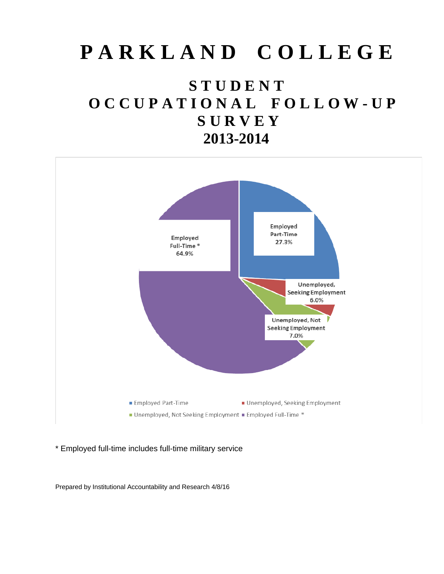# **P A R K L A N D C O L L E G E**

## **S T U D E N T O C C U P A T I O N A L F O L L O W - U P S U R V E Y 2013-2014**



\* Employed full-time includes full-time military service

Prepared by Institutional Accountability and Research 4/8/16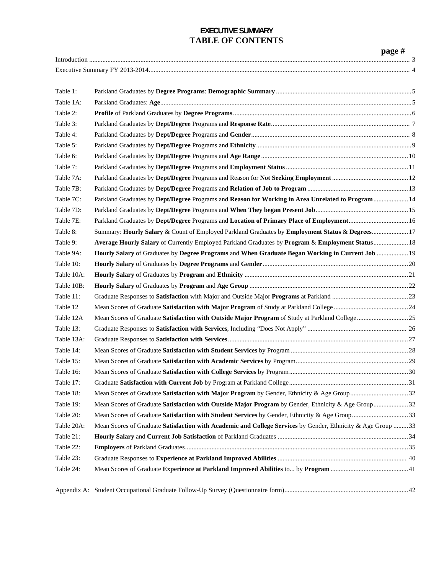## **EXECUTIVE SUMMARY TABLE OF CONTENTS**

|            |                                                                                                             | page $#$ |
|------------|-------------------------------------------------------------------------------------------------------------|----------|
|            |                                                                                                             |          |
|            |                                                                                                             |          |
| Table 1:   |                                                                                                             |          |
| Table 1A:  |                                                                                                             |          |
| Table 2:   |                                                                                                             |          |
| Table 3:   |                                                                                                             |          |
| Table 4:   |                                                                                                             |          |
| Table 5:   |                                                                                                             |          |
| Table 6:   |                                                                                                             |          |
| Table 7:   |                                                                                                             |          |
| Table 7A:  |                                                                                                             |          |
| Table 7B:  |                                                                                                             |          |
| Table 7C:  | Parkland Graduates by Dept/Degree Programs and Reason for Working in Area Unrelated to Program  14          |          |
| Table 7D:  |                                                                                                             |          |
| Table 7E:  | Parkland Graduates by Dept/Degree Programs and Location of Primary Place of Employment 16                   |          |
| Table 8:   | Summary: Hourly Salary & Count of Employed Parkland Graduates by Employment Status & Degrees 17             |          |
| Table 9:   | Average Hourly Salary of Currently Employed Parkland Graduates by Program & Employment Status 18            |          |
| Table 9A:  | Hourly Salary of Graduates by Degree Programs and When Graduate Began Working in Current Job  19            |          |
| Table 10:  |                                                                                                             |          |
| Table 10A: |                                                                                                             |          |
| Table 10B: |                                                                                                             |          |
| Table 11:  |                                                                                                             |          |
| Table 12   |                                                                                                             |          |
| Table 12A  |                                                                                                             |          |
| Table 13:  |                                                                                                             |          |
| Table 13A: |                                                                                                             |          |
| Table 14:  |                                                                                                             |          |
| Table 15:  |                                                                                                             |          |
| Table 16:  |                                                                                                             |          |
| Table 17:  |                                                                                                             |          |
| Table 18:  |                                                                                                             |          |
| Table 19:  | Mean Scores of Graduate Satisfaction with Outside Major Program by Gender, Ethnicity & Age Group32          |          |
| Table 20:  | Mean Scores of Graduate Satisfaction with Student Services by Gender, Ethnicity & Age Group33               |          |
| Table 20A: | Mean Scores of Graduate Satisfaction with Academic and College Services by Gender, Ethnicity & Age Group 33 |          |
| Table 21:  |                                                                                                             |          |
| Table 22:  |                                                                                                             |          |
| Table 23:  |                                                                                                             |          |
| Table 24:  |                                                                                                             |          |
|            |                                                                                                             |          |
|            |                                                                                                             |          |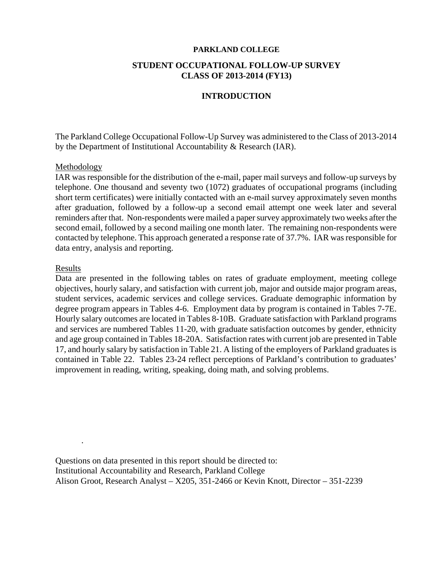#### **PARKLAND COLLEGE**

## **STUDENT OCCUPATIONAL FOLLOW-UP SURVEY CLASS OF 2013-2014 (FY13)**

### **INTRODUCTION**

The Parkland College Occupational Follow-Up Survey was administered to the Class of 2013-2014 by the Department of Institutional Accountability & Research (IAR).

#### Methodology

IAR was responsible for the distribution of the e-mail, paper mail surveys and follow-up surveys by telephone. One thousand and seventy two (1072) graduates of occupational programs (including short term certificates) were initially contacted with an e-mail survey approximately seven months after graduation, followed by a follow-up a second email attempt one week later and several reminders after that. Non-respondents were mailed a paper survey approximately two weeks after the second email, followed by a second mailing one month later. The remaining non-respondents were contacted by telephone. This approach generated a response rate of 37.7%. IAR was responsible for data entry, analysis and reporting.

#### Results

.

Data are presented in the following tables on rates of graduate employment, meeting college objectives, hourly salary, and satisfaction with current job, major and outside major program areas, student services, academic services and college services. Graduate demographic information by degree program appears in Tables 4-6. Employment data by program is contained in Tables 7-7E. Hourly salary outcomes are located in Tables 8-10B. Graduate satisfaction with Parkland programs and services are numbered Tables 11-20, with graduate satisfaction outcomes by gender, ethnicity and age group contained in Tables 18-20A. Satisfaction rates with current job are presented in Table 17, and hourly salary by satisfaction in Table 21. A listing of the employers of Parkland graduates is contained in Table 22. Tables 23-24 reflect perceptions of Parkland's contribution to graduates' improvement in reading, writing, speaking, doing math, and solving problems.

Questions on data presented in this report should be directed to: Institutional Accountability and Research, Parkland College Alison Groot, Research Analyst – X205, 351-2466 or Kevin Knott, Director – 351-2239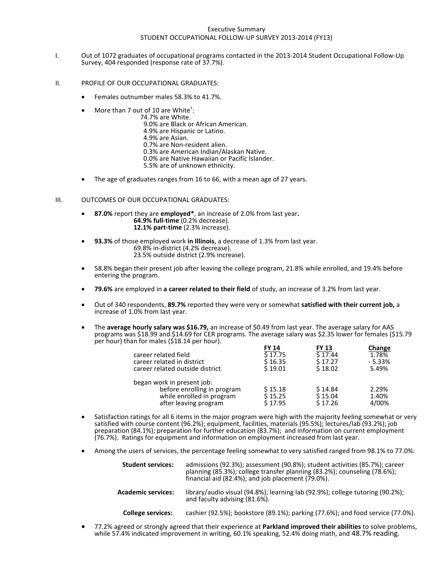#### Executive Summary STUDENT OCCUPATIONAL FOLLOW‐UP SURVEY 2013‐2014 (FY13)

- I. Out of 1072 graduates of occupational programs contacted in the 2013‐2014 Student Occupational Follow‐Up Survey, <sup>404</sup> responded (response rate of 37.7%).
- II. PROFILE OF OUR OCCUPATIONAL GRADUATES:
	- Females outnumber males 58.3% to 41.7%.
	- More than 7 out of 10 are White<sup>\*</sup>:<br>.74.7% are White
		- -
			-
			-
			-
	- More than 7 out of 10 are White":<br>
	74.7% are White.<br>
	9.0% are Black or African American.<br>
	4.9% are Hispanic or Latino.<br>
	4.9% are Asian.<br>
	0.7% are Non-resident alien.<br>
	0.3% are American Indian/Alaskan Native.<br>
	0.0% are N
		-
		-
	- The age of graduates ranges from 16 to 66, with a mean age of 27 years.

- III. OUTCOMES OF OUR OCCUPATIONAL GRADUATES: **87.0%** report they are **employed\***, an increase of 2.0% from last year**. 64.9% full‐time** (0.2% decrease). **12.1% part‐time** (2.3% increase).
	- **93.3%** of those employed work **in Illinois**, a decrease of 1.3% from last year. 69.8% in‐district (4.2% decrease). 23.5% outside district (2.9% increase).
	- 58.8% began their present job after leaving the college program, 21.8% while enrolled, and 19.4% before entering the program.
	- **79.6%** are employed in **a career related to their field** of study, an increase of 3.2% from last year.
	- Out of 340 respondents, **89.7%** reported they were very or somewhat **satisfied with their current job,** a increase of 1.0% from last year.
	- The **average hourly salary was \$16.79,** an increase of \$0.49 from last year. The average salary for AAS programs was \$18.99 and \$14.69 for CER programs. The average salary was \$2.35 lower for females (\$15.79  $per$  hour) than for males (\$18.14 per hour).

|                                 | FY 14     | FY 13   | Change   |
|---------------------------------|-----------|---------|----------|
| career related field            | \$17.75   | \$17.44 | 1.78%    |
| career related in district      | \$ 16.35  | S 17.27 | $-5.33%$ |
| career related outside district | $S$ 19.01 | \$18.02 | 5.49%    |
| began work in present job:      |           |         |          |
| before enrolling in program     | \$15.18   | \$14.84 | 2.29%    |
| while enrolled in program       | \$15.25   | S 15.04 | 1.40%    |
| after leaving program           | \$17.95   | S 17.26 | 4/00%    |
|                                 |           |         |          |

- Satisfaction ratings for all 6 items in the major program were high with the majority feeling somewhat or very satisfied with course content (96.2%); equipment, facilities, materials (95.5%); lectures/lab (93.2%); job preparation (84.1%); preparation for further education (83.7%); and information on current employment (76.7%). Ratings for equipment and information on employment increased from last year.
- Among the users of services, the percentage feeling somewhat to very satisfied ranged from 98.1% to 77.0%:

| <b>Student services:</b>  | admissions (92.3%); assessment (90.8%); student activities (85.7%); career<br>planning (85.3%); college transfer planning (83.2%); counseling (78.6%);<br>financial aid (82.4%); and job placement (79.0%). |
|---------------------------|-------------------------------------------------------------------------------------------------------------------------------------------------------------------------------------------------------------|
| <b>Academic services:</b> | library/audio visual (94.8%); learning lab (92.9%); college tutoring (90.2%);<br>and faculty advising (81.6%).                                                                                              |
| College services:         | cashier (92.5%); hookstore (89.1%); parking (77.6%); and food service (77.0%                                                                                                                                |

College services: cashier (92.5%); bookstore (89.1%); parking (77.6%); and food service (77.0%).<br>77.2% agreed or strongly agreed that their experience at Parkland improved their abilities to solve problems, while 57.4% indicated improvement in writing, 60.1% speaking, 52.4% doing math, and 48.7% reading.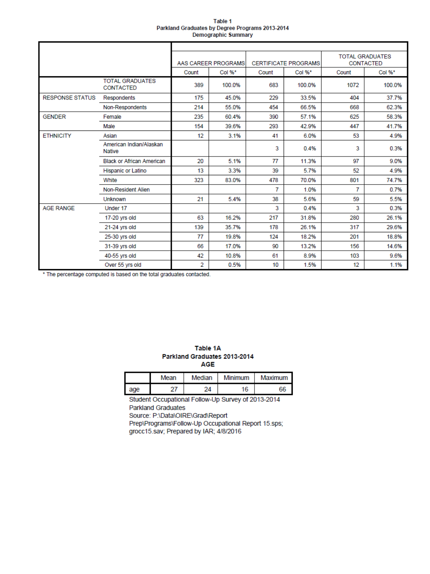#### Table 1 Parkland Graduates by Degree Programs 2013-2014 **Demographic Summary**

|                        |                                            |                | AAS CAREER PROGRAMS |       | <b>CERTIFICATE PROGRAMS</b> |       | <b>TOTAL GRADUATES</b><br><b>CONTACTED</b> |
|------------------------|--------------------------------------------|----------------|---------------------|-------|-----------------------------|-------|--------------------------------------------|
|                        |                                            | Count          | Col %*              | Count | Col %*                      | Count | Col %*                                     |
|                        | <b>TOTAL GRADUATES</b><br><b>CONTACTED</b> | 389            | 100.0%              | 683   | 100.0%                      | 1072  | 100.0%                                     |
| <b>RESPONSE STATUS</b> | <b>Respondents</b>                         | 175            | 45.0%               | 229   | 33.5%                       | 404   | 37.7%                                      |
|                        | Non-Respondents                            | 214            | 55.0%               | 454   | 66.5%                       | 668   | 62.3%                                      |
| <b>GENDER</b>          | Female                                     | 235            | 60.4%               | 390   | 57.1%                       | 625   | 58.3%                                      |
|                        | Male                                       | 154            | 39.6%               | 293   | 42.9%                       | 447   | 41.7%                                      |
| <b>ETHNICITY</b>       | Asian                                      | 12             | 3.1%                | 41    | 6.0%                        | 53    | 4.9%                                       |
|                        | American Indian/Alaskan<br><b>Native</b>   |                |                     | 3     | 0.4%                        | 3     | 0.3%                                       |
|                        | <b>Black or African American</b>           | 20             | 5.1%                | 77    | 11.3%                       | 97    | 9.0%                                       |
|                        | Hispanic or Latino                         | 13             | 3.3%                | 39    | 5.7%                        | 52    | 4.9%                                       |
|                        | White                                      | 323            | 83.0%               | 478   | 70.0%                       | 801   | 74.7%                                      |
|                        | Non-Resident Alien                         |                |                     | 7     | 1.0%                        | 7     | 0.7%                                       |
|                        | <b>Unknown</b>                             | 21             | 5.4%                | 38    | 5.6%                        | 59    | 5.5%                                       |
| <b>AGF RANGE</b>       | Under 17                                   |                |                     | 3     | 0.4%                        | 3     | 0.3%                                       |
|                        | 17-20 yrs old                              | 63             | 16.2%               | 217   | 31.8%                       | 280   | 26.1%                                      |
|                        | 21-24 yrs old                              | 139            | 35.7%               | 178   | 26.1%                       | 317   | 29.6%                                      |
|                        | 25-30 yrs old                              | 77             | 19.8%               | 124   | 18.2%                       | 201   | 18.8%                                      |
|                        | 31-39 yrs old                              | 66             | 17.0%               | 90    | 13.2%                       | 156   | 14.6%                                      |
|                        | 40-55 yrs old                              | 42             | 10.8%               | 61    | 8.9%                        | 103   | 9.6%                                       |
|                        | Over 55 yrs old                            | $\overline{2}$ | 0.5%                | 10    | 1.5%                        | 12    | 1.1%                                       |

\* The percentage computed is based on the total graduates contacted.

| Table 1A                     |
|------------------------------|
| Parkland Graduates 2013-2014 |
| AGE                          |

|     | Mean | Median | Minimum | Maximum |
|-----|------|--------|---------|---------|
| age | 27   | 24     | 16      | 66      |

Student Occupational Follow-Up Survey of 2013-2014 **Parkland Graduates** Source: P:\Data\OIRE\Grad\Report Prep\Programs\Follow-Up Occupational Report 15.sps;

grocc15.sav; Prepared by IAR; 4/8/2016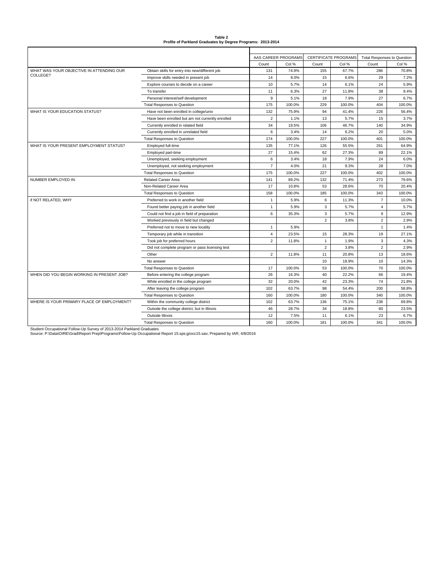| Table 2                                                     |  |
|-------------------------------------------------------------|--|
| Profile of Parkland Graduates by Degree Programs: 2013-2014 |  |

|                                            |                                                  |                | AAS CAREER PROGRAMS |                | <b>CERTIFICATE PROGRAMS</b> | <b>Total Responses to Question</b> |        |
|--------------------------------------------|--------------------------------------------------|----------------|---------------------|----------------|-----------------------------|------------------------------------|--------|
|                                            |                                                  | Count          | Col %               | Count          | Col %                       | Count                              | Col %  |
| WHAT WAS YOUR OBJECTIVE IN ATTENDING OUR   | Obtain skills for entry into new/different job   | 131            | 74.9%               | 155            | 67.7%                       | 286                                | 70.8%  |
| COLLEGE?                                   | Improve skills needed in present job             | 14             | 8.0%                | 15             | 6.6%                        | 29                                 | 7.2%   |
|                                            | Explore courses to decide on a career            | 10             | 5.7%                | 14             | 6.1%                        | 24                                 | 5.9%   |
|                                            | To transfer                                      | 11             | 6.3%                | 27             | 11.8%                       | 38                                 | 9.4%   |
|                                            | Personal interest/self development               | 9              | 5.1%                | 18             | 7.9%                        | 27                                 | 6.7%   |
|                                            | <b>Total Responses to Question</b>               | 175            | 100.0%              | 229            | 100.0%                      | 404                                | 100.0% |
| WHAT IS YOUR EDUCATION STATUS?             | Have not been enrolled in college/univ           | 132            | 75.9%               | 94             | 41.4%                       | 226                                | 56.4%  |
|                                            | Have been enrolled but am not currently enrolled | $\overline{2}$ | 1.1%                | 13             | 5.7%                        | 15                                 | 3.7%   |
|                                            | Currently enrolled in related field              | 34             | 19.5%               | 106            | 46.7%                       | 140                                | 34.9%  |
|                                            | Currently enrolled in unrelated field            | 6              | 3.4%                | 14             | 6.2%                        | 20                                 | 5.0%   |
|                                            | <b>Total Responses to Question</b>               | 174            | 100.0%              | 227            | 100.0%                      | 401                                | 100.0% |
| WHAT IS YOUR PRESENT EMPLOYMENT STATUS?    | Employed full-time                               | 135            | 77.1%               | 126            | 55.5%                       | 261                                | 64.9%  |
|                                            | Employed part-time                               | 27             | 15.4%               | 62             | 27.3%                       | 89                                 | 22.1%  |
|                                            | Unemployed, seeking employment                   | 6              | 3.4%                | 18             | 7.9%                        | 24                                 | 6.0%   |
|                                            | Unemployed, not seeking employment               | $\overline{7}$ | 4.0%                | 21             | 9.3%                        | 28                                 | 7.0%   |
|                                            | <b>Total Responses to Question</b>               | 175            | 100.0%              | 227            | 100.0%                      | 402                                | 100.0% |
| NUMBER EMPLOYED IN:                        | <b>Related Career Area</b>                       | 141            | 89.2%               | 132            | 71.4%                       | 273                                | 79.6%  |
|                                            | Non-Related Career Area                          | 17             | 10.8%               | 53             | 28.6%                       | 70                                 | 20.4%  |
|                                            | <b>Total Responses to Question</b>               | 158            | 100.0%              | 185            | 100.0%                      | 343                                | 100.0% |
| if NOT RELATED. WHY                        | Preferred to work in another field               | $\mathbf{1}$   | 5.9%                | 6              | 11.3%                       | $\overline{7}$                     | 10.0%  |
|                                            | Found better paying job in another field         | $\mathbf{1}$   | 5.9%                | 3              | 5.7%                        | $\overline{4}$                     | 5.7%   |
|                                            | Could not find a job in field of preparation     | 6              | 35.3%               | 3              | 5.7%                        | 9                                  | 12.9%  |
|                                            | Worked previously in field but changed           |                |                     | $\overline{2}$ | 3.8%                        | $\overline{2}$                     | 2.9%   |
|                                            | Preferred not to move to new locality            | $\mathbf{1}$   | 5.9%                |                |                             | $\mathbf{1}$                       | 1.4%   |
|                                            | Temporary job while in transition                | 4              | 23.5%               | 15             | 28.3%                       | 19                                 | 27.1%  |
|                                            | Took job for preferred hours                     | $\overline{2}$ | 11.8%               | $\mathbf{1}$   | 1.9%                        | 3                                  | 4.3%   |
|                                            | Did not complete program or pass licensing test  |                |                     | $\overline{2}$ | 3.8%                        | $\overline{2}$                     | 2.9%   |
|                                            | Other                                            | $\overline{2}$ | 11.8%               | 11             | 20.8%                       | 13                                 | 18.6%  |
|                                            | No answer                                        |                |                     | 10             | 18.9%                       | 10                                 | 14.3%  |
|                                            | <b>Total Responses to Question</b>               | 17             | 100.0%              | 53             | 100.0%                      | 70                                 | 100.0% |
| WHEN DID YOU BEGIN WORKING IN PRESENT JOB? | Before entering the college program              | 26             | 16.3%               | 40             | 22.2%                       | 66                                 | 19.4%  |
|                                            | While enrolled in the college program            | 32             | 20.0%               | 42             | 23.3%                       | 74                                 | 21.8%  |
|                                            | After leaving the college program                | 102            | 63.7%               | 98             | 54.4%                       | 200                                | 58.8%  |
|                                            | <b>Total Responses to Question</b>               | 160            | 100.0%              | 180            | 100.0%                      | 340                                | 100.0% |
| WHERE IS YOUR PRIMARY PLACE OF EMPLOYMENT? | Within the community college district            | 102            | 63.7%               | 136            | 75.1%                       | 238                                | 69.8%  |
|                                            | Outside the college district, but in Illinois    | 46             | 28.7%               | 34             | 18.8%                       | 80                                 | 23.5%  |
|                                            | Outside Illinois                                 | 12             | 7.5%                | 11             | 6.1%                        | 23                                 | 6.7%   |
|                                            | <b>Total Responses to Question</b>               | 160            | 100.0%              | 181            | 100.0%                      | 341                                | 100.0% |

Student Occupational Follow-Up Survey of 2013-2014 Parkland Graduates<br>Source: P:∖Data∖OIRE∖Grad∖Report Prep∖Programs∖Follow-Up Occupational Report 15.sps;grocc15.sav; Prepared by IAR; 4/8/2016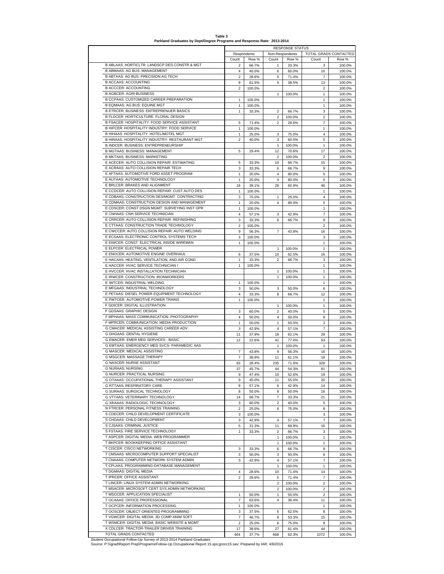**Table 3**

#### **Parkland Graduates by Dept/Degree Programs and Response Rate: 2013-2014**

|                                                                                        |                     |                |                         | <b>RESPONSE STATUS</b> |                           |                  |
|----------------------------------------------------------------------------------------|---------------------|----------------|-------------------------|------------------------|---------------------------|------------------|
|                                                                                        |                     | Respondents    | Non-Respondents         |                        | TOTAL GRADS CONTACTED     |                  |
|                                                                                        | Count               | Row %          | Count                   | Row %                  | Count                     | Row %            |
| B ABLAAS: HORTICLTR: LANDSCP DES CONSTR & MGT<br><b>B ABMAAS: AG BUS: MANAGEMENT</b>   | $\overline{2}$      | 66.7%          | 1                       | 33.3%                  | 3                         | 100.0%           |
| B ABTAAS: AG BUS: PRECISION AG TECH                                                    | 4                   | 40.0%          | 6                       | 60.0%                  | 10<br>$\overline{7}$      | 100.0%           |
| <b>B ACCAAS: ACCOUNTING</b>                                                            | $\overline{2}$<br>8 | 28.6%<br>61.5% | 5<br>5                  | 71.4%<br>38.5%         | 13                        | 100.0%<br>100.0% |
| <b>B ACCCER: ACCOUNTING</b>                                                            | $\overline{2}$      | 100.0%         |                         |                        | 2                         | 100.0%           |
| <b>B AGBCER: AGRI-BUSINESS</b>                                                         |                     |                | $\mathbf{1}$            | 100.0%                 | 1                         | 100.0%           |
| B CCPAAS: CUSTOMIZED CAREER PREPARATION                                                | 1                   | 100.0%         |                         |                        | 1                         | 100.0%           |
| B EQMAAS: AG BUS: EQUINE MGT                                                           | 1                   | 100.0%         |                         |                        | 1                         | 100.0%           |
| <b>B ETRCER: BUSINESS: ENTREPRENUER BASICS</b>                                         | $\mathbf{1}$        | 33.3%          | $\overline{2}$          | 66.7%                  | 3                         | 100.0%           |
| <b>B FLDCER: HORTICULTURE: FLORAL DESIGN</b>                                           |                     |                |                         |                        |                           |                  |
| B FSACER: HOSPITALITY: FOOD SERVICE ASSISTANT                                          |                     |                | 2                       | 100.0%                 | 2                         | 100.0%           |
|                                                                                        | 5                   | 71.4%          | $\overline{\mathbf{c}}$ | 28.6%                  | 7                         | 100.0%           |
| B HIFCER: HOSPITALITY INDUSTRY: FOOD SERVICE<br>B HIHAAS: HOSPITALITY: HOTEL/MOTEL MGT | 1                   | 100.0%         |                         |                        | 1                         | 100.0%           |
|                                                                                        | $\mathbf{1}$        | 25.0%          | 3                       | 75.0%                  | 4                         | 100.0%           |
| B HIRAAS: HOSPITALITY INDUSTRY: RESTAURANT MGT                                         | $\overline{2}$      | 40.0%          | 3                       | 60.0%                  | 5                         | 100.0%           |
| B INDCER: BUSINESS: ENTREPRENEURSHIP                                                   |                     |                | 1                       | 100.0%                 | 1                         | 100.0%           |
| B MGTAAS: BUSINESS: MANAGEMENT                                                         | 5                   | 29.4%          | 12                      | 70.6%                  | 17                        | 100.0%           |
| <b>B MKTAAS: BUSINESS: MARKETING</b>                                                   |                     |                | $\overline{\mathbf{c}}$ | 100.0%                 | $\overline{\mathbf{c}}$   | 100.0%           |
| E ACECER: AUTO COLLISION REPAIR: ESTIMATING                                            | 5                   | 33.3%          | 10                      | 66.7%                  | 15                        | 100.0%           |
| E ACRAAS: AUTO COLLISION REPAIR TECH                                                   | 3                   | 33.3%          | 6                       | 66.7%                  | 9                         | 100.0%           |
| E AFTAAS: AUTOMOTIVE FORD ASSET PROGRAM                                                | $\mathbf{1}$        | 20.0%          | 4                       | 80.0%                  | 5                         | 100.0%           |
| E AUTAAS: AUTOMOTIVE TECHNOLOGY                                                        | 1                   | 20.0%          | 4                       | 80.0%                  | 5                         | 100.0%           |
| E BRLCER: BRAKES AND ALIGNMENT                                                         | 18                  | 39.1%          | 28                      | 60.9%                  | 46                        | 100.0%           |
| E CCDCER: AUTO COLLISION REPAIR: CUST.AUTO DES                                         | 1                   | 100.0%         |                         |                        | $\mathbf{1}$              | 100.0%           |
| E CDBAAS: CONSTRUCTION DES/MGMT: CONTRACTING                                           | 3                   | 75.0%          | 1                       | 25.0%                  | 4                         | 100.0%           |
| E CDMAAS: CONSTRUCTION DESIGN AND MANAGEMENT                                           | 1                   | 20.0%          | $\overline{4}$          | 80.0%                  | 5                         | 100.0%           |
| E CDSCER: CONST DSGN MGMT: SURVEYING INST OPR                                          | 1                   | 100.0%         |                         |                        | 1                         | 100.0%           |
| E CNHAAS: CNH SERVICE TECHNICIAN                                                       | 4                   | 57.1%          | 3                       | 42.9%                  | 7                         | 100.0%           |
| E CRRCER: AUTO COLLISION REPAIR: REFINISHING                                           | 3                   | 33.3%          | 6                       | 66.7%                  | 9                         | 100.0%           |
| E CTTAAS: CONSTRUCTION TRADE TECHNOLOGY                                                | $\overline{2}$      | 100.0%         |                         |                        | $\overline{c}$            | 100.0%           |
| E CWCCER: AUTO COLLISION REPAIR: AUTO WELDING                                          | 9                   | 56.3%          | 7                       | 43.8%                  | 16                        | 100.0%           |
| E ECSAAS: ELECTRONIC CONTROL SYSTEMS TECH                                              |                     |                |                         |                        |                           |                  |
|                                                                                        | 3                   | 100.0%         |                         |                        | 3                         | 100.0%           |
| E EIWCER: CONST: ELECTRICAL INSIDE WIREMAN                                             | $\mathbf{1}$        | 100.0%         |                         |                        | 1                         | 100.0%           |
| E ELPCER: ELECTRICAL POWER                                                             |                     |                | 1                       | 100.0%                 | 1                         | 100.0%           |
| E ENOCER: AUTOMOTIVE ENGINE OVERHAUL                                                   | 6                   | 37.5%          | 10                      | 62.5%                  | 16                        | 100.0%           |
| E HACAAS: HEATING, VENTILATION, AND AIR COND                                           | $\mathbf{1}$        | 33.3%          | $\overline{2}$          | 66.7%                  | 3                         | 100.0%           |
| E HACCER: HVAC SERVICE TECHNICIAN I                                                    | 1                   | 100.0%         |                         |                        | $\mathbf{1}$              | 100.0%           |
| E HVCCER: HVAC INSTALLATION TECHNICIAN                                                 |                     |                | 1                       | 100.0%                 | 1                         | 100.0%           |
| E IRWCER: CONSTRUCTION: IRONWORKERS                                                    |                     |                | $\mathbf{1}$            | 100.0%                 | 1                         | 100.0%           |
| E IWTCER: INDUSTRIAL WELDING                                                           | $\mathbf{1}$        | 100.0%         |                         |                        | 1                         | 100.0%           |
| E MFGAAS: INDUSTRIAL TECHNOLOGY                                                        | 3                   | 50.0%          | 3                       | 50.0%                  | 6                         | 100.0%           |
| E PETAAS: DIESEL POWER EQUIPMENT TECHNOLOGY                                            | $\overline{4}$      | 33.3%          | 8                       | 66.7%                  | 12                        | 100.0%           |
| E PWTCER: AUTOMOTIVE POWER TRAINS                                                      | $\mathbf{1}$        | 100.0%         |                         |                        | $\mathbf{1}$              | 100.0%           |
| F GDICER: DIGITAL ILLUSTRATION                                                         |                     |                | 1                       | 100.0%                 | 1                         | 100.0%           |
| F GDSAAS: GRAPHIC DESIGN                                                               | 3                   | 60.0%          | $\overline{\mathbf{c}}$ | 40.0%                  | 5                         | 100.0%           |
| F MPHAAS: MASS COMMUNICATION: PHOTOGRAPHY                                              | 4                   | 50.0%          | 4                       | 50.0%                  | 8                         | 100.0%           |
| F MPRCER: COMMUNICATION: MEDIA PRODUCTION                                              | $\mathbf{1}$        | 50.0%          | $\mathbf{1}$            | 50.0%                  | 2                         | 100.0%           |
| G CMACER: MEDICAL ASSISTING CAREER ADV.                                                | 3                   | 42.9%          | 4                       | 57.1%                  | $\overline{7}$            | 100.0%           |
| G DHGAAS: DENTAL HYGIENE                                                               |                     |                |                         | 62.1%                  | 29                        |                  |
|                                                                                        | 11                  | 37.9%          | 18                      |                        |                           | 100.0%           |
| G EMACER: EMER MED SERVICES - BASIC                                                    | 12                  | 22.6%          | 41                      | 77.4%                  | 53                        | 100.0%           |
| G EMTAAS: EMERGENCY MED SVCS- PARAMEDIC AAS                                            |                     |                | 1                       | 100.0%                 | 1                         | 100.0%           |
| G MASCER: MEDICAL ASSISTING                                                            | $\overline{7}$      | 43.8%          | 9                       | 56.3%                  | 16                        | 100.0%           |
| G MSGCER: MASSAGE THERAPY                                                              | $\overline{7}$      | 38.9%          | 11                      | 61.1%                  | 18                        | 100.0%           |
| <b>G NASCER: NURSE ASSISTANT</b>                                                       | 93                  | 28.4%          | 235                     | 71.6%                  | 328                       | 100.0%           |
| <b>G NURAAS: NURSING</b>                                                               | 37                  | 45.7%          | 44                      | 54.3%                  | 81                        | 100.0%           |
| G NURCER: PRACTICAL NURSING                                                            | 9                   | 47.4%          | 10                      | 52.6%                  | 19                        | 100.0%           |
| G OTAAAS: OCCUPATIONAL THERAPY ASSISTANT                                               | 9                   | 45.0%          | 11                      | 55.0%                  | 20                        | 100.0%           |
| <b>G RTTAAS: RESPIRATORY CARE</b>                                                      | 8                   | 57.1%          | 6                       | 42.9%                  | 14                        | 100.0%           |
| <b>G SURAAS: SURGICAL TECHNOLOGY</b>                                                   | 8                   | 50.0%          | 8                       | 50.0%                  | 16                        | 100.0%           |
| <b>G VTTAAS: VETERINARY TECHNOLOGY</b>                                                 | 14                  | 66.7%          | 7                       | 33.3%                  | 21                        | 100.0%           |
| G XRAAAS: RADIOLOGIC TECHNOLOGY                                                        | 3                   | 60.0%          | $\overline{\mathbf{c}}$ | 40.0%                  | 5                         | 100.0%           |
| N FTRCER: PERSONAL FITNESS TRAINING                                                    | $\overline{2}$      | 25.0%          | 6                       | 75.0%                  | 8                         | 100.0%           |
| S CDECER: CHILD DEVELOPMENT CERTIFICATE                                                | 3                   | 100.0%         |                         |                        | 3                         | 100.0%           |
| S CHDAAS: CHILD DEVELOPMENT                                                            | 3                   | 42.9%          | $\overline{4}$          | 57.1%                  | $\overline{\mathfrak{c}}$ | 100.0%           |
| S CJSAAS: CRIMINAL JUSTICE                                                             | 5                   | 31.3%          | 11                      | 68.8%                  | 16                        | 100.0%           |
| S FSTAAS: FIRE SERVICE TECHNOLOGY                                                      | 1                   | 33.3%          | $\overline{2}$          | 66.7%                  | 3                         | 100.0%           |
| T ASPCER: DIGITAL MEDIA: WEB PROGRAMMER                                                |                     |                | 1                       |                        | 1                         |                  |
| T BKPCER: BOOKKEEPING OFFICE ASSISTANT                                                 |                     |                |                         | 100.0%                 |                           | 100.0%           |
|                                                                                        |                     |                | 1                       | 100.0%                 | 1                         | 100.0%           |
| T CISCER: CISCO NETWORKING                                                             | 3                   | 33.3%          | 6                       | 66.7%                  | 9                         | 100.0%           |
| T CMSAAS: MICROCOMPUTER SUPPORT SPECIALIST                                             | 3                   | 50.0%          | 3                       | 50.0%                  | 6                         | 100.0%           |
| T CNAAAS: COMPUTER NETWORK SYSTEM ADMIN                                                | 3                   | 42.9%          | $\overline{4}$          | 57.1%                  | 7                         | 100.0%           |
| T CPLAAS: PROGRAMMING-DATABASE MANAGEMENT                                              |                     |                | 1                       | 100.0%                 | 1                         | 100.0%           |
| T DGMAAS: DIGITAL MEDIA                                                                | 4                   | 28.6%          | 10                      | 71.4%                  | 14                        | 100.0%           |
| T IPRCER: OFFICE ASSISTANT                                                             | $\overline{2}$      | 28.6%          | 5                       | 71.4%                  | $\overline{7}$            | 100.0%           |
| T LINCER: LINUX SYSTEM ADMIN NETWORKING                                                |                     |                | $\overline{\mathbf{c}}$ | 100.0%                 | 2                         | 100.0%           |
| T MSACER: MICROSOFT CERT SYS ADMIN NETWORKING                                          |                     |                | $\overline{\mathbf{c}}$ | 100.0%                 | 2                         | 100.0%           |
| T MSOCER: APPLICATION SPECIALIST                                                       | $\mathbf{1}$        | 50.0%          | $\mathbf{1}$            | 50.0%                  | 2                         | 100.0%           |
| T OCAAAS: OFFICE PROFESSIONAL                                                          | $\overline{7}$      | 63.6%          | 4                       | 36.4%                  | 11                        | 100.0%           |
| T OCPCER: INFORMATION PROCESSING                                                       | 1                   | 100.0%         |                         |                        | 1                         | 100.0%           |
| T OOSCER: OBJECT-ORIENTED PROGRAMMING                                                  | 3                   | 37.5%          | 5                       | 62.5%                  | 8                         | 100.0%           |
| T VGWCER: DIGITAL MEDIA: 3D COMP ANIM SOFT                                             | 7                   | 46.7%          | 8                       | 53.3%                  | 15                        | 100.0%           |
| T WSMCER: DIGITAL MEDIA: BASIC WEBSITE & MGMT                                          | $\overline{2}$      | 25.0%          | 6                       | 75.0%                  | 8                         | 100.0%           |
| X CDLCER: TRACTOR-TRAILER DRIVER TRAINING                                              |                     |                |                         |                        |                           |                  |
|                                                                                        | 17                  | 38.6%          | 27                      | 61.4%                  | 44                        | 100.0%           |
| TOTAL GRADS CONTACTED                                                                  | 404                 | 37.7%          | 668                     | 62.3%                  | 1072                      | 100.0%           |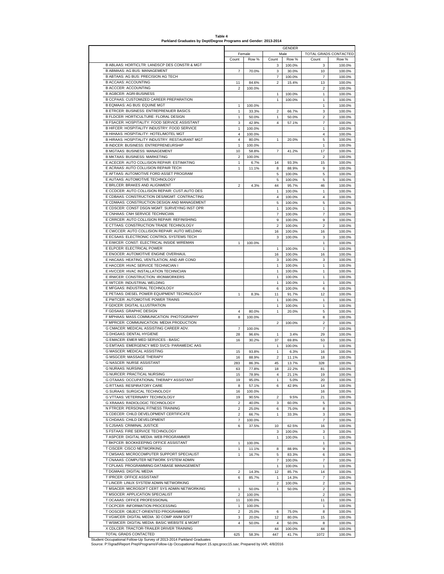**Table 4 Parkland Graduates by Dept/Degree Programs and Gender: 2013-2014**

|                                                                                         |                         |                |                         | <b>GENDER</b>   |                       |                  |
|-----------------------------------------------------------------------------------------|-------------------------|----------------|-------------------------|-----------------|-----------------------|------------------|
|                                                                                         |                         | Female         |                         | Male            | TOTAL GRADS CONTACTED |                  |
| B ABLAAS: HORTICLTR: LANDSCP DES CONSTR & MGT                                           | Count                   | Row %          | Count<br>3              | Row %<br>100.0% | Count<br>3            | Row %<br>100.0%  |
| <b>B ABMAAS: AG BUS: MANAGEMENT</b>                                                     | $\overline{7}$          | 70.0%          | 3                       | 30.0%           | 10                    | 100.0%           |
| B ABTAAS: AG BUS: PRECISION AG TECH                                                     |                         |                | 7                       | 100.0%          | 7                     | 100.0%           |
| <b>B ACCAAS: ACCOUNTING</b>                                                             | 11                      | 84.6%          | 2                       | 15.4%           | 13                    | 100.0%           |
| <b>B ACCCER: ACCOUNTING</b>                                                             | $\overline{2}$          | 100.0%         |                         |                 | $\overline{2}$        | 100.0%           |
| <b>B AGBCER: AGRI-BUSINESS</b>                                                          |                         |                | 1                       | 100.0%          | 1                     | 100.0%           |
| B CCPAAS: CUSTOMIZED CAREER PREPARATION                                                 |                         |                | 1                       | 100.0%          | 1                     | 100.0%           |
| B EQMAAS: AG BUS: EQUINE MGT                                                            | 1                       | 100.0%         |                         |                 | 1                     | 100.0%           |
| <b>B ETRCER: BUSINESS: ENTREPRENUER BASICS</b><br>B FLDCER: HORTICULTURE: FLORAL DESIGN | 1                       | 33.3%          | 2                       | 66.7%           | 3<br>2                | 100.0%           |
| B FSACER: HOSPITALITY: FOOD SERVICE ASSISTANT                                           | 1<br>3                  | 50.0%<br>42.9% | 1<br>4                  | 50.0%<br>57.1%  | $\overline{7}$        | 100.0%<br>100.0% |
| B HIFCER: HOSPITALITY INDUSTRY: FOOD SERVICE                                            | 1                       | 100.0%         |                         |                 | 1                     | 100.0%           |
| B HIHAAS: HOSPITALITY: HOTEL/MOTEL MGT                                                  | 4                       | 100.0%         |                         |                 | 4                     | 100.0%           |
| B HIRAAS: HOSPITALITY INDUSTRY: RESTAURANT MGT                                          | 4                       | 80.0%          | 1                       | 20.0%           | 5                     | 100.0%           |
| B INDCER: BUSINESS: ENTREPRENEURSHIP                                                    | 1                       | 100.0%         |                         |                 | 1                     | 100.0%           |
| B MGTAAS: BUSINESS: MANAGEMENT                                                          | 10                      | 58.8%          | $\overline{7}$          | 41.2%           | 17                    | 100.0%           |
| B MKTAAS: BUSINESS: MARKETING                                                           | $\overline{\mathbf{c}}$ | 100.0%         |                         |                 | $\overline{2}$        | 100.0%           |
| E ACECER: AUTO COLLISION REPAIR: ESTIMATING                                             | 1                       | 6.7%           | 14                      | 93.3%           | 15                    | 100.0%           |
| E ACRAAS: AUTO COLLISION REPAIR TECH                                                    | 1                       | 11.1%          | 8                       | 88.9%           | 9                     | 100.0%           |
| E AFTAAS: AUTOMOTIVE FORD ASSET PROGRAM                                                 |                         |                | 5                       | 100.0%          | 5                     | 100.0%           |
| E AUTAAS: AUTOMOTIVE TECHNOLOGY<br>E BRLCER: BRAKES AND ALIGNMENT                       |                         |                | 5                       | 100.0%          | 5                     | 100.0%           |
| E CCDCER: AUTO COLLISION REPAIR: CUST.AUTO DES                                          | 2                       | 4.3%           | 44                      | 95.7%<br>100.0% | 46                    | 100.0%<br>100.0% |
| E CDBAAS: CONSTRUCTION DES/MGMT: CONTRACTING                                            |                         |                | 1<br>$\overline{4}$     | 100.0%          | 1<br>$\overline{4}$   | 100.0%           |
| E CDMAAS: CONSTRUCTION DESIGN AND MANAGEMENT                                            |                         |                | 5                       | 100.0%          | 5                     | 100.0%           |
| E CDSCER: CONST DSGN MGMT: SURVEYING INST OPR                                           |                         |                | 1                       | 100.0%          | 1                     | 100.0%           |
| E CNHAAS: CNH SERVICE TECHNICIAN                                                        |                         |                | $\overline{7}$          | 100.0%          | $\overline{7}$        | 100.0%           |
| E CRRCER: AUTO COLLISION REPAIR: REFINISHING                                            |                         |                | 9                       | 100.0%          | 9                     | 100.0%           |
| E CTTAAS: CONSTRUCTION TRADE TECHNOLOGY                                                 |                         |                | $\overline{2}$          | 100.0%          | $\overline{2}$        | 100.0%           |
| E CWCCER: AUTO COLLISION REPAIR: AUTO WELDING                                           |                         |                | 16                      | 100.0%          | 16                    | 100.0%           |
| E ECSAAS: ELECTRONIC CONTROL SYSTEMS TECH                                               |                         |                | 3                       | 100.0%          | 3                     | 100.0%           |
| E EIWCER: CONST: ELECTRICAL INSIDE WIREMAN                                              | 1                       | 100.0%         |                         |                 | $\mathbf{1}$          | 100.0%           |
| E ELPCER: ELECTRICAL POWER                                                              |                         |                | 1                       | 100.0%          | 1                     | 100.0%           |
| E ENOCER: AUTOMOTIVE ENGINE OVERHAUL                                                    |                         |                | 16                      | 100.0%          | 16                    | 100.0%           |
| E HACAAS: HEATING, VENTILATION, AND AIR COND                                            |                         |                | 3                       | 100.0%          | 3                     | 100.0%           |
| E HACCER: HVAC SERVICE TECHNICIAN I                                                     |                         |                | 1                       | 100.0%          | 1                     | 100.0%           |
| E HVCCER: HVAC INSTALLATION TECHNICIAN                                                  |                         |                | 1                       | 100.0%          | 1                     | 100.0%           |
| E IRWCER: CONSTRUCTION: IRONWORKERS                                                     |                         |                | 1                       | 100.0%          | $\mathbf{1}$          | 100.0%           |
| E IWTCER: INDUSTRIAL WELDING                                                            |                         |                | 1                       | 100.0%          | 1                     | 100.0%           |
| E MFGAAS: INDUSTRIAL TECHNOLOGY<br>E PETAAS: DIESEL POWER EQUIPMENT TECHNOLOGY          |                         |                | 6                       | 100.0%          | 6<br>12               | 100.0%           |
| E PWTCER: AUTOMOTIVE POWER TRAINS                                                       | 1                       | 8.3%           | 11<br>1                 | 91.7%<br>100.0% | 1                     | 100.0%<br>100.0% |
| F GDICER: DIGITAL ILLUSTRATION                                                          |                         |                | 1                       | 100.0%          | $\mathbf{1}$          | 100.0%           |
| F GDSAAS: GRAPHIC DESIGN                                                                | 4                       | 80.0%          | 1                       | 20.0%           | 5                     | 100.0%           |
| F MPHAAS: MASS COMMUNICATION: PHOTOGRAPHY                                               | 8                       | 100.0%         |                         |                 | 8                     | 100.0%           |
| F MPRCER: COMMUNICATION: MEDIA PRODUCTION                                               |                         |                | $\overline{\mathbf{c}}$ | 100.0%          | $\overline{2}$        | 100.0%           |
| G CMACER: MEDICAL ASSISTING CAREER ADV.                                                 | $\overline{7}$          | 100.0%         |                         |                 | $\overline{7}$        | 100.0%           |
| G DHGAAS: DENTAL HYGIENE                                                                | 28                      | 96.6%          | 1                       | 3.4%            | 29                    | 100.0%           |
| G EMACER: EMER MED SERVICES - BASIC                                                     | 16                      | 30.2%          | 37                      | 69.8%           | 53                    | 100.0%           |
| G EMTAAS: EMERGENCY MED SVCS- PARAMEDIC AAS                                             |                         |                | 1                       | 100.0%          | 1                     | 100.0%           |
| G MASCER: MEDICAL ASSISTING                                                             | 15                      | 93.8%          | 1                       | 6.3%            | 16                    | 100.0%           |
| G MSGCER: MASSAGE THERAPY                                                               | 16                      | 88.9%          | 2                       | 11.1%           | 18                    | 100.0%           |
| <b>G NASCER: NURSE ASSISTANT</b><br><b>G NURAAS: NURSING</b>                            | 283                     | 86.3%          | 45                      | 13.7%<br>22.2%  | 328<br>81             | 100.0%           |
| <b>G NURCER: PRACTICAL NURSING</b>                                                      | 63                      | 77.8%          | 18                      |                 |                       | 100.0%           |
| G OTAAAS: OCCUPATIONAL THERAPY ASSISTANT                                                | 15<br>19                | 78.9%<br>95.0% | 4<br>1                  | 21.1%<br>5.0%   | 19<br>20              | 100.0%<br>100.0% |
| G RTTAAS: RESPIRATORY CARE                                                              | 8                       | 57.1%          | 6                       | 42.9%           | 14                    | 100.0%           |
| G SURAAS: SURGICAL TECHNOLOGY                                                           | 16                      | 100.0%         |                         |                 | 16                    | 100.0%           |
| G VTTAAS: VETERINARY TECHNOLOGY                                                         | 19                      | 90.5%          | 2                       | 9.5%            | 21                    | 100.0%           |
| G XRAAAS: RADIOLOGIC TECHNOLOGY                                                         | $\overline{c}$          | 40.0%          | 3                       | 60.0%           | 5                     | 100.0%           |
| N FTRCER: PERSONAL FITNESS TRAINING                                                     | $\overline{c}$          | 25.0%          | 6                       | 75.0%           | 8                     | 100.0%           |
| S CDECER: CHILD DEVELOPMENT CERTIFICATE                                                 | 2                       | 66.7%          | $\mathbf{1}$            | 33.3%           | 3                     | 100.0%           |
| S CHDAAS: CHILD DEVELOPMENT                                                             | 7                       | 100.0%         |                         |                 | 7                     | 100.0%           |
| S CJSAAS: CRIMINAL JUSTICE                                                              | 6                       | 37.5%          | 10                      | 62.5%           | 16                    | 100.0%           |
| S FSTAAS: FIRE SERVICE TECHNOLOGY                                                       |                         |                | 3                       | 100.0%          | 3                     | 100.0%           |
| T ASPCER: DIGITAL MEDIA: WEB PROGRAMMER                                                 |                         |                | $\mathbf{1}$            | 100.0%          | 1                     | 100.0%           |
| T BKPCER: BOOKKEEPING OFFICE ASSISTANT<br>T CISCER: CISCO NETWORKING                    | 1                       | 100.0%         |                         |                 | 1                     | 100.0%           |
| T CMSAAS: MICROCOMPUTER SUPPORT SPECIALIST                                              | 1<br>1                  | 11.1%<br>16.7% | 8<br>5                  | 88.9%<br>83.3%  | 9<br>6                | 100.0%<br>100.0% |
| T CNAAAS: COMPUTER NETWORK SYSTEM ADMIN                                                 |                         |                | $\overline{7}$          | 100.0%          | 7                     | 100.0%           |
| T CPLAAS: PROGRAMMING-DATABASE MANAGEMENT                                               |                         |                | 1                       | 100.0%          | $\mathbf{1}$          | 100.0%           |
| T DGMAAS: DIGITAL MEDIA                                                                 | 2                       | 14.3%          | 12                      | 85.7%           | 14                    | 100.0%           |
| T IPRCER: OFFICE ASSISTANT                                                              | 6                       | 85.7%          | 1                       | 14.3%           | $\overline{7}$        | 100.0%           |
| T LINCER: LINUX SYSTEM ADMIN NETWORKING                                                 |                         |                | 2                       | 100.0%          | 2                     | 100.0%           |
| T MSACER: MICROSOFT CERT SYS ADMIN NETWORKING                                           | $\mathbf{1}$            | 50.0%          | $\mathbf{1}$            | 50.0%           | $\boldsymbol{2}$      | 100.0%           |
| T MSOCER: APPLICATION SPECIALIST                                                        | $\overline{2}$          | 100.0%         |                         |                 | $\overline{2}$        | 100.0%           |
| T OCAAAS: OFFICE PROFESSIONAL                                                           | 11                      | 100.0%         |                         |                 | 11                    | 100.0%           |
| T OCPCER: INFORMATION PROCESSING                                                        | $\mathbf{1}$            | 100.0%         |                         |                 | $\mathbf{1}$          | 100.0%           |
| T OOSCER: OBJECT-ORIENTED PROGRAMMING                                                   | 2                       | 25.0%          | 6                       | 75.0%           | 8                     | 100.0%           |
| T VGWCER: DIGITAL MEDIA: 3D COMP ANIM SOFT                                              | 3                       | 20.0%          | 12                      | 80.0%           | 15                    | 100.0%           |
| T WSMCER: DIGITAL MEDIA: BASIC WEBSITE & MGMT                                           | 4                       | 50.0%          | 4                       | 50.0%           | 8                     | 100.0%           |
|                                                                                         |                         |                | 44                      | 100.0%          | 44                    | 100.0%           |
| X CDLCER: TRACTOR-TRAILER DRIVER TRAINING<br>TOTAL GRADS CONTACTED                      | 625                     | 58.3%          | 447                     | 41.7%           | 1072                  | 100.0%           |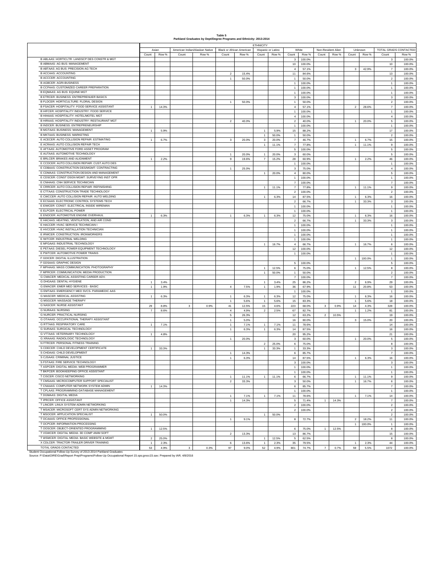#### **Table 5 Parkland Graduates by Dept/Degree Programs and Ethnicity: 2013-2014**

| Asian<br><b>Black or African American</b><br>White<br>Non-Resident Alien<br>TOTAL GRADS CONTACTED<br>American Indian/Alaskan Native<br>Hispanic or Latino<br>Unknown<br>Count<br>Row %<br>Count<br>Row %<br>Count<br>Row %<br>Count<br>Row %<br>Count<br>Row %<br>Count<br>Row %<br>Count<br>Count<br>Row %<br>Row %<br>B ABLAAS: HORTICLTR: LANDSCP DES CONSTR & MGT<br>100.0%<br>100.0%<br>3<br>3<br><b>B ABMAAS: AG BUS: MANAGEMENT</b><br>10<br>100.0%<br>10<br>100.0%<br>B ABTAAS: AG BUS: PRECISION AG TECH<br>42.9%<br>$\overline{4}$<br>57.1%<br>3<br>$\overline{7}$<br>100.0%<br><b>B ACCAAS: ACCOUNTING</b><br>15.4%<br>11<br>84.6%<br>13<br>100.0%<br>$\overline{2}$<br><b>B ACCCER: ACCOUNTING</b><br>50.0%<br>$\mathbf{1}$<br>50.0%<br>$\overline{2}$<br>100.0%<br>$\overline{1}$<br><b>B AGBCER: AGRI-BUSINESS</b><br>$\mathbf{1}$<br>100.0%<br>$\mathbf{1}$<br>100.0%<br>B CCPAAS: CUSTOMIZED CAREER PREPARATION<br>100.0%<br>100.0%<br>$\mathbf{1}$<br>$\overline{1}$<br><b>B EQMAAS: AG BUS: EQUINE MGT</b><br>$\mathbf{1}$<br>100.0%<br>$\mathbf{1}$<br>100.0%<br>B ETRCER: BUSINESS: ENTREPRENUER BASICS<br>$\mathbf 3$<br>100.0%<br>3<br>100.0%<br>B FLDCER: HORTICULTURE: FLORAL DESIGN<br>$\overline{1}$<br>50.0%<br>$\mathbf{1}$<br>50.0%<br>$\boldsymbol{2}$<br>100.0%<br>B FSACER: HOSPITALITY: FOOD SERVICE ASSISTANT<br>$\sqrt{4}$<br>$\mathbf{1}$<br>14.3%<br>57.1%<br>$\overline{2}$<br>28.6%<br>$\scriptstyle{7}$<br>100.0%<br>B HIFCER: HOSPITALITY INDUSTRY: FOOD SERVICE<br>100.0%<br>100.0%<br>$\mathbf{1}$<br>$\mathbf{1}$<br>B HIHAAS: HOSPITALITY: HOTEL/MOTEL MGT<br>100.0%<br>100.0%<br>$\overline{4}$<br>$\overline{4}$<br>B HIRAAS: HOSPITALITY INDUSTRY: RESTAURANT MGT<br>$\overline{2}$<br>40.0%<br>$\overline{\mathbf{2}}$<br>40.0%<br>$\mathbf{1}$<br>20.0%<br>5<br>100.0%<br><b>B INDCER: BUSINESS: ENTREPRENEURSHIP</b><br>$\overline{1}$<br>100.0%<br>$\mathbf{1}$<br>100.0%<br><b>B MGTAAS: BUSINESS: MANAGEMENT</b><br>$17\,$<br>$\mathbf{1}$<br>5.9%<br>5.9%<br>15<br>88.2%<br>100.0%<br><b>B MKTAAS: BUSINESS: MARKETING</b><br>$\mathbf{2}$<br>$\mathbf{1}$<br>50.0%<br>$\mathbf{1}$<br>50.0%<br>100.0%<br>E ACECER: AUTO COLLISION REPAIR: ESTIMATING<br>6.7%<br>$\mathbf{3}$<br>$\mathbf{3}$<br>20.0%<br>$\scriptstyle\rm{7}$<br>46.7%<br>15<br>100.0%<br>$\overline{1}$<br>20.0%<br>$\mathbf{1}$<br>6.7%<br>E ACRAAS: AUTO COLLISION REPAIR TECH<br>11.1%<br>$\scriptstyle\rm{7}$<br>77.8%<br>$\mathbf{1}$<br>11.1%<br>$9\,$<br>100.0%<br>$\overline{1}$<br>E AFTAAS: AUTOMOTIVE FORD ASSET PROGRAM<br>$\,$ 5 $\,$<br>$\,$ 5 $\,$<br>100.0%<br>100.0%<br>E AUTAAS: AUTOMOTIVE TECHNOLOGY<br>$\mathbf 5$<br>$\overline{1}$<br>20.0%<br>$\mathsf 3$<br>60.0%<br>100.0%<br>20.0%<br>$\overline{1}$<br>E BRLCER: BRAKES AND ALIGNMENT<br>$\mathbf{1}$<br>2.2%<br>$9\,$<br>19.6%<br>$\overline{7}$<br>15.2%<br>28<br>60.9%<br>$\mathbf{1}$<br>2.2%<br>46<br>100.0%<br>E CCDCER: AUTO COLLISION REPAIR: CUST.AUTO DES<br>$\mathbf{1}$<br>100.0%<br>100.0%<br>$\mathbf{1}$<br>E CDBAAS: CONSTRUCTION DES/MGMT: CONTRACTING<br>$\mathbf{3}$<br>75.0%<br>$\overline{4}$<br>100.0%<br>$\overline{1}$<br>25.0%<br>E CDMAAS: CONSTRUCTION DESIGN AND MANAGEMENT<br>20.0%<br>$\overline{4}$<br>80.0%<br>$\,$ 5 $\,$<br>100.0%<br>$\overline{1}$<br>E CDSCER: CONST DSGN MGMT: SURVEYING INST OPR<br>$\overline{1}$<br>100.0%<br>$\mathbf{1}$<br>100.0%<br>E CNHAAS: CNH SERVICE TECHNICIAN<br>$\overline{7}$<br>$\overline{7}$<br>100.0%<br>100.0%<br>E CRRCER: AUTO COLLISION REPAIR: REFINISHING<br>11.1%<br>$\scriptstyle\rm{7}$<br>11.1%<br>$\mathbf 9$<br>$\mathbf{1}$<br>77.8%<br>$\mathbf{1}$<br>100.0%<br>E CTTAAS: CONSTRUCTION TRADE TECHNOLOGY<br>$\sqrt{2}$<br>100.0%<br>$\overline{2}$<br>100.0%<br>E CWCCER: AUTO COLLISION REPAIR: AUTO WELDING<br>87.5%<br>100.0%<br>6.3%<br>14<br>16<br>$\mathbf{1}$<br>$\overline{1}$<br>6.3%<br>E ECSAAS: ELECTRONIC CONTROL SYSTEMS TECH<br>$\mathbf{2}$<br>66.7%<br>$\mathbf{1}$<br>33.3%<br>$^{\rm 3}$<br>100.0%<br>E EIWCER: CONST: ELECTRICAL INSIDE WIREMAN<br>$\mathbf{1}$<br>100.0%<br>$\overline{1}$<br>100.0%<br>E ELPCER: ELECTRICAL POWER<br>$\mathbf{1}$<br>100.0%<br>$\mathbf{1}$<br>100.0%<br>E ENOCER: AUTOMOTIVE ENGINE OVERHAUL<br>6.3%<br>6.3%<br>$12 \overline{ }$<br>$16\,$<br>$\mathbf{1}$<br>$\mathbf{1}$<br>6.3%<br>$\overline{1}$<br>75.0%<br>$\mathbf{1}$<br>6.3%<br>100.0%<br>E HACAAS: HEATING, VENTILATION, AND AIR COND<br>$\overline{2}$<br>66.7%<br>33.3%<br>3<br>100.0%<br>$\overline{1}$<br>E HACCER: HVAC SERVICE TECHNICIAN I<br>$\mathbf{1}$<br>100.0%<br>100.0%<br>$\mathbf{1}$<br>E HVCCER: HVAC INSTALLATION TECHNICIAN<br>$\overline{1}$<br>100.0%<br>$\mathbf{1}$<br>100.0%<br>E IRWCER: CONSTRUCTION: IRONWORKERS<br>$\mathbf{1}$<br>100.0%<br>$\mathbf{1}$<br>100.0%<br>E IWTCER: INDUSTRIAL WELDING<br>$\mathbf{1}$<br>100.0%<br>$\mathbf{1}$<br>100.0%<br>E MFGAAS: INDUSTRIAL TECHNOLOGY<br>16.7%<br>$\overline{4}$<br>66.7%<br>16.7%<br>6<br>100.0%<br>$\mathbf{1}$<br>$\mathbf{1}$<br>E PETAAS: DIESEL POWER EQUIPMENT TECHNOLOGY<br>100.0%<br>$12 \overline{ }$<br>100.0%<br>12<br>E PWTCER: AUTOMOTIVE POWER TRAINS<br>$\mathbf{1}$<br>100.0%<br>$\mathbf{1}$<br>100.0%<br>F GDICER: DIGITAL ILLUSTRATION<br>100.0%<br>$\mathbf{1}$<br>100.0%<br>$\mathbf{1}$<br>F GDSAAS: GRAPHIC DESIGN<br>5<br>100.0%<br>$\mathbf 5$<br>100.0%<br>F MPHAAS: MASS COMMUNICATION: PHOTOGRAPHY<br>12.5%<br>12.5%<br>$\bf8$<br>$\overline{1}$<br>6<br>75.0%<br>$\mathbf{1}$<br>100.0%<br>F MPRCER: COMMUNICATION: MEDIA PRODUCTION<br>50.0%<br>50.0%<br>$\overline{2}$<br>100.0%<br>$\overline{1}$<br>$\mathbf{1}$<br>G CMACER: MEDICAL ASSISTING CAREER ADV.<br>$\boldsymbol{7}$<br>100.0%<br>$\scriptstyle{7}$<br>100.0%<br><b>G DHGAAS: DENTAL HYGIENE</b><br>$\overline{1}$<br>3.4%<br>$\overline{1}$<br>3.4%<br>25<br>86.2%<br>$\overline{2}$<br>6.9%<br>29<br>100.0%<br>G EMACER: EMER MED SERVICES - BASIC<br>$\mathbf{1}$<br>$\sqrt{4}$<br>$\overline{1}$<br>11<br>20.8%<br>53<br>1.9%<br>7.5%<br>1.9%<br>36<br>67.9%<br>100.0%<br>G EMTAAS: EMERGENCY MED SVCS- PARAMEDIC AAS<br>$\mathbf{1}$<br>100.0%<br>$\overline{1}$<br>100.0%<br>G MASCER: MEDICAL ASSISTING<br>6.3%<br>6.3%<br>$12 \overline{ }$<br>$16\,$<br>100.0%<br>$\mathbf{1}$<br>$\mathbf{1}$<br>6.3%<br>$\mathbf{1}$<br>75.0%<br>$\mathbf{1}$<br>6.3%<br><b>G MSGCER: MASSAGE THERAPY</b><br>18<br>100.0%<br>$\mathbf{1}$<br>5.6%<br>$\overline{1}$<br>5.6%<br>15<br>83.3%<br>$\mathbf{1}$<br>5.6%<br><b>G NASCER: NURSE ASSISTANT</b><br>15<br>29<br>8.8%<br>3<br>0.9%<br>41<br>12.5%<br>4.6%<br>223<br>68.0%<br>$\mathbf{3}$<br>0.9%<br>14<br>4.3%<br>328<br>100.0%<br><b>G NURAAS: NURSING</b><br>$\scriptstyle{7}$<br>8.6%<br>$\sqrt{4}$<br>4.9%<br>$\sqrt{2}$<br>2.5%<br>67<br>82.7%<br>$\overline{1}$<br>81<br>100.0%<br>1.2%<br><b>G NURCER: PRACTICAL NURSING</b><br>$\,$ 5 $\,$<br>$12 \overline{ }$<br>10.5%<br>19<br>26.3%<br>63.2%<br>$\overline{2}$<br>100.0%<br>G OTAAAS: OCCUPATIONAL THERAPY ASSISTANT<br>16<br>20<br>$\mathbf{1}$<br>5.0%<br>80.0%<br>$\mathbf 3$<br>15.0%<br>100.0%<br>G RTTAAS: RESPIRATORY CARE<br>7.1%<br>7.1%<br>78.6%<br>14<br>100.0%<br>$\mathbf{1}$<br>7.1%<br>11<br>$\overline{1}$<br>$\mathbf{1}$<br>G SURAAS: SURGICAL TECHNOLOGY<br>6.3%<br>87.5%<br>6.3%<br>14<br>16<br>100.0%<br>$\mathbf{1}$<br>$\overline{1}$<br>G VTTAAS: VETERINARY TECHNOLOGY<br>$\overline{1}$<br>4.8%<br>20<br>95.2%<br>21<br>100.0%<br>G XRAAAS: RADIOLOGIC TECHNOLOGY<br>20.0%<br>20.0%<br>$\overline{1}$<br>3<br>60.0%<br>$\mathbf{1}$<br>5<br>100.0%<br>N FTRCER: PERSONAL FITNESS TRAINING<br>$\sqrt{2}$<br>25.0%<br>6<br>75.0%<br>8<br>100.0%<br>S CDECER: CHILD DEVELOPMENT CERTIFICATE<br>33.3%<br>1<br>33.3%<br>$\mathbf{1}$<br>33.3%<br>3<br>100.0%<br>$\mathbf{1}$<br>S CHDAAS: CHILD DEVELOPMENT<br>$\overline{7}$<br>100.0%<br>$\overline{1}$<br>14.3%<br>6<br>85.7%<br>S CJSAAS: CRIMINAL JUSTICE<br>6.3%<br>14<br>87.5%<br>6.3%<br>16<br>100.0%<br>$\overline{1}$<br>$\overline{1}$<br>S FSTAAS: FIRE SERVICE TECHNOLOGY<br>3<br>100.0%<br>3<br>100.0%<br>T ASPCER: DIGITAL MEDIA: WEB PROGRAMMER<br>$\mathbf{1}$<br>100.0%<br>$\overline{1}$<br>100.0%<br>T BKPCER: BOOKKEEPING OFFICE ASSISTANT<br>100.0%<br>100.0%<br>$\mathbf{1}$<br>T CISCER: CISCO NETWORKING<br>11.1%<br>11.1%<br>6<br>66.7%<br>11.1%<br>9<br>100.0%<br>$\mathbf{1}$<br>$\mathbf{1}$<br>$\mathbf{1}$<br>T CMSAAS: MICROCOMPUTER SUPPORT SPECIALIST<br>33.3%<br>16.7%<br>100.0%<br>$\overline{2}$<br>$\mathbf{3}$<br>50.0%<br>$\mathbf{1}$<br>6<br>T CNAAAS: COMPUTER NETWORK SYSTEM ADMIN<br>1<br>14.3%<br>6<br>85.7%<br>$\scriptstyle\rm{7}$<br>100.0%<br>T CPLAAS: PROGRAMMING-DATABASE MANAGEMENT<br>$\overline{1}$<br>100.0%<br>$\mathbf{1}$<br>100.0%<br>T DGMAAS: DIGITAL MEDIA<br>7.1%<br>7.1%<br>11 <sub>1</sub><br>78.6%<br>7.1%<br>14<br>100.0%<br>$\overline{1}$<br>$\overline{1}$<br>$\mathbf{1}$<br>T IPRCER: OFFICE ASSISTANT<br>14.3%<br>$\,$ 5 $\,$<br>71.4%<br>14.3%<br>$\scriptstyle{7}$<br>100.0%<br>$\mathbf{1}$<br>1<br>T LINCER: LINUX SYSTEM ADMIN NETWORKING<br>100.0%<br>$\overline{2}$<br>100.0%<br>$\overline{2}$<br>T MSACER: MICROSOFT CERT SYS ADMIN NETWORKING<br>100.0%<br>100.0%<br>$\overline{2}$<br>$\overline{2}$<br>T MSOCER: APPLICATION SPECIALIST<br>$\mathbf 2$<br>100.0%<br>1<br>50.0%<br>$\mathbf{1}$<br>50.0%<br>T OCAAAS: OFFICE PROFESSIONAL<br>$\mathbf{1}$<br>72.7%<br>$\overline{2}$<br>18.2%<br>11<br>100.0%<br>9.1%<br>8<br>T OCPCER: INFORMATION PROCESSING<br>100.0%<br>100.0%<br>$\mathbf{1}$<br>$\mathbf{1}$<br>T OOSCER: OBJECT-ORIENTED PROGRAMMING<br>12.5%<br>12.5%<br>100.0%<br>$\mathbf{1}$<br>6<br>75.0%<br>$\mathbf{1}$<br>8<br>T VGWCER: DIGITAL MEDIA: 3D COMP ANIM SOFT<br>100.0%<br>13<br>86.7%<br>15<br>$\overline{2}$<br>13.3%<br>T WSMCER: DIGITAL MEDIA: BASIC WEBSITE & MGMT<br>25.0%<br>12.5%<br>$\,$ 5 $\,$<br>62.5%<br>100.0%<br>$\overline{2}$<br>$\mathbf{1}$<br>8<br>X CDLCER: TRACTOR-TRAILER DRIVER TRAINING<br>$\mathbf{1}$<br>13.6%<br>35<br>79.5%<br>2.3%<br>44<br>100.0%<br>2.3%<br>6<br>$\overline{1}$<br>2.3%<br>$\overline{1}$<br>TOTAL GRADS CONTACTED<br>97<br>52<br>$\overline{7}$<br>5.5%<br>100.0%<br>53<br>4.9%<br>$\mathbf{3}$<br>0.3%<br>9.0%<br>4.9%<br>801<br>74.7%<br>0.7%<br>59<br>1072 |  |  |  | <b>ETHNICITY</b> |  |  |  |  |  |
|-----------------------------------------------------------------------------------------------------------------------------------------------------------------------------------------------------------------------------------------------------------------------------------------------------------------------------------------------------------------------------------------------------------------------------------------------------------------------------------------------------------------------------------------------------------------------------------------------------------------------------------------------------------------------------------------------------------------------------------------------------------------------------------------------------------------------------------------------------------------------------------------------------------------------------------------------------------------------------------------------------------------------------------------------------------------------------------------------------------------------------------------------------------------------------------------------------------------------------------------------------------------------------------------------------------------------------------------------------------------------------------------------------------------------------------------------------------------------------------------------------------------------------------------------------------------------------------------------------------------------------------------------------------------------------------------------------------------------------------------------------------------------------------------------------------------------------------------------------------------------------------------------------------------------------------------------------------------------------------------------------------------------------------------------------------------------------------------------------------------------------------------------------------------------------------------------------------------------------------------------------------------------------------------------------------------------------------------------------------------------------------------------------------------------------------------------------------------------------------------------------------------------------------------------------------------------------------------------------------------------------------------------------------------------------------------------------------------------------------------------------------------------------------------------------------------------------------------------------------------------------------------------------------------------------------------------------------------------------------------------------------------------------------------------------------------------------------------------------------------------------------------------------------------------------------------------------------------------------------------------------------------------------------------------------------------------------------------------------------------------------------------------------------------------------------------------------------------------------------------------------------------------------------------------------------------------------------------------------------------------------------------------------------------------------------------------------------------------------------------------------------------------------------------------------------------------------------------------------------------------------------------------------------------------------------------------------------------------------------------------------------------------------------------------------------------------------------------------------------------------------------------------------------------------------------------------------------------------------------------------------------------------------------------------------------------------------------------------------------------------------------------------------------------------------------------------------------------------------------------------------------------------------------------------------------------------------------------------------------------------------------------------------------------------------------------------------------------------------------------------------------------------------------------------------------------------------------------------------------------------------------------------------------------------------------------------------------------------------------------------------------------------------------------------------------------------------------------------------------------------------------------------------------------------------------------------------------------------------------------------------------------------------------------------------------------------------------------------------------------------------------------------------------------------------------------------------------------------------------------------------------------------------------------------------------------------------------------------------------------------------------------------------------------------------------------------------------------------------------------------------------------------------------------------------------------------------------------------------------------------------------------------------------------------------------------------------------------------------------------------------------------------------------------------------------------------------------------------------------------------------------------------------------------------------------------------------------------------------------------------------------------------------------------------------------------------------------------------------------------------------------------------------------------------------------------------------------------------------------------------------------------------------------------------------------------------------------------------------------------------------------------------------------------------------------------------------------------------------------------------------------------------------------------------------------------------------------------------------------------------------------------------------------------------------------------------------------------------------------------------------------------------------------------------------------------------------------------------------------------------------------------------------------------------------------------------------------------------------------------------------------------------------------------------------------------------------------------------------------------------------------------------------------------------------------------------------------------------------------------------------------------------------------------------------------------------------------------------------------------------------------------------------------------------------------------------------------------------------------------------------------------------------------------------------------------------------------------------------------------------------------------------------------------------------------------------------------------------------------------------------------------------------------------------------------------------------------------------------------------------------------------------------------------------------------------------------------------------------------------------------------------------------------------------------------------------------------------------------------------------------------------------------------------------------------------------------------------------------------------------------------------------------------------------------------------------------------------------------------------------------------------------------------------------------------------------------------------------------------------------------------------------------------------------------------------------------------------------------------------------------------------------------------------------------------------------------------------------------------------------------------------------------------------------------------------------------------------------------------------------------------------------------------------------------------------------------------------------------------------------------------------------------------------------------------------------------------------------------------------------------------------------------------------------------------------------------------------------------------------------------------------------------------------------------------------------------------------------------------------------------------------------------------------------------------------------------------------------------------------------------------------------------------------------------------------------------------------------------------------------------------------------------------------------------------------------------------------------------------------------------------------------------------------------------------------------------------------------------------------------------------------------------------------------------------------------------------------------------------------------------------------------------------------------------------------|--|--|--|------------------|--|--|--|--|--|
|                                                                                                                                                                                                                                                                                                                                                                                                                                                                                                                                                                                                                                                                                                                                                                                                                                                                                                                                                                                                                                                                                                                                                                                                                                                                                                                                                                                                                                                                                                                                                                                                                                                                                                                                                                                                                                                                                                                                                                                                                                                                                                                                                                                                                                                                                                                                                                                                                                                                                                                                                                                                                                                                                                                                                                                                                                                                                                                                                                                                                                                                                                                                                                                                                                                                                                                                                                                                                                                                                                                                                                                                                                                                                                                                                                                                                                                                                                                                                                                                                                                                                                                                                                                                                                                                                                                                                                                                                                                                                                                                                                                                                                                                                                                                                                                                                                                                                                                                                                                                                                                                                                                                                                                                                                                                                                                                                                                                                                                                                                                                                                                                                                                                                                                                                                                                                                                                                                                                                                                                                                                                                                                                                                                                                                                                                                                                                                                                                                                                                                                                                                                                                                                                                                                                                                                                                                                                                                                                                                                                                                                                                                                                                                                                                                                                                                                                                                                                                                                                                                                                                                                                                                                                                                                                                                                                                                                                                                                                                                                                                                                                                                                                                                                                                                                                                                                                                                                                                                                                                                                                                                                                                                                                                                                                                                                                                                                                                                                                                                                                                                                                                                                                                                                                                                                                                                                                                                                                                                                                                                                                                                                                                                                                                                                                                                                                                                                                                                                                                                                                                                                                                                                                                                                                                                                                                                                 |  |  |  |                  |  |  |  |  |  |
|                                                                                                                                                                                                                                                                                                                                                                                                                                                                                                                                                                                                                                                                                                                                                                                                                                                                                                                                                                                                                                                                                                                                                                                                                                                                                                                                                                                                                                                                                                                                                                                                                                                                                                                                                                                                                                                                                                                                                                                                                                                                                                                                                                                                                                                                                                                                                                                                                                                                                                                                                                                                                                                                                                                                                                                                                                                                                                                                                                                                                                                                                                                                                                                                                                                                                                                                                                                                                                                                                                                                                                                                                                                                                                                                                                                                                                                                                                                                                                                                                                                                                                                                                                                                                                                                                                                                                                                                                                                                                                                                                                                                                                                                                                                                                                                                                                                                                                                                                                                                                                                                                                                                                                                                                                                                                                                                                                                                                                                                                                                                                                                                                                                                                                                                                                                                                                                                                                                                                                                                                                                                                                                                                                                                                                                                                                                                                                                                                                                                                                                                                                                                                                                                                                                                                                                                                                                                                                                                                                                                                                                                                                                                                                                                                                                                                                                                                                                                                                                                                                                                                                                                                                                                                                                                                                                                                                                                                                                                                                                                                                                                                                                                                                                                                                                                                                                                                                                                                                                                                                                                                                                                                                                                                                                                                                                                                                                                                                                                                                                                                                                                                                                                                                                                                                                                                                                                                                                                                                                                                                                                                                                                                                                                                                                                                                                                                                                                                                                                                                                                                                                                                                                                                                                                                                                                                                                 |  |  |  |                  |  |  |  |  |  |
|                                                                                                                                                                                                                                                                                                                                                                                                                                                                                                                                                                                                                                                                                                                                                                                                                                                                                                                                                                                                                                                                                                                                                                                                                                                                                                                                                                                                                                                                                                                                                                                                                                                                                                                                                                                                                                                                                                                                                                                                                                                                                                                                                                                                                                                                                                                                                                                                                                                                                                                                                                                                                                                                                                                                                                                                                                                                                                                                                                                                                                                                                                                                                                                                                                                                                                                                                                                                                                                                                                                                                                                                                                                                                                                                                                                                                                                                                                                                                                                                                                                                                                                                                                                                                                                                                                                                                                                                                                                                                                                                                                                                                                                                                                                                                                                                                                                                                                                                                                                                                                                                                                                                                                                                                                                                                                                                                                                                                                                                                                                                                                                                                                                                                                                                                                                                                                                                                                                                                                                                                                                                                                                                                                                                                                                                                                                                                                                                                                                                                                                                                                                                                                                                                                                                                                                                                                                                                                                                                                                                                                                                                                                                                                                                                                                                                                                                                                                                                                                                                                                                                                                                                                                                                                                                                                                                                                                                                                                                                                                                                                                                                                                                                                                                                                                                                                                                                                                                                                                                                                                                                                                                                                                                                                                                                                                                                                                                                                                                                                                                                                                                                                                                                                                                                                                                                                                                                                                                                                                                                                                                                                                                                                                                                                                                                                                                                                                                                                                                                                                                                                                                                                                                                                                                                                                                                                                 |  |  |  |                  |  |  |  |  |  |
|                                                                                                                                                                                                                                                                                                                                                                                                                                                                                                                                                                                                                                                                                                                                                                                                                                                                                                                                                                                                                                                                                                                                                                                                                                                                                                                                                                                                                                                                                                                                                                                                                                                                                                                                                                                                                                                                                                                                                                                                                                                                                                                                                                                                                                                                                                                                                                                                                                                                                                                                                                                                                                                                                                                                                                                                                                                                                                                                                                                                                                                                                                                                                                                                                                                                                                                                                                                                                                                                                                                                                                                                                                                                                                                                                                                                                                                                                                                                                                                                                                                                                                                                                                                                                                                                                                                                                                                                                                                                                                                                                                                                                                                                                                                                                                                                                                                                                                                                                                                                                                                                                                                                                                                                                                                                                                                                                                                                                                                                                                                                                                                                                                                                                                                                                                                                                                                                                                                                                                                                                                                                                                                                                                                                                                                                                                                                                                                                                                                                                                                                                                                                                                                                                                                                                                                                                                                                                                                                                                                                                                                                                                                                                                                                                                                                                                                                                                                                                                                                                                                                                                                                                                                                                                                                                                                                                                                                                                                                                                                                                                                                                                                                                                                                                                                                                                                                                                                                                                                                                                                                                                                                                                                                                                                                                                                                                                                                                                                                                                                                                                                                                                                                                                                                                                                                                                                                                                                                                                                                                                                                                                                                                                                                                                                                                                                                                                                                                                                                                                                                                                                                                                                                                                                                                                                                                                                 |  |  |  |                  |  |  |  |  |  |
|                                                                                                                                                                                                                                                                                                                                                                                                                                                                                                                                                                                                                                                                                                                                                                                                                                                                                                                                                                                                                                                                                                                                                                                                                                                                                                                                                                                                                                                                                                                                                                                                                                                                                                                                                                                                                                                                                                                                                                                                                                                                                                                                                                                                                                                                                                                                                                                                                                                                                                                                                                                                                                                                                                                                                                                                                                                                                                                                                                                                                                                                                                                                                                                                                                                                                                                                                                                                                                                                                                                                                                                                                                                                                                                                                                                                                                                                                                                                                                                                                                                                                                                                                                                                                                                                                                                                                                                                                                                                                                                                                                                                                                                                                                                                                                                                                                                                                                                                                                                                                                                                                                                                                                                                                                                                                                                                                                                                                                                                                                                                                                                                                                                                                                                                                                                                                                                                                                                                                                                                                                                                                                                                                                                                                                                                                                                                                                                                                                                                                                                                                                                                                                                                                                                                                                                                                                                                                                                                                                                                                                                                                                                                                                                                                                                                                                                                                                                                                                                                                                                                                                                                                                                                                                                                                                                                                                                                                                                                                                                                                                                                                                                                                                                                                                                                                                                                                                                                                                                                                                                                                                                                                                                                                                                                                                                                                                                                                                                                                                                                                                                                                                                                                                                                                                                                                                                                                                                                                                                                                                                                                                                                                                                                                                                                                                                                                                                                                                                                                                                                                                                                                                                                                                                                                                                                                                                 |  |  |  |                  |  |  |  |  |  |
|                                                                                                                                                                                                                                                                                                                                                                                                                                                                                                                                                                                                                                                                                                                                                                                                                                                                                                                                                                                                                                                                                                                                                                                                                                                                                                                                                                                                                                                                                                                                                                                                                                                                                                                                                                                                                                                                                                                                                                                                                                                                                                                                                                                                                                                                                                                                                                                                                                                                                                                                                                                                                                                                                                                                                                                                                                                                                                                                                                                                                                                                                                                                                                                                                                                                                                                                                                                                                                                                                                                                                                                                                                                                                                                                                                                                                                                                                                                                                                                                                                                                                                                                                                                                                                                                                                                                                                                                                                                                                                                                                                                                                                                                                                                                                                                                                                                                                                                                                                                                                                                                                                                                                                                                                                                                                                                                                                                                                                                                                                                                                                                                                                                                                                                                                                                                                                                                                                                                                                                                                                                                                                                                                                                                                                                                                                                                                                                                                                                                                                                                                                                                                                                                                                                                                                                                                                                                                                                                                                                                                                                                                                                                                                                                                                                                                                                                                                                                                                                                                                                                                                                                                                                                                                                                                                                                                                                                                                                                                                                                                                                                                                                                                                                                                                                                                                                                                                                                                                                                                                                                                                                                                                                                                                                                                                                                                                                                                                                                                                                                                                                                                                                                                                                                                                                                                                                                                                                                                                                                                                                                                                                                                                                                                                                                                                                                                                                                                                                                                                                                                                                                                                                                                                                                                                                                                                                 |  |  |  |                  |  |  |  |  |  |
|                                                                                                                                                                                                                                                                                                                                                                                                                                                                                                                                                                                                                                                                                                                                                                                                                                                                                                                                                                                                                                                                                                                                                                                                                                                                                                                                                                                                                                                                                                                                                                                                                                                                                                                                                                                                                                                                                                                                                                                                                                                                                                                                                                                                                                                                                                                                                                                                                                                                                                                                                                                                                                                                                                                                                                                                                                                                                                                                                                                                                                                                                                                                                                                                                                                                                                                                                                                                                                                                                                                                                                                                                                                                                                                                                                                                                                                                                                                                                                                                                                                                                                                                                                                                                                                                                                                                                                                                                                                                                                                                                                                                                                                                                                                                                                                                                                                                                                                                                                                                                                                                                                                                                                                                                                                                                                                                                                                                                                                                                                                                                                                                                                                                                                                                                                                                                                                                                                                                                                                                                                                                                                                                                                                                                                                                                                                                                                                                                                                                                                                                                                                                                                                                                                                                                                                                                                                                                                                                                                                                                                                                                                                                                                                                                                                                                                                                                                                                                                                                                                                                                                                                                                                                                                                                                                                                                                                                                                                                                                                                                                                                                                                                                                                                                                                                                                                                                                                                                                                                                                                                                                                                                                                                                                                                                                                                                                                                                                                                                                                                                                                                                                                                                                                                                                                                                                                                                                                                                                                                                                                                                                                                                                                                                                                                                                                                                                                                                                                                                                                                                                                                                                                                                                                                                                                                                                                 |  |  |  |                  |  |  |  |  |  |
|                                                                                                                                                                                                                                                                                                                                                                                                                                                                                                                                                                                                                                                                                                                                                                                                                                                                                                                                                                                                                                                                                                                                                                                                                                                                                                                                                                                                                                                                                                                                                                                                                                                                                                                                                                                                                                                                                                                                                                                                                                                                                                                                                                                                                                                                                                                                                                                                                                                                                                                                                                                                                                                                                                                                                                                                                                                                                                                                                                                                                                                                                                                                                                                                                                                                                                                                                                                                                                                                                                                                                                                                                                                                                                                                                                                                                                                                                                                                                                                                                                                                                                                                                                                                                                                                                                                                                                                                                                                                                                                                                                                                                                                                                                                                                                                                                                                                                                                                                                                                                                                                                                                                                                                                                                                                                                                                                                                                                                                                                                                                                                                                                                                                                                                                                                                                                                                                                                                                                                                                                                                                                                                                                                                                                                                                                                                                                                                                                                                                                                                                                                                                                                                                                                                                                                                                                                                                                                                                                                                                                                                                                                                                                                                                                                                                                                                                                                                                                                                                                                                                                                                                                                                                                                                                                                                                                                                                                                                                                                                                                                                                                                                                                                                                                                                                                                                                                                                                                                                                                                                                                                                                                                                                                                                                                                                                                                                                                                                                                                                                                                                                                                                                                                                                                                                                                                                                                                                                                                                                                                                                                                                                                                                                                                                                                                                                                                                                                                                                                                                                                                                                                                                                                                                                                                                                                                                 |  |  |  |                  |  |  |  |  |  |
|                                                                                                                                                                                                                                                                                                                                                                                                                                                                                                                                                                                                                                                                                                                                                                                                                                                                                                                                                                                                                                                                                                                                                                                                                                                                                                                                                                                                                                                                                                                                                                                                                                                                                                                                                                                                                                                                                                                                                                                                                                                                                                                                                                                                                                                                                                                                                                                                                                                                                                                                                                                                                                                                                                                                                                                                                                                                                                                                                                                                                                                                                                                                                                                                                                                                                                                                                                                                                                                                                                                                                                                                                                                                                                                                                                                                                                                                                                                                                                                                                                                                                                                                                                                                                                                                                                                                                                                                                                                                                                                                                                                                                                                                                                                                                                                                                                                                                                                                                                                                                                                                                                                                                                                                                                                                                                                                                                                                                                                                                                                                                                                                                                                                                                                                                                                                                                                                                                                                                                                                                                                                                                                                                                                                                                                                                                                                                                                                                                                                                                                                                                                                                                                                                                                                                                                                                                                                                                                                                                                                                                                                                                                                                                                                                                                                                                                                                                                                                                                                                                                                                                                                                                                                                                                                                                                                                                                                                                                                                                                                                                                                                                                                                                                                                                                                                                                                                                                                                                                                                                                                                                                                                                                                                                                                                                                                                                                                                                                                                                                                                                                                                                                                                                                                                                                                                                                                                                                                                                                                                                                                                                                                                                                                                                                                                                                                                                                                                                                                                                                                                                                                                                                                                                                                                                                                                                                 |  |  |  |                  |  |  |  |  |  |
|                                                                                                                                                                                                                                                                                                                                                                                                                                                                                                                                                                                                                                                                                                                                                                                                                                                                                                                                                                                                                                                                                                                                                                                                                                                                                                                                                                                                                                                                                                                                                                                                                                                                                                                                                                                                                                                                                                                                                                                                                                                                                                                                                                                                                                                                                                                                                                                                                                                                                                                                                                                                                                                                                                                                                                                                                                                                                                                                                                                                                                                                                                                                                                                                                                                                                                                                                                                                                                                                                                                                                                                                                                                                                                                                                                                                                                                                                                                                                                                                                                                                                                                                                                                                                                                                                                                                                                                                                                                                                                                                                                                                                                                                                                                                                                                                                                                                                                                                                                                                                                                                                                                                                                                                                                                                                                                                                                                                                                                                                                                                                                                                                                                                                                                                                                                                                                                                                                                                                                                                                                                                                                                                                                                                                                                                                                                                                                                                                                                                                                                                                                                                                                                                                                                                                                                                                                                                                                                                                                                                                                                                                                                                                                                                                                                                                                                                                                                                                                                                                                                                                                                                                                                                                                                                                                                                                                                                                                                                                                                                                                                                                                                                                                                                                                                                                                                                                                                                                                                                                                                                                                                                                                                                                                                                                                                                                                                                                                                                                                                                                                                                                                                                                                                                                                                                                                                                                                                                                                                                                                                                                                                                                                                                                                                                                                                                                                                                                                                                                                                                                                                                                                                                                                                                                                                                                                                 |  |  |  |                  |  |  |  |  |  |
|                                                                                                                                                                                                                                                                                                                                                                                                                                                                                                                                                                                                                                                                                                                                                                                                                                                                                                                                                                                                                                                                                                                                                                                                                                                                                                                                                                                                                                                                                                                                                                                                                                                                                                                                                                                                                                                                                                                                                                                                                                                                                                                                                                                                                                                                                                                                                                                                                                                                                                                                                                                                                                                                                                                                                                                                                                                                                                                                                                                                                                                                                                                                                                                                                                                                                                                                                                                                                                                                                                                                                                                                                                                                                                                                                                                                                                                                                                                                                                                                                                                                                                                                                                                                                                                                                                                                                                                                                                                                                                                                                                                                                                                                                                                                                                                                                                                                                                                                                                                                                                                                                                                                                                                                                                                                                                                                                                                                                                                                                                                                                                                                                                                                                                                                                                                                                                                                                                                                                                                                                                                                                                                                                                                                                                                                                                                                                                                                                                                                                                                                                                                                                                                                                                                                                                                                                                                                                                                                                                                                                                                                                                                                                                                                                                                                                                                                                                                                                                                                                                                                                                                                                                                                                                                                                                                                                                                                                                                                                                                                                                                                                                                                                                                                                                                                                                                                                                                                                                                                                                                                                                                                                                                                                                                                                                                                                                                                                                                                                                                                                                                                                                                                                                                                                                                                                                                                                                                                                                                                                                                                                                                                                                                                                                                                                                                                                                                                                                                                                                                                                                                                                                                                                                                                                                                                                                                 |  |  |  |                  |  |  |  |  |  |
|                                                                                                                                                                                                                                                                                                                                                                                                                                                                                                                                                                                                                                                                                                                                                                                                                                                                                                                                                                                                                                                                                                                                                                                                                                                                                                                                                                                                                                                                                                                                                                                                                                                                                                                                                                                                                                                                                                                                                                                                                                                                                                                                                                                                                                                                                                                                                                                                                                                                                                                                                                                                                                                                                                                                                                                                                                                                                                                                                                                                                                                                                                                                                                                                                                                                                                                                                                                                                                                                                                                                                                                                                                                                                                                                                                                                                                                                                                                                                                                                                                                                                                                                                                                                                                                                                                                                                                                                                                                                                                                                                                                                                                                                                                                                                                                                                                                                                                                                                                                                                                                                                                                                                                                                                                                                                                                                                                                                                                                                                                                                                                                                                                                                                                                                                                                                                                                                                                                                                                                                                                                                                                                                                                                                                                                                                                                                                                                                                                                                                                                                                                                                                                                                                                                                                                                                                                                                                                                                                                                                                                                                                                                                                                                                                                                                                                                                                                                                                                                                                                                                                                                                                                                                                                                                                                                                                                                                                                                                                                                                                                                                                                                                                                                                                                                                                                                                                                                                                                                                                                                                                                                                                                                                                                                                                                                                                                                                                                                                                                                                                                                                                                                                                                                                                                                                                                                                                                                                                                                                                                                                                                                                                                                                                                                                                                                                                                                                                                                                                                                                                                                                                                                                                                                                                                                                                                                 |  |  |  |                  |  |  |  |  |  |
|                                                                                                                                                                                                                                                                                                                                                                                                                                                                                                                                                                                                                                                                                                                                                                                                                                                                                                                                                                                                                                                                                                                                                                                                                                                                                                                                                                                                                                                                                                                                                                                                                                                                                                                                                                                                                                                                                                                                                                                                                                                                                                                                                                                                                                                                                                                                                                                                                                                                                                                                                                                                                                                                                                                                                                                                                                                                                                                                                                                                                                                                                                                                                                                                                                                                                                                                                                                                                                                                                                                                                                                                                                                                                                                                                                                                                                                                                                                                                                                                                                                                                                                                                                                                                                                                                                                                                                                                                                                                                                                                                                                                                                                                                                                                                                                                                                                                                                                                                                                                                                                                                                                                                                                                                                                                                                                                                                                                                                                                                                                                                                                                                                                                                                                                                                                                                                                                                                                                                                                                                                                                                                                                                                                                                                                                                                                                                                                                                                                                                                                                                                                                                                                                                                                                                                                                                                                                                                                                                                                                                                                                                                                                                                                                                                                                                                                                                                                                                                                                                                                                                                                                                                                                                                                                                                                                                                                                                                                                                                                                                                                                                                                                                                                                                                                                                                                                                                                                                                                                                                                                                                                                                                                                                                                                                                                                                                                                                                                                                                                                                                                                                                                                                                                                                                                                                                                                                                                                                                                                                                                                                                                                                                                                                                                                                                                                                                                                                                                                                                                                                                                                                                                                                                                                                                                                                                                 |  |  |  |                  |  |  |  |  |  |
|                                                                                                                                                                                                                                                                                                                                                                                                                                                                                                                                                                                                                                                                                                                                                                                                                                                                                                                                                                                                                                                                                                                                                                                                                                                                                                                                                                                                                                                                                                                                                                                                                                                                                                                                                                                                                                                                                                                                                                                                                                                                                                                                                                                                                                                                                                                                                                                                                                                                                                                                                                                                                                                                                                                                                                                                                                                                                                                                                                                                                                                                                                                                                                                                                                                                                                                                                                                                                                                                                                                                                                                                                                                                                                                                                                                                                                                                                                                                                                                                                                                                                                                                                                                                                                                                                                                                                                                                                                                                                                                                                                                                                                                                                                                                                                                                                                                                                                                                                                                                                                                                                                                                                                                                                                                                                                                                                                                                                                                                                                                                                                                                                                                                                                                                                                                                                                                                                                                                                                                                                                                                                                                                                                                                                                                                                                                                                                                                                                                                                                                                                                                                                                                                                                                                                                                                                                                                                                                                                                                                                                                                                                                                                                                                                                                                                                                                                                                                                                                                                                                                                                                                                                                                                                                                                                                                                                                                                                                                                                                                                                                                                                                                                                                                                                                                                                                                                                                                                                                                                                                                                                                                                                                                                                                                                                                                                                                                                                                                                                                                                                                                                                                                                                                                                                                                                                                                                                                                                                                                                                                                                                                                                                                                                                                                                                                                                                                                                                                                                                                                                                                                                                                                                                                                                                                                                                                 |  |  |  |                  |  |  |  |  |  |
|                                                                                                                                                                                                                                                                                                                                                                                                                                                                                                                                                                                                                                                                                                                                                                                                                                                                                                                                                                                                                                                                                                                                                                                                                                                                                                                                                                                                                                                                                                                                                                                                                                                                                                                                                                                                                                                                                                                                                                                                                                                                                                                                                                                                                                                                                                                                                                                                                                                                                                                                                                                                                                                                                                                                                                                                                                                                                                                                                                                                                                                                                                                                                                                                                                                                                                                                                                                                                                                                                                                                                                                                                                                                                                                                                                                                                                                                                                                                                                                                                                                                                                                                                                                                                                                                                                                                                                                                                                                                                                                                                                                                                                                                                                                                                                                                                                                                                                                                                                                                                                                                                                                                                                                                                                                                                                                                                                                                                                                                                                                                                                                                                                                                                                                                                                                                                                                                                                                                                                                                                                                                                                                                                                                                                                                                                                                                                                                                                                                                                                                                                                                                                                                                                                                                                                                                                                                                                                                                                                                                                                                                                                                                                                                                                                                                                                                                                                                                                                                                                                                                                                                                                                                                                                                                                                                                                                                                                                                                                                                                                                                                                                                                                                                                                                                                                                                                                                                                                                                                                                                                                                                                                                                                                                                                                                                                                                                                                                                                                                                                                                                                                                                                                                                                                                                                                                                                                                                                                                                                                                                                                                                                                                                                                                                                                                                                                                                                                                                                                                                                                                                                                                                                                                                                                                                                                                                 |  |  |  |                  |  |  |  |  |  |
|                                                                                                                                                                                                                                                                                                                                                                                                                                                                                                                                                                                                                                                                                                                                                                                                                                                                                                                                                                                                                                                                                                                                                                                                                                                                                                                                                                                                                                                                                                                                                                                                                                                                                                                                                                                                                                                                                                                                                                                                                                                                                                                                                                                                                                                                                                                                                                                                                                                                                                                                                                                                                                                                                                                                                                                                                                                                                                                                                                                                                                                                                                                                                                                                                                                                                                                                                                                                                                                                                                                                                                                                                                                                                                                                                                                                                                                                                                                                                                                                                                                                                                                                                                                                                                                                                                                                                                                                                                                                                                                                                                                                                                                                                                                                                                                                                                                                                                                                                                                                                                                                                                                                                                                                                                                                                                                                                                                                                                                                                                                                                                                                                                                                                                                                                                                                                                                                                                                                                                                                                                                                                                                                                                                                                                                                                                                                                                                                                                                                                                                                                                                                                                                                                                                                                                                                                                                                                                                                                                                                                                                                                                                                                                                                                                                                                                                                                                                                                                                                                                                                                                                                                                                                                                                                                                                                                                                                                                                                                                                                                                                                                                                                                                                                                                                                                                                                                                                                                                                                                                                                                                                                                                                                                                                                                                                                                                                                                                                                                                                                                                                                                                                                                                                                                                                                                                                                                                                                                                                                                                                                                                                                                                                                                                                                                                                                                                                                                                                                                                                                                                                                                                                                                                                                                                                                                                                 |  |  |  |                  |  |  |  |  |  |
|                                                                                                                                                                                                                                                                                                                                                                                                                                                                                                                                                                                                                                                                                                                                                                                                                                                                                                                                                                                                                                                                                                                                                                                                                                                                                                                                                                                                                                                                                                                                                                                                                                                                                                                                                                                                                                                                                                                                                                                                                                                                                                                                                                                                                                                                                                                                                                                                                                                                                                                                                                                                                                                                                                                                                                                                                                                                                                                                                                                                                                                                                                                                                                                                                                                                                                                                                                                                                                                                                                                                                                                                                                                                                                                                                                                                                                                                                                                                                                                                                                                                                                                                                                                                                                                                                                                                                                                                                                                                                                                                                                                                                                                                                                                                                                                                                                                                                                                                                                                                                                                                                                                                                                                                                                                                                                                                                                                                                                                                                                                                                                                                                                                                                                                                                                                                                                                                                                                                                                                                                                                                                                                                                                                                                                                                                                                                                                                                                                                                                                                                                                                                                                                                                                                                                                                                                                                                                                                                                                                                                                                                                                                                                                                                                                                                                                                                                                                                                                                                                                                                                                                                                                                                                                                                                                                                                                                                                                                                                                                                                                                                                                                                                                                                                                                                                                                                                                                                                                                                                                                                                                                                                                                                                                                                                                                                                                                                                                                                                                                                                                                                                                                                                                                                                                                                                                                                                                                                                                                                                                                                                                                                                                                                                                                                                                                                                                                                                                                                                                                                                                                                                                                                                                                                                                                                                                                 |  |  |  |                  |  |  |  |  |  |
|                                                                                                                                                                                                                                                                                                                                                                                                                                                                                                                                                                                                                                                                                                                                                                                                                                                                                                                                                                                                                                                                                                                                                                                                                                                                                                                                                                                                                                                                                                                                                                                                                                                                                                                                                                                                                                                                                                                                                                                                                                                                                                                                                                                                                                                                                                                                                                                                                                                                                                                                                                                                                                                                                                                                                                                                                                                                                                                                                                                                                                                                                                                                                                                                                                                                                                                                                                                                                                                                                                                                                                                                                                                                                                                                                                                                                                                                                                                                                                                                                                                                                                                                                                                                                                                                                                                                                                                                                                                                                                                                                                                                                                                                                                                                                                                                                                                                                                                                                                                                                                                                                                                                                                                                                                                                                                                                                                                                                                                                                                                                                                                                                                                                                                                                                                                                                                                                                                                                                                                                                                                                                                                                                                                                                                                                                                                                                                                                                                                                                                                                                                                                                                                                                                                                                                                                                                                                                                                                                                                                                                                                                                                                                                                                                                                                                                                                                                                                                                                                                                                                                                                                                                                                                                                                                                                                                                                                                                                                                                                                                                                                                                                                                                                                                                                                                                                                                                                                                                                                                                                                                                                                                                                                                                                                                                                                                                                                                                                                                                                                                                                                                                                                                                                                                                                                                                                                                                                                                                                                                                                                                                                                                                                                                                                                                                                                                                                                                                                                                                                                                                                                                                                                                                                                                                                                                                                 |  |  |  |                  |  |  |  |  |  |
|                                                                                                                                                                                                                                                                                                                                                                                                                                                                                                                                                                                                                                                                                                                                                                                                                                                                                                                                                                                                                                                                                                                                                                                                                                                                                                                                                                                                                                                                                                                                                                                                                                                                                                                                                                                                                                                                                                                                                                                                                                                                                                                                                                                                                                                                                                                                                                                                                                                                                                                                                                                                                                                                                                                                                                                                                                                                                                                                                                                                                                                                                                                                                                                                                                                                                                                                                                                                                                                                                                                                                                                                                                                                                                                                                                                                                                                                                                                                                                                                                                                                                                                                                                                                                                                                                                                                                                                                                                                                                                                                                                                                                                                                                                                                                                                                                                                                                                                                                                                                                                                                                                                                                                                                                                                                                                                                                                                                                                                                                                                                                                                                                                                                                                                                                                                                                                                                                                                                                                                                                                                                                                                                                                                                                                                                                                                                                                                                                                                                                                                                                                                                                                                                                                                                                                                                                                                                                                                                                                                                                                                                                                                                                                                                                                                                                                                                                                                                                                                                                                                                                                                                                                                                                                                                                                                                                                                                                                                                                                                                                                                                                                                                                                                                                                                                                                                                                                                                                                                                                                                                                                                                                                                                                                                                                                                                                                                                                                                                                                                                                                                                                                                                                                                                                                                                                                                                                                                                                                                                                                                                                                                                                                                                                                                                                                                                                                                                                                                                                                                                                                                                                                                                                                                                                                                                                                                 |  |  |  |                  |  |  |  |  |  |
|                                                                                                                                                                                                                                                                                                                                                                                                                                                                                                                                                                                                                                                                                                                                                                                                                                                                                                                                                                                                                                                                                                                                                                                                                                                                                                                                                                                                                                                                                                                                                                                                                                                                                                                                                                                                                                                                                                                                                                                                                                                                                                                                                                                                                                                                                                                                                                                                                                                                                                                                                                                                                                                                                                                                                                                                                                                                                                                                                                                                                                                                                                                                                                                                                                                                                                                                                                                                                                                                                                                                                                                                                                                                                                                                                                                                                                                                                                                                                                                                                                                                                                                                                                                                                                                                                                                                                                                                                                                                                                                                                                                                                                                                                                                                                                                                                                                                                                                                                                                                                                                                                                                                                                                                                                                                                                                                                                                                                                                                                                                                                                                                                                                                                                                                                                                                                                                                                                                                                                                                                                                                                                                                                                                                                                                                                                                                                                                                                                                                                                                                                                                                                                                                                                                                                                                                                                                                                                                                                                                                                                                                                                                                                                                                                                                                                                                                                                                                                                                                                                                                                                                                                                                                                                                                                                                                                                                                                                                                                                                                                                                                                                                                                                                                                                                                                                                                                                                                                                                                                                                                                                                                                                                                                                                                                                                                                                                                                                                                                                                                                                                                                                                                                                                                                                                                                                                                                                                                                                                                                                                                                                                                                                                                                                                                                                                                                                                                                                                                                                                                                                                                                                                                                                                                                                                                                                                 |  |  |  |                  |  |  |  |  |  |
|                                                                                                                                                                                                                                                                                                                                                                                                                                                                                                                                                                                                                                                                                                                                                                                                                                                                                                                                                                                                                                                                                                                                                                                                                                                                                                                                                                                                                                                                                                                                                                                                                                                                                                                                                                                                                                                                                                                                                                                                                                                                                                                                                                                                                                                                                                                                                                                                                                                                                                                                                                                                                                                                                                                                                                                                                                                                                                                                                                                                                                                                                                                                                                                                                                                                                                                                                                                                                                                                                                                                                                                                                                                                                                                                                                                                                                                                                                                                                                                                                                                                                                                                                                                                                                                                                                                                                                                                                                                                                                                                                                                                                                                                                                                                                                                                                                                                                                                                                                                                                                                                                                                                                                                                                                                                                                                                                                                                                                                                                                                                                                                                                                                                                                                                                                                                                                                                                                                                                                                                                                                                                                                                                                                                                                                                                                                                                                                                                                                                                                                                                                                                                                                                                                                                                                                                                                                                                                                                                                                                                                                                                                                                                                                                                                                                                                                                                                                                                                                                                                                                                                                                                                                                                                                                                                                                                                                                                                                                                                                                                                                                                                                                                                                                                                                                                                                                                                                                                                                                                                                                                                                                                                                                                                                                                                                                                                                                                                                                                                                                                                                                                                                                                                                                                                                                                                                                                                                                                                                                                                                                                                                                                                                                                                                                                                                                                                                                                                                                                                                                                                                                                                                                                                                                                                                                                                                 |  |  |  |                  |  |  |  |  |  |
|                                                                                                                                                                                                                                                                                                                                                                                                                                                                                                                                                                                                                                                                                                                                                                                                                                                                                                                                                                                                                                                                                                                                                                                                                                                                                                                                                                                                                                                                                                                                                                                                                                                                                                                                                                                                                                                                                                                                                                                                                                                                                                                                                                                                                                                                                                                                                                                                                                                                                                                                                                                                                                                                                                                                                                                                                                                                                                                                                                                                                                                                                                                                                                                                                                                                                                                                                                                                                                                                                                                                                                                                                                                                                                                                                                                                                                                                                                                                                                                                                                                                                                                                                                                                                                                                                                                                                                                                                                                                                                                                                                                                                                                                                                                                                                                                                                                                                                                                                                                                                                                                                                                                                                                                                                                                                                                                                                                                                                                                                                                                                                                                                                                                                                                                                                                                                                                                                                                                                                                                                                                                                                                                                                                                                                                                                                                                                                                                                                                                                                                                                                                                                                                                                                                                                                                                                                                                                                                                                                                                                                                                                                                                                                                                                                                                                                                                                                                                                                                                                                                                                                                                                                                                                                                                                                                                                                                                                                                                                                                                                                                                                                                                                                                                                                                                                                                                                                                                                                                                                                                                                                                                                                                                                                                                                                                                                                                                                                                                                                                                                                                                                                                                                                                                                                                                                                                                                                                                                                                                                                                                                                                                                                                                                                                                                                                                                                                                                                                                                                                                                                                                                                                                                                                                                                                                                                                 |  |  |  |                  |  |  |  |  |  |
|                                                                                                                                                                                                                                                                                                                                                                                                                                                                                                                                                                                                                                                                                                                                                                                                                                                                                                                                                                                                                                                                                                                                                                                                                                                                                                                                                                                                                                                                                                                                                                                                                                                                                                                                                                                                                                                                                                                                                                                                                                                                                                                                                                                                                                                                                                                                                                                                                                                                                                                                                                                                                                                                                                                                                                                                                                                                                                                                                                                                                                                                                                                                                                                                                                                                                                                                                                                                                                                                                                                                                                                                                                                                                                                                                                                                                                                                                                                                                                                                                                                                                                                                                                                                                                                                                                                                                                                                                                                                                                                                                                                                                                                                                                                                                                                                                                                                                                                                                                                                                                                                                                                                                                                                                                                                                                                                                                                                                                                                                                                                                                                                                                                                                                                                                                                                                                                                                                                                                                                                                                                                                                                                                                                                                                                                                                                                                                                                                                                                                                                                                                                                                                                                                                                                                                                                                                                                                                                                                                                                                                                                                                                                                                                                                                                                                                                                                                                                                                                                                                                                                                                                                                                                                                                                                                                                                                                                                                                                                                                                                                                                                                                                                                                                                                                                                                                                                                                                                                                                                                                                                                                                                                                                                                                                                                                                                                                                                                                                                                                                                                                                                                                                                                                                                                                                                                                                                                                                                                                                                                                                                                                                                                                                                                                                                                                                                                                                                                                                                                                                                                                                                                                                                                                                                                                                                                                 |  |  |  |                  |  |  |  |  |  |
|                                                                                                                                                                                                                                                                                                                                                                                                                                                                                                                                                                                                                                                                                                                                                                                                                                                                                                                                                                                                                                                                                                                                                                                                                                                                                                                                                                                                                                                                                                                                                                                                                                                                                                                                                                                                                                                                                                                                                                                                                                                                                                                                                                                                                                                                                                                                                                                                                                                                                                                                                                                                                                                                                                                                                                                                                                                                                                                                                                                                                                                                                                                                                                                                                                                                                                                                                                                                                                                                                                                                                                                                                                                                                                                                                                                                                                                                                                                                                                                                                                                                                                                                                                                                                                                                                                                                                                                                                                                                                                                                                                                                                                                                                                                                                                                                                                                                                                                                                                                                                                                                                                                                                                                                                                                                                                                                                                                                                                                                                                                                                                                                                                                                                                                                                                                                                                                                                                                                                                                                                                                                                                                                                                                                                                                                                                                                                                                                                                                                                                                                                                                                                                                                                                                                                                                                                                                                                                                                                                                                                                                                                                                                                                                                                                                                                                                                                                                                                                                                                                                                                                                                                                                                                                                                                                                                                                                                                                                                                                                                                                                                                                                                                                                                                                                                                                                                                                                                                                                                                                                                                                                                                                                                                                                                                                                                                                                                                                                                                                                                                                                                                                                                                                                                                                                                                                                                                                                                                                                                                                                                                                                                                                                                                                                                                                                                                                                                                                                                                                                                                                                                                                                                                                                                                                                                                                                 |  |  |  |                  |  |  |  |  |  |
|                                                                                                                                                                                                                                                                                                                                                                                                                                                                                                                                                                                                                                                                                                                                                                                                                                                                                                                                                                                                                                                                                                                                                                                                                                                                                                                                                                                                                                                                                                                                                                                                                                                                                                                                                                                                                                                                                                                                                                                                                                                                                                                                                                                                                                                                                                                                                                                                                                                                                                                                                                                                                                                                                                                                                                                                                                                                                                                                                                                                                                                                                                                                                                                                                                                                                                                                                                                                                                                                                                                                                                                                                                                                                                                                                                                                                                                                                                                                                                                                                                                                                                                                                                                                                                                                                                                                                                                                                                                                                                                                                                                                                                                                                                                                                                                                                                                                                                                                                                                                                                                                                                                                                                                                                                                                                                                                                                                                                                                                                                                                                                                                                                                                                                                                                                                                                                                                                                                                                                                                                                                                                                                                                                                                                                                                                                                                                                                                                                                                                                                                                                                                                                                                                                                                                                                                                                                                                                                                                                                                                                                                                                                                                                                                                                                                                                                                                                                                                                                                                                                                                                                                                                                                                                                                                                                                                                                                                                                                                                                                                                                                                                                                                                                                                                                                                                                                                                                                                                                                                                                                                                                                                                                                                                                                                                                                                                                                                                                                                                                                                                                                                                                                                                                                                                                                                                                                                                                                                                                                                                                                                                                                                                                                                                                                                                                                                                                                                                                                                                                                                                                                                                                                                                                                                                                                                                                 |  |  |  |                  |  |  |  |  |  |
|                                                                                                                                                                                                                                                                                                                                                                                                                                                                                                                                                                                                                                                                                                                                                                                                                                                                                                                                                                                                                                                                                                                                                                                                                                                                                                                                                                                                                                                                                                                                                                                                                                                                                                                                                                                                                                                                                                                                                                                                                                                                                                                                                                                                                                                                                                                                                                                                                                                                                                                                                                                                                                                                                                                                                                                                                                                                                                                                                                                                                                                                                                                                                                                                                                                                                                                                                                                                                                                                                                                                                                                                                                                                                                                                                                                                                                                                                                                                                                                                                                                                                                                                                                                                                                                                                                                                                                                                                                                                                                                                                                                                                                                                                                                                                                                                                                                                                                                                                                                                                                                                                                                                                                                                                                                                                                                                                                                                                                                                                                                                                                                                                                                                                                                                                                                                                                                                                                                                                                                                                                                                                                                                                                                                                                                                                                                                                                                                                                                                                                                                                                                                                                                                                                                                                                                                                                                                                                                                                                                                                                                                                                                                                                                                                                                                                                                                                                                                                                                                                                                                                                                                                                                                                                                                                                                                                                                                                                                                                                                                                                                                                                                                                                                                                                                                                                                                                                                                                                                                                                                                                                                                                                                                                                                                                                                                                                                                                                                                                                                                                                                                                                                                                                                                                                                                                                                                                                                                                                                                                                                                                                                                                                                                                                                                                                                                                                                                                                                                                                                                                                                                                                                                                                                                                                                                                                                 |  |  |  |                  |  |  |  |  |  |
|                                                                                                                                                                                                                                                                                                                                                                                                                                                                                                                                                                                                                                                                                                                                                                                                                                                                                                                                                                                                                                                                                                                                                                                                                                                                                                                                                                                                                                                                                                                                                                                                                                                                                                                                                                                                                                                                                                                                                                                                                                                                                                                                                                                                                                                                                                                                                                                                                                                                                                                                                                                                                                                                                                                                                                                                                                                                                                                                                                                                                                                                                                                                                                                                                                                                                                                                                                                                                                                                                                                                                                                                                                                                                                                                                                                                                                                                                                                                                                                                                                                                                                                                                                                                                                                                                                                                                                                                                                                                                                                                                                                                                                                                                                                                                                                                                                                                                                                                                                                                                                                                                                                                                                                                                                                                                                                                                                                                                                                                                                                                                                                                                                                                                                                                                                                                                                                                                                                                                                                                                                                                                                                                                                                                                                                                                                                                                                                                                                                                                                                                                                                                                                                                                                                                                                                                                                                                                                                                                                                                                                                                                                                                                                                                                                                                                                                                                                                                                                                                                                                                                                                                                                                                                                                                                                                                                                                                                                                                                                                                                                                                                                                                                                                                                                                                                                                                                                                                                                                                                                                                                                                                                                                                                                                                                                                                                                                                                                                                                                                                                                                                                                                                                                                                                                                                                                                                                                                                                                                                                                                                                                                                                                                                                                                                                                                                                                                                                                                                                                                                                                                                                                                                                                                                                                                                                                                 |  |  |  |                  |  |  |  |  |  |
|                                                                                                                                                                                                                                                                                                                                                                                                                                                                                                                                                                                                                                                                                                                                                                                                                                                                                                                                                                                                                                                                                                                                                                                                                                                                                                                                                                                                                                                                                                                                                                                                                                                                                                                                                                                                                                                                                                                                                                                                                                                                                                                                                                                                                                                                                                                                                                                                                                                                                                                                                                                                                                                                                                                                                                                                                                                                                                                                                                                                                                                                                                                                                                                                                                                                                                                                                                                                                                                                                                                                                                                                                                                                                                                                                                                                                                                                                                                                                                                                                                                                                                                                                                                                                                                                                                                                                                                                                                                                                                                                                                                                                                                                                                                                                                                                                                                                                                                                                                                                                                                                                                                                                                                                                                                                                                                                                                                                                                                                                                                                                                                                                                                                                                                                                                                                                                                                                                                                                                                                                                                                                                                                                                                                                                                                                                                                                                                                                                                                                                                                                                                                                                                                                                                                                                                                                                                                                                                                                                                                                                                                                                                                                                                                                                                                                                                                                                                                                                                                                                                                                                                                                                                                                                                                                                                                                                                                                                                                                                                                                                                                                                                                                                                                                                                                                                                                                                                                                                                                                                                                                                                                                                                                                                                                                                                                                                                                                                                                                                                                                                                                                                                                                                                                                                                                                                                                                                                                                                                                                                                                                                                                                                                                                                                                                                                                                                                                                                                                                                                                                                                                                                                                                                                                                                                                                                                 |  |  |  |                  |  |  |  |  |  |
|                                                                                                                                                                                                                                                                                                                                                                                                                                                                                                                                                                                                                                                                                                                                                                                                                                                                                                                                                                                                                                                                                                                                                                                                                                                                                                                                                                                                                                                                                                                                                                                                                                                                                                                                                                                                                                                                                                                                                                                                                                                                                                                                                                                                                                                                                                                                                                                                                                                                                                                                                                                                                                                                                                                                                                                                                                                                                                                                                                                                                                                                                                                                                                                                                                                                                                                                                                                                                                                                                                                                                                                                                                                                                                                                                                                                                                                                                                                                                                                                                                                                                                                                                                                                                                                                                                                                                                                                                                                                                                                                                                                                                                                                                                                                                                                                                                                                                                                                                                                                                                                                                                                                                                                                                                                                                                                                                                                                                                                                                                                                                                                                                                                                                                                                                                                                                                                                                                                                                                                                                                                                                                                                                                                                                                                                                                                                                                                                                                                                                                                                                                                                                                                                                                                                                                                                                                                                                                                                                                                                                                                                                                                                                                                                                                                                                                                                                                                                                                                                                                                                                                                                                                                                                                                                                                                                                                                                                                                                                                                                                                                                                                                                                                                                                                                                                                                                                                                                                                                                                                                                                                                                                                                                                                                                                                                                                                                                                                                                                                                                                                                                                                                                                                                                                                                                                                                                                                                                                                                                                                                                                                                                                                                                                                                                                                                                                                                                                                                                                                                                                                                                                                                                                                                                                                                                                                                 |  |  |  |                  |  |  |  |  |  |
|                                                                                                                                                                                                                                                                                                                                                                                                                                                                                                                                                                                                                                                                                                                                                                                                                                                                                                                                                                                                                                                                                                                                                                                                                                                                                                                                                                                                                                                                                                                                                                                                                                                                                                                                                                                                                                                                                                                                                                                                                                                                                                                                                                                                                                                                                                                                                                                                                                                                                                                                                                                                                                                                                                                                                                                                                                                                                                                                                                                                                                                                                                                                                                                                                                                                                                                                                                                                                                                                                                                                                                                                                                                                                                                                                                                                                                                                                                                                                                                                                                                                                                                                                                                                                                                                                                                                                                                                                                                                                                                                                                                                                                                                                                                                                                                                                                                                                                                                                                                                                                                                                                                                                                                                                                                                                                                                                                                                                                                                                                                                                                                                                                                                                                                                                                                                                                                                                                                                                                                                                                                                                                                                                                                                                                                                                                                                                                                                                                                                                                                                                                                                                                                                                                                                                                                                                                                                                                                                                                                                                                                                                                                                                                                                                                                                                                                                                                                                                                                                                                                                                                                                                                                                                                                                                                                                                                                                                                                                                                                                                                                                                                                                                                                                                                                                                                                                                                                                                                                                                                                                                                                                                                                                                                                                                                                                                                                                                                                                                                                                                                                                                                                                                                                                                                                                                                                                                                                                                                                                                                                                                                                                                                                                                                                                                                                                                                                                                                                                                                                                                                                                                                                                                                                                                                                                                                                 |  |  |  |                  |  |  |  |  |  |
|                                                                                                                                                                                                                                                                                                                                                                                                                                                                                                                                                                                                                                                                                                                                                                                                                                                                                                                                                                                                                                                                                                                                                                                                                                                                                                                                                                                                                                                                                                                                                                                                                                                                                                                                                                                                                                                                                                                                                                                                                                                                                                                                                                                                                                                                                                                                                                                                                                                                                                                                                                                                                                                                                                                                                                                                                                                                                                                                                                                                                                                                                                                                                                                                                                                                                                                                                                                                                                                                                                                                                                                                                                                                                                                                                                                                                                                                                                                                                                                                                                                                                                                                                                                                                                                                                                                                                                                                                                                                                                                                                                                                                                                                                                                                                                                                                                                                                                                                                                                                                                                                                                                                                                                                                                                                                                                                                                                                                                                                                                                                                                                                                                                                                                                                                                                                                                                                                                                                                                                                                                                                                                                                                                                                                                                                                                                                                                                                                                                                                                                                                                                                                                                                                                                                                                                                                                                                                                                                                                                                                                                                                                                                                                                                                                                                                                                                                                                                                                                                                                                                                                                                                                                                                                                                                                                                                                                                                                                                                                                                                                                                                                                                                                                                                                                                                                                                                                                                                                                                                                                                                                                                                                                                                                                                                                                                                                                                                                                                                                                                                                                                                                                                                                                                                                                                                                                                                                                                                                                                                                                                                                                                                                                                                                                                                                                                                                                                                                                                                                                                                                                                                                                                                                                                                                                                                                                 |  |  |  |                  |  |  |  |  |  |
|                                                                                                                                                                                                                                                                                                                                                                                                                                                                                                                                                                                                                                                                                                                                                                                                                                                                                                                                                                                                                                                                                                                                                                                                                                                                                                                                                                                                                                                                                                                                                                                                                                                                                                                                                                                                                                                                                                                                                                                                                                                                                                                                                                                                                                                                                                                                                                                                                                                                                                                                                                                                                                                                                                                                                                                                                                                                                                                                                                                                                                                                                                                                                                                                                                                                                                                                                                                                                                                                                                                                                                                                                                                                                                                                                                                                                                                                                                                                                                                                                                                                                                                                                                                                                                                                                                                                                                                                                                                                                                                                                                                                                                                                                                                                                                                                                                                                                                                                                                                                                                                                                                                                                                                                                                                                                                                                                                                                                                                                                                                                                                                                                                                                                                                                                                                                                                                                                                                                                                                                                                                                                                                                                                                                                                                                                                                                                                                                                                                                                                                                                                                                                                                                                                                                                                                                                                                                                                                                                                                                                                                                                                                                                                                                                                                                                                                                                                                                                                                                                                                                                                                                                                                                                                                                                                                                                                                                                                                                                                                                                                                                                                                                                                                                                                                                                                                                                                                                                                                                                                                                                                                                                                                                                                                                                                                                                                                                                                                                                                                                                                                                                                                                                                                                                                                                                                                                                                                                                                                                                                                                                                                                                                                                                                                                                                                                                                                                                                                                                                                                                                                                                                                                                                                                                                                                                                                 |  |  |  |                  |  |  |  |  |  |
|                                                                                                                                                                                                                                                                                                                                                                                                                                                                                                                                                                                                                                                                                                                                                                                                                                                                                                                                                                                                                                                                                                                                                                                                                                                                                                                                                                                                                                                                                                                                                                                                                                                                                                                                                                                                                                                                                                                                                                                                                                                                                                                                                                                                                                                                                                                                                                                                                                                                                                                                                                                                                                                                                                                                                                                                                                                                                                                                                                                                                                                                                                                                                                                                                                                                                                                                                                                                                                                                                                                                                                                                                                                                                                                                                                                                                                                                                                                                                                                                                                                                                                                                                                                                                                                                                                                                                                                                                                                                                                                                                                                                                                                                                                                                                                                                                                                                                                                                                                                                                                                                                                                                                                                                                                                                                                                                                                                                                                                                                                                                                                                                                                                                                                                                                                                                                                                                                                                                                                                                                                                                                                                                                                                                                                                                                                                                                                                                                                                                                                                                                                                                                                                                                                                                                                                                                                                                                                                                                                                                                                                                                                                                                                                                                                                                                                                                                                                                                                                                                                                                                                                                                                                                                                                                                                                                                                                                                                                                                                                                                                                                                                                                                                                                                                                                                                                                                                                                                                                                                                                                                                                                                                                                                                                                                                                                                                                                                                                                                                                                                                                                                                                                                                                                                                                                                                                                                                                                                                                                                                                                                                                                                                                                                                                                                                                                                                                                                                                                                                                                                                                                                                                                                                                                                                                                                                                 |  |  |  |                  |  |  |  |  |  |
|                                                                                                                                                                                                                                                                                                                                                                                                                                                                                                                                                                                                                                                                                                                                                                                                                                                                                                                                                                                                                                                                                                                                                                                                                                                                                                                                                                                                                                                                                                                                                                                                                                                                                                                                                                                                                                                                                                                                                                                                                                                                                                                                                                                                                                                                                                                                                                                                                                                                                                                                                                                                                                                                                                                                                                                                                                                                                                                                                                                                                                                                                                                                                                                                                                                                                                                                                                                                                                                                                                                                                                                                                                                                                                                                                                                                                                                                                                                                                                                                                                                                                                                                                                                                                                                                                                                                                                                                                                                                                                                                                                                                                                                                                                                                                                                                                                                                                                                                                                                                                                                                                                                                                                                                                                                                                                                                                                                                                                                                                                                                                                                                                                                                                                                                                                                                                                                                                                                                                                                                                                                                                                                                                                                                                                                                                                                                                                                                                                                                                                                                                                                                                                                                                                                                                                                                                                                                                                                                                                                                                                                                                                                                                                                                                                                                                                                                                                                                                                                                                                                                                                                                                                                                                                                                                                                                                                                                                                                                                                                                                                                                                                                                                                                                                                                                                                                                                                                                                                                                                                                                                                                                                                                                                                                                                                                                                                                                                                                                                                                                                                                                                                                                                                                                                                                                                                                                                                                                                                                                                                                                                                                                                                                                                                                                                                                                                                                                                                                                                                                                                                                                                                                                                                                                                                                                                                                 |  |  |  |                  |  |  |  |  |  |
|                                                                                                                                                                                                                                                                                                                                                                                                                                                                                                                                                                                                                                                                                                                                                                                                                                                                                                                                                                                                                                                                                                                                                                                                                                                                                                                                                                                                                                                                                                                                                                                                                                                                                                                                                                                                                                                                                                                                                                                                                                                                                                                                                                                                                                                                                                                                                                                                                                                                                                                                                                                                                                                                                                                                                                                                                                                                                                                                                                                                                                                                                                                                                                                                                                                                                                                                                                                                                                                                                                                                                                                                                                                                                                                                                                                                                                                                                                                                                                                                                                                                                                                                                                                                                                                                                                                                                                                                                                                                                                                                                                                                                                                                                                                                                                                                                                                                                                                                                                                                                                                                                                                                                                                                                                                                                                                                                                                                                                                                                                                                                                                                                                                                                                                                                                                                                                                                                                                                                                                                                                                                                                                                                                                                                                                                                                                                                                                                                                                                                                                                                                                                                                                                                                                                                                                                                                                                                                                                                                                                                                                                                                                                                                                                                                                                                                                                                                                                                                                                                                                                                                                                                                                                                                                                                                                                                                                                                                                                                                                                                                                                                                                                                                                                                                                                                                                                                                                                                                                                                                                                                                                                                                                                                                                                                                                                                                                                                                                                                                                                                                                                                                                                                                                                                                                                                                                                                                                                                                                                                                                                                                                                                                                                                                                                                                                                                                                                                                                                                                                                                                                                                                                                                                                                                                                                                                                 |  |  |  |                  |  |  |  |  |  |
|                                                                                                                                                                                                                                                                                                                                                                                                                                                                                                                                                                                                                                                                                                                                                                                                                                                                                                                                                                                                                                                                                                                                                                                                                                                                                                                                                                                                                                                                                                                                                                                                                                                                                                                                                                                                                                                                                                                                                                                                                                                                                                                                                                                                                                                                                                                                                                                                                                                                                                                                                                                                                                                                                                                                                                                                                                                                                                                                                                                                                                                                                                                                                                                                                                                                                                                                                                                                                                                                                                                                                                                                                                                                                                                                                                                                                                                                                                                                                                                                                                                                                                                                                                                                                                                                                                                                                                                                                                                                                                                                                                                                                                                                                                                                                                                                                                                                                                                                                                                                                                                                                                                                                                                                                                                                                                                                                                                                                                                                                                                                                                                                                                                                                                                                                                                                                                                                                                                                                                                                                                                                                                                                                                                                                                                                                                                                                                                                                                                                                                                                                                                                                                                                                                                                                                                                                                                                                                                                                                                                                                                                                                                                                                                                                                                                                                                                                                                                                                                                                                                                                                                                                                                                                                                                                                                                                                                                                                                                                                                                                                                                                                                                                                                                                                                                                                                                                                                                                                                                                                                                                                                                                                                                                                                                                                                                                                                                                                                                                                                                                                                                                                                                                                                                                                                                                                                                                                                                                                                                                                                                                                                                                                                                                                                                                                                                                                                                                                                                                                                                                                                                                                                                                                                                                                                                                                                 |  |  |  |                  |  |  |  |  |  |
|                                                                                                                                                                                                                                                                                                                                                                                                                                                                                                                                                                                                                                                                                                                                                                                                                                                                                                                                                                                                                                                                                                                                                                                                                                                                                                                                                                                                                                                                                                                                                                                                                                                                                                                                                                                                                                                                                                                                                                                                                                                                                                                                                                                                                                                                                                                                                                                                                                                                                                                                                                                                                                                                                                                                                                                                                                                                                                                                                                                                                                                                                                                                                                                                                                                                                                                                                                                                                                                                                                                                                                                                                                                                                                                                                                                                                                                                                                                                                                                                                                                                                                                                                                                                                                                                                                                                                                                                                                                                                                                                                                                                                                                                                                                                                                                                                                                                                                                                                                                                                                                                                                                                                                                                                                                                                                                                                                                                                                                                                                                                                                                                                                                                                                                                                                                                                                                                                                                                                                                                                                                                                                                                                                                                                                                                                                                                                                                                                                                                                                                                                                                                                                                                                                                                                                                                                                                                                                                                                                                                                                                                                                                                                                                                                                                                                                                                                                                                                                                                                                                                                                                                                                                                                                                                                                                                                                                                                                                                                                                                                                                                                                                                                                                                                                                                                                                                                                                                                                                                                                                                                                                                                                                                                                                                                                                                                                                                                                                                                                                                                                                                                                                                                                                                                                                                                                                                                                                                                                                                                                                                                                                                                                                                                                                                                                                                                                                                                                                                                                                                                                                                                                                                                                                                                                                                                                                 |  |  |  |                  |  |  |  |  |  |
|                                                                                                                                                                                                                                                                                                                                                                                                                                                                                                                                                                                                                                                                                                                                                                                                                                                                                                                                                                                                                                                                                                                                                                                                                                                                                                                                                                                                                                                                                                                                                                                                                                                                                                                                                                                                                                                                                                                                                                                                                                                                                                                                                                                                                                                                                                                                                                                                                                                                                                                                                                                                                                                                                                                                                                                                                                                                                                                                                                                                                                                                                                                                                                                                                                                                                                                                                                                                                                                                                                                                                                                                                                                                                                                                                                                                                                                                                                                                                                                                                                                                                                                                                                                                                                                                                                                                                                                                                                                                                                                                                                                                                                                                                                                                                                                                                                                                                                                                                                                                                                                                                                                                                                                                                                                                                                                                                                                                                                                                                                                                                                                                                                                                                                                                                                                                                                                                                                                                                                                                                                                                                                                                                                                                                                                                                                                                                                                                                                                                                                                                                                                                                                                                                                                                                                                                                                                                                                                                                                                                                                                                                                                                                                                                                                                                                                                                                                                                                                                                                                                                                                                                                                                                                                                                                                                                                                                                                                                                                                                                                                                                                                                                                                                                                                                                                                                                                                                                                                                                                                                                                                                                                                                                                                                                                                                                                                                                                                                                                                                                                                                                                                                                                                                                                                                                                                                                                                                                                                                                                                                                                                                                                                                                                                                                                                                                                                                                                                                                                                                                                                                                                                                                                                                                                                                                                                                 |  |  |  |                  |  |  |  |  |  |
|                                                                                                                                                                                                                                                                                                                                                                                                                                                                                                                                                                                                                                                                                                                                                                                                                                                                                                                                                                                                                                                                                                                                                                                                                                                                                                                                                                                                                                                                                                                                                                                                                                                                                                                                                                                                                                                                                                                                                                                                                                                                                                                                                                                                                                                                                                                                                                                                                                                                                                                                                                                                                                                                                                                                                                                                                                                                                                                                                                                                                                                                                                                                                                                                                                                                                                                                                                                                                                                                                                                                                                                                                                                                                                                                                                                                                                                                                                                                                                                                                                                                                                                                                                                                                                                                                                                                                                                                                                                                                                                                                                                                                                                                                                                                                                                                                                                                                                                                                                                                                                                                                                                                                                                                                                                                                                                                                                                                                                                                                                                                                                                                                                                                                                                                                                                                                                                                                                                                                                                                                                                                                                                                                                                                                                                                                                                                                                                                                                                                                                                                                                                                                                                                                                                                                                                                                                                                                                                                                                                                                                                                                                                                                                                                                                                                                                                                                                                                                                                                                                                                                                                                                                                                                                                                                                                                                                                                                                                                                                                                                                                                                                                                                                                                                                                                                                                                                                                                                                                                                                                                                                                                                                                                                                                                                                                                                                                                                                                                                                                                                                                                                                                                                                                                                                                                                                                                                                                                                                                                                                                                                                                                                                                                                                                                                                                                                                                                                                                                                                                                                                                                                                                                                                                                                                                                                                                 |  |  |  |                  |  |  |  |  |  |
|                                                                                                                                                                                                                                                                                                                                                                                                                                                                                                                                                                                                                                                                                                                                                                                                                                                                                                                                                                                                                                                                                                                                                                                                                                                                                                                                                                                                                                                                                                                                                                                                                                                                                                                                                                                                                                                                                                                                                                                                                                                                                                                                                                                                                                                                                                                                                                                                                                                                                                                                                                                                                                                                                                                                                                                                                                                                                                                                                                                                                                                                                                                                                                                                                                                                                                                                                                                                                                                                                                                                                                                                                                                                                                                                                                                                                                                                                                                                                                                                                                                                                                                                                                                                                                                                                                                                                                                                                                                                                                                                                                                                                                                                                                                                                                                                                                                                                                                                                                                                                                                                                                                                                                                                                                                                                                                                                                                                                                                                                                                                                                                                                                                                                                                                                                                                                                                                                                                                                                                                                                                                                                                                                                                                                                                                                                                                                                                                                                                                                                                                                                                                                                                                                                                                                                                                                                                                                                                                                                                                                                                                                                                                                                                                                                                                                                                                                                                                                                                                                                                                                                                                                                                                                                                                                                                                                                                                                                                                                                                                                                                                                                                                                                                                                                                                                                                                                                                                                                                                                                                                                                                                                                                                                                                                                                                                                                                                                                                                                                                                                                                                                                                                                                                                                                                                                                                                                                                                                                                                                                                                                                                                                                                                                                                                                                                                                                                                                                                                                                                                                                                                                                                                                                                                                                                                                                                 |  |  |  |                  |  |  |  |  |  |
|                                                                                                                                                                                                                                                                                                                                                                                                                                                                                                                                                                                                                                                                                                                                                                                                                                                                                                                                                                                                                                                                                                                                                                                                                                                                                                                                                                                                                                                                                                                                                                                                                                                                                                                                                                                                                                                                                                                                                                                                                                                                                                                                                                                                                                                                                                                                                                                                                                                                                                                                                                                                                                                                                                                                                                                                                                                                                                                                                                                                                                                                                                                                                                                                                                                                                                                                                                                                                                                                                                                                                                                                                                                                                                                                                                                                                                                                                                                                                                                                                                                                                                                                                                                                                                                                                                                                                                                                                                                                                                                                                                                                                                                                                                                                                                                                                                                                                                                                                                                                                                                                                                                                                                                                                                                                                                                                                                                                                                                                                                                                                                                                                                                                                                                                                                                                                                                                                                                                                                                                                                                                                                                                                                                                                                                                                                                                                                                                                                                                                                                                                                                                                                                                                                                                                                                                                                                                                                                                                                                                                                                                                                                                                                                                                                                                                                                                                                                                                                                                                                                                                                                                                                                                                                                                                                                                                                                                                                                                                                                                                                                                                                                                                                                                                                                                                                                                                                                                                                                                                                                                                                                                                                                                                                                                                                                                                                                                                                                                                                                                                                                                                                                                                                                                                                                                                                                                                                                                                                                                                                                                                                                                                                                                                                                                                                                                                                                                                                                                                                                                                                                                                                                                                                                                                                                                                                                 |  |  |  |                  |  |  |  |  |  |
|                                                                                                                                                                                                                                                                                                                                                                                                                                                                                                                                                                                                                                                                                                                                                                                                                                                                                                                                                                                                                                                                                                                                                                                                                                                                                                                                                                                                                                                                                                                                                                                                                                                                                                                                                                                                                                                                                                                                                                                                                                                                                                                                                                                                                                                                                                                                                                                                                                                                                                                                                                                                                                                                                                                                                                                                                                                                                                                                                                                                                                                                                                                                                                                                                                                                                                                                                                                                                                                                                                                                                                                                                                                                                                                                                                                                                                                                                                                                                                                                                                                                                                                                                                                                                                                                                                                                                                                                                                                                                                                                                                                                                                                                                                                                                                                                                                                                                                                                                                                                                                                                                                                                                                                                                                                                                                                                                                                                                                                                                                                                                                                                                                                                                                                                                                                                                                                                                                                                                                                                                                                                                                                                                                                                                                                                                                                                                                                                                                                                                                                                                                                                                                                                                                                                                                                                                                                                                                                                                                                                                                                                                                                                                                                                                                                                                                                                                                                                                                                                                                                                                                                                                                                                                                                                                                                                                                                                                                                                                                                                                                                                                                                                                                                                                                                                                                                                                                                                                                                                                                                                                                                                                                                                                                                                                                                                                                                                                                                                                                                                                                                                                                                                                                                                                                                                                                                                                                                                                                                                                                                                                                                                                                                                                                                                                                                                                                                                                                                                                                                                                                                                                                                                                                                                                                                                                                                 |  |  |  |                  |  |  |  |  |  |
|                                                                                                                                                                                                                                                                                                                                                                                                                                                                                                                                                                                                                                                                                                                                                                                                                                                                                                                                                                                                                                                                                                                                                                                                                                                                                                                                                                                                                                                                                                                                                                                                                                                                                                                                                                                                                                                                                                                                                                                                                                                                                                                                                                                                                                                                                                                                                                                                                                                                                                                                                                                                                                                                                                                                                                                                                                                                                                                                                                                                                                                                                                                                                                                                                                                                                                                                                                                                                                                                                                                                                                                                                                                                                                                                                                                                                                                                                                                                                                                                                                                                                                                                                                                                                                                                                                                                                                                                                                                                                                                                                                                                                                                                                                                                                                                                                                                                                                                                                                                                                                                                                                                                                                                                                                                                                                                                                                                                                                                                                                                                                                                                                                                                                                                                                                                                                                                                                                                                                                                                                                                                                                                                                                                                                                                                                                                                                                                                                                                                                                                                                                                                                                                                                                                                                                                                                                                                                                                                                                                                                                                                                                                                                                                                                                                                                                                                                                                                                                                                                                                                                                                                                                                                                                                                                                                                                                                                                                                                                                                                                                                                                                                                                                                                                                                                                                                                                                                                                                                                                                                                                                                                                                                                                                                                                                                                                                                                                                                                                                                                                                                                                                                                                                                                                                                                                                                                                                                                                                                                                                                                                                                                                                                                                                                                                                                                                                                                                                                                                                                                                                                                                                                                                                                                                                                                                                                 |  |  |  |                  |  |  |  |  |  |
|                                                                                                                                                                                                                                                                                                                                                                                                                                                                                                                                                                                                                                                                                                                                                                                                                                                                                                                                                                                                                                                                                                                                                                                                                                                                                                                                                                                                                                                                                                                                                                                                                                                                                                                                                                                                                                                                                                                                                                                                                                                                                                                                                                                                                                                                                                                                                                                                                                                                                                                                                                                                                                                                                                                                                                                                                                                                                                                                                                                                                                                                                                                                                                                                                                                                                                                                                                                                                                                                                                                                                                                                                                                                                                                                                                                                                                                                                                                                                                                                                                                                                                                                                                                                                                                                                                                                                                                                                                                                                                                                                                                                                                                                                                                                                                                                                                                                                                                                                                                                                                                                                                                                                                                                                                                                                                                                                                                                                                                                                                                                                                                                                                                                                                                                                                                                                                                                                                                                                                                                                                                                                                                                                                                                                                                                                                                                                                                                                                                                                                                                                                                                                                                                                                                                                                                                                                                                                                                                                                                                                                                                                                                                                                                                                                                                                                                                                                                                                                                                                                                                                                                                                                                                                                                                                                                                                                                                                                                                                                                                                                                                                                                                                                                                                                                                                                                                                                                                                                                                                                                                                                                                                                                                                                                                                                                                                                                                                                                                                                                                                                                                                                                                                                                                                                                                                                                                                                                                                                                                                                                                                                                                                                                                                                                                                                                                                                                                                                                                                                                                                                                                                                                                                                                                                                                                                                                 |  |  |  |                  |  |  |  |  |  |
|                                                                                                                                                                                                                                                                                                                                                                                                                                                                                                                                                                                                                                                                                                                                                                                                                                                                                                                                                                                                                                                                                                                                                                                                                                                                                                                                                                                                                                                                                                                                                                                                                                                                                                                                                                                                                                                                                                                                                                                                                                                                                                                                                                                                                                                                                                                                                                                                                                                                                                                                                                                                                                                                                                                                                                                                                                                                                                                                                                                                                                                                                                                                                                                                                                                                                                                                                                                                                                                                                                                                                                                                                                                                                                                                                                                                                                                                                                                                                                                                                                                                                                                                                                                                                                                                                                                                                                                                                                                                                                                                                                                                                                                                                                                                                                                                                                                                                                                                                                                                                                                                                                                                                                                                                                                                                                                                                                                                                                                                                                                                                                                                                                                                                                                                                                                                                                                                                                                                                                                                                                                                                                                                                                                                                                                                                                                                                                                                                                                                                                                                                                                                                                                                                                                                                                                                                                                                                                                                                                                                                                                                                                                                                                                                                                                                                                                                                                                                                                                                                                                                                                                                                                                                                                                                                                                                                                                                                                                                                                                                                                                                                                                                                                                                                                                                                                                                                                                                                                                                                                                                                                                                                                                                                                                                                                                                                                                                                                                                                                                                                                                                                                                                                                                                                                                                                                                                                                                                                                                                                                                                                                                                                                                                                                                                                                                                                                                                                                                                                                                                                                                                                                                                                                                                                                                                                                                 |  |  |  |                  |  |  |  |  |  |
|                                                                                                                                                                                                                                                                                                                                                                                                                                                                                                                                                                                                                                                                                                                                                                                                                                                                                                                                                                                                                                                                                                                                                                                                                                                                                                                                                                                                                                                                                                                                                                                                                                                                                                                                                                                                                                                                                                                                                                                                                                                                                                                                                                                                                                                                                                                                                                                                                                                                                                                                                                                                                                                                                                                                                                                                                                                                                                                                                                                                                                                                                                                                                                                                                                                                                                                                                                                                                                                                                                                                                                                                                                                                                                                                                                                                                                                                                                                                                                                                                                                                                                                                                                                                                                                                                                                                                                                                                                                                                                                                                                                                                                                                                                                                                                                                                                                                                                                                                                                                                                                                                                                                                                                                                                                                                                                                                                                                                                                                                                                                                                                                                                                                                                                                                                                                                                                                                                                                                                                                                                                                                                                                                                                                                                                                                                                                                                                                                                                                                                                                                                                                                                                                                                                                                                                                                                                                                                                                                                                                                                                                                                                                                                                                                                                                                                                                                                                                                                                                                                                                                                                                                                                                                                                                                                                                                                                                                                                                                                                                                                                                                                                                                                                                                                                                                                                                                                                                                                                                                                                                                                                                                                                                                                                                                                                                                                                                                                                                                                                                                                                                                                                                                                                                                                                                                                                                                                                                                                                                                                                                                                                                                                                                                                                                                                                                                                                                                                                                                                                                                                                                                                                                                                                                                                                                                                                 |  |  |  |                  |  |  |  |  |  |
|                                                                                                                                                                                                                                                                                                                                                                                                                                                                                                                                                                                                                                                                                                                                                                                                                                                                                                                                                                                                                                                                                                                                                                                                                                                                                                                                                                                                                                                                                                                                                                                                                                                                                                                                                                                                                                                                                                                                                                                                                                                                                                                                                                                                                                                                                                                                                                                                                                                                                                                                                                                                                                                                                                                                                                                                                                                                                                                                                                                                                                                                                                                                                                                                                                                                                                                                                                                                                                                                                                                                                                                                                                                                                                                                                                                                                                                                                                                                                                                                                                                                                                                                                                                                                                                                                                                                                                                                                                                                                                                                                                                                                                                                                                                                                                                                                                                                                                                                                                                                                                                                                                                                                                                                                                                                                                                                                                                                                                                                                                                                                                                                                                                                                                                                                                                                                                                                                                                                                                                                                                                                                                                                                                                                                                                                                                                                                                                                                                                                                                                                                                                                                                                                                                                                                                                                                                                                                                                                                                                                                                                                                                                                                                                                                                                                                                                                                                                                                                                                                                                                                                                                                                                                                                                                                                                                                                                                                                                                                                                                                                                                                                                                                                                                                                                                                                                                                                                                                                                                                                                                                                                                                                                                                                                                                                                                                                                                                                                                                                                                                                                                                                                                                                                                                                                                                                                                                                                                                                                                                                                                                                                                                                                                                                                                                                                                                                                                                                                                                                                                                                                                                                                                                                                                                                                                                                                 |  |  |  |                  |  |  |  |  |  |
|                                                                                                                                                                                                                                                                                                                                                                                                                                                                                                                                                                                                                                                                                                                                                                                                                                                                                                                                                                                                                                                                                                                                                                                                                                                                                                                                                                                                                                                                                                                                                                                                                                                                                                                                                                                                                                                                                                                                                                                                                                                                                                                                                                                                                                                                                                                                                                                                                                                                                                                                                                                                                                                                                                                                                                                                                                                                                                                                                                                                                                                                                                                                                                                                                                                                                                                                                                                                                                                                                                                                                                                                                                                                                                                                                                                                                                                                                                                                                                                                                                                                                                                                                                                                                                                                                                                                                                                                                                                                                                                                                                                                                                                                                                                                                                                                                                                                                                                                                                                                                                                                                                                                                                                                                                                                                                                                                                                                                                                                                                                                                                                                                                                                                                                                                                                                                                                                                                                                                                                                                                                                                                                                                                                                                                                                                                                                                                                                                                                                                                                                                                                                                                                                                                                                                                                                                                                                                                                                                                                                                                                                                                                                                                                                                                                                                                                                                                                                                                                                                                                                                                                                                                                                                                                                                                                                                                                                                                                                                                                                                                                                                                                                                                                                                                                                                                                                                                                                                                                                                                                                                                                                                                                                                                                                                                                                                                                                                                                                                                                                                                                                                                                                                                                                                                                                                                                                                                                                                                                                                                                                                                                                                                                                                                                                                                                                                                                                                                                                                                                                                                                                                                                                                                                                                                                                                                                 |  |  |  |                  |  |  |  |  |  |
|                                                                                                                                                                                                                                                                                                                                                                                                                                                                                                                                                                                                                                                                                                                                                                                                                                                                                                                                                                                                                                                                                                                                                                                                                                                                                                                                                                                                                                                                                                                                                                                                                                                                                                                                                                                                                                                                                                                                                                                                                                                                                                                                                                                                                                                                                                                                                                                                                                                                                                                                                                                                                                                                                                                                                                                                                                                                                                                                                                                                                                                                                                                                                                                                                                                                                                                                                                                                                                                                                                                                                                                                                                                                                                                                                                                                                                                                                                                                                                                                                                                                                                                                                                                                                                                                                                                                                                                                                                                                                                                                                                                                                                                                                                                                                                                                                                                                                                                                                                                                                                                                                                                                                                                                                                                                                                                                                                                                                                                                                                                                                                                                                                                                                                                                                                                                                                                                                                                                                                                                                                                                                                                                                                                                                                                                                                                                                                                                                                                                                                                                                                                                                                                                                                                                                                                                                                                                                                                                                                                                                                                                                                                                                                                                                                                                                                                                                                                                                                                                                                                                                                                                                                                                                                                                                                                                                                                                                                                                                                                                                                                                                                                                                                                                                                                                                                                                                                                                                                                                                                                                                                                                                                                                                                                                                                                                                                                                                                                                                                                                                                                                                                                                                                                                                                                                                                                                                                                                                                                                                                                                                                                                                                                                                                                                                                                                                                                                                                                                                                                                                                                                                                                                                                                                                                                                                                                 |  |  |  |                  |  |  |  |  |  |
|                                                                                                                                                                                                                                                                                                                                                                                                                                                                                                                                                                                                                                                                                                                                                                                                                                                                                                                                                                                                                                                                                                                                                                                                                                                                                                                                                                                                                                                                                                                                                                                                                                                                                                                                                                                                                                                                                                                                                                                                                                                                                                                                                                                                                                                                                                                                                                                                                                                                                                                                                                                                                                                                                                                                                                                                                                                                                                                                                                                                                                                                                                                                                                                                                                                                                                                                                                                                                                                                                                                                                                                                                                                                                                                                                                                                                                                                                                                                                                                                                                                                                                                                                                                                                                                                                                                                                                                                                                                                                                                                                                                                                                                                                                                                                                                                                                                                                                                                                                                                                                                                                                                                                                                                                                                                                                                                                                                                                                                                                                                                                                                                                                                                                                                                                                                                                                                                                                                                                                                                                                                                                                                                                                                                                                                                                                                                                                                                                                                                                                                                                                                                                                                                                                                                                                                                                                                                                                                                                                                                                                                                                                                                                                                                                                                                                                                                                                                                                                                                                                                                                                                                                                                                                                                                                                                                                                                                                                                                                                                                                                                                                                                                                                                                                                                                                                                                                                                                                                                                                                                                                                                                                                                                                                                                                                                                                                                                                                                                                                                                                                                                                                                                                                                                                                                                                                                                                                                                                                                                                                                                                                                                                                                                                                                                                                                                                                                                                                                                                                                                                                                                                                                                                                                                                                                                                                                 |  |  |  |                  |  |  |  |  |  |
|                                                                                                                                                                                                                                                                                                                                                                                                                                                                                                                                                                                                                                                                                                                                                                                                                                                                                                                                                                                                                                                                                                                                                                                                                                                                                                                                                                                                                                                                                                                                                                                                                                                                                                                                                                                                                                                                                                                                                                                                                                                                                                                                                                                                                                                                                                                                                                                                                                                                                                                                                                                                                                                                                                                                                                                                                                                                                                                                                                                                                                                                                                                                                                                                                                                                                                                                                                                                                                                                                                                                                                                                                                                                                                                                                                                                                                                                                                                                                                                                                                                                                                                                                                                                                                                                                                                                                                                                                                                                                                                                                                                                                                                                                                                                                                                                                                                                                                                                                                                                                                                                                                                                                                                                                                                                                                                                                                                                                                                                                                                                                                                                                                                                                                                                                                                                                                                                                                                                                                                                                                                                                                                                                                                                                                                                                                                                                                                                                                                                                                                                                                                                                                                                                                                                                                                                                                                                                                                                                                                                                                                                                                                                                                                                                                                                                                                                                                                                                                                                                                                                                                                                                                                                                                                                                                                                                                                                                                                                                                                                                                                                                                                                                                                                                                                                                                                                                                                                                                                                                                                                                                                                                                                                                                                                                                                                                                                                                                                                                                                                                                                                                                                                                                                                                                                                                                                                                                                                                                                                                                                                                                                                                                                                                                                                                                                                                                                                                                                                                                                                                                                                                                                                                                                                                                                                                                                 |  |  |  |                  |  |  |  |  |  |
|                                                                                                                                                                                                                                                                                                                                                                                                                                                                                                                                                                                                                                                                                                                                                                                                                                                                                                                                                                                                                                                                                                                                                                                                                                                                                                                                                                                                                                                                                                                                                                                                                                                                                                                                                                                                                                                                                                                                                                                                                                                                                                                                                                                                                                                                                                                                                                                                                                                                                                                                                                                                                                                                                                                                                                                                                                                                                                                                                                                                                                                                                                                                                                                                                                                                                                                                                                                                                                                                                                                                                                                                                                                                                                                                                                                                                                                                                                                                                                                                                                                                                                                                                                                                                                                                                                                                                                                                                                                                                                                                                                                                                                                                                                                                                                                                                                                                                                                                                                                                                                                                                                                                                                                                                                                                                                                                                                                                                                                                                                                                                                                                                                                                                                                                                                                                                                                                                                                                                                                                                                                                                                                                                                                                                                                                                                                                                                                                                                                                                                                                                                                                                                                                                                                                                                                                                                                                                                                                                                                                                                                                                                                                                                                                                                                                                                                                                                                                                                                                                                                                                                                                                                                                                                                                                                                                                                                                                                                                                                                                                                                                                                                                                                                                                                                                                                                                                                                                                                                                                                                                                                                                                                                                                                                                                                                                                                                                                                                                                                                                                                                                                                                                                                                                                                                                                                                                                                                                                                                                                                                                                                                                                                                                                                                                                                                                                                                                                                                                                                                                                                                                                                                                                                                                                                                                                                                 |  |  |  |                  |  |  |  |  |  |
|                                                                                                                                                                                                                                                                                                                                                                                                                                                                                                                                                                                                                                                                                                                                                                                                                                                                                                                                                                                                                                                                                                                                                                                                                                                                                                                                                                                                                                                                                                                                                                                                                                                                                                                                                                                                                                                                                                                                                                                                                                                                                                                                                                                                                                                                                                                                                                                                                                                                                                                                                                                                                                                                                                                                                                                                                                                                                                                                                                                                                                                                                                                                                                                                                                                                                                                                                                                                                                                                                                                                                                                                                                                                                                                                                                                                                                                                                                                                                                                                                                                                                                                                                                                                                                                                                                                                                                                                                                                                                                                                                                                                                                                                                                                                                                                                                                                                                                                                                                                                                                                                                                                                                                                                                                                                                                                                                                                                                                                                                                                                                                                                                                                                                                                                                                                                                                                                                                                                                                                                                                                                                                                                                                                                                                                                                                                                                                                                                                                                                                                                                                                                                                                                                                                                                                                                                                                                                                                                                                                                                                                                                                                                                                                                                                                                                                                                                                                                                                                                                                                                                                                                                                                                                                                                                                                                                                                                                                                                                                                                                                                                                                                                                                                                                                                                                                                                                                                                                                                                                                                                                                                                                                                                                                                                                                                                                                                                                                                                                                                                                                                                                                                                                                                                                                                                                                                                                                                                                                                                                                                                                                                                                                                                                                                                                                                                                                                                                                                                                                                                                                                                                                                                                                                                                                                                                                                 |  |  |  |                  |  |  |  |  |  |
|                                                                                                                                                                                                                                                                                                                                                                                                                                                                                                                                                                                                                                                                                                                                                                                                                                                                                                                                                                                                                                                                                                                                                                                                                                                                                                                                                                                                                                                                                                                                                                                                                                                                                                                                                                                                                                                                                                                                                                                                                                                                                                                                                                                                                                                                                                                                                                                                                                                                                                                                                                                                                                                                                                                                                                                                                                                                                                                                                                                                                                                                                                                                                                                                                                                                                                                                                                                                                                                                                                                                                                                                                                                                                                                                                                                                                                                                                                                                                                                                                                                                                                                                                                                                                                                                                                                                                                                                                                                                                                                                                                                                                                                                                                                                                                                                                                                                                                                                                                                                                                                                                                                                                                                                                                                                                                                                                                                                                                                                                                                                                                                                                                                                                                                                                                                                                                                                                                                                                                                                                                                                                                                                                                                                                                                                                                                                                                                                                                                                                                                                                                                                                                                                                                                                                                                                                                                                                                                                                                                                                                                                                                                                                                                                                                                                                                                                                                                                                                                                                                                                                                                                                                                                                                                                                                                                                                                                                                                                                                                                                                                                                                                                                                                                                                                                                                                                                                                                                                                                                                                                                                                                                                                                                                                                                                                                                                                                                                                                                                                                                                                                                                                                                                                                                                                                                                                                                                                                                                                                                                                                                                                                                                                                                                                                                                                                                                                                                                                                                                                                                                                                                                                                                                                                                                                                                                                 |  |  |  |                  |  |  |  |  |  |
|                                                                                                                                                                                                                                                                                                                                                                                                                                                                                                                                                                                                                                                                                                                                                                                                                                                                                                                                                                                                                                                                                                                                                                                                                                                                                                                                                                                                                                                                                                                                                                                                                                                                                                                                                                                                                                                                                                                                                                                                                                                                                                                                                                                                                                                                                                                                                                                                                                                                                                                                                                                                                                                                                                                                                                                                                                                                                                                                                                                                                                                                                                                                                                                                                                                                                                                                                                                                                                                                                                                                                                                                                                                                                                                                                                                                                                                                                                                                                                                                                                                                                                                                                                                                                                                                                                                                                                                                                                                                                                                                                                                                                                                                                                                                                                                                                                                                                                                                                                                                                                                                                                                                                                                                                                                                                                                                                                                                                                                                                                                                                                                                                                                                                                                                                                                                                                                                                                                                                                                                                                                                                                                                                                                                                                                                                                                                                                                                                                                                                                                                                                                                                                                                                                                                                                                                                                                                                                                                                                                                                                                                                                                                                                                                                                                                                                                                                                                                                                                                                                                                                                                                                                                                                                                                                                                                                                                                                                                                                                                                                                                                                                                                                                                                                                                                                                                                                                                                                                                                                                                                                                                                                                                                                                                                                                                                                                                                                                                                                                                                                                                                                                                                                                                                                                                                                                                                                                                                                                                                                                                                                                                                                                                                                                                                                                                                                                                                                                                                                                                                                                                                                                                                                                                                                                                                                                                 |  |  |  |                  |  |  |  |  |  |
|                                                                                                                                                                                                                                                                                                                                                                                                                                                                                                                                                                                                                                                                                                                                                                                                                                                                                                                                                                                                                                                                                                                                                                                                                                                                                                                                                                                                                                                                                                                                                                                                                                                                                                                                                                                                                                                                                                                                                                                                                                                                                                                                                                                                                                                                                                                                                                                                                                                                                                                                                                                                                                                                                                                                                                                                                                                                                                                                                                                                                                                                                                                                                                                                                                                                                                                                                                                                                                                                                                                                                                                                                                                                                                                                                                                                                                                                                                                                                                                                                                                                                                                                                                                                                                                                                                                                                                                                                                                                                                                                                                                                                                                                                                                                                                                                                                                                                                                                                                                                                                                                                                                                                                                                                                                                                                                                                                                                                                                                                                                                                                                                                                                                                                                                                                                                                                                                                                                                                                                                                                                                                                                                                                                                                                                                                                                                                                                                                                                                                                                                                                                                                                                                                                                                                                                                                                                                                                                                                                                                                                                                                                                                                                                                                                                                                                                                                                                                                                                                                                                                                                                                                                                                                                                                                                                                                                                                                                                                                                                                                                                                                                                                                                                                                                                                                                                                                                                                                                                                                                                                                                                                                                                                                                                                                                                                                                                                                                                                                                                                                                                                                                                                                                                                                                                                                                                                                                                                                                                                                                                                                                                                                                                                                                                                                                                                                                                                                                                                                                                                                                                                                                                                                                                                                                                                                                                 |  |  |  |                  |  |  |  |  |  |
|                                                                                                                                                                                                                                                                                                                                                                                                                                                                                                                                                                                                                                                                                                                                                                                                                                                                                                                                                                                                                                                                                                                                                                                                                                                                                                                                                                                                                                                                                                                                                                                                                                                                                                                                                                                                                                                                                                                                                                                                                                                                                                                                                                                                                                                                                                                                                                                                                                                                                                                                                                                                                                                                                                                                                                                                                                                                                                                                                                                                                                                                                                                                                                                                                                                                                                                                                                                                                                                                                                                                                                                                                                                                                                                                                                                                                                                                                                                                                                                                                                                                                                                                                                                                                                                                                                                                                                                                                                                                                                                                                                                                                                                                                                                                                                                                                                                                                                                                                                                                                                                                                                                                                                                                                                                                                                                                                                                                                                                                                                                                                                                                                                                                                                                                                                                                                                                                                                                                                                                                                                                                                                                                                                                                                                                                                                                                                                                                                                                                                                                                                                                                                                                                                                                                                                                                                                                                                                                                                                                                                                                                                                                                                                                                                                                                                                                                                                                                                                                                                                                                                                                                                                                                                                                                                                                                                                                                                                                                                                                                                                                                                                                                                                                                                                                                                                                                                                                                                                                                                                                                                                                                                                                                                                                                                                                                                                                                                                                                                                                                                                                                                                                                                                                                                                                                                                                                                                                                                                                                                                                                                                                                                                                                                                                                                                                                                                                                                                                                                                                                                                                                                                                                                                                                                                                                                                                 |  |  |  |                  |  |  |  |  |  |
|                                                                                                                                                                                                                                                                                                                                                                                                                                                                                                                                                                                                                                                                                                                                                                                                                                                                                                                                                                                                                                                                                                                                                                                                                                                                                                                                                                                                                                                                                                                                                                                                                                                                                                                                                                                                                                                                                                                                                                                                                                                                                                                                                                                                                                                                                                                                                                                                                                                                                                                                                                                                                                                                                                                                                                                                                                                                                                                                                                                                                                                                                                                                                                                                                                                                                                                                                                                                                                                                                                                                                                                                                                                                                                                                                                                                                                                                                                                                                                                                                                                                                                                                                                                                                                                                                                                                                                                                                                                                                                                                                                                                                                                                                                                                                                                                                                                                                                                                                                                                                                                                                                                                                                                                                                                                                                                                                                                                                                                                                                                                                                                                                                                                                                                                                                                                                                                                                                                                                                                                                                                                                                                                                                                                                                                                                                                                                                                                                                                                                                                                                                                                                                                                                                                                                                                                                                                                                                                                                                                                                                                                                                                                                                                                                                                                                                                                                                                                                                                                                                                                                                                                                                                                                                                                                                                                                                                                                                                                                                                                                                                                                                                                                                                                                                                                                                                                                                                                                                                                                                                                                                                                                                                                                                                                                                                                                                                                                                                                                                                                                                                                                                                                                                                                                                                                                                                                                                                                                                                                                                                                                                                                                                                                                                                                                                                                                                                                                                                                                                                                                                                                                                                                                                                                                                                                                                                 |  |  |  |                  |  |  |  |  |  |
|                                                                                                                                                                                                                                                                                                                                                                                                                                                                                                                                                                                                                                                                                                                                                                                                                                                                                                                                                                                                                                                                                                                                                                                                                                                                                                                                                                                                                                                                                                                                                                                                                                                                                                                                                                                                                                                                                                                                                                                                                                                                                                                                                                                                                                                                                                                                                                                                                                                                                                                                                                                                                                                                                                                                                                                                                                                                                                                                                                                                                                                                                                                                                                                                                                                                                                                                                                                                                                                                                                                                                                                                                                                                                                                                                                                                                                                                                                                                                                                                                                                                                                                                                                                                                                                                                                                                                                                                                                                                                                                                                                                                                                                                                                                                                                                                                                                                                                                                                                                                                                                                                                                                                                                                                                                                                                                                                                                                                                                                                                                                                                                                                                                                                                                                                                                                                                                                                                                                                                                                                                                                                                                                                                                                                                                                                                                                                                                                                                                                                                                                                                                                                                                                                                                                                                                                                                                                                                                                                                                                                                                                                                                                                                                                                                                                                                                                                                                                                                                                                                                                                                                                                                                                                                                                                                                                                                                                                                                                                                                                                                                                                                                                                                                                                                                                                                                                                                                                                                                                                                                                                                                                                                                                                                                                                                                                                                                                                                                                                                                                                                                                                                                                                                                                                                                                                                                                                                                                                                                                                                                                                                                                                                                                                                                                                                                                                                                                                                                                                                                                                                                                                                                                                                                                                                                                                                                 |  |  |  |                  |  |  |  |  |  |
|                                                                                                                                                                                                                                                                                                                                                                                                                                                                                                                                                                                                                                                                                                                                                                                                                                                                                                                                                                                                                                                                                                                                                                                                                                                                                                                                                                                                                                                                                                                                                                                                                                                                                                                                                                                                                                                                                                                                                                                                                                                                                                                                                                                                                                                                                                                                                                                                                                                                                                                                                                                                                                                                                                                                                                                                                                                                                                                                                                                                                                                                                                                                                                                                                                                                                                                                                                                                                                                                                                                                                                                                                                                                                                                                                                                                                                                                                                                                                                                                                                                                                                                                                                                                                                                                                                                                                                                                                                                                                                                                                                                                                                                                                                                                                                                                                                                                                                                                                                                                                                                                                                                                                                                                                                                                                                                                                                                                                                                                                                                                                                                                                                                                                                                                                                                                                                                                                                                                                                                                                                                                                                                                                                                                                                                                                                                                                                                                                                                                                                                                                                                                                                                                                                                                                                                                                                                                                                                                                                                                                                                                                                                                                                                                                                                                                                                                                                                                                                                                                                                                                                                                                                                                                                                                                                                                                                                                                                                                                                                                                                                                                                                                                                                                                                                                                                                                                                                                                                                                                                                                                                                                                                                                                                                                                                                                                                                                                                                                                                                                                                                                                                                                                                                                                                                                                                                                                                                                                                                                                                                                                                                                                                                                                                                                                                                                                                                                                                                                                                                                                                                                                                                                                                                                                                                                                                                 |  |  |  |                  |  |  |  |  |  |
|                                                                                                                                                                                                                                                                                                                                                                                                                                                                                                                                                                                                                                                                                                                                                                                                                                                                                                                                                                                                                                                                                                                                                                                                                                                                                                                                                                                                                                                                                                                                                                                                                                                                                                                                                                                                                                                                                                                                                                                                                                                                                                                                                                                                                                                                                                                                                                                                                                                                                                                                                                                                                                                                                                                                                                                                                                                                                                                                                                                                                                                                                                                                                                                                                                                                                                                                                                                                                                                                                                                                                                                                                                                                                                                                                                                                                                                                                                                                                                                                                                                                                                                                                                                                                                                                                                                                                                                                                                                                                                                                                                                                                                                                                                                                                                                                                                                                                                                                                                                                                                                                                                                                                                                                                                                                                                                                                                                                                                                                                                                                                                                                                                                                                                                                                                                                                                                                                                                                                                                                                                                                                                                                                                                                                                                                                                                                                                                                                                                                                                                                                                                                                                                                                                                                                                                                                                                                                                                                                                                                                                                                                                                                                                                                                                                                                                                                                                                                                                                                                                                                                                                                                                                                                                                                                                                                                                                                                                                                                                                                                                                                                                                                                                                                                                                                                                                                                                                                                                                                                                                                                                                                                                                                                                                                                                                                                                                                                                                                                                                                                                                                                                                                                                                                                                                                                                                                                                                                                                                                                                                                                                                                                                                                                                                                                                                                                                                                                                                                                                                                                                                                                                                                                                                                                                                                                                                 |  |  |  |                  |  |  |  |  |  |
|                                                                                                                                                                                                                                                                                                                                                                                                                                                                                                                                                                                                                                                                                                                                                                                                                                                                                                                                                                                                                                                                                                                                                                                                                                                                                                                                                                                                                                                                                                                                                                                                                                                                                                                                                                                                                                                                                                                                                                                                                                                                                                                                                                                                                                                                                                                                                                                                                                                                                                                                                                                                                                                                                                                                                                                                                                                                                                                                                                                                                                                                                                                                                                                                                                                                                                                                                                                                                                                                                                                                                                                                                                                                                                                                                                                                                                                                                                                                                                                                                                                                                                                                                                                                                                                                                                                                                                                                                                                                                                                                                                                                                                                                                                                                                                                                                                                                                                                                                                                                                                                                                                                                                                                                                                                                                                                                                                                                                                                                                                                                                                                                                                                                                                                                                                                                                                                                                                                                                                                                                                                                                                                                                                                                                                                                                                                                                                                                                                                                                                                                                                                                                                                                                                                                                                                                                                                                                                                                                                                                                                                                                                                                                                                                                                                                                                                                                                                                                                                                                                                                                                                                                                                                                                                                                                                                                                                                                                                                                                                                                                                                                                                                                                                                                                                                                                                                                                                                                                                                                                                                                                                                                                                                                                                                                                                                                                                                                                                                                                                                                                                                                                                                                                                                                                                                                                                                                                                                                                                                                                                                                                                                                                                                                                                                                                                                                                                                                                                                                                                                                                                                                                                                                                                                                                                                                                                 |  |  |  |                  |  |  |  |  |  |
|                                                                                                                                                                                                                                                                                                                                                                                                                                                                                                                                                                                                                                                                                                                                                                                                                                                                                                                                                                                                                                                                                                                                                                                                                                                                                                                                                                                                                                                                                                                                                                                                                                                                                                                                                                                                                                                                                                                                                                                                                                                                                                                                                                                                                                                                                                                                                                                                                                                                                                                                                                                                                                                                                                                                                                                                                                                                                                                                                                                                                                                                                                                                                                                                                                                                                                                                                                                                                                                                                                                                                                                                                                                                                                                                                                                                                                                                                                                                                                                                                                                                                                                                                                                                                                                                                                                                                                                                                                                                                                                                                                                                                                                                                                                                                                                                                                                                                                                                                                                                                                                                                                                                                                                                                                                                                                                                                                                                                                                                                                                                                                                                                                                                                                                                                                                                                                                                                                                                                                                                                                                                                                                                                                                                                                                                                                                                                                                                                                                                                                                                                                                                                                                                                                                                                                                                                                                                                                                                                                                                                                                                                                                                                                                                                                                                                                                                                                                                                                                                                                                                                                                                                                                                                                                                                                                                                                                                                                                                                                                                                                                                                                                                                                                                                                                                                                                                                                                                                                                                                                                                                                                                                                                                                                                                                                                                                                                                                                                                                                                                                                                                                                                                                                                                                                                                                                                                                                                                                                                                                                                                                                                                                                                                                                                                                                                                                                                                                                                                                                                                                                                                                                                                                                                                                                                                                                                 |  |  |  |                  |  |  |  |  |  |
|                                                                                                                                                                                                                                                                                                                                                                                                                                                                                                                                                                                                                                                                                                                                                                                                                                                                                                                                                                                                                                                                                                                                                                                                                                                                                                                                                                                                                                                                                                                                                                                                                                                                                                                                                                                                                                                                                                                                                                                                                                                                                                                                                                                                                                                                                                                                                                                                                                                                                                                                                                                                                                                                                                                                                                                                                                                                                                                                                                                                                                                                                                                                                                                                                                                                                                                                                                                                                                                                                                                                                                                                                                                                                                                                                                                                                                                                                                                                                                                                                                                                                                                                                                                                                                                                                                                                                                                                                                                                                                                                                                                                                                                                                                                                                                                                                                                                                                                                                                                                                                                                                                                                                                                                                                                                                                                                                                                                                                                                                                                                                                                                                                                                                                                                                                                                                                                                                                                                                                                                                                                                                                                                                                                                                                                                                                                                                                                                                                                                                                                                                                                                                                                                                                                                                                                                                                                                                                                                                                                                                                                                                                                                                                                                                                                                                                                                                                                                                                                                                                                                                                                                                                                                                                                                                                                                                                                                                                                                                                                                                                                                                                                                                                                                                                                                                                                                                                                                                                                                                                                                                                                                                                                                                                                                                                                                                                                                                                                                                                                                                                                                                                                                                                                                                                                                                                                                                                                                                                                                                                                                                                                                                                                                                                                                                                                                                                                                                                                                                                                                                                                                                                                                                                                                                                                                                                                 |  |  |  |                  |  |  |  |  |  |
|                                                                                                                                                                                                                                                                                                                                                                                                                                                                                                                                                                                                                                                                                                                                                                                                                                                                                                                                                                                                                                                                                                                                                                                                                                                                                                                                                                                                                                                                                                                                                                                                                                                                                                                                                                                                                                                                                                                                                                                                                                                                                                                                                                                                                                                                                                                                                                                                                                                                                                                                                                                                                                                                                                                                                                                                                                                                                                                                                                                                                                                                                                                                                                                                                                                                                                                                                                                                                                                                                                                                                                                                                                                                                                                                                                                                                                                                                                                                                                                                                                                                                                                                                                                                                                                                                                                                                                                                                                                                                                                                                                                                                                                                                                                                                                                                                                                                                                                                                                                                                                                                                                                                                                                                                                                                                                                                                                                                                                                                                                                                                                                                                                                                                                                                                                                                                                                                                                                                                                                                                                                                                                                                                                                                                                                                                                                                                                                                                                                                                                                                                                                                                                                                                                                                                                                                                                                                                                                                                                                                                                                                                                                                                                                                                                                                                                                                                                                                                                                                                                                                                                                                                                                                                                                                                                                                                                                                                                                                                                                                                                                                                                                                                                                                                                                                                                                                                                                                                                                                                                                                                                                                                                                                                                                                                                                                                                                                                                                                                                                                                                                                                                                                                                                                                                                                                                                                                                                                                                                                                                                                                                                                                                                                                                                                                                                                                                                                                                                                                                                                                                                                                                                                                                                                                                                                                                                 |  |  |  |                  |  |  |  |  |  |
|                                                                                                                                                                                                                                                                                                                                                                                                                                                                                                                                                                                                                                                                                                                                                                                                                                                                                                                                                                                                                                                                                                                                                                                                                                                                                                                                                                                                                                                                                                                                                                                                                                                                                                                                                                                                                                                                                                                                                                                                                                                                                                                                                                                                                                                                                                                                                                                                                                                                                                                                                                                                                                                                                                                                                                                                                                                                                                                                                                                                                                                                                                                                                                                                                                                                                                                                                                                                                                                                                                                                                                                                                                                                                                                                                                                                                                                                                                                                                                                                                                                                                                                                                                                                                                                                                                                                                                                                                                                                                                                                                                                                                                                                                                                                                                                                                                                                                                                                                                                                                                                                                                                                                                                                                                                                                                                                                                                                                                                                                                                                                                                                                                                                                                                                                                                                                                                                                                                                                                                                                                                                                                                                                                                                                                                                                                                                                                                                                                                                                                                                                                                                                                                                                                                                                                                                                                                                                                                                                                                                                                                                                                                                                                                                                                                                                                                                                                                                                                                                                                                                                                                                                                                                                                                                                                                                                                                                                                                                                                                                                                                                                                                                                                                                                                                                                                                                                                                                                                                                                                                                                                                                                                                                                                                                                                                                                                                                                                                                                                                                                                                                                                                                                                                                                                                                                                                                                                                                                                                                                                                                                                                                                                                                                                                                                                                                                                                                                                                                                                                                                                                                                                                                                                                                                                                                                                                 |  |  |  |                  |  |  |  |  |  |
|                                                                                                                                                                                                                                                                                                                                                                                                                                                                                                                                                                                                                                                                                                                                                                                                                                                                                                                                                                                                                                                                                                                                                                                                                                                                                                                                                                                                                                                                                                                                                                                                                                                                                                                                                                                                                                                                                                                                                                                                                                                                                                                                                                                                                                                                                                                                                                                                                                                                                                                                                                                                                                                                                                                                                                                                                                                                                                                                                                                                                                                                                                                                                                                                                                                                                                                                                                                                                                                                                                                                                                                                                                                                                                                                                                                                                                                                                                                                                                                                                                                                                                                                                                                                                                                                                                                                                                                                                                                                                                                                                                                                                                                                                                                                                                                                                                                                                                                                                                                                                                                                                                                                                                                                                                                                                                                                                                                                                                                                                                                                                                                                                                                                                                                                                                                                                                                                                                                                                                                                                                                                                                                                                                                                                                                                                                                                                                                                                                                                                                                                                                                                                                                                                                                                                                                                                                                                                                                                                                                                                                                                                                                                                                                                                                                                                                                                                                                                                                                                                                                                                                                                                                                                                                                                                                                                                                                                                                                                                                                                                                                                                                                                                                                                                                                                                                                                                                                                                                                                                                                                                                                                                                                                                                                                                                                                                                                                                                                                                                                                                                                                                                                                                                                                                                                                                                                                                                                                                                                                                                                                                                                                                                                                                                                                                                                                                                                                                                                                                                                                                                                                                                                                                                                                                                                                                                                 |  |  |  |                  |  |  |  |  |  |
|                                                                                                                                                                                                                                                                                                                                                                                                                                                                                                                                                                                                                                                                                                                                                                                                                                                                                                                                                                                                                                                                                                                                                                                                                                                                                                                                                                                                                                                                                                                                                                                                                                                                                                                                                                                                                                                                                                                                                                                                                                                                                                                                                                                                                                                                                                                                                                                                                                                                                                                                                                                                                                                                                                                                                                                                                                                                                                                                                                                                                                                                                                                                                                                                                                                                                                                                                                                                                                                                                                                                                                                                                                                                                                                                                                                                                                                                                                                                                                                                                                                                                                                                                                                                                                                                                                                                                                                                                                                                                                                                                                                                                                                                                                                                                                                                                                                                                                                                                                                                                                                                                                                                                                                                                                                                                                                                                                                                                                                                                                                                                                                                                                                                                                                                                                                                                                                                                                                                                                                                                                                                                                                                                                                                                                                                                                                                                                                                                                                                                                                                                                                                                                                                                                                                                                                                                                                                                                                                                                                                                                                                                                                                                                                                                                                                                                                                                                                                                                                                                                                                                                                                                                                                                                                                                                                                                                                                                                                                                                                                                                                                                                                                                                                                                                                                                                                                                                                                                                                                                                                                                                                                                                                                                                                                                                                                                                                                                                                                                                                                                                                                                                                                                                                                                                                                                                                                                                                                                                                                                                                                                                                                                                                                                                                                                                                                                                                                                                                                                                                                                                                                                                                                                                                                                                                                                                                 |  |  |  |                  |  |  |  |  |  |
|                                                                                                                                                                                                                                                                                                                                                                                                                                                                                                                                                                                                                                                                                                                                                                                                                                                                                                                                                                                                                                                                                                                                                                                                                                                                                                                                                                                                                                                                                                                                                                                                                                                                                                                                                                                                                                                                                                                                                                                                                                                                                                                                                                                                                                                                                                                                                                                                                                                                                                                                                                                                                                                                                                                                                                                                                                                                                                                                                                                                                                                                                                                                                                                                                                                                                                                                                                                                                                                                                                                                                                                                                                                                                                                                                                                                                                                                                                                                                                                                                                                                                                                                                                                                                                                                                                                                                                                                                                                                                                                                                                                                                                                                                                                                                                                                                                                                                                                                                                                                                                                                                                                                                                                                                                                                                                                                                                                                                                                                                                                                                                                                                                                                                                                                                                                                                                                                                                                                                                                                                                                                                                                                                                                                                                                                                                                                                                                                                                                                                                                                                                                                                                                                                                                                                                                                                                                                                                                                                                                                                                                                                                                                                                                                                                                                                                                                                                                                                                                                                                                                                                                                                                                                                                                                                                                                                                                                                                                                                                                                                                                                                                                                                                                                                                                                                                                                                                                                                                                                                                                                                                                                                                                                                                                                                                                                                                                                                                                                                                                                                                                                                                                                                                                                                                                                                                                                                                                                                                                                                                                                                                                                                                                                                                                                                                                                                                                                                                                                                                                                                                                                                                                                                                                                                                                                                                                 |  |  |  |                  |  |  |  |  |  |
|                                                                                                                                                                                                                                                                                                                                                                                                                                                                                                                                                                                                                                                                                                                                                                                                                                                                                                                                                                                                                                                                                                                                                                                                                                                                                                                                                                                                                                                                                                                                                                                                                                                                                                                                                                                                                                                                                                                                                                                                                                                                                                                                                                                                                                                                                                                                                                                                                                                                                                                                                                                                                                                                                                                                                                                                                                                                                                                                                                                                                                                                                                                                                                                                                                                                                                                                                                                                                                                                                                                                                                                                                                                                                                                                                                                                                                                                                                                                                                                                                                                                                                                                                                                                                                                                                                                                                                                                                                                                                                                                                                                                                                                                                                                                                                                                                                                                                                                                                                                                                                                                                                                                                                                                                                                                                                                                                                                                                                                                                                                                                                                                                                                                                                                                                                                                                                                                                                                                                                                                                                                                                                                                                                                                                                                                                                                                                                                                                                                                                                                                                                                                                                                                                                                                                                                                                                                                                                                                                                                                                                                                                                                                                                                                                                                                                                                                                                                                                                                                                                                                                                                                                                                                                                                                                                                                                                                                                                                                                                                                                                                                                                                                                                                                                                                                                                                                                                                                                                                                                                                                                                                                                                                                                                                                                                                                                                                                                                                                                                                                                                                                                                                                                                                                                                                                                                                                                                                                                                                                                                                                                                                                                                                                                                                                                                                                                                                                                                                                                                                                                                                                                                                                                                                                                                                                                                                 |  |  |  |                  |  |  |  |  |  |
|                                                                                                                                                                                                                                                                                                                                                                                                                                                                                                                                                                                                                                                                                                                                                                                                                                                                                                                                                                                                                                                                                                                                                                                                                                                                                                                                                                                                                                                                                                                                                                                                                                                                                                                                                                                                                                                                                                                                                                                                                                                                                                                                                                                                                                                                                                                                                                                                                                                                                                                                                                                                                                                                                                                                                                                                                                                                                                                                                                                                                                                                                                                                                                                                                                                                                                                                                                                                                                                                                                                                                                                                                                                                                                                                                                                                                                                                                                                                                                                                                                                                                                                                                                                                                                                                                                                                                                                                                                                                                                                                                                                                                                                                                                                                                                                                                                                                                                                                                                                                                                                                                                                                                                                                                                                                                                                                                                                                                                                                                                                                                                                                                                                                                                                                                                                                                                                                                                                                                                                                                                                                                                                                                                                                                                                                                                                                                                                                                                                                                                                                                                                                                                                                                                                                                                                                                                                                                                                                                                                                                                                                                                                                                                                                                                                                                                                                                                                                                                                                                                                                                                                                                                                                                                                                                                                                                                                                                                                                                                                                                                                                                                                                                                                                                                                                                                                                                                                                                                                                                                                                                                                                                                                                                                                                                                                                                                                                                                                                                                                                                                                                                                                                                                                                                                                                                                                                                                                                                                                                                                                                                                                                                                                                                                                                                                                                                                                                                                                                                                                                                                                                                                                                                                                                                                                                                                                 |  |  |  |                  |  |  |  |  |  |
|                                                                                                                                                                                                                                                                                                                                                                                                                                                                                                                                                                                                                                                                                                                                                                                                                                                                                                                                                                                                                                                                                                                                                                                                                                                                                                                                                                                                                                                                                                                                                                                                                                                                                                                                                                                                                                                                                                                                                                                                                                                                                                                                                                                                                                                                                                                                                                                                                                                                                                                                                                                                                                                                                                                                                                                                                                                                                                                                                                                                                                                                                                                                                                                                                                                                                                                                                                                                                                                                                                                                                                                                                                                                                                                                                                                                                                                                                                                                                                                                                                                                                                                                                                                                                                                                                                                                                                                                                                                                                                                                                                                                                                                                                                                                                                                                                                                                                                                                                                                                                                                                                                                                                                                                                                                                                                                                                                                                                                                                                                                                                                                                                                                                                                                                                                                                                                                                                                                                                                                                                                                                                                                                                                                                                                                                                                                                                                                                                                                                                                                                                                                                                                                                                                                                                                                                                                                                                                                                                                                                                                                                                                                                                                                                                                                                                                                                                                                                                                                                                                                                                                                                                                                                                                                                                                                                                                                                                                                                                                                                                                                                                                                                                                                                                                                                                                                                                                                                                                                                                                                                                                                                                                                                                                                                                                                                                                                                                                                                                                                                                                                                                                                                                                                                                                                                                                                                                                                                                                                                                                                                                                                                                                                                                                                                                                                                                                                                                                                                                                                                                                                                                                                                                                                                                                                                                                                 |  |  |  |                  |  |  |  |  |  |
|                                                                                                                                                                                                                                                                                                                                                                                                                                                                                                                                                                                                                                                                                                                                                                                                                                                                                                                                                                                                                                                                                                                                                                                                                                                                                                                                                                                                                                                                                                                                                                                                                                                                                                                                                                                                                                                                                                                                                                                                                                                                                                                                                                                                                                                                                                                                                                                                                                                                                                                                                                                                                                                                                                                                                                                                                                                                                                                                                                                                                                                                                                                                                                                                                                                                                                                                                                                                                                                                                                                                                                                                                                                                                                                                                                                                                                                                                                                                                                                                                                                                                                                                                                                                                                                                                                                                                                                                                                                                                                                                                                                                                                                                                                                                                                                                                                                                                                                                                                                                                                                                                                                                                                                                                                                                                                                                                                                                                                                                                                                                                                                                                                                                                                                                                                                                                                                                                                                                                                                                                                                                                                                                                                                                                                                                                                                                                                                                                                                                                                                                                                                                                                                                                                                                                                                                                                                                                                                                                                                                                                                                                                                                                                                                                                                                                                                                                                                                                                                                                                                                                                                                                                                                                                                                                                                                                                                                                                                                                                                                                                                                                                                                                                                                                                                                                                                                                                                                                                                                                                                                                                                                                                                                                                                                                                                                                                                                                                                                                                                                                                                                                                                                                                                                                                                                                                                                                                                                                                                                                                                                                                                                                                                                                                                                                                                                                                                                                                                                                                                                                                                                                                                                                                                                                                                                                                                 |  |  |  |                  |  |  |  |  |  |
|                                                                                                                                                                                                                                                                                                                                                                                                                                                                                                                                                                                                                                                                                                                                                                                                                                                                                                                                                                                                                                                                                                                                                                                                                                                                                                                                                                                                                                                                                                                                                                                                                                                                                                                                                                                                                                                                                                                                                                                                                                                                                                                                                                                                                                                                                                                                                                                                                                                                                                                                                                                                                                                                                                                                                                                                                                                                                                                                                                                                                                                                                                                                                                                                                                                                                                                                                                                                                                                                                                                                                                                                                                                                                                                                                                                                                                                                                                                                                                                                                                                                                                                                                                                                                                                                                                                                                                                                                                                                                                                                                                                                                                                                                                                                                                                                                                                                                                                                                                                                                                                                                                                                                                                                                                                                                                                                                                                                                                                                                                                                                                                                                                                                                                                                                                                                                                                                                                                                                                                                                                                                                                                                                                                                                                                                                                                                                                                                                                                                                                                                                                                                                                                                                                                                                                                                                                                                                                                                                                                                                                                                                                                                                                                                                                                                                                                                                                                                                                                                                                                                                                                                                                                                                                                                                                                                                                                                                                                                                                                                                                                                                                                                                                                                                                                                                                                                                                                                                                                                                                                                                                                                                                                                                                                                                                                                                                                                                                                                                                                                                                                                                                                                                                                                                                                                                                                                                                                                                                                                                                                                                                                                                                                                                                                                                                                                                                                                                                                                                                                                                                                                                                                                                                                                                                                                                                                 |  |  |  |                  |  |  |  |  |  |
|                                                                                                                                                                                                                                                                                                                                                                                                                                                                                                                                                                                                                                                                                                                                                                                                                                                                                                                                                                                                                                                                                                                                                                                                                                                                                                                                                                                                                                                                                                                                                                                                                                                                                                                                                                                                                                                                                                                                                                                                                                                                                                                                                                                                                                                                                                                                                                                                                                                                                                                                                                                                                                                                                                                                                                                                                                                                                                                                                                                                                                                                                                                                                                                                                                                                                                                                                                                                                                                                                                                                                                                                                                                                                                                                                                                                                                                                                                                                                                                                                                                                                                                                                                                                                                                                                                                                                                                                                                                                                                                                                                                                                                                                                                                                                                                                                                                                                                                                                                                                                                                                                                                                                                                                                                                                                                                                                                                                                                                                                                                                                                                                                                                                                                                                                                                                                                                                                                                                                                                                                                                                                                                                                                                                                                                                                                                                                                                                                                                                                                                                                                                                                                                                                                                                                                                                                                                                                                                                                                                                                                                                                                                                                                                                                                                                                                                                                                                                                                                                                                                                                                                                                                                                                                                                                                                                                                                                                                                                                                                                                                                                                                                                                                                                                                                                                                                                                                                                                                                                                                                                                                                                                                                                                                                                                                                                                                                                                                                                                                                                                                                                                                                                                                                                                                                                                                                                                                                                                                                                                                                                                                                                                                                                                                                                                                                                                                                                                                                                                                                                                                                                                                                                                                                                                                                                                                                 |  |  |  |                  |  |  |  |  |  |
|                                                                                                                                                                                                                                                                                                                                                                                                                                                                                                                                                                                                                                                                                                                                                                                                                                                                                                                                                                                                                                                                                                                                                                                                                                                                                                                                                                                                                                                                                                                                                                                                                                                                                                                                                                                                                                                                                                                                                                                                                                                                                                                                                                                                                                                                                                                                                                                                                                                                                                                                                                                                                                                                                                                                                                                                                                                                                                                                                                                                                                                                                                                                                                                                                                                                                                                                                                                                                                                                                                                                                                                                                                                                                                                                                                                                                                                                                                                                                                                                                                                                                                                                                                                                                                                                                                                                                                                                                                                                                                                                                                                                                                                                                                                                                                                                                                                                                                                                                                                                                                                                                                                                                                                                                                                                                                                                                                                                                                                                                                                                                                                                                                                                                                                                                                                                                                                                                                                                                                                                                                                                                                                                                                                                                                                                                                                                                                                                                                                                                                                                                                                                                                                                                                                                                                                                                                                                                                                                                                                                                                                                                                                                                                                                                                                                                                                                                                                                                                                                                                                                                                                                                                                                                                                                                                                                                                                                                                                                                                                                                                                                                                                                                                                                                                                                                                                                                                                                                                                                                                                                                                                                                                                                                                                                                                                                                                                                                                                                                                                                                                                                                                                                                                                                                                                                                                                                                                                                                                                                                                                                                                                                                                                                                                                                                                                                                                                                                                                                                                                                                                                                                                                                                                                                                                                                                                                 |  |  |  |                  |  |  |  |  |  |
|                                                                                                                                                                                                                                                                                                                                                                                                                                                                                                                                                                                                                                                                                                                                                                                                                                                                                                                                                                                                                                                                                                                                                                                                                                                                                                                                                                                                                                                                                                                                                                                                                                                                                                                                                                                                                                                                                                                                                                                                                                                                                                                                                                                                                                                                                                                                                                                                                                                                                                                                                                                                                                                                                                                                                                                                                                                                                                                                                                                                                                                                                                                                                                                                                                                                                                                                                                                                                                                                                                                                                                                                                                                                                                                                                                                                                                                                                                                                                                                                                                                                                                                                                                                                                                                                                                                                                                                                                                                                                                                                                                                                                                                                                                                                                                                                                                                                                                                                                                                                                                                                                                                                                                                                                                                                                                                                                                                                                                                                                                                                                                                                                                                                                                                                                                                                                                                                                                                                                                                                                                                                                                                                                                                                                                                                                                                                                                                                                                                                                                                                                                                                                                                                                                                                                                                                                                                                                                                                                                                                                                                                                                                                                                                                                                                                                                                                                                                                                                                                                                                                                                                                                                                                                                                                                                                                                                                                                                                                                                                                                                                                                                                                                                                                                                                                                                                                                                                                                                                                                                                                                                                                                                                                                                                                                                                                                                                                                                                                                                                                                                                                                                                                                                                                                                                                                                                                                                                                                                                                                                                                                                                                                                                                                                                                                                                                                                                                                                                                                                                                                                                                                                                                                                                                                                                                                                                 |  |  |  |                  |  |  |  |  |  |
|                                                                                                                                                                                                                                                                                                                                                                                                                                                                                                                                                                                                                                                                                                                                                                                                                                                                                                                                                                                                                                                                                                                                                                                                                                                                                                                                                                                                                                                                                                                                                                                                                                                                                                                                                                                                                                                                                                                                                                                                                                                                                                                                                                                                                                                                                                                                                                                                                                                                                                                                                                                                                                                                                                                                                                                                                                                                                                                                                                                                                                                                                                                                                                                                                                                                                                                                                                                                                                                                                                                                                                                                                                                                                                                                                                                                                                                                                                                                                                                                                                                                                                                                                                                                                                                                                                                                                                                                                                                                                                                                                                                                                                                                                                                                                                                                                                                                                                                                                                                                                                                                                                                                                                                                                                                                                                                                                                                                                                                                                                                                                                                                                                                                                                                                                                                                                                                                                                                                                                                                                                                                                                                                                                                                                                                                                                                                                                                                                                                                                                                                                                                                                                                                                                                                                                                                                                                                                                                                                                                                                                                                                                                                                                                                                                                                                                                                                                                                                                                                                                                                                                                                                                                                                                                                                                                                                                                                                                                                                                                                                                                                                                                                                                                                                                                                                                                                                                                                                                                                                                                                                                                                                                                                                                                                                                                                                                                                                                                                                                                                                                                                                                                                                                                                                                                                                                                                                                                                                                                                                                                                                                                                                                                                                                                                                                                                                                                                                                                                                                                                                                                                                                                                                                                                                                                                                                                 |  |  |  |                  |  |  |  |  |  |
|                                                                                                                                                                                                                                                                                                                                                                                                                                                                                                                                                                                                                                                                                                                                                                                                                                                                                                                                                                                                                                                                                                                                                                                                                                                                                                                                                                                                                                                                                                                                                                                                                                                                                                                                                                                                                                                                                                                                                                                                                                                                                                                                                                                                                                                                                                                                                                                                                                                                                                                                                                                                                                                                                                                                                                                                                                                                                                                                                                                                                                                                                                                                                                                                                                                                                                                                                                                                                                                                                                                                                                                                                                                                                                                                                                                                                                                                                                                                                                                                                                                                                                                                                                                                                                                                                                                                                                                                                                                                                                                                                                                                                                                                                                                                                                                                                                                                                                                                                                                                                                                                                                                                                                                                                                                                                                                                                                                                                                                                                                                                                                                                                                                                                                                                                                                                                                                                                                                                                                                                                                                                                                                                                                                                                                                                                                                                                                                                                                                                                                                                                                                                                                                                                                                                                                                                                                                                                                                                                                                                                                                                                                                                                                                                                                                                                                                                                                                                                                                                                                                                                                                                                                                                                                                                                                                                                                                                                                                                                                                                                                                                                                                                                                                                                                                                                                                                                                                                                                                                                                                                                                                                                                                                                                                                                                                                                                                                                                                                                                                                                                                                                                                                                                                                                                                                                                                                                                                                                                                                                                                                                                                                                                                                                                                                                                                                                                                                                                                                                                                                                                                                                                                                                                                                                                                                                                                 |  |  |  |                  |  |  |  |  |  |
|                                                                                                                                                                                                                                                                                                                                                                                                                                                                                                                                                                                                                                                                                                                                                                                                                                                                                                                                                                                                                                                                                                                                                                                                                                                                                                                                                                                                                                                                                                                                                                                                                                                                                                                                                                                                                                                                                                                                                                                                                                                                                                                                                                                                                                                                                                                                                                                                                                                                                                                                                                                                                                                                                                                                                                                                                                                                                                                                                                                                                                                                                                                                                                                                                                                                                                                                                                                                                                                                                                                                                                                                                                                                                                                                                                                                                                                                                                                                                                                                                                                                                                                                                                                                                                                                                                                                                                                                                                                                                                                                                                                                                                                                                                                                                                                                                                                                                                                                                                                                                                                                                                                                                                                                                                                                                                                                                                                                                                                                                                                                                                                                                                                                                                                                                                                                                                                                                                                                                                                                                                                                                                                                                                                                                                                                                                                                                                                                                                                                                                                                                                                                                                                                                                                                                                                                                                                                                                                                                                                                                                                                                                                                                                                                                                                                                                                                                                                                                                                                                                                                                                                                                                                                                                                                                                                                                                                                                                                                                                                                                                                                                                                                                                                                                                                                                                                                                                                                                                                                                                                                                                                                                                                                                                                                                                                                                                                                                                                                                                                                                                                                                                                                                                                                                                                                                                                                                                                                                                                                                                                                                                                                                                                                                                                                                                                                                                                                                                                                                                                                                                                                                                                                                                                                                                                                                                                 |  |  |  |                  |  |  |  |  |  |
|                                                                                                                                                                                                                                                                                                                                                                                                                                                                                                                                                                                                                                                                                                                                                                                                                                                                                                                                                                                                                                                                                                                                                                                                                                                                                                                                                                                                                                                                                                                                                                                                                                                                                                                                                                                                                                                                                                                                                                                                                                                                                                                                                                                                                                                                                                                                                                                                                                                                                                                                                                                                                                                                                                                                                                                                                                                                                                                                                                                                                                                                                                                                                                                                                                                                                                                                                                                                                                                                                                                                                                                                                                                                                                                                                                                                                                                                                                                                                                                                                                                                                                                                                                                                                                                                                                                                                                                                                                                                                                                                                                                                                                                                                                                                                                                                                                                                                                                                                                                                                                                                                                                                                                                                                                                                                                                                                                                                                                                                                                                                                                                                                                                                                                                                                                                                                                                                                                                                                                                                                                                                                                                                                                                                                                                                                                                                                                                                                                                                                                                                                                                                                                                                                                                                                                                                                                                                                                                                                                                                                                                                                                                                                                                                                                                                                                                                                                                                                                                                                                                                                                                                                                                                                                                                                                                                                                                                                                                                                                                                                                                                                                                                                                                                                                                                                                                                                                                                                                                                                                                                                                                                                                                                                                                                                                                                                                                                                                                                                                                                                                                                                                                                                                                                                                                                                                                                                                                                                                                                                                                                                                                                                                                                                                                                                                                                                                                                                                                                                                                                                                                                                                                                                                                                                                                                                                                 |  |  |  |                  |  |  |  |  |  |
|                                                                                                                                                                                                                                                                                                                                                                                                                                                                                                                                                                                                                                                                                                                                                                                                                                                                                                                                                                                                                                                                                                                                                                                                                                                                                                                                                                                                                                                                                                                                                                                                                                                                                                                                                                                                                                                                                                                                                                                                                                                                                                                                                                                                                                                                                                                                                                                                                                                                                                                                                                                                                                                                                                                                                                                                                                                                                                                                                                                                                                                                                                                                                                                                                                                                                                                                                                                                                                                                                                                                                                                                                                                                                                                                                                                                                                                                                                                                                                                                                                                                                                                                                                                                                                                                                                                                                                                                                                                                                                                                                                                                                                                                                                                                                                                                                                                                                                                                                                                                                                                                                                                                                                                                                                                                                                                                                                                                                                                                                                                                                                                                                                                                                                                                                                                                                                                                                                                                                                                                                                                                                                                                                                                                                                                                                                                                                                                                                                                                                                                                                                                                                                                                                                                                                                                                                                                                                                                                                                                                                                                                                                                                                                                                                                                                                                                                                                                                                                                                                                                                                                                                                                                                                                                                                                                                                                                                                                                                                                                                                                                                                                                                                                                                                                                                                                                                                                                                                                                                                                                                                                                                                                                                                                                                                                                                                                                                                                                                                                                                                                                                                                                                                                                                                                                                                                                                                                                                                                                                                                                                                                                                                                                                                                                                                                                                                                                                                                                                                                                                                                                                                                                                                                                                                                                                                                                 |  |  |  |                  |  |  |  |  |  |
|                                                                                                                                                                                                                                                                                                                                                                                                                                                                                                                                                                                                                                                                                                                                                                                                                                                                                                                                                                                                                                                                                                                                                                                                                                                                                                                                                                                                                                                                                                                                                                                                                                                                                                                                                                                                                                                                                                                                                                                                                                                                                                                                                                                                                                                                                                                                                                                                                                                                                                                                                                                                                                                                                                                                                                                                                                                                                                                                                                                                                                                                                                                                                                                                                                                                                                                                                                                                                                                                                                                                                                                                                                                                                                                                                                                                                                                                                                                                                                                                                                                                                                                                                                                                                                                                                                                                                                                                                                                                                                                                                                                                                                                                                                                                                                                                                                                                                                                                                                                                                                                                                                                                                                                                                                                                                                                                                                                                                                                                                                                                                                                                                                                                                                                                                                                                                                                                                                                                                                                                                                                                                                                                                                                                                                                                                                                                                                                                                                                                                                                                                                                                                                                                                                                                                                                                                                                                                                                                                                                                                                                                                                                                                                                                                                                                                                                                                                                                                                                                                                                                                                                                                                                                                                                                                                                                                                                                                                                                                                                                                                                                                                                                                                                                                                                                                                                                                                                                                                                                                                                                                                                                                                                                                                                                                                                                                                                                                                                                                                                                                                                                                                                                                                                                                                                                                                                                                                                                                                                                                                                                                                                                                                                                                                                                                                                                                                                                                                                                                                                                                                                                                                                                                                                                                                                                                                                 |  |  |  |                  |  |  |  |  |  |
|                                                                                                                                                                                                                                                                                                                                                                                                                                                                                                                                                                                                                                                                                                                                                                                                                                                                                                                                                                                                                                                                                                                                                                                                                                                                                                                                                                                                                                                                                                                                                                                                                                                                                                                                                                                                                                                                                                                                                                                                                                                                                                                                                                                                                                                                                                                                                                                                                                                                                                                                                                                                                                                                                                                                                                                                                                                                                                                                                                                                                                                                                                                                                                                                                                                                                                                                                                                                                                                                                                                                                                                                                                                                                                                                                                                                                                                                                                                                                                                                                                                                                                                                                                                                                                                                                                                                                                                                                                                                                                                                                                                                                                                                                                                                                                                                                                                                                                                                                                                                                                                                                                                                                                                                                                                                                                                                                                                                                                                                                                                                                                                                                                                                                                                                                                                                                                                                                                                                                                                                                                                                                                                                                                                                                                                                                                                                                                                                                                                                                                                                                                                                                                                                                                                                                                                                                                                                                                                                                                                                                                                                                                                                                                                                                                                                                                                                                                                                                                                                                                                                                                                                                                                                                                                                                                                                                                                                                                                                                                                                                                                                                                                                                                                                                                                                                                                                                                                                                                                                                                                                                                                                                                                                                                                                                                                                                                                                                                                                                                                                                                                                                                                                                                                                                                                                                                                                                                                                                                                                                                                                                                                                                                                                                                                                                                                                                                                                                                                                                                                                                                                                                                                                                                                                                                                                                                                 |  |  |  |                  |  |  |  |  |  |
|                                                                                                                                                                                                                                                                                                                                                                                                                                                                                                                                                                                                                                                                                                                                                                                                                                                                                                                                                                                                                                                                                                                                                                                                                                                                                                                                                                                                                                                                                                                                                                                                                                                                                                                                                                                                                                                                                                                                                                                                                                                                                                                                                                                                                                                                                                                                                                                                                                                                                                                                                                                                                                                                                                                                                                                                                                                                                                                                                                                                                                                                                                                                                                                                                                                                                                                                                                                                                                                                                                                                                                                                                                                                                                                                                                                                                                                                                                                                                                                                                                                                                                                                                                                                                                                                                                                                                                                                                                                                                                                                                                                                                                                                                                                                                                                                                                                                                                                                                                                                                                                                                                                                                                                                                                                                                                                                                                                                                                                                                                                                                                                                                                                                                                                                                                                                                                                                                                                                                                                                                                                                                                                                                                                                                                                                                                                                                                                                                                                                                                                                                                                                                                                                                                                                                                                                                                                                                                                                                                                                                                                                                                                                                                                                                                                                                                                                                                                                                                                                                                                                                                                                                                                                                                                                                                                                                                                                                                                                                                                                                                                                                                                                                                                                                                                                                                                                                                                                                                                                                                                                                                                                                                                                                                                                                                                                                                                                                                                                                                                                                                                                                                                                                                                                                                                                                                                                                                                                                                                                                                                                                                                                                                                                                                                                                                                                                                                                                                                                                                                                                                                                                                                                                                                                                                                                                                                 |  |  |  |                  |  |  |  |  |  |
|                                                                                                                                                                                                                                                                                                                                                                                                                                                                                                                                                                                                                                                                                                                                                                                                                                                                                                                                                                                                                                                                                                                                                                                                                                                                                                                                                                                                                                                                                                                                                                                                                                                                                                                                                                                                                                                                                                                                                                                                                                                                                                                                                                                                                                                                                                                                                                                                                                                                                                                                                                                                                                                                                                                                                                                                                                                                                                                                                                                                                                                                                                                                                                                                                                                                                                                                                                                                                                                                                                                                                                                                                                                                                                                                                                                                                                                                                                                                                                                                                                                                                                                                                                                                                                                                                                                                                                                                                                                                                                                                                                                                                                                                                                                                                                                                                                                                                                                                                                                                                                                                                                                                                                                                                                                                                                                                                                                                                                                                                                                                                                                                                                                                                                                                                                                                                                                                                                                                                                                                                                                                                                                                                                                                                                                                                                                                                                                                                                                                                                                                                                                                                                                                                                                                                                                                                                                                                                                                                                                                                                                                                                                                                                                                                                                                                                                                                                                                                                                                                                                                                                                                                                                                                                                                                                                                                                                                                                                                                                                                                                                                                                                                                                                                                                                                                                                                                                                                                                                                                                                                                                                                                                                                                                                                                                                                                                                                                                                                                                                                                                                                                                                                                                                                                                                                                                                                                                                                                                                                                                                                                                                                                                                                                                                                                                                                                                                                                                                                                                                                                                                                                                                                                                                                                                                                                                                 |  |  |  |                  |  |  |  |  |  |
|                                                                                                                                                                                                                                                                                                                                                                                                                                                                                                                                                                                                                                                                                                                                                                                                                                                                                                                                                                                                                                                                                                                                                                                                                                                                                                                                                                                                                                                                                                                                                                                                                                                                                                                                                                                                                                                                                                                                                                                                                                                                                                                                                                                                                                                                                                                                                                                                                                                                                                                                                                                                                                                                                                                                                                                                                                                                                                                                                                                                                                                                                                                                                                                                                                                                                                                                                                                                                                                                                                                                                                                                                                                                                                                                                                                                                                                                                                                                                                                                                                                                                                                                                                                                                                                                                                                                                                                                                                                                                                                                                                                                                                                                                                                                                                                                                                                                                                                                                                                                                                                                                                                                                                                                                                                                                                                                                                                                                                                                                                                                                                                                                                                                                                                                                                                                                                                                                                                                                                                                                                                                                                                                                                                                                                                                                                                                                                                                                                                                                                                                                                                                                                                                                                                                                                                                                                                                                                                                                                                                                                                                                                                                                                                                                                                                                                                                                                                                                                                                                                                                                                                                                                                                                                                                                                                                                                                                                                                                                                                                                                                                                                                                                                                                                                                                                                                                                                                                                                                                                                                                                                                                                                                                                                                                                                                                                                                                                                                                                                                                                                                                                                                                                                                                                                                                                                                                                                                                                                                                                                                                                                                                                                                                                                                                                                                                                                                                                                                                                                                                                                                                                                                                                                                                                                                                                                                 |  |  |  |                  |  |  |  |  |  |
|                                                                                                                                                                                                                                                                                                                                                                                                                                                                                                                                                                                                                                                                                                                                                                                                                                                                                                                                                                                                                                                                                                                                                                                                                                                                                                                                                                                                                                                                                                                                                                                                                                                                                                                                                                                                                                                                                                                                                                                                                                                                                                                                                                                                                                                                                                                                                                                                                                                                                                                                                                                                                                                                                                                                                                                                                                                                                                                                                                                                                                                                                                                                                                                                                                                                                                                                                                                                                                                                                                                                                                                                                                                                                                                                                                                                                                                                                                                                                                                                                                                                                                                                                                                                                                                                                                                                                                                                                                                                                                                                                                                                                                                                                                                                                                                                                                                                                                                                                                                                                                                                                                                                                                                                                                                                                                                                                                                                                                                                                                                                                                                                                                                                                                                                                                                                                                                                                                                                                                                                                                                                                                                                                                                                                                                                                                                                                                                                                                                                                                                                                                                                                                                                                                                                                                                                                                                                                                                                                                                                                                                                                                                                                                                                                                                                                                                                                                                                                                                                                                                                                                                                                                                                                                                                                                                                                                                                                                                                                                                                                                                                                                                                                                                                                                                                                                                                                                                                                                                                                                                                                                                                                                                                                                                                                                                                                                                                                                                                                                                                                                                                                                                                                                                                                                                                                                                                                                                                                                                                                                                                                                                                                                                                                                                                                                                                                                                                                                                                                                                                                                                                                                                                                                                                                                                                                                                 |  |  |  |                  |  |  |  |  |  |
|                                                                                                                                                                                                                                                                                                                                                                                                                                                                                                                                                                                                                                                                                                                                                                                                                                                                                                                                                                                                                                                                                                                                                                                                                                                                                                                                                                                                                                                                                                                                                                                                                                                                                                                                                                                                                                                                                                                                                                                                                                                                                                                                                                                                                                                                                                                                                                                                                                                                                                                                                                                                                                                                                                                                                                                                                                                                                                                                                                                                                                                                                                                                                                                                                                                                                                                                                                                                                                                                                                                                                                                                                                                                                                                                                                                                                                                                                                                                                                                                                                                                                                                                                                                                                                                                                                                                                                                                                                                                                                                                                                                                                                                                                                                                                                                                                                                                                                                                                                                                                                                                                                                                                                                                                                                                                                                                                                                                                                                                                                                                                                                                                                                                                                                                                                                                                                                                                                                                                                                                                                                                                                                                                                                                                                                                                                                                                                                                                                                                                                                                                                                                                                                                                                                                                                                                                                                                                                                                                                                                                                                                                                                                                                                                                                                                                                                                                                                                                                                                                                                                                                                                                                                                                                                                                                                                                                                                                                                                                                                                                                                                                                                                                                                                                                                                                                                                                                                                                                                                                                                                                                                                                                                                                                                                                                                                                                                                                                                                                                                                                                                                                                                                                                                                                                                                                                                                                                                                                                                                                                                                                                                                                                                                                                                                                                                                                                                                                                                                                                                                                                                                                                                                                                                                                                                                                                                 |  |  |  |                  |  |  |  |  |  |
|                                                                                                                                                                                                                                                                                                                                                                                                                                                                                                                                                                                                                                                                                                                                                                                                                                                                                                                                                                                                                                                                                                                                                                                                                                                                                                                                                                                                                                                                                                                                                                                                                                                                                                                                                                                                                                                                                                                                                                                                                                                                                                                                                                                                                                                                                                                                                                                                                                                                                                                                                                                                                                                                                                                                                                                                                                                                                                                                                                                                                                                                                                                                                                                                                                                                                                                                                                                                                                                                                                                                                                                                                                                                                                                                                                                                                                                                                                                                                                                                                                                                                                                                                                                                                                                                                                                                                                                                                                                                                                                                                                                                                                                                                                                                                                                                                                                                                                                                                                                                                                                                                                                                                                                                                                                                                                                                                                                                                                                                                                                                                                                                                                                                                                                                                                                                                                                                                                                                                                                                                                                                                                                                                                                                                                                                                                                                                                                                                                                                                                                                                                                                                                                                                                                                                                                                                                                                                                                                                                                                                                                                                                                                                                                                                                                                                                                                                                                                                                                                                                                                                                                                                                                                                                                                                                                                                                                                                                                                                                                                                                                                                                                                                                                                                                                                                                                                                                                                                                                                                                                                                                                                                                                                                                                                                                                                                                                                                                                                                                                                                                                                                                                                                                                                                                                                                                                                                                                                                                                                                                                                                                                                                                                                                                                                                                                                                                                                                                                                                                                                                                                                                                                                                                                                                                                                                                                 |  |  |  |                  |  |  |  |  |  |
|                                                                                                                                                                                                                                                                                                                                                                                                                                                                                                                                                                                                                                                                                                                                                                                                                                                                                                                                                                                                                                                                                                                                                                                                                                                                                                                                                                                                                                                                                                                                                                                                                                                                                                                                                                                                                                                                                                                                                                                                                                                                                                                                                                                                                                                                                                                                                                                                                                                                                                                                                                                                                                                                                                                                                                                                                                                                                                                                                                                                                                                                                                                                                                                                                                                                                                                                                                                                                                                                                                                                                                                                                                                                                                                                                                                                                                                                                                                                                                                                                                                                                                                                                                                                                                                                                                                                                                                                                                                                                                                                                                                                                                                                                                                                                                                                                                                                                                                                                                                                                                                                                                                                                                                                                                                                                                                                                                                                                                                                                                                                                                                                                                                                                                                                                                                                                                                                                                                                                                                                                                                                                                                                                                                                                                                                                                                                                                                                                                                                                                                                                                                                                                                                                                                                                                                                                                                                                                                                                                                                                                                                                                                                                                                                                                                                                                                                                                                                                                                                                                                                                                                                                                                                                                                                                                                                                                                                                                                                                                                                                                                                                                                                                                                                                                                                                                                                                                                                                                                                                                                                                                                                                                                                                                                                                                                                                                                                                                                                                                                                                                                                                                                                                                                                                                                                                                                                                                                                                                                                                                                                                                                                                                                                                                                                                                                                                                                                                                                                                                                                                                                                                                                                                                                                                                                                                                                 |  |  |  |                  |  |  |  |  |  |
|                                                                                                                                                                                                                                                                                                                                                                                                                                                                                                                                                                                                                                                                                                                                                                                                                                                                                                                                                                                                                                                                                                                                                                                                                                                                                                                                                                                                                                                                                                                                                                                                                                                                                                                                                                                                                                                                                                                                                                                                                                                                                                                                                                                                                                                                                                                                                                                                                                                                                                                                                                                                                                                                                                                                                                                                                                                                                                                                                                                                                                                                                                                                                                                                                                                                                                                                                                                                                                                                                                                                                                                                                                                                                                                                                                                                                                                                                                                                                                                                                                                                                                                                                                                                                                                                                                                                                                                                                                                                                                                                                                                                                                                                                                                                                                                                                                                                                                                                                                                                                                                                                                                                                                                                                                                                                                                                                                                                                                                                                                                                                                                                                                                                                                                                                                                                                                                                                                                                                                                                                                                                                                                                                                                                                                                                                                                                                                                                                                                                                                                                                                                                                                                                                                                                                                                                                                                                                                                                                                                                                                                                                                                                                                                                                                                                                                                                                                                                                                                                                                                                                                                                                                                                                                                                                                                                                                                                                                                                                                                                                                                                                                                                                                                                                                                                                                                                                                                                                                                                                                                                                                                                                                                                                                                                                                                                                                                                                                                                                                                                                                                                                                                                                                                                                                                                                                                                                                                                                                                                                                                                                                                                                                                                                                                                                                                                                                                                                                                                                                                                                                                                                                                                                                                                                                                                                                                 |  |  |  |                  |  |  |  |  |  |
|                                                                                                                                                                                                                                                                                                                                                                                                                                                                                                                                                                                                                                                                                                                                                                                                                                                                                                                                                                                                                                                                                                                                                                                                                                                                                                                                                                                                                                                                                                                                                                                                                                                                                                                                                                                                                                                                                                                                                                                                                                                                                                                                                                                                                                                                                                                                                                                                                                                                                                                                                                                                                                                                                                                                                                                                                                                                                                                                                                                                                                                                                                                                                                                                                                                                                                                                                                                                                                                                                                                                                                                                                                                                                                                                                                                                                                                                                                                                                                                                                                                                                                                                                                                                                                                                                                                                                                                                                                                                                                                                                                                                                                                                                                                                                                                                                                                                                                                                                                                                                                                                                                                                                                                                                                                                                                                                                                                                                                                                                                                                                                                                                                                                                                                                                                                                                                                                                                                                                                                                                                                                                                                                                                                                                                                                                                                                                                                                                                                                                                                                                                                                                                                                                                                                                                                                                                                                                                                                                                                                                                                                                                                                                                                                                                                                                                                                                                                                                                                                                                                                                                                                                                                                                                                                                                                                                                                                                                                                                                                                                                                                                                                                                                                                                                                                                                                                                                                                                                                                                                                                                                                                                                                                                                                                                                                                                                                                                                                                                                                                                                                                                                                                                                                                                                                                                                                                                                                                                                                                                                                                                                                                                                                                                                                                                                                                                                                                                                                                                                                                                                                                                                                                                                                                                                                                                                                 |  |  |  |                  |  |  |  |  |  |
|                                                                                                                                                                                                                                                                                                                                                                                                                                                                                                                                                                                                                                                                                                                                                                                                                                                                                                                                                                                                                                                                                                                                                                                                                                                                                                                                                                                                                                                                                                                                                                                                                                                                                                                                                                                                                                                                                                                                                                                                                                                                                                                                                                                                                                                                                                                                                                                                                                                                                                                                                                                                                                                                                                                                                                                                                                                                                                                                                                                                                                                                                                                                                                                                                                                                                                                                                                                                                                                                                                                                                                                                                                                                                                                                                                                                                                                                                                                                                                                                                                                                                                                                                                                                                                                                                                                                                                                                                                                                                                                                                                                                                                                                                                                                                                                                                                                                                                                                                                                                                                                                                                                                                                                                                                                                                                                                                                                                                                                                                                                                                                                                                                                                                                                                                                                                                                                                                                                                                                                                                                                                                                                                                                                                                                                                                                                                                                                                                                                                                                                                                                                                                                                                                                                                                                                                                                                                                                                                                                                                                                                                                                                                                                                                                                                                                                                                                                                                                                                                                                                                                                                                                                                                                                                                                                                                                                                                                                                                                                                                                                                                                                                                                                                                                                                                                                                                                                                                                                                                                                                                                                                                                                                                                                                                                                                                                                                                                                                                                                                                                                                                                                                                                                                                                                                                                                                                                                                                                                                                                                                                                                                                                                                                                                                                                                                                                                                                                                                                                                                                                                                                                                                                                                                                                                                                                                                 |  |  |  |                  |  |  |  |  |  |
|                                                                                                                                                                                                                                                                                                                                                                                                                                                                                                                                                                                                                                                                                                                                                                                                                                                                                                                                                                                                                                                                                                                                                                                                                                                                                                                                                                                                                                                                                                                                                                                                                                                                                                                                                                                                                                                                                                                                                                                                                                                                                                                                                                                                                                                                                                                                                                                                                                                                                                                                                                                                                                                                                                                                                                                                                                                                                                                                                                                                                                                                                                                                                                                                                                                                                                                                                                                                                                                                                                                                                                                                                                                                                                                                                                                                                                                                                                                                                                                                                                                                                                                                                                                                                                                                                                                                                                                                                                                                                                                                                                                                                                                                                                                                                                                                                                                                                                                                                                                                                                                                                                                                                                                                                                                                                                                                                                                                                                                                                                                                                                                                                                                                                                                                                                                                                                                                                                                                                                                                                                                                                                                                                                                                                                                                                                                                                                                                                                                                                                                                                                                                                                                                                                                                                                                                                                                                                                                                                                                                                                                                                                                                                                                                                                                                                                                                                                                                                                                                                                                                                                                                                                                                                                                                                                                                                                                                                                                                                                                                                                                                                                                                                                                                                                                                                                                                                                                                                                                                                                                                                                                                                                                                                                                                                                                                                                                                                                                                                                                                                                                                                                                                                                                                                                                                                                                                                                                                                                                                                                                                                                                                                                                                                                                                                                                                                                                                                                                                                                                                                                                                                                                                                                                                                                                                                                                 |  |  |  |                  |  |  |  |  |  |
|                                                                                                                                                                                                                                                                                                                                                                                                                                                                                                                                                                                                                                                                                                                                                                                                                                                                                                                                                                                                                                                                                                                                                                                                                                                                                                                                                                                                                                                                                                                                                                                                                                                                                                                                                                                                                                                                                                                                                                                                                                                                                                                                                                                                                                                                                                                                                                                                                                                                                                                                                                                                                                                                                                                                                                                                                                                                                                                                                                                                                                                                                                                                                                                                                                                                                                                                                                                                                                                                                                                                                                                                                                                                                                                                                                                                                                                                                                                                                                                                                                                                                                                                                                                                                                                                                                                                                                                                                                                                                                                                                                                                                                                                                                                                                                                                                                                                                                                                                                                                                                                                                                                                                                                                                                                                                                                                                                                                                                                                                                                                                                                                                                                                                                                                                                                                                                                                                                                                                                                                                                                                                                                                                                                                                                                                                                                                                                                                                                                                                                                                                                                                                                                                                                                                                                                                                                                                                                                                                                                                                                                                                                                                                                                                                                                                                                                                                                                                                                                                                                                                                                                                                                                                                                                                                                                                                                                                                                                                                                                                                                                                                                                                                                                                                                                                                                                                                                                                                                                                                                                                                                                                                                                                                                                                                                                                                                                                                                                                                                                                                                                                                                                                                                                                                                                                                                                                                                                                                                                                                                                                                                                                                                                                                                                                                                                                                                                                                                                                                                                                                                                                                                                                                                                                                                                                                                                 |  |  |  |                  |  |  |  |  |  |
|                                                                                                                                                                                                                                                                                                                                                                                                                                                                                                                                                                                                                                                                                                                                                                                                                                                                                                                                                                                                                                                                                                                                                                                                                                                                                                                                                                                                                                                                                                                                                                                                                                                                                                                                                                                                                                                                                                                                                                                                                                                                                                                                                                                                                                                                                                                                                                                                                                                                                                                                                                                                                                                                                                                                                                                                                                                                                                                                                                                                                                                                                                                                                                                                                                                                                                                                                                                                                                                                                                                                                                                                                                                                                                                                                                                                                                                                                                                                                                                                                                                                                                                                                                                                                                                                                                                                                                                                                                                                                                                                                                                                                                                                                                                                                                                                                                                                                                                                                                                                                                                                                                                                                                                                                                                                                                                                                                                                                                                                                                                                                                                                                                                                                                                                                                                                                                                                                                                                                                                                                                                                                                                                                                                                                                                                                                                                                                                                                                                                                                                                                                                                                                                                                                                                                                                                                                                                                                                                                                                                                                                                                                                                                                                                                                                                                                                                                                                                                                                                                                                                                                                                                                                                                                                                                                                                                                                                                                                                                                                                                                                                                                                                                                                                                                                                                                                                                                                                                                                                                                                                                                                                                                                                                                                                                                                                                                                                                                                                                                                                                                                                                                                                                                                                                                                                                                                                                                                                                                                                                                                                                                                                                                                                                                                                                                                                                                                                                                                                                                                                                                                                                                                                                                                                                                                                                                                 |  |  |  |                  |  |  |  |  |  |
|                                                                                                                                                                                                                                                                                                                                                                                                                                                                                                                                                                                                                                                                                                                                                                                                                                                                                                                                                                                                                                                                                                                                                                                                                                                                                                                                                                                                                                                                                                                                                                                                                                                                                                                                                                                                                                                                                                                                                                                                                                                                                                                                                                                                                                                                                                                                                                                                                                                                                                                                                                                                                                                                                                                                                                                                                                                                                                                                                                                                                                                                                                                                                                                                                                                                                                                                                                                                                                                                                                                                                                                                                                                                                                                                                                                                                                                                                                                                                                                                                                                                                                                                                                                                                                                                                                                                                                                                                                                                                                                                                                                                                                                                                                                                                                                                                                                                                                                                                                                                                                                                                                                                                                                                                                                                                                                                                                                                                                                                                                                                                                                                                                                                                                                                                                                                                                                                                                                                                                                                                                                                                                                                                                                                                                                                                                                                                                                                                                                                                                                                                                                                                                                                                                                                                                                                                                                                                                                                                                                                                                                                                                                                                                                                                                                                                                                                                                                                                                                                                                                                                                                                                                                                                                                                                                                                                                                                                                                                                                                                                                                                                                                                                                                                                                                                                                                                                                                                                                                                                                                                                                                                                                                                                                                                                                                                                                                                                                                                                                                                                                                                                                                                                                                                                                                                                                                                                                                                                                                                                                                                                                                                                                                                                                                                                                                                                                                                                                                                                                                                                                                                                                                                                                                                                                                                                                                 |  |  |  |                  |  |  |  |  |  |
|                                                                                                                                                                                                                                                                                                                                                                                                                                                                                                                                                                                                                                                                                                                                                                                                                                                                                                                                                                                                                                                                                                                                                                                                                                                                                                                                                                                                                                                                                                                                                                                                                                                                                                                                                                                                                                                                                                                                                                                                                                                                                                                                                                                                                                                                                                                                                                                                                                                                                                                                                                                                                                                                                                                                                                                                                                                                                                                                                                                                                                                                                                                                                                                                                                                                                                                                                                                                                                                                                                                                                                                                                                                                                                                                                                                                                                                                                                                                                                                                                                                                                                                                                                                                                                                                                                                                                                                                                                                                                                                                                                                                                                                                                                                                                                                                                                                                                                                                                                                                                                                                                                                                                                                                                                                                                                                                                                                                                                                                                                                                                                                                                                                                                                                                                                                                                                                                                                                                                                                                                                                                                                                                                                                                                                                                                                                                                                                                                                                                                                                                                                                                                                                                                                                                                                                                                                                                                                                                                                                                                                                                                                                                                                                                                                                                                                                                                                                                                                                                                                                                                                                                                                                                                                                                                                                                                                                                                                                                                                                                                                                                                                                                                                                                                                                                                                                                                                                                                                                                                                                                                                                                                                                                                                                                                                                                                                                                                                                                                                                                                                                                                                                                                                                                                                                                                                                                                                                                                                                                                                                                                                                                                                                                                                                                                                                                                                                                                                                                                                                                                                                                                                                                                                                                                                                                                                                 |  |  |  |                  |  |  |  |  |  |
|                                                                                                                                                                                                                                                                                                                                                                                                                                                                                                                                                                                                                                                                                                                                                                                                                                                                                                                                                                                                                                                                                                                                                                                                                                                                                                                                                                                                                                                                                                                                                                                                                                                                                                                                                                                                                                                                                                                                                                                                                                                                                                                                                                                                                                                                                                                                                                                                                                                                                                                                                                                                                                                                                                                                                                                                                                                                                                                                                                                                                                                                                                                                                                                                                                                                                                                                                                                                                                                                                                                                                                                                                                                                                                                                                                                                                                                                                                                                                                                                                                                                                                                                                                                                                                                                                                                                                                                                                                                                                                                                                                                                                                                                                                                                                                                                                                                                                                                                                                                                                                                                                                                                                                                                                                                                                                                                                                                                                                                                                                                                                                                                                                                                                                                                                                                                                                                                                                                                                                                                                                                                                                                                                                                                                                                                                                                                                                                                                                                                                                                                                                                                                                                                                                                                                                                                                                                                                                                                                                                                                                                                                                                                                                                                                                                                                                                                                                                                                                                                                                                                                                                                                                                                                                                                                                                                                                                                                                                                                                                                                                                                                                                                                                                                                                                                                                                                                                                                                                                                                                                                                                                                                                                                                                                                                                                                                                                                                                                                                                                                                                                                                                                                                                                                                                                                                                                                                                                                                                                                                                                                                                                                                                                                                                                                                                                                                                                                                                                                                                                                                                                                                                                                                                                                                                                                                                                 |  |  |  |                  |  |  |  |  |  |
|                                                                                                                                                                                                                                                                                                                                                                                                                                                                                                                                                                                                                                                                                                                                                                                                                                                                                                                                                                                                                                                                                                                                                                                                                                                                                                                                                                                                                                                                                                                                                                                                                                                                                                                                                                                                                                                                                                                                                                                                                                                                                                                                                                                                                                                                                                                                                                                                                                                                                                                                                                                                                                                                                                                                                                                                                                                                                                                                                                                                                                                                                                                                                                                                                                                                                                                                                                                                                                                                                                                                                                                                                                                                                                                                                                                                                                                                                                                                                                                                                                                                                                                                                                                                                                                                                                                                                                                                                                                                                                                                                                                                                                                                                                                                                                                                                                                                                                                                                                                                                                                                                                                                                                                                                                                                                                                                                                                                                                                                                                                                                                                                                                                                                                                                                                                                                                                                                                                                                                                                                                                                                                                                                                                                                                                                                                                                                                                                                                                                                                                                                                                                                                                                                                                                                                                                                                                                                                                                                                                                                                                                                                                                                                                                                                                                                                                                                                                                                                                                                                                                                                                                                                                                                                                                                                                                                                                                                                                                                                                                                                                                                                                                                                                                                                                                                                                                                                                                                                                                                                                                                                                                                                                                                                                                                                                                                                                                                                                                                                                                                                                                                                                                                                                                                                                                                                                                                                                                                                                                                                                                                                                                                                                                                                                                                                                                                                                                                                                                                                                                                                                                                                                                                                                                                                                                                                                 |  |  |  |                  |  |  |  |  |  |
|                                                                                                                                                                                                                                                                                                                                                                                                                                                                                                                                                                                                                                                                                                                                                                                                                                                                                                                                                                                                                                                                                                                                                                                                                                                                                                                                                                                                                                                                                                                                                                                                                                                                                                                                                                                                                                                                                                                                                                                                                                                                                                                                                                                                                                                                                                                                                                                                                                                                                                                                                                                                                                                                                                                                                                                                                                                                                                                                                                                                                                                                                                                                                                                                                                                                                                                                                                                                                                                                                                                                                                                                                                                                                                                                                                                                                                                                                                                                                                                                                                                                                                                                                                                                                                                                                                                                                                                                                                                                                                                                                                                                                                                                                                                                                                                                                                                                                                                                                                                                                                                                                                                                                                                                                                                                                                                                                                                                                                                                                                                                                                                                                                                                                                                                                                                                                                                                                                                                                                                                                                                                                                                                                                                                                                                                                                                                                                                                                                                                                                                                                                                                                                                                                                                                                                                                                                                                                                                                                                                                                                                                                                                                                                                                                                                                                                                                                                                                                                                                                                                                                                                                                                                                                                                                                                                                                                                                                                                                                                                                                                                                                                                                                                                                                                                                                                                                                                                                                                                                                                                                                                                                                                                                                                                                                                                                                                                                                                                                                                                                                                                                                                                                                                                                                                                                                                                                                                                                                                                                                                                                                                                                                                                                                                                                                                                                                                                                                                                                                                                                                                                                                                                                                                                                                                                                                                                 |  |  |  |                  |  |  |  |  |  |
| Student Occupational Follow-Up Survey of 2013-2014 Parkland Graduates                                                                                                                                                                                                                                                                                                                                                                                                                                                                                                                                                                                                                                                                                                                                                                                                                                                                                                                                                                                                                                                                                                                                                                                                                                                                                                                                                                                                                                                                                                                                                                                                                                                                                                                                                                                                                                                                                                                                                                                                                                                                                                                                                                                                                                                                                                                                                                                                                                                                                                                                                                                                                                                                                                                                                                                                                                                                                                                                                                                                                                                                                                                                                                                                                                                                                                                                                                                                                                                                                                                                                                                                                                                                                                                                                                                                                                                                                                                                                                                                                                                                                                                                                                                                                                                                                                                                                                                                                                                                                                                                                                                                                                                                                                                                                                                                                                                                                                                                                                                                                                                                                                                                                                                                                                                                                                                                                                                                                                                                                                                                                                                                                                                                                                                                                                                                                                                                                                                                                                                                                                                                                                                                                                                                                                                                                                                                                                                                                                                                                                                                                                                                                                                                                                                                                                                                                                                                                                                                                                                                                                                                                                                                                                                                                                                                                                                                                                                                                                                                                                                                                                                                                                                                                                                                                                                                                                                                                                                                                                                                                                                                                                                                                                                                                                                                                                                                                                                                                                                                                                                                                                                                                                                                                                                                                                                                                                                                                                                                                                                                                                                                                                                                                                                                                                                                                                                                                                                                                                                                                                                                                                                                                                                                                                                                                                                                                                                                                                                                                                                                                                                                                                                                                                                                                                           |  |  |  |                  |  |  |  |  |  |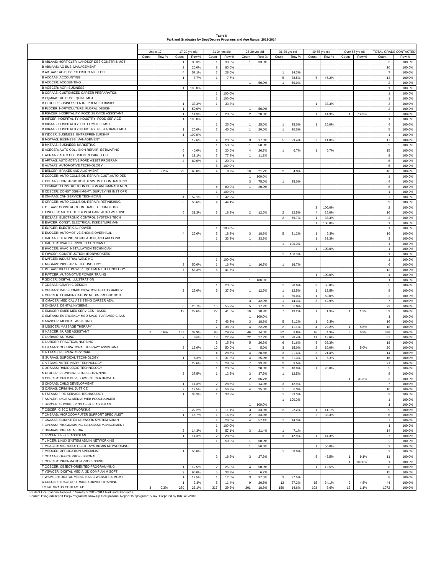| Table 6                                                             |
|---------------------------------------------------------------------|
| Parkland Graduates by Dept/Degree Programs and Age Range: 2013-2014 |

| TOTAL GRADS CONTACTED<br>17-20 yrs old<br>21-24 yrs old<br>25-30 yrs old<br>40-55 yrs old<br>31-39 yrs old<br>Over 55 yrs old<br>Row %<br>Row %<br>Row %<br>Count<br>Count<br>Count<br>Row %<br>Count<br>Count<br>Row %<br>Count<br>Row %<br>Count<br>Row %<br>Count<br>Row %<br>B ABLAAS: HORTICLTR: LANDSCP DES CONSTR & MGT<br>33.3%<br>33.3%<br>33.3%<br>100.0%<br>$\overline{1}$<br>$\overline{1}$<br>$\mathbf{1}$<br>3<br><b>B ABMAAS: AG BUS: MANAGEMENT</b><br>$\mathbf 2$<br>20.0%<br>8<br>80.0%<br>10<br>100.0%<br>B ABTAAS: AG BUS: PRECISION AG TECH<br>$\overline{4}$<br>57.1%<br>$\overline{2}$<br>28.6%<br>14.3%<br>100.0%<br>$\overline{7}$<br>$\overline{1}$<br><b>B ACCAAS: ACCOUNTING</b><br>$\mathbf{1}$<br>$\mathbf{1}$<br>$\mathbf 5$<br>38.5%<br>7.7%<br>6<br>46.2%<br>13<br>100.0%<br>7.7%<br><b>B ACCCER: ACCOUNTING</b><br>1<br>50.0%<br>$\mathbf{1}$<br>50.0%<br>$\overline{2}$<br>100.0%<br><b>B AGBCER: AGRI-BUSINESS</b><br>100.0%<br>$\mathbf{1}$<br>100.0%<br>$\overline{1}$<br>B CCPAAS: CUSTOMIZED CAREER PREPARATION<br>100.0%<br>1<br>100.0%<br>$\mathbf{1}$<br>B EQMAAS: AG BUS: EQUINE MGT<br>100.0%<br>1<br>100.0%<br>$\overline{1}$<br>B ETRCER: BUSINESS: ENTREPRENUER BASICS<br>$\mathbf{1}$<br>33.3%<br>$\mathbf{1}$<br>33.3%<br>$\mathbf{1}$<br>33.3%<br>3<br>100.0%<br>B FLDCER: HORTICULTURE: FLORAL DESIGN<br>$\mathbf{1}$<br>50.0%<br>50.0%<br>$\sqrt{2}$<br>100.0%<br>1<br>B FSACER: HOSPITALITY: FOOD SERVICE ASSISTANT<br>$\overline{2}$<br>28.6%<br>$\scriptstyle{7}$<br>100.0%<br>$\mathbf{1}$<br>14.3%<br>2<br>28.6%<br>$\mathbf{1}$<br>14.3%<br>14.3%<br>1<br>B HIFCER: HOSPITALITY INDUSTRY: FOOD SERVICE<br>$\mathbf{1}$<br>100.0%<br>$\overline{1}$<br>100.0%<br>B HIHAAS: HOSPITALITY: HOTEL/MOTEL MGT<br>$\mathbf{1}$<br>25.0%<br>$\overline{1}$<br>25.0%<br>25.0%<br>$\mathbf{1}$<br>25.0%<br>$\overline{4}$<br>100.0%<br>$\mathbf{1}$<br>B HIRAAS: HOSPITALITY INDUSTRY: RESTAURANT MGT<br>$\mathbf{1}$<br>20.0%<br>$\overline{\mathbf{c}}$<br>40.0%<br>$\mathbf{1}$<br>20.0%<br>$\mathbf{1}$<br>20.0%<br>5<br>100.0%<br>B INDCER: BUSINESS: ENTREPRENEURSHIP<br>$\mathbf{1}$<br>100.0%<br>$\mathbf{1}$<br>100.0%<br><b>B MGTAAS: BUSINESS: MANAGEMENT</b><br>3<br>17.6%<br>17<br>100.0%<br>4<br>23.5%<br>3<br>17.6%<br>5<br>29.4%<br>$\overline{a}$<br>11.8%<br><b>B MKTAAS: BUSINESS: MARKETING</b><br>$\mathbf{1}$<br>$\mathbf{1}$<br>50.0%<br>$\overline{2}$<br>100.0%<br>50.0%<br>E ACECER: AUTO COLLISION REPAIR: ESTIMATING<br>$\mathbf 3$<br>6<br>40.0%<br>20.0%<br>$\overline{4}$<br>26.7%<br>$\mathbf{1}$<br>6.7%<br>6.7%<br>15<br>100.0%<br>$\mathbf{1}$<br>E ACRAAS: AUTO COLLISION REPAIR TECH<br>$\mathbf{1}$<br>11.1%<br>$\overline{7}$<br>$\mathbf{1}$<br>11.1%<br>9<br>100.0%<br>77.8%<br>E AFTAAS: AUTOMOTIVE FORD ASSET PROGRAM<br>$\,$ 1 $\,$<br>$\mathbf 5$<br>$\overline{4}$<br>80.0%<br>100.0%<br>20.0%<br>E AUTAAS: AUTOMOTIVE TECHNOLOGY<br>5<br>100.0%<br>5<br>100.0%<br>E BRLCER: BRAKES AND ALIGNMENT<br>2.2%<br>$\overline{1}$<br>29<br>63.0%<br>$\overline{4}$<br>8.7%<br>10<br>21.7%<br>$\overline{2}$<br>4.3%<br>46<br>100.0%<br>E CCDCER: AUTO COLLISION REPAIR: CUST.AUTO DES<br>100.0%<br>100.0%<br>$\overline{1}$<br>$\overline{1}$<br>E CDBAAS: CONSTRUCTION DES/MGMT: CONTRACTING<br>$\mathbf{3}$<br>75.0%<br>25.0%<br>$\overline{4}$<br>100.0%<br>$\mathbf{1}$<br>E CDMAAS: CONSTRUCTION DESIGN AND MANAGEMENT<br>$\overline{1}$<br>20.0%<br>5<br>100.0%<br>4<br>80.0%<br>E CDSCER: CONST DSGN MGMT: SURVEYING INST OPR<br>1<br>100.0%<br>$\mathbf{1}$<br>100.0%<br>E CNHAAS: CNH SERVICE TECHNICIAN<br>$\overline{4}$<br>57.1%<br>3<br>42.9%<br>$\overline{7}$<br>100.0%<br>E CRRCER: AUTO COLLISION REPAIR: REFINISHING<br>5<br>55.6%<br>4<br>44.4%<br>9<br>100.0%<br>E CTTAAS: CONSTRUCTION TRADE TECHNOLOGY<br>$\overline{c}$<br>100.0%<br>$\overline{\mathbf{2}}$<br>100.0%<br>E CWCCER: AUTO COLLISION REPAIR: AUTO WELDING<br>5<br>31.3%<br>3<br>$\overline{a}$<br>12.5%<br>12.5%<br>$\overline{4}$<br>16<br>100.0%<br>18.8%<br>2<br>25.0%<br>E ECSAAS: ELECTRONIC CONTROL SYSTEMS TECH<br>$\overline{2}$<br>66.7%<br>33.3%<br>3<br>100.0%<br>$\mathbf{1}$<br>E EIWCER: CONST: ELECTRICAL INSIDE WIREMAN<br>100.0%<br>100.0%<br>$\mathbf{1}$<br>$\overline{1}$<br>E ELPCER: ELECTRICAL POWER<br>$\overline{1}$<br>100.0%<br>1<br>100.0%<br>E ENOCER: AUTOMOTIVE ENGINE OVERHAUL<br>100.0%<br>$\overline{4}$<br>25.0%<br>3<br>18.8%<br>3<br>18.8%<br>5<br>31.3%<br>$\mathbf{1}$<br>6.3%<br>16<br>E HACAAS: HEATING, VENTILATION, AND AIR COND<br>$\mathbf{1}$<br>$\mathbf{1}$<br>$\mathbf{1}$<br>33.3%<br>33.3%<br>$\mathbf{3}$<br>100.0%<br>33.3%<br>E HACCER: HVAC SERVICE TECHNICIAN I<br>$\mathbf{1}$<br>100.0%<br>$\overline{1}$<br>100.0%<br>E HVCCER: HVAC INSTALLATION TECHNICIAN<br>100.0%<br>100.0%<br>$\mathbf{1}$<br>$\overline{1}$<br>E IRWCER: CONSTRUCTION: IRONWORKERS<br>100.0%<br>100.0%<br>$\overline{1}$<br>$\overline{1}$<br>E IWTCER: INDUSTRIAL WELDING<br>100.0%<br>100.0%<br>$\overline{1}$<br>$\mathbf{1}$<br>E MFGAAS: INDUSTRIAL TECHNOLOGY<br>3<br>50.0%<br>$\mathbf{1}$<br>16.7%<br>$\mathbf{1}$<br>16.7%<br>$\mathbf{1}$<br>16.7%<br>6<br>100.0%<br>E PETAAS: DIESEL POWER EQUIPMENT TECHNOLOGY<br>$\overline{7}$<br>58.3%<br>5<br>41.7%<br>12<br>100.0%<br>E PWTCER: AUTOMOTIVE POWER TRAINS<br>100.0%<br>100.0%<br>$\mathbf{1}$<br>$\mathbf{1}$<br>F GDICER: DIGITAL ILLUSTRATION<br>$\mathbf{1}$<br>100.0%<br>$\overline{1}$<br>100.0%<br>F GDSAAS: GRAPHIC DESIGN<br>$\mathbf{1}$<br>20.0%<br>$\mathbf{1}$<br>20.0%<br>3<br>60.0%<br>5<br>100.0%<br>F MPHAAS: MASS COMMUNICATION: PHOTOGRAPHY<br>$\overline{2}$<br>25.0%<br>3<br>37.5%<br>$\mathbf{1}$<br>12.5%<br>$\mathbf{1}$<br>12.5%<br>$\mathbf{1}$<br>12.5%<br>8<br>100.0%<br>F MPRCER: COMMUNICATION: MEDIA PRODUCTION<br>$\mathbf{1}$<br>50.0%<br>$\mathbf{1}$<br>50.0%<br>$\overline{2}$<br>100.0%<br>G CMACER: MEDICAL ASSISTING CAREER ADV.<br>$\mathbf 3$<br>$\mathbf{3}$<br>42.9%<br>14.3%<br>100.0%<br>$\mathbf{1}$<br>42.9%<br>7<br>G DHGAAS: DENTAL HYGIENE<br>$\mathbf 5$<br>17.2%<br>$\overline{2}$<br>20.7%<br>16<br>55.2%<br>6.9%<br>29<br>100.0%<br>6<br>G EMACER: EMER MED SERVICES - BASIC<br>12<br>22.6%<br>22<br>41.5%<br>10<br>18.9%<br>$\overline{7}$<br>13.2%<br>$\mathbf{1}$<br>1.9%<br>1.9%<br>53<br>100.0%<br>$\mathbf{1}$<br>G EMTAAS: EMERGENCY MED SVCS- PARAMEDIC AAS<br>100.0%<br>100.0%<br>$\mathbf{1}$<br>$\overline{1}$<br><b>G MASCER: MEDICAL ASSISTING</b><br>$\mathbf 3$<br>18.8%<br>31.3%<br>16<br>100.0%<br>7<br>43.8%<br>5<br>$\overline{1}$<br>6.3%<br><b>G MSGCER: MASSAGE THERAPY</b><br>$\overline{4}$<br>11.1%<br>$\overline{7}$<br>22.2%<br>$\overline{2}$<br>$\overline{4}$<br>22.2%<br>18<br>100.0%<br>38.9%<br>5.6%<br>$\mathbf{1}$<br><b>G NASCER: NURSE ASSISTANT</b><br>$\overline{2}$<br>0.6%<br>131<br>39.9%<br>98<br>29.9%<br>46<br>14.0%<br>32<br>9.8%<br>16<br>4.9%<br>3<br>0.9%<br>328<br>100.0%<br><b>G NURAAS: NURSING</b><br>18<br>22<br>27.2%<br>23<br>28.4%<br>11<br>13.6%<br>81<br>100.0%<br>7<br>8.6%<br>22.2%<br>G NURCER: PRACTICAL NURSING<br>$\mathbf{3}$<br>$\overline{5}$<br>6<br>31.6%<br>19<br>100.0%<br>15.8%<br>26.3%<br>5<br>26.3%<br>G OTAAAS: OCCUPATIONAL THERAPY ASSISTANT<br>$\mathbf{1}$<br>5.0%<br>3<br>15.0%<br>$\overline{\mathbf{c}}$<br>3<br>15.0%<br>10<br>50.0%<br>10.0%<br>$\mathbf{1}$<br>5.0%<br>20<br>100.0%<br>G RTTAAS: RESPIRATORY CARE<br>$\overline{4}$<br>$\overline{4}$<br>28.6%<br>28.6%<br>$\mathbf{3}$<br>21.4%<br>3<br>21.4%<br>14<br>100.0%<br>G SURAAS: SURGICAL TECHNOLOGY<br>5<br>$\mathbf{1}$<br>6.3%<br>31.3%<br>$\overline{4}$<br>25.0%<br>5<br>31.3%<br>$\mathbf{1}$<br>6.3%<br>16<br>100.0%<br>G VTTAAS: VETERINARY TECHNOLOGY<br>$\overline{7}$<br>$\overline{2}$<br>6<br>28.6%<br>6<br>28.6%<br>33.3%<br>9.5%<br>21<br>100.0%<br>G XRAAAS: RADIOLOGIC TECHNOLOGY<br>100.0%<br>$\mathbf{1}$<br>$\mathbf{1}$<br>20.0%<br>$\overline{a}$<br>40.0%<br>$\overline{5}$<br>20.0%<br>$\mathbf{1}$<br>20.0%<br>N FTRCER: PERSONAL FITNESS TRAINING<br>37.5%<br>37.5%<br>12.5%<br>100.0%<br>12.5%<br>3<br>$\mathbf{1}$<br>3<br>$\mathbf{1}$<br>8<br>S CDECER: CHILD DEVELOPMENT CERTIFICATE<br>$\overline{2}$<br>66.7%<br>33.3%<br>3<br>100.0%<br>$\mathbf{1}$<br>S CHDAAS: CHILD DEVELOPMENT<br>14.3%<br>28.6%<br>14.3%<br>42.9%<br>$\overline{7}$<br>100.0%<br>$\mathbf{1}$<br>2<br>$\mathbf{1}$<br>3<br>S CJSAAS: CRIMINAL JUSTICE<br>$\mathbf 2$<br>12.5%<br>9<br>56.3%<br>$\overline{4}$<br>25.0%<br>$\mathbf{1}$<br>6.3%<br>16<br>100.0%<br>S FSTAAS: FIRE SERVICE TECHNOLOGY<br>33.3%<br>33.3%<br>$\mathbf{3}$<br>100.0%<br>$\mathbf{1}$<br>1<br>33.3%<br>$\mathbf{1}$<br>T ASPCER: DIGITAL MEDIA: WEB PROGRAMMER<br>$\mathbf{1}$<br>100.0%<br>$\mathbf{1}$<br>100.0%<br>T BKPCER: BOOKKEEPING OFFICE ASSISTANT<br>100.0%<br>$\mathbf{1}$<br>$\mathbf{1}$<br>100.0%<br>T CISCER: CISCO NETWORKING<br>22.2%<br>11.1%<br>3<br>33.3%<br>$\overline{2}$<br>22.2%<br>11.1%<br>9<br>100.0%<br>$\overline{2}$<br>$\mathbf{1}$<br>$\mathbf{1}$<br>T CMSAAS: MICROCOMPUTER SUPPORT SPECIALIST<br>$\mathbf{1}$<br>16.7%<br>$\mathbf{1}$<br>16.7%<br>$\overline{\mathbf{c}}$<br>33.3%<br>$\overline{2}$<br>33.3%<br>6<br>100.0%<br>T CNAAAS: COMPUTER NETWORK SYSTEM ADMIN<br>$\overline{2}$<br>$\sqrt{4}$<br>57.1%<br>14.3%<br>$\overline{7}$<br>100.0%<br>28.6%<br>$\mathbf{1}$<br>T CPLAAS: PROGRAMMING-DATABASE MANAGEMENT<br>$\mathbf{1}$<br>100.0%<br>$\mathbf{1}$<br>100.0%<br>T DGMAAS: DIGITAL MEDIA<br>14.3%<br>8<br>57.1%<br>$\mathbf{3}$<br>21.4%<br>$\mathbf{1}$<br>7.1%<br>14<br>100.0%<br>$\overline{\mathbf{2}}$<br>T IPRCER: OFFICE ASSISTANT<br>$\mathbf 2$<br>42.9%<br>14.3%<br>28.6%<br>$\mathbf{3}$<br>$\overline{7}$<br>100.0%<br>$\mathbf{1}$<br>$\mathbf{1}$<br>14.3%<br>T LINCER: LINUX SYSTEM ADMIN NETWORKING<br>$\mathbf{1}$<br>50.0%<br>$\mathbf{1}$<br>50.0%<br>$\overline{2}$<br>100.0%<br>T MSACER: MICROSOFT CERT SYS ADMIN NETWORKING<br>100.0%<br>$\mathbf{1}$<br>50.0%<br>$\mathbf{1}$<br>50.0%<br>$\overline{2}$<br>T MSOCER: APPLICATION SPECIALIST<br>$\mathbf{1}$<br>50.0%<br>$\mathbf{1}$<br>50.0%<br>$\overline{2}$<br>100.0%<br>T OCAAAS: OFFICE PROFESSIONAL<br>$\overline{\mathbf{c}}$<br>18.2%<br>$\mathbf{3}$<br>27.3%<br>5<br>45.5%<br>9.1%<br>11<br>100.0%<br>$\mathbf{1}$<br>T OCPCER: INFORMATION PROCESSING<br>100.0%<br>$\mathbf{1}$<br>$\mathbf{1}$<br>100.0%<br>T OOSCER: OBJECT-ORIENTED PROGRAMMING<br>50.0%<br>$\mathbf{1}$<br>12.5%<br>$\overline{2}$<br>25.0%<br>$\overline{4}$<br>$\ddot{\phantom{1}}$<br>12.5%<br>8<br>100.0%<br>T VGWCER: DIGITAL MEDIA: 3D COMP ANIM SOFT<br>5<br>9<br>60.0%<br>33.3%<br>$\mathbf{1}$<br>6.7%<br>15<br>100.0%<br>T WSMCER: DIGITAL MEDIA: BASIC WEBSITE & MGMT<br>12.5%<br>$\mathbf{1}$<br>$\mathbf{3}$<br>37.5%<br>3<br>37.5%<br>100.0%<br>$\overline{1}$<br>12.5%<br>8<br>X CDLCER: TRACTOR-TRAILER DRIVER TRAINING<br>5<br>9<br>20.5%<br>27.3%<br>44<br>100.0%<br>$\mathbf{1}$<br>2.3%<br>11.4%<br>12<br>15<br>34.1%<br>$\overline{2}$<br>4.5%<br>TOTAL GRADS CONTACTED<br>317<br>14.6%<br>1.1%<br>0.3%<br>280<br>26.1%<br>29.6%<br>201<br>18.8%<br>156<br>103<br>9.6%<br>12<br>1072<br>100.0%<br>3 |                                                                       | Under 17 |  |  |  |  |  |  |  |
|-----------------------------------------------------------------------------------------------------------------------------------------------------------------------------------------------------------------------------------------------------------------------------------------------------------------------------------------------------------------------------------------------------------------------------------------------------------------------------------------------------------------------------------------------------------------------------------------------------------------------------------------------------------------------------------------------------------------------------------------------------------------------------------------------------------------------------------------------------------------------------------------------------------------------------------------------------------------------------------------------------------------------------------------------------------------------------------------------------------------------------------------------------------------------------------------------------------------------------------------------------------------------------------------------------------------------------------------------------------------------------------------------------------------------------------------------------------------------------------------------------------------------------------------------------------------------------------------------------------------------------------------------------------------------------------------------------------------------------------------------------------------------------------------------------------------------------------------------------------------------------------------------------------------------------------------------------------------------------------------------------------------------------------------------------------------------------------------------------------------------------------------------------------------------------------------------------------------------------------------------------------------------------------------------------------------------------------------------------------------------------------------------------------------------------------------------------------------------------------------------------------------------------------------------------------------------------------------------------------------------------------------------------------------------------------------------------------------------------------------------------------------------------------------------------------------------------------------------------------------------------------------------------------------------------------------------------------------------------------------------------------------------------------------------------------------------------------------------------------------------------------------------------------------------------------------------------------------------------------------------------------------------------------------------------------------------------------------------------------------------------------------------------------------------------------------------------------------------------------------------------------------------------------------------------------------------------------------------------------------------------------------------------------------------------------------------------------------------------------------------------------------------------------------------------------------------------------------------------------------------------------------------------------------------------------------------------------------------------------------------------------------------------------------------------------------------------------------------------------------------------------------------------------------------------------------------------------------------------------------------------------------------------------------------------------------------------------------------------------------------------------------------------------------------------------------------------------------------------------------------------------------------------------------------------------------------------------------------------------------------------------------------------------------------------------------------------------------------------------------------------------------------------------------------------------------------------------------------------------------------------------------------------------------------------------------------------------------------------------------------------------------------------------------------------------------------------------------------------------------------------------------------------------------------------------------------------------------------------------------------------------------------------------------------------------------------------------------------------------------------------------------------------------------------------------------------------------------------------------------------------------------------------------------------------------------------------------------------------------------------------------------------------------------------------------------------------------------------------------------------------------------------------------------------------------------------------------------------------------------------------------------------------------------------------------------------------------------------------------------------------------------------------------------------------------------------------------------------------------------------------------------------------------------------------------------------------------------------------------------------------------------------------------------------------------------------------------------------------------------------------------------------------------------------------------------------------------------------------------------------------------------------------------------------------------------------------------------------------------------------------------------------------------------------------------------------------------------------------------------------------------------------------------------------------------------------------------------------------------------------------------------------------------------------------------------------------------------------------------------------------------------------------------------------------------------------------------------------------------------------------------------------------------------------------------------------------------------------------------------------------------------------------------------------------------------------------------------------------------------------------------------------------------------------------------------------------------------------------------------------------------------------------------------------------------------------------------------------------------------------------------------------------------------------------------------------------------------------------------------------------------------------------------------------------------------------------------------------------------------------------------------------------------------------------------------------------------------------------------------------------------------------------------------------------------------------------------------------------------------------------------------------------------------------------------------------------------------------------------------------------------------------------------------------------------------------------------------------------------------------------------------------------------------------------------------------------------------------------------------------------------------------------------------------------------------------------------------------------------------------------------------------------------------------------------------------------------------------------------------------------------------------------------------------------------------------------------------------------------------------------------------------------------------------------------------------------------------------------------------------------------------------------------------------------------------------------------------------------------------------------------------------------------------------------------------------------------------------------------------------------------------------------------------------------------------------------------------------------------------------------------------------------------------------------------------------------------------------------------------------------------------------------------------------------------------------------------------------------------------------------------------------------------------------------------------------------------------------------------------------------------------------------------------------------------------------------------------------------------------------------------------------------------------------------------------------------------------------------------------------------------------------------------------------------------------------------------------------------------------------------------------------------------------------------------------------------------------------------------------------------------------------------------------------------------------------------------------------------------------------------------------------------------------------------------------------------------------------------------------------------------------------------------------------------------------------------------------------------------------------------------------------------------------------------------------------------------------------------------------------------------------------------------------------------------------------------------------------------------------------------------------------------------------------------------------------------------------------------------------------------------------------------------------------------------------------------------------------------------------------------------------------------------------------------------------------------------------|-----------------------------------------------------------------------|----------|--|--|--|--|--|--|--|
|                                                                                                                                                                                                                                                                                                                                                                                                                                                                                                                                                                                                                                                                                                                                                                                                                                                                                                                                                                                                                                                                                                                                                                                                                                                                                                                                                                                                                                                                                                                                                                                                                                                                                                                                                                                                                                                                                                                                                                                                                                                                                                                                                                                                                                                                                                                                                                                                                                                                                                                                                                                                                                                                                                                                                                                                                                                                                                                                                                                                                                                                                                                                                                                                                                                                                                                                                                                                                                                                                                                                                                                                                                                                                                                                                                                                                                                                                                                                                                                                                                                                                                                                                                                                                                                                                                                                                                                                                                                                                                                                                                                                                                                                                                                                                                                                                                                                                                                                                                                                                                                                                                                                                                                                                                                                                                                                                                                                                                                                                                                                                                                                                                                                                                                                                                                                                                                                                                                                                                                                                                                                                                                                                                                                                                                                                                                                                                                                                                                                                                                                                                                                                                                                                                                                                                                                                                                                                                                                                                                                                                                                                                                                                                                                                                                                                                                                                                                                                                                                                                                                                                                                                                                                                                                                                                                                                                                                                                                                                                                                                                                                                                                                                                                                                                                                                                                                                                                                                                                                                                                                                                                                                                                                                                                                                                                                                                                                                                                                                                                                                                                                                                                                                                                                                                                                                                                                                                                                                                                                                                                                                                                                                                                                                                                                                                                                                                                                                                                                                                                                                                                                                                                                                                                                                                                                                                                                                                                                                                                                                                                                                                                                                                                                                                                                                                                                                                                                                                                                                                                                                                                                                                                                                                                                                 |                                                                       |          |  |  |  |  |  |  |  |
|                                                                                                                                                                                                                                                                                                                                                                                                                                                                                                                                                                                                                                                                                                                                                                                                                                                                                                                                                                                                                                                                                                                                                                                                                                                                                                                                                                                                                                                                                                                                                                                                                                                                                                                                                                                                                                                                                                                                                                                                                                                                                                                                                                                                                                                                                                                                                                                                                                                                                                                                                                                                                                                                                                                                                                                                                                                                                                                                                                                                                                                                                                                                                                                                                                                                                                                                                                                                                                                                                                                                                                                                                                                                                                                                                                                                                                                                                                                                                                                                                                                                                                                                                                                                                                                                                                                                                                                                                                                                                                                                                                                                                                                                                                                                                                                                                                                                                                                                                                                                                                                                                                                                                                                                                                                                                                                                                                                                                                                                                                                                                                                                                                                                                                                                                                                                                                                                                                                                                                                                                                                                                                                                                                                                                                                                                                                                                                                                                                                                                                                                                                                                                                                                                                                                                                                                                                                                                                                                                                                                                                                                                                                                                                                                                                                                                                                                                                                                                                                                                                                                                                                                                                                                                                                                                                                                                                                                                                                                                                                                                                                                                                                                                                                                                                                                                                                                                                                                                                                                                                                                                                                                                                                                                                                                                                                                                                                                                                                                                                                                                                                                                                                                                                                                                                                                                                                                                                                                                                                                                                                                                                                                                                                                                                                                                                                                                                                                                                                                                                                                                                                                                                                                                                                                                                                                                                                                                                                                                                                                                                                                                                                                                                                                                                                                                                                                                                                                                                                                                                                                                                                                                                                                                                                                                 |                                                                       |          |  |  |  |  |  |  |  |
|                                                                                                                                                                                                                                                                                                                                                                                                                                                                                                                                                                                                                                                                                                                                                                                                                                                                                                                                                                                                                                                                                                                                                                                                                                                                                                                                                                                                                                                                                                                                                                                                                                                                                                                                                                                                                                                                                                                                                                                                                                                                                                                                                                                                                                                                                                                                                                                                                                                                                                                                                                                                                                                                                                                                                                                                                                                                                                                                                                                                                                                                                                                                                                                                                                                                                                                                                                                                                                                                                                                                                                                                                                                                                                                                                                                                                                                                                                                                                                                                                                                                                                                                                                                                                                                                                                                                                                                                                                                                                                                                                                                                                                                                                                                                                                                                                                                                                                                                                                                                                                                                                                                                                                                                                                                                                                                                                                                                                                                                                                                                                                                                                                                                                                                                                                                                                                                                                                                                                                                                                                                                                                                                                                                                                                                                                                                                                                                                                                                                                                                                                                                                                                                                                                                                                                                                                                                                                                                                                                                                                                                                                                                                                                                                                                                                                                                                                                                                                                                                                                                                                                                                                                                                                                                                                                                                                                                                                                                                                                                                                                                                                                                                                                                                                                                                                                                                                                                                                                                                                                                                                                                                                                                                                                                                                                                                                                                                                                                                                                                                                                                                                                                                                                                                                                                                                                                                                                                                                                                                                                                                                                                                                                                                                                                                                                                                                                                                                                                                                                                                                                                                                                                                                                                                                                                                                                                                                                                                                                                                                                                                                                                                                                                                                                                                                                                                                                                                                                                                                                                                                                                                                                                                                                                                                 |                                                                       |          |  |  |  |  |  |  |  |
|                                                                                                                                                                                                                                                                                                                                                                                                                                                                                                                                                                                                                                                                                                                                                                                                                                                                                                                                                                                                                                                                                                                                                                                                                                                                                                                                                                                                                                                                                                                                                                                                                                                                                                                                                                                                                                                                                                                                                                                                                                                                                                                                                                                                                                                                                                                                                                                                                                                                                                                                                                                                                                                                                                                                                                                                                                                                                                                                                                                                                                                                                                                                                                                                                                                                                                                                                                                                                                                                                                                                                                                                                                                                                                                                                                                                                                                                                                                                                                                                                                                                                                                                                                                                                                                                                                                                                                                                                                                                                                                                                                                                                                                                                                                                                                                                                                                                                                                                                                                                                                                                                                                                                                                                                                                                                                                                                                                                                                                                                                                                                                                                                                                                                                                                                                                                                                                                                                                                                                                                                                                                                                                                                                                                                                                                                                                                                                                                                                                                                                                                                                                                                                                                                                                                                                                                                                                                                                                                                                                                                                                                                                                                                                                                                                                                                                                                                                                                                                                                                                                                                                                                                                                                                                                                                                                                                                                                                                                                                                                                                                                                                                                                                                                                                                                                                                                                                                                                                                                                                                                                                                                                                                                                                                                                                                                                                                                                                                                                                                                                                                                                                                                                                                                                                                                                                                                                                                                                                                                                                                                                                                                                                                                                                                                                                                                                                                                                                                                                                                                                                                                                                                                                                                                                                                                                                                                                                                                                                                                                                                                                                                                                                                                                                                                                                                                                                                                                                                                                                                                                                                                                                                                                                                                                                 |                                                                       |          |  |  |  |  |  |  |  |
|                                                                                                                                                                                                                                                                                                                                                                                                                                                                                                                                                                                                                                                                                                                                                                                                                                                                                                                                                                                                                                                                                                                                                                                                                                                                                                                                                                                                                                                                                                                                                                                                                                                                                                                                                                                                                                                                                                                                                                                                                                                                                                                                                                                                                                                                                                                                                                                                                                                                                                                                                                                                                                                                                                                                                                                                                                                                                                                                                                                                                                                                                                                                                                                                                                                                                                                                                                                                                                                                                                                                                                                                                                                                                                                                                                                                                                                                                                                                                                                                                                                                                                                                                                                                                                                                                                                                                                                                                                                                                                                                                                                                                                                                                                                                                                                                                                                                                                                                                                                                                                                                                                                                                                                                                                                                                                                                                                                                                                                                                                                                                                                                                                                                                                                                                                                                                                                                                                                                                                                                                                                                                                                                                                                                                                                                                                                                                                                                                                                                                                                                                                                                                                                                                                                                                                                                                                                                                                                                                                                                                                                                                                                                                                                                                                                                                                                                                                                                                                                                                                                                                                                                                                                                                                                                                                                                                                                                                                                                                                                                                                                                                                                                                                                                                                                                                                                                                                                                                                                                                                                                                                                                                                                                                                                                                                                                                                                                                                                                                                                                                                                                                                                                                                                                                                                                                                                                                                                                                                                                                                                                                                                                                                                                                                                                                                                                                                                                                                                                                                                                                                                                                                                                                                                                                                                                                                                                                                                                                                                                                                                                                                                                                                                                                                                                                                                                                                                                                                                                                                                                                                                                                                                                                                                                                 |                                                                       |          |  |  |  |  |  |  |  |
|                                                                                                                                                                                                                                                                                                                                                                                                                                                                                                                                                                                                                                                                                                                                                                                                                                                                                                                                                                                                                                                                                                                                                                                                                                                                                                                                                                                                                                                                                                                                                                                                                                                                                                                                                                                                                                                                                                                                                                                                                                                                                                                                                                                                                                                                                                                                                                                                                                                                                                                                                                                                                                                                                                                                                                                                                                                                                                                                                                                                                                                                                                                                                                                                                                                                                                                                                                                                                                                                                                                                                                                                                                                                                                                                                                                                                                                                                                                                                                                                                                                                                                                                                                                                                                                                                                                                                                                                                                                                                                                                                                                                                                                                                                                                                                                                                                                                                                                                                                                                                                                                                                                                                                                                                                                                                                                                                                                                                                                                                                                                                                                                                                                                                                                                                                                                                                                                                                                                                                                                                                                                                                                                                                                                                                                                                                                                                                                                                                                                                                                                                                                                                                                                                                                                                                                                                                                                                                                                                                                                                                                                                                                                                                                                                                                                                                                                                                                                                                                                                                                                                                                                                                                                                                                                                                                                                                                                                                                                                                                                                                                                                                                                                                                                                                                                                                                                                                                                                                                                                                                                                                                                                                                                                                                                                                                                                                                                                                                                                                                                                                                                                                                                                                                                                                                                                                                                                                                                                                                                                                                                                                                                                                                                                                                                                                                                                                                                                                                                                                                                                                                                                                                                                                                                                                                                                                                                                                                                                                                                                                                                                                                                                                                                                                                                                                                                                                                                                                                                                                                                                                                                                                                                                                                                                 |                                                                       |          |  |  |  |  |  |  |  |
|                                                                                                                                                                                                                                                                                                                                                                                                                                                                                                                                                                                                                                                                                                                                                                                                                                                                                                                                                                                                                                                                                                                                                                                                                                                                                                                                                                                                                                                                                                                                                                                                                                                                                                                                                                                                                                                                                                                                                                                                                                                                                                                                                                                                                                                                                                                                                                                                                                                                                                                                                                                                                                                                                                                                                                                                                                                                                                                                                                                                                                                                                                                                                                                                                                                                                                                                                                                                                                                                                                                                                                                                                                                                                                                                                                                                                                                                                                                                                                                                                                                                                                                                                                                                                                                                                                                                                                                                                                                                                                                                                                                                                                                                                                                                                                                                                                                                                                                                                                                                                                                                                                                                                                                                                                                                                                                                                                                                                                                                                                                                                                                                                                                                                                                                                                                                                                                                                                                                                                                                                                                                                                                                                                                                                                                                                                                                                                                                                                                                                                                                                                                                                                                                                                                                                                                                                                                                                                                                                                                                                                                                                                                                                                                                                                                                                                                                                                                                                                                                                                                                                                                                                                                                                                                                                                                                                                                                                                                                                                                                                                                                                                                                                                                                                                                                                                                                                                                                                                                                                                                                                                                                                                                                                                                                                                                                                                                                                                                                                                                                                                                                                                                                                                                                                                                                                                                                                                                                                                                                                                                                                                                                                                                                                                                                                                                                                                                                                                                                                                                                                                                                                                                                                                                                                                                                                                                                                                                                                                                                                                                                                                                                                                                                                                                                                                                                                                                                                                                                                                                                                                                                                                                                                                                                                 |                                                                       |          |  |  |  |  |  |  |  |
|                                                                                                                                                                                                                                                                                                                                                                                                                                                                                                                                                                                                                                                                                                                                                                                                                                                                                                                                                                                                                                                                                                                                                                                                                                                                                                                                                                                                                                                                                                                                                                                                                                                                                                                                                                                                                                                                                                                                                                                                                                                                                                                                                                                                                                                                                                                                                                                                                                                                                                                                                                                                                                                                                                                                                                                                                                                                                                                                                                                                                                                                                                                                                                                                                                                                                                                                                                                                                                                                                                                                                                                                                                                                                                                                                                                                                                                                                                                                                                                                                                                                                                                                                                                                                                                                                                                                                                                                                                                                                                                                                                                                                                                                                                                                                                                                                                                                                                                                                                                                                                                                                                                                                                                                                                                                                                                                                                                                                                                                                                                                                                                                                                                                                                                                                                                                                                                                                                                                                                                                                                                                                                                                                                                                                                                                                                                                                                                                                                                                                                                                                                                                                                                                                                                                                                                                                                                                                                                                                                                                                                                                                                                                                                                                                                                                                                                                                                                                                                                                                                                                                                                                                                                                                                                                                                                                                                                                                                                                                                                                                                                                                                                                                                                                                                                                                                                                                                                                                                                                                                                                                                                                                                                                                                                                                                                                                                                                                                                                                                                                                                                                                                                                                                                                                                                                                                                                                                                                                                                                                                                                                                                                                                                                                                                                                                                                                                                                                                                                                                                                                                                                                                                                                                                                                                                                                                                                                                                                                                                                                                                                                                                                                                                                                                                                                                                                                                                                                                                                                                                                                                                                                                                                                                                                                 |                                                                       |          |  |  |  |  |  |  |  |
|                                                                                                                                                                                                                                                                                                                                                                                                                                                                                                                                                                                                                                                                                                                                                                                                                                                                                                                                                                                                                                                                                                                                                                                                                                                                                                                                                                                                                                                                                                                                                                                                                                                                                                                                                                                                                                                                                                                                                                                                                                                                                                                                                                                                                                                                                                                                                                                                                                                                                                                                                                                                                                                                                                                                                                                                                                                                                                                                                                                                                                                                                                                                                                                                                                                                                                                                                                                                                                                                                                                                                                                                                                                                                                                                                                                                                                                                                                                                                                                                                                                                                                                                                                                                                                                                                                                                                                                                                                                                                                                                                                                                                                                                                                                                                                                                                                                                                                                                                                                                                                                                                                                                                                                                                                                                                                                                                                                                                                                                                                                                                                                                                                                                                                                                                                                                                                                                                                                                                                                                                                                                                                                                                                                                                                                                                                                                                                                                                                                                                                                                                                                                                                                                                                                                                                                                                                                                                                                                                                                                                                                                                                                                                                                                                                                                                                                                                                                                                                                                                                                                                                                                                                                                                                                                                                                                                                                                                                                                                                                                                                                                                                                                                                                                                                                                                                                                                                                                                                                                                                                                                                                                                                                                                                                                                                                                                                                                                                                                                                                                                                                                                                                                                                                                                                                                                                                                                                                                                                                                                                                                                                                                                                                                                                                                                                                                                                                                                                                                                                                                                                                                                                                                                                                                                                                                                                                                                                                                                                                                                                                                                                                                                                                                                                                                                                                                                                                                                                                                                                                                                                                                                                                                                                                                                 |                                                                       |          |  |  |  |  |  |  |  |
|                                                                                                                                                                                                                                                                                                                                                                                                                                                                                                                                                                                                                                                                                                                                                                                                                                                                                                                                                                                                                                                                                                                                                                                                                                                                                                                                                                                                                                                                                                                                                                                                                                                                                                                                                                                                                                                                                                                                                                                                                                                                                                                                                                                                                                                                                                                                                                                                                                                                                                                                                                                                                                                                                                                                                                                                                                                                                                                                                                                                                                                                                                                                                                                                                                                                                                                                                                                                                                                                                                                                                                                                                                                                                                                                                                                                                                                                                                                                                                                                                                                                                                                                                                                                                                                                                                                                                                                                                                                                                                                                                                                                                                                                                                                                                                                                                                                                                                                                                                                                                                                                                                                                                                                                                                                                                                                                                                                                                                                                                                                                                                                                                                                                                                                                                                                                                                                                                                                                                                                                                                                                                                                                                                                                                                                                                                                                                                                                                                                                                                                                                                                                                                                                                                                                                                                                                                                                                                                                                                                                                                                                                                                                                                                                                                                                                                                                                                                                                                                                                                                                                                                                                                                                                                                                                                                                                                                                                                                                                                                                                                                                                                                                                                                                                                                                                                                                                                                                                                                                                                                                                                                                                                                                                                                                                                                                                                                                                                                                                                                                                                                                                                                                                                                                                                                                                                                                                                                                                                                                                                                                                                                                                                                                                                                                                                                                                                                                                                                                                                                                                                                                                                                                                                                                                                                                                                                                                                                                                                                                                                                                                                                                                                                                                                                                                                                                                                                                                                                                                                                                                                                                                                                                                                                                                 |                                                                       |          |  |  |  |  |  |  |  |
|                                                                                                                                                                                                                                                                                                                                                                                                                                                                                                                                                                                                                                                                                                                                                                                                                                                                                                                                                                                                                                                                                                                                                                                                                                                                                                                                                                                                                                                                                                                                                                                                                                                                                                                                                                                                                                                                                                                                                                                                                                                                                                                                                                                                                                                                                                                                                                                                                                                                                                                                                                                                                                                                                                                                                                                                                                                                                                                                                                                                                                                                                                                                                                                                                                                                                                                                                                                                                                                                                                                                                                                                                                                                                                                                                                                                                                                                                                                                                                                                                                                                                                                                                                                                                                                                                                                                                                                                                                                                                                                                                                                                                                                                                                                                                                                                                                                                                                                                                                                                                                                                                                                                                                                                                                                                                                                                                                                                                                                                                                                                                                                                                                                                                                                                                                                                                                                                                                                                                                                                                                                                                                                                                                                                                                                                                                                                                                                                                                                                                                                                                                                                                                                                                                                                                                                                                                                                                                                                                                                                                                                                                                                                                                                                                                                                                                                                                                                                                                                                                                                                                                                                                                                                                                                                                                                                                                                                                                                                                                                                                                                                                                                                                                                                                                                                                                                                                                                                                                                                                                                                                                                                                                                                                                                                                                                                                                                                                                                                                                                                                                                                                                                                                                                                                                                                                                                                                                                                                                                                                                                                                                                                                                                                                                                                                                                                                                                                                                                                                                                                                                                                                                                                                                                                                                                                                                                                                                                                                                                                                                                                                                                                                                                                                                                                                                                                                                                                                                                                                                                                                                                                                                                                                                                                                 |                                                                       |          |  |  |  |  |  |  |  |
|                                                                                                                                                                                                                                                                                                                                                                                                                                                                                                                                                                                                                                                                                                                                                                                                                                                                                                                                                                                                                                                                                                                                                                                                                                                                                                                                                                                                                                                                                                                                                                                                                                                                                                                                                                                                                                                                                                                                                                                                                                                                                                                                                                                                                                                                                                                                                                                                                                                                                                                                                                                                                                                                                                                                                                                                                                                                                                                                                                                                                                                                                                                                                                                                                                                                                                                                                                                                                                                                                                                                                                                                                                                                                                                                                                                                                                                                                                                                                                                                                                                                                                                                                                                                                                                                                                                                                                                                                                                                                                                                                                                                                                                                                                                                                                                                                                                                                                                                                                                                                                                                                                                                                                                                                                                                                                                                                                                                                                                                                                                                                                                                                                                                                                                                                                                                                                                                                                                                                                                                                                                                                                                                                                                                                                                                                                                                                                                                                                                                                                                                                                                                                                                                                                                                                                                                                                                                                                                                                                                                                                                                                                                                                                                                                                                                                                                                                                                                                                                                                                                                                                                                                                                                                                                                                                                                                                                                                                                                                                                                                                                                                                                                                                                                                                                                                                                                                                                                                                                                                                                                                                                                                                                                                                                                                                                                                                                                                                                                                                                                                                                                                                                                                                                                                                                                                                                                                                                                                                                                                                                                                                                                                                                                                                                                                                                                                                                                                                                                                                                                                                                                                                                                                                                                                                                                                                                                                                                                                                                                                                                                                                                                                                                                                                                                                                                                                                                                                                                                                                                                                                                                                                                                                                                                                 |                                                                       |          |  |  |  |  |  |  |  |
|                                                                                                                                                                                                                                                                                                                                                                                                                                                                                                                                                                                                                                                                                                                                                                                                                                                                                                                                                                                                                                                                                                                                                                                                                                                                                                                                                                                                                                                                                                                                                                                                                                                                                                                                                                                                                                                                                                                                                                                                                                                                                                                                                                                                                                                                                                                                                                                                                                                                                                                                                                                                                                                                                                                                                                                                                                                                                                                                                                                                                                                                                                                                                                                                                                                                                                                                                                                                                                                                                                                                                                                                                                                                                                                                                                                                                                                                                                                                                                                                                                                                                                                                                                                                                                                                                                                                                                                                                                                                                                                                                                                                                                                                                                                                                                                                                                                                                                                                                                                                                                                                                                                                                                                                                                                                                                                                                                                                                                                                                                                                                                                                                                                                                                                                                                                                                                                                                                                                                                                                                                                                                                                                                                                                                                                                                                                                                                                                                                                                                                                                                                                                                                                                                                                                                                                                                                                                                                                                                                                                                                                                                                                                                                                                                                                                                                                                                                                                                                                                                                                                                                                                                                                                                                                                                                                                                                                                                                                                                                                                                                                                                                                                                                                                                                                                                                                                                                                                                                                                                                                                                                                                                                                                                                                                                                                                                                                                                                                                                                                                                                                                                                                                                                                                                                                                                                                                                                                                                                                                                                                                                                                                                                                                                                                                                                                                                                                                                                                                                                                                                                                                                                                                                                                                                                                                                                                                                                                                                                                                                                                                                                                                                                                                                                                                                                                                                                                                                                                                                                                                                                                                                                                                                                                                                 |                                                                       |          |  |  |  |  |  |  |  |
|                                                                                                                                                                                                                                                                                                                                                                                                                                                                                                                                                                                                                                                                                                                                                                                                                                                                                                                                                                                                                                                                                                                                                                                                                                                                                                                                                                                                                                                                                                                                                                                                                                                                                                                                                                                                                                                                                                                                                                                                                                                                                                                                                                                                                                                                                                                                                                                                                                                                                                                                                                                                                                                                                                                                                                                                                                                                                                                                                                                                                                                                                                                                                                                                                                                                                                                                                                                                                                                                                                                                                                                                                                                                                                                                                                                                                                                                                                                                                                                                                                                                                                                                                                                                                                                                                                                                                                                                                                                                                                                                                                                                                                                                                                                                                                                                                                                                                                                                                                                                                                                                                                                                                                                                                                                                                                                                                                                                                                                                                                                                                                                                                                                                                                                                                                                                                                                                                                                                                                                                                                                                                                                                                                                                                                                                                                                                                                                                                                                                                                                                                                                                                                                                                                                                                                                                                                                                                                                                                                                                                                                                                                                                                                                                                                                                                                                                                                                                                                                                                                                                                                                                                                                                                                                                                                                                                                                                                                                                                                                                                                                                                                                                                                                                                                                                                                                                                                                                                                                                                                                                                                                                                                                                                                                                                                                                                                                                                                                                                                                                                                                                                                                                                                                                                                                                                                                                                                                                                                                                                                                                                                                                                                                                                                                                                                                                                                                                                                                                                                                                                                                                                                                                                                                                                                                                                                                                                                                                                                                                                                                                                                                                                                                                                                                                                                                                                                                                                                                                                                                                                                                                                                                                                                                                                 |                                                                       |          |  |  |  |  |  |  |  |
|                                                                                                                                                                                                                                                                                                                                                                                                                                                                                                                                                                                                                                                                                                                                                                                                                                                                                                                                                                                                                                                                                                                                                                                                                                                                                                                                                                                                                                                                                                                                                                                                                                                                                                                                                                                                                                                                                                                                                                                                                                                                                                                                                                                                                                                                                                                                                                                                                                                                                                                                                                                                                                                                                                                                                                                                                                                                                                                                                                                                                                                                                                                                                                                                                                                                                                                                                                                                                                                                                                                                                                                                                                                                                                                                                                                                                                                                                                                                                                                                                                                                                                                                                                                                                                                                                                                                                                                                                                                                                                                                                                                                                                                                                                                                                                                                                                                                                                                                                                                                                                                                                                                                                                                                                                                                                                                                                                                                                                                                                                                                                                                                                                                                                                                                                                                                                                                                                                                                                                                                                                                                                                                                                                                                                                                                                                                                                                                                                                                                                                                                                                                                                                                                                                                                                                                                                                                                                                                                                                                                                                                                                                                                                                                                                                                                                                                                                                                                                                                                                                                                                                                                                                                                                                                                                                                                                                                                                                                                                                                                                                                                                                                                                                                                                                                                                                                                                                                                                                                                                                                                                                                                                                                                                                                                                                                                                                                                                                                                                                                                                                                                                                                                                                                                                                                                                                                                                                                                                                                                                                                                                                                                                                                                                                                                                                                                                                                                                                                                                                                                                                                                                                                                                                                                                                                                                                                                                                                                                                                                                                                                                                                                                                                                                                                                                                                                                                                                                                                                                                                                                                                                                                                                                                                                                 |                                                                       |          |  |  |  |  |  |  |  |
|                                                                                                                                                                                                                                                                                                                                                                                                                                                                                                                                                                                                                                                                                                                                                                                                                                                                                                                                                                                                                                                                                                                                                                                                                                                                                                                                                                                                                                                                                                                                                                                                                                                                                                                                                                                                                                                                                                                                                                                                                                                                                                                                                                                                                                                                                                                                                                                                                                                                                                                                                                                                                                                                                                                                                                                                                                                                                                                                                                                                                                                                                                                                                                                                                                                                                                                                                                                                                                                                                                                                                                                                                                                                                                                                                                                                                                                                                                                                                                                                                                                                                                                                                                                                                                                                                                                                                                                                                                                                                                                                                                                                                                                                                                                                                                                                                                                                                                                                                                                                                                                                                                                                                                                                                                                                                                                                                                                                                                                                                                                                                                                                                                                                                                                                                                                                                                                                                                                                                                                                                                                                                                                                                                                                                                                                                                                                                                                                                                                                                                                                                                                                                                                                                                                                                                                                                                                                                                                                                                                                                                                                                                                                                                                                                                                                                                                                                                                                                                                                                                                                                                                                                                                                                                                                                                                                                                                                                                                                                                                                                                                                                                                                                                                                                                                                                                                                                                                                                                                                                                                                                                                                                                                                                                                                                                                                                                                                                                                                                                                                                                                                                                                                                                                                                                                                                                                                                                                                                                                                                                                                                                                                                                                                                                                                                                                                                                                                                                                                                                                                                                                                                                                                                                                                                                                                                                                                                                                                                                                                                                                                                                                                                                                                                                                                                                                                                                                                                                                                                                                                                                                                                                                                                                                                                 |                                                                       |          |  |  |  |  |  |  |  |
|                                                                                                                                                                                                                                                                                                                                                                                                                                                                                                                                                                                                                                                                                                                                                                                                                                                                                                                                                                                                                                                                                                                                                                                                                                                                                                                                                                                                                                                                                                                                                                                                                                                                                                                                                                                                                                                                                                                                                                                                                                                                                                                                                                                                                                                                                                                                                                                                                                                                                                                                                                                                                                                                                                                                                                                                                                                                                                                                                                                                                                                                                                                                                                                                                                                                                                                                                                                                                                                                                                                                                                                                                                                                                                                                                                                                                                                                                                                                                                                                                                                                                                                                                                                                                                                                                                                                                                                                                                                                                                                                                                                                                                                                                                                                                                                                                                                                                                                                                                                                                                                                                                                                                                                                                                                                                                                                                                                                                                                                                                                                                                                                                                                                                                                                                                                                                                                                                                                                                                                                                                                                                                                                                                                                                                                                                                                                                                                                                                                                                                                                                                                                                                                                                                                                                                                                                                                                                                                                                                                                                                                                                                                                                                                                                                                                                                                                                                                                                                                                                                                                                                                                                                                                                                                                                                                                                                                                                                                                                                                                                                                                                                                                                                                                                                                                                                                                                                                                                                                                                                                                                                                                                                                                                                                                                                                                                                                                                                                                                                                                                                                                                                                                                                                                                                                                                                                                                                                                                                                                                                                                                                                                                                                                                                                                                                                                                                                                                                                                                                                                                                                                                                                                                                                                                                                                                                                                                                                                                                                                                                                                                                                                                                                                                                                                                                                                                                                                                                                                                                                                                                                                                                                                                                                                                 |                                                                       |          |  |  |  |  |  |  |  |
|                                                                                                                                                                                                                                                                                                                                                                                                                                                                                                                                                                                                                                                                                                                                                                                                                                                                                                                                                                                                                                                                                                                                                                                                                                                                                                                                                                                                                                                                                                                                                                                                                                                                                                                                                                                                                                                                                                                                                                                                                                                                                                                                                                                                                                                                                                                                                                                                                                                                                                                                                                                                                                                                                                                                                                                                                                                                                                                                                                                                                                                                                                                                                                                                                                                                                                                                                                                                                                                                                                                                                                                                                                                                                                                                                                                                                                                                                                                                                                                                                                                                                                                                                                                                                                                                                                                                                                                                                                                                                                                                                                                                                                                                                                                                                                                                                                                                                                                                                                                                                                                                                                                                                                                                                                                                                                                                                                                                                                                                                                                                                                                                                                                                                                                                                                                                                                                                                                                                                                                                                                                                                                                                                                                                                                                                                                                                                                                                                                                                                                                                                                                                                                                                                                                                                                                                                                                                                                                                                                                                                                                                                                                                                                                                                                                                                                                                                                                                                                                                                                                                                                                                                                                                                                                                                                                                                                                                                                                                                                                                                                                                                                                                                                                                                                                                                                                                                                                                                                                                                                                                                                                                                                                                                                                                                                                                                                                                                                                                                                                                                                                                                                                                                                                                                                                                                                                                                                                                                                                                                                                                                                                                                                                                                                                                                                                                                                                                                                                                                                                                                                                                                                                                                                                                                                                                                                                                                                                                                                                                                                                                                                                                                                                                                                                                                                                                                                                                                                                                                                                                                                                                                                                                                                                                                 |                                                                       |          |  |  |  |  |  |  |  |
|                                                                                                                                                                                                                                                                                                                                                                                                                                                                                                                                                                                                                                                                                                                                                                                                                                                                                                                                                                                                                                                                                                                                                                                                                                                                                                                                                                                                                                                                                                                                                                                                                                                                                                                                                                                                                                                                                                                                                                                                                                                                                                                                                                                                                                                                                                                                                                                                                                                                                                                                                                                                                                                                                                                                                                                                                                                                                                                                                                                                                                                                                                                                                                                                                                                                                                                                                                                                                                                                                                                                                                                                                                                                                                                                                                                                                                                                                                                                                                                                                                                                                                                                                                                                                                                                                                                                                                                                                                                                                                                                                                                                                                                                                                                                                                                                                                                                                                                                                                                                                                                                                                                                                                                                                                                                                                                                                                                                                                                                                                                                                                                                                                                                                                                                                                                                                                                                                                                                                                                                                                                                                                                                                                                                                                                                                                                                                                                                                                                                                                                                                                                                                                                                                                                                                                                                                                                                                                                                                                                                                                                                                                                                                                                                                                                                                                                                                                                                                                                                                                                                                                                                                                                                                                                                                                                                                                                                                                                                                                                                                                                                                                                                                                                                                                                                                                                                                                                                                                                                                                                                                                                                                                                                                                                                                                                                                                                                                                                                                                                                                                                                                                                                                                                                                                                                                                                                                                                                                                                                                                                                                                                                                                                                                                                                                                                                                                                                                                                                                                                                                                                                                                                                                                                                                                                                                                                                                                                                                                                                                                                                                                                                                                                                                                                                                                                                                                                                                                                                                                                                                                                                                                                                                                                                                 |                                                                       |          |  |  |  |  |  |  |  |
|                                                                                                                                                                                                                                                                                                                                                                                                                                                                                                                                                                                                                                                                                                                                                                                                                                                                                                                                                                                                                                                                                                                                                                                                                                                                                                                                                                                                                                                                                                                                                                                                                                                                                                                                                                                                                                                                                                                                                                                                                                                                                                                                                                                                                                                                                                                                                                                                                                                                                                                                                                                                                                                                                                                                                                                                                                                                                                                                                                                                                                                                                                                                                                                                                                                                                                                                                                                                                                                                                                                                                                                                                                                                                                                                                                                                                                                                                                                                                                                                                                                                                                                                                                                                                                                                                                                                                                                                                                                                                                                                                                                                                                                                                                                                                                                                                                                                                                                                                                                                                                                                                                                                                                                                                                                                                                                                                                                                                                                                                                                                                                                                                                                                                                                                                                                                                                                                                                                                                                                                                                                                                                                                                                                                                                                                                                                                                                                                                                                                                                                                                                                                                                                                                                                                                                                                                                                                                                                                                                                                                                                                                                                                                                                                                                                                                                                                                                                                                                                                                                                                                                                                                                                                                                                                                                                                                                                                                                                                                                                                                                                                                                                                                                                                                                                                                                                                                                                                                                                                                                                                                                                                                                                                                                                                                                                                                                                                                                                                                                                                                                                                                                                                                                                                                                                                                                                                                                                                                                                                                                                                                                                                                                                                                                                                                                                                                                                                                                                                                                                                                                                                                                                                                                                                                                                                                                                                                                                                                                                                                                                                                                                                                                                                                                                                                                                                                                                                                                                                                                                                                                                                                                                                                                                                                 |                                                                       |          |  |  |  |  |  |  |  |
|                                                                                                                                                                                                                                                                                                                                                                                                                                                                                                                                                                                                                                                                                                                                                                                                                                                                                                                                                                                                                                                                                                                                                                                                                                                                                                                                                                                                                                                                                                                                                                                                                                                                                                                                                                                                                                                                                                                                                                                                                                                                                                                                                                                                                                                                                                                                                                                                                                                                                                                                                                                                                                                                                                                                                                                                                                                                                                                                                                                                                                                                                                                                                                                                                                                                                                                                                                                                                                                                                                                                                                                                                                                                                                                                                                                                                                                                                                                                                                                                                                                                                                                                                                                                                                                                                                                                                                                                                                                                                                                                                                                                                                                                                                                                                                                                                                                                                                                                                                                                                                                                                                                                                                                                                                                                                                                                                                                                                                                                                                                                                                                                                                                                                                                                                                                                                                                                                                                                                                                                                                                                                                                                                                                                                                                                                                                                                                                                                                                                                                                                                                                                                                                                                                                                                                                                                                                                                                                                                                                                                                                                                                                                                                                                                                                                                                                                                                                                                                                                                                                                                                                                                                                                                                                                                                                                                                                                                                                                                                                                                                                                                                                                                                                                                                                                                                                                                                                                                                                                                                                                                                                                                                                                                                                                                                                                                                                                                                                                                                                                                                                                                                                                                                                                                                                                                                                                                                                                                                                                                                                                                                                                                                                                                                                                                                                                                                                                                                                                                                                                                                                                                                                                                                                                                                                                                                                                                                                                                                                                                                                                                                                                                                                                                                                                                                                                                                                                                                                                                                                                                                                                                                                                                                                                                 |                                                                       |          |  |  |  |  |  |  |  |
|                                                                                                                                                                                                                                                                                                                                                                                                                                                                                                                                                                                                                                                                                                                                                                                                                                                                                                                                                                                                                                                                                                                                                                                                                                                                                                                                                                                                                                                                                                                                                                                                                                                                                                                                                                                                                                                                                                                                                                                                                                                                                                                                                                                                                                                                                                                                                                                                                                                                                                                                                                                                                                                                                                                                                                                                                                                                                                                                                                                                                                                                                                                                                                                                                                                                                                                                                                                                                                                                                                                                                                                                                                                                                                                                                                                                                                                                                                                                                                                                                                                                                                                                                                                                                                                                                                                                                                                                                                                                                                                                                                                                                                                                                                                                                                                                                                                                                                                                                                                                                                                                                                                                                                                                                                                                                                                                                                                                                                                                                                                                                                                                                                                                                                                                                                                                                                                                                                                                                                                                                                                                                                                                                                                                                                                                                                                                                                                                                                                                                                                                                                                                                                                                                                                                                                                                                                                                                                                                                                                                                                                                                                                                                                                                                                                                                                                                                                                                                                                                                                                                                                                                                                                                                                                                                                                                                                                                                                                                                                                                                                                                                                                                                                                                                                                                                                                                                                                                                                                                                                                                                                                                                                                                                                                                                                                                                                                                                                                                                                                                                                                                                                                                                                                                                                                                                                                                                                                                                                                                                                                                                                                                                                                                                                                                                                                                                                                                                                                                                                                                                                                                                                                                                                                                                                                                                                                                                                                                                                                                                                                                                                                                                                                                                                                                                                                                                                                                                                                                                                                                                                                                                                                                                                                                                 |                                                                       |          |  |  |  |  |  |  |  |
|                                                                                                                                                                                                                                                                                                                                                                                                                                                                                                                                                                                                                                                                                                                                                                                                                                                                                                                                                                                                                                                                                                                                                                                                                                                                                                                                                                                                                                                                                                                                                                                                                                                                                                                                                                                                                                                                                                                                                                                                                                                                                                                                                                                                                                                                                                                                                                                                                                                                                                                                                                                                                                                                                                                                                                                                                                                                                                                                                                                                                                                                                                                                                                                                                                                                                                                                                                                                                                                                                                                                                                                                                                                                                                                                                                                                                                                                                                                                                                                                                                                                                                                                                                                                                                                                                                                                                                                                                                                                                                                                                                                                                                                                                                                                                                                                                                                                                                                                                                                                                                                                                                                                                                                                                                                                                                                                                                                                                                                                                                                                                                                                                                                                                                                                                                                                                                                                                                                                                                                                                                                                                                                                                                                                                                                                                                                                                                                                                                                                                                                                                                                                                                                                                                                                                                                                                                                                                                                                                                                                                                                                                                                                                                                                                                                                                                                                                                                                                                                                                                                                                                                                                                                                                                                                                                                                                                                                                                                                                                                                                                                                                                                                                                                                                                                                                                                                                                                                                                                                                                                                                                                                                                                                                                                                                                                                                                                                                                                                                                                                                                                                                                                                                                                                                                                                                                                                                                                                                                                                                                                                                                                                                                                                                                                                                                                                                                                                                                                                                                                                                                                                                                                                                                                                                                                                                                                                                                                                                                                                                                                                                                                                                                                                                                                                                                                                                                                                                                                                                                                                                                                                                                                                                                                                                 |                                                                       |          |  |  |  |  |  |  |  |
|                                                                                                                                                                                                                                                                                                                                                                                                                                                                                                                                                                                                                                                                                                                                                                                                                                                                                                                                                                                                                                                                                                                                                                                                                                                                                                                                                                                                                                                                                                                                                                                                                                                                                                                                                                                                                                                                                                                                                                                                                                                                                                                                                                                                                                                                                                                                                                                                                                                                                                                                                                                                                                                                                                                                                                                                                                                                                                                                                                                                                                                                                                                                                                                                                                                                                                                                                                                                                                                                                                                                                                                                                                                                                                                                                                                                                                                                                                                                                                                                                                                                                                                                                                                                                                                                                                                                                                                                                                                                                                                                                                                                                                                                                                                                                                                                                                                                                                                                                                                                                                                                                                                                                                                                                                                                                                                                                                                                                                                                                                                                                                                                                                                                                                                                                                                                                                                                                                                                                                                                                                                                                                                                                                                                                                                                                                                                                                                                                                                                                                                                                                                                                                                                                                                                                                                                                                                                                                                                                                                                                                                                                                                                                                                                                                                                                                                                                                                                                                                                                                                                                                                                                                                                                                                                                                                                                                                                                                                                                                                                                                                                                                                                                                                                                                                                                                                                                                                                                                                                                                                                                                                                                                                                                                                                                                                                                                                                                                                                                                                                                                                                                                                                                                                                                                                                                                                                                                                                                                                                                                                                                                                                                                                                                                                                                                                                                                                                                                                                                                                                                                                                                                                                                                                                                                                                                                                                                                                                                                                                                                                                                                                                                                                                                                                                                                                                                                                                                                                                                                                                                                                                                                                                                                                                                 |                                                                       |          |  |  |  |  |  |  |  |
|                                                                                                                                                                                                                                                                                                                                                                                                                                                                                                                                                                                                                                                                                                                                                                                                                                                                                                                                                                                                                                                                                                                                                                                                                                                                                                                                                                                                                                                                                                                                                                                                                                                                                                                                                                                                                                                                                                                                                                                                                                                                                                                                                                                                                                                                                                                                                                                                                                                                                                                                                                                                                                                                                                                                                                                                                                                                                                                                                                                                                                                                                                                                                                                                                                                                                                                                                                                                                                                                                                                                                                                                                                                                                                                                                                                                                                                                                                                                                                                                                                                                                                                                                                                                                                                                                                                                                                                                                                                                                                                                                                                                                                                                                                                                                                                                                                                                                                                                                                                                                                                                                                                                                                                                                                                                                                                                                                                                                                                                                                                                                                                                                                                                                                                                                                                                                                                                                                                                                                                                                                                                                                                                                                                                                                                                                                                                                                                                                                                                                                                                                                                                                                                                                                                                                                                                                                                                                                                                                                                                                                                                                                                                                                                                                                                                                                                                                                                                                                                                                                                                                                                                                                                                                                                                                                                                                                                                                                                                                                                                                                                                                                                                                                                                                                                                                                                                                                                                                                                                                                                                                                                                                                                                                                                                                                                                                                                                                                                                                                                                                                                                                                                                                                                                                                                                                                                                                                                                                                                                                                                                                                                                                                                                                                                                                                                                                                                                                                                                                                                                                                                                                                                                                                                                                                                                                                                                                                                                                                                                                                                                                                                                                                                                                                                                                                                                                                                                                                                                                                                                                                                                                                                                                                                                                 |                                                                       |          |  |  |  |  |  |  |  |
|                                                                                                                                                                                                                                                                                                                                                                                                                                                                                                                                                                                                                                                                                                                                                                                                                                                                                                                                                                                                                                                                                                                                                                                                                                                                                                                                                                                                                                                                                                                                                                                                                                                                                                                                                                                                                                                                                                                                                                                                                                                                                                                                                                                                                                                                                                                                                                                                                                                                                                                                                                                                                                                                                                                                                                                                                                                                                                                                                                                                                                                                                                                                                                                                                                                                                                                                                                                                                                                                                                                                                                                                                                                                                                                                                                                                                                                                                                                                                                                                                                                                                                                                                                                                                                                                                                                                                                                                                                                                                                                                                                                                                                                                                                                                                                                                                                                                                                                                                                                                                                                                                                                                                                                                                                                                                                                                                                                                                                                                                                                                                                                                                                                                                                                                                                                                                                                                                                                                                                                                                                                                                                                                                                                                                                                                                                                                                                                                                                                                                                                                                                                                                                                                                                                                                                                                                                                                                                                                                                                                                                                                                                                                                                                                                                                                                                                                                                                                                                                                                                                                                                                                                                                                                                                                                                                                                                                                                                                                                                                                                                                                                                                                                                                                                                                                                                                                                                                                                                                                                                                                                                                                                                                                                                                                                                                                                                                                                                                                                                                                                                                                                                                                                                                                                                                                                                                                                                                                                                                                                                                                                                                                                                                                                                                                                                                                                                                                                                                                                                                                                                                                                                                                                                                                                                                                                                                                                                                                                                                                                                                                                                                                                                                                                                                                                                                                                                                                                                                                                                                                                                                                                                                                                                                                                 |                                                                       |          |  |  |  |  |  |  |  |
|                                                                                                                                                                                                                                                                                                                                                                                                                                                                                                                                                                                                                                                                                                                                                                                                                                                                                                                                                                                                                                                                                                                                                                                                                                                                                                                                                                                                                                                                                                                                                                                                                                                                                                                                                                                                                                                                                                                                                                                                                                                                                                                                                                                                                                                                                                                                                                                                                                                                                                                                                                                                                                                                                                                                                                                                                                                                                                                                                                                                                                                                                                                                                                                                                                                                                                                                                                                                                                                                                                                                                                                                                                                                                                                                                                                                                                                                                                                                                                                                                                                                                                                                                                                                                                                                                                                                                                                                                                                                                                                                                                                                                                                                                                                                                                                                                                                                                                                                                                                                                                                                                                                                                                                                                                                                                                                                                                                                                                                                                                                                                                                                                                                                                                                                                                                                                                                                                                                                                                                                                                                                                                                                                                                                                                                                                                                                                                                                                                                                                                                                                                                                                                                                                                                                                                                                                                                                                                                                                                                                                                                                                                                                                                                                                                                                                                                                                                                                                                                                                                                                                                                                                                                                                                                                                                                                                                                                                                                                                                                                                                                                                                                                                                                                                                                                                                                                                                                                                                                                                                                                                                                                                                                                                                                                                                                                                                                                                                                                                                                                                                                                                                                                                                                                                                                                                                                                                                                                                                                                                                                                                                                                                                                                                                                                                                                                                                                                                                                                                                                                                                                                                                                                                                                                                                                                                                                                                                                                                                                                                                                                                                                                                                                                                                                                                                                                                                                                                                                                                                                                                                                                                                                                                                                                                 |                                                                       |          |  |  |  |  |  |  |  |
|                                                                                                                                                                                                                                                                                                                                                                                                                                                                                                                                                                                                                                                                                                                                                                                                                                                                                                                                                                                                                                                                                                                                                                                                                                                                                                                                                                                                                                                                                                                                                                                                                                                                                                                                                                                                                                                                                                                                                                                                                                                                                                                                                                                                                                                                                                                                                                                                                                                                                                                                                                                                                                                                                                                                                                                                                                                                                                                                                                                                                                                                                                                                                                                                                                                                                                                                                                                                                                                                                                                                                                                                                                                                                                                                                                                                                                                                                                                                                                                                                                                                                                                                                                                                                                                                                                                                                                                                                                                                                                                                                                                                                                                                                                                                                                                                                                                                                                                                                                                                                                                                                                                                                                                                                                                                                                                                                                                                                                                                                                                                                                                                                                                                                                                                                                                                                                                                                                                                                                                                                                                                                                                                                                                                                                                                                                                                                                                                                                                                                                                                                                                                                                                                                                                                                                                                                                                                                                                                                                                                                                                                                                                                                                                                                                                                                                                                                                                                                                                                                                                                                                                                                                                                                                                                                                                                                                                                                                                                                                                                                                                                                                                                                                                                                                                                                                                                                                                                                                                                                                                                                                                                                                                                                                                                                                                                                                                                                                                                                                                                                                                                                                                                                                                                                                                                                                                                                                                                                                                                                                                                                                                                                                                                                                                                                                                                                                                                                                                                                                                                                                                                                                                                                                                                                                                                                                                                                                                                                                                                                                                                                                                                                                                                                                                                                                                                                                                                                                                                                                                                                                                                                                                                                                                                                 |                                                                       |          |  |  |  |  |  |  |  |
|                                                                                                                                                                                                                                                                                                                                                                                                                                                                                                                                                                                                                                                                                                                                                                                                                                                                                                                                                                                                                                                                                                                                                                                                                                                                                                                                                                                                                                                                                                                                                                                                                                                                                                                                                                                                                                                                                                                                                                                                                                                                                                                                                                                                                                                                                                                                                                                                                                                                                                                                                                                                                                                                                                                                                                                                                                                                                                                                                                                                                                                                                                                                                                                                                                                                                                                                                                                                                                                                                                                                                                                                                                                                                                                                                                                                                                                                                                                                                                                                                                                                                                                                                                                                                                                                                                                                                                                                                                                                                                                                                                                                                                                                                                                                                                                                                                                                                                                                                                                                                                                                                                                                                                                                                                                                                                                                                                                                                                                                                                                                                                                                                                                                                                                                                                                                                                                                                                                                                                                                                                                                                                                                                                                                                                                                                                                                                                                                                                                                                                                                                                                                                                                                                                                                                                                                                                                                                                                                                                                                                                                                                                                                                                                                                                                                                                                                                                                                                                                                                                                                                                                                                                                                                                                                                                                                                                                                                                                                                                                                                                                                                                                                                                                                                                                                                                                                                                                                                                                                                                                                                                                                                                                                                                                                                                                                                                                                                                                                                                                                                                                                                                                                                                                                                                                                                                                                                                                                                                                                                                                                                                                                                                                                                                                                                                                                                                                                                                                                                                                                                                                                                                                                                                                                                                                                                                                                                                                                                                                                                                                                                                                                                                                                                                                                                                                                                                                                                                                                                                                                                                                                                                                                                                                                                 |                                                                       |          |  |  |  |  |  |  |  |
|                                                                                                                                                                                                                                                                                                                                                                                                                                                                                                                                                                                                                                                                                                                                                                                                                                                                                                                                                                                                                                                                                                                                                                                                                                                                                                                                                                                                                                                                                                                                                                                                                                                                                                                                                                                                                                                                                                                                                                                                                                                                                                                                                                                                                                                                                                                                                                                                                                                                                                                                                                                                                                                                                                                                                                                                                                                                                                                                                                                                                                                                                                                                                                                                                                                                                                                                                                                                                                                                                                                                                                                                                                                                                                                                                                                                                                                                                                                                                                                                                                                                                                                                                                                                                                                                                                                                                                                                                                                                                                                                                                                                                                                                                                                                                                                                                                                                                                                                                                                                                                                                                                                                                                                                                                                                                                                                                                                                                                                                                                                                                                                                                                                                                                                                                                                                                                                                                                                                                                                                                                                                                                                                                                                                                                                                                                                                                                                                                                                                                                                                                                                                                                                                                                                                                                                                                                                                                                                                                                                                                                                                                                                                                                                                                                                                                                                                                                                                                                                                                                                                                                                                                                                                                                                                                                                                                                                                                                                                                                                                                                                                                                                                                                                                                                                                                                                                                                                                                                                                                                                                                                                                                                                                                                                                                                                                                                                                                                                                                                                                                                                                                                                                                                                                                                                                                                                                                                                                                                                                                                                                                                                                                                                                                                                                                                                                                                                                                                                                                                                                                                                                                                                                                                                                                                                                                                                                                                                                                                                                                                                                                                                                                                                                                                                                                                                                                                                                                                                                                                                                                                                                                                                                                                                                                 |                                                                       |          |  |  |  |  |  |  |  |
|                                                                                                                                                                                                                                                                                                                                                                                                                                                                                                                                                                                                                                                                                                                                                                                                                                                                                                                                                                                                                                                                                                                                                                                                                                                                                                                                                                                                                                                                                                                                                                                                                                                                                                                                                                                                                                                                                                                                                                                                                                                                                                                                                                                                                                                                                                                                                                                                                                                                                                                                                                                                                                                                                                                                                                                                                                                                                                                                                                                                                                                                                                                                                                                                                                                                                                                                                                                                                                                                                                                                                                                                                                                                                                                                                                                                                                                                                                                                                                                                                                                                                                                                                                                                                                                                                                                                                                                                                                                                                                                                                                                                                                                                                                                                                                                                                                                                                                                                                                                                                                                                                                                                                                                                                                                                                                                                                                                                                                                                                                                                                                                                                                                                                                                                                                                                                                                                                                                                                                                                                                                                                                                                                                                                                                                                                                                                                                                                                                                                                                                                                                                                                                                                                                                                                                                                                                                                                                                                                                                                                                                                                                                                                                                                                                                                                                                                                                                                                                                                                                                                                                                                                                                                                                                                                                                                                                                                                                                                                                                                                                                                                                                                                                                                                                                                                                                                                                                                                                                                                                                                                                                                                                                                                                                                                                                                                                                                                                                                                                                                                                                                                                                                                                                                                                                                                                                                                                                                                                                                                                                                                                                                                                                                                                                                                                                                                                                                                                                                                                                                                                                                                                                                                                                                                                                                                                                                                                                                                                                                                                                                                                                                                                                                                                                                                                                                                                                                                                                                                                                                                                                                                                                                                                                                                 |                                                                       |          |  |  |  |  |  |  |  |
|                                                                                                                                                                                                                                                                                                                                                                                                                                                                                                                                                                                                                                                                                                                                                                                                                                                                                                                                                                                                                                                                                                                                                                                                                                                                                                                                                                                                                                                                                                                                                                                                                                                                                                                                                                                                                                                                                                                                                                                                                                                                                                                                                                                                                                                                                                                                                                                                                                                                                                                                                                                                                                                                                                                                                                                                                                                                                                                                                                                                                                                                                                                                                                                                                                                                                                                                                                                                                                                                                                                                                                                                                                                                                                                                                                                                                                                                                                                                                                                                                                                                                                                                                                                                                                                                                                                                                                                                                                                                                                                                                                                                                                                                                                                                                                                                                                                                                                                                                                                                                                                                                                                                                                                                                                                                                                                                                                                                                                                                                                                                                                                                                                                                                                                                                                                                                                                                                                                                                                                                                                                                                                                                                                                                                                                                                                                                                                                                                                                                                                                                                                                                                                                                                                                                                                                                                                                                                                                                                                                                                                                                                                                                                                                                                                                                                                                                                                                                                                                                                                                                                                                                                                                                                                                                                                                                                                                                                                                                                                                                                                                                                                                                                                                                                                                                                                                                                                                                                                                                                                                                                                                                                                                                                                                                                                                                                                                                                                                                                                                                                                                                                                                                                                                                                                                                                                                                                                                                                                                                                                                                                                                                                                                                                                                                                                                                                                                                                                                                                                                                                                                                                                                                                                                                                                                                                                                                                                                                                                                                                                                                                                                                                                                                                                                                                                                                                                                                                                                                                                                                                                                                                                                                                                                                                 |                                                                       |          |  |  |  |  |  |  |  |
|                                                                                                                                                                                                                                                                                                                                                                                                                                                                                                                                                                                                                                                                                                                                                                                                                                                                                                                                                                                                                                                                                                                                                                                                                                                                                                                                                                                                                                                                                                                                                                                                                                                                                                                                                                                                                                                                                                                                                                                                                                                                                                                                                                                                                                                                                                                                                                                                                                                                                                                                                                                                                                                                                                                                                                                                                                                                                                                                                                                                                                                                                                                                                                                                                                                                                                                                                                                                                                                                                                                                                                                                                                                                                                                                                                                                                                                                                                                                                                                                                                                                                                                                                                                                                                                                                                                                                                                                                                                                                                                                                                                                                                                                                                                                                                                                                                                                                                                                                                                                                                                                                                                                                                                                                                                                                                                                                                                                                                                                                                                                                                                                                                                                                                                                                                                                                                                                                                                                                                                                                                                                                                                                                                                                                                                                                                                                                                                                                                                                                                                                                                                                                                                                                                                                                                                                                                                                                                                                                                                                                                                                                                                                                                                                                                                                                                                                                                                                                                                                                                                                                                                                                                                                                                                                                                                                                                                                                                                                                                                                                                                                                                                                                                                                                                                                                                                                                                                                                                                                                                                                                                                                                                                                                                                                                                                                                                                                                                                                                                                                                                                                                                                                                                                                                                                                                                                                                                                                                                                                                                                                                                                                                                                                                                                                                                                                                                                                                                                                                                                                                                                                                                                                                                                                                                                                                                                                                                                                                                                                                                                                                                                                                                                                                                                                                                                                                                                                                                                                                                                                                                                                                                                                                                                                                 |                                                                       |          |  |  |  |  |  |  |  |
|                                                                                                                                                                                                                                                                                                                                                                                                                                                                                                                                                                                                                                                                                                                                                                                                                                                                                                                                                                                                                                                                                                                                                                                                                                                                                                                                                                                                                                                                                                                                                                                                                                                                                                                                                                                                                                                                                                                                                                                                                                                                                                                                                                                                                                                                                                                                                                                                                                                                                                                                                                                                                                                                                                                                                                                                                                                                                                                                                                                                                                                                                                                                                                                                                                                                                                                                                                                                                                                                                                                                                                                                                                                                                                                                                                                                                                                                                                                                                                                                                                                                                                                                                                                                                                                                                                                                                                                                                                                                                                                                                                                                                                                                                                                                                                                                                                                                                                                                                                                                                                                                                                                                                                                                                                                                                                                                                                                                                                                                                                                                                                                                                                                                                                                                                                                                                                                                                                                                                                                                                                                                                                                                                                                                                                                                                                                                                                                                                                                                                                                                                                                                                                                                                                                                                                                                                                                                                                                                                                                                                                                                                                                                                                                                                                                                                                                                                                                                                                                                                                                                                                                                                                                                                                                                                                                                                                                                                                                                                                                                                                                                                                                                                                                                                                                                                                                                                                                                                                                                                                                                                                                                                                                                                                                                                                                                                                                                                                                                                                                                                                                                                                                                                                                                                                                                                                                                                                                                                                                                                                                                                                                                                                                                                                                                                                                                                                                                                                                                                                                                                                                                                                                                                                                                                                                                                                                                                                                                                                                                                                                                                                                                                                                                                                                                                                                                                                                                                                                                                                                                                                                                                                                                                                                                                 |                                                                       |          |  |  |  |  |  |  |  |
|                                                                                                                                                                                                                                                                                                                                                                                                                                                                                                                                                                                                                                                                                                                                                                                                                                                                                                                                                                                                                                                                                                                                                                                                                                                                                                                                                                                                                                                                                                                                                                                                                                                                                                                                                                                                                                                                                                                                                                                                                                                                                                                                                                                                                                                                                                                                                                                                                                                                                                                                                                                                                                                                                                                                                                                                                                                                                                                                                                                                                                                                                                                                                                                                                                                                                                                                                                                                                                                                                                                                                                                                                                                                                                                                                                                                                                                                                                                                                                                                                                                                                                                                                                                                                                                                                                                                                                                                                                                                                                                                                                                                                                                                                                                                                                                                                                                                                                                                                                                                                                                                                                                                                                                                                                                                                                                                                                                                                                                                                                                                                                                                                                                                                                                                                                                                                                                                                                                                                                                                                                                                                                                                                                                                                                                                                                                                                                                                                                                                                                                                                                                                                                                                                                                                                                                                                                                                                                                                                                                                                                                                                                                                                                                                                                                                                                                                                                                                                                                                                                                                                                                                                                                                                                                                                                                                                                                                                                                                                                                                                                                                                                                                                                                                                                                                                                                                                                                                                                                                                                                                                                                                                                                                                                                                                                                                                                                                                                                                                                                                                                                                                                                                                                                                                                                                                                                                                                                                                                                                                                                                                                                                                                                                                                                                                                                                                                                                                                                                                                                                                                                                                                                                                                                                                                                                                                                                                                                                                                                                                                                                                                                                                                                                                                                                                                                                                                                                                                                                                                                                                                                                                                                                                                                                                 |                                                                       |          |  |  |  |  |  |  |  |
|                                                                                                                                                                                                                                                                                                                                                                                                                                                                                                                                                                                                                                                                                                                                                                                                                                                                                                                                                                                                                                                                                                                                                                                                                                                                                                                                                                                                                                                                                                                                                                                                                                                                                                                                                                                                                                                                                                                                                                                                                                                                                                                                                                                                                                                                                                                                                                                                                                                                                                                                                                                                                                                                                                                                                                                                                                                                                                                                                                                                                                                                                                                                                                                                                                                                                                                                                                                                                                                                                                                                                                                                                                                                                                                                                                                                                                                                                                                                                                                                                                                                                                                                                                                                                                                                                                                                                                                                                                                                                                                                                                                                                                                                                                                                                                                                                                                                                                                                                                                                                                                                                                                                                                                                                                                                                                                                                                                                                                                                                                                                                                                                                                                                                                                                                                                                                                                                                                                                                                                                                                                                                                                                                                                                                                                                                                                                                                                                                                                                                                                                                                                                                                                                                                                                                                                                                                                                                                                                                                                                                                                                                                                                                                                                                                                                                                                                                                                                                                                                                                                                                                                                                                                                                                                                                                                                                                                                                                                                                                                                                                                                                                                                                                                                                                                                                                                                                                                                                                                                                                                                                                                                                                                                                                                                                                                                                                                                                                                                                                                                                                                                                                                                                                                                                                                                                                                                                                                                                                                                                                                                                                                                                                                                                                                                                                                                                                                                                                                                                                                                                                                                                                                                                                                                                                                                                                                                                                                                                                                                                                                                                                                                                                                                                                                                                                                                                                                                                                                                                                                                                                                                                                                                                                                                                 |                                                                       |          |  |  |  |  |  |  |  |
|                                                                                                                                                                                                                                                                                                                                                                                                                                                                                                                                                                                                                                                                                                                                                                                                                                                                                                                                                                                                                                                                                                                                                                                                                                                                                                                                                                                                                                                                                                                                                                                                                                                                                                                                                                                                                                                                                                                                                                                                                                                                                                                                                                                                                                                                                                                                                                                                                                                                                                                                                                                                                                                                                                                                                                                                                                                                                                                                                                                                                                                                                                                                                                                                                                                                                                                                                                                                                                                                                                                                                                                                                                                                                                                                                                                                                                                                                                                                                                                                                                                                                                                                                                                                                                                                                                                                                                                                                                                                                                                                                                                                                                                                                                                                                                                                                                                                                                                                                                                                                                                                                                                                                                                                                                                                                                                                                                                                                                                                                                                                                                                                                                                                                                                                                                                                                                                                                                                                                                                                                                                                                                                                                                                                                                                                                                                                                                                                                                                                                                                                                                                                                                                                                                                                                                                                                                                                                                                                                                                                                                                                                                                                                                                                                                                                                                                                                                                                                                                                                                                                                                                                                                                                                                                                                                                                                                                                                                                                                                                                                                                                                                                                                                                                                                                                                                                                                                                                                                                                                                                                                                                                                                                                                                                                                                                                                                                                                                                                                                                                                                                                                                                                                                                                                                                                                                                                                                                                                                                                                                                                                                                                                                                                                                                                                                                                                                                                                                                                                                                                                                                                                                                                                                                                                                                                                                                                                                                                                                                                                                                                                                                                                                                                                                                                                                                                                                                                                                                                                                                                                                                                                                                                                                                                                 |                                                                       |          |  |  |  |  |  |  |  |
|                                                                                                                                                                                                                                                                                                                                                                                                                                                                                                                                                                                                                                                                                                                                                                                                                                                                                                                                                                                                                                                                                                                                                                                                                                                                                                                                                                                                                                                                                                                                                                                                                                                                                                                                                                                                                                                                                                                                                                                                                                                                                                                                                                                                                                                                                                                                                                                                                                                                                                                                                                                                                                                                                                                                                                                                                                                                                                                                                                                                                                                                                                                                                                                                                                                                                                                                                                                                                                                                                                                                                                                                                                                                                                                                                                                                                                                                                                                                                                                                                                                                                                                                                                                                                                                                                                                                                                                                                                                                                                                                                                                                                                                                                                                                                                                                                                                                                                                                                                                                                                                                                                                                                                                                                                                                                                                                                                                                                                                                                                                                                                                                                                                                                                                                                                                                                                                                                                                                                                                                                                                                                                                                                                                                                                                                                                                                                                                                                                                                                                                                                                                                                                                                                                                                                                                                                                                                                                                                                                                                                                                                                                                                                                                                                                                                                                                                                                                                                                                                                                                                                                                                                                                                                                                                                                                                                                                                                                                                                                                                                                                                                                                                                                                                                                                                                                                                                                                                                                                                                                                                                                                                                                                                                                                                                                                                                                                                                                                                                                                                                                                                                                                                                                                                                                                                                                                                                                                                                                                                                                                                                                                                                                                                                                                                                                                                                                                                                                                                                                                                                                                                                                                                                                                                                                                                                                                                                                                                                                                                                                                                                                                                                                                                                                                                                                                                                                                                                                                                                                                                                                                                                                                                                                                                                 |                                                                       |          |  |  |  |  |  |  |  |
|                                                                                                                                                                                                                                                                                                                                                                                                                                                                                                                                                                                                                                                                                                                                                                                                                                                                                                                                                                                                                                                                                                                                                                                                                                                                                                                                                                                                                                                                                                                                                                                                                                                                                                                                                                                                                                                                                                                                                                                                                                                                                                                                                                                                                                                                                                                                                                                                                                                                                                                                                                                                                                                                                                                                                                                                                                                                                                                                                                                                                                                                                                                                                                                                                                                                                                                                                                                                                                                                                                                                                                                                                                                                                                                                                                                                                                                                                                                                                                                                                                                                                                                                                                                                                                                                                                                                                                                                                                                                                                                                                                                                                                                                                                                                                                                                                                                                                                                                                                                                                                                                                                                                                                                                                                                                                                                                                                                                                                                                                                                                                                                                                                                                                                                                                                                                                                                                                                                                                                                                                                                                                                                                                                                                                                                                                                                                                                                                                                                                                                                                                                                                                                                                                                                                                                                                                                                                                                                                                                                                                                                                                                                                                                                                                                                                                                                                                                                                                                                                                                                                                                                                                                                                                                                                                                                                                                                                                                                                                                                                                                                                                                                                                                                                                                                                                                                                                                                                                                                                                                                                                                                                                                                                                                                                                                                                                                                                                                                                                                                                                                                                                                                                                                                                                                                                                                                                                                                                                                                                                                                                                                                                                                                                                                                                                                                                                                                                                                                                                                                                                                                                                                                                                                                                                                                                                                                                                                                                                                                                                                                                                                                                                                                                                                                                                                                                                                                                                                                                                                                                                                                                                                                                                                                                                 |                                                                       |          |  |  |  |  |  |  |  |
|                                                                                                                                                                                                                                                                                                                                                                                                                                                                                                                                                                                                                                                                                                                                                                                                                                                                                                                                                                                                                                                                                                                                                                                                                                                                                                                                                                                                                                                                                                                                                                                                                                                                                                                                                                                                                                                                                                                                                                                                                                                                                                                                                                                                                                                                                                                                                                                                                                                                                                                                                                                                                                                                                                                                                                                                                                                                                                                                                                                                                                                                                                                                                                                                                                                                                                                                                                                                                                                                                                                                                                                                                                                                                                                                                                                                                                                                                                                                                                                                                                                                                                                                                                                                                                                                                                                                                                                                                                                                                                                                                                                                                                                                                                                                                                                                                                                                                                                                                                                                                                                                                                                                                                                                                                                                                                                                                                                                                                                                                                                                                                                                                                                                                                                                                                                                                                                                                                                                                                                                                                                                                                                                                                                                                                                                                                                                                                                                                                                                                                                                                                                                                                                                                                                                                                                                                                                                                                                                                                                                                                                                                                                                                                                                                                                                                                                                                                                                                                                                                                                                                                                                                                                                                                                                                                                                                                                                                                                                                                                                                                                                                                                                                                                                                                                                                                                                                                                                                                                                                                                                                                                                                                                                                                                                                                                                                                                                                                                                                                                                                                                                                                                                                                                                                                                                                                                                                                                                                                                                                                                                                                                                                                                                                                                                                                                                                                                                                                                                                                                                                                                                                                                                                                                                                                                                                                                                                                                                                                                                                                                                                                                                                                                                                                                                                                                                                                                                                                                                                                                                                                                                                                                                                                                                                 |                                                                       |          |  |  |  |  |  |  |  |
|                                                                                                                                                                                                                                                                                                                                                                                                                                                                                                                                                                                                                                                                                                                                                                                                                                                                                                                                                                                                                                                                                                                                                                                                                                                                                                                                                                                                                                                                                                                                                                                                                                                                                                                                                                                                                                                                                                                                                                                                                                                                                                                                                                                                                                                                                                                                                                                                                                                                                                                                                                                                                                                                                                                                                                                                                                                                                                                                                                                                                                                                                                                                                                                                                                                                                                                                                                                                                                                                                                                                                                                                                                                                                                                                                                                                                                                                                                                                                                                                                                                                                                                                                                                                                                                                                                                                                                                                                                                                                                                                                                                                                                                                                                                                                                                                                                                                                                                                                                                                                                                                                                                                                                                                                                                                                                                                                                                                                                                                                                                                                                                                                                                                                                                                                                                                                                                                                                                                                                                                                                                                                                                                                                                                                                                                                                                                                                                                                                                                                                                                                                                                                                                                                                                                                                                                                                                                                                                                                                                                                                                                                                                                                                                                                                                                                                                                                                                                                                                                                                                                                                                                                                                                                                                                                                                                                                                                                                                                                                                                                                                                                                                                                                                                                                                                                                                                                                                                                                                                                                                                                                                                                                                                                                                                                                                                                                                                                                                                                                                                                                                                                                                                                                                                                                                                                                                                                                                                                                                                                                                                                                                                                                                                                                                                                                                                                                                                                                                                                                                                                                                                                                                                                                                                                                                                                                                                                                                                                                                                                                                                                                                                                                                                                                                                                                                                                                                                                                                                                                                                                                                                                                                                                                                                                 |                                                                       |          |  |  |  |  |  |  |  |
|                                                                                                                                                                                                                                                                                                                                                                                                                                                                                                                                                                                                                                                                                                                                                                                                                                                                                                                                                                                                                                                                                                                                                                                                                                                                                                                                                                                                                                                                                                                                                                                                                                                                                                                                                                                                                                                                                                                                                                                                                                                                                                                                                                                                                                                                                                                                                                                                                                                                                                                                                                                                                                                                                                                                                                                                                                                                                                                                                                                                                                                                                                                                                                                                                                                                                                                                                                                                                                                                                                                                                                                                                                                                                                                                                                                                                                                                                                                                                                                                                                                                                                                                                                                                                                                                                                                                                                                                                                                                                                                                                                                                                                                                                                                                                                                                                                                                                                                                                                                                                                                                                                                                                                                                                                                                                                                                                                                                                                                                                                                                                                                                                                                                                                                                                                                                                                                                                                                                                                                                                                                                                                                                                                                                                                                                                                                                                                                                                                                                                                                                                                                                                                                                                                                                                                                                                                                                                                                                                                                                                                                                                                                                                                                                                                                                                                                                                                                                                                                                                                                                                                                                                                                                                                                                                                                                                                                                                                                                                                                                                                                                                                                                                                                                                                                                                                                                                                                                                                                                                                                                                                                                                                                                                                                                                                                                                                                                                                                                                                                                                                                                                                                                                                                                                                                                                                                                                                                                                                                                                                                                                                                                                                                                                                                                                                                                                                                                                                                                                                                                                                                                                                                                                                                                                                                                                                                                                                                                                                                                                                                                                                                                                                                                                                                                                                                                                                                                                                                                                                                                                                                                                                                                                                                                                 |                                                                       |          |  |  |  |  |  |  |  |
|                                                                                                                                                                                                                                                                                                                                                                                                                                                                                                                                                                                                                                                                                                                                                                                                                                                                                                                                                                                                                                                                                                                                                                                                                                                                                                                                                                                                                                                                                                                                                                                                                                                                                                                                                                                                                                                                                                                                                                                                                                                                                                                                                                                                                                                                                                                                                                                                                                                                                                                                                                                                                                                                                                                                                                                                                                                                                                                                                                                                                                                                                                                                                                                                                                                                                                                                                                                                                                                                                                                                                                                                                                                                                                                                                                                                                                                                                                                                                                                                                                                                                                                                                                                                                                                                                                                                                                                                                                                                                                                                                                                                                                                                                                                                                                                                                                                                                                                                                                                                                                                                                                                                                                                                                                                                                                                                                                                                                                                                                                                                                                                                                                                                                                                                                                                                                                                                                                                                                                                                                                                                                                                                                                                                                                                                                                                                                                                                                                                                                                                                                                                                                                                                                                                                                                                                                                                                                                                                                                                                                                                                                                                                                                                                                                                                                                                                                                                                                                                                                                                                                                                                                                                                                                                                                                                                                                                                                                                                                                                                                                                                                                                                                                                                                                                                                                                                                                                                                                                                                                                                                                                                                                                                                                                                                                                                                                                                                                                                                                                                                                                                                                                                                                                                                                                                                                                                                                                                                                                                                                                                                                                                                                                                                                                                                                                                                                                                                                                                                                                                                                                                                                                                                                                                                                                                                                                                                                                                                                                                                                                                                                                                                                                                                                                                                                                                                                                                                                                                                                                                                                                                                                                                                                                                                 |                                                                       |          |  |  |  |  |  |  |  |
|                                                                                                                                                                                                                                                                                                                                                                                                                                                                                                                                                                                                                                                                                                                                                                                                                                                                                                                                                                                                                                                                                                                                                                                                                                                                                                                                                                                                                                                                                                                                                                                                                                                                                                                                                                                                                                                                                                                                                                                                                                                                                                                                                                                                                                                                                                                                                                                                                                                                                                                                                                                                                                                                                                                                                                                                                                                                                                                                                                                                                                                                                                                                                                                                                                                                                                                                                                                                                                                                                                                                                                                                                                                                                                                                                                                                                                                                                                                                                                                                                                                                                                                                                                                                                                                                                                                                                                                                                                                                                                                                                                                                                                                                                                                                                                                                                                                                                                                                                                                                                                                                                                                                                                                                                                                                                                                                                                                                                                                                                                                                                                                                                                                                                                                                                                                                                                                                                                                                                                                                                                                                                                                                                                                                                                                                                                                                                                                                                                                                                                                                                                                                                                                                                                                                                                                                                                                                                                                                                                                                                                                                                                                                                                                                                                                                                                                                                                                                                                                                                                                                                                                                                                                                                                                                                                                                                                                                                                                                                                                                                                                                                                                                                                                                                                                                                                                                                                                                                                                                                                                                                                                                                                                                                                                                                                                                                                                                                                                                                                                                                                                                                                                                                                                                                                                                                                                                                                                                                                                                                                                                                                                                                                                                                                                                                                                                                                                                                                                                                                                                                                                                                                                                                                                                                                                                                                                                                                                                                                                                                                                                                                                                                                                                                                                                                                                                                                                                                                                                                                                                                                                                                                                                                                                                                 |                                                                       |          |  |  |  |  |  |  |  |
|                                                                                                                                                                                                                                                                                                                                                                                                                                                                                                                                                                                                                                                                                                                                                                                                                                                                                                                                                                                                                                                                                                                                                                                                                                                                                                                                                                                                                                                                                                                                                                                                                                                                                                                                                                                                                                                                                                                                                                                                                                                                                                                                                                                                                                                                                                                                                                                                                                                                                                                                                                                                                                                                                                                                                                                                                                                                                                                                                                                                                                                                                                                                                                                                                                                                                                                                                                                                                                                                                                                                                                                                                                                                                                                                                                                                                                                                                                                                                                                                                                                                                                                                                                                                                                                                                                                                                                                                                                                                                                                                                                                                                                                                                                                                                                                                                                                                                                                                                                                                                                                                                                                                                                                                                                                                                                                                                                                                                                                                                                                                                                                                                                                                                                                                                                                                                                                                                                                                                                                                                                                                                                                                                                                                                                                                                                                                                                                                                                                                                                                                                                                                                                                                                                                                                                                                                                                                                                                                                                                                                                                                                                                                                                                                                                                                                                                                                                                                                                                                                                                                                                                                                                                                                                                                                                                                                                                                                                                                                                                                                                                                                                                                                                                                                                                                                                                                                                                                                                                                                                                                                                                                                                                                                                                                                                                                                                                                                                                                                                                                                                                                                                                                                                                                                                                                                                                                                                                                                                                                                                                                                                                                                                                                                                                                                                                                                                                                                                                                                                                                                                                                                                                                                                                                                                                                                                                                                                                                                                                                                                                                                                                                                                                                                                                                                                                                                                                                                                                                                                                                                                                                                                                                                                                                                 |                                                                       |          |  |  |  |  |  |  |  |
|                                                                                                                                                                                                                                                                                                                                                                                                                                                                                                                                                                                                                                                                                                                                                                                                                                                                                                                                                                                                                                                                                                                                                                                                                                                                                                                                                                                                                                                                                                                                                                                                                                                                                                                                                                                                                                                                                                                                                                                                                                                                                                                                                                                                                                                                                                                                                                                                                                                                                                                                                                                                                                                                                                                                                                                                                                                                                                                                                                                                                                                                                                                                                                                                                                                                                                                                                                                                                                                                                                                                                                                                                                                                                                                                                                                                                                                                                                                                                                                                                                                                                                                                                                                                                                                                                                                                                                                                                                                                                                                                                                                                                                                                                                                                                                                                                                                                                                                                                                                                                                                                                                                                                                                                                                                                                                                                                                                                                                                                                                                                                                                                                                                                                                                                                                                                                                                                                                                                                                                                                                                                                                                                                                                                                                                                                                                                                                                                                                                                                                                                                                                                                                                                                                                                                                                                                                                                                                                                                                                                                                                                                                                                                                                                                                                                                                                                                                                                                                                                                                                                                                                                                                                                                                                                                                                                                                                                                                                                                                                                                                                                                                                                                                                                                                                                                                                                                                                                                                                                                                                                                                                                                                                                                                                                                                                                                                                                                                                                                                                                                                                                                                                                                                                                                                                                                                                                                                                                                                                                                                                                                                                                                                                                                                                                                                                                                                                                                                                                                                                                                                                                                                                                                                                                                                                                                                                                                                                                                                                                                                                                                                                                                                                                                                                                                                                                                                                                                                                                                                                                                                                                                                                                                                                                                 |                                                                       |          |  |  |  |  |  |  |  |
|                                                                                                                                                                                                                                                                                                                                                                                                                                                                                                                                                                                                                                                                                                                                                                                                                                                                                                                                                                                                                                                                                                                                                                                                                                                                                                                                                                                                                                                                                                                                                                                                                                                                                                                                                                                                                                                                                                                                                                                                                                                                                                                                                                                                                                                                                                                                                                                                                                                                                                                                                                                                                                                                                                                                                                                                                                                                                                                                                                                                                                                                                                                                                                                                                                                                                                                                                                                                                                                                                                                                                                                                                                                                                                                                                                                                                                                                                                                                                                                                                                                                                                                                                                                                                                                                                                                                                                                                                                                                                                                                                                                                                                                                                                                                                                                                                                                                                                                                                                                                                                                                                                                                                                                                                                                                                                                                                                                                                                                                                                                                                                                                                                                                                                                                                                                                                                                                                                                                                                                                                                                                                                                                                                                                                                                                                                                                                                                                                                                                                                                                                                                                                                                                                                                                                                                                                                                                                                                                                                                                                                                                                                                                                                                                                                                                                                                                                                                                                                                                                                                                                                                                                                                                                                                                                                                                                                                                                                                                                                                                                                                                                                                                                                                                                                                                                                                                                                                                                                                                                                                                                                                                                                                                                                                                                                                                                                                                                                                                                                                                                                                                                                                                                                                                                                                                                                                                                                                                                                                                                                                                                                                                                                                                                                                                                                                                                                                                                                                                                                                                                                                                                                                                                                                                                                                                                                                                                                                                                                                                                                                                                                                                                                                                                                                                                                                                                                                                                                                                                                                                                                                                                                                                                                                                                 |                                                                       |          |  |  |  |  |  |  |  |
|                                                                                                                                                                                                                                                                                                                                                                                                                                                                                                                                                                                                                                                                                                                                                                                                                                                                                                                                                                                                                                                                                                                                                                                                                                                                                                                                                                                                                                                                                                                                                                                                                                                                                                                                                                                                                                                                                                                                                                                                                                                                                                                                                                                                                                                                                                                                                                                                                                                                                                                                                                                                                                                                                                                                                                                                                                                                                                                                                                                                                                                                                                                                                                                                                                                                                                                                                                                                                                                                                                                                                                                                                                                                                                                                                                                                                                                                                                                                                                                                                                                                                                                                                                                                                                                                                                                                                                                                                                                                                                                                                                                                                                                                                                                                                                                                                                                                                                                                                                                                                                                                                                                                                                                                                                                                                                                                                                                                                                                                                                                                                                                                                                                                                                                                                                                                                                                                                                                                                                                                                                                                                                                                                                                                                                                                                                                                                                                                                                                                                                                                                                                                                                                                                                                                                                                                                                                                                                                                                                                                                                                                                                                                                                                                                                                                                                                                                                                                                                                                                                                                                                                                                                                                                                                                                                                                                                                                                                                                                                                                                                                                                                                                                                                                                                                                                                                                                                                                                                                                                                                                                                                                                                                                                                                                                                                                                                                                                                                                                                                                                                                                                                                                                                                                                                                                                                                                                                                                                                                                                                                                                                                                                                                                                                                                                                                                                                                                                                                                                                                                                                                                                                                                                                                                                                                                                                                                                                                                                                                                                                                                                                                                                                                                                                                                                                                                                                                                                                                                                                                                                                                                                                                                                                                                                 |                                                                       |          |  |  |  |  |  |  |  |
|                                                                                                                                                                                                                                                                                                                                                                                                                                                                                                                                                                                                                                                                                                                                                                                                                                                                                                                                                                                                                                                                                                                                                                                                                                                                                                                                                                                                                                                                                                                                                                                                                                                                                                                                                                                                                                                                                                                                                                                                                                                                                                                                                                                                                                                                                                                                                                                                                                                                                                                                                                                                                                                                                                                                                                                                                                                                                                                                                                                                                                                                                                                                                                                                                                                                                                                                                                                                                                                                                                                                                                                                                                                                                                                                                                                                                                                                                                                                                                                                                                                                                                                                                                                                                                                                                                                                                                                                                                                                                                                                                                                                                                                                                                                                                                                                                                                                                                                                                                                                                                                                                                                                                                                                                                                                                                                                                                                                                                                                                                                                                                                                                                                                                                                                                                                                                                                                                                                                                                                                                                                                                                                                                                                                                                                                                                                                                                                                                                                                                                                                                                                                                                                                                                                                                                                                                                                                                                                                                                                                                                                                                                                                                                                                                                                                                                                                                                                                                                                                                                                                                                                                                                                                                                                                                                                                                                                                                                                                                                                                                                                                                                                                                                                                                                                                                                                                                                                                                                                                                                                                                                                                                                                                                                                                                                                                                                                                                                                                                                                                                                                                                                                                                                                                                                                                                                                                                                                                                                                                                                                                                                                                                                                                                                                                                                                                                                                                                                                                                                                                                                                                                                                                                                                                                                                                                                                                                                                                                                                                                                                                                                                                                                                                                                                                                                                                                                                                                                                                                                                                                                                                                                                                                                                                                 |                                                                       |          |  |  |  |  |  |  |  |
|                                                                                                                                                                                                                                                                                                                                                                                                                                                                                                                                                                                                                                                                                                                                                                                                                                                                                                                                                                                                                                                                                                                                                                                                                                                                                                                                                                                                                                                                                                                                                                                                                                                                                                                                                                                                                                                                                                                                                                                                                                                                                                                                                                                                                                                                                                                                                                                                                                                                                                                                                                                                                                                                                                                                                                                                                                                                                                                                                                                                                                                                                                                                                                                                                                                                                                                                                                                                                                                                                                                                                                                                                                                                                                                                                                                                                                                                                                                                                                                                                                                                                                                                                                                                                                                                                                                                                                                                                                                                                                                                                                                                                                                                                                                                                                                                                                                                                                                                                                                                                                                                                                                                                                                                                                                                                                                                                                                                                                                                                                                                                                                                                                                                                                                                                                                                                                                                                                                                                                                                                                                                                                                                                                                                                                                                                                                                                                                                                                                                                                                                                                                                                                                                                                                                                                                                                                                                                                                                                                                                                                                                                                                                                                                                                                                                                                                                                                                                                                                                                                                                                                                                                                                                                                                                                                                                                                                                                                                                                                                                                                                                                                                                                                                                                                                                                                                                                                                                                                                                                                                                                                                                                                                                                                                                                                                                                                                                                                                                                                                                                                                                                                                                                                                                                                                                                                                                                                                                                                                                                                                                                                                                                                                                                                                                                                                                                                                                                                                                                                                                                                                                                                                                                                                                                                                                                                                                                                                                                                                                                                                                                                                                                                                                                                                                                                                                                                                                                                                                                                                                                                                                                                                                                                                                                 |                                                                       |          |  |  |  |  |  |  |  |
|                                                                                                                                                                                                                                                                                                                                                                                                                                                                                                                                                                                                                                                                                                                                                                                                                                                                                                                                                                                                                                                                                                                                                                                                                                                                                                                                                                                                                                                                                                                                                                                                                                                                                                                                                                                                                                                                                                                                                                                                                                                                                                                                                                                                                                                                                                                                                                                                                                                                                                                                                                                                                                                                                                                                                                                                                                                                                                                                                                                                                                                                                                                                                                                                                                                                                                                                                                                                                                                                                                                                                                                                                                                                                                                                                                                                                                                                                                                                                                                                                                                                                                                                                                                                                                                                                                                                                                                                                                                                                                                                                                                                                                                                                                                                                                                                                                                                                                                                                                                                                                                                                                                                                                                                                                                                                                                                                                                                                                                                                                                                                                                                                                                                                                                                                                                                                                                                                                                                                                                                                                                                                                                                                                                                                                                                                                                                                                                                                                                                                                                                                                                                                                                                                                                                                                                                                                                                                                                                                                                                                                                                                                                                                                                                                                                                                                                                                                                                                                                                                                                                                                                                                                                                                                                                                                                                                                                                                                                                                                                                                                                                                                                                                                                                                                                                                                                                                                                                                                                                                                                                                                                                                                                                                                                                                                                                                                                                                                                                                                                                                                                                                                                                                                                                                                                                                                                                                                                                                                                                                                                                                                                                                                                                                                                                                                                                                                                                                                                                                                                                                                                                                                                                                                                                                                                                                                                                                                                                                                                                                                                                                                                                                                                                                                                                                                                                                                                                                                                                                                                                                                                                                                                                                                                                                 |                                                                       |          |  |  |  |  |  |  |  |
|                                                                                                                                                                                                                                                                                                                                                                                                                                                                                                                                                                                                                                                                                                                                                                                                                                                                                                                                                                                                                                                                                                                                                                                                                                                                                                                                                                                                                                                                                                                                                                                                                                                                                                                                                                                                                                                                                                                                                                                                                                                                                                                                                                                                                                                                                                                                                                                                                                                                                                                                                                                                                                                                                                                                                                                                                                                                                                                                                                                                                                                                                                                                                                                                                                                                                                                                                                                                                                                                                                                                                                                                                                                                                                                                                                                                                                                                                                                                                                                                                                                                                                                                                                                                                                                                                                                                                                                                                                                                                                                                                                                                                                                                                                                                                                                                                                                                                                                                                                                                                                                                                                                                                                                                                                                                                                                                                                                                                                                                                                                                                                                                                                                                                                                                                                                                                                                                                                                                                                                                                                                                                                                                                                                                                                                                                                                                                                                                                                                                                                                                                                                                                                                                                                                                                                                                                                                                                                                                                                                                                                                                                                                                                                                                                                                                                                                                                                                                                                                                                                                                                                                                                                                                                                                                                                                                                                                                                                                                                                                                                                                                                                                                                                                                                                                                                                                                                                                                                                                                                                                                                                                                                                                                                                                                                                                                                                                                                                                                                                                                                                                                                                                                                                                                                                                                                                                                                                                                                                                                                                                                                                                                                                                                                                                                                                                                                                                                                                                                                                                                                                                                                                                                                                                                                                                                                                                                                                                                                                                                                                                                                                                                                                                                                                                                                                                                                                                                                                                                                                                                                                                                                                                                                                                                                 |                                                                       |          |  |  |  |  |  |  |  |
|                                                                                                                                                                                                                                                                                                                                                                                                                                                                                                                                                                                                                                                                                                                                                                                                                                                                                                                                                                                                                                                                                                                                                                                                                                                                                                                                                                                                                                                                                                                                                                                                                                                                                                                                                                                                                                                                                                                                                                                                                                                                                                                                                                                                                                                                                                                                                                                                                                                                                                                                                                                                                                                                                                                                                                                                                                                                                                                                                                                                                                                                                                                                                                                                                                                                                                                                                                                                                                                                                                                                                                                                                                                                                                                                                                                                                                                                                                                                                                                                                                                                                                                                                                                                                                                                                                                                                                                                                                                                                                                                                                                                                                                                                                                                                                                                                                                                                                                                                                                                                                                                                                                                                                                                                                                                                                                                                                                                                                                                                                                                                                                                                                                                                                                                                                                                                                                                                                                                                                                                                                                                                                                                                                                                                                                                                                                                                                                                                                                                                                                                                                                                                                                                                                                                                                                                                                                                                                                                                                                                                                                                                                                                                                                                                                                                                                                                                                                                                                                                                                                                                                                                                                                                                                                                                                                                                                                                                                                                                                                                                                                                                                                                                                                                                                                                                                                                                                                                                                                                                                                                                                                                                                                                                                                                                                                                                                                                                                                                                                                                                                                                                                                                                                                                                                                                                                                                                                                                                                                                                                                                                                                                                                                                                                                                                                                                                                                                                                                                                                                                                                                                                                                                                                                                                                                                                                                                                                                                                                                                                                                                                                                                                                                                                                                                                                                                                                                                                                                                                                                                                                                                                                                                                                                                                 |                                                                       |          |  |  |  |  |  |  |  |
|                                                                                                                                                                                                                                                                                                                                                                                                                                                                                                                                                                                                                                                                                                                                                                                                                                                                                                                                                                                                                                                                                                                                                                                                                                                                                                                                                                                                                                                                                                                                                                                                                                                                                                                                                                                                                                                                                                                                                                                                                                                                                                                                                                                                                                                                                                                                                                                                                                                                                                                                                                                                                                                                                                                                                                                                                                                                                                                                                                                                                                                                                                                                                                                                                                                                                                                                                                                                                                                                                                                                                                                                                                                                                                                                                                                                                                                                                                                                                                                                                                                                                                                                                                                                                                                                                                                                                                                                                                                                                                                                                                                                                                                                                                                                                                                                                                                                                                                                                                                                                                                                                                                                                                                                                                                                                                                                                                                                                                                                                                                                                                                                                                                                                                                                                                                                                                                                                                                                                                                                                                                                                                                                                                                                                                                                                                                                                                                                                                                                                                                                                                                                                                                                                                                                                                                                                                                                                                                                                                                                                                                                                                                                                                                                                                                                                                                                                                                                                                                                                                                                                                                                                                                                                                                                                                                                                                                                                                                                                                                                                                                                                                                                                                                                                                                                                                                                                                                                                                                                                                                                                                                                                                                                                                                                                                                                                                                                                                                                                                                                                                                                                                                                                                                                                                                                                                                                                                                                                                                                                                                                                                                                                                                                                                                                                                                                                                                                                                                                                                                                                                                                                                                                                                                                                                                                                                                                                                                                                                                                                                                                                                                                                                                                                                                                                                                                                                                                                                                                                                                                                                                                                                                                                                                                                 |                                                                       |          |  |  |  |  |  |  |  |
|                                                                                                                                                                                                                                                                                                                                                                                                                                                                                                                                                                                                                                                                                                                                                                                                                                                                                                                                                                                                                                                                                                                                                                                                                                                                                                                                                                                                                                                                                                                                                                                                                                                                                                                                                                                                                                                                                                                                                                                                                                                                                                                                                                                                                                                                                                                                                                                                                                                                                                                                                                                                                                                                                                                                                                                                                                                                                                                                                                                                                                                                                                                                                                                                                                                                                                                                                                                                                                                                                                                                                                                                                                                                                                                                                                                                                                                                                                                                                                                                                                                                                                                                                                                                                                                                                                                                                                                                                                                                                                                                                                                                                                                                                                                                                                                                                                                                                                                                                                                                                                                                                                                                                                                                                                                                                                                                                                                                                                                                                                                                                                                                                                                                                                                                                                                                                                                                                                                                                                                                                                                                                                                                                                                                                                                                                                                                                                                                                                                                                                                                                                                                                                                                                                                                                                                                                                                                                                                                                                                                                                                                                                                                                                                                                                                                                                                                                                                                                                                                                                                                                                                                                                                                                                                                                                                                                                                                                                                                                                                                                                                                                                                                                                                                                                                                                                                                                                                                                                                                                                                                                                                                                                                                                                                                                                                                                                                                                                                                                                                                                                                                                                                                                                                                                                                                                                                                                                                                                                                                                                                                                                                                                                                                                                                                                                                                                                                                                                                                                                                                                                                                                                                                                                                                                                                                                                                                                                                                                                                                                                                                                                                                                                                                                                                                                                                                                                                                                                                                                                                                                                                                                                                                                                                                                 |                                                                       |          |  |  |  |  |  |  |  |
|                                                                                                                                                                                                                                                                                                                                                                                                                                                                                                                                                                                                                                                                                                                                                                                                                                                                                                                                                                                                                                                                                                                                                                                                                                                                                                                                                                                                                                                                                                                                                                                                                                                                                                                                                                                                                                                                                                                                                                                                                                                                                                                                                                                                                                                                                                                                                                                                                                                                                                                                                                                                                                                                                                                                                                                                                                                                                                                                                                                                                                                                                                                                                                                                                                                                                                                                                                                                                                                                                                                                                                                                                                                                                                                                                                                                                                                                                                                                                                                                                                                                                                                                                                                                                                                                                                                                                                                                                                                                                                                                                                                                                                                                                                                                                                                                                                                                                                                                                                                                                                                                                                                                                                                                                                                                                                                                                                                                                                                                                                                                                                                                                                                                                                                                                                                                                                                                                                                                                                                                                                                                                                                                                                                                                                                                                                                                                                                                                                                                                                                                                                                                                                                                                                                                                                                                                                                                                                                                                                                                                                                                                                                                                                                                                                                                                                                                                                                                                                                                                                                                                                                                                                                                                                                                                                                                                                                                                                                                                                                                                                                                                                                                                                                                                                                                                                                                                                                                                                                                                                                                                                                                                                                                                                                                                                                                                                                                                                                                                                                                                                                                                                                                                                                                                                                                                                                                                                                                                                                                                                                                                                                                                                                                                                                                                                                                                                                                                                                                                                                                                                                                                                                                                                                                                                                                                                                                                                                                                                                                                                                                                                                                                                                                                                                                                                                                                                                                                                                                                                                                                                                                                                                                                                                                                 |                                                                       |          |  |  |  |  |  |  |  |
|                                                                                                                                                                                                                                                                                                                                                                                                                                                                                                                                                                                                                                                                                                                                                                                                                                                                                                                                                                                                                                                                                                                                                                                                                                                                                                                                                                                                                                                                                                                                                                                                                                                                                                                                                                                                                                                                                                                                                                                                                                                                                                                                                                                                                                                                                                                                                                                                                                                                                                                                                                                                                                                                                                                                                                                                                                                                                                                                                                                                                                                                                                                                                                                                                                                                                                                                                                                                                                                                                                                                                                                                                                                                                                                                                                                                                                                                                                                                                                                                                                                                                                                                                                                                                                                                                                                                                                                                                                                                                                                                                                                                                                                                                                                                                                                                                                                                                                                                                                                                                                                                                                                                                                                                                                                                                                                                                                                                                                                                                                                                                                                                                                                                                                                                                                                                                                                                                                                                                                                                                                                                                                                                                                                                                                                                                                                                                                                                                                                                                                                                                                                                                                                                                                                                                                                                                                                                                                                                                                                                                                                                                                                                                                                                                                                                                                                                                                                                                                                                                                                                                                                                                                                                                                                                                                                                                                                                                                                                                                                                                                                                                                                                                                                                                                                                                                                                                                                                                                                                                                                                                                                                                                                                                                                                                                                                                                                                                                                                                                                                                                                                                                                                                                                                                                                                                                                                                                                                                                                                                                                                                                                                                                                                                                                                                                                                                                                                                                                                                                                                                                                                                                                                                                                                                                                                                                                                                                                                                                                                                                                                                                                                                                                                                                                                                                                                                                                                                                                                                                                                                                                                                                                                                                                                                 |                                                                       |          |  |  |  |  |  |  |  |
|                                                                                                                                                                                                                                                                                                                                                                                                                                                                                                                                                                                                                                                                                                                                                                                                                                                                                                                                                                                                                                                                                                                                                                                                                                                                                                                                                                                                                                                                                                                                                                                                                                                                                                                                                                                                                                                                                                                                                                                                                                                                                                                                                                                                                                                                                                                                                                                                                                                                                                                                                                                                                                                                                                                                                                                                                                                                                                                                                                                                                                                                                                                                                                                                                                                                                                                                                                                                                                                                                                                                                                                                                                                                                                                                                                                                                                                                                                                                                                                                                                                                                                                                                                                                                                                                                                                                                                                                                                                                                                                                                                                                                                                                                                                                                                                                                                                                                                                                                                                                                                                                                                                                                                                                                                                                                                                                                                                                                                                                                                                                                                                                                                                                                                                                                                                                                                                                                                                                                                                                                                                                                                                                                                                                                                                                                                                                                                                                                                                                                                                                                                                                                                                                                                                                                                                                                                                                                                                                                                                                                                                                                                                                                                                                                                                                                                                                                                                                                                                                                                                                                                                                                                                                                                                                                                                                                                                                                                                                                                                                                                                                                                                                                                                                                                                                                                                                                                                                                                                                                                                                                                                                                                                                                                                                                                                                                                                                                                                                                                                                                                                                                                                                                                                                                                                                                                                                                                                                                                                                                                                                                                                                                                                                                                                                                                                                                                                                                                                                                                                                                                                                                                                                                                                                                                                                                                                                                                                                                                                                                                                                                                                                                                                                                                                                                                                                                                                                                                                                                                                                                                                                                                                                                                                                                 |                                                                       |          |  |  |  |  |  |  |  |
|                                                                                                                                                                                                                                                                                                                                                                                                                                                                                                                                                                                                                                                                                                                                                                                                                                                                                                                                                                                                                                                                                                                                                                                                                                                                                                                                                                                                                                                                                                                                                                                                                                                                                                                                                                                                                                                                                                                                                                                                                                                                                                                                                                                                                                                                                                                                                                                                                                                                                                                                                                                                                                                                                                                                                                                                                                                                                                                                                                                                                                                                                                                                                                                                                                                                                                                                                                                                                                                                                                                                                                                                                                                                                                                                                                                                                                                                                                                                                                                                                                                                                                                                                                                                                                                                                                                                                                                                                                                                                                                                                                                                                                                                                                                                                                                                                                                                                                                                                                                                                                                                                                                                                                                                                                                                                                                                                                                                                                                                                                                                                                                                                                                                                                                                                                                                                                                                                                                                                                                                                                                                                                                                                                                                                                                                                                                                                                                                                                                                                                                                                                                                                                                                                                                                                                                                                                                                                                                                                                                                                                                                                                                                                                                                                                                                                                                                                                                                                                                                                                                                                                                                                                                                                                                                                                                                                                                                                                                                                                                                                                                                                                                                                                                                                                                                                                                                                                                                                                                                                                                                                                                                                                                                                                                                                                                                                                                                                                                                                                                                                                                                                                                                                                                                                                                                                                                                                                                                                                                                                                                                                                                                                                                                                                                                                                                                                                                                                                                                                                                                                                                                                                                                                                                                                                                                                                                                                                                                                                                                                                                                                                                                                                                                                                                                                                                                                                                                                                                                                                                                                                                                                                                                                                                                                 |                                                                       |          |  |  |  |  |  |  |  |
|                                                                                                                                                                                                                                                                                                                                                                                                                                                                                                                                                                                                                                                                                                                                                                                                                                                                                                                                                                                                                                                                                                                                                                                                                                                                                                                                                                                                                                                                                                                                                                                                                                                                                                                                                                                                                                                                                                                                                                                                                                                                                                                                                                                                                                                                                                                                                                                                                                                                                                                                                                                                                                                                                                                                                                                                                                                                                                                                                                                                                                                                                                                                                                                                                                                                                                                                                                                                                                                                                                                                                                                                                                                                                                                                                                                                                                                                                                                                                                                                                                                                                                                                                                                                                                                                                                                                                                                                                                                                                                                                                                                                                                                                                                                                                                                                                                                                                                                                                                                                                                                                                                                                                                                                                                                                                                                                                                                                                                                                                                                                                                                                                                                                                                                                                                                                                                                                                                                                                                                                                                                                                                                                                                                                                                                                                                                                                                                                                                                                                                                                                                                                                                                                                                                                                                                                                                                                                                                                                                                                                                                                                                                                                                                                                                                                                                                                                                                                                                                                                                                                                                                                                                                                                                                                                                                                                                                                                                                                                                                                                                                                                                                                                                                                                                                                                                                                                                                                                                                                                                                                                                                                                                                                                                                                                                                                                                                                                                                                                                                                                                                                                                                                                                                                                                                                                                                                                                                                                                                                                                                                                                                                                                                                                                                                                                                                                                                                                                                                                                                                                                                                                                                                                                                                                                                                                                                                                                                                                                                                                                                                                                                                                                                                                                                                                                                                                                                                                                                                                                                                                                                                                                                                                                                                                 |                                                                       |          |  |  |  |  |  |  |  |
|                                                                                                                                                                                                                                                                                                                                                                                                                                                                                                                                                                                                                                                                                                                                                                                                                                                                                                                                                                                                                                                                                                                                                                                                                                                                                                                                                                                                                                                                                                                                                                                                                                                                                                                                                                                                                                                                                                                                                                                                                                                                                                                                                                                                                                                                                                                                                                                                                                                                                                                                                                                                                                                                                                                                                                                                                                                                                                                                                                                                                                                                                                                                                                                                                                                                                                                                                                                                                                                                                                                                                                                                                                                                                                                                                                                                                                                                                                                                                                                                                                                                                                                                                                                                                                                                                                                                                                                                                                                                                                                                                                                                                                                                                                                                                                                                                                                                                                                                                                                                                                                                                                                                                                                                                                                                                                                                                                                                                                                                                                                                                                                                                                                                                                                                                                                                                                                                                                                                                                                                                                                                                                                                                                                                                                                                                                                                                                                                                                                                                                                                                                                                                                                                                                                                                                                                                                                                                                                                                                                                                                                                                                                                                                                                                                                                                                                                                                                                                                                                                                                                                                                                                                                                                                                                                                                                                                                                                                                                                                                                                                                                                                                                                                                                                                                                                                                                                                                                                                                                                                                                                                                                                                                                                                                                                                                                                                                                                                                                                                                                                                                                                                                                                                                                                                                                                                                                                                                                                                                                                                                                                                                                                                                                                                                                                                                                                                                                                                                                                                                                                                                                                                                                                                                                                                                                                                                                                                                                                                                                                                                                                                                                                                                                                                                                                                                                                                                                                                                                                                                                                                                                                                                                                                                                                 |                                                                       |          |  |  |  |  |  |  |  |
|                                                                                                                                                                                                                                                                                                                                                                                                                                                                                                                                                                                                                                                                                                                                                                                                                                                                                                                                                                                                                                                                                                                                                                                                                                                                                                                                                                                                                                                                                                                                                                                                                                                                                                                                                                                                                                                                                                                                                                                                                                                                                                                                                                                                                                                                                                                                                                                                                                                                                                                                                                                                                                                                                                                                                                                                                                                                                                                                                                                                                                                                                                                                                                                                                                                                                                                                                                                                                                                                                                                                                                                                                                                                                                                                                                                                                                                                                                                                                                                                                                                                                                                                                                                                                                                                                                                                                                                                                                                                                                                                                                                                                                                                                                                                                                                                                                                                                                                                                                                                                                                                                                                                                                                                                                                                                                                                                                                                                                                                                                                                                                                                                                                                                                                                                                                                                                                                                                                                                                                                                                                                                                                                                                                                                                                                                                                                                                                                                                                                                                                                                                                                                                                                                                                                                                                                                                                                                                                                                                                                                                                                                                                                                                                                                                                                                                                                                                                                                                                                                                                                                                                                                                                                                                                                                                                                                                                                                                                                                                                                                                                                                                                                                                                                                                                                                                                                                                                                                                                                                                                                                                                                                                                                                                                                                                                                                                                                                                                                                                                                                                                                                                                                                                                                                                                                                                                                                                                                                                                                                                                                                                                                                                                                                                                                                                                                                                                                                                                                                                                                                                                                                                                                                                                                                                                                                                                                                                                                                                                                                                                                                                                                                                                                                                                                                                                                                                                                                                                                                                                                                                                                                                                                                                                                                 |                                                                       |          |  |  |  |  |  |  |  |
|                                                                                                                                                                                                                                                                                                                                                                                                                                                                                                                                                                                                                                                                                                                                                                                                                                                                                                                                                                                                                                                                                                                                                                                                                                                                                                                                                                                                                                                                                                                                                                                                                                                                                                                                                                                                                                                                                                                                                                                                                                                                                                                                                                                                                                                                                                                                                                                                                                                                                                                                                                                                                                                                                                                                                                                                                                                                                                                                                                                                                                                                                                                                                                                                                                                                                                                                                                                                                                                                                                                                                                                                                                                                                                                                                                                                                                                                                                                                                                                                                                                                                                                                                                                                                                                                                                                                                                                                                                                                                                                                                                                                                                                                                                                                                                                                                                                                                                                                                                                                                                                                                                                                                                                                                                                                                                                                                                                                                                                                                                                                                                                                                                                                                                                                                                                                                                                                                                                                                                                                                                                                                                                                                                                                                                                                                                                                                                                                                                                                                                                                                                                                                                                                                                                                                                                                                                                                                                                                                                                                                                                                                                                                                                                                                                                                                                                                                                                                                                                                                                                                                                                                                                                                                                                                                                                                                                                                                                                                                                                                                                                                                                                                                                                                                                                                                                                                                                                                                                                                                                                                                                                                                                                                                                                                                                                                                                                                                                                                                                                                                                                                                                                                                                                                                                                                                                                                                                                                                                                                                                                                                                                                                                                                                                                                                                                                                                                                                                                                                                                                                                                                                                                                                                                                                                                                                                                                                                                                                                                                                                                                                                                                                                                                                                                                                                                                                                                                                                                                                                                                                                                                                                                                                                                                                 |                                                                       |          |  |  |  |  |  |  |  |
|                                                                                                                                                                                                                                                                                                                                                                                                                                                                                                                                                                                                                                                                                                                                                                                                                                                                                                                                                                                                                                                                                                                                                                                                                                                                                                                                                                                                                                                                                                                                                                                                                                                                                                                                                                                                                                                                                                                                                                                                                                                                                                                                                                                                                                                                                                                                                                                                                                                                                                                                                                                                                                                                                                                                                                                                                                                                                                                                                                                                                                                                                                                                                                                                                                                                                                                                                                                                                                                                                                                                                                                                                                                                                                                                                                                                                                                                                                                                                                                                                                                                                                                                                                                                                                                                                                                                                                                                                                                                                                                                                                                                                                                                                                                                                                                                                                                                                                                                                                                                                                                                                                                                                                                                                                                                                                                                                                                                                                                                                                                                                                                                                                                                                                                                                                                                                                                                                                                                                                                                                                                                                                                                                                                                                                                                                                                                                                                                                                                                                                                                                                                                                                                                                                                                                                                                                                                                                                                                                                                                                                                                                                                                                                                                                                                                                                                                                                                                                                                                                                                                                                                                                                                                                                                                                                                                                                                                                                                                                                                                                                                                                                                                                                                                                                                                                                                                                                                                                                                                                                                                                                                                                                                                                                                                                                                                                                                                                                                                                                                                                                                                                                                                                                                                                                                                                                                                                                                                                                                                                                                                                                                                                                                                                                                                                                                                                                                                                                                                                                                                                                                                                                                                                                                                                                                                                                                                                                                                                                                                                                                                                                                                                                                                                                                                                                                                                                                                                                                                                                                                                                                                                                                                                                                                                 |                                                                       |          |  |  |  |  |  |  |  |
|                                                                                                                                                                                                                                                                                                                                                                                                                                                                                                                                                                                                                                                                                                                                                                                                                                                                                                                                                                                                                                                                                                                                                                                                                                                                                                                                                                                                                                                                                                                                                                                                                                                                                                                                                                                                                                                                                                                                                                                                                                                                                                                                                                                                                                                                                                                                                                                                                                                                                                                                                                                                                                                                                                                                                                                                                                                                                                                                                                                                                                                                                                                                                                                                                                                                                                                                                                                                                                                                                                                                                                                                                                                                                                                                                                                                                                                                                                                                                                                                                                                                                                                                                                                                                                                                                                                                                                                                                                                                                                                                                                                                                                                                                                                                                                                                                                                                                                                                                                                                                                                                                                                                                                                                                                                                                                                                                                                                                                                                                                                                                                                                                                                                                                                                                                                                                                                                                                                                                                                                                                                                                                                                                                                                                                                                                                                                                                                                                                                                                                                                                                                                                                                                                                                                                                                                                                                                                                                                                                                                                                                                                                                                                                                                                                                                                                                                                                                                                                                                                                                                                                                                                                                                                                                                                                                                                                                                                                                                                                                                                                                                                                                                                                                                                                                                                                                                                                                                                                                                                                                                                                                                                                                                                                                                                                                                                                                                                                                                                                                                                                                                                                                                                                                                                                                                                                                                                                                                                                                                                                                                                                                                                                                                                                                                                                                                                                                                                                                                                                                                                                                                                                                                                                                                                                                                                                                                                                                                                                                                                                                                                                                                                                                                                                                                                                                                                                                                                                                                                                                                                                                                                                                                                                                                                 |                                                                       |          |  |  |  |  |  |  |  |
|                                                                                                                                                                                                                                                                                                                                                                                                                                                                                                                                                                                                                                                                                                                                                                                                                                                                                                                                                                                                                                                                                                                                                                                                                                                                                                                                                                                                                                                                                                                                                                                                                                                                                                                                                                                                                                                                                                                                                                                                                                                                                                                                                                                                                                                                                                                                                                                                                                                                                                                                                                                                                                                                                                                                                                                                                                                                                                                                                                                                                                                                                                                                                                                                                                                                                                                                                                                                                                                                                                                                                                                                                                                                                                                                                                                                                                                                                                                                                                                                                                                                                                                                                                                                                                                                                                                                                                                                                                                                                                                                                                                                                                                                                                                                                                                                                                                                                                                                                                                                                                                                                                                                                                                                                                                                                                                                                                                                                                                                                                                                                                                                                                                                                                                                                                                                                                                                                                                                                                                                                                                                                                                                                                                                                                                                                                                                                                                                                                                                                                                                                                                                                                                                                                                                                                                                                                                                                                                                                                                                                                                                                                                                                                                                                                                                                                                                                                                                                                                                                                                                                                                                                                                                                                                                                                                                                                                                                                                                                                                                                                                                                                                                                                                                                                                                                                                                                                                                                                                                                                                                                                                                                                                                                                                                                                                                                                                                                                                                                                                                                                                                                                                                                                                                                                                                                                                                                                                                                                                                                                                                                                                                                                                                                                                                                                                                                                                                                                                                                                                                                                                                                                                                                                                                                                                                                                                                                                                                                                                                                                                                                                                                                                                                                                                                                                                                                                                                                                                                                                                                                                                                                                                                                                                                                 |                                                                       |          |  |  |  |  |  |  |  |
|                                                                                                                                                                                                                                                                                                                                                                                                                                                                                                                                                                                                                                                                                                                                                                                                                                                                                                                                                                                                                                                                                                                                                                                                                                                                                                                                                                                                                                                                                                                                                                                                                                                                                                                                                                                                                                                                                                                                                                                                                                                                                                                                                                                                                                                                                                                                                                                                                                                                                                                                                                                                                                                                                                                                                                                                                                                                                                                                                                                                                                                                                                                                                                                                                                                                                                                                                                                                                                                                                                                                                                                                                                                                                                                                                                                                                                                                                                                                                                                                                                                                                                                                                                                                                                                                                                                                                                                                                                                                                                                                                                                                                                                                                                                                                                                                                                                                                                                                                                                                                                                                                                                                                                                                                                                                                                                                                                                                                                                                                                                                                                                                                                                                                                                                                                                                                                                                                                                                                                                                                                                                                                                                                                                                                                                                                                                                                                                                                                                                                                                                                                                                                                                                                                                                                                                                                                                                                                                                                                                                                                                                                                                                                                                                                                                                                                                                                                                                                                                                                                                                                                                                                                                                                                                                                                                                                                                                                                                                                                                                                                                                                                                                                                                                                                                                                                                                                                                                                                                                                                                                                                                                                                                                                                                                                                                                                                                                                                                                                                                                                                                                                                                                                                                                                                                                                                                                                                                                                                                                                                                                                                                                                                                                                                                                                                                                                                                                                                                                                                                                                                                                                                                                                                                                                                                                                                                                                                                                                                                                                                                                                                                                                                                                                                                                                                                                                                                                                                                                                                                                                                                                                                                                                                                                                 |                                                                       |          |  |  |  |  |  |  |  |
|                                                                                                                                                                                                                                                                                                                                                                                                                                                                                                                                                                                                                                                                                                                                                                                                                                                                                                                                                                                                                                                                                                                                                                                                                                                                                                                                                                                                                                                                                                                                                                                                                                                                                                                                                                                                                                                                                                                                                                                                                                                                                                                                                                                                                                                                                                                                                                                                                                                                                                                                                                                                                                                                                                                                                                                                                                                                                                                                                                                                                                                                                                                                                                                                                                                                                                                                                                                                                                                                                                                                                                                                                                                                                                                                                                                                                                                                                                                                                                                                                                                                                                                                                                                                                                                                                                                                                                                                                                                                                                                                                                                                                                                                                                                                                                                                                                                                                                                                                                                                                                                                                                                                                                                                                                                                                                                                                                                                                                                                                                                                                                                                                                                                                                                                                                                                                                                                                                                                                                                                                                                                                                                                                                                                                                                                                                                                                                                                                                                                                                                                                                                                                                                                                                                                                                                                                                                                                                                                                                                                                                                                                                                                                                                                                                                                                                                                                                                                                                                                                                                                                                                                                                                                                                                                                                                                                                                                                                                                                                                                                                                                                                                                                                                                                                                                                                                                                                                                                                                                                                                                                                                                                                                                                                                                                                                                                                                                                                                                                                                                                                                                                                                                                                                                                                                                                                                                                                                                                                                                                                                                                                                                                                                                                                                                                                                                                                                                                                                                                                                                                                                                                                                                                                                                                                                                                                                                                                                                                                                                                                                                                                                                                                                                                                                                                                                                                                                                                                                                                                                                                                                                                                                                                                                                                 |                                                                       |          |  |  |  |  |  |  |  |
|                                                                                                                                                                                                                                                                                                                                                                                                                                                                                                                                                                                                                                                                                                                                                                                                                                                                                                                                                                                                                                                                                                                                                                                                                                                                                                                                                                                                                                                                                                                                                                                                                                                                                                                                                                                                                                                                                                                                                                                                                                                                                                                                                                                                                                                                                                                                                                                                                                                                                                                                                                                                                                                                                                                                                                                                                                                                                                                                                                                                                                                                                                                                                                                                                                                                                                                                                                                                                                                                                                                                                                                                                                                                                                                                                                                                                                                                                                                                                                                                                                                                                                                                                                                                                                                                                                                                                                                                                                                                                                                                                                                                                                                                                                                                                                                                                                                                                                                                                                                                                                                                                                                                                                                                                                                                                                                                                                                                                                                                                                                                                                                                                                                                                                                                                                                                                                                                                                                                                                                                                                                                                                                                                                                                                                                                                                                                                                                                                                                                                                                                                                                                                                                                                                                                                                                                                                                                                                                                                                                                                                                                                                                                                                                                                                                                                                                                                                                                                                                                                                                                                                                                                                                                                                                                                                                                                                                                                                                                                                                                                                                                                                                                                                                                                                                                                                                                                                                                                                                                                                                                                                                                                                                                                                                                                                                                                                                                                                                                                                                                                                                                                                                                                                                                                                                                                                                                                                                                                                                                                                                                                                                                                                                                                                                                                                                                                                                                                                                                                                                                                                                                                                                                                                                                                                                                                                                                                                                                                                                                                                                                                                                                                                                                                                                                                                                                                                                                                                                                                                                                                                                                                                                                                                                                                 |                                                                       |          |  |  |  |  |  |  |  |
|                                                                                                                                                                                                                                                                                                                                                                                                                                                                                                                                                                                                                                                                                                                                                                                                                                                                                                                                                                                                                                                                                                                                                                                                                                                                                                                                                                                                                                                                                                                                                                                                                                                                                                                                                                                                                                                                                                                                                                                                                                                                                                                                                                                                                                                                                                                                                                                                                                                                                                                                                                                                                                                                                                                                                                                                                                                                                                                                                                                                                                                                                                                                                                                                                                                                                                                                                                                                                                                                                                                                                                                                                                                                                                                                                                                                                                                                                                                                                                                                                                                                                                                                                                                                                                                                                                                                                                                                                                                                                                                                                                                                                                                                                                                                                                                                                                                                                                                                                                                                                                                                                                                                                                                                                                                                                                                                                                                                                                                                                                                                                                                                                                                                                                                                                                                                                                                                                                                                                                                                                                                                                                                                                                                                                                                                                                                                                                                                                                                                                                                                                                                                                                                                                                                                                                                                                                                                                                                                                                                                                                                                                                                                                                                                                                                                                                                                                                                                                                                                                                                                                                                                                                                                                                                                                                                                                                                                                                                                                                                                                                                                                                                                                                                                                                                                                                                                                                                                                                                                                                                                                                                                                                                                                                                                                                                                                                                                                                                                                                                                                                                                                                                                                                                                                                                                                                                                                                                                                                                                                                                                                                                                                                                                                                                                                                                                                                                                                                                                                                                                                                                                                                                                                                                                                                                                                                                                                                                                                                                                                                                                                                                                                                                                                                                                                                                                                                                                                                                                                                                                                                                                                                                                                                                                                 |                                                                       |          |  |  |  |  |  |  |  |
|                                                                                                                                                                                                                                                                                                                                                                                                                                                                                                                                                                                                                                                                                                                                                                                                                                                                                                                                                                                                                                                                                                                                                                                                                                                                                                                                                                                                                                                                                                                                                                                                                                                                                                                                                                                                                                                                                                                                                                                                                                                                                                                                                                                                                                                                                                                                                                                                                                                                                                                                                                                                                                                                                                                                                                                                                                                                                                                                                                                                                                                                                                                                                                                                                                                                                                                                                                                                                                                                                                                                                                                                                                                                                                                                                                                                                                                                                                                                                                                                                                                                                                                                                                                                                                                                                                                                                                                                                                                                                                                                                                                                                                                                                                                                                                                                                                                                                                                                                                                                                                                                                                                                                                                                                                                                                                                                                                                                                                                                                                                                                                                                                                                                                                                                                                                                                                                                                                                                                                                                                                                                                                                                                                                                                                                                                                                                                                                                                                                                                                                                                                                                                                                                                                                                                                                                                                                                                                                                                                                                                                                                                                                                                                                                                                                                                                                                                                                                                                                                                                                                                                                                                                                                                                                                                                                                                                                                                                                                                                                                                                                                                                                                                                                                                                                                                                                                                                                                                                                                                                                                                                                                                                                                                                                                                                                                                                                                                                                                                                                                                                                                                                                                                                                                                                                                                                                                                                                                                                                                                                                                                                                                                                                                                                                                                                                                                                                                                                                                                                                                                                                                                                                                                                                                                                                                                                                                                                                                                                                                                                                                                                                                                                                                                                                                                                                                                                                                                                                                                                                                                                                                                                                                                                                                                 |                                                                       |          |  |  |  |  |  |  |  |
|                                                                                                                                                                                                                                                                                                                                                                                                                                                                                                                                                                                                                                                                                                                                                                                                                                                                                                                                                                                                                                                                                                                                                                                                                                                                                                                                                                                                                                                                                                                                                                                                                                                                                                                                                                                                                                                                                                                                                                                                                                                                                                                                                                                                                                                                                                                                                                                                                                                                                                                                                                                                                                                                                                                                                                                                                                                                                                                                                                                                                                                                                                                                                                                                                                                                                                                                                                                                                                                                                                                                                                                                                                                                                                                                                                                                                                                                                                                                                                                                                                                                                                                                                                                                                                                                                                                                                                                                                                                                                                                                                                                                                                                                                                                                                                                                                                                                                                                                                                                                                                                                                                                                                                                                                                                                                                                                                                                                                                                                                                                                                                                                                                                                                                                                                                                                                                                                                                                                                                                                                                                                                                                                                                                                                                                                                                                                                                                                                                                                                                                                                                                                                                                                                                                                                                                                                                                                                                                                                                                                                                                                                                                                                                                                                                                                                                                                                                                                                                                                                                                                                                                                                                                                                                                                                                                                                                                                                                                                                                                                                                                                                                                                                                                                                                                                                                                                                                                                                                                                                                                                                                                                                                                                                                                                                                                                                                                                                                                                                                                                                                                                                                                                                                                                                                                                                                                                                                                                                                                                                                                                                                                                                                                                                                                                                                                                                                                                                                                                                                                                                                                                                                                                                                                                                                                                                                                                                                                                                                                                                                                                                                                                                                                                                                                                                                                                                                                                                                                                                                                                                                                                                                                                                                                                                 |                                                                       |          |  |  |  |  |  |  |  |
|                                                                                                                                                                                                                                                                                                                                                                                                                                                                                                                                                                                                                                                                                                                                                                                                                                                                                                                                                                                                                                                                                                                                                                                                                                                                                                                                                                                                                                                                                                                                                                                                                                                                                                                                                                                                                                                                                                                                                                                                                                                                                                                                                                                                                                                                                                                                                                                                                                                                                                                                                                                                                                                                                                                                                                                                                                                                                                                                                                                                                                                                                                                                                                                                                                                                                                                                                                                                                                                                                                                                                                                                                                                                                                                                                                                                                                                                                                                                                                                                                                                                                                                                                                                                                                                                                                                                                                                                                                                                                                                                                                                                                                                                                                                                                                                                                                                                                                                                                                                                                                                                                                                                                                                                                                                                                                                                                                                                                                                                                                                                                                                                                                                                                                                                                                                                                                                                                                                                                                                                                                                                                                                                                                                                                                                                                                                                                                                                                                                                                                                                                                                                                                                                                                                                                                                                                                                                                                                                                                                                                                                                                                                                                                                                                                                                                                                                                                                                                                                                                                                                                                                                                                                                                                                                                                                                                                                                                                                                                                                                                                                                                                                                                                                                                                                                                                                                                                                                                                                                                                                                                                                                                                                                                                                                                                                                                                                                                                                                                                                                                                                                                                                                                                                                                                                                                                                                                                                                                                                                                                                                                                                                                                                                                                                                                                                                                                                                                                                                                                                                                                                                                                                                                                                                                                                                                                                                                                                                                                                                                                                                                                                                                                                                                                                                                                                                                                                                                                                                                                                                                                                                                                                                                                                                                 |                                                                       |          |  |  |  |  |  |  |  |
|                                                                                                                                                                                                                                                                                                                                                                                                                                                                                                                                                                                                                                                                                                                                                                                                                                                                                                                                                                                                                                                                                                                                                                                                                                                                                                                                                                                                                                                                                                                                                                                                                                                                                                                                                                                                                                                                                                                                                                                                                                                                                                                                                                                                                                                                                                                                                                                                                                                                                                                                                                                                                                                                                                                                                                                                                                                                                                                                                                                                                                                                                                                                                                                                                                                                                                                                                                                                                                                                                                                                                                                                                                                                                                                                                                                                                                                                                                                                                                                                                                                                                                                                                                                                                                                                                                                                                                                                                                                                                                                                                                                                                                                                                                                                                                                                                                                                                                                                                                                                                                                                                                                                                                                                                                                                                                                                                                                                                                                                                                                                                                                                                                                                                                                                                                                                                                                                                                                                                                                                                                                                                                                                                                                                                                                                                                                                                                                                                                                                                                                                                                                                                                                                                                                                                                                                                                                                                                                                                                                                                                                                                                                                                                                                                                                                                                                                                                                                                                                                                                                                                                                                                                                                                                                                                                                                                                                                                                                                                                                                                                                                                                                                                                                                                                                                                                                                                                                                                                                                                                                                                                                                                                                                                                                                                                                                                                                                                                                                                                                                                                                                                                                                                                                                                                                                                                                                                                                                                                                                                                                                                                                                                                                                                                                                                                                                                                                                                                                                                                                                                                                                                                                                                                                                                                                                                                                                                                                                                                                                                                                                                                                                                                                                                                                                                                                                                                                                                                                                                                                                                                                                                                                                                                                                                 |                                                                       |          |  |  |  |  |  |  |  |
|                                                                                                                                                                                                                                                                                                                                                                                                                                                                                                                                                                                                                                                                                                                                                                                                                                                                                                                                                                                                                                                                                                                                                                                                                                                                                                                                                                                                                                                                                                                                                                                                                                                                                                                                                                                                                                                                                                                                                                                                                                                                                                                                                                                                                                                                                                                                                                                                                                                                                                                                                                                                                                                                                                                                                                                                                                                                                                                                                                                                                                                                                                                                                                                                                                                                                                                                                                                                                                                                                                                                                                                                                                                                                                                                                                                                                                                                                                                                                                                                                                                                                                                                                                                                                                                                                                                                                                                                                                                                                                                                                                                                                                                                                                                                                                                                                                                                                                                                                                                                                                                                                                                                                                                                                                                                                                                                                                                                                                                                                                                                                                                                                                                                                                                                                                                                                                                                                                                                                                                                                                                                                                                                                                                                                                                                                                                                                                                                                                                                                                                                                                                                                                                                                                                                                                                                                                                                                                                                                                                                                                                                                                                                                                                                                                                                                                                                                                                                                                                                                                                                                                                                                                                                                                                                                                                                                                                                                                                                                                                                                                                                                                                                                                                                                                                                                                                                                                                                                                                                                                                                                                                                                                                                                                                                                                                                                                                                                                                                                                                                                                                                                                                                                                                                                                                                                                                                                                                                                                                                                                                                                                                                                                                                                                                                                                                                                                                                                                                                                                                                                                                                                                                                                                                                                                                                                                                                                                                                                                                                                                                                                                                                                                                                                                                                                                                                                                                                                                                                                                                                                                                                                                                                                                                                                 |                                                                       |          |  |  |  |  |  |  |  |
|                                                                                                                                                                                                                                                                                                                                                                                                                                                                                                                                                                                                                                                                                                                                                                                                                                                                                                                                                                                                                                                                                                                                                                                                                                                                                                                                                                                                                                                                                                                                                                                                                                                                                                                                                                                                                                                                                                                                                                                                                                                                                                                                                                                                                                                                                                                                                                                                                                                                                                                                                                                                                                                                                                                                                                                                                                                                                                                                                                                                                                                                                                                                                                                                                                                                                                                                                                                                                                                                                                                                                                                                                                                                                                                                                                                                                                                                                                                                                                                                                                                                                                                                                                                                                                                                                                                                                                                                                                                                                                                                                                                                                                                                                                                                                                                                                                                                                                                                                                                                                                                                                                                                                                                                                                                                                                                                                                                                                                                                                                                                                                                                                                                                                                                                                                                                                                                                                                                                                                                                                                                                                                                                                                                                                                                                                                                                                                                                                                                                                                                                                                                                                                                                                                                                                                                                                                                                                                                                                                                                                                                                                                                                                                                                                                                                                                                                                                                                                                                                                                                                                                                                                                                                                                                                                                                                                                                                                                                                                                                                                                                                                                                                                                                                                                                                                                                                                                                                                                                                                                                                                                                                                                                                                                                                                                                                                                                                                                                                                                                                                                                                                                                                                                                                                                                                                                                                                                                                                                                                                                                                                                                                                                                                                                                                                                                                                                                                                                                                                                                                                                                                                                                                                                                                                                                                                                                                                                                                                                                                                                                                                                                                                                                                                                                                                                                                                                                                                                                                                                                                                                                                                                                                                                                                                 |                                                                       |          |  |  |  |  |  |  |  |
|                                                                                                                                                                                                                                                                                                                                                                                                                                                                                                                                                                                                                                                                                                                                                                                                                                                                                                                                                                                                                                                                                                                                                                                                                                                                                                                                                                                                                                                                                                                                                                                                                                                                                                                                                                                                                                                                                                                                                                                                                                                                                                                                                                                                                                                                                                                                                                                                                                                                                                                                                                                                                                                                                                                                                                                                                                                                                                                                                                                                                                                                                                                                                                                                                                                                                                                                                                                                                                                                                                                                                                                                                                                                                                                                                                                                                                                                                                                                                                                                                                                                                                                                                                                                                                                                                                                                                                                                                                                                                                                                                                                                                                                                                                                                                                                                                                                                                                                                                                                                                                                                                                                                                                                                                                                                                                                                                                                                                                                                                                                                                                                                                                                                                                                                                                                                                                                                                                                                                                                                                                                                                                                                                                                                                                                                                                                                                                                                                                                                                                                                                                                                                                                                                                                                                                                                                                                                                                                                                                                                                                                                                                                                                                                                                                                                                                                                                                                                                                                                                                                                                                                                                                                                                                                                                                                                                                                                                                                                                                                                                                                                                                                                                                                                                                                                                                                                                                                                                                                                                                                                                                                                                                                                                                                                                                                                                                                                                                                                                                                                                                                                                                                                                                                                                                                                                                                                                                                                                                                                                                                                                                                                                                                                                                                                                                                                                                                                                                                                                                                                                                                                                                                                                                                                                                                                                                                                                                                                                                                                                                                                                                                                                                                                                                                                                                                                                                                                                                                                                                                                                                                                                                                                                                                                                 |                                                                       |          |  |  |  |  |  |  |  |
|                                                                                                                                                                                                                                                                                                                                                                                                                                                                                                                                                                                                                                                                                                                                                                                                                                                                                                                                                                                                                                                                                                                                                                                                                                                                                                                                                                                                                                                                                                                                                                                                                                                                                                                                                                                                                                                                                                                                                                                                                                                                                                                                                                                                                                                                                                                                                                                                                                                                                                                                                                                                                                                                                                                                                                                                                                                                                                                                                                                                                                                                                                                                                                                                                                                                                                                                                                                                                                                                                                                                                                                                                                                                                                                                                                                                                                                                                                                                                                                                                                                                                                                                                                                                                                                                                                                                                                                                                                                                                                                                                                                                                                                                                                                                                                                                                                                                                                                                                                                                                                                                                                                                                                                                                                                                                                                                                                                                                                                                                                                                                                                                                                                                                                                                                                                                                                                                                                                                                                                                                                                                                                                                                                                                                                                                                                                                                                                                                                                                                                                                                                                                                                                                                                                                                                                                                                                                                                                                                                                                                                                                                                                                                                                                                                                                                                                                                                                                                                                                                                                                                                                                                                                                                                                                                                                                                                                                                                                                                                                                                                                                                                                                                                                                                                                                                                                                                                                                                                                                                                                                                                                                                                                                                                                                                                                                                                                                                                                                                                                                                                                                                                                                                                                                                                                                                                                                                                                                                                                                                                                                                                                                                                                                                                                                                                                                                                                                                                                                                                                                                                                                                                                                                                                                                                                                                                                                                                                                                                                                                                                                                                                                                                                                                                                                                                                                                                                                                                                                                                                                                                                                                                                                                                                                                 |                                                                       |          |  |  |  |  |  |  |  |
|                                                                                                                                                                                                                                                                                                                                                                                                                                                                                                                                                                                                                                                                                                                                                                                                                                                                                                                                                                                                                                                                                                                                                                                                                                                                                                                                                                                                                                                                                                                                                                                                                                                                                                                                                                                                                                                                                                                                                                                                                                                                                                                                                                                                                                                                                                                                                                                                                                                                                                                                                                                                                                                                                                                                                                                                                                                                                                                                                                                                                                                                                                                                                                                                                                                                                                                                                                                                                                                                                                                                                                                                                                                                                                                                                                                                                                                                                                                                                                                                                                                                                                                                                                                                                                                                                                                                                                                                                                                                                                                                                                                                                                                                                                                                                                                                                                                                                                                                                                                                                                                                                                                                                                                                                                                                                                                                                                                                                                                                                                                                                                                                                                                                                                                                                                                                                                                                                                                                                                                                                                                                                                                                                                                                                                                                                                                                                                                                                                                                                                                                                                                                                                                                                                                                                                                                                                                                                                                                                                                                                                                                                                                                                                                                                                                                                                                                                                                                                                                                                                                                                                                                                                                                                                                                                                                                                                                                                                                                                                                                                                                                                                                                                                                                                                                                                                                                                                                                                                                                                                                                                                                                                                                                                                                                                                                                                                                                                                                                                                                                                                                                                                                                                                                                                                                                                                                                                                                                                                                                                                                                                                                                                                                                                                                                                                                                                                                                                                                                                                                                                                                                                                                                                                                                                                                                                                                                                                                                                                                                                                                                                                                                                                                                                                                                                                                                                                                                                                                                                                                                                                                                                                                                                                                                                 |                                                                       |          |  |  |  |  |  |  |  |
|                                                                                                                                                                                                                                                                                                                                                                                                                                                                                                                                                                                                                                                                                                                                                                                                                                                                                                                                                                                                                                                                                                                                                                                                                                                                                                                                                                                                                                                                                                                                                                                                                                                                                                                                                                                                                                                                                                                                                                                                                                                                                                                                                                                                                                                                                                                                                                                                                                                                                                                                                                                                                                                                                                                                                                                                                                                                                                                                                                                                                                                                                                                                                                                                                                                                                                                                                                                                                                                                                                                                                                                                                                                                                                                                                                                                                                                                                                                                                                                                                                                                                                                                                                                                                                                                                                                                                                                                                                                                                                                                                                                                                                                                                                                                                                                                                                                                                                                                                                                                                                                                                                                                                                                                                                                                                                                                                                                                                                                                                                                                                                                                                                                                                                                                                                                                                                                                                                                                                                                                                                                                                                                                                                                                                                                                                                                                                                                                                                                                                                                                                                                                                                                                                                                                                                                                                                                                                                                                                                                                                                                                                                                                                                                                                                                                                                                                                                                                                                                                                                                                                                                                                                                                                                                                                                                                                                                                                                                                                                                                                                                                                                                                                                                                                                                                                                                                                                                                                                                                                                                                                                                                                                                                                                                                                                                                                                                                                                                                                                                                                                                                                                                                                                                                                                                                                                                                                                                                                                                                                                                                                                                                                                                                                                                                                                                                                                                                                                                                                                                                                                                                                                                                                                                                                                                                                                                                                                                                                                                                                                                                                                                                                                                                                                                                                                                                                                                                                                                                                                                                                                                                                                                                                                                                                 |                                                                       |          |  |  |  |  |  |  |  |
|                                                                                                                                                                                                                                                                                                                                                                                                                                                                                                                                                                                                                                                                                                                                                                                                                                                                                                                                                                                                                                                                                                                                                                                                                                                                                                                                                                                                                                                                                                                                                                                                                                                                                                                                                                                                                                                                                                                                                                                                                                                                                                                                                                                                                                                                                                                                                                                                                                                                                                                                                                                                                                                                                                                                                                                                                                                                                                                                                                                                                                                                                                                                                                                                                                                                                                                                                                                                                                                                                                                                                                                                                                                                                                                                                                                                                                                                                                                                                                                                                                                                                                                                                                                                                                                                                                                                                                                                                                                                                                                                                                                                                                                                                                                                                                                                                                                                                                                                                                                                                                                                                                                                                                                                                                                                                                                                                                                                                                                                                                                                                                                                                                                                                                                                                                                                                                                                                                                                                                                                                                                                                                                                                                                                                                                                                                                                                                                                                                                                                                                                                                                                                                                                                                                                                                                                                                                                                                                                                                                                                                                                                                                                                                                                                                                                                                                                                                                                                                                                                                                                                                                                                                                                                                                                                                                                                                                                                                                                                                                                                                                                                                                                                                                                                                                                                                                                                                                                                                                                                                                                                                                                                                                                                                                                                                                                                                                                                                                                                                                                                                                                                                                                                                                                                                                                                                                                                                                                                                                                                                                                                                                                                                                                                                                                                                                                                                                                                                                                                                                                                                                                                                                                                                                                                                                                                                                                                                                                                                                                                                                                                                                                                                                                                                                                                                                                                                                                                                                                                                                                                                                                                                                                                                                                                 |                                                                       |          |  |  |  |  |  |  |  |
|                                                                                                                                                                                                                                                                                                                                                                                                                                                                                                                                                                                                                                                                                                                                                                                                                                                                                                                                                                                                                                                                                                                                                                                                                                                                                                                                                                                                                                                                                                                                                                                                                                                                                                                                                                                                                                                                                                                                                                                                                                                                                                                                                                                                                                                                                                                                                                                                                                                                                                                                                                                                                                                                                                                                                                                                                                                                                                                                                                                                                                                                                                                                                                                                                                                                                                                                                                                                                                                                                                                                                                                                                                                                                                                                                                                                                                                                                                                                                                                                                                                                                                                                                                                                                                                                                                                                                                                                                                                                                                                                                                                                                                                                                                                                                                                                                                                                                                                                                                                                                                                                                                                                                                                                                                                                                                                                                                                                                                                                                                                                                                                                                                                                                                                                                                                                                                                                                                                                                                                                                                                                                                                                                                                                                                                                                                                                                                                                                                                                                                                                                                                                                                                                                                                                                                                                                                                                                                                                                                                                                                                                                                                                                                                                                                                                                                                                                                                                                                                                                                                                                                                                                                                                                                                                                                                                                                                                                                                                                                                                                                                                                                                                                                                                                                                                                                                                                                                                                                                                                                                                                                                                                                                                                                                                                                                                                                                                                                                                                                                                                                                                                                                                                                                                                                                                                                                                                                                                                                                                                                                                                                                                                                                                                                                                                                                                                                                                                                                                                                                                                                                                                                                                                                                                                                                                                                                                                                                                                                                                                                                                                                                                                                                                                                                                                                                                                                                                                                                                                                                                                                                                                                                                                                                                                 |                                                                       |          |  |  |  |  |  |  |  |
|                                                                                                                                                                                                                                                                                                                                                                                                                                                                                                                                                                                                                                                                                                                                                                                                                                                                                                                                                                                                                                                                                                                                                                                                                                                                                                                                                                                                                                                                                                                                                                                                                                                                                                                                                                                                                                                                                                                                                                                                                                                                                                                                                                                                                                                                                                                                                                                                                                                                                                                                                                                                                                                                                                                                                                                                                                                                                                                                                                                                                                                                                                                                                                                                                                                                                                                                                                                                                                                                                                                                                                                                                                                                                                                                                                                                                                                                                                                                                                                                                                                                                                                                                                                                                                                                                                                                                                                                                                                                                                                                                                                                                                                                                                                                                                                                                                                                                                                                                                                                                                                                                                                                                                                                                                                                                                                                                                                                                                                                                                                                                                                                                                                                                                                                                                                                                                                                                                                                                                                                                                                                                                                                                                                                                                                                                                                                                                                                                                                                                                                                                                                                                                                                                                                                                                                                                                                                                                                                                                                                                                                                                                                                                                                                                                                                                                                                                                                                                                                                                                                                                                                                                                                                                                                                                                                                                                                                                                                                                                                                                                                                                                                                                                                                                                                                                                                                                                                                                                                                                                                                                                                                                                                                                                                                                                                                                                                                                                                                                                                                                                                                                                                                                                                                                                                                                                                                                                                                                                                                                                                                                                                                                                                                                                                                                                                                                                                                                                                                                                                                                                                                                                                                                                                                                                                                                                                                                                                                                                                                                                                                                                                                                                                                                                                                                                                                                                                                                                                                                                                                                                                                                                                                                                                                                 |                                                                       |          |  |  |  |  |  |  |  |
|                                                                                                                                                                                                                                                                                                                                                                                                                                                                                                                                                                                                                                                                                                                                                                                                                                                                                                                                                                                                                                                                                                                                                                                                                                                                                                                                                                                                                                                                                                                                                                                                                                                                                                                                                                                                                                                                                                                                                                                                                                                                                                                                                                                                                                                                                                                                                                                                                                                                                                                                                                                                                                                                                                                                                                                                                                                                                                                                                                                                                                                                                                                                                                                                                                                                                                                                                                                                                                                                                                                                                                                                                                                                                                                                                                                                                                                                                                                                                                                                                                                                                                                                                                                                                                                                                                                                                                                                                                                                                                                                                                                                                                                                                                                                                                                                                                                                                                                                                                                                                                                                                                                                                                                                                                                                                                                                                                                                                                                                                                                                                                                                                                                                                                                                                                                                                                                                                                                                                                                                                                                                                                                                                                                                                                                                                                                                                                                                                                                                                                                                                                                                                                                                                                                                                                                                                                                                                                                                                                                                                                                                                                                                                                                                                                                                                                                                                                                                                                                                                                                                                                                                                                                                                                                                                                                                                                                                                                                                                                                                                                                                                                                                                                                                                                                                                                                                                                                                                                                                                                                                                                                                                                                                                                                                                                                                                                                                                                                                                                                                                                                                                                                                                                                                                                                                                                                                                                                                                                                                                                                                                                                                                                                                                                                                                                                                                                                                                                                                                                                                                                                                                                                                                                                                                                                                                                                                                                                                                                                                                                                                                                                                                                                                                                                                                                                                                                                                                                                                                                                                                                                                                                                                                                                                                 |                                                                       |          |  |  |  |  |  |  |  |
|                                                                                                                                                                                                                                                                                                                                                                                                                                                                                                                                                                                                                                                                                                                                                                                                                                                                                                                                                                                                                                                                                                                                                                                                                                                                                                                                                                                                                                                                                                                                                                                                                                                                                                                                                                                                                                                                                                                                                                                                                                                                                                                                                                                                                                                                                                                                                                                                                                                                                                                                                                                                                                                                                                                                                                                                                                                                                                                                                                                                                                                                                                                                                                                                                                                                                                                                                                                                                                                                                                                                                                                                                                                                                                                                                                                                                                                                                                                                                                                                                                                                                                                                                                                                                                                                                                                                                                                                                                                                                                                                                                                                                                                                                                                                                                                                                                                                                                                                                                                                                                                                                                                                                                                                                                                                                                                                                                                                                                                                                                                                                                                                                                                                                                                                                                                                                                                                                                                                                                                                                                                                                                                                                                                                                                                                                                                                                                                                                                                                                                                                                                                                                                                                                                                                                                                                                                                                                                                                                                                                                                                                                                                                                                                                                                                                                                                                                                                                                                                                                                                                                                                                                                                                                                                                                                                                                                                                                                                                                                                                                                                                                                                                                                                                                                                                                                                                                                                                                                                                                                                                                                                                                                                                                                                                                                                                                                                                                                                                                                                                                                                                                                                                                                                                                                                                                                                                                                                                                                                                                                                                                                                                                                                                                                                                                                                                                                                                                                                                                                                                                                                                                                                                                                                                                                                                                                                                                                                                                                                                                                                                                                                                                                                                                                                                                                                                                                                                                                                                                                                                                                                                                                                                                                                                                 |                                                                       |          |  |  |  |  |  |  |  |
|                                                                                                                                                                                                                                                                                                                                                                                                                                                                                                                                                                                                                                                                                                                                                                                                                                                                                                                                                                                                                                                                                                                                                                                                                                                                                                                                                                                                                                                                                                                                                                                                                                                                                                                                                                                                                                                                                                                                                                                                                                                                                                                                                                                                                                                                                                                                                                                                                                                                                                                                                                                                                                                                                                                                                                                                                                                                                                                                                                                                                                                                                                                                                                                                                                                                                                                                                                                                                                                                                                                                                                                                                                                                                                                                                                                                                                                                                                                                                                                                                                                                                                                                                                                                                                                                                                                                                                                                                                                                                                                                                                                                                                                                                                                                                                                                                                                                                                                                                                                                                                                                                                                                                                                                                                                                                                                                                                                                                                                                                                                                                                                                                                                                                                                                                                                                                                                                                                                                                                                                                                                                                                                                                                                                                                                                                                                                                                                                                                                                                                                                                                                                                                                                                                                                                                                                                                                                                                                                                                                                                                                                                                                                                                                                                                                                                                                                                                                                                                                                                                                                                                                                                                                                                                                                                                                                                                                                                                                                                                                                                                                                                                                                                                                                                                                                                                                                                                                                                                                                                                                                                                                                                                                                                                                                                                                                                                                                                                                                                                                                                                                                                                                                                                                                                                                                                                                                                                                                                                                                                                                                                                                                                                                                                                                                                                                                                                                                                                                                                                                                                                                                                                                                                                                                                                                                                                                                                                                                                                                                                                                                                                                                                                                                                                                                                                                                                                                                                                                                                                                                                                                                                                                                                                                                                 |                                                                       |          |  |  |  |  |  |  |  |
|                                                                                                                                                                                                                                                                                                                                                                                                                                                                                                                                                                                                                                                                                                                                                                                                                                                                                                                                                                                                                                                                                                                                                                                                                                                                                                                                                                                                                                                                                                                                                                                                                                                                                                                                                                                                                                                                                                                                                                                                                                                                                                                                                                                                                                                                                                                                                                                                                                                                                                                                                                                                                                                                                                                                                                                                                                                                                                                                                                                                                                                                                                                                                                                                                                                                                                                                                                                                                                                                                                                                                                                                                                                                                                                                                                                                                                                                                                                                                                                                                                                                                                                                                                                                                                                                                                                                                                                                                                                                                                                                                                                                                                                                                                                                                                                                                                                                                                                                                                                                                                                                                                                                                                                                                                                                                                                                                                                                                                                                                                                                                                                                                                                                                                                                                                                                                                                                                                                                                                                                                                                                                                                                                                                                                                                                                                                                                                                                                                                                                                                                                                                                                                                                                                                                                                                                                                                                                                                                                                                                                                                                                                                                                                                                                                                                                                                                                                                                                                                                                                                                                                                                                                                                                                                                                                                                                                                                                                                                                                                                                                                                                                                                                                                                                                                                                                                                                                                                                                                                                                                                                                                                                                                                                                                                                                                                                                                                                                                                                                                                                                                                                                                                                                                                                                                                                                                                                                                                                                                                                                                                                                                                                                                                                                                                                                                                                                                                                                                                                                                                                                                                                                                                                                                                                                                                                                                                                                                                                                                                                                                                                                                                                                                                                                                                                                                                                                                                                                                                                                                                                                                                                                                                                                                                                 |                                                                       |          |  |  |  |  |  |  |  |
|                                                                                                                                                                                                                                                                                                                                                                                                                                                                                                                                                                                                                                                                                                                                                                                                                                                                                                                                                                                                                                                                                                                                                                                                                                                                                                                                                                                                                                                                                                                                                                                                                                                                                                                                                                                                                                                                                                                                                                                                                                                                                                                                                                                                                                                                                                                                                                                                                                                                                                                                                                                                                                                                                                                                                                                                                                                                                                                                                                                                                                                                                                                                                                                                                                                                                                                                                                                                                                                                                                                                                                                                                                                                                                                                                                                                                                                                                                                                                                                                                                                                                                                                                                                                                                                                                                                                                                                                                                                                                                                                                                                                                                                                                                                                                                                                                                                                                                                                                                                                                                                                                                                                                                                                                                                                                                                                                                                                                                                                                                                                                                                                                                                                                                                                                                                                                                                                                                                                                                                                                                                                                                                                                                                                                                                                                                                                                                                                                                                                                                                                                                                                                                                                                                                                                                                                                                                                                                                                                                                                                                                                                                                                                                                                                                                                                                                                                                                                                                                                                                                                                                                                                                                                                                                                                                                                                                                                                                                                                                                                                                                                                                                                                                                                                                                                                                                                                                                                                                                                                                                                                                                                                                                                                                                                                                                                                                                                                                                                                                                                                                                                                                                                                                                                                                                                                                                                                                                                                                                                                                                                                                                                                                                                                                                                                                                                                                                                                                                                                                                                                                                                                                                                                                                                                                                                                                                                                                                                                                                                                                                                                                                                                                                                                                                                                                                                                                                                                                                                                                                                                                                                                                                                                                                                                 |                                                                       |          |  |  |  |  |  |  |  |
|                                                                                                                                                                                                                                                                                                                                                                                                                                                                                                                                                                                                                                                                                                                                                                                                                                                                                                                                                                                                                                                                                                                                                                                                                                                                                                                                                                                                                                                                                                                                                                                                                                                                                                                                                                                                                                                                                                                                                                                                                                                                                                                                                                                                                                                                                                                                                                                                                                                                                                                                                                                                                                                                                                                                                                                                                                                                                                                                                                                                                                                                                                                                                                                                                                                                                                                                                                                                                                                                                                                                                                                                                                                                                                                                                                                                                                                                                                                                                                                                                                                                                                                                                                                                                                                                                                                                                                                                                                                                                                                                                                                                                                                                                                                                                                                                                                                                                                                                                                                                                                                                                                                                                                                                                                                                                                                                                                                                                                                                                                                                                                                                                                                                                                                                                                                                                                                                                                                                                                                                                                                                                                                                                                                                                                                                                                                                                                                                                                                                                                                                                                                                                                                                                                                                                                                                                                                                                                                                                                                                                                                                                                                                                                                                                                                                                                                                                                                                                                                                                                                                                                                                                                                                                                                                                                                                                                                                                                                                                                                                                                                                                                                                                                                                                                                                                                                                                                                                                                                                                                                                                                                                                                                                                                                                                                                                                                                                                                                                                                                                                                                                                                                                                                                                                                                                                                                                                                                                                                                                                                                                                                                                                                                                                                                                                                                                                                                                                                                                                                                                                                                                                                                                                                                                                                                                                                                                                                                                                                                                                                                                                                                                                                                                                                                                                                                                                                                                                                                                                                                                                                                                                                                                                                                                                 |                                                                       |          |  |  |  |  |  |  |  |
|                                                                                                                                                                                                                                                                                                                                                                                                                                                                                                                                                                                                                                                                                                                                                                                                                                                                                                                                                                                                                                                                                                                                                                                                                                                                                                                                                                                                                                                                                                                                                                                                                                                                                                                                                                                                                                                                                                                                                                                                                                                                                                                                                                                                                                                                                                                                                                                                                                                                                                                                                                                                                                                                                                                                                                                                                                                                                                                                                                                                                                                                                                                                                                                                                                                                                                                                                                                                                                                                                                                                                                                                                                                                                                                                                                                                                                                                                                                                                                                                                                                                                                                                                                                                                                                                                                                                                                                                                                                                                                                                                                                                                                                                                                                                                                                                                                                                                                                                                                                                                                                                                                                                                                                                                                                                                                                                                                                                                                                                                                                                                                                                                                                                                                                                                                                                                                                                                                                                                                                                                                                                                                                                                                                                                                                                                                                                                                                                                                                                                                                                                                                                                                                                                                                                                                                                                                                                                                                                                                                                                                                                                                                                                                                                                                                                                                                                                                                                                                                                                                                                                                                                                                                                                                                                                                                                                                                                                                                                                                                                                                                                                                                                                                                                                                                                                                                                                                                                                                                                                                                                                                                                                                                                                                                                                                                                                                                                                                                                                                                                                                                                                                                                                                                                                                                                                                                                                                                                                                                                                                                                                                                                                                                                                                                                                                                                                                                                                                                                                                                                                                                                                                                                                                                                                                                                                                                                                                                                                                                                                                                                                                                                                                                                                                                                                                                                                                                                                                                                                                                                                                                                                                                                                                                                                 |                                                                       |          |  |  |  |  |  |  |  |
|                                                                                                                                                                                                                                                                                                                                                                                                                                                                                                                                                                                                                                                                                                                                                                                                                                                                                                                                                                                                                                                                                                                                                                                                                                                                                                                                                                                                                                                                                                                                                                                                                                                                                                                                                                                                                                                                                                                                                                                                                                                                                                                                                                                                                                                                                                                                                                                                                                                                                                                                                                                                                                                                                                                                                                                                                                                                                                                                                                                                                                                                                                                                                                                                                                                                                                                                                                                                                                                                                                                                                                                                                                                                                                                                                                                                                                                                                                                                                                                                                                                                                                                                                                                                                                                                                                                                                                                                                                                                                                                                                                                                                                                                                                                                                                                                                                                                                                                                                                                                                                                                                                                                                                                                                                                                                                                                                                                                                                                                                                                                                                                                                                                                                                                                                                                                                                                                                                                                                                                                                                                                                                                                                                                                                                                                                                                                                                                                                                                                                                                                                                                                                                                                                                                                                                                                                                                                                                                                                                                                                                                                                                                                                                                                                                                                                                                                                                                                                                                                                                                                                                                                                                                                                                                                                                                                                                                                                                                                                                                                                                                                                                                                                                                                                                                                                                                                                                                                                                                                                                                                                                                                                                                                                                                                                                                                                                                                                                                                                                                                                                                                                                                                                                                                                                                                                                                                                                                                                                                                                                                                                                                                                                                                                                                                                                                                                                                                                                                                                                                                                                                                                                                                                                                                                                                                                                                                                                                                                                                                                                                                                                                                                                                                                                                                                                                                                                                                                                                                                                                                                                                                                                                                                                                                                 |                                                                       |          |  |  |  |  |  |  |  |
| Source: P:\\\grad\Report Prep\Programs\Follow-Up Occupational Report 15.sps;grocc15.sav; Prepared by IAR; 4/8/2016                                                                                                                                                                                                                                                                                                                                                                                                                                                                                                                                                                                                                                                                                                                                                                                                                                                                                                                                                                                                                                                                                                                                                                                                                                                                                                                                                                                                                                                                                                                                                                                                                                                                                                                                                                                                                                                                                                                                                                                                                                                                                                                                                                                                                                                                                                                                                                                                                                                                                                                                                                                                                                                                                                                                                                                                                                                                                                                                                                                                                                                                                                                                                                                                                                                                                                                                                                                                                                                                                                                                                                                                                                                                                                                                                                                                                                                                                                                                                                                                                                                                                                                                                                                                                                                                                                                                                                                                                                                                                                                                                                                                                                                                                                                                                                                                                                                                                                                                                                                                                                                                                                                                                                                                                                                                                                                                                                                                                                                                                                                                                                                                                                                                                                                                                                                                                                                                                                                                                                                                                                                                                                                                                                                                                                                                                                                                                                                                                                                                                                                                                                                                                                                                                                                                                                                                                                                                                                                                                                                                                                                                                                                                                                                                                                                                                                                                                                                                                                                                                                                                                                                                                                                                                                                                                                                                                                                                                                                                                                                                                                                                                                                                                                                                                                                                                                                                                                                                                                                                                                                                                                                                                                                                                                                                                                                                                                                                                                                                                                                                                                                                                                                                                                                                                                                                                                                                                                                                                                                                                                                                                                                                                                                                                                                                                                                                                                                                                                                                                                                                                                                                                                                                                                                                                                                                                                                                                                                                                                                                                                                                                                                                                                                                                                                                                                                                                                                                                                                                                                                                                                                                                              | Student Occupational Follow-Up Survey of 2013-2014 Parkland Graduates |          |  |  |  |  |  |  |  |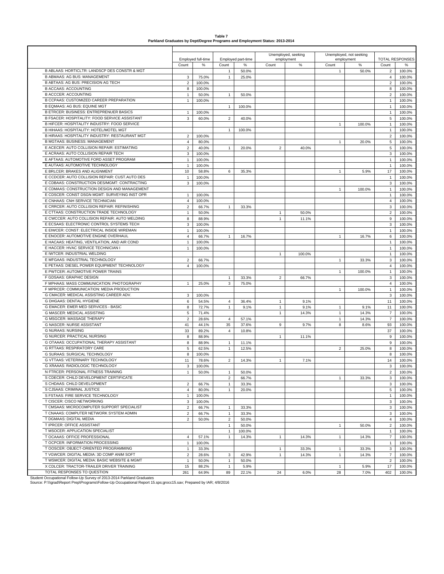| Table 7                                                                     |
|-----------------------------------------------------------------------------|
| Parkland Graduates by Dept/Degree Programs and Employment Status: 2013-2014 |

|                                                                                            |                    |                    |                              |                    |                | Unemployed, seeking | Unemployed, not seeking |        |                        |        |
|--------------------------------------------------------------------------------------------|--------------------|--------------------|------------------------------|--------------------|----------------|---------------------|-------------------------|--------|------------------------|--------|
|                                                                                            |                    | Employed full-time |                              | Employed part-time |                | employment          | employment              |        | <b>TOTAL RESPONSES</b> |        |
|                                                                                            | Count              | %                  | Count                        | %                  | Count          | %                   | Count                   | %      | Count                  |        |
| B ABLAAS: HORTICLTR: LANDSCP DES CONSTR & MGT                                              |                    |                    | $\mathbf{1}$                 | 50.0%              |                |                     | $\mathbf{1}$            | 50.0%  | $\overline{2}$         | 100.0% |
| <b>B ABMAAS: AG BUS: MANAGEMENT</b>                                                        | 3                  | 75.0%              | $\mathbf{1}$                 | 25.0%              |                |                     |                         |        | 4                      | 100.0% |
| B ABTAAS: AG BUS: PRECISION AG TECH                                                        | $\overline{2}$     | 100.0%             |                              |                    |                |                     |                         |        | $\overline{2}$         | 100.0% |
| <b>B ACCAAS: ACCOUNTING</b>                                                                | 8                  | 100.0%             |                              |                    |                |                     |                         |        | 8                      | 100.0% |
| <b>B ACCCER: ACCOUNTING</b>                                                                | $\mathbf{1}$       | 50.0%              | $\mathbf{1}$                 | 50.0%              |                |                     |                         |        | $\overline{2}$         | 100.0% |
| <b>B CCPAAS: CUSTOMIZED CAREER PREPARATION</b>                                             | $\mathbf{1}$       | 100.0%             |                              |                    |                |                     |                         |        | $\mathbf{1}$           | 100.0% |
| B EQMAAS: AG BUS: EQUINE MGT                                                               |                    |                    | $\mathbf{1}$                 | 100.0%             |                |                     |                         |        | $\mathbf{1}$           | 100.0% |
| <b>B ETRCER: BUSINESS: ENTREPRENUER BASICS</b>                                             | $\mathbf{1}$       | 100.0%             |                              |                    |                |                     |                         |        | $\mathbf{1}$           | 100.0% |
| B FSACER: HOSPITALITY: FOOD SERVICE ASSISTANT                                              | 3                  | 60.0%              | $\overline{2}$               | 40.0%              |                |                     |                         |        | 5                      | 100.0% |
| B HIFCER: HOSPITALITY INDUSTRY: FOOD SERVICE                                               |                    |                    |                              |                    |                |                     | $\mathbf{1}$            | 100.0% | $\mathbf{1}$           | 100.0% |
| B HIHAAS: HOSPITALITY: HOTEL/MOTEL MGT                                                     |                    |                    | $\mathbf{1}$                 | 100.0%             |                |                     |                         |        | 1                      | 100.0% |
| B HIRAAS: HOSPITALITY INDUSTRY: RESTAURANT MGT                                             | $\overline{2}$     | 100.0%             |                              |                    |                |                     |                         |        | $\overline{2}$         | 100.0% |
| <b>B MGTAAS: BUSINESS: MANAGEMENT</b>                                                      | $\overline{4}$     | 80.0%              |                              |                    |                |                     | $\mathbf{1}$            | 20.0%  | 5                      | 100.0% |
| E ACECER: AUTO COLLISION REPAIR: ESTIMATING                                                | $\overline{2}$     | 40.0%              | $\mathbf{1}$                 | 20.0%              | 2              | 40.0%               |                         |        | 5                      | 100.0% |
| E ACRAAS: AUTO COLLISION REPAIR TECH                                                       | 3                  | 100.0%             |                              |                    |                |                     |                         |        | 3                      | 100.0% |
| E AFTAAS: AUTOMOTIVE FORD ASSET PROGRAM                                                    | $\mathbf{1}$       | 100.0%             |                              |                    |                |                     |                         |        | $\mathbf{1}$           | 100.0% |
| E AUTAAS: AUTOMOTIVE TECHNOLOGY                                                            | $\mathbf{1}$       | 100.0%             |                              |                    |                |                     |                         |        | $\mathbf{1}$           | 100.0% |
| E BRLCER: BRAKES AND ALIGNMENT                                                             | 10                 | 58.8%              | 6                            | 35.3%              |                |                     | $\mathbf{1}$            | 5.9%   | 17                     | 100.0% |
| E CCDCER: AUTO COLLISION REPAIR: CUST.AUTO DES                                             | $\mathbf{1}$       | 100.0%             |                              |                    |                |                     |                         |        | 1                      | 100.0% |
| E CDBAAS: CONSTRUCTION DES/MGMT: CONTRACTING                                               | 3                  | 100.0%             |                              |                    |                |                     |                         |        | 3                      | 100.0% |
| E CDMAAS: CONSTRUCTION DESIGN AND MANAGEMENT                                               |                    |                    |                              |                    |                |                     | $\mathbf{1}$            | 100.0% | $\mathbf{1}$           | 100.0% |
| E CDSCER: CONST DSGN MGMT: SURVEYING INST OPR                                              |                    |                    |                              |                    |                |                     |                         |        |                        |        |
|                                                                                            | $\mathbf{1}$       | 100.0%             |                              |                    |                |                     |                         |        | 1                      | 100.0% |
| E CNHAAS: CNH SERVICE TECHNICIAN                                                           | $\overline{4}$     | 100.0%             |                              |                    |                |                     |                         |        | 4                      | 100.0% |
| E CRRCER: AUTO COLLISION REPAIR: REFINISHING                                               | $\overline{2}$     | 66.7%              | $\mathbf{1}$                 | 33.3%              |                |                     |                         |        | 3                      | 100.0% |
| E CTTAAS: CONSTRUCTION TRADE TECHNOLOGY                                                    | $\mathbf{1}$       | 50.0%              |                              |                    | 1              | 50.0%               |                         |        | $\overline{c}$         | 100.0% |
| E CWCCER: AUTO COLLISION REPAIR: AUTO WELDING                                              | 8                  | 88.9%              |                              |                    | $\mathbf{1}$   | 11.1%               |                         |        | 9                      | 100.0% |
| E ECSAAS: ELECTRONIC CONTROL SYSTEMS TECH                                                  | 3                  | 100.0%             |                              |                    |                |                     |                         |        | 3                      | 100.0% |
| E EIWCER: CONST: ELECTRICAL INSIDE WIREMAN                                                 | $\mathbf{1}$       | 100.0%             |                              |                    |                |                     |                         |        | $\mathbf{1}$           | 100.0% |
| E ENOCER: AUTOMOTIVE ENGINE OVERHAUL                                                       | $\overline{4}$     | 66.7%              | $\mathbf{1}$                 | 16.7%              |                |                     | $\mathbf{1}$            | 16.7%  | 6                      | 100.0% |
| E HACAAS: HEATING, VENTILATION, AND AIR COND                                               | $\mathbf{1}$       | 100.0%             |                              |                    |                |                     |                         |        | $\mathbf{1}$           | 100.0% |
| E HACCER: HVAC SERVICE TECHNICIAN I                                                        | $\mathbf{1}$       | 100.0%             |                              |                    |                |                     |                         |        | $\mathbf{1}$           | 100.0% |
| E IWTCER: INDUSTRIAL WELDING                                                               |                    |                    |                              |                    | $\mathbf{1}$   | 100.0%              |                         |        | 1                      | 100.0% |
| E MFGAAS: INDUSTRIAL TECHNOLOGY                                                            | $\overline{2}$     | 66.7%              |                              |                    |                |                     | $\mathbf{1}$            | 33.3%  | 3                      | 100.0% |
| E PETAAS: DIESEL POWER EQUIPMENT TECHNOLOGY                                                | $\overline{4}$     | 100.0%             |                              |                    |                |                     |                         |        | 4                      | 100.0% |
| E PWTCER: AUTOMOTIVE POWER TRAINS                                                          |                    |                    |                              |                    |                |                     | $\mathbf{1}$            | 100.0% | $\mathbf{1}$           | 100.0% |
| F GDSAAS: GRAPHIC DESIGN                                                                   |                    |                    | $\mathbf{1}$                 | 33.3%              | $\overline{2}$ | 66.7%               |                         |        | 3                      | 100.0% |
| F MPHAAS: MASS COMMUNICATION: PHOTOGRAPHY                                                  | $\mathbf{1}$       | 25.0%              | 3                            | 75.0%              |                |                     |                         |        | 4                      | 100.0% |
| F MPRCER: COMMUNICATION: MEDIA PRODUCTION                                                  |                    |                    |                              |                    |                |                     | $\mathbf{1}$            | 100.0% | $\mathbf{1}$           | 100.0% |
| G CMACER: MEDICAL ASSISTING CAREER ADV.                                                    |                    |                    |                              |                    |                |                     |                         |        |                        |        |
|                                                                                            | 3                  | 100.0%             |                              |                    |                |                     |                         |        | 3                      | 100.0% |
| G DHGAAS: DENTAL HYGIENE                                                                   | 6                  | 54.5%              | $\overline{4}$               | 36.4%              | $\mathbf{1}$   | 9.1%                |                         |        | 11                     | 100.0% |
| G EMACER: EMER MED SERVICES - BASIC                                                        | 8                  | 72.7%              | $\mathbf{1}$                 | 9.1%               | $\mathbf{1}$   | 9.1%                | $\mathbf{1}$            | 9.1%   | 11                     | 100.0% |
| <b>G MASCER: MEDICAL ASSISTING</b>                                                         | 5                  | 71.4%              |                              |                    | $\mathbf{1}$   | 14.3%               | $\mathbf{1}$            | 14.3%  | $\overline{7}$         | 100.0% |
| G MSGCER: MASSAGE THERAPY                                                                  | $\overline{2}$     | 28.6%              | $\overline{4}$               | 57.1%              |                |                     | $\mathbf{1}$            | 14.3%  | $\boldsymbol{7}$       | 100.0% |
| <b>G NASCER: NURSE ASSISTANT</b>                                                           | 41                 | 44.1%              | 35                           | 37.6%              | 9              | 9.7%                | 8                       | 8.6%   | 93                     | 100.0% |
| <b>G NURAAS: NURSING</b>                                                                   | 33                 | 89.2%              | $\overline{4}$               | 10.8%              |                |                     |                         |        | 37                     | 100.0% |
| G NURCER: PRACTICAL NURSING                                                                | 8                  | 88.9%              |                              |                    | $\mathbf{1}$   | 11.1%               |                         |        | 9                      | 100.0% |
| G OTAAAS: OCCUPATIONAL THERAPY ASSISTANT                                                   | 8                  | 88.9%              | $\mathbf{1}$                 | 11.1%              |                |                     |                         |        | 9                      | 100.0% |
| <b>G RTTAAS: RESPIRATORY CARE</b>                                                          | 5                  | 62.5%              | $\mathbf{1}$                 | 12.5%              |                |                     | $\overline{\mathbf{c}}$ | 25.0%  | 8                      | 100.0% |
| G SURAAS: SURGICAL TECHNOLOGY                                                              | 8                  | 100.0%             |                              |                    |                |                     |                         |        | 8                      | 100.0% |
| G VTTAAS: VETERINARY TECHNOLOGY                                                            | 11                 | 78.6%              | $\overline{2}$               | 14.3%              | $\mathbf{1}$   | 7.1%                |                         |        | 14                     | 100.0% |
| G XRAAAS: RADIOLOGIC TECHNOLOGY                                                            | 3                  | 100.0%             |                              |                    |                |                     |                         |        | 3                      | 100.0% |
| N FTRCER: PERSONAL FITNESS TRAINING                                                        | $\mathbf{1}$       | 50.0%              | $\mathbf{1}$                 | 50.0%              |                |                     |                         |        | $\overline{2}$         | 100.0% |
| S CDECER: CHILD DEVELOPMENT CERTIFICATE                                                    |                    |                    | $\overline{2}$               | 66.7%              |                |                     | $\mathbf{1}$            | 33.3%  | 3                      | 100.0% |
| S CHDAAS: CHILD DEVELOPMENT                                                                | $\overline{2}$     |                    | $\mathbf{1}$                 |                    |                |                     |                         |        | 3                      | 100.0% |
| S CJSAAS: CRIMINAL JUSTICE                                                                 |                    | 66.7%              |                              | 33.3%              |                |                     |                         |        |                        |        |
|                                                                                            | $\overline{4}$     | 80.0%              | $\mathbf{1}$                 | 20.0%              |                |                     |                         |        | 5                      | 100.0% |
| S FSTAAS: FIRE SERVICE TECHNOLOGY                                                          | $\mathbf{1}$       | 100.0%             |                              |                    |                |                     |                         |        | $\mathbf{1}$           | 100.0% |
| T CISCER: CISCO NETWORKING                                                                 | 3                  | 100.0%             |                              |                    |                |                     |                         |        | 3                      | 100.0% |
| T CMSAAS: MICROCOMPUTER SUPPORT SPECIALIST                                                 | $\overline{2}$     | 66.7%              | $\mathbf{1}$                 | 33.3%              |                |                     |                         |        | 3                      | 100.0% |
| T CNAAAS: COMPUTER NETWORK SYSTEM ADMIN                                                    | $\overline{2}$     | 66.7%              | $\mathbf{1}$                 | 33.3%              |                |                     |                         |        | 3                      | 100.0% |
| T DGMAAS: DIGITAL MEDIA                                                                    | $\overline{2}$     | 50.0%              | $\overline{2}$               | 50.0%              |                |                     |                         |        | 4                      | 100.0% |
| T IPRCER: OFFICE ASSISTANT                                                                 |                    |                    | $\mathbf{1}$                 | 50.0%              |                |                     | $\mathbf{1}$            | 50.0%  | $\overline{2}$         | 100.0% |
| T MSOCER: APPLICATION SPECIALIST                                                           |                    |                    | $\mathbf 1$                  | 100.0%             |                |                     |                         |        | $\mathbf{1}$           | 100.0% |
| T OCAAAS: OFFICE PROFESSIONAL                                                              | $\overline{4}$     | 57.1%              | $\mathbf{1}$                 | 14.3%              | $\mathbf{1}$   | 14.3%               | $\mathbf{1}$            | 14.3%  | $\overline{7}$         | 100.0% |
| T OCPCER: INFORMATION PROCESSING                                                           | $\mathbf{1}$       | 100.0%             |                              |                    |                |                     |                         |        | $\mathbf{1}$           | 100.0% |
| T OOSCER: OBJECT-ORIENTED PROGRAMMING                                                      | $\mathbf{1}$       | 33.3%              |                              |                    | 1              | 33.3%               | $\mathbf{1}$            | 33.3%  | 3                      | 100.0% |
|                                                                                            | $\overline{2}$     | 28.6%              | 3                            | 42.9%              | $\mathbf{1}$   | 14.3%               | $\mathbf{1}$            | 14.3%  | $\overline{7}$         | 100.0% |
|                                                                                            |                    |                    |                              |                    |                |                     |                         |        |                        | 100.0% |
| T VGWCER: DIGITAL MEDIA: 3D COMP ANIM SOFT                                                 |                    |                    |                              |                    |                |                     |                         |        |                        |        |
| T WSMCER: DIGITAL MEDIA: BASIC WEBSITE & MGMT<br>X CDLCER: TRACTOR-TRAILER DRIVER TRAINING | $\mathbf{1}$<br>15 | 50.0%<br>88.2%     | $\mathbf{1}$<br>$\mathbf{1}$ | 50.0%<br>5.9%      |                |                     | $\mathbf{1}$            | 5.9%   | $\overline{c}$<br>17   | 100.0% |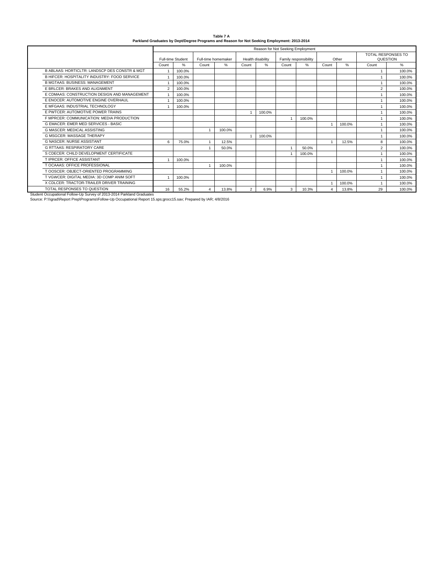| Table 7 A                                                                                   |
|---------------------------------------------------------------------------------------------|
| Parkland Graduates by Dept/Degree Programs and Reason for Not Seeking Employment: 2013-2014 |

|                                                                       | Reason for Not Seeking Employment |                   |       |                     |                   |        |                       |        |                |        |                    |          |
|-----------------------------------------------------------------------|-----------------------------------|-------------------|-------|---------------------|-------------------|--------|-----------------------|--------|----------------|--------|--------------------|----------|
|                                                                       |                                   |                   |       |                     |                   |        |                       |        |                |        | TOTAL RESPONSES TO |          |
|                                                                       |                                   | Full-time Student |       | Full-time homemaker | Health disability |        | Family responsibility |        | Other          |        |                    | QUESTION |
|                                                                       | Count                             | $\%$              | Count | $\%$                | Count             | $\%$   | Count                 | $\%$   | Count          | %      | Count              | $\%$     |
| B ABLAAS: HORTICLTR: LANDSCP DES CONSTR & MGT                         |                                   | 100.0%            |       |                     |                   |        |                       |        |                |        |                    | 100.0%   |
| B HIFCER: HOSPITALITY INDUSTRY: FOOD SERVICE                          |                                   | 100.0%            |       |                     |                   |        |                       |        |                |        | $\mathbf{1}$       | 100.0%   |
| <b>B MGTAAS: BUSINESS: MANAGEMENT</b>                                 |                                   | 100.0%            |       |                     |                   |        |                       |        |                |        |                    | 100.0%   |
| E BRLCER: BRAKES AND ALIGNMENT                                        | $\overline{2}$                    | 100.0%            |       |                     |                   |        |                       |        |                |        | $\overline{2}$     | 100.0%   |
| E CDMAAS: CONSTRUCTION DESIGN AND MANAGEMENT                          |                                   | 100.0%            |       |                     |                   |        |                       |        |                |        |                    | 100.0%   |
| E ENOCER: AUTOMOTIVE ENGINE OVERHAUL                                  |                                   | 100.0%            |       |                     |                   |        |                       |        |                |        |                    | 100.0%   |
| E MFGAAS: INDUSTRIAL TECHNOLOGY                                       |                                   | 100.0%            |       |                     |                   |        |                       |        |                |        |                    | 100.0%   |
| E PWTCER: AUTOMOTIVE POWER TRAINS                                     |                                   |                   |       |                     |                   | 100.0% |                       |        |                |        | $\mathbf{1}$       | 100.0%   |
| F MPRCER: COMMUNICATION: MEDIA PRODUCTION                             |                                   |                   |       |                     |                   |        |                       | 100.0% |                |        |                    | 100.0%   |
| G EMACER: EMER MED SERVICES - BASIC                                   |                                   |                   |       |                     |                   |        |                       |        | $\overline{1}$ | 100.0% | $\mathbf{1}$       | 100.0%   |
| <b>G MASCER: MEDICAL ASSISTING</b>                                    |                                   |                   |       | 100.0%              |                   |        |                       |        |                |        | $\mathbf{1}$       | 100.0%   |
| <b>G MSGCER: MASSAGE THERAPY</b>                                      |                                   |                   |       |                     |                   | 100.0% |                       |        |                |        |                    | 100.0%   |
| <b>G NASCER: NURSE ASSISTANT</b>                                      | 6                                 | 75.0%             |       | 12.5%               |                   |        |                       |        |                | 12.5%  | 8                  | 100.0%   |
| <b>G RTTAAS: RESPIRATORY CARE</b>                                     |                                   |                   |       | 50.0%               |                   |        |                       | 50.0%  |                |        | $\overline{2}$     | 100.0%   |
| S CDECER: CHILD DEVELOPMENT CERTIFICATE                               |                                   |                   |       |                     |                   |        |                       | 100.0% |                |        | $\mathbf{1}$       | 100.0%   |
| T IPRCER: OFFICE ASSISTANT                                            |                                   | 100.0%            |       |                     |                   |        |                       |        |                |        |                    | 100.0%   |
| T OCAAAS: OFFICE PROFESSIONAL                                         |                                   |                   |       | 100.0%              |                   |        |                       |        |                |        | $\mathbf{1}$       | 100.0%   |
| T OOSCER: OBJECT-ORIENTED PROGRAMMING                                 |                                   |                   |       |                     |                   |        |                       |        | -1             | 100.0% | $\mathbf{1}$       | 100.0%   |
| T VGWCER: DIGITAL MEDIA: 3D COMP ANIM SOFT                            |                                   | 100.0%            |       |                     |                   |        |                       |        |                |        |                    | 100.0%   |
| X CDLCER: TRACTOR-TRAILER DRIVER TRAINING                             |                                   |                   |       |                     |                   |        |                       |        | $\overline{1}$ | 100.0% |                    | 100.0%   |
| TOTAL RESPONSES TO QUESTION                                           | 16                                | 55.2%             | 4     | 13.8%               | $\overline{2}$    | 6.9%   | 3                     | 10.3%  | 4              | 13.8%  | 29                 | 100.0%   |
| Student Occupational Follow-Up Survey of 2013-2014 Parkland Graduates |                                   |                   |       |                     |                   |        |                       |        |                |        |                    |          |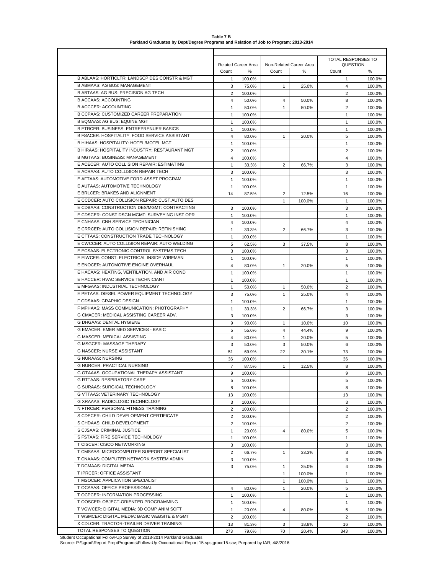|                                                                                             |                |                     |                         |        | TOTAL RESPONSES TO |          |  |  |  |  |  |
|---------------------------------------------------------------------------------------------|----------------|---------------------|-------------------------|--------|--------------------|----------|--|--|--|--|--|
|                                                                                             |                | Related Career Area | Non-Related Career Area |        |                    | QUESTION |  |  |  |  |  |
|                                                                                             | Count          | $\%$                | Count                   | %      | Count              | $\%$     |  |  |  |  |  |
| B ABLAAS: HORTICLTR: LANDSCP DES CONSTR & MGT                                               | 1              | 100.0%              |                         |        | 1                  | 100.0%   |  |  |  |  |  |
| <b>B ABMAAS: AG BUS: MANAGEMENT</b>                                                         | 3              | 75.0%               | $\mathbf{1}$            | 25.0%  | $\overline{4}$     | 100.0%   |  |  |  |  |  |
| B ABTAAS: AG BUS: PRECISION AG TECH                                                         | 2              | 100.0%              |                         |        | 2                  | 100.0%   |  |  |  |  |  |
| <b>B ACCAAS: ACCOUNTING</b>                                                                 | $\overline{4}$ | 50.0%               | $\overline{4}$          | 50.0%  | 8                  | 100.0%   |  |  |  |  |  |
| <b>B ACCCER: ACCOUNTING</b>                                                                 | $\mathbf{1}$   | 50.0%               | $\mathbf{1}$            | 50.0%  | $\overline{2}$     | 100.0%   |  |  |  |  |  |
| B CCPAAS: CUSTOMIZED CAREER PREPARATION                                                     | 1              | 100.0%              |                         |        | $\mathbf{1}$       | 100.0%   |  |  |  |  |  |
| B EQMAAS: AG BUS: EQUINE MGT                                                                | $\mathbf{1}$   | 100.0%              |                         |        | $\mathbf{1}$       | 100.0%   |  |  |  |  |  |
| <b>B ETRCER: BUSINESS: ENTREPRENUER BASICS</b>                                              | $\mathbf{1}$   | 100.0%              |                         |        | $\mathbf{1}$       | 100.0%   |  |  |  |  |  |
| B FSACER: HOSPITALITY: FOOD SERVICE ASSISTANT                                               | 4              | 80.0%               | $\mathbf{1}$            | 20.0%  | 5                  | 100.0%   |  |  |  |  |  |
| B HIHAAS: HOSPITALITY: HOTEL/MOTEL MGT                                                      | $\mathbf{1}$   | 100.0%              |                         |        | $\mathbf{1}$       | 100.0%   |  |  |  |  |  |
| B HIRAAS: HOSPITALITY INDUSTRY: RESTAURANT MGT                                              | 2              | 100.0%              |                         |        | $\overline{2}$     | 100.0%   |  |  |  |  |  |
| <b>B MGTAAS: BUSINESS: MANAGEMENT</b>                                                       | 4              | 100.0%              |                         |        | $\overline{4}$     | 100.0%   |  |  |  |  |  |
| E ACECER: AUTO COLLISION REPAIR: ESTIMATING                                                 | $\mathbf{1}$   | 33.3%               | 2                       | 66.7%  | 3                  | 100.0%   |  |  |  |  |  |
| E ACRAAS: AUTO COLLISION REPAIR TECH                                                        | 3              | 100.0%              |                         |        | 3                  | 100.0%   |  |  |  |  |  |
| E AFTAAS: AUTOMOTIVE FORD ASSET PROGRAM                                                     | $\mathbf{1}$   | 100.0%              |                         |        | $\mathbf{1}$       | 100.0%   |  |  |  |  |  |
| E AUTAAS: AUTOMOTIVE TECHNOLOGY                                                             | 1              | 100.0%              |                         |        | $\mathbf{1}$       | 100.0%   |  |  |  |  |  |
| E BRLCER: BRAKES AND ALIGNMENT                                                              | 14             | 87.5%               | $\overline{2}$          | 12.5%  | 16                 | 100.0%   |  |  |  |  |  |
| E CCDCER: AUTO COLLISION REPAIR: CUST.AUTO DES                                              |                |                     | $\mathbf{1}$            | 100.0% | $\mathbf{1}$       | 100.0%   |  |  |  |  |  |
| E CDBAAS: CONSTRUCTION DES/MGMT: CONTRACTING                                                | 3              | 100.0%              |                         |        | 3                  | 100.0%   |  |  |  |  |  |
| E CDSCER: CONST DSGN MGMT: SURVEYING INST OPR                                               | 1              | 100.0%              |                         |        | $\mathbf{1}$       | 100.0%   |  |  |  |  |  |
| E CNHAAS: CNH SERVICE TECHNICIAN                                                            | $\overline{4}$ | 100.0%              |                         |        | 4                  | 100.0%   |  |  |  |  |  |
| E CRRCER: AUTO COLLISION REPAIR: REFINISHING                                                | $\mathbf{1}$   | 33.3%               | $\overline{2}$          | 66.7%  | 3                  | 100.0%   |  |  |  |  |  |
| E CTTAAS: CONSTRUCTION TRADE TECHNOLOGY                                                     | $\mathbf{1}$   | 100.0%              |                         |        | $\mathbf{1}$       | 100.0%   |  |  |  |  |  |
| E CWCCER: AUTO COLLISION REPAIR: AUTO WELDING                                               | 5              | 62.5%               | 3                       | 37.5%  | 8                  | 100.0%   |  |  |  |  |  |
| E ECSAAS: ELECTRONIC CONTROL SYSTEMS TECH                                                   | 3              | 100.0%              |                         |        | 3                  | 100.0%   |  |  |  |  |  |
| E EIWCER: CONST: ELECTRICAL INSIDE WIREMAN                                                  | 1              | 100.0%              |                         |        | $\mathbf{1}$       | 100.0%   |  |  |  |  |  |
| E ENOCER: AUTOMOTIVE ENGINE OVERHAUL                                                        | $\overline{4}$ | 80.0%               | $\mathbf{1}$            | 20.0%  | 5                  | 100.0%   |  |  |  |  |  |
| E HACAAS: HEATING, VENTILATION, AND AIR COND                                                | $\mathbf{1}$   | 100.0%              |                         |        | $\mathbf{1}$       | 100.0%   |  |  |  |  |  |
| E HACCER: HVAC SERVICE TECHNICIAN I                                                         | $\mathbf{1}$   | 100.0%              |                         |        | $\mathbf{1}$       | 100.0%   |  |  |  |  |  |
| E MFGAAS: INDUSTRIAL TECHNOLOGY                                                             | $\mathbf{1}$   | 50.0%               | $\mathbf{1}$            | 50.0%  | $\overline{2}$     | 100.0%   |  |  |  |  |  |
| E PETAAS: DIESEL POWER EQUIPMENT TECHNOLOGY                                                 | 3              | 75.0%               | $\mathbf{1}$            | 25.0%  | $\overline{4}$     | 100.0%   |  |  |  |  |  |
| F GDSAAS: GRAPHIC DESIGN                                                                    | $\mathbf{1}$   | 100.0%              |                         |        | $\mathbf{1}$       | 100.0%   |  |  |  |  |  |
| F MPHAAS: MASS COMMUNICATION: PHOTOGRAPHY                                                   | $\mathbf{1}$   | 33.3%               | $\overline{2}$          | 66.7%  | 3                  | 100.0%   |  |  |  |  |  |
| G CMACER: MEDICAL ASSISTING CAREER ADV.                                                     | 3              | 100.0%              |                         |        | 3                  | 100.0%   |  |  |  |  |  |
| G DHGAAS: DENTAL HYGIENE                                                                    | 9              | 90.0%               | $\mathbf{1}$            | 10.0%  | 10                 | 100.0%   |  |  |  |  |  |
| G EMACER: EMER MED SERVICES - BASIC                                                         | 5              | 55.6%               | 4                       | 44.4%  | 9                  | 100.0%   |  |  |  |  |  |
| G MASCER: MEDICAL ASSISTING                                                                 | 4              | 80.0%               | $\mathbf{1}$            | 20.0%  | 5                  | 100.0%   |  |  |  |  |  |
| G MSGCER: MASSAGE THERAPY                                                                   | 3              | 50.0%               | 3                       | 50.0%  | 6                  | 100.0%   |  |  |  |  |  |
| <b>G NASCER: NURSE ASSISTANT</b>                                                            | 51             | 69.9%               | 22                      | 30.1%  | 73                 | 100.0%   |  |  |  |  |  |
| <b>G NURAAS: NURSING</b>                                                                    | 36             | 100.0%              |                         |        | 36                 | 100.0%   |  |  |  |  |  |
| <b>G NURCER: PRACTICAL NURSING</b>                                                          | $\overline{7}$ | 87.5%               | $\mathbf{1}$            | 12.5%  | 8                  | 100.0%   |  |  |  |  |  |
| G OTAAAS: OCCUPATIONAL THERAPY ASSISTANT                                                    | 9              | 100.0%              |                         |        | 9                  | 100.0%   |  |  |  |  |  |
| G RTTAAS: RESPIRATORY CARE                                                                  | 5              | 100.0%              |                         |        | 5                  | 100.0%   |  |  |  |  |  |
| G SURAAS: SURGICAL TECHNOLOGY                                                               | 8              | 100.0%              |                         |        | 8                  | 100.0%   |  |  |  |  |  |
| G VTTAAS: VETERINARY TECHNOLOGY                                                             | 13             | 100.0%              |                         |        | 13                 | 100.0%   |  |  |  |  |  |
| G XRAAAS: RADIOLOGIC TECHNOLOGY                                                             | 3              | 100.0%              |                         |        | 3                  | 100.0%   |  |  |  |  |  |
| N FTRCER: PERSONAL FITNESS TRAINING                                                         | $\overline{2}$ | 100.0%              |                         |        | $\overline{2}$     | 100.0%   |  |  |  |  |  |
| S CDECER: CHILD DEVELOPMENT CERTIFICATE                                                     | $\overline{2}$ | 100.0%              |                         |        | 2                  | 100.0%   |  |  |  |  |  |
| S CHDAAS: CHILD DEVELOPMENT                                                                 | $\overline{2}$ | 100.0%              |                         |        | $\overline{2}$     | 100.0%   |  |  |  |  |  |
| S CJSAAS: CRIMINAL JUSTICE                                                                  | $\mathbf{1}$   | 20.0%               | 4                       | 80.0%  | 5                  | 100.0%   |  |  |  |  |  |
| S FSTAAS: FIRE SERVICE TECHNOLOGY                                                           | $\mathbf{1}$   | 100.0%              |                         |        | $\mathbf{1}$       | 100.0%   |  |  |  |  |  |
| <b>T CISCER: CISCO NETWORKING</b>                                                           | 3              | 100.0%              |                         |        | 3                  | 100.0%   |  |  |  |  |  |
| T CMSAAS: MICROCOMPUTER SUPPORT SPECIALIST                                                  | $\overline{2}$ | 66.7%               | $\mathbf{1}$            | 33.3%  | 3                  | 100.0%   |  |  |  |  |  |
| T CNAAAS: COMPUTER NETWORK SYSTEM ADMIN                                                     | 3              | 100.0%              |                         |        | 3                  | 100.0%   |  |  |  |  |  |
| T DGMAAS: DIGITAL MEDIA                                                                     | 3              | 75.0%               | $\mathbf{1}$            | 25.0%  | $\overline{4}$     | 100.0%   |  |  |  |  |  |
| T IPRCER: OFFICE ASSISTANT                                                                  |                |                     | $\mathbf{1}$            | 100.0% | $\mathbf{1}$       | 100.0%   |  |  |  |  |  |
| T MSOCER: APPLICATION SPECIALIST                                                            |                |                     | $\mathbf{1}$            | 100.0% | $\mathbf{1}$       | 100.0%   |  |  |  |  |  |
| T OCAAAS: OFFICE PROFESSIONAL                                                               | 4              | 80.0%               | 1                       | 20.0%  | 5                  | 100.0%   |  |  |  |  |  |
| T OCPCER: INFORMATION PROCESSING                                                            | $\mathbf{1}$   | 100.0%              |                         |        | $\mathbf{1}$       | 100.0%   |  |  |  |  |  |
| T OOSCER: OBJECT-ORIENTED PROGRAMMING                                                       | $\mathbf{1}$   | 100.0%              |                         |        | $\mathbf{1}$       | 100.0%   |  |  |  |  |  |
| T VGWCER: DIGITAL MEDIA: 3D COMP ANIM SOFT<br>T WSMCER: DIGITAL MEDIA: BASIC WEBSITE & MGMT | $\mathbf{1}$   | 20.0%               | $\overline{4}$          | 80.0%  | 5                  | 100.0%   |  |  |  |  |  |
| X CDLCER: TRACTOR-TRAILER DRIVER TRAINING                                                   | $\overline{2}$ | 100.0%              |                         |        | 2                  | 100.0%   |  |  |  |  |  |
| TOTAL RESPONSES TO QUESTION                                                                 | 13<br>273      | 81.3%               | 3<br>70                 | 18.8%  | 16<br>343          | 100.0%   |  |  |  |  |  |
|                                                                                             |                | 79.6%               |                         | 20.4%  |                    | 100.0%   |  |  |  |  |  |

**Table 7 B Parkland Graduates by Dept/Degree Programs and Relation of Job to Program: 2013-2014**

Student Occupational Follow-Up Survey of 2013-2014 Parkland Graduates<br>Source: P:∖\\grad∖Report Prep∖Programs∖Follow-Up Occupational Report 15.sps;grocc15.sav; Prepared by IAR; 4/8/2016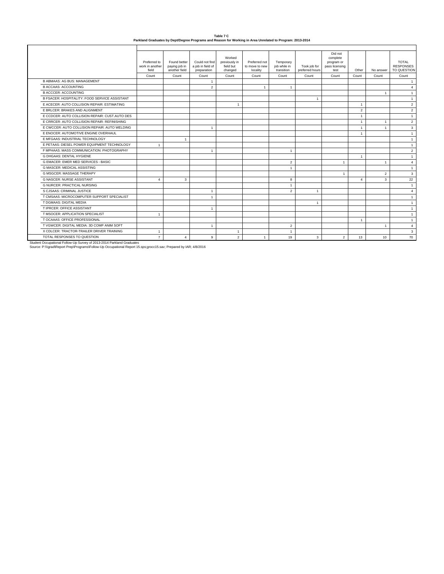| Table 7 C                                                                                                 |
|-----------------------------------------------------------------------------------------------------------|
| Parkland Graduates by Dept/Degree Programs and Reason for Working in Area Unrelated to Program: 2013-2014 |

|                                                                                                                                                                                             | Preferred to<br>work in another<br>field | Found better<br>paying job in<br>another field | Could not find<br>a job in field of<br>preparation | Worked<br>previously in<br>field but<br>changed | Preferred not<br>to move to new<br>locality | Temporary<br>job while in<br>transition | Took job for<br>preferred hours | Did not<br>complete<br>program or<br>pass licensing<br>test | Other                   | No answer      | <b>TOTAL</b><br><b>RESPONSES</b><br>TO QUESTION |
|---------------------------------------------------------------------------------------------------------------------------------------------------------------------------------------------|------------------------------------------|------------------------------------------------|----------------------------------------------------|-------------------------------------------------|---------------------------------------------|-----------------------------------------|---------------------------------|-------------------------------------------------------------|-------------------------|----------------|-------------------------------------------------|
|                                                                                                                                                                                             | Count                                    | Count                                          | Count                                              | Count                                           | Count                                       | Count                                   | Count                           | Count                                                       | Count                   | Count          | Count                                           |
| <b>B ABMAAS: AG BUS: MANAGEMENT</b>                                                                                                                                                         |                                          |                                                | $\overline{1}$                                     |                                                 |                                             |                                         |                                 |                                                             |                         |                | $\mathbf{1}$                                    |
| <b>B ACCAAS: ACCOUNTING</b>                                                                                                                                                                 |                                          |                                                | $\mathbf 2$                                        |                                                 | $\overline{1}$                              | $\mathbf{1}$                            |                                 |                                                             |                         |                | $\overline{4}$                                  |
| <b>B ACCCER: ACCOUNTING</b>                                                                                                                                                                 |                                          |                                                |                                                    |                                                 |                                             |                                         |                                 |                                                             |                         | $\mathbf{1}$   | $\overline{1}$                                  |
| B FSACER: HOSPITALITY: FOOD SERVICE ASSISTANT                                                                                                                                               |                                          |                                                |                                                    |                                                 |                                             |                                         | $\overline{1}$                  |                                                             |                         |                | $\mathbf{1}$                                    |
| E ACECER: AUTO COLLISION REPAIR: ESTIMATING                                                                                                                                                 |                                          |                                                |                                                    | $\overline{1}$                                  |                                             |                                         |                                 |                                                             | $\overline{1}$          |                | $\overline{2}$                                  |
| E BRLCER: BRAKES AND ALIGNMENT                                                                                                                                                              |                                          |                                                |                                                    |                                                 |                                             |                                         |                                 |                                                             | $\overline{2}$          |                | $\overline{2}$                                  |
| E CCDCER: AUTO COLLISION REPAIR: CUST.AUTO DES                                                                                                                                              |                                          |                                                |                                                    |                                                 |                                             |                                         |                                 |                                                             | $\overline{1}$          |                | $\mathbf{1}$                                    |
| E CRRCER: AUTO COLLISION REPAIR: REFINISHING                                                                                                                                                |                                          |                                                |                                                    |                                                 |                                             |                                         |                                 |                                                             | $\overline{1}$          |                | $\overline{2}$                                  |
| E CWCCER: AUTO COLLISION REPAIR: AUTO WELDING                                                                                                                                               |                                          |                                                | $\overline{1}$                                     |                                                 |                                             |                                         |                                 |                                                             | $\overline{1}$          |                | 3                                               |
| F FNOCER: AUTOMOTIVE FNGINE OVERHAUL                                                                                                                                                        |                                          |                                                |                                                    |                                                 |                                             |                                         |                                 |                                                             | $\overline{1}$          |                | $\mathbf{1}$                                    |
| E MFGAAS: INDUSTRIAL TECHNOLOGY                                                                                                                                                             |                                          | $\overline{1}$                                 |                                                    |                                                 |                                             |                                         |                                 |                                                             |                         |                | $\mathbf{1}$                                    |
| E PETAAS: DIESEL POWER EQUIPMENT TECHNOLOGY                                                                                                                                                 | $\overline{1}$                           |                                                |                                                    |                                                 |                                             |                                         |                                 |                                                             |                         |                | $\mathbf{1}$                                    |
| F MPHAAS: MASS COMMUNICATION: PHOTOGRAPHY                                                                                                                                                   |                                          |                                                | $\overline{1}$                                     |                                                 |                                             | $\mathbf{1}$                            |                                 |                                                             |                         |                | $\overline{2}$                                  |
| <b>G DHGAAS: DENTAL HYGIENE</b>                                                                                                                                                             |                                          |                                                |                                                    |                                                 |                                             |                                         |                                 |                                                             | $\overline{1}$          |                | $\mathbf{1}$                                    |
| <b>G EMACER: EMER MED SERVICES - BASIC</b>                                                                                                                                                  |                                          |                                                |                                                    |                                                 |                                             | $\overline{2}$                          |                                 | $\overline{1}$                                              |                         | $\overline{1}$ | $\overline{4}$                                  |
| <b>G MASCER: MEDICAL ASSISTING</b>                                                                                                                                                          |                                          |                                                |                                                    |                                                 |                                             | $\mathbf{1}$                            |                                 |                                                             |                         |                | $\overline{1}$                                  |
| <b>G MSGCER: MASSAGE THERAPY</b>                                                                                                                                                            |                                          |                                                |                                                    |                                                 |                                             |                                         |                                 | $\overline{1}$                                              |                         | $\overline{2}$ | 3                                               |
| <b>G NASCER: NURSE ASSISTANT</b>                                                                                                                                                            | $\Delta$                                 | 3                                              |                                                    |                                                 |                                             | 8                                       |                                 |                                                             | $\overline{\mathbf{4}}$ | 3              | 22                                              |
| <b>G NURCER: PRACTICAL NURSING</b>                                                                                                                                                          |                                          |                                                |                                                    |                                                 |                                             | $\mathbf{1}$                            |                                 |                                                             |                         |                | $\overline{1}$                                  |
| S CJSAAS: CRIMINAL JUSTICE                                                                                                                                                                  |                                          |                                                | $\mathbf{1}$                                       |                                                 |                                             | $\overline{2}$                          | $\overline{1}$                  |                                                             |                         |                | $\overline{4}$                                  |
| T CMSAAS: MICROCOMPUTER SUPPORT SPECIALIST                                                                                                                                                  |                                          |                                                | $\overline{1}$                                     |                                                 |                                             |                                         |                                 |                                                             |                         |                | $\mathbf{1}$                                    |
| T DGMAAS: DIGITAL MEDIA                                                                                                                                                                     |                                          |                                                |                                                    |                                                 |                                             |                                         | $\overline{1}$                  |                                                             |                         |                | $\mathbf{1}$                                    |
| T IPRCER: OFFICE ASSISTANT                                                                                                                                                                  |                                          |                                                | $\mathbf{1}$                                       |                                                 |                                             |                                         |                                 |                                                             |                         |                | $\mathbf{1}$                                    |
| T MSOCER: APPLICATION SPECIALIST                                                                                                                                                            | $\overline{1}$                           |                                                |                                                    |                                                 |                                             |                                         |                                 |                                                             |                         |                | $\mathbf{1}$                                    |
| T OCAAAS: OFFICE PROFESSIONAL                                                                                                                                                               |                                          |                                                |                                                    |                                                 |                                             |                                         |                                 |                                                             | $\overline{1}$          |                | $\mathbf{1}$                                    |
| T VGWCER: DIGITAL MEDIA: 3D COMP ANIM SOFT                                                                                                                                                  |                                          |                                                | $\overline{1}$                                     |                                                 |                                             | $\overline{2}$                          |                                 |                                                             |                         | $\mathbf{1}$   | $\overline{4}$                                  |
| X CDLCER: TRACTOR-TRAILER DRIVER TRAINING                                                                                                                                                   | $\overline{1}$                           |                                                |                                                    | $\overline{1}$                                  |                                             | $\mathbf{1}$                            |                                 |                                                             |                         |                | 3                                               |
| TOTAL RESPONSES TO QUESTION                                                                                                                                                                 | $\overline{7}$                           | $\Delta$                                       | 9                                                  | $\overline{2}$                                  | $\overline{1}$                              | 19                                      | 3                               | $\overline{2}$                                              | 13                      | 10             | 70                                              |
| Student Occupational Follow-Up Survey of 2013-2014 Parkland Graduates<br>Source: P:\\\grad\Report Prep\Programs\Follow-Up Occupational Report 15.sps;grocc15.sav; Prepared by IAR; 4/8/2016 |                                          |                                                |                                                    |                                                 |                                             |                                         |                                 |                                                             |                         |                |                                                 |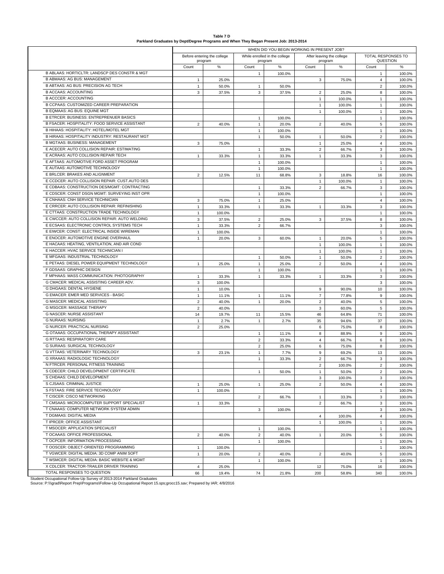| Table 7 D                                                                             |
|---------------------------------------------------------------------------------------|
|                                                                                       |
| Parkland Graduates by Dept/Degree Programs and When They Began Present Job: 2013-2014 |

|                                                                                                                                                                                             | WHEN DID YOU BEGIN WORKING IN PRESENT JOB? |                                        |                              |                                          |                                |                                      |                                |                                |  |  |  |
|---------------------------------------------------------------------------------------------------------------------------------------------------------------------------------------------|--------------------------------------------|----------------------------------------|------------------------------|------------------------------------------|--------------------------------|--------------------------------------|--------------------------------|--------------------------------|--|--|--|
|                                                                                                                                                                                             |                                            | Before entering the college<br>program |                              | While enrolled in the college<br>program |                                | After leaving the college<br>program |                                | TOTAL RESPONSES TO<br>QUESTION |  |  |  |
|                                                                                                                                                                                             | Count                                      | $\%$                                   | Count                        | $\%$                                     | Count                          | $\%$                                 | Count                          | $\%$                           |  |  |  |
| B ABLAAS: HORTICLTR: LANDSCP DES CONSTR & MGT                                                                                                                                               |                                            |                                        | $\mathbf{1}$                 | 100.0%                                   |                                |                                      | $\mathbf{1}$                   | 100.0%                         |  |  |  |
| <b>B ABMAAS: AG BUS: MANAGEMENT</b>                                                                                                                                                         | $\mathbf{1}$                               | 25.0%                                  |                              |                                          | 3                              | 75.0%                                | $\overline{4}$                 | 100.0%                         |  |  |  |
| B ABTAAS: AG BUS: PRECISION AG TECH                                                                                                                                                         | $\mathbf{1}$                               | 50.0%                                  | $\mathbf{1}$                 | 50.0%                                    |                                |                                      | $\overline{2}$                 | 100.0%                         |  |  |  |
| <b>B ACCAAS: ACCOUNTING</b>                                                                                                                                                                 | 3                                          | 37.5%                                  | 3                            | 37.5%                                    | $\overline{2}$                 | 25.0%                                | 8                              | 100.0%                         |  |  |  |
| <b>B ACCCER: ACCOUNTING</b>                                                                                                                                                                 |                                            |                                        |                              |                                          | $\mathbf{1}$                   | 100.0%                               | $\mathbf{1}$                   | 100.0%                         |  |  |  |
| B CCPAAS: CUSTOMIZED CAREER PREPARATION<br>B EQMAAS: AG BUS: EQUINE MGT                                                                                                                     |                                            |                                        |                              |                                          | $\mathbf{1}$                   | 100.0%                               | $\mathbf{1}$                   | 100.0%                         |  |  |  |
| <b>B ETRCER: BUSINESS: ENTREPRENUER BASICS</b>                                                                                                                                              |                                            |                                        |                              |                                          | $\mathbf{1}$                   | 100.0%                               | $\mathbf{1}$<br>$\mathbf{1}$   | 100.0%<br>100.0%               |  |  |  |
| B FSACER: HOSPITALITY: FOOD SERVICE ASSISTANT                                                                                                                                               | $\overline{2}$                             | 40.0%                                  | $\mathbf{1}$<br>$\mathbf{1}$ | 100.0%<br>20.0%                          | $\overline{2}$                 | 40.0%                                | 5                              | 100.0%                         |  |  |  |
| B HIHAAS: HOSPITALITY: HOTEL/MOTEL MGT                                                                                                                                                      |                                            |                                        | $\mathbf{1}$                 | 100.0%                                   |                                |                                      | $\mathbf{1}$                   | 100.0%                         |  |  |  |
| B HIRAAS: HOSPITALITY INDUSTRY: RESTAURANT MGT                                                                                                                                              |                                            |                                        | $\mathbf{1}$                 | 50.0%                                    | $\mathbf{1}$                   | 50.0%                                | $\overline{2}$                 | 100.0%                         |  |  |  |
| <b>B MGTAAS: BUSINESS: MANAGEMENT</b>                                                                                                                                                       | 3                                          | 75.0%                                  |                              |                                          | $\mathbf{1}$                   | 25.0%                                | $\overline{4}$                 | 100.0%                         |  |  |  |
| E ACECER: AUTO COLLISION REPAIR: ESTIMATING                                                                                                                                                 |                                            |                                        | $\mathbf{1}$                 | 33.3%                                    | $\overline{2}$                 | 66.7%                                | 3                              | 100.0%                         |  |  |  |
| E ACRAAS: AUTO COLLISION REPAIR TECH                                                                                                                                                        | $\mathbf{1}$                               | 33.3%                                  | $\mathbf{1}$                 | 33.3%                                    | $\mathbf{1}$                   | 33.3%                                | 3                              | 100.0%                         |  |  |  |
| E AFTAAS: AUTOMOTIVE FORD ASSET PROGRAM                                                                                                                                                     |                                            |                                        | $\mathbf{1}$                 | 100.0%                                   |                                |                                      | $\mathbf{1}$                   | 100.0%                         |  |  |  |
| E AUTAAS: AUTOMOTIVE TECHNOLOGY                                                                                                                                                             |                                            |                                        | $\mathbf{1}$                 | 100.0%                                   |                                |                                      | $\mathbf{1}$                   | 100.0%                         |  |  |  |
| E BRLCER: BRAKES AND ALIGNMENT                                                                                                                                                              | $\overline{2}$                             | 12.5%                                  | 11                           | 68.8%                                    | 3                              | 18.8%                                | 16                             | 100.0%                         |  |  |  |
| E CCDCER: AUTO COLLISION REPAIR: CUST.AUTO DES                                                                                                                                              |                                            |                                        |                              |                                          | $\mathbf{1}$                   | 100.0%                               | $\mathbf{1}$                   | 100.0%                         |  |  |  |
| E CDBAAS: CONSTRUCTION DES/MGMT: CONTRACTING                                                                                                                                                |                                            |                                        | $\mathbf{1}$                 | 33.3%                                    | $\overline{2}$                 | 66.7%                                | 3                              | 100.0%                         |  |  |  |
| E CDSCER: CONST DSGN MGMT: SURVEYING INST OPR                                                                                                                                               |                                            |                                        | $\mathbf{1}$                 | 100.0%                                   |                                |                                      | $\mathbf{1}$                   | 100.0%                         |  |  |  |
| E CNHAAS: CNH SERVICE TECHNICIAN                                                                                                                                                            | 3                                          | 75.0%                                  | $\mathbf{1}$                 | 25.0%                                    |                                |                                      | $\overline{4}$                 | 100.0%                         |  |  |  |
| E CRRCER: AUTO COLLISION REPAIR: REFINISHING                                                                                                                                                | $\mathbf{1}$                               | 33.3%                                  | $\mathbf{1}$                 | 33.3%                                    | 1                              | 33.3%                                | 3                              | 100.0%                         |  |  |  |
| E CTTAAS: CONSTRUCTION TRADE TECHNOLOGY                                                                                                                                                     | $\mathbf{1}$                               | 100.0%                                 |                              |                                          |                                |                                      | $\mathbf{1}$                   | 100.0%                         |  |  |  |
| E CWCCER: AUTO COLLISION REPAIR: AUTO WELDING                                                                                                                                               | 3                                          | 37.5%                                  | $\overline{2}$               | 25.0%                                    | 3                              | 37.5%                                | 8                              | 100.0%                         |  |  |  |
| E ECSAAS: ELECTRONIC CONTROL SYSTEMS TECH                                                                                                                                                   | $\mathbf{1}$                               | 33.3%                                  | $\overline{2}$               | 66.7%                                    |                                |                                      | 3                              | 100.0%                         |  |  |  |
| E EIWCER: CONST: ELECTRICAL INSIDE WIREMAN                                                                                                                                                  | $\mathbf{1}$                               | 100.0%                                 |                              |                                          |                                |                                      | $\mathbf{1}$                   | 100.0%                         |  |  |  |
| E ENOCER: AUTOMOTIVE ENGINE OVERHAUL                                                                                                                                                        | $\mathbf{1}$                               | 20.0%                                  | 3                            | 60.0%                                    | $\mathbf{1}$                   | 20.0%                                | 5                              | 100.0%                         |  |  |  |
| E HACAAS: HEATING, VENTILATION, AND AIR COND<br>E HACCER: HVAC SERVICE TECHNICIAN I                                                                                                         |                                            |                                        |                              |                                          | $\mathbf{1}$                   | 100.0%                               | $\mathbf{1}$                   | 100.0%                         |  |  |  |
| E MFGAAS: INDUSTRIAL TECHNOLOGY                                                                                                                                                             |                                            |                                        |                              |                                          | $\mathbf{1}$                   | 100.0%                               | $\mathbf{1}$<br>$\overline{2}$ | 100.0%                         |  |  |  |
| E PETAAS: DIESEL POWER EQUIPMENT TECHNOLOGY                                                                                                                                                 | $\mathbf{1}$                               | 25.0%                                  | $\mathbf{1}$<br>$\mathbf{1}$ | 50.0%<br>25.0%                           | $\mathbf{1}$<br>$\overline{2}$ | 50.0%<br>50.0%                       | $\overline{4}$                 | 100.0%<br>100.0%               |  |  |  |
| F GDSAAS: GRAPHIC DESIGN                                                                                                                                                                    |                                            |                                        | $\mathbf{1}$                 | 100.0%                                   |                                |                                      | $\mathbf{1}$                   | 100.0%                         |  |  |  |
| F MPHAAS: MASS COMMUNICATION: PHOTOGRAPHY                                                                                                                                                   | $\mathbf{1}$                               | 33.3%                                  | $\mathbf{1}$                 | 33.3%                                    | $\mathbf{1}$                   | 33.3%                                | 3                              | 100.0%                         |  |  |  |
| G CMACER: MEDICAL ASSISTING CAREER ADV.                                                                                                                                                     | 3                                          | 100.0%                                 |                              |                                          |                                |                                      | 3                              | 100.0%                         |  |  |  |
| G DHGAAS: DENTAL HYGIENE                                                                                                                                                                    | $\mathbf{1}$                               | 10.0%                                  |                              |                                          | 9                              | 90.0%                                | 10                             | 100.0%                         |  |  |  |
| G EMACER: EMER MED SERVICES - BASIC                                                                                                                                                         | $\mathbf{1}$                               | 11.1%                                  | $\mathbf{1}$                 | 11.1%                                    | $\overline{7}$                 | 77.8%                                | 9                              | 100.0%                         |  |  |  |
| G MASCER: MEDICAL ASSISTING                                                                                                                                                                 | $\overline{2}$                             | 40.0%                                  | $\mathbf{1}$                 | 20.0%                                    | $\overline{c}$                 | 40.0%                                | 5                              | 100.0%                         |  |  |  |
| G MSGCER: MASSAGE THERAPY                                                                                                                                                                   | $\overline{2}$                             | 40.0%                                  |                              |                                          | 3                              | 60.0%                                | 5                              | 100.0%                         |  |  |  |
| <b>G NASCER: NURSE ASSISTANT</b>                                                                                                                                                            | 14                                         | 19.7%                                  | 11                           | 15.5%                                    | 46                             | 64.8%                                | 71                             | 100.0%                         |  |  |  |
| <b>G NURAAS: NURSING</b>                                                                                                                                                                    | $\mathbf{1}$                               | 2.7%                                   | $\mathbf{1}$                 | 2.7%                                     | 35                             | 94.6%                                | 37                             | 100.0%                         |  |  |  |
| <b>G NURCER: PRACTICAL NURSING</b>                                                                                                                                                          | $\overline{2}$                             | 25.0%                                  |                              |                                          | 6                              | 75.0%                                | 8                              | 100.0%                         |  |  |  |
| G OTAAAS: OCCUPATIONAL THERAPY ASSISTANT                                                                                                                                                    |                                            |                                        | $\mathbf{1}$                 | 11.1%                                    | 8                              | 88.9%                                | 9                              | 100.0%                         |  |  |  |
| <b>G RTTAAS: RESPIRATORY CARE</b>                                                                                                                                                           |                                            |                                        | $\overline{2}$               | 33.3%                                    | $\overline{4}$                 | 66.7%                                | 6                              | 100.0%                         |  |  |  |
| G SURAAS: SURGICAL TECHNOLOGY                                                                                                                                                               |                                            |                                        | $\overline{2}$               | 25.0%                                    | 6                              | 75.0%                                | 8                              | 100.0%                         |  |  |  |
| G VTTAAS: VETERINARY TECHNOLOGY                                                                                                                                                             | 3                                          | 23.1%                                  | $\mathbf{1}$                 | 7.7%                                     | 9                              | 69.2%                                | 13                             | 100.0%                         |  |  |  |
| G XRAAAS: RADIOLOGIC TECHNOLOGY                                                                                                                                                             |                                            |                                        | $\mathbf{1}$                 | 33.3%                                    | $\overline{2}$                 | 66.7%                                | 3                              | 100.0%                         |  |  |  |
| N FTRCER: PERSONAL FITNESS TRAINING                                                                                                                                                         |                                            |                                        |                              |                                          | $\overline{2}$                 | 100.0%                               | $\overline{2}$                 | 100.0%                         |  |  |  |
| S CDECER: CHILD DEVELOPMENT CERTIFICATE<br>S CHDAAS: CHILD DEVELOPMENT                                                                                                                      |                                            |                                        | $\mathbf{1}$                 | 50.0%                                    |                                | 50.0%                                | $\overline{2}$                 | 100.0%                         |  |  |  |
| S CJSAAS: CRIMINAL JUSTICE                                                                                                                                                                  |                                            |                                        |                              |                                          | 3                              | 100.0%                               | 3                              | 100.0%                         |  |  |  |
| S FSTAAS: FIRE SERVICE TECHNOLOGY                                                                                                                                                           | $\mathbf{1}$<br>$\mathbf{1}$               | 25.0%<br>100.0%                        | $\mathbf{1}$                 | 25.0%                                    | $\overline{2}$                 | 50.0%                                | $\overline{4}$<br>$\mathbf{1}$ | 100.0%<br>100.0%               |  |  |  |
| T CISCER: CISCO NETWORKING                                                                                                                                                                  |                                            |                                        | $\overline{2}$               | 66.7%                                    | $\mathbf{1}$                   | 33.3%                                | 3                              | 100.0%                         |  |  |  |
| T CMSAAS: MICROCOMPUTER SUPPORT SPECIALIST                                                                                                                                                  | $\mathbf{1}$                               | 33.3%                                  |                              |                                          | $\overline{2}$                 | 66.7%                                | 3                              | 100.0%                         |  |  |  |
| T CNAAAS: COMPUTER NETWORK SYSTEM ADMIN                                                                                                                                                     |                                            |                                        | 3                            | 100.0%                                   |                                |                                      | 3                              | 100.0%                         |  |  |  |
| T DGMAAS: DIGITAL MEDIA                                                                                                                                                                     |                                            |                                        |                              |                                          | 4                              | 100.0%                               | $\overline{4}$                 | 100.0%                         |  |  |  |
| T IPRCER: OFFICE ASSISTANT                                                                                                                                                                  |                                            |                                        |                              |                                          | $\mathbf{1}$                   | 100.0%                               | $\mathbf{1}$                   | 100.0%                         |  |  |  |
| T MSOCER: APPLICATION SPECIALIST                                                                                                                                                            |                                            |                                        | $\mathbf{1}$                 | 100.0%                                   |                                |                                      | $\mathbf{1}$                   | 100.0%                         |  |  |  |
| T OCAAAS: OFFICE PROFESSIONAL                                                                                                                                                               | $\overline{2}$                             | 40.0%                                  | $\overline{2}$               | 40.0%                                    | $\mathbf{1}$                   | 20.0%                                | 5                              | 100.0%                         |  |  |  |
| T OCPCER: INFORMATION PROCESSING                                                                                                                                                            |                                            |                                        | $\mathbf{1}$                 | 100.0%                                   |                                |                                      | $\mathbf{1}$                   | 100.0%                         |  |  |  |
| T OOSCER: OBJECT-ORIENTED PROGRAMMING                                                                                                                                                       | $\mathbf{1}$                               | 100.0%                                 |                              |                                          |                                |                                      | $\mathbf{1}$                   | 100.0%                         |  |  |  |
| T VGWCER: DIGITAL MEDIA: 3D COMP ANIM SOFT                                                                                                                                                  | $\mathbf{1}$                               | 20.0%                                  | $\overline{2}$               | 40.0%                                    | $\overline{2}$                 | 40.0%                                | 5                              | 100.0%                         |  |  |  |
| T WSMCER: DIGITAL MEDIA: BASIC WEBSITE & MGMT                                                                                                                                               |                                            |                                        | $\mathbf{1}$                 | 100.0%                                   |                                |                                      | $\mathbf{1}$                   | 100.0%                         |  |  |  |
| X CDLCER: TRACTOR-TRAILER DRIVER TRAINING                                                                                                                                                   | $\overline{4}$                             | 25.0%                                  |                              |                                          | 12                             | 75.0%                                | 16                             | 100.0%                         |  |  |  |
| TOTAL RESPONSES TO QUESTION                                                                                                                                                                 | 66                                         | 19.4%                                  | 74                           | 21.8%                                    | 200                            | 58.8%                                | 340                            | 100.0%                         |  |  |  |
| Student Occupational Follow-Up Survey of 2013-2014 Parkland Graduates<br>Source: P:\\\grad\Report Prep\Programs\Follow-Up Occupational Report 15.sps;grocc15.sav; Prepared by IAR; 4/8/2016 |                                            |                                        |                              |                                          |                                |                                      |                                |                                |  |  |  |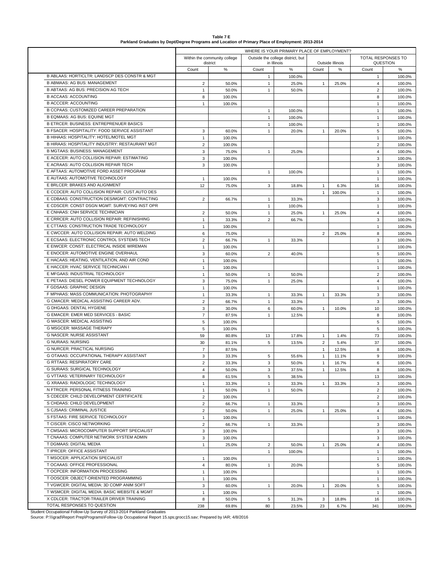| Table 7 E                                                                                         |  |
|---------------------------------------------------------------------------------------------------|--|
| Parkland Graduates by Dept/Degree Programs and Location of Primary Place of Employment: 2013-2014 |  |

|                                                                                                                                                                                             | WHERE IS YOUR PRIMARY PLACE OF EMPLOYMENT? |                              |                |                                   |                |                  |                |                           |  |  |
|---------------------------------------------------------------------------------------------------------------------------------------------------------------------------------------------|--------------------------------------------|------------------------------|----------------|-----------------------------------|----------------|------------------|----------------|---------------------------|--|--|
|                                                                                                                                                                                             |                                            | Within the community college |                | Outside the college district, but |                |                  |                | <b>TOTAL RESPONSES TO</b> |  |  |
|                                                                                                                                                                                             |                                            | district                     |                | in Illinois                       |                | Outside Illinois |                | QUESTION                  |  |  |
| <b>B ABLAAS: HORTICLTR: LANDSCP DES CONSTR &amp; MGT</b>                                                                                                                                    | Count                                      | $\%$                         | Count          | $\%$                              | Count          | ℅                | Count          | $\%$                      |  |  |
| <b>B ABMAAS: AG BUS: MANAGEMENT</b>                                                                                                                                                         |                                            |                              | $\mathbf{1}$   | 100.0%                            |                |                  | 1              | 100.0%                    |  |  |
| <b>B ABTAAS: AG BUS: PRECISION AG TECH</b>                                                                                                                                                  | $\overline{2}$                             | 50.0%                        | $\mathbf{1}$   | 25.0%                             | $\mathbf{1}$   | 25.0%            | $\overline{4}$ | 100.0%                    |  |  |
| <b>B ACCAAS: ACCOUNTING</b>                                                                                                                                                                 | $\mathbf{1}$                               | 50.0%                        | $\mathbf{1}$   | 50.0%                             |                |                  | $\overline{2}$ | 100.0%                    |  |  |
| <b>B ACCCER: ACCOUNTING</b>                                                                                                                                                                 | 8                                          | 100.0%                       |                |                                   |                |                  | 8              | 100.0%                    |  |  |
|                                                                                                                                                                                             | $\mathbf{1}$                               | 100.0%                       |                |                                   |                |                  | $\mathbf{1}$   | 100.0%                    |  |  |
| B CCPAAS: CUSTOMIZED CAREER PREPARATION<br><b>B EQMAAS: AG BUS: EQUINE MGT</b>                                                                                                              |                                            |                              | $\mathbf{1}$   | 100.0%                            |                |                  | $\mathbf{1}$   | 100.0%                    |  |  |
| <b>B ETRCER: BUSINESS: ENTREPRENUER BASICS</b>                                                                                                                                              |                                            |                              | $\mathbf{1}$   | 100.0%                            |                |                  | $\mathbf{1}$   | 100.0%                    |  |  |
|                                                                                                                                                                                             |                                            |                              | $\mathbf{1}$   | 100.0%                            |                |                  | $\mathbf{1}$   | 100.0%                    |  |  |
| B FSACER: HOSPITALITY: FOOD SERVICE ASSISTANT                                                                                                                                               | 3                                          | 60.0%                        | $\mathbf{1}$   | 20.0%                             | $\mathbf{1}$   | 20.0%            | 5              | 100.0%                    |  |  |
| B HIHAAS: HOSPITALITY: HOTEL/MOTEL MGT                                                                                                                                                      | $\mathbf{1}$                               | 100.0%                       |                |                                   |                |                  | $\mathbf{1}$   | 100.0%                    |  |  |
| B HIRAAS: HOSPITALITY INDUSTRY: RESTAURANT MGT                                                                                                                                              | $\overline{2}$                             | 100.0%                       |                |                                   |                |                  | $\overline{c}$ | 100.0%                    |  |  |
| <b>B MGTAAS: BUSINESS: MANAGEMENT</b>                                                                                                                                                       | 3                                          | 75.0%                        | $\mathbf{1}$   | 25.0%                             |                |                  | $\overline{4}$ | 100.0%                    |  |  |
| E ACECER: AUTO COLLISION REPAIR: ESTIMATING                                                                                                                                                 | 3                                          | 100.0%                       |                |                                   |                |                  | 3              | 100.0%                    |  |  |
| E ACRAAS: AUTO COLLISION REPAIR TECH                                                                                                                                                        | 3                                          | 100.0%                       |                |                                   |                |                  | 3              | 100.0%                    |  |  |
| E AFTAAS: AUTOMOTIVE FORD ASSET PROGRAM                                                                                                                                                     |                                            |                              | $\mathbf{1}$   | 100.0%                            |                |                  | $\mathbf{1}$   | 100.0%                    |  |  |
| E AUTAAS: AUTOMOTIVE TECHNOLOGY                                                                                                                                                             | $\mathbf{1}$                               | 100.0%                       |                |                                   |                |                  | $\mathbf{1}$   | 100.0%                    |  |  |
| E BRLCER: BRAKES AND ALIGNMENT                                                                                                                                                              | 12                                         | 75.0%                        | 3              | 18.8%                             | $\mathbf{1}$   | 6.3%             | 16             | 100.0%                    |  |  |
| E CCDCER: AUTO COLLISION REPAIR: CUST.AUTO DES                                                                                                                                              |                                            |                              |                |                                   | $\mathbf{1}$   | 100.0%           | $\mathbf{1}$   | 100.0%                    |  |  |
| E CDBAAS: CONSTRUCTION DES/MGMT: CONTRACTING                                                                                                                                                | $\overline{2}$                             | 66.7%                        | $\mathbf{1}$   | 33.3%                             |                |                  | 3              | 100.0%                    |  |  |
| E CDSCER: CONST DSGN MGMT: SURVEYING INST OPR                                                                                                                                               |                                            |                              | $\mathbf{1}$   | 100.0%                            |                |                  | $\mathbf{1}$   | 100.0%                    |  |  |
| E CNHAAS: CNH SERVICE TECHNICIAN                                                                                                                                                            | $\sqrt{2}$                                 | 50.0%                        | $\mathbf{1}$   | 25.0%                             | $\mathbf{1}$   | 25.0%            | $\overline{4}$ | 100.0%                    |  |  |
| E CRRCER: AUTO COLLISION REPAIR: REFINISHING                                                                                                                                                | $\mathbf{1}$                               | 33.3%                        | $\overline{2}$ | 66.7%                             |                |                  | 3              | 100.0%                    |  |  |
| E CTTAAS: CONSTRUCTION TRADE TECHNOLOGY                                                                                                                                                     | $\mathbf{1}$                               | 100.0%                       |                |                                   |                |                  | $\mathbf{1}$   | 100.0%                    |  |  |
| E CWCCER: AUTO COLLISION REPAIR: AUTO WELDING                                                                                                                                               | 6                                          | 75.0%                        |                |                                   | $\overline{2}$ | 25.0%            | 8              | 100.0%                    |  |  |
| E ECSAAS: ELECTRONIC CONTROL SYSTEMS TECH                                                                                                                                                   | $\overline{2}$                             | 66.7%                        | $\mathbf{1}$   | 33.3%                             |                |                  | 3              | 100.0%                    |  |  |
| E EIWCER: CONST: ELECTRICAL INSIDE WIREMAN                                                                                                                                                  | $\mathbf{1}$                               | 100.0%                       |                |                                   |                |                  | $\mathbf{1}$   | 100.0%                    |  |  |
| E ENOCER: AUTOMOTIVE ENGINE OVERHAUL                                                                                                                                                        | 3                                          | 60.0%                        | $\overline{2}$ | 40.0%                             |                |                  | 5              | 100.0%                    |  |  |
| E HACAAS: HEATING, VENTILATION, AND AIR COND                                                                                                                                                | $\mathbf{1}$                               | 100.0%                       |                |                                   |                |                  | $\mathbf{1}$   | 100.0%                    |  |  |
| E HACCER: HVAC SERVICE TECHNICIAN I                                                                                                                                                         | $\mathbf{1}$                               | 100.0%                       |                |                                   |                |                  | $\mathbf{1}$   | 100.0%                    |  |  |
| E MFGAAS: INDUSTRIAL TECHNOLOGY                                                                                                                                                             | $\mathbf{1}$                               | 50.0%                        | $\mathbf{1}$   | 50.0%                             |                |                  | $\overline{2}$ | 100.0%                    |  |  |
| E PETAAS: DIESEL POWER EQUIPMENT TECHNOLOGY                                                                                                                                                 | 3                                          | 75.0%                        | $\mathbf{1}$   | 25.0%                             |                |                  | $\overline{4}$ | 100.0%                    |  |  |
| F GDSAAS: GRAPHIC DESIGN                                                                                                                                                                    | $\mathbf{1}$                               | 100.0%                       |                |                                   |                |                  | $\mathbf{1}$   | 100.0%                    |  |  |
| F MPHAAS: MASS COMMUNICATION: PHOTOGRAPHY                                                                                                                                                   | $\mathbf{1}$                               | 33.3%                        | $\mathbf{1}$   | 33.3%                             | $\mathbf{1}$   | 33.3%            | 3              | 100.0%                    |  |  |
| G CMACER: MEDICAL ASSISTING CAREER ADV.                                                                                                                                                     | $\overline{2}$                             | 66.7%                        | $\mathbf{1}$   | 33.3%                             |                |                  | 3              | 100.0%                    |  |  |
| <b>G DHGAAS: DENTAL HYGIENE</b>                                                                                                                                                             | 3                                          | 30.0%                        | 6              | 60.0%                             | $\mathbf{1}$   | 10.0%            | 10             | 100.0%                    |  |  |
| G EMACER: EMER MED SERVICES - BASIC                                                                                                                                                         | $\overline{7}$                             | 87.5%                        | $\mathbf{1}$   | 12.5%                             |                |                  | 8              | 100.0%                    |  |  |
| G MASCER: MEDICAL ASSISTING                                                                                                                                                                 | 5                                          | 100.0%                       |                |                                   |                |                  | 5              | 100.0%                    |  |  |
| <b>G MSGCER: MASSAGE THERAPY</b>                                                                                                                                                            | $\sqrt{5}$                                 | 100.0%                       |                |                                   |                |                  | 5              | 100.0%                    |  |  |
| <b>G NASCER: NURSE ASSISTANT</b>                                                                                                                                                            | 59                                         | 80.8%                        | 13             | 17.8%                             | $\mathbf{1}$   | 1.4%             | 73             | 100.0%                    |  |  |
| <b>G NURAAS: NURSING</b>                                                                                                                                                                    | 30                                         | 81.1%                        | $\,$ 5 $\,$    | 13.5%                             | $\overline{2}$ | 5.4%             | 37             | 100.0%                    |  |  |
| <b>G NURCER: PRACTICAL NURSING</b>                                                                                                                                                          | $\overline{7}$                             | 87.5%                        |                |                                   | $\mathbf{1}$   | 12.5%            | 8              | 100.0%                    |  |  |
| G OTAAAS: OCCUPATIONAL THERAPY ASSISTANT                                                                                                                                                    | 3                                          | 33.3%                        | 5              | 55.6%                             | $\mathbf{1}$   | 11.1%            | 9              | 100.0%                    |  |  |
| <b>G RTTAAS: RESPIRATORY CARE</b>                                                                                                                                                           | $\overline{2}$                             | 33.3%                        | 3              | 50.0%                             | $\mathbf{1}$   | 16.7%            | 6              | 100.0%                    |  |  |
| G SURAAS: SURGICAL TECHNOLOGY                                                                                                                                                               | 4                                          | 50.0%                        | 3              | 37.5%                             | $\mathbf{1}$   | 12.5%            | 8              | 100.0%                    |  |  |
| G VTTAAS: VETERINARY TECHNOLOGY                                                                                                                                                             | 8                                          | 61.5%                        | 5              | 38.5%                             |                |                  | 13             | 100.0%                    |  |  |
| G XRAAAS: RADIOLOGIC TECHNOLOGY                                                                                                                                                             | $\mathbf{1}$                               | 33.3%                        | $\mathbf{1}$   | 33.3%                             | $\mathbf{1}$   | 33.3%            | 3              | 100.0%                    |  |  |
| N FTRCER: PERSONAL FITNESS TRAINING                                                                                                                                                         | $\mathbf{1}$                               | 50.0%                        | $\mathbf{1}$   | 50.0%                             |                |                  | $\overline{2}$ | 100.0%                    |  |  |
| S CDECER: CHILD DEVELOPMENT CERTIFICATE                                                                                                                                                     | $\overline{2}$                             | 100.0%                       |                |                                   |                |                  | $\overline{c}$ | 100.0%                    |  |  |
| S CHDAAS: CHILD DEVELOPMENT                                                                                                                                                                 | $\sqrt{2}$                                 | 66.7%                        | $\mathbf{1}$   | 33.3%                             |                |                  | 3              | 100.0%                    |  |  |
| S CJSAAS: CRIMINAL JUSTICE                                                                                                                                                                  | $\overline{2}$                             | 50.0%                        | $\mathbf{1}$   | 25.0%                             | $\mathbf{1}$   | 25.0%            | $\overline{4}$ | 100.0%                    |  |  |
| S FSTAAS: FIRE SERVICE TECHNOLOGY                                                                                                                                                           | $\mathbf{1}$                               | 100.0%                       |                |                                   |                |                  | $\mathbf{1}$   | 100.0%                    |  |  |
| T CISCER: CISCO NETWORKING                                                                                                                                                                  | $\overline{2}$                             | 66.7%                        | $\mathbf{1}$   | 33.3%                             |                |                  | 3              | 100.0%                    |  |  |
| T CMSAAS: MICROCOMPUTER SUPPORT SPECIALIST                                                                                                                                                  | 3                                          | 100.0%                       |                |                                   |                |                  | 3              | 100.0%                    |  |  |
| T CNAAAS: COMPUTER NETWORK SYSTEM ADMIN                                                                                                                                                     | 3                                          | 100.0%                       |                |                                   |                |                  | 3              | 100.0%                    |  |  |
| T DGMAAS: DIGITAL MEDIA                                                                                                                                                                     | $\mathbf{1}$                               | 25.0%                        | $\overline{2}$ | 50.0%                             | $\mathbf{1}$   | 25.0%            | 4              | 100.0%                    |  |  |
| T IPRCER: OFFICE ASSISTANT                                                                                                                                                                  |                                            |                              | $\mathbf{1}$   | 100.0%                            |                |                  | $\mathbf{1}$   | 100.0%                    |  |  |
| T MSOCER: APPLICATION SPECIALIST                                                                                                                                                            | $\mathbf{1}$                               | 100.0%                       |                |                                   |                |                  | $\mathbf{1}$   | 100.0%                    |  |  |
| T OCAAAS: OFFICE PROFESSIONAL                                                                                                                                                               | $\overline{\mathbf{4}}$                    | 80.0%                        | $\mathbf{1}$   | 20.0%                             |                |                  | 5              | 100.0%                    |  |  |
| T OCPCER: INFORMATION PROCESSING                                                                                                                                                            | $\mathbf{1}$                               | 100.0%                       |                |                                   |                |                  | $\mathbf{1}$   | 100.0%                    |  |  |
| T OOSCER: OBJECT-ORIENTED PROGRAMMING                                                                                                                                                       | $\mathbf{1}$                               | 100.0%                       |                |                                   |                |                  | $\mathbf{1}$   | 100.0%                    |  |  |
| T VGWCER: DIGITAL MEDIA: 3D COMP ANIM SOFT                                                                                                                                                  | 3                                          | 60.0%                        | $\mathbf{1}$   | 20.0%                             | $\mathbf{1}$   | 20.0%            | 5              | 100.0%                    |  |  |
| T WSMCER: DIGITAL MEDIA: BASIC WEBSITE & MGMT                                                                                                                                               | $\mathbf{1}$                               | 100.0%                       |                |                                   |                |                  | $\mathbf{1}$   | 100.0%                    |  |  |
| X CDLCER: TRACTOR-TRAILER DRIVER TRAINING                                                                                                                                                   | 8                                          | 50.0%                        | $\,$ 5 $\,$    | 31.3%                             | 3              | 18.8%            | 16             | 100.0%                    |  |  |
| TOTAL RESPONSES TO QUESTION                                                                                                                                                                 | 238                                        | 69.8%                        | 80             | 23.5%                             | 23             | 6.7%             | 341            | 100.0%                    |  |  |
| Student Occupational Follow-Up Survey of 2013-2014 Parkland Graduates<br>Source: P:\\\grad\Report Prep\Programs\Follow-Up Occupational Report 15.sps;grocc15.sav; Prepared by IAR; 4/8/2016 |                                            |                              |                |                                   |                |                  |                |                           |  |  |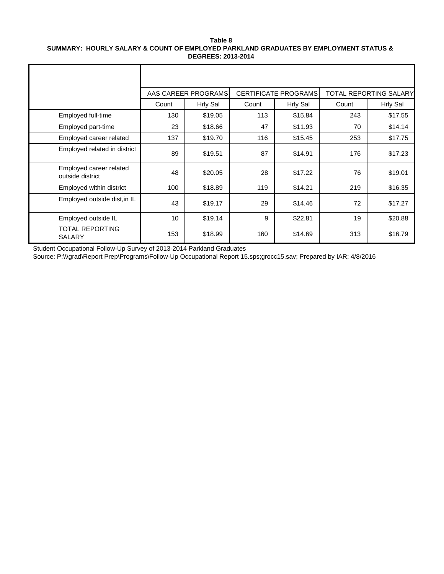#### **Table 8 SUMMARY: HOURLY SALARY & COUNT OF EMPLOYED PARKLAND GRADUATES BY EMPLOYMENT STATUS & DEGREES: 2013-2014**

|                                             |       | AAS CAREER PROGRAMS |       | <b>CERTIFICATE PROGRAMS</b> |       | TOTAL REPORTING SALARY |
|---------------------------------------------|-------|---------------------|-------|-----------------------------|-------|------------------------|
|                                             | Count | <b>Hrly Sal</b>     | Count | <b>Hrly Sal</b>             | Count | <b>Hrly Sal</b>        |
| Employed full-time                          | 130   | \$19.05             | 113   | \$15.84                     | 243   | \$17.55                |
| Employed part-time                          | 23    | \$18.66             | 47    | \$11.93                     | 70    | \$14.14                |
| Employed career related                     | 137   | \$19.70             | 116   | \$15.45                     | 253   | \$17.75                |
| Employed related in district                | 89    | \$19.51             | 87    | \$14.91                     | 176   | \$17.23                |
| Employed career related<br>outside district | 48    | \$20.05             | 28    | \$17.22                     | 76    | \$19.01                |
| Employed within district                    | 100   | \$18.89             | 119   | \$14.21                     | 219   | \$16.35                |
| Employed outside dist, in IL                | 43    | \$19.17             | 29    | \$14.46                     | 72    | \$17.27                |
| Employed outside IL                         | 10    | \$19.14             | 9     | \$22.81                     | 19    | \$20.88                |
| TOTAL REPORTING<br><b>SALARY</b>            | 153   | \$18.99             | 160   | \$14.69                     | 313   | \$16.79                |

Student Occupational Follow-Up Survey of 2013-2014 Parkland Graduates

Source: P:\\\grad\Report Prep\Programs\Follow-Up Occupational Report 15.sps;grocc15.sav; Prepared by IAR; 4/8/2016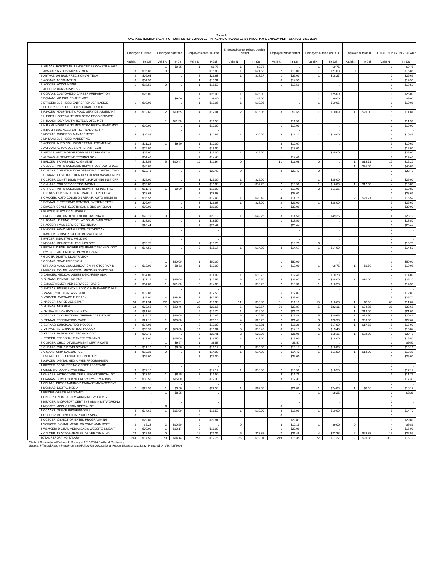|                                                                                                                                                                                              |                                |                    |                |                    |                    |                         | AVERAGE HOURLY SALARY OF CURRENTLY EMPLOYED PARKLAND GRADUATES BY PROGRAM & EMPLOYMENT STATUS: 2013-2014 |                    |                      |                          |                              |         |                         |                     |                             |                    |
|----------------------------------------------------------------------------------------------------------------------------------------------------------------------------------------------|--------------------------------|--------------------|----------------|--------------------|--------------------|-------------------------|----------------------------------------------------------------------------------------------------------|--------------------|----------------------|--------------------------|------------------------------|---------|-------------------------|---------------------|-----------------------------|--------------------|
|                                                                                                                                                                                              |                                | Employed full-time |                | Employed part-time |                    | Employed career related | Employed career related outside                                                                          | district           |                      | Employed within district | Employed outside dist, in IL |         |                         | Employed outside IL | TOTAL REPORTING SALARY      |                    |
|                                                                                                                                                                                              | Valid N                        | Hr Sal             | Valid N        | Hr Sal             | Valid N            | Hr Sal                  | Valid N                                                                                                  | Hr Sal             | Valid N              | Hr Sal                   | Valid N                      | Hr Sal  | Valid N                 | Hr Sal              | Valid N                     | Hr Sal             |
| B ABLAAS: HORTICLTR: LANDSCP DES CONSTR & MGT                                                                                                                                                |                                |                    |                | \$9.75             | 1                  | \$9.75                  |                                                                                                          | \$9.75             |                      |                          |                              | \$9.75  |                         |                     |                             | \$9.75             |
| <b>B ABMAAS: AG BUS: MANAGEMENT</b>                                                                                                                                                          | 3                              | \$15.88            | $\mathbf 0$    |                    | $\mathsf 3$        | \$15.88                 | $\overline{1}$                                                                                           | \$21.63            | $\overline{2}$       | \$13.00                  | $\mathbf{1}$                 | \$21.63 | $\mathbf 0$             |                     | $\mathsf 3$                 | \$15.88            |
| B ABTAAS: AG BUS: PRECISION AG TECH                                                                                                                                                          | $\mathbf 2$                    | \$26.63            |                |                    | $\overline{a}$     | \$26.63                 | 1                                                                                                        | \$18.27            | $\mathbf{1}$         | \$35.00                  | $\mathbf{1}$                 | \$18.27 |                         |                     | $\overline{2}$              | \$26.63            |
| <b>B ACCAAS: ACCOUNTING</b>                                                                                                                                                                  | 8                              | \$14.53            |                |                    | $\overline{4}$     | \$15.31                 |                                                                                                          |                    | 8                    | \$14.53                  |                              |         |                         |                     | 8                           | \$14.53            |
| <b>B ACCCER: ACCOUNTING</b><br><b>B AGBCER: AGRI-BUSINESS</b>                                                                                                                                | $\overline{1}$                 | \$18.50            | $\mathbf 0$    |                    | $\mathbf{1}$       | \$18.50                 |                                                                                                          |                    | $\mathbf{1}$         | \$18.50                  |                              |         |                         |                     | $\mathbf{1}$                | \$18.50            |
| B CCPAAS: CUSTOMIZED CAREER PREPARATION                                                                                                                                                      |                                | \$25.00            |                |                    | $\mathbf{1}$       | \$25.00                 | 1                                                                                                        | \$25.00            |                      |                          | $\mathbf{1}$                 | \$25.00 |                         |                     | $\,0\,$<br>$\mathbf 1$      | \$25.00            |
| B EQMAAS: AG BUS: EQUINE MGT                                                                                                                                                                 | $\mathbf{1}$                   |                    | $\mathbf{1}$   | \$9.00             | $\mathbf 1$        | \$9.00                  | $\mathbf{1}$                                                                                             | \$9.00             |                      |                          | $\mathbf{1}$                 | \$9.00  |                         |                     | $\mathbf 1$                 | \$9.00             |
| B ETRCER: BUSINESS: ENTREPRENUER BASICS                                                                                                                                                      | $\mathbf{1}$                   | \$10.06            |                |                    | $\mathbf{1}$       | \$10.06                 | $\mathbf{1}$                                                                                             | \$10.06            |                      |                          | $\mathbf{1}$                 | \$10.06 |                         |                     | $\mathbf{1}$                | \$10.06            |
| B FLDCER: HORTICULTURE: FLORAL DESIGN                                                                                                                                                        |                                |                    |                |                    |                    |                         |                                                                                                          |                    |                      |                          |                              |         |                         |                     | $\circ$                     |                    |
| B FSACER: HOSPITALITY: FOOD SERVICE ASSISTANT                                                                                                                                                | 3 <sup>1</sup>                 | \$12.65            | $\overline{2}$ | \$10.55            | $\overline{4}$     | \$12.01                 | $\overline{a}$                                                                                           | \$15.05            | 3                    | \$9.65                   | $\mathbf{1}$                 | \$10.09 | $\mathbf{1}$            | \$20.00             | $5\phantom{.0}$             | \$11.81            |
| B HIFCER: HOSPITALITY INDUSTRY: FOOD SERVICE                                                                                                                                                 |                                |                    |                |                    |                    |                         |                                                                                                          |                    |                      |                          |                              |         |                         |                     | $\,0\,$                     |                    |
| B HIHAAS: HOSPITALITY: HOTEL/MOTEL MGT                                                                                                                                                       |                                |                    | $\mathbf{1}$   | \$11.50            | $\mathbf{1}$       | \$11.50                 |                                                                                                          |                    | $\overline{1}$       | \$11.50                  |                              |         |                         |                     | $\mathbf{1}$                | \$11.50            |
| B HIRAAS: HOSPITALITY INDUSTRY: RESTAURANT MGT                                                                                                                                               | $\mathbf{1}$                   | \$10.00            |                |                    | $\overline{1}$     | \$10.00                 |                                                                                                          |                    | $\overline{1}$       | \$10.00                  |                              |         |                         |                     | $\overline{1}$              | \$10.00            |
| B INDCER: BUSINESS: ENTREPRENEURSHIP                                                                                                                                                         |                                |                    |                |                    |                    |                         |                                                                                                          |                    |                      |                          |                              |         |                         |                     | $\mathbf 0$                 |                    |
| <b>B MGTAAS: BUSINESS: MANAGEMENT</b>                                                                                                                                                        | $\overline{4}$                 | \$10.85            |                |                    | $\overline{4}$     | \$10.85                 | 1                                                                                                        | \$10.00            | $\mathbf{3}$         | \$11.13                  | $\mathbf{1}$                 | \$10.00 |                         |                     | $\overline{4}$              | \$10.85            |
| <b>B MKTAAS: BUSINESS: MARKETING</b>                                                                                                                                                         |                                |                    |                |                    |                    |                         |                                                                                                          |                    |                      |                          |                              |         |                         |                     | $\mathbf 0$                 |                    |
| E ACECER: AUTO COLLISION REPAIR: ESTIMATING                                                                                                                                                  | $\overline{2}$                 | \$11.25            | $\mathbf{1}$   | \$9.50             | $\mathbf{1}$       | \$10.00                 |                                                                                                          |                    | 3                    | \$10.67                  |                              |         |                         |                     | $\mathbf{3}$                | \$10.67            |
| E ACRAAS: AUTO COLLISION REPAIR TECH                                                                                                                                                         | $\mathsf 3$                    | \$12.03            |                |                    | $\mathsf 3$        | \$12.03                 |                                                                                                          |                    | $\mathbf{3}$         | \$12.03                  |                              |         |                         |                     | $\mathbf{3}$                | \$12.03            |
| E AFTAAS: AUTOMOTIVE FORD ASSET PROGRAM<br>E AUTAAS: AUTOMOTIVE TECHNOLOGY                                                                                                                   | $\mathbf{1}$                   | \$25.00            |                |                    | $\mathbf{1}$       | \$25.00                 | $\mathbf{1}$                                                                                             | \$25.00            |                      |                          | 1                            | \$25.00 |                         |                     | $\mathbf 1$                 | \$25.00            |
| E BRLCER: BRAKES AND ALIGNMENT                                                                                                                                                               | $\mathbf{1}$<br>$\overline{7}$ | \$14.48<br>\$13.55 | 5 <sub>5</sub> | \$10.47            | $\mathbf{1}$<br>10 | \$14.48<br>\$11.94      | 0                                                                                                        |                    | $\overline{1}$<br>11 | \$14.48<br>\$11.68       | $\mathbf 0$                  |         | $\mathbf{1}$            | \$18.71             | $\mathbf{1}$<br>12          | \$14.48<br>\$12.27 |
| E CCDCER: AUTO COLLISION REPAIR: CUST.AUTO DES                                                                                                                                               | $\overline{1}$                 | \$45.00            |                |                    |                    |                         |                                                                                                          |                    |                      |                          |                              |         | $\overline{1}$          | \$45.00             | $\mathbf{1}$                | \$45.00            |
| E CDBAAS: CONSTRUCTION DES/MGMT: CONTRACTING                                                                                                                                                 | $\sqrt{2}$                     | \$22.43            |                |                    | $\overline{2}$     | \$22.43                 | $\,$ 0 $\,$                                                                                              |                    | $\overline{2}$       | \$22.43                  | $\,$ 0 $\,$                  |         |                         |                     | $\overline{2}$              | \$22.43            |
| E CDMAAS: CONSTRUCTION DESIGN AND MANAGEMENT                                                                                                                                                 |                                |                    |                |                    |                    |                         |                                                                                                          |                    |                      |                          |                              |         |                         |                     | $\,0\,$                     |                    |
| E CDSCER: CONST DSGN MGMT: SURVEYING INST OPR                                                                                                                                                | $\mathbf{1}$                   | \$25.00            |                |                    | $\mathbf{1}$       | \$25.00                 | $\mathbf{1}$                                                                                             | \$25.00            |                      |                          | $\mathbf{1}$                 | \$25.00 |                         |                     | $\mathbf 1$                 | \$25.00            |
| E CNHAAS: CNH SERVICE TECHNICIAN                                                                                                                                                             | $\overline{4}$                 | \$13.88            |                |                    | $\overline{4}$     | \$13.88                 | $\mathbf 2$                                                                                              | \$14.25            | $\overline{2}$       | \$13.50                  | $\mathbf{1}$                 | \$16.00 | 1                       | \$12.50             | $\overline{4}$              | \$13.88            |
| E CRRCER: AUTO COLLISION REPAIR: REFINISHING                                                                                                                                                 | $\overline{2}$                 | \$11.75            | $\mathbf{1}$   | \$9.00             | $\mathbf{1}$       | \$10.00                 |                                                                                                          |                    | $\overline{1}$       | \$10.00                  | $\overline{2}$               | \$11.25 |                         |                     | $\mathbf{3}$                | \$10.83            |
| E CTTAAS: CONSTRUCTION TRADE TECHNOLOGY                                                                                                                                                      | $\mathbf{1}$                   | \$28.63            |                |                    | $\mathbf 1$        | \$28.63                 |                                                                                                          |                    | $\mathbf{1}$         | \$28.63                  |                              |         |                         |                     | $\overline{1}$              | \$28.63            |
| E CWCCER: AUTO COLLISION REPAIR: AUTO WELDING                                                                                                                                                | $\,$ 6                         | \$16.57            |                |                    | 5                  | \$17.48                 | $\mathbf{1}$                                                                                             | \$28.42            | $\overline{4}$       | \$14.75                  |                              |         | $\overline{\mathbf{c}}$ | \$20.21             | 6                           | \$16.57            |
| E ECSAAS: ELECTRONIC CONTROL SYSTEMS TECH                                                                                                                                                    | $\mathsf 3$                    | \$26.67            |                |                    | 3                  | \$26.67                 | $\mathbf{1}$                                                                                             | \$28.00            | $\overline{2}$       | \$26.00                  | $\mathbf{1}$                 | \$28.00 |                         |                     | $_{3}$                      | \$26.67            |
| E EIWCER: CONST: ELECTRICAL INSIDE WIREMAN                                                                                                                                                   | $\mathbf{1}$                   | \$30.00            |                |                    | $\mathbf 1$        | \$30.00                 |                                                                                                          |                    | $\mathbf{1}$         | \$30.00                  |                              |         |                         |                     | $\mathbf 1$                 | \$30.00            |
| E ELPCER: ELECTRICAL POWER                                                                                                                                                                   |                                |                    |                |                    |                    |                         |                                                                                                          |                    |                      |                          |                              |         |                         |                     | $\mathbf 0$                 |                    |
| E ENOCER: AUTOMOTIVE ENGINE OVERHAUL                                                                                                                                                         | $\overline{4}$                 | \$23.19            | $\circ$        |                    | $\overline{4}$     | \$23.19                 | $\mathbf{1}$                                                                                             | \$49.26            | $\mathbf{3}$         | \$14.50                  | $\mathbf{1}$                 | \$49.26 |                         |                     | 4                           | \$23.19            |
| E HACAAS: HEATING, VENTILATION, AND AIR COND                                                                                                                                                 | $\mathbf{1}$                   | \$18.50            |                |                    | $\mathbf{1}$       | \$18.50                 |                                                                                                          |                    | $\overline{1}$       | \$18.50                  |                              |         |                         |                     | $\mathbf{1}$                | \$18.50            |
| E HACCER: HVAC SERVICE TECHNICIAN I                                                                                                                                                          | $\mathbf{1}$                   | \$26.44            |                |                    | $\mathbf{1}$       | \$26.44                 |                                                                                                          |                    | $\mathbf{1}$         | \$26.44                  |                              |         |                         |                     | $\mathbf{1}$                | \$26.44            |
| E HVCCER: HVAC INSTALLATION TECHNICIAN<br>E IRWCER: CONSTRUCTION: IRONWORKERS                                                                                                                |                                |                    |                |                    |                    |                         |                                                                                                          |                    |                      |                          |                              |         |                         |                     | $\,0\,$                     |                    |
| E IWTCER: INDUSTRIAL WELDING                                                                                                                                                                 |                                |                    |                |                    |                    |                         |                                                                                                          |                    |                      |                          |                              |         |                         |                     | $\,$ 0 $\,$                 |                    |
| E MFGAAS: INDUSTRIAL TECHNOLOGY                                                                                                                                                              | $\mathbf{1}$                   | \$15.75            |                |                    | $\mathbf{1}$       | \$15.75                 |                                                                                                          |                    | 1                    | \$15.75                  | $\mathbf 0$                  |         |                         |                     | $\,0\,$<br>$\mathbf{1}$     | \$15.75            |
| E PETAAS: DIESEL POWER EQUIPMENT TECHNOLOGY                                                                                                                                                  | $\overline{4}$                 | \$14.50            |                |                    | $\mathsf 3$        | \$15.17                 | $\mathbf{1}$                                                                                             | \$14.00            | $_{\rm 3}$           | \$14.67                  | $\mathbf{1}$                 | \$14.00 |                         |                     | $\overline{4}$              | \$14.50            |
| E PWTCER: AUTOMOTIVE POWER TRAINS                                                                                                                                                            |                                |                    |                |                    |                    |                         |                                                                                                          |                    |                      |                          |                              |         |                         |                     | $\,$ 0 $\,$                 |                    |
| F GDICER: DIGITAL ILLUSTRATION                                                                                                                                                               |                                |                    |                |                    |                    |                         |                                                                                                          |                    |                      |                          |                              |         |                         |                     | $\mathbf 0$                 |                    |
| F GDSAAS: GRAPHIC DESIGN                                                                                                                                                                     |                                |                    | $\mathbf{1}$   | \$50.00            | $\mathbf{1}$       | \$50.00                 |                                                                                                          |                    | $\overline{1}$       | \$50.00                  |                              |         |                         |                     | $\mathbf 1$                 | \$50.00            |
| F MPHAAS: MASS COMMUNICATION: PHOTOGRAPHY                                                                                                                                                    | $\mathbf{1}$                   | \$13.00            | $\overline{2}$ | \$8.63             | $\mathbf{1}$       | \$13.00                 |                                                                                                          |                    | $\mathbf{1}$         | \$13.00                  | $\mathbf{1}$                 | \$8.75  | $\mathbf{1}$            | \$8.50              | $\mathbf{3}$                | \$10.08            |
| F MPRCER: COMMUNICATION: MEDIA PRODUCTION                                                                                                                                                    |                                |                    |                |                    |                    |                         |                                                                                                          |                    |                      |                          |                              |         |                         |                     | $\circ$                     |                    |
| G CMACER: MEDICAL ASSISTING CAREER ADV.                                                                                                                                                      | $\overline{2}$                 | \$14.09            |                |                    | $\overline{a}$     | \$14.09                 | $\mathbf{1}$                                                                                             | \$10.78            | $\overline{1}$       | \$17.40                  | $\mathbf{1}$                 | \$10.78 |                         |                     | $\overline{2}$              | \$14.09            |
| G DHGAAS: DENTAL HYGIENE                                                                                                                                                                     | 6                              | \$27.17            | $\overline{4}$ | \$25.00            | 9                  | \$27.56                 | 6                                                                                                        | \$30.50            | 3                    | \$21.67                  | 6                            | \$28.00 |                         | \$30.00             | 10                          | \$26.30            |
| <b>G EMACER: EMER MED SERVICES - BASIC</b>                                                                                                                                                   | $^{\rm 8}$                     | \$14.80            | $\mathbf{1}$   | \$11.00            | 5                  | \$14.03                 | $\mathbf{1}$                                                                                             | \$10.28            | $\overline{7}$       | \$15.30                  | $\mathbf{1}$                 | \$10.28 |                         |                     | $\mathsf g$                 | \$14.38            |
| G EMTAAS: EMERGENCY MED SVCS- PARAMEDIC AAS                                                                                                                                                  |                                |                    |                |                    |                    |                         |                                                                                                          |                    |                      |                          |                              |         |                         |                     | $\,$ 0 $\,$                 |                    |
| <b>G MASCER: MEDICAL ASSISTING</b>                                                                                                                                                           | $\,$ 5 $\,$                    | \$12.83            |                |                    | $\overline{4}$     | \$12.53                 |                                                                                                          |                    | $\,$ 5 $\,$          | \$12.83                  |                              |         |                         |                     | $\,$ 5 $\,$                 | \$12.83            |
| <b>G MSGCER: MASSAGE THERAPY</b>                                                                                                                                                             | $\mathbf{1}$                   | \$15.00            | $\overline{4}$ | \$28.38            | $\overline{c}$     | \$47.50                 |                                                                                                          |                    | $\overline{4}$       | \$29.63                  |                              |         |                         |                     | $5\phantom{.0}$             | \$25.70            |
| <b>G NASCER: NURSE ASSISTANT</b><br><b>G NURAAS: NURSING</b>                                                                                                                                 | 38<br>32                       | \$11.54            | 27             | \$10.31<br>\$23.46 | 46<br>35           | \$11.30<br>\$23.66      | 11<br>6                                                                                                  | \$10.83<br>\$22.57 | 51<br>30             | \$11.19<br>\$23.87       | 13                           | \$10.63 | $\mathbf{1}$<br>1       | \$7.88<br>\$24.85   | 65<br>36                    | \$11.02<br>\$23.65 |
| <b>G NURCER: PRACTICAL NURSING</b>                                                                                                                                                           | $^{\rm 8}$                     | \$23.68<br>\$21.01 | $\overline{4}$ |                    | $\overline{7}$     | \$19.73                 | $\mathbf{1}$                                                                                             | \$19.50            | $\overline{7}$       | \$21.23                  | 5                            | \$22.11 | $\mathbf{1}$            | \$19.50             | 8                           | \$21.01            |
| G OTAAAS: OCCUPATIONAL THERAPY ASSISTANT                                                                                                                                                     | $\bf8$                         | \$19.77            | $\mathbf{1}$   | \$26.00            | $\mathsf g$        | \$20.46                 | 6                                                                                                        | \$20.96            | $_{\rm 3}$           | \$19.46                  | 5                            | \$20.65 | $\mathbf{1}$            | \$22.50             | $\mathsf g$                 | \$20.46            |
| <b>G RTTAAS: RESPIRATORY CARE</b>                                                                                                                                                            | $\,$ 5 $\,$                    | \$21.15            | $\mathbf{1}$   | \$30.00            | $\mathbf 5$        | \$23.10                 | $\overline{4}$                                                                                           | \$23.20            | $\overline{2}$       | \$21.47                  | $\mathbf{3}$                 | \$20.93 | 1                       | \$30.00             | 6                           | \$22.62            |
| G SURAAS: SURGICAL TECHNOLOGY                                                                                                                                                                | 8                              | \$17.03            |                |                    | 8                  | \$17.03                 | $\overline{4}$                                                                                           | \$17.81            | $\overline{4}$       | \$16.26                  | $\mathbf{3}$                 | \$17.90 | 1                       | \$17.53             | 8                           | \$17.03            |
| G VTTAAS: VETERINARY TECHNOLOGY                                                                                                                                                              | 11                             | \$13.99            | $\sqrt{2}$     | \$13.00            | 13                 | \$13.84                 | $\mathbf 5$                                                                                              | \$13.40            | $^{\rm 8}$           | \$14.11                  | 5                            | \$13.40 |                         |                     | 13                          | \$13.84            |
| G XRAAAS: RADIOLOGIC TECHNOLOGY                                                                                                                                                              | $\mathsf 3$                    | \$20.41            |                |                    | 3                  | \$20.41                 | $\mathbf 2$                                                                                              | \$20.08            | $\mathbf{1}$         | \$21.06                  | $\mathbf{1}$                 | \$18.16 | 1                       | \$22.00             | $\mathbf{3}$                | \$20.41            |
| N FTRCER: PERSONAL FITNESS TRAINING                                                                                                                                                          | $\mathbf{1}$                   | \$18.00            | $\mathbf{1}$   | \$15.00            | $\overline{2}$     | \$16.50                 | $\mathbf{1}$                                                                                             | \$18.00            | $\mathbf{1}$         | \$15.00                  | $\mathbf{1}$                 | \$18.00 |                         |                     | $\overline{2}$              | \$16.50            |
| S CDECER: CHILD DEVELOPMENT CERTIFICATE                                                                                                                                                      |                                |                    | $\mathbf{1}$   | \$9.57             | $\mathbf 1$        | \$9.57                  |                                                                                                          |                    | $\overline{1}$       | \$9.57                   |                              |         |                         |                     | $\mathbf{1}$                | \$9.57             |
| S CHDAAS: CHILD DEVELOPMENT                                                                                                                                                                  | $\overline{a}$                 | \$11.17            | $\mathbf{1}$   | \$8.00             | $\overline{2}$     | \$11.17                 | $\mathbf{1}$                                                                                             | \$10.00            | $\overline{2}$       | \$10.17                  | $\mathbf{1}$                 | \$10.00 |                         |                     | $\mathbf{3}$                | \$10.11            |
| S CJSAAS: CRIMINAL JUSTICE                                                                                                                                                                   | $_{\rm 3}$                     | \$13.31            | $\mathbf 0$    |                    | $\mathbf{1}$       | \$14.00                 | 1                                                                                                        | \$14.00            | $\mathbf{1}$         | \$14.42                  | $\mathbf{1}$                 | \$11.50 | $\blacksquare$          | \$14.00             | $\mathbf{3}$                | \$13.31            |
| S FSTAAS: FIRE SERVICE TECHNOLOGY                                                                                                                                                            | $\mathbf{1}$                   | \$25.00            |                |                    | $\mathbf 1$        | \$25.00                 |                                                                                                          |                    | $\mathbf{1}$         | \$25.00                  |                              |         |                         |                     | $\mathbf{1}$                | \$25.00            |
| T ASPCER: DIGITAL MEDIA: WEB PROGRAMMER                                                                                                                                                      |                                |                    |                |                    |                    |                         |                                                                                                          |                    |                      |                          |                              |         |                         |                     | $\circ$                     |                    |
| T BKPCER: BOOKKEEPING OFFICE ASSISTANT                                                                                                                                                       |                                |                    |                |                    |                    |                         |                                                                                                          |                    |                      |                          |                              |         |                         |                     | $\circ$                     |                    |
| T CISCER: CISCO NETWORKING<br>T CMSAAS: MICROCOMPUTER SUPPORT SPECIALIST                                                                                                                     | 3                              | \$17.17            |                |                    | 3                  | \$17.17                 | 1                                                                                                        | \$18.50            | $\overline{2}$       | \$16.50                  | $\mathbf{1}$                 | \$18.50 |                         |                     | $\mathbf{3}$                | \$17.17            |
| T CNAAAS: COMPUTER NETWORK SYSTEM ADMIN                                                                                                                                                      | $\overline{2}$                 | \$13.50            | $\mathbf{1}$   | \$8.25             | $\overline{a}$     | \$13.50                 |                                                                                                          |                    | 3                    | \$11.75                  |                              |         |                         |                     | $\mathbf{3}$                | \$11.75            |
| T CPLAAS: PROGRAMMING-DATABASE MANAGEMENT                                                                                                                                                    | $\overline{2}$                 | \$18.50            | $\mathbf{1}$   | \$15.00            | 3                  | \$17.33                 |                                                                                                          |                    | $\mathbf{3}$         | \$17.33                  |                              |         |                         |                     | $\mathbf{3}$<br>$\mathsf 0$ | \$17.33            |
| T DGMAAS: DIGITAL MEDIA                                                                                                                                                                      | $\overline{2}$                 | \$22.50            | $\overline{1}$ | \$9.50             | $\overline{2}$     | \$22.50                 | 1                                                                                                        | \$24.00            | $\overline{1}$       | \$21.00                  | $\mathbf{1}$                 | \$24.00 |                         | \$9.50              | $\mathbf{3}$                | \$18.17            |
| T IPRCER: OFFICE ASSISTANT                                                                                                                                                                   |                                |                    | $\mathbf{1}$   | \$8.25             |                    |                         |                                                                                                          |                    |                      |                          | $\overline{1}$               | \$8.25  |                         |                     | $\mathbf{1}$                | \$8.25             |
| T LINCER: LINUX SYSTEM ADMIN NETWORKING                                                                                                                                                      |                                |                    |                |                    |                    |                         |                                                                                                          |                    |                      |                          |                              |         |                         |                     | $\,$ 0 $\,$                 |                    |
| T MSACER: MICROSOFT CERT SYS ADMIN NETWORKING                                                                                                                                                |                                |                    |                |                    |                    |                         |                                                                                                          |                    |                      |                          |                              |         |                         |                     | $\,0\,$                     |                    |
| T MSOCER: APPLICATION SPECIALIST                                                                                                                                                             |                                |                    | $\bf{0}$       |                    |                    |                         |                                                                                                          |                    | $\,0\,$              |                          |                              |         |                         |                     | $\,0\,$                     |                    |
| T OCAAAS: OFFICE PROFESSIONAL                                                                                                                                                                | $\overline{4}$                 | \$14.65            | $\mathbf{1}$   | \$15.00            | $\overline{4}$     | \$15.53                 | $\mathbf{1}$                                                                                             | \$10.00            | $\overline{4}$       | \$15.90                  | $\mathbf{1}$                 | \$10.00 |                         |                     | $\,$ 5 $\,$                 | \$14.72            |
| T OCPCER: INFORMATION PROCESSING                                                                                                                                                             | $\,0\,$                        |                    |                |                    | $\,0\,$            |                         |                                                                                                          |                    | $\,0\,$              |                          |                              |         |                         |                     | $\,0\,$                     |                    |
| T OOSCER: OBJECT-ORIENTED PROGRAMMING                                                                                                                                                        | $\mathbf{1}$                   | \$29.81            |                |                    | $\mathbf 1$        | \$29.81                 |                                                                                                          |                    | $\mathbf{1}$         | \$29.81                  |                              |         |                         |                     | $\overline{1}$              | \$29.81            |
| T VGWCER: DIGITAL MEDIA: 3D COMP ANIM SOFT                                                                                                                                                   | $\boldsymbol{2}$               | \$9.23             | $\overline{a}$ | \$10.50            | $\mathsf 0$        |                         | 0                                                                                                        |                    | $\mathsf 3$          | \$10.15                  | $\mathbf{1}$                 | \$9.00  | $\mathbf 0$             |                     | $\overline{4}$              | \$9.86             |
| T WSMCER: DIGITAL MEDIA: BASIC WEBSITE & MGMT                                                                                                                                                | $\mathbf{1}$                   | \$20.00            | $\mathbf{1}$   | \$12.17            | $\overline{a}$     | \$16.09                 |                                                                                                          |                    | $\mathbf{1}$         | \$20.00                  |                              |         |                         |                     | $\overline{a}$              | \$16.09            |
| X CDLCER: TRACTOR-TRAILER DRIVER TRAINING                                                                                                                                                    | 13                             | \$22.59            | $\,0\,$        |                    | 11                 | \$23.34                 | 6                                                                                                        | \$23.88            | $\overline{7}$       | \$21.49                  | $\overline{4}$               | \$22.38 | $\overline{2}$          | \$26.88             | 13                          | \$22.59            |
| TOTAL REPORTING SALARY                                                                                                                                                                       | 243                            | \$17.55            | 70             | \$14.14            | 253                | \$17.75                 | 76                                                                                                       | \$19.01            | 219                  | \$16.35                  | 72                           | \$17.27 | 19                      | \$20.88             | 313                         | \$16.79            |
| Student Occupational Follow-Up Survey of 2013-2014 Parkland Graduates<br>Source: P: \\\grad\Report Prep\Programs\Follow-Up Occupational Report 15.sps:grocc15.say: Prepared by IAR: 4/8/2016 |                                |                    |                |                    |                    |                         |                                                                                                          |                    |                      |                          |                              |         |                         |                     |                             |                    |

#### **Table 9**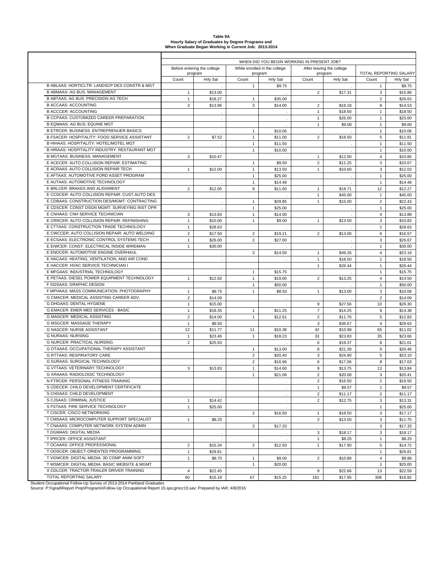| Table 9A                                              |
|-------------------------------------------------------|
| Hourly Salary of Graduates by Degree Programs and     |
| When Graduate Began Working in Current Job: 2013-2014 |

|                                                |                |                             |                | WHEN DID YOU BEGIN WORKING IN PRESENT JOB? |                |                            |                |                                    |
|------------------------------------------------|----------------|-----------------------------|----------------|--------------------------------------------|----------------|----------------------------|----------------|------------------------------------|
|                                                |                | Before entering the college |                | While enrolled in the college              |                | After leaving the college  |                |                                    |
|                                                | Count          | program<br>Hrly Sal         | Count          | program<br><b>Hrly Sal</b>                 | Count          | program<br><b>Hrly Sal</b> | Count          | TOTAL REPORTING SALARY<br>Hrly Sal |
| B ABLAAS: HORTICLTR: LANDSCP DES CONSTR & MGT  |                |                             | $\mathbf{1}$   | \$9.75                                     |                |                            | $\mathbf{1}$   | \$9.75                             |
| <b>B ABMAAS: AG BUS: MANAGEMENT</b>            | $\mathbf{1}$   | \$13.00                     |                |                                            | $\overline{2}$ | \$17.31                    | 3              | \$15.88                            |
| B ABTAAS: AG BUS: PRECISION AG TECH            | $\mathbf{1}$   | \$18.27                     | $\mathbf{1}$   | \$35.00                                    |                |                            | $\overline{2}$ | \$26.63                            |
| <b>B ACCAAS: ACCOUNTING</b>                    | 3              | \$13.96                     | 3              | \$14.00                                    | $\overline{2}$ | \$16.18                    | 8              | \$14.53                            |
| <b>B ACCCER: ACCOUNTING</b>                    |                | $\cdot$                     |                |                                            | 1              | \$18.50                    | $\mathbf{1}$   | \$18.50                            |
| B CCPAAS: CUSTOMIZED CAREER PREPARATION        |                | $\cdot$                     |                |                                            | $\mathbf{1}$   | \$25.00                    | $\mathbf{1}$   | \$25.00                            |
| <b>B EQMAAS: AG BUS: EQUINE MGT</b>            |                | $\epsilon$                  |                |                                            | $\mathbf{1}$   | \$9.00                     | $\mathbf{1}$   | \$9.00                             |
| <b>B ETRCER: BUSINESS: ENTREPRENUER BASICS</b> |                |                             | $\mathbf{1}$   | \$10.06                                    |                |                            | $\mathbf{1}$   | \$10.06                            |
| B FSACER: HOSPITALITY: FOOD SERVICE ASSISTANT  | $\overline{2}$ | \$7.52                      | $\mathbf{1}$   | \$11.00                                    | $\overline{2}$ | \$16.50                    | 5              | \$11.81                            |
| B HIHAAS: HOSPITALITY: HOTEL/MOTEL MGT         |                |                             | $\mathbf{1}$   | \$11.50                                    |                |                            | $\mathbf{1}$   | \$11.50                            |
| B HIRAAS: HOSPITALITY INDUSTRY: RESTAURANT MGT |                |                             | $\mathbf{1}$   | \$10.00                                    |                |                            | $\mathbf{1}$   | \$10.00                            |
| <b>B MGTAAS: BUSINESS: MANAGEMENT</b>          | 3              | \$10.47                     |                |                                            | $\mathbf{1}$   | \$12.00                    | $\overline{4}$ | \$10.85                            |
| E ACECER: AUTO COLLISION REPAIR: ESTIMATING    |                |                             | $\mathbf{1}$   | \$9.50                                     | 2              | \$11.25                    | 3              | \$10.67                            |
| E ACRAAS: AUTO COLLISION REPAIR TECH           | $\mathbf{1}$   | \$12.00                     | $\mathbf{1}$   | \$13.50                                    | $\mathbf{1}$   | \$10.60                    | 3              | \$12.03                            |
| E AFTAAS: AUTOMOTIVE FORD ASSET PROGRAM        |                |                             | $\mathbf{1}$   | \$25.00                                    |                |                            | $\mathbf{1}$   | \$25.00                            |
| E AUTAAS: AUTOMOTIVE TECHNOLOGY                |                |                             | $\mathbf{1}$   | \$14.48                                    |                |                            | $\mathbf{1}$   | \$14.48                            |
| E BRLCER: BRAKES AND ALIGNMENT                 | $\overline{2}$ | \$12.05                     | 9              | \$11.60                                    | $\mathbf{1}$   | \$18.71                    | 12             | \$12.27                            |
| E CCDCER: AUTO COLLISION REPAIR: CUST.AUTO DES |                | $\cdot$                     |                |                                            | $\mathbf{1}$   | \$45.00                    | $\mathbf{1}$   | \$45.00                            |
| E CDBAAS: CONSTRUCTION DES/MGMT: CONTRACTING   |                | $\cdot$                     | $\mathbf{1}$   | \$29.85                                    | $\mathbf{1}$   | \$15.00                    | $\overline{2}$ | \$22.43                            |
| E CDSCER: CONST DSGN MGMT: SURVEYING INST OPR  |                |                             | $\mathbf{1}$   | \$25.00                                    |                | $\cdot$                    | $\mathbf{1}$   | \$25.00                            |
| E CNHAAS: CNH SERVICE TECHNICIAN               | 3              | \$13.83                     | $\mathbf{1}$   | \$14.00                                    |                |                            | $\overline{4}$ | \$13.88                            |
| E CRRCER: AUTO COLLISION REPAIR: REFINISHING   | $\mathbf{1}$   | \$10.00                     | $\mathbf{1}$   | \$9.00                                     | $\mathbf{1}$   | \$13.50                    | 3              | \$10.83                            |
| E CTTAAS: CONSTRUCTION TRADE TECHNOLOGY        | $\mathbf{1}$   | \$28.63                     |                |                                            |                |                            | $\mathbf{1}$   | \$28.63                            |
| E CWCCER: AUTO COLLISION REPAIR: AUTO WELDING  | $\overline{2}$ | \$17.50                     | $\overline{2}$ | \$19.21                                    | $\overline{2}$ | \$13.00                    | 6              | \$16.57                            |
| E ECSAAS: ELECTRONIC CONTROL SYSTEMS TECH      | $\mathbf{1}$   | \$26.00                     | $\overline{2}$ | \$27.00                                    |                |                            | 3              | \$26.67                            |
| E EIWCER: CONST: ELECTRICAL INSIDE WIREMAN     | $\mathbf{1}$   | \$30.00                     |                |                                            |                |                            | $\mathbf{1}$   | \$30.00                            |
| E ENOCER: AUTOMOTIVE ENGINE OVERHAUL           |                |                             | 3              | \$14.50                                    | $\mathbf{1}$   | \$49.26                    | $\overline{4}$ | \$23.19                            |
| E HACAAS: HEATING, VENTILATION, AND AIR COND   |                | $\epsilon$                  |                |                                            | $\mathbf{1}$   | \$18.50                    | $\mathbf{1}$   | \$18.50                            |
| E HACCER: HVAC SERVICE TECHNICIAN I            |                | $\cdot$                     |                |                                            | $\mathbf{1}$   | \$26.44                    | $\mathbf{1}$   | \$26.44                            |
| E MFGAAS: INDUSTRIAL TECHNOLOGY                |                |                             | $\mathbf{1}$   | \$15.75                                    |                |                            | $\mathbf{1}$   | \$15.75                            |
| E PETAAS: DIESEL POWER EQUIPMENT TECHNOLOGY    | $\mathbf{1}$   | \$12.50                     | $\mathbf{1}$   | \$19.00                                    | 2              | \$13.25                    | $\overline{4}$ | \$14.50                            |
| F GDSAAS: GRAPHIC DESIGN                       |                |                             | $\mathbf{1}$   | \$50.00                                    |                |                            | $\mathbf{1}$   | \$50.00                            |
| F MPHAAS: MASS COMMUNICATION: PHOTOGRAPHY      | $\mathbf{1}$   | \$8.75                      | $\mathbf{1}$   | \$8.50                                     | $\mathbf{1}$   | \$13.00                    | 3              | \$10.08                            |
| G CMACER: MEDICAL ASSISTING CAREER ADV.        | $\overline{2}$ | \$14.09                     |                |                                            |                |                            | $\overline{2}$ | \$14.09                            |
| G DHGAAS: DENTAL HYGIENE                       | $\mathbf{1}$   | \$15.00                     |                |                                            | 9              | \$27.56                    | 10             | \$26.30                            |
| G EMACER: EMER MED SERVICES - BASIC            | $\mathbf{1}$   | \$18.35                     | $\mathbf{1}$   | \$11.25                                    | $\overline{7}$ | \$14.25                    | 9              | \$14.38                            |
| <b>G MASCER: MEDICAL ASSISTING</b>             | $\overline{2}$ | \$14.00                     | $\mathbf{1}$   | \$12.61                                    | $\overline{2}$ | \$11.76                    | 5              | \$12.83                            |
| <b>G MSGCER: MASSAGE THERAPY</b>               | $\mathbf{1}$   | \$8.50                      |                |                                            | 3              | \$36.67                    | $\overline{4}$ | \$29.63                            |
| <b>G NASCER: NURSE ASSISTANT</b>               | 12             | \$11.77                     | 11             | \$10.38                                    | 42             | \$10.98                    | 65             | \$11.02                            |
| <b>G NURAAS: NURSING</b>                       | $\overline{1}$ | \$23.46                     | $\mathbf{1}$   | \$18.23                                    | 33             | \$23.83                    | 35             | \$23.66                            |
| <b>G NURCER: PRACTICAL NURSING</b>             | $\overline{2}$ | \$25.93                     |                |                                            | 6              | \$19.37                    | 8              | \$21.01                            |
| G OTAAAS: OCCUPATIONAL THERAPY ASSISTANT       |                |                             | $\mathbf{1}$   | \$13.00                                    | 8              | \$21.39                    | 9              | \$20.46                            |
| <b>G RTTAAS: RESPIRATORY CARE</b>              |                | $\cdot$                     | $\overline{2}$ | \$20.40                                    | 3              | \$24.90                    | 5              | \$23.10                            |
| G SURAAS: SURGICAL TECHNOLOGY                  |                |                             | $\overline{2}$ | \$16.96                                    | 6              | \$17.06                    | 8              | \$17.03                            |
| G VTTAAS: VETERINARY TECHNOLOGY                | 3              | \$13.83                     | $\mathbf{1}$   | \$14.60                                    | 9              | \$13.75                    | 13             | \$13.84                            |
| <b>G XRAAAS: RADIOLOGIC TECHNOLOGY</b>         |                | $\cdot$                     | $\mathbf{1}$   | \$21.06                                    | $\overline{c}$ | \$20.08                    | 3              | \$20.41                            |
| N FTRCER: PERSONAL FITNESS TRAINING            |                | $\cdot$                     |                | $\cdot$                                    | $\overline{2}$ | \$16.50                    | 2              | \$16.50                            |
| S CDECER: CHILD DEVELOPMENT CERTIFICATE        |                |                             |                |                                            | $\mathbf{1}$   | \$9.57                     | $\mathbf{1}$   | \$9.57                             |
| S CHDAAS: CHILD DEVELOPMENT                    |                | $\overline{a}$              |                | $\lambda$                                  | $\overline{2}$ | \$11.17                    | $\overline{c}$ | \$11.17                            |
| S CJSAAS: CRIMINAL JUSTICE                     | $\mathbf{1}$   | \$14.42                     |                |                                            | $\overline{2}$ | \$12.75                    | 3              | \$13.31                            |
| S FSTAAS: FIRE SERVICE TECHNOLOGY              | $\mathbf{1}$   | \$25.00                     |                |                                            |                |                            | $\mathbf{1}$   | \$25.00                            |
| T CISCER: CISCO NETWORKING                     |                |                             | $\overline{2}$ | \$16.50                                    | $\mathbf{1}$   | \$18.50                    | 3              | \$17.17                            |
| T CMSAAS: MICROCOMPUTER SUPPORT SPECIALIST     | $\mathbf{1}$   | \$8.25                      |                |                                            | $\overline{2}$ | \$13.50                    | 3              | \$11.75                            |
| T CNAAAS: COMPUTER NETWORK SYSTEM ADMIN        |                |                             | 3              | \$17.33                                    |                |                            | 3              | \$17.33                            |
| T DGMAAS: DIGITAL MEDIA                        |                |                             |                |                                            | 3              | \$18.17                    | 3              | \$18.17                            |
| T IPRCER: OFFICE ASSISTANT                     |                |                             |                |                                            | $\mathbf{1}$   | \$8.25                     | $\mathbf{1}$   | \$8.25                             |
| T OCAAAS: OFFICE PROFESSIONAL                  | $\overline{2}$ | \$15.34                     | $\overline{2}$ | \$12.50                                    | $\mathbf{1}$   | \$17.90                    | 5              | \$14.72                            |
| T OOSCER: OBJECT-ORIENTED PROGRAMMING          | $\mathbf{1}$   | \$29.81                     |                |                                            |                |                            | $\mathbf{1}$   | \$29.81                            |
| T VGWCER: DIGITAL MEDIA: 3D COMP ANIM SOFT     | $\mathbf{1}$   | \$8.70                      | $\mathbf{1}$   | \$9.00                                     | $\overline{2}$ | \$10.88                    | $\overline{4}$ | \$9.86                             |
| T WSMCER: DIGITAL MEDIA: BASIC WEBSITE & MGMT  |                |                             | $\mathbf{1}$   | \$20.00                                    |                |                            | $\mathbf{1}$   | \$20.00                            |
| X CDLCER: TRACTOR-TRAILER DRIVER TRAINING      | $\overline{4}$ | \$22.45                     |                |                                            | 9              | \$22.66                    | 13             | \$22.59                            |
| TOTAL REPORTING SALARY                         | 60             | \$15.18                     | 67             | \$15.25                                    | 181            | \$17.95                    | 308            | \$16.82                            |

Student Occupational Follow-Up Survey of 2013-2014 Parkland Graduates<br>Source: P:∖\\grad\Report Prep\Programs\Follow-Up Occupational Report 15.sps;grocc15.sav; Prepared by IAR; 4/8/2016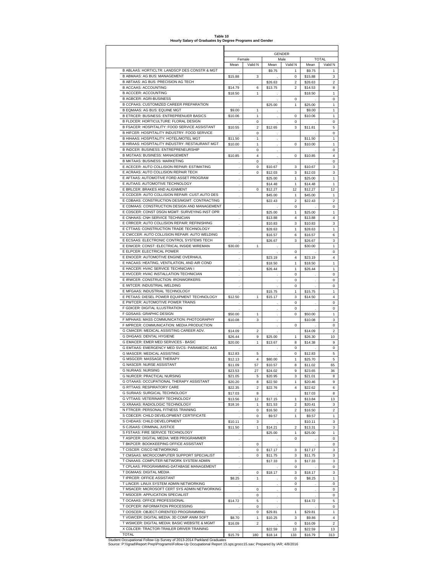|                                                                                             | <b>GENDER</b>     |              |              |                 |                   |                                  |  |  |  |  |  |
|---------------------------------------------------------------------------------------------|-------------------|--------------|--------------|-----------------|-------------------|----------------------------------|--|--|--|--|--|
|                                                                                             | Female            |              | <b>TOTAL</b> |                 |                   |                                  |  |  |  |  |  |
|                                                                                             | Mean              | Valid N      | Mean         | Male<br>Valid N | Mean              | Valid N                          |  |  |  |  |  |
| B ABLAAS: HORTICLTR: LANDSCP DES CONSTR & MGT                                               |                   |              | \$9.75       | 1               | \$9.75            | $\mathbf{1}$                     |  |  |  |  |  |
| <b>B ABMAAS: AG BUS: MANAGEMENT</b>                                                         | \$15.88           | 3            |              | 0               | \$15.88           | 3                                |  |  |  |  |  |
| B ABTAAS: AG BUS: PRECISION AG TECH                                                         |                   |              | \$26.63      | $\overline{2}$  | \$26.63           | $\overline{c}$                   |  |  |  |  |  |
| <b>B ACCAAS: ACCOUNTING</b>                                                                 | \$14.79           |              | \$13.75      |                 |                   | 8                                |  |  |  |  |  |
|                                                                                             |                   | 6            |              | 2               | \$14.53           |                                  |  |  |  |  |  |
| <b>B ACCCER: ACCOUNTING</b>                                                                 | \$18.50           | $\mathbf{1}$ |              |                 | \$18.50           | 1                                |  |  |  |  |  |
| <b>B AGBCER: AGRI-BUSINESS</b>                                                              |                   |              |              | 0               |                   | $\mathbf 0$                      |  |  |  |  |  |
| B CCPAAS: CUSTOMIZED CAREER PREPARATION                                                     |                   |              | \$25.00      | 1               | \$25.00           | 1                                |  |  |  |  |  |
| B EQMAAS: AG BUS: EQUINE MGT                                                                | \$9.00            | 1            |              |                 | \$9.00            | 1                                |  |  |  |  |  |
| B ETRCER: BUSINESS: ENTREPRENUER BASICS                                                     | \$10.06           | $\mathbf{1}$ |              | 0               | \$10.06           | $\mathbf{1}$                     |  |  |  |  |  |
| B FLDCER: HORTICULTURE: FLORAL DESIGN                                                       |                   | $\Omega$     |              | 0               |                   | 0                                |  |  |  |  |  |
| B FSACER: HOSPITALITY: FOOD SERVICE ASSISTANT                                               | \$10.55           | 2            | \$12.65      | 3               | \$11.81           | 5                                |  |  |  |  |  |
| B HIFCER: HOSPITALITY INDUSTRY: FOOD SERVICE                                                |                   | 0            |              |                 |                   | 0                                |  |  |  |  |  |
| B HIHAAS: HOSPITALITY: HOTEL/MOTEL MGT                                                      | \$11.50           | $\mathbf{1}$ |              |                 | \$11.50           | 1                                |  |  |  |  |  |
| B HIRAAS: HOSPITALITY INDUSTRY: RESTAURANT MGT                                              | \$10.00           | $\mathbf{1}$ |              | $\Omega$        | \$10.00           | 1                                |  |  |  |  |  |
| B INDCER: BUSINESS: ENTREPRENEURSHIP                                                        |                   | $\Omega$     |              |                 |                   | 0                                |  |  |  |  |  |
| B MGTAAS: BUSINESS: MANAGEMENT                                                              |                   |              |              |                 |                   | $\pmb{4}$                        |  |  |  |  |  |
| <b>B MKTAAS: BUSINESS: MARKETING</b>                                                        | \$10.85           | 4            |              | 0               | \$10.85           |                                  |  |  |  |  |  |
|                                                                                             |                   | 0            |              |                 |                   | 0                                |  |  |  |  |  |
| E ACECER: AUTO COLLISION REPAIR: ESTIMATING                                                 | ×,                | 0            | \$10.67      | 3               | \$10.67           | 3                                |  |  |  |  |  |
| E ACRAAS: AUTO COLLISION REPAIR TECH                                                        |                   | 0            | \$12.03      | 3               | \$12.03           | 3                                |  |  |  |  |  |
| E AFTAAS: AUTOMOTIVE FORD ASSET PROGRAM                                                     |                   |              | \$25.00      | $\mathbf{1}$    | \$25.00           | $\mathbf{1}$                     |  |  |  |  |  |
| E AUTAAS: AUTOMOTIVE TECHNOLOGY                                                             |                   |              | \$14.48      | $\mathbf{1}$    | \$14.48           | $\mathbf{1}$                     |  |  |  |  |  |
| E BRLCER: BRAKES AND ALIGNMENT                                                              |                   | 0            | \$12.27      | 12              | \$12.27           | 12                               |  |  |  |  |  |
| E CCDCER: AUTO COLLISION REPAIR: CUST.AUTO DES                                              |                   |              | \$45.00      | 1               | \$45.00           | $\mathbf{1}$                     |  |  |  |  |  |
| E CDBAAS: CONSTRUCTION DES/MGMT: CONTRACTING                                                |                   |              | \$22.43      | 2               | \$22.43           | $\overline{\mathbf{c}}$          |  |  |  |  |  |
|                                                                                             |                   |              |              |                 |                   |                                  |  |  |  |  |  |
| E CDMAAS: CONSTRUCTION DESIGN AND MANAGEMENT                                                | ÷.                |              |              | 0               |                   | 0                                |  |  |  |  |  |
| E CDSCER: CONST DSGN MGMT: SURVEYING INST OPR                                               |                   |              | \$25.00      | 1               | \$25.00           | $\mathbf{1}$                     |  |  |  |  |  |
| E CNHAAS: CNH SERVICE TECHNICIAN                                                            |                   |              | \$13.88      | 4               | \$13.88           | $\overline{\mathbf{4}}$          |  |  |  |  |  |
| E CRRCER: AUTO COLLISION REPAIR: REFINISHING                                                | i,                |              | \$10.83      | 3               | \$10.83           | 3                                |  |  |  |  |  |
| E CTTAAS: CONSTRUCTION TRADE TECHNOLOGY                                                     |                   |              | \$28.63      | $\mathbf{1}$    | \$28.63           | 1                                |  |  |  |  |  |
| E CWCCER: AUTO COLLISION REPAIR: AUTO WELDING                                               | ä,                |              | \$16.57      | 6               | \$16.57           | 6                                |  |  |  |  |  |
| E ECSAAS: ELECTRONIC CONTROL SYSTEMS TECH                                                   |                   |              |              | 3               |                   | 3                                |  |  |  |  |  |
|                                                                                             |                   |              | \$26.67      |                 | \$26.67           |                                  |  |  |  |  |  |
| E EIWCER: CONST: ELECTRICAL INSIDE WIREMAN                                                  | \$30.00           | 1            |              |                 | \$30.00           | $\mathbf{1}$                     |  |  |  |  |  |
| E ELPCER: ELECTRICAL POWER                                                                  |                   |              |              | $\Omega$        |                   | 0                                |  |  |  |  |  |
| E ENOCER: AUTOMOTIVE ENGINE OVERHAUL                                                        |                   |              | \$23.19      | 4               | \$23.19           | 4                                |  |  |  |  |  |
| E HACAAS: HEATING, VENTILATION, AND AIR COND                                                | ÷.                |              | \$18.50      | $\mathbf{1}$    | \$18.50           | 1                                |  |  |  |  |  |
| E HACCER: HVAC SERVICE TECHNICIAN I                                                         |                   |              | \$26.44      | 1               | \$26.44           | $\mathbf 1$                      |  |  |  |  |  |
| E HVCCER: HVAC INSTALLATION TECHNICIAN                                                      |                   |              |              | 0               |                   | 0                                |  |  |  |  |  |
| E IRWCER: CONSTRUCTION: IRONWORKERS                                                         |                   |              |              |                 |                   | 0                                |  |  |  |  |  |
|                                                                                             | i,                |              |              | 0               | $\cdot$           |                                  |  |  |  |  |  |
| E IWTCER: INDUSTRIAL WELDING                                                                |                   |              |              | 0               |                   | 0                                |  |  |  |  |  |
| E MFGAAS: INDUSTRIAL TECHNOLOGY                                                             |                   |              | \$15.75      | $\mathbf{1}$    | \$15.75           | $\mathbf{1}$                     |  |  |  |  |  |
| E PETAAS: DIESEL POWER EQUIPMENT TECHNOLOGY                                                 | \$12.50           | $\mathbf{1}$ | \$15.17      | 3               | \$14.50           | 4                                |  |  |  |  |  |
| E PWTCER: AUTOMOTIVE POWER TRAINS                                                           |                   |              |              | 0               |                   | 0                                |  |  |  |  |  |
| F GDICER: DIGITAL ILLUSTRATION                                                              |                   |              | $\cdot$      | 0               |                   | 0                                |  |  |  |  |  |
| F GDSAAS: GRAPHIC DESIGN                                                                    | \$50.00           | $\mathbf{1}$ |              | $\Omega$        | \$50.00           | $\mathbf{1}$                     |  |  |  |  |  |
| F MPHAAS: MASS COMMUNICATION: PHOTOGRAPHY                                                   | \$10.08           | 3            |              |                 | \$10.08           | 3                                |  |  |  |  |  |
| F MPRCER: COMMUNICATION: MEDIA PRODUCTION                                                   |                   |              |              |                 |                   |                                  |  |  |  |  |  |
|                                                                                             |                   |              |              | 0               |                   | 0                                |  |  |  |  |  |
| G CMACER: MEDICAL ASSISTING CAREER ADV.                                                     | \$14.09           | 2            |              |                 | \$14.09           | $\overline{\mathbf{c}}$          |  |  |  |  |  |
| G DHGAAS: DENTAL HYGIENE                                                                    | \$26.44           | 9            | \$25.00      | 1               | \$26.30           | 10                               |  |  |  |  |  |
| G EMACER: EMER MED SERVICES - BASIC                                                         | \$20.00           | $\mathbf{1}$ | \$13.67      | 8               | \$14.38           | 9                                |  |  |  |  |  |
| G EMTAAS: EMERGENCY MED SVCS- PARAMEDIC AAS                                                 |                   |              |              | $\Omega$        |                   | 0                                |  |  |  |  |  |
| <b>G MASCER: MEDICAL ASSISTING</b>                                                          | \$12.83           | 5            |              | 0               | \$12.83           | 5                                |  |  |  |  |  |
| G MSGCER: MASSAGE THERAPY                                                                   | \$12.13           | 4            | \$80.00      | 1               | \$25.70           | 5                                |  |  |  |  |  |
|                                                                                             |                   |              |              |                 |                   |                                  |  |  |  |  |  |
| <b>G NASCER: NURSE ASSISTANT</b>                                                            | \$11.09           | 57           | \$10.57      | 8               | \$11.02           | 65                               |  |  |  |  |  |
| <b>G NURAAS: NURSING</b>                                                                    | \$23.53           | 27           | \$24.02      | 9               | \$23.65           | 36                               |  |  |  |  |  |
| G NURCER: PRACTICAL NURSING                                                                 | \$21.05           | 5            | \$20.95      | 3               | \$21.01           | 8                                |  |  |  |  |  |
| G OTAAAS: OCCUPATIONAL THERAPY ASSISTANT                                                    | \$20.20           | 8            | \$22.50      | 1               | \$20.46           | 9                                |  |  |  |  |  |
| G RTTAAS: RESPIRATORY CARE                                                                  | \$22.35           | 2            | \$22.76      | 4               | \$22.62           | 6                                |  |  |  |  |  |
| G SURAAS: SURGICAL TECHNOLOGY                                                               | \$17.03           | 8            | $\mathbf{r}$ |                 | \$17.03           | 8                                |  |  |  |  |  |
| G VTTAAS: VETERINARY TECHNOLOGY                                                             | \$13.56           | 12           | \$17.15      | $\mathbf{1}$    | \$13.84           | 13                               |  |  |  |  |  |
| G XRAAAS: RADIOLOGIC TECHNOLOGY                                                             |                   | 1            |              | 2               |                   | 3                                |  |  |  |  |  |
|                                                                                             | \$18.16           |              | \$21.53      |                 | \$20.41           |                                  |  |  |  |  |  |
| N FTRCER: PERSONAL FITNESS TRAINING                                                         |                   | 0            | \$16.50      | 2               | \$16.50           | $\boldsymbol{2}$                 |  |  |  |  |  |
| S CDECER: CHILD DEVELOPMENT CERTIFICATE                                                     |                   | 0            | \$9.57       | 1               | \$9.57            | $\mathbf{1}$                     |  |  |  |  |  |
| S CHDAAS: CHILD DEVELOPMENT                                                                 | \$10.11           | 3            |              |                 | \$10.11           | 3                                |  |  |  |  |  |
| S CJSAAS: CRIMINAL JUSTICE                                                                  | \$11.50           | $\mathbf{1}$ | \$14.21      | $\overline{2}$  | \$13.31           | 3                                |  |  |  |  |  |
| S FSTAAS: FIRE SERVICE TECHNOLOGY                                                           | ÷                 |              | \$25.00      | 1               | \$25.00           | 1                                |  |  |  |  |  |
| T ASPCER: DIGITAL MEDIA: WEB PROGRAMMER                                                     |                   |              |              | 0               |                   | 0                                |  |  |  |  |  |
| T BKPCER: BOOKKEEPING OFFICE ASSISTANT                                                      | $\cdot$           |              |              |                 |                   | 0                                |  |  |  |  |  |
| T CISCER: CISCO NETWORKING                                                                  | ÷.                | 0            |              |                 |                   |                                  |  |  |  |  |  |
|                                                                                             | ÷                 | 0            | \$17.17      | 3               | \$17.17           | 3                                |  |  |  |  |  |
| T CMSAAS: MICROCOMPUTER SUPPORT SPECIALIST                                                  |                   | $\Omega$     | \$11.75      | 3               | \$11.75           | 3                                |  |  |  |  |  |
| T CNAAAS: COMPUTER NETWORK SYSTEM ADMIN                                                     | i,                |              | \$17.33      | 3               | \$17.33           | 3                                |  |  |  |  |  |
| T CPLAAS: PROGRAMMING-DATABASE MANAGEMENT                                                   | $\cdot$           |              |              | 0               |                   | 0                                |  |  |  |  |  |
| T DGMAAS: DIGITAL MEDIA                                                                     |                   | 0            | \$18.17      | 3               | \$18.17           | 3                                |  |  |  |  |  |
| T IPRCER: OFFICE ASSISTANT                                                                  | \$8.25            | $\mathbf{1}$ |              | 0               | \$8.25            | 1                                |  |  |  |  |  |
| T LINCER: LINUX SYSTEM ADMIN NETWORKING                                                     |                   |              |              |                 |                   |                                  |  |  |  |  |  |
|                                                                                             |                   |              |              | 0               |                   | 0                                |  |  |  |  |  |
| T MSACER: MICROSOFT CERT SYS ADMIN NETWORKING                                               | i,                | 0            | ÷            | 0               |                   | 0                                |  |  |  |  |  |
| T MSOCER: APPLICATION SPECIALIST                                                            |                   | 0            |              |                 |                   | 0                                |  |  |  |  |  |
| T OCAAAS: OFFICE PROFESSIONAL                                                               | \$14.72           | 5            |              |                 | \$14.72           | 5                                |  |  |  |  |  |
| T OCPCER: INFORMATION PROCESSING                                                            |                   | 0            |              |                 |                   | 0                                |  |  |  |  |  |
| T OOSCER: OBJECT-ORIENTED PROGRAMMING                                                       |                   |              |              | $\mathbf{1}$    |                   |                                  |  |  |  |  |  |
|                                                                                             |                   |              |              |                 |                   |                                  |  |  |  |  |  |
|                                                                                             |                   | $\Omega$     | \$29.81      |                 | \$29.81           |                                  |  |  |  |  |  |
| T VGWCER: DIGITAL MEDIA: 3D COMP ANIM SOFT<br>T WSMCER: DIGITAL MEDIA: BASIC WEBSITE & MGMT | \$8.70<br>\$16.09 | 1<br>2       | \$10.25      | 3<br>0          | \$9.86<br>\$16.09 | $\mathbf{1}$<br>4<br>$\mathbf 2$ |  |  |  |  |  |

**Table 10 Hourly Salary of Graduates by Degree Programs and Gender**

X CDLCER: TRACTOR-TRAILER DRIVER TRAINING<br>
Student Occupational Follow-Up Survey of 2013-2014 Parkland Graduates<br>
Student Occupational Follow-Up Survey of 2013-2014 Parkland Graduates<br>
Source: P:\\\grad\Report Prep\Program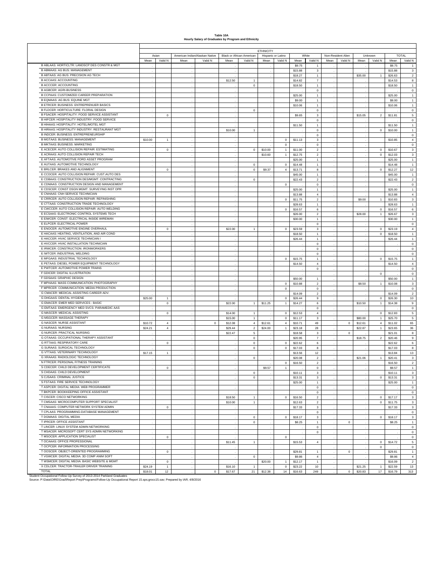#### **Table 10A Hourly Salary of Graduates by Program and Ethnicity**

|                                                                                                                                                                                                     |         |                |      |                                |                                  |                | <b>ETHNICITY</b> |                     |                    |                                           |      |                    |         |                |                    |                              |
|-----------------------------------------------------------------------------------------------------------------------------------------------------------------------------------------------------|---------|----------------|------|--------------------------------|----------------------------------|----------------|------------------|---------------------|--------------------|-------------------------------------------|------|--------------------|---------|----------------|--------------------|------------------------------|
|                                                                                                                                                                                                     |         | Asian          |      | American Indian/Alaskan Native | <b>Black or African American</b> |                |                  | Hispanic or Latino  | White              |                                           |      | Non-Resident Alien |         | Unknown        |                    | <b>TOTAL</b>                 |
|                                                                                                                                                                                                     | Mean    | Valid N        | Mean | Valid N                        | Mean                             | Valid N        | Mean             | Valid N             | Mean               | Valid N                                   | Mean | Valid N            | Mean    | Valid N        | Mean               | Valid N                      |
| B ABLAAS: HORTICLTR: LANDSCP DES CONSTR & MGT                                                                                                                                                       |         |                |      |                                |                                  |                |                  |                     | \$9.75             | 1                                         |      |                    |         |                | \$9.75             | $\mathbf{1}$                 |
| <b>B ABMAAS: AG BUS: MANAGEMENT</b>                                                                                                                                                                 |         |                |      |                                |                                  |                |                  |                     | \$15.88            | 3                                         |      |                    |         |                | \$15.88            | $\mathbf 3$                  |
| B ABTAAS: AG BUS: PRECISION AG TECH                                                                                                                                                                 |         |                |      |                                |                                  |                |                  |                     | \$18.27            | $\mathbf{1}$                              |      |                    | \$35.00 | $\overline{1}$ | \$26.63            | $\mathbf 2$                  |
| <b>B ACCAAS: ACCOUNTING</b><br><b>B ACCCER: ACCOUNTING</b>                                                                                                                                          |         |                |      |                                | \$12.50                          | $\mathbf{1}$   |                  |                     | \$14.82            | $\overline{\mathbf{r}}$                   |      |                    |         |                | \$14.53            | $\bf8$                       |
| <b>B AGBCER: AGRI-BUSINESS</b>                                                                                                                                                                      |         |                |      |                                |                                  | $\mathbf 0$    |                  |                     | \$18.50            | $\mathbf{1}$                              |      |                    |         |                | \$18.50            | $\mathbf{1}$                 |
| B CCPAAS: CUSTOMIZED CAREER PREPARATION                                                                                                                                                             |         |                |      |                                |                                  |                |                  |                     |                    | $\mathbf 0$                               |      |                    |         |                |                    | $\mathbf 0$                  |
| B EQMAAS: AG BUS: EQUINE MGT                                                                                                                                                                        |         |                |      |                                |                                  |                |                  |                     | \$25.00            | $\mathbf{1}$<br>$\mathbf{1}$              |      |                    |         |                | \$25.00            | $\mathbf{1}$<br>$\mathbf{1}$ |
| B ETRCER: BUSINESS: ENTREPRENUER BASICS                                                                                                                                                             |         |                |      |                                |                                  |                |                  |                     | \$9.00<br>\$10.06  | $\mathbf{1}$                              |      |                    |         |                | \$9.00<br>\$10.06  | $\mathbf{1}$                 |
| B FLDCER: HORTICULTURE: FLORAL DESIGN                                                                                                                                                               |         |                |      |                                |                                  | $\mathbf 0$    |                  |                     |                    | 0                                         |      |                    |         |                |                    | $\mathbf 0$                  |
| B FSACER: HOSPITALITY: FOOD SERVICE ASSISTANT                                                                                                                                                       |         | $\mathbf 0$    |      |                                |                                  |                |                  |                     | \$9.65             | 3                                         |      |                    | \$15.05 | $\overline{2}$ | \$11.81            | $\mathbf 5$                  |
| B HIFCER: HOSPITALITY INDUSTRY: FOOD SERVICE                                                                                                                                                        |         |                |      |                                |                                  |                |                  |                     |                    | $\mathbf 0$                               |      |                    |         |                |                    | $\mathbf 0$                  |
| B HIHAAS: HOSPITALITY: HOTEL/MOTEL MGT                                                                                                                                                              |         |                |      |                                |                                  |                |                  |                     | \$11.50            | $\mathbf{1}$                              |      |                    |         |                | \$11.50            | $\,1\,$                      |
| B HIRAAS: HOSPITALITY INDUSTRY: RESTAURANT MGT                                                                                                                                                      |         |                |      |                                | \$10.00                          | $\overline{1}$ |                  |                     |                    | $\mathbf 0$                               |      |                    |         | $\circ$        | \$10.00            | $\mathbf{1}$                 |
| B INDCER: BUSINESS: ENTREPRENEURSHIP                                                                                                                                                                |         |                |      |                                |                                  |                |                  |                     |                    | $\mathbf 0$                               |      |                    |         |                |                    | $\mathbf 0$                  |
| <b>B MGTAAS: BUSINESS: MANAGEMENT</b>                                                                                                                                                               | \$10.00 | $\mathbf{1}$   |      |                                |                                  |                |                  | $\mathbf 0$         | \$11.13            | 3                                         |      |                    |         |                | \$10.85            | $\overline{4}$               |
| B MKTAAS: BUSINESS: MARKETING                                                                                                                                                                       |         |                |      |                                |                                  |                |                  | $\mathbf 0$         |                    | 0                                         |      |                    |         |                |                    | $\mathbf 0$                  |
| E ACECER: AUTO COLLISION REPAIR: ESTIMATING                                                                                                                                                         |         | $\mathbf 0$    |      |                                |                                  | $\circ$        | \$10.00          | $\mathbf{1}$        | \$11.00            | $\overline{a}$                            |      |                    |         | $\,0\,$        | \$10.67            | $\mathbf 3$                  |
| E ACRAAS: AUTO COLLISION REPAIR TECH                                                                                                                                                                |         |                |      |                                |                                  |                | \$10.60          | $\mathbf{1}$        | \$12.75            | $\overline{c}$                            |      |                    |         | $\,0\,$        | \$12.03            | $\mathbf 3$                  |
| E AFTAAS: AUTOMOTIVE FORD ASSET PROGRAM                                                                                                                                                             |         |                |      |                                |                                  |                |                  |                     | \$25.00            | $\mathbf{1}$                              |      |                    |         |                | \$25.00            | $\mathbf{1}$                 |
| E AUTAAS: AUTOMOTIVE TECHNOLOGY                                                                                                                                                                     |         |                |      |                                |                                  | $^{\circ}$     |                  | $\circ$             | \$14.48            | $\mathbf{1}$                              |      |                    |         |                | \$14.48            | $\mathbf{1}$                 |
| E BRLCER: BRAKES AND ALIGNMENT                                                                                                                                                                      |         | $\mathbf 0$    |      |                                |                                  | $\mathbf 0$    | \$9.37           | $\overline{4}$      | \$13.71            | 8                                         |      |                    |         | $\mathbf{0}$   | \$12.27            | 12                           |
| E CCDCER: AUTO COLLISION REPAIR: CUST.AUTO DES                                                                                                                                                      |         |                |      |                                |                                  |                |                  |                     | \$45.00            | $\mathbf{1}$                              |      |                    |         |                | \$45.00            | $\mathbf{1}$                 |
| E CDBAAS: CONSTRUCTION DES/MGMT: CONTRACTING                                                                                                                                                        |         |                |      |                                |                                  | $\circ$        |                  |                     | \$22.43            | $\overline{a}$                            |      |                    |         |                | \$22.43            | $\mathbf 2$                  |
| E CDMAAS: CONSTRUCTION DESIGN AND MANAGEMENT                                                                                                                                                        |         |                |      |                                |                                  |                |                  | $\mathbf{0}$        |                    | $^{\circ}$                                |      |                    |         |                |                    | $\mathbf 0$                  |
| E CDSCER: CONST DSGN MGMT: SURVEYING INST OPR                                                                                                                                                       |         |                |      |                                |                                  |                |                  |                     | \$25.00            | $\mathbf{1}$                              |      |                    |         |                | \$25.00            | $\mathbf{1}$                 |
| E CNHAAS: CNH SERVICE TECHNICIAN                                                                                                                                                                    |         |                |      |                                |                                  |                |                  |                     | \$13.88            | $\overline{4}$                            |      |                    |         |                | \$13.88            | $\overline{4}$               |
| E CRRCER: AUTO COLLISION REPAIR: REFINISHING                                                                                                                                                        |         |                |      |                                |                                  |                |                  | $\mathbf 0$         | \$11.75            | $\overline{c}$                            |      |                    | \$9.00  | $\overline{1}$ | \$10.83            | $\mathbf 3$                  |
| E CTTAAS: CONSTRUCTION TRADE TECHNOLOGY                                                                                                                                                             |         |                |      |                                |                                  |                |                  |                     | \$28.63            | $\mathbf{1}$                              |      |                    |         |                | \$28.63            | $\mathbf{1}$                 |
| E CWCCER: AUTO COLLISION REPAIR: AUTO WELDING                                                                                                                                                       |         |                |      |                                |                                  |                |                  | $\mathbf 0$         | \$16.57            | 6                                         |      |                    |         | $\,0\,$        | \$16.57            | $\,$ 6 $\,$                  |
| E ECSAAS: ELECTRONIC CONTROL SYSTEMS TECH<br>E EIWCER: CONST: ELECTRICAL INSIDE WIREMAN                                                                                                             |         |                |      |                                |                                  |                |                  |                     | \$26.00            | $\mathbf 2$                               |      |                    | \$28.00 | $\mathbf{1}$   | \$26.67            | $\mathbf 3$                  |
|                                                                                                                                                                                                     |         |                |      |                                |                                  |                |                  |                     | \$30.00            | $\mathbf{1}$                              |      |                    |         |                | \$30.00            | $\mathbf{1}$                 |
| E ELPCER: ELECTRICAL POWER                                                                                                                                                                          |         |                |      |                                |                                  |                |                  |                     |                    | $\mathbf 0$                               |      |                    |         |                |                    | $\mathbf 0$                  |
| E ENOCER: AUTOMOTIVE ENGINE OVERHAUL<br>E HACAAS: HEATING, VENTILATION, AND AIR COND                                                                                                                |         | $\mathbf 0$    |      |                                | \$22.00                          | $\mathbf{1}$   |                  | $\overline{0}$      | \$23.59            | $\mathbf 3$                               |      |                    |         | $^{\circ}$     | \$23.19            | $\overline{4}$               |
| E HACCER: HVAC SERVICE TECHNICIAN I                                                                                                                                                                 |         |                |      |                                |                                  |                |                  |                     | \$18.50            | $\mathbf{1}$                              |      |                    |         | $\,0\,$        | \$18.50            | $\mathbf{1}$                 |
| E HVCCER: HVAC INSTALLATION TECHNICIAN                                                                                                                                                              |         |                |      |                                |                                  |                |                  |                     | \$26.44            | $\mathbf{1}$                              |      |                    |         |                | \$26.44            | $\mathbf{1}$                 |
| E IRWCER: CONSTRUCTION: IRONWORKERS                                                                                                                                                                 |         |                |      |                                |                                  |                |                  |                     |                    | $\mathbf 0$<br>$\mathbf 0$                |      |                    |         |                |                    | $\mathbf 0$<br>$\mathbf 0$   |
| E IWTCER: INDUSTRIAL WELDING                                                                                                                                                                        |         |                |      |                                |                                  |                |                  |                     |                    | 0                                         |      |                    |         |                |                    | $\mathbf 0$                  |
| E MFGAAS: INDUSTRIAL TECHNOLOGY                                                                                                                                                                     |         |                |      |                                |                                  |                |                  | $\mathbf{0}$        | \$15.75            | $\mathbf{1}$                              |      |                    |         | $\Omega$       | \$15.75            | $\mathbf{1}$                 |
| E PETAAS: DIESEL POWER EQUIPMENT TECHNOLOGY                                                                                                                                                         |         |                |      |                                |                                  |                |                  |                     | \$14.50            | $\overline{4}$                            |      |                    |         |                | \$14.50            | $\overline{4}$               |
| E PWTCER: AUTOMOTIVE POWER TRAINS                                                                                                                                                                   |         |                |      |                                |                                  |                |                  |                     |                    | $\mathbf 0$                               |      |                    |         |                |                    | $\mathbf 0$                  |
| F GDICER: DIGITAL ILLUSTRATION                                                                                                                                                                      |         |                |      |                                |                                  |                |                  |                     |                    |                                           |      |                    |         | $\circ$        |                    | $\mathbf 0$                  |
| F GDSAAS: GRAPHIC DESIGN                                                                                                                                                                            |         |                |      |                                |                                  |                |                  |                     | \$50.00            | $\mathbf{1}$                              |      |                    |         |                | \$50.00            | $\mathbf{1}$                 |
| F MPHAAS: MASS COMMUNICATION: PHOTOGRAPHY                                                                                                                                                           |         |                |      |                                |                                  |                |                  | $\mathbf{0}$        | \$10.88            | $\overline{2}$                            |      |                    | \$8.50  | $\mathbf{1}$   | \$10.08            | $\mathbf 3$                  |
| F MPRCER: COMMUNICATION: MEDIA PRODUCTION                                                                                                                                                           |         |                |      |                                |                                  |                |                  | $\mathbf 0$         |                    | 0                                         |      |                    |         |                |                    | $\mathbf 0$                  |
| G CMACER: MEDICAL ASSISTING CAREER ADV.                                                                                                                                                             |         |                |      |                                |                                  |                |                  |                     | \$14.09            | $\overline{2}$                            |      |                    |         |                | \$14.09            | $\overline{2}$               |
| G DHGAAS: DENTAL HYGIENE                                                                                                                                                                            | \$25.00 | $\mathbf{1}$   |      |                                |                                  |                |                  | $\mathsf 0$         | \$26.44            | $\boldsymbol{9}$                          |      |                    |         | $\,0\,$        | \$26.30            | 10                           |
| G EMACER: EMER MED SERVICES - BASIC                                                                                                                                                                 |         | $\,$ 0         |      |                                | \$22.00                          | $\overline{1}$ | \$11.25          | $\mathbf{1}$        | \$14.27            | 6                                         |      |                    | \$10.50 | $\mathbf{1}$   | \$14.38            | $\mathsf g$                  |
| G EMTAAS: EMERGENCY MED SVCS- PARAMEDIC AAS                                                                                                                                                         |         |                |      |                                |                                  |                |                  |                     |                    | $\mathbf 0$                               |      |                    |         |                |                    | $\mathbf 0$                  |
| <b>G MASCER: MEDICAL ASSISTING</b>                                                                                                                                                                  |         | $\mathbf 0$    |      |                                | \$14.00                          | $\overline{1}$ |                  | $\mathsf{O}\xspace$ | \$12.53            | $\bf{4}$                                  |      |                    |         | $^{\circ}$     | \$12.83            | $\,$ 5 $\,$                  |
| <b>G MSGCER: MASSAGE THERAPY</b>                                                                                                                                                                    |         |                |      |                                | \$15.00                          | $\mathbf{1}$   |                  | $\mathbf 0$         | \$11.17            | $\mathbf 3$                               |      |                    | \$80.00 | $\mathbf{1}$   | \$25.70            | $\,$ 5 $\,$                  |
| <b>G NASCER: NURSE ASSISTANT</b>                                                                                                                                                                    | \$10.72 | 4              |      | $\circ$                        | \$12.08                          | $\overline{4}$ | \$12.61          | $\overline{4}$      | \$10.71            | 49                                        |      | $\overline{0}$     | \$12.61 | $\overline{4}$ | \$11.02            | 65                           |
| <b>G NURAAS: NURSING</b>                                                                                                                                                                            | \$24.21 | $\overline{4}$ |      |                                | \$29.44                          | $\overline{2}$ | \$24.00          | $\mathbf{1}$        | \$23.18            | 28                                        |      |                    | \$22.87 | $\mathbf{1}$   | \$23.65            | 36                           |
| <b>G NURCER: PRACTICAL NURSING</b>                                                                                                                                                                  |         |                |      |                                | \$22.47                          | 5              |                  |                     | \$18.58            | 3                                         |      | $\overline{0}$     |         |                | \$21.01            | $\bf8$                       |
| G OTAAAS: OCCUPATIONAL THERAPY ASSISTANT                                                                                                                                                            |         |                |      |                                |                                  | $\mathbf 0$    |                  |                     | \$20.95            | $\overline{7}$                            |      |                    | \$18.75 | $\overline{2}$ | \$20.46            | $\mathsf g$                  |
| <b>G RTTAAS: RESPIRATORY CARE</b>                                                                                                                                                                   |         | $\,0\,$        |      |                                |                                  | $\,0\,$        |                  | $\mathsf{O}\xspace$ | \$22.62            | 6                                         |      |                    |         |                | \$22.62            | $\bf 6$                      |
| G SURAAS: SURGICAL TECHNOLOGY                                                                                                                                                                       |         |                |      |                                |                                  | $\mathbf 0$    |                  | $\mathsf 0$         | \$17.03            | 8                                         |      |                    |         |                | \$17.03            | 8                            |
| <b>G VTTAAS: VETERINARY TECHNOLOGY</b>                                                                                                                                                              | \$17.15 | $\mathbf{1}$   |      |                                |                                  |                |                  |                     | \$13.56            | 12                                        |      |                    |         |                | \$13.84            | 13                           |
| G XRAAAS: RADIOLOGIC TECHNOLOGY                                                                                                                                                                     |         |                |      |                                |                                  | $\mathbf 0$    |                  |                     | \$20.08            | $\overline{2}$                            |      |                    | \$21.06 | $\mathbf{1}$   | \$20.41            | $\mathbf 3$                  |
| N FTRCER: PERSONAL FITNESS TRAINING<br>S CDECER: CHILD DEVELOPMENT CERTIFICATE                                                                                                                      |         |                |      |                                |                                  |                |                  | $\mathbf{0}$        | \$16.50            | $\overline{c}$                            |      |                    |         |                | \$16.50            | $\mathbf{2}$                 |
| S CHDAAS: CHILD DEVELOPMENT                                                                                                                                                                         |         | $\mathbf 0$    |      |                                |                                  |                | \$9.57           | $\mathbf{1}$        |                    | $\mathbf 0$                               |      |                    |         |                | \$9.57             | $\,1\,$                      |
|                                                                                                                                                                                                     |         |                |      |                                |                                  | $^{\circ}$     |                  |                     | \$10.11            | 3                                         |      |                    |         |                | \$10.11            | 3                            |
| S CJSAAS: CRIMINAL JUSTICE<br>S FSTAAS: FIRE SERVICE TECHNOLOGY                                                                                                                                     |         |                |      |                                |                                  | $^{\circ}$     |                  |                     | \$13.31            | 3                                         |      |                    |         | $\overline{0}$ | \$13.31            | $\mathbf 3$                  |
| T ASPCER: DIGITAL MEDIA: WEB PROGRAMMER                                                                                                                                                             |         |                |      |                                |                                  |                |                  |                     | \$25.00            | $\mathbf{1}$                              |      |                    |         |                | \$25.00            | $\mathbf{1}$                 |
| T BKPCER: BOOKKEEPING OFFICE ASSISTANT                                                                                                                                                              |         |                |      |                                |                                  |                |                  |                     |                    | $\mathbf 0$                               |      |                    |         |                |                    | $\mathbf 0$                  |
| T CISCER: CISCO NETWORKING                                                                                                                                                                          |         |                |      |                                |                                  | $\overline{1}$ |                  | $\mathbf{0}$        |                    | $\mathbf 0$                               |      |                    |         | $\circ$        |                    | $\mathbf 0$                  |
| T CMSAAS: MICROCOMPUTER SUPPORT SPECIALIST                                                                                                                                                          |         |                |      |                                | \$18.50<br>\$10.00               | $\mathbf{1}$   |                  |                     | \$16.50<br>\$12.63 | $\overline{a}$<br>$\overline{\mathbf{c}}$ |      |                    |         | $\mathbf 0$    | \$17.17<br>\$11.75 | $_{\rm 3}$<br>$_{\rm 3}$     |
| T CNAAAS: COMPUTER NETWORK SYSTEM ADMIN                                                                                                                                                             |         | 0              |      |                                |                                  |                |                  |                     | \$17.33            | $\mathbf{3}$                              |      |                    |         |                | \$17.33            | $_{\rm 3}$                   |
| T CPLAAS: PROGRAMMING-DATABASE MANAGEMENT                                                                                                                                                           |         |                |      |                                |                                  |                |                  |                     |                    | $\mathbf 0$                               |      |                    |         |                |                    | $\mathbf 0$                  |
| T DGMAAS: DIGITAL MEDIA                                                                                                                                                                             |         |                |      |                                |                                  | $\mathbf 0$    |                  | $\mathbf 0$         | \$18.17            | 3                                         |      |                    |         | $\circ$        | \$18.17            | $\mathbf 3$                  |
| T IPRCER: OFFICE ASSISTANT                                                                                                                                                                          |         |                |      |                                |                                  | $\mathbf 0$    |                  |                     | \$8.25             | $\mathbf{1}$                              |      | $\mathbf 0$        |         |                | \$8.25             | $\mathbf{1}$                 |
| T LINCER: LINUX SYSTEM ADMIN NETWORKING                                                                                                                                                             |         |                |      |                                |                                  |                |                  |                     |                    | $\mathbf 0$                               |      |                    |         |                |                    | $\mathbf 0$                  |
| T MSACER: MICROSOFT CERT SYS ADMIN NETWORKING                                                                                                                                                       |         |                |      |                                |                                  |                |                  |                     |                    | $\mathbf 0$                               |      |                    |         |                |                    | $\mathbf 0$                  |
| T MSOCER: APPLICATION SPECIALIST                                                                                                                                                                    |         | $\mathbf 0$    |      |                                |                                  |                |                  | $\mathsf 0$         |                    |                                           |      |                    |         |                |                    | $\mathbf 0$                  |
| T OCAAAS: OFFICE PROFESSIONAL                                                                                                                                                                       |         |                |      |                                | \$11.45                          | $\overline{1}$ |                  |                     | \$15.53            | 4                                         |      |                    |         | $\circ$        | \$14.72            | $\,$ 5 $\,$                  |
| T OCPCER: INFORMATION PROCESSING                                                                                                                                                                    |         |                |      |                                |                                  |                |                  |                     |                    |                                           |      |                    |         | $\circ$        |                    | $\mathbf 0$                  |
| T OOSCER: OBJECT-ORIENTED PROGRAMMING                                                                                                                                                               |         | $\mathbf 0$    |      |                                |                                  |                |                  |                     | \$29.81            | $\mathbf{1}$                              |      | $\mathbf{0}$       |         |                | \$29.81            | $\mathbf{1}$                 |
| T VGWCER: DIGITAL MEDIA: 3D COMP ANIM SOFT                                                                                                                                                          |         |                |      |                                |                                  | $\circ$        |                  |                     | \$9.86             | $\bf{4}$                                  |      |                    |         |                | \$9.86             | $\overline{4}$               |
| T WSMCER: DIGITAL MEDIA: BASIC WEBSITE & MGMT                                                                                                                                                       |         | $\mathbf 0$    |      |                                |                                  |                | \$20.00          | $\mathbf{1}$        | \$12.17            | $\mathbf{1}$                              |      |                    |         |                | \$16.09            | $\mathbf{2}$                 |
| X CDLCER: TRACTOR-TRAILER DRIVER TRAINING                                                                                                                                                           | \$24.19 | $\mathbf{1}$   |      |                                | \$16.10                          | $\mathbf{1}$   |                  | $\mathbf 0$         | \$23.22            | 10                                        |      |                    | \$21.25 | $\mathbf{1}$   | \$22.59            | 13                           |
| <b>TOTAL</b>                                                                                                                                                                                        | \$18.01 | 12             |      | $\mathbf 0$                    | \$17.67                          | 21             | \$12.38          | 14                  | \$16.63            | 249                                       |      | $\overline{0}$     | \$20.83 | 17             | \$16.79            | 313                          |
| Student Occupational Follow-Up Survey of 2013-2014 Parkland Graduates<br>Source: P:\Data\OIRE\Grad\Report Prep\Programs\Follow-Up Occupational Report 15.sps;grocc15.sav; Prepared by IAR; 4/8/2016 |         |                |      |                                |                                  |                |                  |                     |                    |                                           |      |                    |         |                |                    |                              |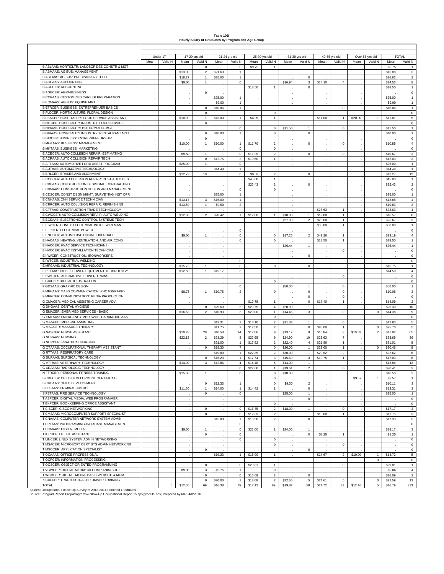#### **Table 10B Hourly Salary of Graduates by Program and Age Group**

|                                                                                   |      | Under 17     |         | 17-20 yrs old  |         | 21-24 yrs old    |         | 25-30 yrs old  |         | 31-39 yrs old           |                    | 40-55 yrs old             |         | Over 55 yrs old | <b>TOTAL</b>       |                           |
|-----------------------------------------------------------------------------------|------|--------------|---------|----------------|---------|------------------|---------|----------------|---------|-------------------------|--------------------|---------------------------|---------|-----------------|--------------------|---------------------------|
|                                                                                   | Mean | Valid N      | Mean    | Valid N        | Mean    | Valid N          | Mean    | Valid N        | Mean    | Valid N                 | Mean               | Valid N                   | Mean    | Valid N         | Mean               | Valid N                   |
| B ABLAAS: HORTICLTR: LANDSCP DES CONSTR & MGT                                     |      |              |         | 0              |         | 0                | \$9.75  | $\mathbf{1}$   |         |                         |                    |                           |         |                 | \$9.75             |                           |
| B ABMAAS: AG BUS: MANAGEMENT                                                      |      |              | \$13.00 | $\overline{2}$ | \$21.63 | $\mathbf{1}$     |         |                |         |                         |                    |                           |         |                 | \$15.88            | $\ensuremath{\mathsf{3}}$ |
| B ABTAAS: AG BUS: PRECISION AG TECH                                               |      |              | \$18.27 | 1              | \$35.00 | $\overline{1}$   |         |                |         | $\mathbf 0$             |                    |                           |         |                 | \$26.63            | $\overline{a}$            |
| <b>B ACCAAS: ACCOUNTING</b>                                                       |      |              | \$9.00  | $\mathbf{1}$   |         | $\mathbf 0$      |         |                | \$16.94 | $\mathbf{3}$            | \$14.10            | 4                         |         |                 | \$14.53            | 8                         |
| <b>B ACCCER: ACCOUNTING</b>                                                       |      |              |         |                |         |                  | \$18.50 | $\mathbf{1}$   |         | $\mathbf 0$             |                    |                           |         |                 | \$18.50            | 1                         |
| <b>B AGBCER: AGRI-BUSINESS</b>                                                    |      |              |         | $\mathbf 0$    |         |                  |         |                |         |                         |                    |                           |         |                 |                    | $\mathbf 0$               |
| B CCPAAS: CUSTOMIZED CAREER PREPARATION                                           |      |              |         |                | \$25.00 | $\mathbf{1}$     |         |                |         |                         |                    |                           |         |                 | \$25.00            | 1                         |
| B EQMAAS: AG BUS: EQUINE MGT                                                      |      |              |         |                | \$9.00  | $\mathbf{1}$     |         |                |         |                         |                    |                           |         |                 | \$9.00             | $\mathbf{1}$              |
| B ETRCER: BUSINESS: ENTREPRENUER BASICS                                           |      |              |         | $\mathsf 0$    | \$10.06 | $\overline{1}$   |         |                |         |                         |                    | $\mathsf 0$               |         |                 | \$10.06            | 1                         |
| B FLDCER: HORTICULTURE: FLORAL DESIGN                                             |      |              |         | 0              |         |                  |         | $\mathbf 0$    |         |                         |                    |                           |         |                 |                    | $\,0\,$                   |
| B FSACER: HOSPITALITY: FOOD SERVICE ASSISTANT                                     |      |              |         |                |         |                  |         |                |         |                         |                    |                           |         |                 |                    |                           |
|                                                                                   |      |              | \$10.09 | $\mathbf{1}$   | \$13.00 | $\mathbf{1}$     | \$4.95  | $\mathbf{1}$   |         |                         | \$11.00            | $\mathbf{1}$              | \$20.00 | $\mathbf{1}$    | \$11.81            | 5                         |
| B HIFCER: HOSPITALITY INDUSTRY: FOOD SERVICE                                      |      |              |         | $\mathsf 0$    |         |                  |         |                |         |                         |                    |                           |         |                 |                    | $\mathbf 0$               |
| B HIHAAS: HOSPITALITY: HOTEL/MOTEL MGT                                            |      |              |         |                |         | $\mathbf 0$      |         | $\mathbf 0$    | \$11.50 | $\mathbf{1}$            |                    | $\mathsf 0$               |         |                 | \$11.50            | 1                         |
| B HIRAAS: HOSPITALITY INDUSTRY: RESTAURANT MGT                                    |      |              |         | 0              | \$10.00 | $\mathbf{1}$     |         | $\mathbf 0$    |         | $\mathbf 0$             |                    |                           |         |                 | \$10.00            | 1                         |
| B INDCER: BUSINESS: ENTREPRENEURSHIP                                              |      |              |         | 0              |         |                  |         |                |         |                         |                    |                           |         |                 |                    | $\mathbf 0$               |
| <b>B MGTAAS: BUSINESS: MANAGEMENT</b>                                             |      |              | \$10.00 | $\mathbf{1}$   | \$10.00 | $\overline{1}$   | \$11.70 | $\overline{2}$ |         | $\mathbf 0$             |                    | $\mathsf 0$               |         |                 | \$10.85            | $\overline{4}$            |
| <b>B MKTAAS: BUSINESS: MARKETING</b>                                              |      |              |         |                |         | $\mathbf 0$      |         | $\mathbf 0$    |         |                         |                    |                           |         |                 |                    | $\mathbf 0$               |
| E ACECER: AUTO COLLISION REPAIR: ESTIMATING                                       |      |              | \$9.50  | $\mathbf{1}$   |         | $\mathbf 0$      | \$11.25 | $\sqrt{2}$     |         | $\Omega$                |                    | $\mathbf 0$               |         |                 | \$10.67            | $\mathbf 3$               |
| E ACRAAS: AUTO COLLISION REPAIR TECH                                              |      |              |         | 0              | \$12.75 | $\mathbf 2$      | \$10.60 | $\mathbf{1}$   |         |                         |                    |                           |         |                 | \$12.03            | $\mathbf 3$               |
| E AFTAAS: AUTOMOTIVE FORD ASSET PROGRAM                                           |      |              | \$25.00 | $\mathbf{1}$   |         | $\mathbf 0$      |         |                |         |                         |                    |                           |         |                 | \$25.00            | $\mathbf{1}$              |
| E AUTAAS: AUTOMOTIVE TECHNOLOGY                                                   |      |              |         |                | \$14.48 | $\mathbf{1}$     |         |                |         |                         |                    |                           |         |                 | \$14.48            | $\mathbf{1}$              |
| E BRLCER: BRAKES AND ALIGNMENT                                                    |      | $\mathbf 0$  | \$12.79 | 10             |         | 0                | \$9.63  | $\overline{2}$ |         | $\mathbf 0$             |                    |                           |         |                 | \$12.27            | 12                        |
| E CCDCER: AUTO COLLISION REPAIR: CUST.AUTO DES                                    | ÷    |              |         |                |         |                  | \$45.00 | $\mathbf{1}$   |         |                         |                    |                           |         |                 | \$45.00            | $\overline{1}$            |
| E CDBAAS: CONSTRUCTION DES/MGMT: CONTRACTING                                      |      |              |         |                |         |                  | \$22.43 | $\sqrt{2}$     |         | $^{\circ}$              |                    |                           |         |                 | \$22.43            | $\mathbf 2$               |
| E CDMAAS: CONSTRUCTION DESIGN AND MANAGEMENT                                      |      |              |         |                |         | $\mathbf 0$      |         | $\mathsf 0$    |         |                         |                    |                           |         |                 |                    | $\mathsf{o}\,$            |
| E CDSCER: CONST DSGN MGMT: SURVEYING INST OPR                                     |      |              |         |                | \$25.00 | $\overline{1}$   |         |                |         |                         |                    |                           |         |                 | \$25.00            | $\mathbf{1}$              |
| E CNHAAS: CNH SERVICE TECHNICIAN                                                  |      |              | \$13.17 | 3              | \$16.00 | $\mathbf{1}$     |         |                |         |                         |                    |                           |         |                 | \$13.88            | $\overline{4}$            |
| E CRRCER: AUTO COLLISION REPAIR: REFINISHING                                      |      |              | \$13.50 | $\mathbf{1}$   | \$9.50  | $\overline{2}$   |         |                |         |                         |                    |                           |         |                 | \$10.83            | $\ensuremath{\mathsf{3}}$ |
| E CTTAAS: CONSTRUCTION TRADE TECHNOLOGY                                           |      |              |         |                |         |                  |         |                |         |                         | \$28.63            | $\mathbf{1}$              |         |                 | \$28.63            | $\mathbf{1}$              |
| E CWCCER: AUTO COLLISION REPAIR: AUTO WELDING                                     |      |              | \$12.00 | $\overline{2}$ | \$28.42 | $\mathbf{1}$     | \$17.00 | $\mathbf{1}$   | \$18.00 | $\mathbf{1}$            | \$12.00            | $\mathbf{1}$              |         |                 | \$16.57            | 6                         |
| E ECSAAS: ELECTRONIC CONTROL SYSTEMS TECH                                         |      |              |         |                |         |                  |         |                | \$27.00 | $\overline{2}$          | \$26.00            | $\mathbf{1}$              |         |                 | \$26.67            | $\ensuremath{\mathsf{3}}$ |
| E EIWCER: CONST: ELECTRICAL INSIDE WIREMAN                                        |      |              |         |                |         |                  |         |                |         |                         | \$30.00            | $\mathbf{1}$              |         |                 | \$30.00            | $\mathbf{1}$              |
| E ELPCER: ELECTRICAL POWER                                                        |      |              |         |                |         | $\mathbf 0$      |         |                |         |                         |                    |                           |         |                 |                    | 0                         |
| E ENOCER: AUTOMOTIVE ENGINE OVERHAUL                                              |      |              | \$9.00  | $\mathbf{1}$   |         | $\mathbf 0$      |         | $\mathbf 0$    | \$17.25 |                         |                    |                           |         |                 |                    | $\overline{4}$            |
| E HACAAS: HEATING, VENTILATION, AND AIR COND                                      |      |              |         |                |         | 0                |         | $\mathbb O$    |         | $\overline{\mathbf{c}}$ | \$49.26<br>\$18.50 | $\mathbf{1}$<br>1         |         |                 | \$23.19<br>\$18.50 | $\mathbf{1}$              |
|                                                                                   |      |              |         |                |         |                  |         |                |         |                         |                    |                           |         |                 |                    |                           |
| E HACCER: HVAC SERVICE TECHNICIAN I                                               |      |              |         |                |         |                  |         |                | \$26.44 | $\mathbf{1}$            |                    |                           |         |                 | \$26.44            | $\mathbf{1}$              |
| E HVCCER: HVAC INSTALLATION TECHNICIAN                                            |      |              |         |                |         |                  |         |                |         |                         |                    | 0                         |         |                 |                    | $\mathbf 0$               |
| E IRWCER: CONSTRUCTION: IRONWORKERS                                               |      |              |         |                |         |                  |         |                |         | $\mathbf 0$             |                    |                           |         |                 |                    | $\mathbf 0$               |
| E IWTCER: INDUSTRIAL WELDING                                                      |      |              |         |                |         | 0                |         |                |         |                         |                    |                           |         |                 |                    | $\mathbf 0$               |
| E MFGAAS: INDUSTRIAL TECHNOLOGY                                                   |      |              | \$15.75 | 1              |         | 0                |         | $\mathbf 0$    |         | 0                       |                    |                           |         |                 | \$15.75            | $\overline{1}$            |
| E PETAAS: DIESEL POWER EQUIPMENT TECHNOLOGY                                       |      |              | \$12.50 | $\mathbf{1}$   | \$15.17 | 3                |         |                |         |                         |                    |                           |         |                 | \$14.50            | $\overline{4}$            |
| E PWTCER: AUTOMOTIVE POWER TRAINS                                                 |      |              |         |                |         |                  |         |                |         |                         |                    | $\mathbf 0$               |         |                 |                    | $\mathsf{o}\,$            |
| F GDICER: DIGITAL ILLUSTRATION                                                    |      |              |         |                |         |                  |         | $\mathbf 0$    |         |                         |                    |                           |         |                 |                    | $\mathbf 0$               |
| F GDSAAS: GRAPHIC DESIGN                                                          |      |              |         |                |         | $\mathbf 0$      |         |                | \$50.00 |                         |                    | $\mathbf 0$               |         |                 | \$50.00            | $\mathbf{1}$              |
| F MPHAAS: MASS COMMUNICATION: PHOTOGRAPHY                                         |      |              | \$8.75  | $\mathbf{1}$   | \$10.75 | $\overline{2}$   |         | $\mathbf 0$    |         | $\mathbf 0$             |                    | 0                         |         |                 | \$10.08            | $\ensuremath{\mathsf{3}}$ |
| F MPRCER: COMMUNICATION: MEDIA PRODUCTION                                         |      |              |         |                |         |                  |         |                |         | $\mathbf 0$             |                    | $\mathbf 0$               |         |                 |                    | $\mathbf 0$               |
| G CMACER: MEDICAL ASSISTING CAREER ADV.                                           |      |              |         |                |         |                  | \$10.78 | $\mathbf{1}$   |         | $\mathsf 0$             | \$17.40            | $\mathbf{1}$              |         |                 | \$14.09            | $\overline{a}$            |
| G DHGAAS: DENTAL HYGIENE                                                          |      |              |         | $\mathbf{0}$   | \$29.60 | $\,$ 5 $\,$      | \$23.75 | $\overline{4}$ | \$20.00 | $\mathbf{1}$            |                    |                           |         |                 | \$26.30            | 10 <sub>1</sub>           |
| G EMACER: EMER MED SERVICES - BASIC                                               |      |              | \$16.63 | $\overline{2}$ | \$10.93 | 3                | \$20.00 | $\mathbf{1}$   | \$14.45 | 3                       |                    | $\mathbf 0$               | ä,      | $\mathbf 0$     | \$14.38            | 9                         |
| G EMTAAS: EMERGENCY MED SVCS- PARAMEDIC AAS                                       |      |              |         |                |         |                  |         | $\mathsf 0$    |         |                         |                    |                           |         |                 |                    | $\mathbf 0$               |
| <b>G MASCER: MEDICAL ASSISTING</b>                                                |      |              |         |                | \$13.31 | $\overline{2}$   | \$13.10 | $\overline{2}$ | \$11.32 | $\mathbf{1}$            |                    | $\mathbf 0$               |         |                 | \$12.83            | $\mathbf 5$               |
| G MSGCER: MASSAGE THERAPY                                                         |      |              |         |                | \$11.75 | $\overline{2}$   | \$12.50 | $\overline{2}$ |         | $\mathbf 0$             | \$80.00            | 1                         |         | $\mathbf 0$     | \$25.70            | $\overline{5}$            |
| <b>G NASCER: NURSE ASSISTANT</b>                                                  |      | $\mathbf 0$  | \$10.28 | 28             | \$10.58 | 14               | \$12.06 | 9              | \$13.17 | 9                       | \$10.84            | $\ensuremath{\mathsf{3}}$ | \$10.63 | $\overline{2}$  | \$11.02            | 65                        |
| <b>G NURAAS: NURSING</b>                                                          |      |              | \$22.15 | $\overline{a}$ | \$23.29 | $\bf8$           | \$22.95 | 9              | \$24.90 | 10                      | \$23.63            | $\boldsymbol{7}$          |         |                 | \$23.65            | 36                        |
| G NURCER: PRACTICAL NURSING                                                       |      |              |         |                | \$21.00 | $\overline{1}$   | \$17.82 | $\overline{2}$ | \$22.40 | $\overline{4}$          | \$21.86            | $\mathbf{1}$              |         |                 | \$21.01            | 8                         |
| G OTAAAS: OCCUPATIONAL THERAPY ASSISTANT                                          |      |              |         | $\mathbf{0}$   | \$19.30 | $\boldsymbol{7}$ |         | $\mathbb O$    | \$26.00 | $\mathbf{1}$            | \$23.00            | $\mathbf{1}$              |         | $\mathbf 0$     | \$20.46            | 9                         |
| <b>G RTTAAS: RESPIRATORY CARE</b>                                                 |      |              |         |                | \$19.80 | $\mathbf{1}$     | \$22.35 | $\overline{2}$ | \$30.00 | $\mathbf{1}$            | \$20.62            | $\mathbf 2$               |         |                 | \$22.62            | 6                         |
| G SURAAS: SURGICAL TECHNOLOGY                                                     |      |              |         | $\mathbf 0$    | \$16.23 | $\mathbf{1}$     | \$17.74 | 3              | \$15.69 | 3                       | \$19.75            | 1                         |         |                 | \$17.03            | 8                         |
| G VTTAAS: VETERINARY TECHNOLOGY                                                   |      |              | \$14.00 | 3              | \$12.86 | $\overline{4}$   | \$14.48 | $\overline{5}$ | \$14.00 | $\mathbf{1}$            |                    |                           |         |                 | \$13.84            | 13                        |
| G XRAAAS: RADIOLOGIC TECHNOLOGY                                                   |      |              |         |                |         | $\mathsf 0$      | \$22.00 | $\mathbf{1}$   | \$19.61 | $\overline{a}$          |                    | 0                         |         |                 | \$20.41            | 3                         |
| N FTRCER: PERSONAL FITNESS TRAINING                                               |      |              | \$15.00 | $\overline{1}$ |         | $\Omega$         |         | $\Omega$       | \$18.00 |                         |                    |                           |         |                 | \$16.50            | $\mathcal{L}$             |
| S CDECER: CHILD DEVELOPMENT CERTIFICATE                                           |      |              |         |                |         |                  |         | $^{\circ}$     |         |                         |                    |                           | \$9.57  | $\mathbf{1}$    | \$9.57             | $\overline{1}$            |
| S CHDAAS: CHILD DEVELOPMENT                                                       |      |              |         | $\mathsf 0$    | \$12.33 | $\mathbf{1}$     |         | $\circ$        | \$9.00  | $\overline{a}$          |                    |                           |         |                 | \$10.11            | $\mathbf{3}$              |
| S CJSAAS: CRIMINAL JUSTICE                                                        |      |              | \$11.50 | $\mathbf{1}$   |         | $\mathbf 1$      | \$14.42 | $\mathbf{1}$   |         | $\mathbf 0$             |                    |                           |         |                 | \$13.31            | $\mathbf{3}$              |
| S FSTAAS: FIRE SERVICE TECHNOLOGY                                                 |      |              |         |                | \$14.00 | $\mathbf 0$      |         |                | \$25.00 |                         |                    |                           |         |                 |                    |                           |
|                                                                                   |      |              |         | $\circ$        |         |                  |         |                |         | $\mathbf{1}$            |                    |                           |         |                 | \$25.00            | $\mathbf{1}$              |
| T ASPCER: DIGITAL MEDIA: WEB PROGRAMMER<br>T BKPCER: BOOKKEEPING OFFICE ASSISTANT |      |              |         |                |         |                  |         |                |         | $\mathbf 0$             |                    |                           |         |                 |                    | $\mathbf 0$               |
|                                                                                   |      |              |         |                |         |                  |         | $\mathbf 0$    |         |                         |                    |                           |         |                 |                    | $\mathbf 0$               |
| T CISCER: CISCO NETWORKING                                                        |      |              |         | $\mathbf 0$    |         | $\mathbf 0$      | \$16.75 | $\overline{2}$ | \$18.00 | $\mathbf{1}$            |                    | 0                         |         |                 | \$17.17            | $\mathbf{3}$              |
| T CMSAAS: MICROCOMPUTER SUPPORT SPECIALIST                                        |      |              |         | $\mathbf 0$    |         | $\mathbf 0$      | \$12.63 | $\overline{2}$ |         |                         | \$10.00            | $\mathbf{1}$              |         |                 | \$11.75            | $\mathbf{3}$              |
| T CNAAAS: COMPUTER NETWORK SYSTEM ADMIN                                           |      |              |         |                | \$15.00 | $\mathbf{1}$     | \$18.50 | $\overline{2}$ |         | $\mathbf 0$             |                    |                           |         |                 | \$17.33            | $\mathbf{3}$              |
| T CPLAAS: PROGRAMMING-DATABASE MANAGEMENT                                         |      |              |         |                |         | $\mathbf 0$      |         |                |         |                         |                    |                           |         |                 |                    | $\mathbf 0$               |
| T DGMAAS: DIGITAL MEDIA                                                           | ÷    |              | \$9.50  | $\mathbf{1}$   |         | $\mathbb O$      | \$21.00 | 1              | \$24.00 | $\mathbf{1}$            |                    |                           |         |                 | \$18.17            | $\mathbf{3}$              |
| T IPRCER: OFFICE ASSISTANT                                                        |      |              |         | $\mathbf 0$    |         | $\mathbf 0$      |         |                |         | $\mathbf 0$             | \$8.25             | $\mathbf{1}$              |         |                 | \$8.25             | $\mathbf{1}$              |
| T LINCER: LINUX SYSTEM ADMIN NETWORKING                                           |      |              |         |                |         | 0                |         | $\mathsf 0$    |         |                         |                    |                           |         |                 |                    | $\,0\,$                   |
| T MSACER: MICROSOFT CERT SYS ADMIN NETWORKING                                     |      |              |         |                |         |                  |         | $\mathsf 0$    |         |                         |                    | $\mathsf 0$               |         |                 |                    | $\mathbf 0$               |
| T MSOCER: APPLICATION SPECIALIST                                                  |      |              |         | $\mathbf 0$    |         |                  |         |                |         | $\mathbf 0$             |                    |                           |         |                 |                    | $\mathsf{O}$              |
| T OCAAAS: OFFICE PROFESSIONAL                                                     |      |              |         |                | \$19.23 | $\overline{1}$   | \$15.00 | $\mathbf{1}$   |         |                         | \$14.67            | $\overline{c}$            | \$10.00 | $\mathbf{1}$    | \$14.72            | 5                         |
| T OCPCER: INFORMATION PROCESSING                                                  |      |              |         |                |         |                  |         |                |         |                         |                    |                           |         | $\mathbf 0$     |                    | $\mathsf 0$               |
| T OOSCER: OBJECT-ORIENTED PROGRAMMING                                             |      |              |         | $\mathbf 0$    |         | $\mathbb O$      | \$29.81 | $\mathbf{1}$   |         |                         |                    | $\mathsf 0$               |         |                 | \$29.81            | $\mathbf{1}$              |
| T VGWCER: DIGITAL MEDIA: 3D COMP ANIM SOFT                                        |      |              | \$9.90  | $\mathbf{3}$   | \$9.75  | $\mathbf{1}$     |         | $\circ$        |         |                         |                    |                           |         |                 | \$9.86             | $\sqrt{4}$                |
| T WSMCER: DIGITAL MEDIA: BASIC WEBSITE & MGMT                                     |      |              |         | $\mathbf 0$    |         | $\mathbf 0$      | \$16.09 | $\overline{2}$ |         | $\mathbf 0$             |                    |                           |         |                 | \$16.09            | $\overline{2}$            |
| X CDLCER: TRACTOR-TRAILER DRIVER TRAINING                                         |      |              |         | $\mathbf 0$    | \$20.00 | $\mathbf{1}$     | \$18.68 | $\overline{2}$ | \$22.66 | $5\phantom{.0}$         | \$24.61            | $\overline{5}$            |         | $\mathbf 0$     | \$22.59            | 13                        |
| <b>TOTAL</b>                                                                      |      | $\mathbf{0}$ | \$12.05 | 69             | \$16.38 | 75               | \$17.12 | 69             | \$19.82 | 58                      | \$21.72            | 37                        | \$12.16 | 5 <sub>5</sub>  | \$16.79            | 313                       |
|                                                                                   |      |              |         |                |         |                  |         |                |         |                         |                    |                           |         |                 |                    |                           |

Student Occupational Follow-Up Survey of 2013-2014 Parkland Graduates<br>Source: P:∖∖∖grad∖Report Prep∖Programs∖Follow-Up Occupational Report 15.sps;grocc15.sav; Prepared by IAR; 4/8/2016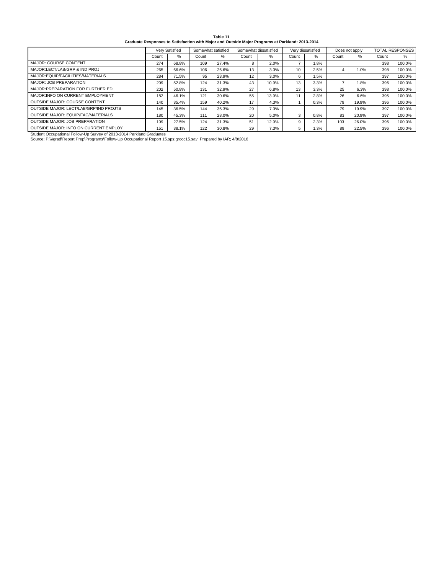| Table 11                                                                                        |  |
|-------------------------------------------------------------------------------------------------|--|
| Graduate Responses to Satisfaction with Major and Outside Major Programs at Parkland: 2013-2014 |  |

|                                                                                                                    |       | Very Satisfied |       | Somewhat satisfied |       | Somewhat dissatisfied |       | Very dissatisfied | Does not apply |       | <b>TOTAL RESPONSES</b> |        |
|--------------------------------------------------------------------------------------------------------------------|-------|----------------|-------|--------------------|-------|-----------------------|-------|-------------------|----------------|-------|------------------------|--------|
|                                                                                                                    | Count | %              | Count | %                  | Count | $\%$                  | Count | $\%$              | Count          | $\%$  | Count                  | %      |
| <b>MAJOR: COURSE CONTENT</b>                                                                                       | 274   | 68.8%          | 109   | 27.4%              | 8     | 2.0%                  |       | 1.8%              |                |       | 398                    | 100.0% |
| MAJOR:LECT/LAB/GRP & IND PROJ                                                                                      | 265   | 66.6%          | 106   | 26.6%              | 13    | 3.3%                  | 10    | 2.5%              |                | 1.0%  | 398                    | 100.0% |
| MAJOR: EQUIP/FACILITIES/MATERIALS                                                                                  | 284   | 71.5%          | 95    | 23.9%              | 12    | 3.0%                  | 6     | 1.5%              |                |       | 397                    | 100.0% |
| <b>MAJOR: JOB PREPARATION</b>                                                                                      | 209   | 52.8%          | 124   | 31.3%              | 43    | 10.9%                 | 13    | 3.3%              |                | 1.8%  | 396                    | 100.0% |
| MAJOR: PREPARATION FOR FURTHER ED                                                                                  | 202   | 50.8%          | 131   | 32.9%              | 27    | 6.8%                  | 13    | 3.3%              | 25             | 6.3%  | 398                    | 100.0% |
| MAJOR: INFO ON CURRENT EMPLOYMENT                                                                                  | 182   | 46.1%          | 121   | 30.6%              | 55    | 13.9%                 | 11    | 2.8%              | 26             | 6.6%  | 395                    | 100.0% |
| <b>OUTSIDE MAJOR: COURSE CONTENT</b>                                                                               | 140   | 35.4%          | 159   | 40.2%              | 17    | 4.3%                  |       | 0.3%              | 79             | 19.9% | 396                    | 100.0% |
| OUTSIDE MAJOR: LECT/LAB/GRP/IND PROJTS                                                                             | 145   | 36.5%          | 144   | 36.3%              | 29    | 7.3%                  |       |                   | 79             | 19.9% | 397                    | 100.0% |
| OUTSIDE MAJOR: EQUIP/FAC/MATERIALS                                                                                 | 180   | 45.3%          | 111   | 28.0%              | 20    | 5.0%                  | 3     | 0.8%              | 83             | 20.9% | 397                    | 100.0% |
| <b>OUTSIDE MAJOR: JOB PREPARATION</b>                                                                              | 109   | 27.5%          | 124   | 31.3%              | 51    | 12.9%                 | 9     | 2.3%              | 103            | 26.0% | 396                    | 100.0% |
| OUTSIDE MAJOR: INFO ON CURRENT EMPLOY                                                                              | 151   | 38.1%          | 122   | 30.8%              | 29    | 7.3%                  | 5     | 1.3%              | 89             | 22.5% | 396                    | 100.0% |
| Student Occupational Follow-Up Survey of 2013-2014 Parkland Graduates                                              |       |                |       |                    |       |                       |       |                   |                |       |                        |        |
| Source: P:\\\grad\Report Prep\Programs\Follow-Up Occupational Report 15.sps;grocc15.sav; Prepared by IAR; 4/8/2016 |       |                |       |                    |       |                       |       |                   |                |       |                        |        |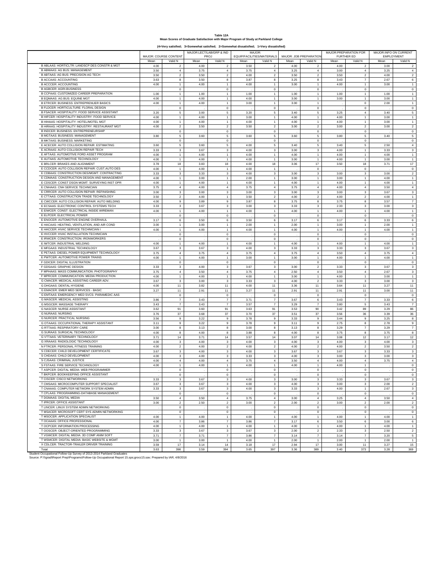#### **Table 12A Mean Scores of Graduate Satisfaction with Major Program of Study at Parkland College (4=Very satisfied; 3=Somewhat satisfied; 2=Somewhat dissatisfied; 1=Very dissatisfied)**

MAJOR: COURSE CONTENT MAJOR:LECT/LAB/GRP & IND PROJ MAJOR: EQUIP/FACILITIES/MATERIALS MAJOR: JOB PREPARATION MAJOR:PREPARATION FOR FURTHER ED<br>an Va MAJOR:INFO ON CURRENT EMPLOYMENT<br>an Val Mean | Valid N | Mean | Valid N | Mean | Valid N | Mean | Valid N | Mean | Valid N | Mean | Valid N B ABLAAS: HORTICLTR: LANDSCP DES CONSTR & MGT B ABMAAS: AG BUS: MANAGEMENT B ABTAAS: AG BUS: PRECISION AG TECH B ACCAAS: ACCOUNTING B ACCCER: ACCOUNTING B AGBCER: AGRI-BUSINESS B CCPAAS: CUSTOMIZED CAREER PREPARATION B EQMAAS: AG BUS: EQUINE MGT B ETRCER: BUSINESS: ENTREPRENUER BASICS B FLDCER: HORTICULTURE: FLORAL DESIGN B FSACER: HOSPITALITY: FOOD SERVICE ASSISTANT B HIFCER: HOSPITALITY INDUSTRY: FOOD SERVICE B HIHAAS: HOSPITALITY: HOTEL/MOTEL MGT B HIRAAS: HOSPITALITY INDUSTRY: RESTAURANT MG B INDCER: BUSINESS: ENTREPRENEURSHIP B MGTAAS: BUSINESS: MANAGEMENT B MKTAAS: BUSINESS: MARKETING E ACECER: AUTO COLLISION REPAIR: ESTIMATING E ACRAAS: AUTO COLLISION REPAIR TECH E AFTAAS: AUTOMOTIVE FORD ASSET PROGRAM E AUTAAS: AUTOMOTIVE TECHNOLOGY E BRLCER: BRAKES AND ALIGNMENT E CCDCER: AUTO COLLISION REPAIR: CUST.AUTO DE E CDBAAS: CONSTRUCTION DES/MGMT: CONTRACTING E CDMAAS: CONSTRUCTION DESIGN AND MANAGEMENT E CDSCER: CONST DSGN MGMT: SURVEYING INST OPR E CNHAAS: CNH SERVICE TECHNICIAN E CRRCER: AUTO COLLISION REPAIR: REFINISHING E CTTAAS: CONSTRUCTION TRADE TECHNOLOGY E CHING: CONCINCTION INNEE TECHNOLOGY E ECSAAS: ELECTRONIC CONTROL SYSTEMS TECH E EIWCER: CONST: ELECTRICAL INSIDE WIREMAN E ELPCER: ELECTRICAL POWER E ENOCER: AUTOMOTIVE ENGINE OVERHAUL E HACAAS: HEATING, VENTILATION, AND AIR COND E HACCER: HVAC SERVICE TECHNICIAN I E HVCCER: HVAC INSTALLATION TECHNICIAN E IRWCER: CONSTRUCTION: IRONWORKERS E IWTCER: INDUSTRIAL WELDING E MFGAAS: INDUSTRIAL TECHNOLOGY E PETAAS: DIESEL POWER EQUIPMENT TECHNOLOGY E PWTCER: AUTOMOTIVE POWER TRAINS F GDICER: DIGITAL ILLUSTRATION F GDSAAS: GRAPHIC DESIGN F MPHAAS: MASS COMMUNICATION: PHOTOGR F MPRCER: COMMUNICATION: MEDIA PRODUCTION G CMACER: MEDICAL ASSISTING CAREER ADV. G DHGAAS: DENTAL HYGIENE **G EMACER: EMER MED SERVICES - BASI** G EMTAAS: EMERGENCY MED SVCS- PARAMEDIC AAS G MASCER: MEDICAL ASSISTING G MSGCER: MASSAGE THERAPY G NASCER: NURSE ASSISTANT<br>G NURAAS: NURSING G NURAAS: NURSING G NURCER: PRACTICAL NURSING G OTAAAS: OCCUPATIONAL THERAPY ASSISTANT G RTTAAS: RESPIRATORY CARE G SURAAS: SURGICAL TECHNOLOGY G VTTAAS: VETERINARY TECHNOLOGY G XRAAAS: RADIOLOGIC TECHNOLOGY N FTRCER: PERSONAL FITNESS TRAINING S CDECER: CHILD DEVELOPMENT CERTIFICATE S CHDAAS: CHILD DEVELOPMENT S CJSAAS: CRIMINAL JUSTICE S FSTAAS: FIRE SERVICE TECHNOLOGY T ASPCER: DIGITAL MEDIA: WEB PROGR T BKPCER: BOOKKEEPING OFFICE ASSISTANT T CISCER: CISCO NETWORKING T CMSAAS: MICROCOMPUTER SUPPORT SPECIALIST T CNAAAS: COMPUTER NETWORK SYSTEM ADMIN T CPLAAS: PROGRAMMING-DATABASE MANAGEMENT T DGMAAS: DIGITAL MEDIA T IPRCER: OFFICE ASSISTANT T LINCER: LINUX SYSTEM ADMIN NETWORKING T MSACER: MICROSOFT CERT SYS ADMIN NETWORKING T MSOCER: APPLICATION SPECIALIST T OCAAAS: OFFICE PROFESSIONAL T OCPCER: INFORMATION PROCESSING T OOSCER: OBJECT-ORIENTED PROGRAMMING T VGWCER: DIGITAL MEDIA: 3D COMP ANIM SOFT T WSMCER: DIGITAL MEDIA: BASIC WEBSITE & MGMT X CDLCER: TRACTOR-TRAILER DRIVER TRAINING Total Student Occupational Follow-Up Survey of 2013-2014 Parkland Graduates 4.00 | 2 | 4.00 | 2 | 3.50 | 2 | 4.00 | 2 | 4.00 | 2 | 3.00 | 2 3.50 4 3.75 4 3.75 4 3.25 4 3.00 4 3.25 4 3.50 | 2 | 3.50 | 2 | 4.00 | 2 | 3.50 | 2 | 3.50 | 2 | 4.00 | 2 3.63 8 3.50 8 3.87 8 3.25 8 3.43 7 2.67 6 4.00 | 1 | 4.00 | 1 | 4.00 | 1 | 3.00 | 1 | 4.00 | 1 | 3.00 | 1 .0 . 0 . 0 .0 . 0 . 0 1.00 | 1 | 1.00 | 1 | 1.00 | 1 | 1.00 | 1 | 1.00 | 1 | 1.00 | 1 4.00 | 1 | 4.00 | 1 | 4.00 | 1 | 3.00 | 1 | 3.00 | 1 | 3.00 | 1 4.00 | 1 | 4.00 | 1 | 3.00 | 1 | 3.00 | 1 | 3.00 | 1 | 3.00 | 1 .0 . 0 . 0 .0 . 0 . 0 3.20 5 3.00 5 3.20 5 3.40 5 3.25 4 3.40 5 4.00 | 1 | 4.00 | 1 | 3.00 | 1 | 4.00 | 1 | 4.00 | 1 | 3.00 | 1 4.00 | 1 | 4.00 | 1 | 4.00 | 1 | 4.00 | 1 | 4.00 | 1 | 3.00 | 1 4.00 | 2 | 3.50 | 2 | 3.50 | 2 | 3.00 | 2 | 3.00 | 2 | 3.00 | 2 .0 . 0 . 0 .0 . 0 . 0 3.80 5 3.60 5 3.60 5 3.60 5 3.80 5 3.40 5 0 . | 0 . | 0 . | 0 . | 0 . | 0 . | 0 . | 0 . | 0 . | 0 . | 0 . | 0 . | 0 . | 0 3.60 | 5 | 3.60 | 5 | 4.00 | 5 | 3.40 | 5 | 3.40 | 5 | 3.40 | 5 | 3.40 | 5 | 3.40 | 5 | 3.40 | 5 | 3.40 | 5 | 3 3.33 | 3.167 | 3 | 4.00 | 3 | 3.00 | 3 | 4.00 | 1 | 3.33 | 3 4.00 | 1 | 4.00 | 1 | 4.00 | 1 | 4.00 | 1 | 4.00 | 1 | 4.00 | 1 4.00 | 1 | 4.00 | 1 | 4.00 | 1 | 4.00 | 1 | 4.00 | 1 | 3.00 | 1 3.78 | 18 | 3.83 | 18 | 4.00 | 18 | 3.06 | 17 | 3.50 | 18 | 3.71 | 17 4.00 1 4.00 1 4.00 1 . 0 . 0 . 0 3.33 3 3.33 3 4.00 3 3.00 3 3.00 3 3.00 3 3.00 2 4.00 | 1 | 3.00 | 1 | 3.00 | 1 | 3.00 | 1 | 3.00 | 1 | 4.00 | 1 4.00 | 1 | 4.00 | 1 | 4.00 | 1 | 4.00 | 1 | 4.00 | 1 | 4.00 | 1 3.75 | 4 | 4.00 | 4 | 3.75 | 4 | 3.75 | 4 | 4.00 | 4 | 3.50 | 4 3.00 3 3.00 3 3.00 3 3.00 3 3.00 3 3.67 3 3.50 | 2 | 4.00 | 1 | 3.50 | 2 | 4.00 | 2 | 4.00 | 2 | 4.00 | 1 4.00 | 9 || 3.89 || 9 || 3.87 || 8 || 3.75 || 8 || 3.75 || 8 || 3.57 || 7 3.33 | 3.1 3.67 | 3 | 3.00 | 3 | 3.33 | 3 | 2.33 | 3 | 3.00 | 3 4.00 | 1 | 4.00 | 1 | 4.00 | 1 | 4.00 | 1 | 4.00 | 1 | 4.00 | 1 .0 . 0 . 0 .0 . 0 . 0 3.17 6 3.50 6 3.50 6 3.17 6 3.17 6 3.33 6 3.00 | 1 || 3.00 || 1 || 2.00 || 1 || 2.00 || 1 || 2.00 || 1 || 2.00 || 1 || 2.00 || 1 || 2.00 || 1 || 2.00 || 4.00 | 1 | 4.00 | 1 | 4.00 | 1 | 4.00 | 1 | 4.00 | 1 | 4.00 | 1 .0 . 0 . 0 .0 . 0 . 0 .0 . 0 . 0 .0 . 0 . 0 4.00 | 1 | 4.00 | 1 | 4.00 | 1 | 4.00 | 1 | 4.00 | 1 | 4.00 | 1 3.67 | 3 || 3.67 || 3.1|| 3.4.00 || 3.1|| 3.33.|| 3.1|| 3.33.|| 3.33.|| 3.67 || 3. 3.75 | 4 | 3.75 | 4 | 3.75 | 4 | 3.75 | 4 | 3.75 | 4 4.00 | 1 | 4.00 | 1 | 3.00 | 1 | 3.00 | 1 | 4.00 | 1 | 4.00 | .0 . 0 . 0 .0 . 0 . 0 3.33 3 4.00 3 3.67 3.67 3 3.00 2 3.33 3 3.47 3.67 3 3.75 | 4 | 3.50 | 4 | 3.75 | 4 | 2.50 | 4 | 3.50 | 4 | 2.67 | 3 4.00 | 1 | 4.00 | 1 | 4.00 | 1 | 3.00 | 1 | 4.00 | 1 | 3.00 | 1 3.67 | 3 | 3.00 | 3 | 3.33 | 3 | 4.00 | 2 | 3.33 | 3 | 3.00 | 3 4.00 | 11 | 3.82 | 11 | 4.00 | 11 | 3.36 | 11 | 3.64 | 11 | 3.27 | 11 3.27 | 11 | 2.91 | 11 | 3.27 | 11 | 2.91 | 11 | 2.91 | 11 | 3.00 | 11 .0 . 0 . 0 .0 . 0 . 0 3.86 7 3.43 7 3.71 7 3.67 6 3.43 7 3.33 6 3.43 7 3.43 7 3.57 7 3.29 7 3.80 5 3.43 7 3.62 91 3.60 91 3.63 91 3.53 90 3.42 89 3.29 86 3.76 37 3.68 37 3.70 3.70 37 3.51 37 3.56 3.66 3.39 36 3.56 9 3.22 9 3.78 9 3.33 9 3.44 9 3.25 8 3.11 9 3.22 9 3.78 9 3.11 9 2.75 8 2.78 9 3.00 8 3.13 8 3.00 8 3.13 8 3.29 7 3.29 7 4.00 | 8 | 4.00 | 8 | 3.88 | 8 | 4.00 | 8 | 3.75 | 8 | 3.75 | 8 3.71 | 14 | 3.71 | 14 | 3.57 | 14 | 3.07 | 14 | 3.08 | 12 | 3.17 | 12 4.00 | 3 || 4.00 || 3 || 4.00 || 3 || 4.00 || 3 || 4.00 || 3 || 4.00 || 3 || 4.00 || 3 || 4.00 || 4.00 || 4.00 4.00 | 2 | 4.00 | 2 | 4.00 | 2 | 4.00 | 2 | 4.00 | 2 | 3.50 | 2 3.67 | 3 | 4.00 | 3 | 4.00 | 3 | 3.67 | 3 | 3.67 | 3 | 3.33 | 3 4.00 | 3 || 4.00 || 3 || 3.33 || 3 || 4.00 || 3 || 3.00 || 3 || 3.00 || 3 4.00 | 4 | 4.00 | 4 | 3.75 | 4 | 3.50 | 4 | 4.00 | 4 | 3.75 | 4 4.00 | 1 | 4.00 | 1 | 4.00 | 1 | 4.00 | 1 | 4.00 | 1 | 4.00 | 1 | 4.00 | 1 | 4.00 | 1 | 4.00 | 1 | 4.00 | 1 | 4 .0 . 0 . 0 .0 . 0 . 0 0 . | 0 . | 0 . | 0 . | 0 . | 0 . | 0 . | 0 . | 0 . | 0 . | 0 . | 0 . | 0 . | 0 3.33 | 3.167 | 3 | 4.00 | 3 | 3.00 | 3 | 3.33 | 3.167 | 3 3.67 | 3 || 3.67 || 3 || 4.00 || 3 || 4.00 || 3 || 3.00 || 3 || 2.00 || 2 3.33 3 3.67 3 4.00 3 3.33 3 4.00 1 2.67 3 .0 . 0 . 0 .0 . 0 . 0 3.50 4 3.50 4 3.75 4 3.00 4 3.25 4 3.25 3.00 | 2 | 2.50 | 2 | 3.00 | 2 | 2.00 | 2 | 2.00 | 2 | 2.00 | 2 .0 . 0 . 0 .0 . 0 . 0 .0 . 0 . 0 .0 . 0 . 0 4.00 | 1 | 4.00 | 1 | 4.00 | 1 | 4.00 | 1 | 4.00 | 1 | 4.00 | 4.00 | 7 | 3.86 | 7 | 3.86 | 7 | 3.17 | 6 | 3.50 | 6 | 3.00 | 6 4.00 | 1 | 4.00 | 1 | 4.00 | 1 | 4.00 | 1 | 4.00 | 1 | 4.00 | 1 3.33 | 3.167 | 3.67 | 3.67 | 3.67 | 3.67 | 3.67 | 3.67 | 3.67 | 3.67 | 3.67 | 3.67 | 2.00 | 2.50 | 2.50 | 2.50 3.71 | 7 | 3.71 | 7 | 3.86 | 7 | 3.14 | 7 | 3.14 | 7 | 3.20 | 5 3.00 | 1 || 3.00 || 1 || 4.00 || 1 || 2.00 || 1 || 2.00 || 1 || 2.00 || 1 || 2.00 || 1 || 1 3.59 | 17 | 3.14 | 14 | 3.18 | 17 | 2.94 | 17 | 3.00 | 11 | 3.27 | 15 3.63 | 398 | 3.59 | 394 | 3.65 | 397 | 3.36 | 389 | 3.40 | 373 | 3.28 | 369

Source: P:\\\grad\Report Prep\Programs\Follow-Up Occupational Report 15.sps;grocc15.sav; Prepared by IAR; 4/8/2016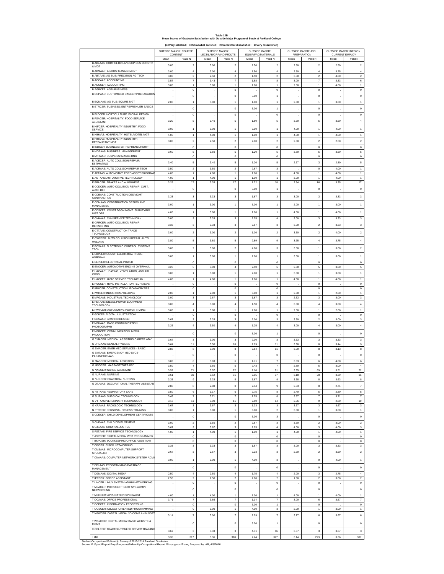#### **Table 12B Mean Scores of Graduate Satisfaction with Outside Major Program of Study at Parkland College**

**(4=Very satisfied; 3=Somewhat satisfied; 2=Somewhat dissatisfied; 1=Very dissatisfied)**

|                                                                                                                                                                                             | OUTSIDE MAJOR: COURSE<br>CONTENT |                                           | <b>OUTSIDE MAJOR:</b><br>LECT/LAB/GRP/IND PROJTS |                                    | OUTSIDE MAJOR: | EQUIP/FAC/MATERIALS                        |              | OUTSIDE MAJOR: JOB<br><b>PREPARATION</b> | OUTSIDE MAJOR: INFO ON<br><b>CURRENT EMPLOY</b> |                                             |
|---------------------------------------------------------------------------------------------------------------------------------------------------------------------------------------------|----------------------------------|-------------------------------------------|--------------------------------------------------|------------------------------------|----------------|--------------------------------------------|--------------|------------------------------------------|-------------------------------------------------|---------------------------------------------|
|                                                                                                                                                                                             | Mean                             | Valid N                                   | Mean                                             | Valid N                            | Mean           | Valid N                                    | Mean         | Valid N                                  | Mean                                            | Valid N                                     |
| B ABLAAS: HORTICLTR: LANDSCP DES CONSTR<br>& MGT                                                                                                                                            | 3.00                             | $\overline{2}$                            | 3.00                                             | $\overline{2}$                     | 2.50           | $\overline{2}$                             | 2.50         | $\overline{2}$                           | 2.50                                            | $\overline{2}$                              |
| B ABMAAS: AG BUS: MANAGEMENT                                                                                                                                                                | 3.00                             | $\sqrt{4}$                                | 3.00                                             | $\sqrt{4}$                         | 1.50           | 4                                          | 2.50         | $\boldsymbol{4}$                         | 3.25                                            | $\boldsymbol{4}$                            |
| B ABTAAS: AG BUS: PRECISION AG TECH<br><b>B ACCAAS: ACCOUNTING</b>                                                                                                                          | 3.00<br>3.57                     | $\boldsymbol{2}$<br>$\overline{7}$        | 2.50<br>3.43                                     | $\boldsymbol{2}$<br>$\overline{7}$ | 1.50<br>1.88   | $\mathbf 2$<br>8                           | 3.50<br>3.00 | $\mathbf 2$<br>$\overline{7}$            | 4.00<br>3.33                                    | $\boldsymbol{2}$<br>6                       |
| <b>B ACCCER: ACCOUNTING</b>                                                                                                                                                                 | 3.00                             | $\mathbf{1}$                              | 3.00                                             | $\mathbf{1}$                       | 1.00           | 1                                          | 2.00         | $\mathbf{1}$                             | 4.00                                            | $\mathbf{1}$                                |
| <b>B AGBCER: AGRI-BUSINESS</b><br>B CCPAAS: CUSTOMIZED CAREER PREPARATION                                                                                                                   |                                  | $\bf 0$                                   |                                                  | $\,$ 0                             |                | $\bf{0}$                                   |              | $\mathbf 0$                              |                                                 | $\mathbf 0$                                 |
|                                                                                                                                                                                             |                                  | $\bf{0}$                                  |                                                  | $\mathbf 0$                        | 5.00           | $\mathbf{1}$                               |              | 0                                        |                                                 | $\bf{0}$                                    |
| B EQMAAS: AG BUS: EQUINE MGT<br>B ETRCER: BUSINESS: ENTREPRENUER BASICS                                                                                                                     | 2.00                             | $\ddot{\phantom{1}}$                      | 3.00                                             | $\ddot{\phantom{1}}$               | 1.00           | $\mathbf{1}$                               | 2.00         | $\overline{1}$                           | 3.00                                            | $\overline{1}$                              |
|                                                                                                                                                                                             |                                  | $\bf{0}$                                  |                                                  | $\,$ 0                             | 5.00           | $\mathbf{1}$                               |              | $\bf{0}$                                 |                                                 | $\bf{0}$                                    |
| B FLDCER: HORTICULTURE: FLORAL DESIGN<br>B FSACER: HOSPITALITY: FOOD SERVICE                                                                                                                |                                  | $\bf{0}$                                  |                                                  | $\,$ 0                             |                | $\bf{0}$                                   |              | $\mathbf 0$                              |                                                 | $\mathbf 0$                                 |
| <b>ASSISTANT</b>                                                                                                                                                                            | 3.20                             | 5                                         | 3.40                                             | 5                                  | 1.80           | 5                                          | 3.60         | 5                                        | 3.50                                            | $\overline{4}$                              |
| B HIFCER: HOSPITALITY INDUSTRY: FOOD<br>SERVICE                                                                                                                                             | 3.00                             | $\mathbf{1}$                              | 3.00                                             | $\mathbf{1}$                       | 2.00           | $\mathbf{1}$                               | 4.00         | $\mathbf{1}$                             | 4.00                                            | $\ddot{\phantom{0}}$                        |
| B HIHAAS: HOSPITALITY: HOTEL/MOTEL MGT                                                                                                                                                      | 4.00                             | $\mathbf{1}$                              | 4.00                                             | $\mathbf{1}$                       | 1.00           | 1                                          | 4.00         | 1                                        | 4.00                                            | $\mathbf{1}$                                |
| B HIRAAS: HOSPITALITY INDUSTRY:<br><b>RESTAURANT MGT</b>                                                                                                                                    | 3.00                             | $\boldsymbol{2}$                          | 2.50                                             | $\sqrt{2}$                         | 2.00           | $\boldsymbol{2}$                           | 2.00         | $\boldsymbol{2}$                         | 2.50                                            | $\boldsymbol{2}$                            |
| B INDCER: BUSINESS: ENTREPRENEURSHIP                                                                                                                                                        |                                  | $\bf 0$                                   |                                                  | $\,$ 0                             |                | 0                                          |              | $\bf{0}$                                 |                                                 | $\,0\,$                                     |
| <b>B MGTAAS: BUSINESS: MANAGEMENT</b><br><b>B MKTAAS: BUSINESS: MARKETING</b>                                                                                                               | 3.60                             | 5<br>$\mathsf 0$                          | 3.60                                             | 5<br>$\,$ 0                        | 1.20           | 5<br>0                                     | 3.80         | 5<br>$\mathbf 0$                         | 3.60                                            | 5<br>$\mathbf 0$                            |
| E ACECER: AUTO COLLISION REPAIR                                                                                                                                                             |                                  |                                           |                                                  |                                    |                |                                            |              |                                          |                                                 |                                             |
| <b>ESTIMATING</b><br>E ACRAAS: AUTO COLLISION REPAIR TECH                                                                                                                                   | 3.40<br>3.50                     | 5<br>$\overline{2}$                       | 3.40<br>3.50                                     | 5<br>$\overline{2}$                | 1.20<br>2.67   | 5<br>3                                     | 2.67         | $\mathsf 3$<br>$\bf{0}$                  | 2.80<br>4.00                                    | 5<br>$\mathbf{1}$                           |
| E AFTAAS: AUTOMOTIVE FORD ASSET PROGRAM                                                                                                                                                     | 4.00                             | $\,$ 1                                    | 4.00                                             | 1                                  | 1.00           | $\mathbf{1}$                               | 4.00         | 1                                        | 4.00                                            | $\,$ 1 $\,$                                 |
| E AUTAAS: AUTOMOTIVE TECHNOLOGY                                                                                                                                                             | 4.00                             | $\overline{1}$                            | 4.00                                             | $\mathbf{1}$                       | 1.00           | $\overline{1}$                             | 3.00         | 1                                        | 4.00                                            | $\,$ 1 $\,$                                 |
| E BRLCER: BRAKES AND ALIGNMENT<br>E CCDCER: AUTO COLLISION REPAIR: CUST.                                                                                                                    | 3.29                             | 17                                        | 3.35                                             | 17                                 | 1.72           | 18                                         | 2.94         | 16                                       | 3.35                                            | 17                                          |
| <b>AUTO DES</b>                                                                                                                                                                             |                                  | $\bf{0}$                                  |                                                  | $\,$ 0                             | 5.00           | $\,$ 1 $\,$                                |              | $\bf{0}$                                 |                                                 | $\bf{0}$                                    |
| E CDBAAS: CONSTRUCTION DES/MGMT<br>CONTRACTING                                                                                                                                              | 3.33                             | 3                                         | 3.33                                             | $\mathbf 3$                        | 1.67           | $\overline{\mathbf{3}}$                    | 3.00         | 3                                        | 3.33                                            | 3                                           |
| E CDMAAS: CONSTRUCTION DESIGN AND<br>MANAGEMENT                                                                                                                                             | 3.00                             | $\mathbf{1}$                              | 3.00                                             | $\mathbf{1}$                       | 3.00           | $\mathbf{1}$                               | 2.00         | $\overline{1}$                           | 3.00                                            | $\overline{1}$                              |
| E CDSCER: CONST DSGN MGMT: SURVEYING                                                                                                                                                        |                                  |                                           |                                                  |                                    |                |                                            |              |                                          |                                                 |                                             |
| <b>INST OPR</b><br>E CNHAAS: CNH SERVICE TECHNICIAN                                                                                                                                         | 4.00                             | $\mathbf{1}$                              | 3.00                                             | $\mathbf 1$                        | 1.00           | $\mathbf{1}$                               | 4.00         | 1                                        | 4.00                                            | $\ddot{\phantom{0}}$                        |
| E CRRCER: AUTO COLLISION REPAIR:                                                                                                                                                            | 3.00                             | $\mathbf 3$                               | 3.33                                             | $\mathbf 3$                        | 2.25           | $\overline{4}$                             | 3.00         | $\overline{\mathbf{3}}$                  | 3.33                                            | $\overline{\mathbf{3}}$                     |
| <b>REFINISHING</b><br>E CTTAAS: CONSTRUCTION TRADE                                                                                                                                          | 3.33                             | 3                                         | 3.33                                             | $\mathbf 3$                        | 2.67           | 3                                          | 3.00         | $\bar{2}$                                | 3.33                                            | 3                                           |
| <b>TECHNOLOGY</b>                                                                                                                                                                           | 3.00                             | $\overline{2}$                            | 3.00                                             | $\,2\,$                            | 1.00           | $\bar{2}$                                  | 3.50         | $\overline{2}$                           | 4.00                                            | $\overline{2}$                              |
| E CWCCER: AUTO COLLISION REPAIR: AUTO<br>WELDING                                                                                                                                            | 3.80                             | 5                                         | 3.80                                             | 5                                  | 2.89           | 9                                          | 3.75         | $\ddot{4}$                               | 3.75                                            | $\ddot{4}$                                  |
| E ECSAAS: ELECTRONIC CONTROL SYSTEMS                                                                                                                                                        | 3.00                             | $\boldsymbol{2}$                          | 3.00                                             | $\sqrt{2}$                         | 4.00           | 3                                          | 3.00         | $\,$ 1 $\,$                              | 3.00                                            | $\boldsymbol{2}$                            |
| <b>TECH</b><br>E EIWCER: CONST: ELECTRICAL INSIDE                                                                                                                                           |                                  |                                           |                                                  |                                    |                |                                            |              |                                          |                                                 |                                             |
| WIREMAN                                                                                                                                                                                     | 3.00                             | $\,$ 1                                    | 3.00                                             | $\mathbf 1$                        | 2.00           | $\mathbf{1}$                               | 3.00         | $\,$ 1 $\,$                              | 3.00                                            | $\,$ 1 $\,$                                 |
| E ELPCER: ELECTRICAL POWER<br>E ENOCER: AUTOMOTIVE ENGINE OVERHAUL                                                                                                                          | 3.20                             | $\bf{0}$<br>5                             | 3.00                                             | $\,$ 0<br>$\bf{4}$                 | 2.50           | $\bf{0}$<br>6                              | 2.80         | 0<br>5                                   | 3.00                                            | $\pmb{0}$<br>5                              |
| E HACAAS: HEATING, VENTILATION, AND AIR                                                                                                                                                     | 3.00                             | $\mathbf{1}$                              | 3.00                                             | $\mathbf{1}$                       | 2.00           | 1                                          | 3.00         | 1                                        | 3.00                                            | $\ddot{\phantom{0}}$                        |
| COND<br>E HACCER: HVAC SERVICE TECHNICIAN I                                                                                                                                                 | 4.00                             | $\overline{1}$                            | 4.00                                             | $\overline{1}$                     | 1.00           | $\mathbf{1}$                               | 4.00         | 1                                        | 4.00                                            | $\overline{1}$                              |
| E HVCCER: HVAC INSTALLATION TECHNICIAN                                                                                                                                                      |                                  | $\mathbf 0$                               |                                                  | $\,$ 0                             |                | $\bf{0}$                                   |              | $\bf{0}$                                 |                                                 | $\mathbf 0$                                 |
| E IRWCER: CONSTRUCTION: IRONWORKERS                                                                                                                                                         |                                  | $\mathbf 0$                               |                                                  | $\,$ 0                             |                | 0                                          |              | $\mathbf 0$                              |                                                 | $\mathbf 0$                                 |
| E IWTCER: INDUSTRIAL WELDING<br>E MFGAAS: INDUSTRIAL TECHNOLOGY                                                                                                                             | 2.00<br>3.00                     | 1<br>3                                    | 2.00<br>2.67                                     | 1<br>3                             | 3.00<br>1.67   | 1<br>3                                     | 2.00<br>2.33 | 1<br>3                                   | 2.00<br>3.00                                    | $\ddot{\phantom{1}}$<br>3                   |
| E PETAAS: DIESEL POWER EQUIPMENT                                                                                                                                                            | 3.00                             | $\boldsymbol{4}$                          | 3.00                                             | $\bf{4}$                           | 1.50           | 4                                          | 3.00         | $\boldsymbol{4}$                         | 3.00                                            | $\boldsymbol{4}$                            |
| TECHNOLOGY<br>E PWTCER: AUTOMOTIVE POWER TRAINS                                                                                                                                             | 3.00                             | $\overline{1}$                            | 3.00                                             | $\overline{1}$                     | 2.00           | $\mathbf{1}$                               | 2.00         | 1                                        | 2.00                                            | $\mathbf{1}$                                |
| F GDICER: DIGITAL ILLUSTRATION                                                                                                                                                              |                                  | $\mathbf 0$                               |                                                  | $\,$ 0                             |                | 0                                          |              | $\mathbf 0$                              |                                                 | $\pmb{0}$                                   |
| F GDSAAS: GRAPHIC DESIGN                                                                                                                                                                    | 3.67                             | 3                                         | 3.33                                             | 3                                  | 2.00           | 3                                          | 3.50         | $\mathbf 2$                              | 3.00                                            | $\mathsf 3$                                 |
| F MPHAAS: MASS COMMUNICATION:<br>PHOTOGRAPHY                                                                                                                                                | 3.25                             | $\boldsymbol{4}$                          | 3.50                                             | $\sqrt{4}$                         | 1.25           | 4                                          | 3.00         | 4                                        | 3.00                                            | $\boldsymbol{4}$                            |
| F MPRCER: COMMUNICATION: MEDIA<br><b>PRODUCTION</b>                                                                                                                                         |                                  | $\mathbf 0$                               |                                                  | $\,$ 0                             | 5.00           | $\,$ 1 $\,$                                |              | $\bf{0}$                                 |                                                 | $\mathbf 0$                                 |
| G CMACER: MEDICAL ASSISTING CAREER ADV.                                                                                                                                                     | 3.67                             | 3                                         | 3.00                                             | 3                                  | 2.00           | 3                                          | 3.33         | 3                                        | 3.33                                            | $^{\rm 3}$                                  |
| G DHGAAS: DENTAL HYGIENE                                                                                                                                                                    | 3.64                             | 11                                        | 3.50                                             | $10$                               | 2.09           | 11                                         | 3.38         | 8                                        | 3.44                                            | $\boldsymbol{9}$                            |
| <b>G EMACER: EMER MED SERVICES - BASIC</b><br>G EMTAAS: EMERGENCY MED SVCS-                                                                                                                 | 2.88                             | 8                                         | 3.00                                             | 8                                  | 2.64           | 11                                         | 3.00         | 8                                        | 3.13                                            | 8                                           |
| PARAMEDIC AAS                                                                                                                                                                               |                                  | $\bf{0}$                                  |                                                  | $\,$ 0                             |                | 0                                          |              | $\bf{0}$                                 |                                                 | $\bf{0}$                                    |
| <b>G MASCER: MEDICAL ASSISTING</b><br><b>G MSGCER: MASSAGE THERAPY</b>                                                                                                                      | 3.83<br>3.50                     | 6<br>$\boldsymbol{4}$                     | 3.83<br>3.60                                     | 6<br>5                             | 1.71<br>2.43   | $\overline{7}$<br>$\overline{\phantom{a}}$ | 3.83<br>2.80 | 6<br>5                                   | 4.00<br>3.00                                    | 6<br>$\bf{4}$                               |
| <b>G NASCER: NURSE ASSISTANT</b>                                                                                                                                                            | 3.52                             | 71                                        | 3.57                                             | $72\,$                             | 2.10           | 91                                         | 3.35         | 69                                       | 3.51                                            | $72\,$                                      |
| <b>G NURAAS: NURSING</b>                                                                                                                                                                    | 3.61                             | 31                                        | 3.52                                             | 31                                 | 2.05           | 37                                         | 3.18         | 28                                       | 3.39                                            | 31                                          |
| G NURCER: PRACTICAL NURSING<br>G OTAAAS: OCCUPATIONAL THERAPY ASSISTAN                                                                                                                      | 3.33                             | $\overline{9}$                            | 3.33                                             | $\overline{9}$                     | 1.67           | $\overline{9}$                             | 3.38         | 8                                        | 3.63                                            | 8                                           |
|                                                                                                                                                                                             | 2.88                             | 8                                         | 2.88                                             | $^{\rm 8}$                         | 2.44           | 9                                          | 2.63         | 8                                        | 2.71                                            | $\overline{\mathfrak{z}}$                   |
| <b>G RTTAAS: RESPIRATORY CARE</b><br>G SURAAS: SURGICAL TECHNOLOGY                                                                                                                          | 3.50<br>3.43                     | 6<br>$\overline{7}$                       | 3.17<br>3.71                                     | 6<br>$\scriptstyle{7}$             | 2.75<br>1.75   | $^{\rm 8}$<br>8                            | 2.40<br>3.57 | 5<br>$\overline{\phantom{a}}$            | 2.80<br>3.71                                    | 5<br>$\overline{7}$                         |
| G VTTAAS: VETERINARY TECHNOLOGY                                                                                                                                                             | 3.18                             | 11                                        | 3.00                                             | 11                                 | 2.50           | 14                                         | 2.56         | $\mathsf g$                              | 2.80                                            | 10                                          |
| G XRAAAS: RADIOLOGIC TECHNOLOGY<br>N FTRCER: PERSONAL FITNESS TRAINING                                                                                                                      | 3.67                             | $\overline{3}$                            | 3.67                                             | $\,$ 3                             | 1.33           | 3                                          | 3.67         | 3                                        | 3.67                                            | $\mathsf 3$                                 |
| S CDECER: CHILD DEVELOPMENT CERTIFICATE                                                                                                                                                     | 3.00                             | 1                                         | 3.00                                             | $\mathbf{1}$                       | 3.00           | $\mathbf 2$                                | 3.00         | 1                                        | 3.00                                            | $\mathbf{1}$                                |
|                                                                                                                                                                                             |                                  | $\mathbf 0$                               |                                                  | $\,$ 0                             | 5.00           | 3                                          |              | $\bf{0}$                                 |                                                 | $\pmb{0}$                                   |
| S CHDAAS: CHILD DEVELOPMENT<br>S CJSAAS: CRIMINAL JUSTICE                                                                                                                                   | 3.00<br>3.67                     | $\overline{2}$<br>$\overline{\mathbf{3}}$ | 3.50<br>3.67                                     | $\overline{2}$<br>$\mathbf 3$      | 2.67<br>2.25   | 3<br>$\overline{\mathbf{4}}$               | 3.50<br>4.00 | $\boldsymbol{2}$<br>3                    | 3.00<br>4.00                                    | $\boldsymbol{2}$<br>$\overline{\mathbf{3}}$ |
| S FSTAAS: FIRE SERVICE TECHNOLOGY                                                                                                                                                           | 4.00                             | $\mathbf{1}$                              | 4.00                                             | $\,$ 1 $\,$                        | 1.00           | $\mathbf{1}$                               | 4.00         | 1                                        | 4.00                                            | $\,$ 1 $\,$                                 |
| T ASPCER: DIGITAL MEDIA: WEB PROGRAMMER                                                                                                                                                     |                                  | $\mathsf{O}\xspace$                       |                                                  | $\,$ 0 $\,$                        |                | 0                                          |              | $\mathbf 0$                              |                                                 | $\mathbf 0$                                 |
| T BKPCER: BOOKKEEPING OFFICE ASSISTANT<br>T CISCER: CISCO NETWORKING                                                                                                                        | 3.33                             | $\pmb{0}$<br>3                            | 3.33                                             | $\pmb{0}$<br>3                     | 1.67           | 0<br>3                                     | 3.00         | 0<br>3                                   | 3.33                                            | $\pmb{0}$<br>$\mathsf 3$                    |
| T CMSAAS: MICROCOMPUTER SUPPORT<br>SPECIALIST                                                                                                                                               | 2.67                             | 3                                         | 2.67                                             | $\,$ 3                             | 2.33           | 3                                          | 2.50         | $\boldsymbol{2}$                         | 3.50                                            | $\boldsymbol{2}$                            |
| T CNAAAS: COMPUTER NETWORK SYSTEM ADM                                                                                                                                                       |                                  |                                           |                                                  |                                    |                |                                            |              |                                          |                                                 |                                             |
| T CPLAAS: PROGRAMMING-DATABASE                                                                                                                                                              | 3.00                             | $\mathbf{1}$                              | 3.00                                             | $\overline{1}$                     | 4.00           | $\mathbf 3$                                |              | $\mathbf 0$                              | 4.00                                            | $\overline{1}$                              |
| MANAGEMENT                                                                                                                                                                                  |                                  | $\mathbf 0$                               |                                                  | $\,$ 0                             |                | $\mathbf 0$                                |              | $\mathbf 0$                              |                                                 | $\mathsf{o}\xspace$                         |
| T DGMAAS: DIGITAL MEDIA<br>T IPRCER: OFFICE ASSISTANT                                                                                                                                       | 2.50                             | $\bf{4}$<br>$\overline{2}$                | 2.50<br>2.50                                     | $\sqrt{4}$<br>$\overline{2}$       | 1.75           | 4<br>$\overline{a}$                        | 2.00         | 3                                        | 2.75                                            | $\bf{4}$                                    |
| T LINCER: LINUX SYSTEM ADMIN NETWORKING                                                                                                                                                     | 2.50                             | $\mathsf{O}\xspace$                       |                                                  | $\mathbf 0$                        | 2.00           | $\,$ 0 $\,$                                | 1.50         | $\mathbf 2$<br>$\mathbf 0$               | 3.00                                            | $\boldsymbol{2}$<br>$\mathsf{o}\,$          |
| T MSACER: MICROSOFT CERT SYS ADMIN<br><b>NETWORKING</b>                                                                                                                                     |                                  | $\mathbf 0$                               |                                                  | $\,$ 0                             |                | $\mathbf 0$                                |              | $\mathbf 0$                              |                                                 | $\mathsf{o}\xspace$                         |
| T MSOCER: APPLICATION SPECIALIST                                                                                                                                                            | 4.00                             | $\,$ 1 $\,$                               | 4.00                                             | $\,$ 1 $\,$                        | 1.00           | $\,$ 1 $\,$                                | 4.00         | $\,$ 1 $\,$                              | 4.00                                            | $\,$ 1 $\,$                                 |
| T OCAAAS: OFFICE PROFESSIONAL                                                                                                                                                               | 3.71                             | $\overline{7}$                            | 3.86                                             | $\overline{\phantom{a}}$           | 1.14           | $\overline{7}$                             | 3.00         | 6                                        | 3.57                                            | $\overline{\phantom{a}}$                    |
| T OCPCER: INFORMATION PROCESSING<br>T OOSCER: OBJECT-ORIENTED PROGRAMMING                                                                                                                   |                                  | $\mathbf 0$<br>$\mathbf 0$                | 3.00                                             | $\,$ 0<br>$\mathbf{1}$             | 5.00<br>4.00   | 1<br>3                                     | 2.00         | $\mathbf 0$<br>$\mathbf{1}$              | 3.00                                            | $\mathbf 0$<br>$\,$ 1 $\,$                  |
| T VGWCER: DIGITAL MEDIA: 3D COMP ANIM SOF                                                                                                                                                   | 3.14                             | $\overline{7}$                            | 3.00                                             | $\scriptstyle{7}$                  | 2.29           | $\boldsymbol{7}$                           | 3.17         | 6                                        | 3.67                                            | 6                                           |
| T WSMCER: DIGITAL MEDIA: BASIC WEBSITE &                                                                                                                                                    |                                  |                                           |                                                  |                                    |                |                                            |              |                                          |                                                 |                                             |
| <b>MGMT</b>                                                                                                                                                                                 |                                  | 0                                         |                                                  | $\,0\,$                            | 5.00           | $\mathbf{1}$                               |              | 0                                        |                                                 | $\bf{0}$                                    |
| X CDLCER: TRACTOR-TRAILER DRIVER TRAINING                                                                                                                                                   | 3.67                             | 3                                         | 3.33                                             | $\,$ 3                             | 4.31           | 16                                         | 3.67         | $\mathsf 3$                              | 3.67                                            | 3                                           |
| Total                                                                                                                                                                                       | 3.38                             | 317                                       | 3.36                                             | 318                                | 2.24           | 397                                        | 3.14         | 293                                      | 3.36                                            | 307                                         |
| Student Occupational Follow-Up Survey of 2013-2014 Parkland Graduates<br>Source: P:\\\grad\Report Prep\Programs\Follow-Up Occupational Report 15.sps:grocc15.say: Prepared by IAR: 4/8/2016 |                                  |                                           |                                                  |                                    |                |                                            |              |                                          |                                                 |                                             |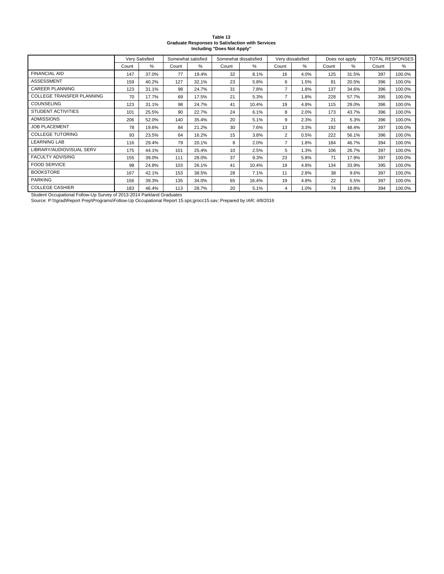| Table 13                                                |
|---------------------------------------------------------|
| <b>Graduate Responses to Satisfaction with Services</b> |
| Including "Does Not Apply"                              |

|                           |       | Very Satisfied<br>Somewhat satisfied |       | Somewhat dissatisfied |       |       | Very dissatisfied |      | Does not apply | TOTAL RESPONSES |       |        |
|---------------------------|-------|--------------------------------------|-------|-----------------------|-------|-------|-------------------|------|----------------|-----------------|-------|--------|
|                           | Count | %                                    | Count | %                     | Count | %     | Count             | %    | Count          | ℅               | Count | %      |
| <b>FINANCIAL AID</b>      | 147   | 37.0%                                | 77    | 19.4%                 | 32    | 8.1%  | 16                | 4.0% | 125            | 31.5%           | 397   | 100.0% |
| <b>ASSESSMENT</b>         | 159   | 40.2%                                | 127   | 32.1%                 | 23    | 5.8%  | 6                 | 1.5% | 81             | 20.5%           | 396   | 100.0% |
| <b>CAREER PLANNING</b>    | 123   | 31.1%                                | 98    | 24.7%                 | 31    | 7.8%  | $\overline{7}$    | 1.8% | 137            | 34.6%           | 396   | 100.0% |
| COLLEGE TRANSFER PLANNING | 70    | 17.7%                                | 69    | 17.5%                 | 21    | 5.3%  | $\overline{7}$    | 1.8% | 228            | 57.7%           | 395   | 100.0% |
| <b>COUNSELING</b>         | 123   | 31.1%                                | 98    | 24.7%                 | 41    | 10.4% | 19                | 4.8% | 115            | 29.0%           | 396   | 100.0% |
| <b>STUDENT ACTIVITIES</b> | 101   | 25.5%                                | 90    | 22.7%                 | 24    | 6.1%  | 8                 | 2.0% | 173            | 43.7%           | 396   | 100.0% |
| <b>ADMISSIONS</b>         | 206   | 52.0%                                | 140   | 35.4%                 | 20    | 5.1%  | 9                 | 2.3% | 21             | 5.3%            | 396   | 100.0% |
| <b>JOB PLACEMENT</b>      | 78    | 19.6%                                | 84    | 21.2%                 | 30    | 7.6%  | 13                | 3.3% | 192            | 48.4%           | 397   | 100.0% |
| <b>COLLEGE TUTORING</b>   | 93    | 23.5%                                | 64    | 16.2%                 | 15    | 3.8%  | $\overline{2}$    | 0.5% | 222            | 56.1%           | 396   | 100.0% |
| <b>LEARNING LAB</b>       | 116   | 29.4%                                | 79    | 20.1%                 | 8     | 2.0%  | $\overline{7}$    | 1.8% | 184            | 46.7%           | 394   | 100.0% |
| LIBRARY/AUDIOVISUAL SERV  | 175   | 44.1%                                | 101   | 25.4%                 | 10    | 2.5%  | 5                 | 1.3% | 106            | 26.7%           | 397   | 100.0% |
| <b>FACULTY ADVISING</b>   | 155   | 39.0%                                | 111   | 28.0%                 | 37    | 9.3%  | 23                | 5.8% | 71             | 17.9%           | 397   | 100.0% |
| <b>FOOD SERVICE</b>       | 98    | 24.8%                                | 103   | 26.1%                 | 41    | 10.4% | 19                | 4.8% | 134            | 33.9%           | 395   | 100.0% |
| <b>BOOKSTORE</b>          | 167   | 42.1%                                | 153   | 38.5%                 | 28    | 7.1%  | 11                | 2.8% | 38             | 9.6%            | 397   | 100.0% |
| <b>PARKING</b>            | 156   | 39.3%                                | 135   | 34.0%                 | 65    | 16.4% | 19                | 4.8% | 22             | 5.5%            | 397   | 100.0% |
| <b>COLLEGE CASHIER</b>    | 183   | 46.4%                                | 113   | 28.7%                 | 20    | 5.1%  | 4                 | 1.0% | 74             | 18.8%           | 394   | 100.0% |

Student Occupational Follow-Up Survey of 2013-2014 Parkland Graduates<br>Source: P:∖∖∖grad∖Report Prep∖Programs∖Follow-Up Occupational Report 15.sps;grocc15.sav; Prepared by IAR; 4/8/2016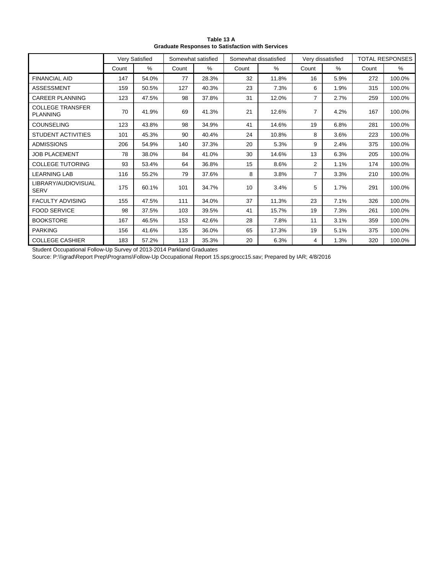|                                            |       | Very Satisfied |       | Somewhat satisfied | Somewhat dissatisfied |       |                | Very dissatisfied |       | <b>TOTAL RESPONSES</b> |
|--------------------------------------------|-------|----------------|-------|--------------------|-----------------------|-------|----------------|-------------------|-------|------------------------|
|                                            | Count | $\%$           | Count | %                  | Count                 | $\%$  | Count          | %                 | Count | %                      |
| <b>FINANCIAL AID</b>                       | 147   | 54.0%          | 77    | 28.3%              | 32                    | 11.8% | 16             | 5.9%              | 272   | 100.0%                 |
| <b>ASSESSMENT</b>                          | 159   | 50.5%          | 127   | 40.3%              | 23                    | 7.3%  | 6              | 1.9%              | 315   | 100.0%                 |
| <b>CAREER PLANNING</b>                     | 123   | 47.5%          | 98    | 37.8%              | 31                    | 12.0% | 7              | 2.7%              | 259   | 100.0%                 |
| <b>COLLEGE TRANSFER</b><br><b>PLANNING</b> | 70    | 41.9%          | 69    | 41.3%              | 21                    | 12.6% | 7              | 4.2%              | 167   | 100.0%                 |
| <b>COUNSELING</b>                          | 123   | 43.8%          | 98    | 34.9%              | 41                    | 14.6% | 19             | 6.8%              | 281   | 100.0%                 |
| <b>STUDENT ACTIVITIES</b>                  | 101   | 45.3%          | 90    | 40.4%              | 24                    | 10.8% | 8              | 3.6%              | 223   | 100.0%                 |
| <b>ADMISSIONS</b>                          | 206   | 54.9%          | 140   | 37.3%              | 20                    | 5.3%  | 9              | 2.4%              | 375   | 100.0%                 |
| <b>JOB PLACEMENT</b>                       | 78    | 38.0%          | 84    | 41.0%              | 30                    | 14.6% | 13             | 6.3%              | 205   | 100.0%                 |
| <b>COLLEGE TUTORING</b>                    | 93    | 53.4%          | 64    | 36.8%              | 15                    | 8.6%  | $\overline{2}$ | 1.1%              | 174   | 100.0%                 |
| <b>LEARNING LAB</b>                        | 116   | 55.2%          | 79    | 37.6%              | 8                     | 3.8%  | $\overline{7}$ | 3.3%              | 210   | 100.0%                 |
| LIBRARY/AUDIOVISUAL<br><b>SERV</b>         | 175   | 60.1%          | 101   | 34.7%              | 10                    | 3.4%  | 5              | 1.7%              | 291   | 100.0%                 |
| <b>FACULTY ADVISING</b>                    | 155   | 47.5%          | 111   | 34.0%              | 37                    | 11.3% | 23             | 7.1%              | 326   | 100.0%                 |
| <b>FOOD SERVICE</b>                        | 98    | 37.5%          | 103   | 39.5%              | 41                    | 15.7% | 19             | 7.3%              | 261   | 100.0%                 |
| <b>BOOKSTORE</b>                           | 167   | 46.5%          | 153   | 42.6%              | 28                    | 7.8%  | 11             | 3.1%              | 359   | 100.0%                 |
| <b>PARKING</b>                             | 156   | 41.6%          | 135   | 36.0%              | 65                    | 17.3% | 19             | 5.1%              | 375   | 100.0%                 |
| <b>COLLEGE CASHIER</b>                     | 183   | 57.2%          | 113   | 35.3%              | 20                    | 6.3%  | 4              | 1.3%              | 320   | 100.0%                 |

**Table 13 A Graduate Responses to Satisfaction with Services**

Student Occupational Follow-Up Survey of 2013-2014 Parkland Graduates

Source: P:\\\grad\Report Prep\Programs\Follow-Up Occupational Report 15.sps;grocc15.sav; Prepared by IAR; 4/8/2016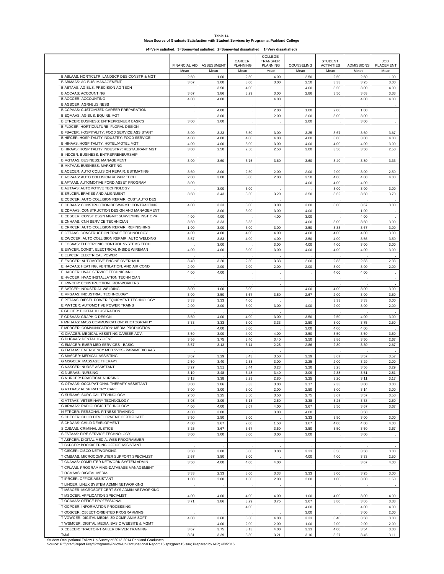| Table 14                                                                                  |
|-------------------------------------------------------------------------------------------|
| Mean Scores of Graduate Satisfaction with Student Services by Program at Parkland College |

**(4=Very satisfied; 3=Somewhat satisfied; 2=Somewhat dissatisfied; 1=Very dissatisfied)**

| <b>ASSESSMENT</b><br><b>PLANNING</b><br><b>PLACEMENT</b><br><b>FINANCIAL AID</b><br>PLANNING<br>COUNSELING<br><b>ACTIVITIES</b><br>ADMISSIONS<br>Mean<br>Mean<br>Mean<br>Mean<br>Mean<br>Mean<br>Mean<br>Mean<br>B ABLAAS: HORTICLTR: LANDSCP DES CONSTR & MGT<br>4.00<br>2.50<br>1.00<br>2.50<br>2.50<br>2.50<br>2.50<br>1.00<br><b>B ABMAAS: AG BUS: MANAGEMENT</b><br>3.67<br>3.00<br>3.00<br>3.00<br>2.50<br>3.33<br>3.25<br>3.00<br>B ABTAAS: AG BUS: PRECISION AG TECH<br>3.50<br>4.00<br>4.00<br>3.50<br>3.00<br>4.00<br><b>B ACCAAS: ACCOUNTING</b><br>3.67<br>3.86<br>3.29<br>3.00<br>2.86<br>3.50<br>3.63<br>3.33<br><b>B ACCCER: ACCOUNTING</b><br>4.00<br>4.00<br>4.00<br>4.00<br>4.00<br><b>B AGBCER: AGRI-BUSINESS</b><br>÷,<br>B CCPAAS: CUSTOMIZED CAREER PREPARATION<br>1.00<br>4.00<br>2.00<br>1.00<br>2.00<br>B EQMAAS: AG BUS: EQUINE MGT<br>2.00<br>3.00<br>2.00<br>3.00<br>3.00<br><b>B ETRCER: BUSINESS: ENTREPRENUER BASICS</b><br>3.00<br>3.00<br>2.00<br>3.00<br>B FLDCER: HORTICULTURE: FLORAL DESIGN<br>B FSACER: HOSPITALITY: FOOD SERVICE ASSISTANT<br>3.67<br>3.00<br>3.33<br>3.50<br>3.00<br>3.25<br>3.67<br>3.60<br>B HIFCER: HOSPITALITY INDUSTRY: FOOD SERVICE<br>4.00<br>4.00<br>4.00<br>4.00<br>4.00<br>3.00<br>3.00<br>4.00<br>B HIHAAS: HOSPITALITY: HOTEL/MOTEL MGT<br>4.00<br>4.00<br>3.00<br>3.00<br>4.00<br>4.00<br>4.00<br>3.00<br>B HIRAAS: HOSPITALITY INDUSTRY: RESTAURANT MGT<br>3.50<br>2.50<br>3.00<br>2.50<br>2.50<br>2.50<br>3.00<br>3.50<br>B INDCER: BUSINESS: ENTREPRENEURSHIP<br><b>B MGTAAS: BUSINESS: MANAGEMENT</b><br>3.00<br>3.60<br>3.75<br>3.60<br>3.60<br>3.40<br>3.80<br>3.33<br><b>B MKTAAS: BUSINESS: MARKETING</b><br>E ACECER: AUTO COLLISION REPAIR: ESTIMATING<br>2.50<br>3.60<br>3.00<br>2.50<br>2.00<br>2.00<br>2.00<br>3.00<br>E ACRAAS: AUTO COLLISION REPAIR TECH<br>2.00<br>3.00<br>3.00<br>2.00<br>3.50<br>4.00<br>4.00<br>4.00<br>E AFTAAS: AUTOMOTIVE FORD ASSET PROGRAM<br>3.00<br>4.00<br>4.00<br>4.00<br>E AUTAAS: AUTOMOTIVE TECHNOLOGY<br>3.00<br>3.00<br>3.00<br>3.00<br>3.00<br>E BRLCER: BRAKES AND ALIGNMENT<br>3.50<br>3.43<br>3.50<br>3.50<br>3.70<br>3.20<br>3.50<br>3.62<br>E CCDCER: AUTO COLLISION REPAIR: CUST.AUTO DES<br>E CDBAAS: CONSTRUCTION DES/MGMT: CONTRACTING<br>4.00<br>3.33<br>3.00<br>3.00<br>3.00<br>3.00<br>3.67<br>3.00<br>E CDMAAS: CONSTRUCTION DESIGN AND MANAGEMENT<br>3.00<br>3.00<br>3.00<br>4.00<br>1.00<br>E CDSCER: CONST DSGN MGMT: SURVEYING INST OPR<br>4.00<br>4.00<br>4.00<br>3.00<br>4.00<br>E CNHAAS: CNH SERVICE TECHNICIAN<br>4.00<br>3.00<br>3.50<br>3.33<br>3.33<br>3.00<br>3.50<br>E CRRCER: AUTO COLLISION REPAIR: REFINISHING<br>1.00<br>3.00<br>3.00<br>3.00<br>3.50<br>3.33<br>3.67<br>3.00<br>E CTTAAS: CONSTRUCTION TRADE TECHNOLOGY<br>4.00<br>4.00<br>4.00<br>4.00<br>4.00<br>4.00<br>4.00<br>3.00<br>E CWCCER: AUTO COLLISION REPAIR: AUTO WELDING<br>3.57<br>3.83<br>4.00<br>4.00<br>3.50<br>4.00<br>3.56<br>3.50<br>E ECSAAS: ELECTRONIC CONTROL SYSTEMS TECH<br>3.00<br>3.00<br>4.00<br>4.00<br>3.00<br>3.00<br>E EIWCER: CONST: ELECTRICAL INSIDE WIREMAN<br>4.00<br>4.00<br>3.00<br>3.00<br>4.00<br>4.00<br>4.00<br>3.00<br>E ELPCER: ELECTRICAL POWER<br>E ENOCER: AUTOMOTIVE ENGINE OVERHAUL<br>3.40<br>3.20<br>2.50<br>3.33<br>2.00<br>2.83<br>2.33<br>2.83<br>E HACAAS: HEATING, VENTILATION, AND AIR COND<br>2.00<br>2.00<br>2.00<br>2.00<br>2.00<br>2.00<br>3.00<br>3.00<br>E HACCER: HVAC SERVICE TECHNICIAN I<br>4.00<br>4.00<br>4.00<br>4.00<br>E HVCCER: HVAC INSTALLATION TECHNICIAN<br>$\ddot{\phantom{a}}$<br>$\lambda$<br>J.<br>×<br>E IRWCER: CONSTRUCTION: IRONWORKERS<br>E IWTCER: INDUSTRIAL WELDING<br>3.00<br>1.00<br>3.00<br>4.00<br>4.00<br>3.00<br>3.00<br>E MFGAAS: INDUSTRIAL TECHNOLOGY<br>3.00<br>3.50<br>3.67<br>3.50<br>2.67<br>2.00<br>3.00<br>3.50<br>E PETAAS: DIESEL POWER EQUIPMENT TECHNOLOGY<br>4.00<br>3.33<br>3.33<br>3.33<br>3.33<br>3.00<br>E PWTCER: AUTOMOTIVE POWER TRAINS<br>2.00<br>3.00<br>3.00<br>3.00<br>4.00<br>2.00<br>3.00<br>2.00<br>F GDICER: DIGITAL ILLUSTRATION<br>F GDSAAS: GRAPHIC DESIGN<br>3.00<br>3.50<br>2.50<br>4.00<br>3.00<br>3.50<br>4.00<br>4.00<br>F MPHAAS: MASS COMMUNICATION: PHOTOGRAPHY<br>3.33<br>3.33<br>3.00<br>3.33<br>2.50<br>3.00<br>3.75<br>2.50<br>F MPRCER: COMMUNICATION: MEDIA PRODUCTION<br>4.00<br>3.00<br>3.00<br>4.00<br>4.00<br>G CMACER: MEDICAL ASSISTING CAREER ADV.<br>3.50<br>3.00<br>4.00<br>4.00<br>3.50<br>3.50<br>3.50<br>3.50<br><b>G DHGAAS: DENTAL HYGIENE</b><br>3.56<br>3.75<br>3.40<br>3.40<br>3.50<br>3.86<br>3.50<br>2.67<br><b>G EMACER: EMER MED SERVICES - BASIC</b><br>3.57<br>3.13<br>3.14<br>2.25<br>2.86<br>2.80<br>3.30<br>2.67<br>G EMTAAS: EMERGENCY MED SVCS- PARAMEDIC AAS<br><b>G MASCER: MEDICAL ASSISTING</b><br>3.29<br>3.50<br>3.29<br>3.57<br>3.67<br>3.43<br>3.67<br>3.57<br>G MSGCER: MASSAGE THERAPY<br>2.50<br>3.40<br>2.33<br>3.00<br>2.25<br>2.00<br>3.29<br>2.00<br><b>G NASCER: NURSE ASSISTANT</b><br>3.27<br>3.51<br>3.44<br>3.23<br>3.20<br>3.28<br>3.56<br>3.29<br><b>G NURAAS: NURSING</b><br>3.09<br>3.19<br>3.48<br>3.48<br>3.40<br>2.88<br>3.51<br>2.81<br><b>G NURCER: PRACTICAL NURSING</b><br>3.13<br>3.38<br>3.29<br>2.80<br>3.25<br>3.20<br>3.11<br>3.17<br>G OTAAAS: OCCUPATIONAL THERAPY ASSISTANT<br>3.17<br>2.33<br>3.00<br>3.00<br>3.00<br>2.86<br>3.33<br>3.00<br><b>G RTTAAS: RESPIRATORY CARE</b><br>3.00<br>3.00<br>3.00<br>2.00<br>2.50<br>3.14<br>3.00<br>3.00<br><b>G SURAAS: SURGICAL TECHNOLOGY</b><br>2.50<br>3.25<br>3.50<br>3.50<br>2.75<br>3.67<br>3.57<br>3.50<br>G VTTAAS: VETERINARY TECHNOLOGY<br>2.50<br>3.08<br>3.09<br>3.13<br>2.50<br>3.38<br>3.25<br>3.38<br>G XRAAAS: RADIOLOGIC TECHNOLOGY<br>4.00<br>4.00<br>3.67<br>4.00<br>3.67<br>3.50<br>3.67<br>3.67<br>N FTRCER: PERSONAL FITNESS TRAINING<br>4.00<br>3.00<br>3.00<br>4.00<br>3.50<br>S CDECER: CHILD DEVELOPMENT CERTIFICATE<br>3.50<br>2.50<br>3.00<br>3.33<br>3.50<br>3.00<br>3.00<br>S CHDAAS: CHILD DEVELOPMENT<br>4.00<br>4.00<br>4.00<br>3.67<br>2.00<br>1.50<br>1.67<br>4.00<br>S CJSAAS: CRIMINAL JUSTICE<br>3.25<br>3.67<br>3.67<br>3.50<br>3.50<br>3.50<br>3.67<br>3.50<br>S FSTAAS: FIRE SERVICE TECHNOLOGY<br>3.00<br>3.00<br>3.00<br>3.00<br>3.00<br>3.00<br>T ASPCER: DIGITAL MEDIA: WEB PROGRAMMER<br>T BKPCER: BOOKKEEPING OFFICE ASSISTANT<br>T CISCER: CISCO NETWORKING<br>3.50<br>3.00<br>3.00<br>3.00<br>3.33<br>3.50<br>3.50<br>3.00<br>T CMSAAS: MICROCOMPUTER SUPPORT SPECIALIST<br>2.67<br>3.50<br>3.00<br>4.00<br>4.00<br>3.33<br>2.50<br>T CNAAAS: COMPUTER NETWORK SYSTEM ADMIN<br>3.50<br>4.00<br>4.00<br>4.00<br>3.67<br>4.00<br>T CPLAAS: PROGRAMMING-DATABASE MANAGEMENT<br>T DGMAAS: DIGITAL MEDIA<br>3.00<br>3.33<br>2.33<br>3.00<br>3.33<br>3.33<br>3.00<br>3.25<br>T IPRCER: OFFICE ASSISTANT<br>1.00<br>2.00<br>1.50<br>2.00<br>2.00<br>3.00<br>1.50<br>1.00<br>T LINCER: LINUX SYSTEM ADMIN NETWORKING<br>T MSACER: MICROSOFT CERT SYS ADMIN NETWORKING<br>T MSOCER: APPLICATION SPECIALIST<br>4.00<br>4.00<br>4.00<br>4.00<br>1.00<br>4.00<br>3.00<br>4.00<br>T OCAAAS: OFFICE PROFESSIONAL<br>3.71<br>3.86<br>3.29<br>3.75<br>3.67<br>3.80<br>3.86<br>3.33<br>T OCPCER: INFORMATION PROCESSING<br>4.00<br>4.00<br>4.00<br>4.00<br>T OOSCER: OBJECT-ORIENTED PROGRAMMING<br>3.00<br>3.00<br>2.00<br>T VGWCER: DIGITAL MEDIA: 3D COMP ANIM SOFT<br>4.00<br>3.60<br>3.50<br>4.00<br>3.33<br>3.40<br>3.50<br>3.00<br>T WSMCER: DIGITAL MEDIA: BASIC WEBSITE & MGMT<br>4.00<br>2.00<br>2.00<br>1.00<br>2.00<br>2.00<br>2.00<br>X CDLCER: TRACTOR-TRAILER DRIVER TRAINING<br>3.67<br>3.75<br>3.13<br>4.00<br>3.33<br>4.00<br>3.54<br>3.00<br>Total<br>3.39<br>3.30<br>3.21<br>3.16<br>3.27<br>3.45<br>3.11<br>3.31 |                                                                       |  |        | COLLEGE  |                |            |
|----------------------------------------------------------------------------------------------------------------------------------------------------------------------------------------------------------------------------------------------------------------------------------------------------------------------------------------------------------------------------------------------------------------------------------------------------------------------------------------------------------------------------------------------------------------------------------------------------------------------------------------------------------------------------------------------------------------------------------------------------------------------------------------------------------------------------------------------------------------------------------------------------------------------------------------------------------------------------------------------------------------------------------------------------------------------------------------------------------------------------------------------------------------------------------------------------------------------------------------------------------------------------------------------------------------------------------------------------------------------------------------------------------------------------------------------------------------------------------------------------------------------------------------------------------------------------------------------------------------------------------------------------------------------------------------------------------------------------------------------------------------------------------------------------------------------------------------------------------------------------------------------------------------------------------------------------------------------------------------------------------------------------------------------------------------------------------------------------------------------------------------------------------------------------------------------------------------------------------------------------------------------------------------------------------------------------------------------------------------------------------------------------------------------------------------------------------------------------------------------------------------------------------------------------------------------------------------------------------------------------------------------------------------------------------------------------------------------------------------------------------------------------------------------------------------------------------------------------------------------------------------------------------------------------------------------------------------------------------------------------------------------------------------------------------------------------------------------------------------------------------------------------------------------------------------------------------------------------------------------------------------------------------------------------------------------------------------------------------------------------------------------------------------------------------------------------------------------------------------------------------------------------------------------------------------------------------------------------------------------------------------------------------------------------------------------------------------------------------------------------------------------------------------------------------------------------------------------------------------------------------------------------------------------------------------------------------------------------------------------------------------------------------------------------------------------------------------------------------------------------------------------------------------------------------------------------------------------------------------------------------------------------------------------------------------------------------------------------------------------------------------------------------------------------------------------------------------------------------------------------------------------------------------------------------------------------------------------------------------------------------------------------------------------------------------------------------------------------------------------------------------------------------------------------------------------------------------------------------------------------------------------------------------------------------------------------------------------------------------------------------------------------------------------------------------------------------------------------------------------------------------------------------------------------------------------------------------------------------------------------------------------------------------------------------------------------------------------------------------------------------------------------------------------------------------------------------------------------------------------------------------------------------------------------------------------------------------------------------------------------------------------------------------------------------------------------------------------------------------------------------------------------------------------------------------------------------------------------------------------------------------------------------------------------------------------------------------------------------------------------------------------------------------------------------------------------------------------------------------------------------------------------------------------------------------------------------------------------------------------------------------------------------------------------------------------------------------------------------------------------------------------------------------------------------------------------------------------------------------------------------------------------------------------------------------------------------------------------------------------------------------------------------------------------------------------------------------------------------------------------------------------------------------------------------------------------------------------------------------------------------------------------------------------------------------------------------------------------------------------------------------------------------------------------------------------------------------------------------------------------------------------------------------------------------------------------------------------------------------------------------------------------------------------------------------------------------------------------------------------------------------------------------------------------------------------------------------------------------------------------------------------------------------------------------------------------------------------------------------------------------------------------------------------------------------------------------------------------------------------|-----------------------------------------------------------------------|--|--------|----------|----------------|------------|
|                                                                                                                                                                                                                                                                                                                                                                                                                                                                                                                                                                                                                                                                                                                                                                                                                                                                                                                                                                                                                                                                                                                                                                                                                                                                                                                                                                                                                                                                                                                                                                                                                                                                                                                                                                                                                                                                                                                                                                                                                                                                                                                                                                                                                                                                                                                                                                                                                                                                                                                                                                                                                                                                                                                                                                                                                                                                                                                                                                                                                                                                                                                                                                                                                                                                                                                                                                                                                                                                                                                                                                                                                                                                                                                                                                                                                                                                                                                                                                                                                                                                                                                                                                                                                                                                                                                                                                                                                                                                                                                                                                                                                                                                                                                                                                                                                                                                                                                                                                                                                                                                                                                                                                                                                                                                                                                                                                                                                                                                                                                                                                                                                                                                                                                                                                                                                                                                                                                                                                                                                                                                                                                                                                                                                                                                                                                                                                                                                                                                                                                                                                                                                                                                                                                                                                                                                                                                                                                                                                                                                                                                                                                                                                                                                                                                                                                                                                                                                                                                                                                                                                                                                                                                                                                                              |                                                                       |  | CAREER | TRANSFER | <b>STUDENT</b> | <b>JOB</b> |
|                                                                                                                                                                                                                                                                                                                                                                                                                                                                                                                                                                                                                                                                                                                                                                                                                                                                                                                                                                                                                                                                                                                                                                                                                                                                                                                                                                                                                                                                                                                                                                                                                                                                                                                                                                                                                                                                                                                                                                                                                                                                                                                                                                                                                                                                                                                                                                                                                                                                                                                                                                                                                                                                                                                                                                                                                                                                                                                                                                                                                                                                                                                                                                                                                                                                                                                                                                                                                                                                                                                                                                                                                                                                                                                                                                                                                                                                                                                                                                                                                                                                                                                                                                                                                                                                                                                                                                                                                                                                                                                                                                                                                                                                                                                                                                                                                                                                                                                                                                                                                                                                                                                                                                                                                                                                                                                                                                                                                                                                                                                                                                                                                                                                                                                                                                                                                                                                                                                                                                                                                                                                                                                                                                                                                                                                                                                                                                                                                                                                                                                                                                                                                                                                                                                                                                                                                                                                                                                                                                                                                                                                                                                                                                                                                                                                                                                                                                                                                                                                                                                                                                                                                                                                                                                                              |                                                                       |  |        |          |                |            |
|                                                                                                                                                                                                                                                                                                                                                                                                                                                                                                                                                                                                                                                                                                                                                                                                                                                                                                                                                                                                                                                                                                                                                                                                                                                                                                                                                                                                                                                                                                                                                                                                                                                                                                                                                                                                                                                                                                                                                                                                                                                                                                                                                                                                                                                                                                                                                                                                                                                                                                                                                                                                                                                                                                                                                                                                                                                                                                                                                                                                                                                                                                                                                                                                                                                                                                                                                                                                                                                                                                                                                                                                                                                                                                                                                                                                                                                                                                                                                                                                                                                                                                                                                                                                                                                                                                                                                                                                                                                                                                                                                                                                                                                                                                                                                                                                                                                                                                                                                                                                                                                                                                                                                                                                                                                                                                                                                                                                                                                                                                                                                                                                                                                                                                                                                                                                                                                                                                                                                                                                                                                                                                                                                                                                                                                                                                                                                                                                                                                                                                                                                                                                                                                                                                                                                                                                                                                                                                                                                                                                                                                                                                                                                                                                                                                                                                                                                                                                                                                                                                                                                                                                                                                                                                                                              |                                                                       |  |        |          |                |            |
|                                                                                                                                                                                                                                                                                                                                                                                                                                                                                                                                                                                                                                                                                                                                                                                                                                                                                                                                                                                                                                                                                                                                                                                                                                                                                                                                                                                                                                                                                                                                                                                                                                                                                                                                                                                                                                                                                                                                                                                                                                                                                                                                                                                                                                                                                                                                                                                                                                                                                                                                                                                                                                                                                                                                                                                                                                                                                                                                                                                                                                                                                                                                                                                                                                                                                                                                                                                                                                                                                                                                                                                                                                                                                                                                                                                                                                                                                                                                                                                                                                                                                                                                                                                                                                                                                                                                                                                                                                                                                                                                                                                                                                                                                                                                                                                                                                                                                                                                                                                                                                                                                                                                                                                                                                                                                                                                                                                                                                                                                                                                                                                                                                                                                                                                                                                                                                                                                                                                                                                                                                                                                                                                                                                                                                                                                                                                                                                                                                                                                                                                                                                                                                                                                                                                                                                                                                                                                                                                                                                                                                                                                                                                                                                                                                                                                                                                                                                                                                                                                                                                                                                                                                                                                                                                              |                                                                       |  |        |          |                |            |
|                                                                                                                                                                                                                                                                                                                                                                                                                                                                                                                                                                                                                                                                                                                                                                                                                                                                                                                                                                                                                                                                                                                                                                                                                                                                                                                                                                                                                                                                                                                                                                                                                                                                                                                                                                                                                                                                                                                                                                                                                                                                                                                                                                                                                                                                                                                                                                                                                                                                                                                                                                                                                                                                                                                                                                                                                                                                                                                                                                                                                                                                                                                                                                                                                                                                                                                                                                                                                                                                                                                                                                                                                                                                                                                                                                                                                                                                                                                                                                                                                                                                                                                                                                                                                                                                                                                                                                                                                                                                                                                                                                                                                                                                                                                                                                                                                                                                                                                                                                                                                                                                                                                                                                                                                                                                                                                                                                                                                                                                                                                                                                                                                                                                                                                                                                                                                                                                                                                                                                                                                                                                                                                                                                                                                                                                                                                                                                                                                                                                                                                                                                                                                                                                                                                                                                                                                                                                                                                                                                                                                                                                                                                                                                                                                                                                                                                                                                                                                                                                                                                                                                                                                                                                                                                                              |                                                                       |  |        |          |                |            |
|                                                                                                                                                                                                                                                                                                                                                                                                                                                                                                                                                                                                                                                                                                                                                                                                                                                                                                                                                                                                                                                                                                                                                                                                                                                                                                                                                                                                                                                                                                                                                                                                                                                                                                                                                                                                                                                                                                                                                                                                                                                                                                                                                                                                                                                                                                                                                                                                                                                                                                                                                                                                                                                                                                                                                                                                                                                                                                                                                                                                                                                                                                                                                                                                                                                                                                                                                                                                                                                                                                                                                                                                                                                                                                                                                                                                                                                                                                                                                                                                                                                                                                                                                                                                                                                                                                                                                                                                                                                                                                                                                                                                                                                                                                                                                                                                                                                                                                                                                                                                                                                                                                                                                                                                                                                                                                                                                                                                                                                                                                                                                                                                                                                                                                                                                                                                                                                                                                                                                                                                                                                                                                                                                                                                                                                                                                                                                                                                                                                                                                                                                                                                                                                                                                                                                                                                                                                                                                                                                                                                                                                                                                                                                                                                                                                                                                                                                                                                                                                                                                                                                                                                                                                                                                                                              |                                                                       |  |        |          |                |            |
|                                                                                                                                                                                                                                                                                                                                                                                                                                                                                                                                                                                                                                                                                                                                                                                                                                                                                                                                                                                                                                                                                                                                                                                                                                                                                                                                                                                                                                                                                                                                                                                                                                                                                                                                                                                                                                                                                                                                                                                                                                                                                                                                                                                                                                                                                                                                                                                                                                                                                                                                                                                                                                                                                                                                                                                                                                                                                                                                                                                                                                                                                                                                                                                                                                                                                                                                                                                                                                                                                                                                                                                                                                                                                                                                                                                                                                                                                                                                                                                                                                                                                                                                                                                                                                                                                                                                                                                                                                                                                                                                                                                                                                                                                                                                                                                                                                                                                                                                                                                                                                                                                                                                                                                                                                                                                                                                                                                                                                                                                                                                                                                                                                                                                                                                                                                                                                                                                                                                                                                                                                                                                                                                                                                                                                                                                                                                                                                                                                                                                                                                                                                                                                                                                                                                                                                                                                                                                                                                                                                                                                                                                                                                                                                                                                                                                                                                                                                                                                                                                                                                                                                                                                                                                                                                              |                                                                       |  |        |          |                |            |
|                                                                                                                                                                                                                                                                                                                                                                                                                                                                                                                                                                                                                                                                                                                                                                                                                                                                                                                                                                                                                                                                                                                                                                                                                                                                                                                                                                                                                                                                                                                                                                                                                                                                                                                                                                                                                                                                                                                                                                                                                                                                                                                                                                                                                                                                                                                                                                                                                                                                                                                                                                                                                                                                                                                                                                                                                                                                                                                                                                                                                                                                                                                                                                                                                                                                                                                                                                                                                                                                                                                                                                                                                                                                                                                                                                                                                                                                                                                                                                                                                                                                                                                                                                                                                                                                                                                                                                                                                                                                                                                                                                                                                                                                                                                                                                                                                                                                                                                                                                                                                                                                                                                                                                                                                                                                                                                                                                                                                                                                                                                                                                                                                                                                                                                                                                                                                                                                                                                                                                                                                                                                                                                                                                                                                                                                                                                                                                                                                                                                                                                                                                                                                                                                                                                                                                                                                                                                                                                                                                                                                                                                                                                                                                                                                                                                                                                                                                                                                                                                                                                                                                                                                                                                                                                                              |                                                                       |  |        |          |                |            |
|                                                                                                                                                                                                                                                                                                                                                                                                                                                                                                                                                                                                                                                                                                                                                                                                                                                                                                                                                                                                                                                                                                                                                                                                                                                                                                                                                                                                                                                                                                                                                                                                                                                                                                                                                                                                                                                                                                                                                                                                                                                                                                                                                                                                                                                                                                                                                                                                                                                                                                                                                                                                                                                                                                                                                                                                                                                                                                                                                                                                                                                                                                                                                                                                                                                                                                                                                                                                                                                                                                                                                                                                                                                                                                                                                                                                                                                                                                                                                                                                                                                                                                                                                                                                                                                                                                                                                                                                                                                                                                                                                                                                                                                                                                                                                                                                                                                                                                                                                                                                                                                                                                                                                                                                                                                                                                                                                                                                                                                                                                                                                                                                                                                                                                                                                                                                                                                                                                                                                                                                                                                                                                                                                                                                                                                                                                                                                                                                                                                                                                                                                                                                                                                                                                                                                                                                                                                                                                                                                                                                                                                                                                                                                                                                                                                                                                                                                                                                                                                                                                                                                                                                                                                                                                                                              |                                                                       |  |        |          |                |            |
|                                                                                                                                                                                                                                                                                                                                                                                                                                                                                                                                                                                                                                                                                                                                                                                                                                                                                                                                                                                                                                                                                                                                                                                                                                                                                                                                                                                                                                                                                                                                                                                                                                                                                                                                                                                                                                                                                                                                                                                                                                                                                                                                                                                                                                                                                                                                                                                                                                                                                                                                                                                                                                                                                                                                                                                                                                                                                                                                                                                                                                                                                                                                                                                                                                                                                                                                                                                                                                                                                                                                                                                                                                                                                                                                                                                                                                                                                                                                                                                                                                                                                                                                                                                                                                                                                                                                                                                                                                                                                                                                                                                                                                                                                                                                                                                                                                                                                                                                                                                                                                                                                                                                                                                                                                                                                                                                                                                                                                                                                                                                                                                                                                                                                                                                                                                                                                                                                                                                                                                                                                                                                                                                                                                                                                                                                                                                                                                                                                                                                                                                                                                                                                                                                                                                                                                                                                                                                                                                                                                                                                                                                                                                                                                                                                                                                                                                                                                                                                                                                                                                                                                                                                                                                                                                              |                                                                       |  |        |          |                |            |
|                                                                                                                                                                                                                                                                                                                                                                                                                                                                                                                                                                                                                                                                                                                                                                                                                                                                                                                                                                                                                                                                                                                                                                                                                                                                                                                                                                                                                                                                                                                                                                                                                                                                                                                                                                                                                                                                                                                                                                                                                                                                                                                                                                                                                                                                                                                                                                                                                                                                                                                                                                                                                                                                                                                                                                                                                                                                                                                                                                                                                                                                                                                                                                                                                                                                                                                                                                                                                                                                                                                                                                                                                                                                                                                                                                                                                                                                                                                                                                                                                                                                                                                                                                                                                                                                                                                                                                                                                                                                                                                                                                                                                                                                                                                                                                                                                                                                                                                                                                                                                                                                                                                                                                                                                                                                                                                                                                                                                                                                                                                                                                                                                                                                                                                                                                                                                                                                                                                                                                                                                                                                                                                                                                                                                                                                                                                                                                                                                                                                                                                                                                                                                                                                                                                                                                                                                                                                                                                                                                                                                                                                                                                                                                                                                                                                                                                                                                                                                                                                                                                                                                                                                                                                                                                                              |                                                                       |  |        |          |                |            |
|                                                                                                                                                                                                                                                                                                                                                                                                                                                                                                                                                                                                                                                                                                                                                                                                                                                                                                                                                                                                                                                                                                                                                                                                                                                                                                                                                                                                                                                                                                                                                                                                                                                                                                                                                                                                                                                                                                                                                                                                                                                                                                                                                                                                                                                                                                                                                                                                                                                                                                                                                                                                                                                                                                                                                                                                                                                                                                                                                                                                                                                                                                                                                                                                                                                                                                                                                                                                                                                                                                                                                                                                                                                                                                                                                                                                                                                                                                                                                                                                                                                                                                                                                                                                                                                                                                                                                                                                                                                                                                                                                                                                                                                                                                                                                                                                                                                                                                                                                                                                                                                                                                                                                                                                                                                                                                                                                                                                                                                                                                                                                                                                                                                                                                                                                                                                                                                                                                                                                                                                                                                                                                                                                                                                                                                                                                                                                                                                                                                                                                                                                                                                                                                                                                                                                                                                                                                                                                                                                                                                                                                                                                                                                                                                                                                                                                                                                                                                                                                                                                                                                                                                                                                                                                                                              |                                                                       |  |        |          |                |            |
|                                                                                                                                                                                                                                                                                                                                                                                                                                                                                                                                                                                                                                                                                                                                                                                                                                                                                                                                                                                                                                                                                                                                                                                                                                                                                                                                                                                                                                                                                                                                                                                                                                                                                                                                                                                                                                                                                                                                                                                                                                                                                                                                                                                                                                                                                                                                                                                                                                                                                                                                                                                                                                                                                                                                                                                                                                                                                                                                                                                                                                                                                                                                                                                                                                                                                                                                                                                                                                                                                                                                                                                                                                                                                                                                                                                                                                                                                                                                                                                                                                                                                                                                                                                                                                                                                                                                                                                                                                                                                                                                                                                                                                                                                                                                                                                                                                                                                                                                                                                                                                                                                                                                                                                                                                                                                                                                                                                                                                                                                                                                                                                                                                                                                                                                                                                                                                                                                                                                                                                                                                                                                                                                                                                                                                                                                                                                                                                                                                                                                                                                                                                                                                                                                                                                                                                                                                                                                                                                                                                                                                                                                                                                                                                                                                                                                                                                                                                                                                                                                                                                                                                                                                                                                                                                              |                                                                       |  |        |          |                |            |
|                                                                                                                                                                                                                                                                                                                                                                                                                                                                                                                                                                                                                                                                                                                                                                                                                                                                                                                                                                                                                                                                                                                                                                                                                                                                                                                                                                                                                                                                                                                                                                                                                                                                                                                                                                                                                                                                                                                                                                                                                                                                                                                                                                                                                                                                                                                                                                                                                                                                                                                                                                                                                                                                                                                                                                                                                                                                                                                                                                                                                                                                                                                                                                                                                                                                                                                                                                                                                                                                                                                                                                                                                                                                                                                                                                                                                                                                                                                                                                                                                                                                                                                                                                                                                                                                                                                                                                                                                                                                                                                                                                                                                                                                                                                                                                                                                                                                                                                                                                                                                                                                                                                                                                                                                                                                                                                                                                                                                                                                                                                                                                                                                                                                                                                                                                                                                                                                                                                                                                                                                                                                                                                                                                                                                                                                                                                                                                                                                                                                                                                                                                                                                                                                                                                                                                                                                                                                                                                                                                                                                                                                                                                                                                                                                                                                                                                                                                                                                                                                                                                                                                                                                                                                                                                                              |                                                                       |  |        |          |                |            |
|                                                                                                                                                                                                                                                                                                                                                                                                                                                                                                                                                                                                                                                                                                                                                                                                                                                                                                                                                                                                                                                                                                                                                                                                                                                                                                                                                                                                                                                                                                                                                                                                                                                                                                                                                                                                                                                                                                                                                                                                                                                                                                                                                                                                                                                                                                                                                                                                                                                                                                                                                                                                                                                                                                                                                                                                                                                                                                                                                                                                                                                                                                                                                                                                                                                                                                                                                                                                                                                                                                                                                                                                                                                                                                                                                                                                                                                                                                                                                                                                                                                                                                                                                                                                                                                                                                                                                                                                                                                                                                                                                                                                                                                                                                                                                                                                                                                                                                                                                                                                                                                                                                                                                                                                                                                                                                                                                                                                                                                                                                                                                                                                                                                                                                                                                                                                                                                                                                                                                                                                                                                                                                                                                                                                                                                                                                                                                                                                                                                                                                                                                                                                                                                                                                                                                                                                                                                                                                                                                                                                                                                                                                                                                                                                                                                                                                                                                                                                                                                                                                                                                                                                                                                                                                                                              |                                                                       |  |        |          |                |            |
|                                                                                                                                                                                                                                                                                                                                                                                                                                                                                                                                                                                                                                                                                                                                                                                                                                                                                                                                                                                                                                                                                                                                                                                                                                                                                                                                                                                                                                                                                                                                                                                                                                                                                                                                                                                                                                                                                                                                                                                                                                                                                                                                                                                                                                                                                                                                                                                                                                                                                                                                                                                                                                                                                                                                                                                                                                                                                                                                                                                                                                                                                                                                                                                                                                                                                                                                                                                                                                                                                                                                                                                                                                                                                                                                                                                                                                                                                                                                                                                                                                                                                                                                                                                                                                                                                                                                                                                                                                                                                                                                                                                                                                                                                                                                                                                                                                                                                                                                                                                                                                                                                                                                                                                                                                                                                                                                                                                                                                                                                                                                                                                                                                                                                                                                                                                                                                                                                                                                                                                                                                                                                                                                                                                                                                                                                                                                                                                                                                                                                                                                                                                                                                                                                                                                                                                                                                                                                                                                                                                                                                                                                                                                                                                                                                                                                                                                                                                                                                                                                                                                                                                                                                                                                                                                              |                                                                       |  |        |          |                |            |
|                                                                                                                                                                                                                                                                                                                                                                                                                                                                                                                                                                                                                                                                                                                                                                                                                                                                                                                                                                                                                                                                                                                                                                                                                                                                                                                                                                                                                                                                                                                                                                                                                                                                                                                                                                                                                                                                                                                                                                                                                                                                                                                                                                                                                                                                                                                                                                                                                                                                                                                                                                                                                                                                                                                                                                                                                                                                                                                                                                                                                                                                                                                                                                                                                                                                                                                                                                                                                                                                                                                                                                                                                                                                                                                                                                                                                                                                                                                                                                                                                                                                                                                                                                                                                                                                                                                                                                                                                                                                                                                                                                                                                                                                                                                                                                                                                                                                                                                                                                                                                                                                                                                                                                                                                                                                                                                                                                                                                                                                                                                                                                                                                                                                                                                                                                                                                                                                                                                                                                                                                                                                                                                                                                                                                                                                                                                                                                                                                                                                                                                                                                                                                                                                                                                                                                                                                                                                                                                                                                                                                                                                                                                                                                                                                                                                                                                                                                                                                                                                                                                                                                                                                                                                                                                                              |                                                                       |  |        |          |                |            |
|                                                                                                                                                                                                                                                                                                                                                                                                                                                                                                                                                                                                                                                                                                                                                                                                                                                                                                                                                                                                                                                                                                                                                                                                                                                                                                                                                                                                                                                                                                                                                                                                                                                                                                                                                                                                                                                                                                                                                                                                                                                                                                                                                                                                                                                                                                                                                                                                                                                                                                                                                                                                                                                                                                                                                                                                                                                                                                                                                                                                                                                                                                                                                                                                                                                                                                                                                                                                                                                                                                                                                                                                                                                                                                                                                                                                                                                                                                                                                                                                                                                                                                                                                                                                                                                                                                                                                                                                                                                                                                                                                                                                                                                                                                                                                                                                                                                                                                                                                                                                                                                                                                                                                                                                                                                                                                                                                                                                                                                                                                                                                                                                                                                                                                                                                                                                                                                                                                                                                                                                                                                                                                                                                                                                                                                                                                                                                                                                                                                                                                                                                                                                                                                                                                                                                                                                                                                                                                                                                                                                                                                                                                                                                                                                                                                                                                                                                                                                                                                                                                                                                                                                                                                                                                                                              |                                                                       |  |        |          |                |            |
|                                                                                                                                                                                                                                                                                                                                                                                                                                                                                                                                                                                                                                                                                                                                                                                                                                                                                                                                                                                                                                                                                                                                                                                                                                                                                                                                                                                                                                                                                                                                                                                                                                                                                                                                                                                                                                                                                                                                                                                                                                                                                                                                                                                                                                                                                                                                                                                                                                                                                                                                                                                                                                                                                                                                                                                                                                                                                                                                                                                                                                                                                                                                                                                                                                                                                                                                                                                                                                                                                                                                                                                                                                                                                                                                                                                                                                                                                                                                                                                                                                                                                                                                                                                                                                                                                                                                                                                                                                                                                                                                                                                                                                                                                                                                                                                                                                                                                                                                                                                                                                                                                                                                                                                                                                                                                                                                                                                                                                                                                                                                                                                                                                                                                                                                                                                                                                                                                                                                                                                                                                                                                                                                                                                                                                                                                                                                                                                                                                                                                                                                                                                                                                                                                                                                                                                                                                                                                                                                                                                                                                                                                                                                                                                                                                                                                                                                                                                                                                                                                                                                                                                                                                                                                                                                              |                                                                       |  |        |          |                |            |
|                                                                                                                                                                                                                                                                                                                                                                                                                                                                                                                                                                                                                                                                                                                                                                                                                                                                                                                                                                                                                                                                                                                                                                                                                                                                                                                                                                                                                                                                                                                                                                                                                                                                                                                                                                                                                                                                                                                                                                                                                                                                                                                                                                                                                                                                                                                                                                                                                                                                                                                                                                                                                                                                                                                                                                                                                                                                                                                                                                                                                                                                                                                                                                                                                                                                                                                                                                                                                                                                                                                                                                                                                                                                                                                                                                                                                                                                                                                                                                                                                                                                                                                                                                                                                                                                                                                                                                                                                                                                                                                                                                                                                                                                                                                                                                                                                                                                                                                                                                                                                                                                                                                                                                                                                                                                                                                                                                                                                                                                                                                                                                                                                                                                                                                                                                                                                                                                                                                                                                                                                                                                                                                                                                                                                                                                                                                                                                                                                                                                                                                                                                                                                                                                                                                                                                                                                                                                                                                                                                                                                                                                                                                                                                                                                                                                                                                                                                                                                                                                                                                                                                                                                                                                                                                                              |                                                                       |  |        |          |                |            |
|                                                                                                                                                                                                                                                                                                                                                                                                                                                                                                                                                                                                                                                                                                                                                                                                                                                                                                                                                                                                                                                                                                                                                                                                                                                                                                                                                                                                                                                                                                                                                                                                                                                                                                                                                                                                                                                                                                                                                                                                                                                                                                                                                                                                                                                                                                                                                                                                                                                                                                                                                                                                                                                                                                                                                                                                                                                                                                                                                                                                                                                                                                                                                                                                                                                                                                                                                                                                                                                                                                                                                                                                                                                                                                                                                                                                                                                                                                                                                                                                                                                                                                                                                                                                                                                                                                                                                                                                                                                                                                                                                                                                                                                                                                                                                                                                                                                                                                                                                                                                                                                                                                                                                                                                                                                                                                                                                                                                                                                                                                                                                                                                                                                                                                                                                                                                                                                                                                                                                                                                                                                                                                                                                                                                                                                                                                                                                                                                                                                                                                                                                                                                                                                                                                                                                                                                                                                                                                                                                                                                                                                                                                                                                                                                                                                                                                                                                                                                                                                                                                                                                                                                                                                                                                                                              |                                                                       |  |        |          |                |            |
|                                                                                                                                                                                                                                                                                                                                                                                                                                                                                                                                                                                                                                                                                                                                                                                                                                                                                                                                                                                                                                                                                                                                                                                                                                                                                                                                                                                                                                                                                                                                                                                                                                                                                                                                                                                                                                                                                                                                                                                                                                                                                                                                                                                                                                                                                                                                                                                                                                                                                                                                                                                                                                                                                                                                                                                                                                                                                                                                                                                                                                                                                                                                                                                                                                                                                                                                                                                                                                                                                                                                                                                                                                                                                                                                                                                                                                                                                                                                                                                                                                                                                                                                                                                                                                                                                                                                                                                                                                                                                                                                                                                                                                                                                                                                                                                                                                                                                                                                                                                                                                                                                                                                                                                                                                                                                                                                                                                                                                                                                                                                                                                                                                                                                                                                                                                                                                                                                                                                                                                                                                                                                                                                                                                                                                                                                                                                                                                                                                                                                                                                                                                                                                                                                                                                                                                                                                                                                                                                                                                                                                                                                                                                                                                                                                                                                                                                                                                                                                                                                                                                                                                                                                                                                                                                              |                                                                       |  |        |          |                |            |
|                                                                                                                                                                                                                                                                                                                                                                                                                                                                                                                                                                                                                                                                                                                                                                                                                                                                                                                                                                                                                                                                                                                                                                                                                                                                                                                                                                                                                                                                                                                                                                                                                                                                                                                                                                                                                                                                                                                                                                                                                                                                                                                                                                                                                                                                                                                                                                                                                                                                                                                                                                                                                                                                                                                                                                                                                                                                                                                                                                                                                                                                                                                                                                                                                                                                                                                                                                                                                                                                                                                                                                                                                                                                                                                                                                                                                                                                                                                                                                                                                                                                                                                                                                                                                                                                                                                                                                                                                                                                                                                                                                                                                                                                                                                                                                                                                                                                                                                                                                                                                                                                                                                                                                                                                                                                                                                                                                                                                                                                                                                                                                                                                                                                                                                                                                                                                                                                                                                                                                                                                                                                                                                                                                                                                                                                                                                                                                                                                                                                                                                                                                                                                                                                                                                                                                                                                                                                                                                                                                                                                                                                                                                                                                                                                                                                                                                                                                                                                                                                                                                                                                                                                                                                                                                                              |                                                                       |  |        |          |                |            |
|                                                                                                                                                                                                                                                                                                                                                                                                                                                                                                                                                                                                                                                                                                                                                                                                                                                                                                                                                                                                                                                                                                                                                                                                                                                                                                                                                                                                                                                                                                                                                                                                                                                                                                                                                                                                                                                                                                                                                                                                                                                                                                                                                                                                                                                                                                                                                                                                                                                                                                                                                                                                                                                                                                                                                                                                                                                                                                                                                                                                                                                                                                                                                                                                                                                                                                                                                                                                                                                                                                                                                                                                                                                                                                                                                                                                                                                                                                                                                                                                                                                                                                                                                                                                                                                                                                                                                                                                                                                                                                                                                                                                                                                                                                                                                                                                                                                                                                                                                                                                                                                                                                                                                                                                                                                                                                                                                                                                                                                                                                                                                                                                                                                                                                                                                                                                                                                                                                                                                                                                                                                                                                                                                                                                                                                                                                                                                                                                                                                                                                                                                                                                                                                                                                                                                                                                                                                                                                                                                                                                                                                                                                                                                                                                                                                                                                                                                                                                                                                                                                                                                                                                                                                                                                                                              |                                                                       |  |        |          |                |            |
|                                                                                                                                                                                                                                                                                                                                                                                                                                                                                                                                                                                                                                                                                                                                                                                                                                                                                                                                                                                                                                                                                                                                                                                                                                                                                                                                                                                                                                                                                                                                                                                                                                                                                                                                                                                                                                                                                                                                                                                                                                                                                                                                                                                                                                                                                                                                                                                                                                                                                                                                                                                                                                                                                                                                                                                                                                                                                                                                                                                                                                                                                                                                                                                                                                                                                                                                                                                                                                                                                                                                                                                                                                                                                                                                                                                                                                                                                                                                                                                                                                                                                                                                                                                                                                                                                                                                                                                                                                                                                                                                                                                                                                                                                                                                                                                                                                                                                                                                                                                                                                                                                                                                                                                                                                                                                                                                                                                                                                                                                                                                                                                                                                                                                                                                                                                                                                                                                                                                                                                                                                                                                                                                                                                                                                                                                                                                                                                                                                                                                                                                                                                                                                                                                                                                                                                                                                                                                                                                                                                                                                                                                                                                                                                                                                                                                                                                                                                                                                                                                                                                                                                                                                                                                                                                              |                                                                       |  |        |          |                |            |
|                                                                                                                                                                                                                                                                                                                                                                                                                                                                                                                                                                                                                                                                                                                                                                                                                                                                                                                                                                                                                                                                                                                                                                                                                                                                                                                                                                                                                                                                                                                                                                                                                                                                                                                                                                                                                                                                                                                                                                                                                                                                                                                                                                                                                                                                                                                                                                                                                                                                                                                                                                                                                                                                                                                                                                                                                                                                                                                                                                                                                                                                                                                                                                                                                                                                                                                                                                                                                                                                                                                                                                                                                                                                                                                                                                                                                                                                                                                                                                                                                                                                                                                                                                                                                                                                                                                                                                                                                                                                                                                                                                                                                                                                                                                                                                                                                                                                                                                                                                                                                                                                                                                                                                                                                                                                                                                                                                                                                                                                                                                                                                                                                                                                                                                                                                                                                                                                                                                                                                                                                                                                                                                                                                                                                                                                                                                                                                                                                                                                                                                                                                                                                                                                                                                                                                                                                                                                                                                                                                                                                                                                                                                                                                                                                                                                                                                                                                                                                                                                                                                                                                                                                                                                                                                                              |                                                                       |  |        |          |                |            |
|                                                                                                                                                                                                                                                                                                                                                                                                                                                                                                                                                                                                                                                                                                                                                                                                                                                                                                                                                                                                                                                                                                                                                                                                                                                                                                                                                                                                                                                                                                                                                                                                                                                                                                                                                                                                                                                                                                                                                                                                                                                                                                                                                                                                                                                                                                                                                                                                                                                                                                                                                                                                                                                                                                                                                                                                                                                                                                                                                                                                                                                                                                                                                                                                                                                                                                                                                                                                                                                                                                                                                                                                                                                                                                                                                                                                                                                                                                                                                                                                                                                                                                                                                                                                                                                                                                                                                                                                                                                                                                                                                                                                                                                                                                                                                                                                                                                                                                                                                                                                                                                                                                                                                                                                                                                                                                                                                                                                                                                                                                                                                                                                                                                                                                                                                                                                                                                                                                                                                                                                                                                                                                                                                                                                                                                                                                                                                                                                                                                                                                                                                                                                                                                                                                                                                                                                                                                                                                                                                                                                                                                                                                                                                                                                                                                                                                                                                                                                                                                                                                                                                                                                                                                                                                                                              |                                                                       |  |        |          |                |            |
|                                                                                                                                                                                                                                                                                                                                                                                                                                                                                                                                                                                                                                                                                                                                                                                                                                                                                                                                                                                                                                                                                                                                                                                                                                                                                                                                                                                                                                                                                                                                                                                                                                                                                                                                                                                                                                                                                                                                                                                                                                                                                                                                                                                                                                                                                                                                                                                                                                                                                                                                                                                                                                                                                                                                                                                                                                                                                                                                                                                                                                                                                                                                                                                                                                                                                                                                                                                                                                                                                                                                                                                                                                                                                                                                                                                                                                                                                                                                                                                                                                                                                                                                                                                                                                                                                                                                                                                                                                                                                                                                                                                                                                                                                                                                                                                                                                                                                                                                                                                                                                                                                                                                                                                                                                                                                                                                                                                                                                                                                                                                                                                                                                                                                                                                                                                                                                                                                                                                                                                                                                                                                                                                                                                                                                                                                                                                                                                                                                                                                                                                                                                                                                                                                                                                                                                                                                                                                                                                                                                                                                                                                                                                                                                                                                                                                                                                                                                                                                                                                                                                                                                                                                                                                                                                              |                                                                       |  |        |          |                |            |
|                                                                                                                                                                                                                                                                                                                                                                                                                                                                                                                                                                                                                                                                                                                                                                                                                                                                                                                                                                                                                                                                                                                                                                                                                                                                                                                                                                                                                                                                                                                                                                                                                                                                                                                                                                                                                                                                                                                                                                                                                                                                                                                                                                                                                                                                                                                                                                                                                                                                                                                                                                                                                                                                                                                                                                                                                                                                                                                                                                                                                                                                                                                                                                                                                                                                                                                                                                                                                                                                                                                                                                                                                                                                                                                                                                                                                                                                                                                                                                                                                                                                                                                                                                                                                                                                                                                                                                                                                                                                                                                                                                                                                                                                                                                                                                                                                                                                                                                                                                                                                                                                                                                                                                                                                                                                                                                                                                                                                                                                                                                                                                                                                                                                                                                                                                                                                                                                                                                                                                                                                                                                                                                                                                                                                                                                                                                                                                                                                                                                                                                                                                                                                                                                                                                                                                                                                                                                                                                                                                                                                                                                                                                                                                                                                                                                                                                                                                                                                                                                                                                                                                                                                                                                                                                                              |                                                                       |  |        |          |                |            |
|                                                                                                                                                                                                                                                                                                                                                                                                                                                                                                                                                                                                                                                                                                                                                                                                                                                                                                                                                                                                                                                                                                                                                                                                                                                                                                                                                                                                                                                                                                                                                                                                                                                                                                                                                                                                                                                                                                                                                                                                                                                                                                                                                                                                                                                                                                                                                                                                                                                                                                                                                                                                                                                                                                                                                                                                                                                                                                                                                                                                                                                                                                                                                                                                                                                                                                                                                                                                                                                                                                                                                                                                                                                                                                                                                                                                                                                                                                                                                                                                                                                                                                                                                                                                                                                                                                                                                                                                                                                                                                                                                                                                                                                                                                                                                                                                                                                                                                                                                                                                                                                                                                                                                                                                                                                                                                                                                                                                                                                                                                                                                                                                                                                                                                                                                                                                                                                                                                                                                                                                                                                                                                                                                                                                                                                                                                                                                                                                                                                                                                                                                                                                                                                                                                                                                                                                                                                                                                                                                                                                                                                                                                                                                                                                                                                                                                                                                                                                                                                                                                                                                                                                                                                                                                                                              |                                                                       |  |        |          |                |            |
|                                                                                                                                                                                                                                                                                                                                                                                                                                                                                                                                                                                                                                                                                                                                                                                                                                                                                                                                                                                                                                                                                                                                                                                                                                                                                                                                                                                                                                                                                                                                                                                                                                                                                                                                                                                                                                                                                                                                                                                                                                                                                                                                                                                                                                                                                                                                                                                                                                                                                                                                                                                                                                                                                                                                                                                                                                                                                                                                                                                                                                                                                                                                                                                                                                                                                                                                                                                                                                                                                                                                                                                                                                                                                                                                                                                                                                                                                                                                                                                                                                                                                                                                                                                                                                                                                                                                                                                                                                                                                                                                                                                                                                                                                                                                                                                                                                                                                                                                                                                                                                                                                                                                                                                                                                                                                                                                                                                                                                                                                                                                                                                                                                                                                                                                                                                                                                                                                                                                                                                                                                                                                                                                                                                                                                                                                                                                                                                                                                                                                                                                                                                                                                                                                                                                                                                                                                                                                                                                                                                                                                                                                                                                                                                                                                                                                                                                                                                                                                                                                                                                                                                                                                                                                                                                              |                                                                       |  |        |          |                |            |
|                                                                                                                                                                                                                                                                                                                                                                                                                                                                                                                                                                                                                                                                                                                                                                                                                                                                                                                                                                                                                                                                                                                                                                                                                                                                                                                                                                                                                                                                                                                                                                                                                                                                                                                                                                                                                                                                                                                                                                                                                                                                                                                                                                                                                                                                                                                                                                                                                                                                                                                                                                                                                                                                                                                                                                                                                                                                                                                                                                                                                                                                                                                                                                                                                                                                                                                                                                                                                                                                                                                                                                                                                                                                                                                                                                                                                                                                                                                                                                                                                                                                                                                                                                                                                                                                                                                                                                                                                                                                                                                                                                                                                                                                                                                                                                                                                                                                                                                                                                                                                                                                                                                                                                                                                                                                                                                                                                                                                                                                                                                                                                                                                                                                                                                                                                                                                                                                                                                                                                                                                                                                                                                                                                                                                                                                                                                                                                                                                                                                                                                                                                                                                                                                                                                                                                                                                                                                                                                                                                                                                                                                                                                                                                                                                                                                                                                                                                                                                                                                                                                                                                                                                                                                                                                                              |                                                                       |  |        |          |                |            |
|                                                                                                                                                                                                                                                                                                                                                                                                                                                                                                                                                                                                                                                                                                                                                                                                                                                                                                                                                                                                                                                                                                                                                                                                                                                                                                                                                                                                                                                                                                                                                                                                                                                                                                                                                                                                                                                                                                                                                                                                                                                                                                                                                                                                                                                                                                                                                                                                                                                                                                                                                                                                                                                                                                                                                                                                                                                                                                                                                                                                                                                                                                                                                                                                                                                                                                                                                                                                                                                                                                                                                                                                                                                                                                                                                                                                                                                                                                                                                                                                                                                                                                                                                                                                                                                                                                                                                                                                                                                                                                                                                                                                                                                                                                                                                                                                                                                                                                                                                                                                                                                                                                                                                                                                                                                                                                                                                                                                                                                                                                                                                                                                                                                                                                                                                                                                                                                                                                                                                                                                                                                                                                                                                                                                                                                                                                                                                                                                                                                                                                                                                                                                                                                                                                                                                                                                                                                                                                                                                                                                                                                                                                                                                                                                                                                                                                                                                                                                                                                                                                                                                                                                                                                                                                                                              |                                                                       |  |        |          |                |            |
|                                                                                                                                                                                                                                                                                                                                                                                                                                                                                                                                                                                                                                                                                                                                                                                                                                                                                                                                                                                                                                                                                                                                                                                                                                                                                                                                                                                                                                                                                                                                                                                                                                                                                                                                                                                                                                                                                                                                                                                                                                                                                                                                                                                                                                                                                                                                                                                                                                                                                                                                                                                                                                                                                                                                                                                                                                                                                                                                                                                                                                                                                                                                                                                                                                                                                                                                                                                                                                                                                                                                                                                                                                                                                                                                                                                                                                                                                                                                                                                                                                                                                                                                                                                                                                                                                                                                                                                                                                                                                                                                                                                                                                                                                                                                                                                                                                                                                                                                                                                                                                                                                                                                                                                                                                                                                                                                                                                                                                                                                                                                                                                                                                                                                                                                                                                                                                                                                                                                                                                                                                                                                                                                                                                                                                                                                                                                                                                                                                                                                                                                                                                                                                                                                                                                                                                                                                                                                                                                                                                                                                                                                                                                                                                                                                                                                                                                                                                                                                                                                                                                                                                                                                                                                                                                              |                                                                       |  |        |          |                |            |
|                                                                                                                                                                                                                                                                                                                                                                                                                                                                                                                                                                                                                                                                                                                                                                                                                                                                                                                                                                                                                                                                                                                                                                                                                                                                                                                                                                                                                                                                                                                                                                                                                                                                                                                                                                                                                                                                                                                                                                                                                                                                                                                                                                                                                                                                                                                                                                                                                                                                                                                                                                                                                                                                                                                                                                                                                                                                                                                                                                                                                                                                                                                                                                                                                                                                                                                                                                                                                                                                                                                                                                                                                                                                                                                                                                                                                                                                                                                                                                                                                                                                                                                                                                                                                                                                                                                                                                                                                                                                                                                                                                                                                                                                                                                                                                                                                                                                                                                                                                                                                                                                                                                                                                                                                                                                                                                                                                                                                                                                                                                                                                                                                                                                                                                                                                                                                                                                                                                                                                                                                                                                                                                                                                                                                                                                                                                                                                                                                                                                                                                                                                                                                                                                                                                                                                                                                                                                                                                                                                                                                                                                                                                                                                                                                                                                                                                                                                                                                                                                                                                                                                                                                                                                                                                                              |                                                                       |  |        |          |                |            |
|                                                                                                                                                                                                                                                                                                                                                                                                                                                                                                                                                                                                                                                                                                                                                                                                                                                                                                                                                                                                                                                                                                                                                                                                                                                                                                                                                                                                                                                                                                                                                                                                                                                                                                                                                                                                                                                                                                                                                                                                                                                                                                                                                                                                                                                                                                                                                                                                                                                                                                                                                                                                                                                                                                                                                                                                                                                                                                                                                                                                                                                                                                                                                                                                                                                                                                                                                                                                                                                                                                                                                                                                                                                                                                                                                                                                                                                                                                                                                                                                                                                                                                                                                                                                                                                                                                                                                                                                                                                                                                                                                                                                                                                                                                                                                                                                                                                                                                                                                                                                                                                                                                                                                                                                                                                                                                                                                                                                                                                                                                                                                                                                                                                                                                                                                                                                                                                                                                                                                                                                                                                                                                                                                                                                                                                                                                                                                                                                                                                                                                                                                                                                                                                                                                                                                                                                                                                                                                                                                                                                                                                                                                                                                                                                                                                                                                                                                                                                                                                                                                                                                                                                                                                                                                                                              |                                                                       |  |        |          |                |            |
|                                                                                                                                                                                                                                                                                                                                                                                                                                                                                                                                                                                                                                                                                                                                                                                                                                                                                                                                                                                                                                                                                                                                                                                                                                                                                                                                                                                                                                                                                                                                                                                                                                                                                                                                                                                                                                                                                                                                                                                                                                                                                                                                                                                                                                                                                                                                                                                                                                                                                                                                                                                                                                                                                                                                                                                                                                                                                                                                                                                                                                                                                                                                                                                                                                                                                                                                                                                                                                                                                                                                                                                                                                                                                                                                                                                                                                                                                                                                                                                                                                                                                                                                                                                                                                                                                                                                                                                                                                                                                                                                                                                                                                                                                                                                                                                                                                                                                                                                                                                                                                                                                                                                                                                                                                                                                                                                                                                                                                                                                                                                                                                                                                                                                                                                                                                                                                                                                                                                                                                                                                                                                                                                                                                                                                                                                                                                                                                                                                                                                                                                                                                                                                                                                                                                                                                                                                                                                                                                                                                                                                                                                                                                                                                                                                                                                                                                                                                                                                                                                                                                                                                                                                                                                                                                              |                                                                       |  |        |          |                |            |
|                                                                                                                                                                                                                                                                                                                                                                                                                                                                                                                                                                                                                                                                                                                                                                                                                                                                                                                                                                                                                                                                                                                                                                                                                                                                                                                                                                                                                                                                                                                                                                                                                                                                                                                                                                                                                                                                                                                                                                                                                                                                                                                                                                                                                                                                                                                                                                                                                                                                                                                                                                                                                                                                                                                                                                                                                                                                                                                                                                                                                                                                                                                                                                                                                                                                                                                                                                                                                                                                                                                                                                                                                                                                                                                                                                                                                                                                                                                                                                                                                                                                                                                                                                                                                                                                                                                                                                                                                                                                                                                                                                                                                                                                                                                                                                                                                                                                                                                                                                                                                                                                                                                                                                                                                                                                                                                                                                                                                                                                                                                                                                                                                                                                                                                                                                                                                                                                                                                                                                                                                                                                                                                                                                                                                                                                                                                                                                                                                                                                                                                                                                                                                                                                                                                                                                                                                                                                                                                                                                                                                                                                                                                                                                                                                                                                                                                                                                                                                                                                                                                                                                                                                                                                                                                                              |                                                                       |  |        |          |                |            |
|                                                                                                                                                                                                                                                                                                                                                                                                                                                                                                                                                                                                                                                                                                                                                                                                                                                                                                                                                                                                                                                                                                                                                                                                                                                                                                                                                                                                                                                                                                                                                                                                                                                                                                                                                                                                                                                                                                                                                                                                                                                                                                                                                                                                                                                                                                                                                                                                                                                                                                                                                                                                                                                                                                                                                                                                                                                                                                                                                                                                                                                                                                                                                                                                                                                                                                                                                                                                                                                                                                                                                                                                                                                                                                                                                                                                                                                                                                                                                                                                                                                                                                                                                                                                                                                                                                                                                                                                                                                                                                                                                                                                                                                                                                                                                                                                                                                                                                                                                                                                                                                                                                                                                                                                                                                                                                                                                                                                                                                                                                                                                                                                                                                                                                                                                                                                                                                                                                                                                                                                                                                                                                                                                                                                                                                                                                                                                                                                                                                                                                                                                                                                                                                                                                                                                                                                                                                                                                                                                                                                                                                                                                                                                                                                                                                                                                                                                                                                                                                                                                                                                                                                                                                                                                                                              |                                                                       |  |        |          |                |            |
|                                                                                                                                                                                                                                                                                                                                                                                                                                                                                                                                                                                                                                                                                                                                                                                                                                                                                                                                                                                                                                                                                                                                                                                                                                                                                                                                                                                                                                                                                                                                                                                                                                                                                                                                                                                                                                                                                                                                                                                                                                                                                                                                                                                                                                                                                                                                                                                                                                                                                                                                                                                                                                                                                                                                                                                                                                                                                                                                                                                                                                                                                                                                                                                                                                                                                                                                                                                                                                                                                                                                                                                                                                                                                                                                                                                                                                                                                                                                                                                                                                                                                                                                                                                                                                                                                                                                                                                                                                                                                                                                                                                                                                                                                                                                                                                                                                                                                                                                                                                                                                                                                                                                                                                                                                                                                                                                                                                                                                                                                                                                                                                                                                                                                                                                                                                                                                                                                                                                                                                                                                                                                                                                                                                                                                                                                                                                                                                                                                                                                                                                                                                                                                                                                                                                                                                                                                                                                                                                                                                                                                                                                                                                                                                                                                                                                                                                                                                                                                                                                                                                                                                                                                                                                                                                              |                                                                       |  |        |          |                |            |
|                                                                                                                                                                                                                                                                                                                                                                                                                                                                                                                                                                                                                                                                                                                                                                                                                                                                                                                                                                                                                                                                                                                                                                                                                                                                                                                                                                                                                                                                                                                                                                                                                                                                                                                                                                                                                                                                                                                                                                                                                                                                                                                                                                                                                                                                                                                                                                                                                                                                                                                                                                                                                                                                                                                                                                                                                                                                                                                                                                                                                                                                                                                                                                                                                                                                                                                                                                                                                                                                                                                                                                                                                                                                                                                                                                                                                                                                                                                                                                                                                                                                                                                                                                                                                                                                                                                                                                                                                                                                                                                                                                                                                                                                                                                                                                                                                                                                                                                                                                                                                                                                                                                                                                                                                                                                                                                                                                                                                                                                                                                                                                                                                                                                                                                                                                                                                                                                                                                                                                                                                                                                                                                                                                                                                                                                                                                                                                                                                                                                                                                                                                                                                                                                                                                                                                                                                                                                                                                                                                                                                                                                                                                                                                                                                                                                                                                                                                                                                                                                                                                                                                                                                                                                                                                                              |                                                                       |  |        |          |                |            |
|                                                                                                                                                                                                                                                                                                                                                                                                                                                                                                                                                                                                                                                                                                                                                                                                                                                                                                                                                                                                                                                                                                                                                                                                                                                                                                                                                                                                                                                                                                                                                                                                                                                                                                                                                                                                                                                                                                                                                                                                                                                                                                                                                                                                                                                                                                                                                                                                                                                                                                                                                                                                                                                                                                                                                                                                                                                                                                                                                                                                                                                                                                                                                                                                                                                                                                                                                                                                                                                                                                                                                                                                                                                                                                                                                                                                                                                                                                                                                                                                                                                                                                                                                                                                                                                                                                                                                                                                                                                                                                                                                                                                                                                                                                                                                                                                                                                                                                                                                                                                                                                                                                                                                                                                                                                                                                                                                                                                                                                                                                                                                                                                                                                                                                                                                                                                                                                                                                                                                                                                                                                                                                                                                                                                                                                                                                                                                                                                                                                                                                                                                                                                                                                                                                                                                                                                                                                                                                                                                                                                                                                                                                                                                                                                                                                                                                                                                                                                                                                                                                                                                                                                                                                                                                                                              |                                                                       |  |        |          |                |            |
|                                                                                                                                                                                                                                                                                                                                                                                                                                                                                                                                                                                                                                                                                                                                                                                                                                                                                                                                                                                                                                                                                                                                                                                                                                                                                                                                                                                                                                                                                                                                                                                                                                                                                                                                                                                                                                                                                                                                                                                                                                                                                                                                                                                                                                                                                                                                                                                                                                                                                                                                                                                                                                                                                                                                                                                                                                                                                                                                                                                                                                                                                                                                                                                                                                                                                                                                                                                                                                                                                                                                                                                                                                                                                                                                                                                                                                                                                                                                                                                                                                                                                                                                                                                                                                                                                                                                                                                                                                                                                                                                                                                                                                                                                                                                                                                                                                                                                                                                                                                                                                                                                                                                                                                                                                                                                                                                                                                                                                                                                                                                                                                                                                                                                                                                                                                                                                                                                                                                                                                                                                                                                                                                                                                                                                                                                                                                                                                                                                                                                                                                                                                                                                                                                                                                                                                                                                                                                                                                                                                                                                                                                                                                                                                                                                                                                                                                                                                                                                                                                                                                                                                                                                                                                                                                              |                                                                       |  |        |          |                |            |
|                                                                                                                                                                                                                                                                                                                                                                                                                                                                                                                                                                                                                                                                                                                                                                                                                                                                                                                                                                                                                                                                                                                                                                                                                                                                                                                                                                                                                                                                                                                                                                                                                                                                                                                                                                                                                                                                                                                                                                                                                                                                                                                                                                                                                                                                                                                                                                                                                                                                                                                                                                                                                                                                                                                                                                                                                                                                                                                                                                                                                                                                                                                                                                                                                                                                                                                                                                                                                                                                                                                                                                                                                                                                                                                                                                                                                                                                                                                                                                                                                                                                                                                                                                                                                                                                                                                                                                                                                                                                                                                                                                                                                                                                                                                                                                                                                                                                                                                                                                                                                                                                                                                                                                                                                                                                                                                                                                                                                                                                                                                                                                                                                                                                                                                                                                                                                                                                                                                                                                                                                                                                                                                                                                                                                                                                                                                                                                                                                                                                                                                                                                                                                                                                                                                                                                                                                                                                                                                                                                                                                                                                                                                                                                                                                                                                                                                                                                                                                                                                                                                                                                                                                                                                                                                                              |                                                                       |  |        |          |                |            |
|                                                                                                                                                                                                                                                                                                                                                                                                                                                                                                                                                                                                                                                                                                                                                                                                                                                                                                                                                                                                                                                                                                                                                                                                                                                                                                                                                                                                                                                                                                                                                                                                                                                                                                                                                                                                                                                                                                                                                                                                                                                                                                                                                                                                                                                                                                                                                                                                                                                                                                                                                                                                                                                                                                                                                                                                                                                                                                                                                                                                                                                                                                                                                                                                                                                                                                                                                                                                                                                                                                                                                                                                                                                                                                                                                                                                                                                                                                                                                                                                                                                                                                                                                                                                                                                                                                                                                                                                                                                                                                                                                                                                                                                                                                                                                                                                                                                                                                                                                                                                                                                                                                                                                                                                                                                                                                                                                                                                                                                                                                                                                                                                                                                                                                                                                                                                                                                                                                                                                                                                                                                                                                                                                                                                                                                                                                                                                                                                                                                                                                                                                                                                                                                                                                                                                                                                                                                                                                                                                                                                                                                                                                                                                                                                                                                                                                                                                                                                                                                                                                                                                                                                                                                                                                                                              |                                                                       |  |        |          |                |            |
|                                                                                                                                                                                                                                                                                                                                                                                                                                                                                                                                                                                                                                                                                                                                                                                                                                                                                                                                                                                                                                                                                                                                                                                                                                                                                                                                                                                                                                                                                                                                                                                                                                                                                                                                                                                                                                                                                                                                                                                                                                                                                                                                                                                                                                                                                                                                                                                                                                                                                                                                                                                                                                                                                                                                                                                                                                                                                                                                                                                                                                                                                                                                                                                                                                                                                                                                                                                                                                                                                                                                                                                                                                                                                                                                                                                                                                                                                                                                                                                                                                                                                                                                                                                                                                                                                                                                                                                                                                                                                                                                                                                                                                                                                                                                                                                                                                                                                                                                                                                                                                                                                                                                                                                                                                                                                                                                                                                                                                                                                                                                                                                                                                                                                                                                                                                                                                                                                                                                                                                                                                                                                                                                                                                                                                                                                                                                                                                                                                                                                                                                                                                                                                                                                                                                                                                                                                                                                                                                                                                                                                                                                                                                                                                                                                                                                                                                                                                                                                                                                                                                                                                                                                                                                                                                              |                                                                       |  |        |          |                |            |
|                                                                                                                                                                                                                                                                                                                                                                                                                                                                                                                                                                                                                                                                                                                                                                                                                                                                                                                                                                                                                                                                                                                                                                                                                                                                                                                                                                                                                                                                                                                                                                                                                                                                                                                                                                                                                                                                                                                                                                                                                                                                                                                                                                                                                                                                                                                                                                                                                                                                                                                                                                                                                                                                                                                                                                                                                                                                                                                                                                                                                                                                                                                                                                                                                                                                                                                                                                                                                                                                                                                                                                                                                                                                                                                                                                                                                                                                                                                                                                                                                                                                                                                                                                                                                                                                                                                                                                                                                                                                                                                                                                                                                                                                                                                                                                                                                                                                                                                                                                                                                                                                                                                                                                                                                                                                                                                                                                                                                                                                                                                                                                                                                                                                                                                                                                                                                                                                                                                                                                                                                                                                                                                                                                                                                                                                                                                                                                                                                                                                                                                                                                                                                                                                                                                                                                                                                                                                                                                                                                                                                                                                                                                                                                                                                                                                                                                                                                                                                                                                                                                                                                                                                                                                                                                                              |                                                                       |  |        |          |                |            |
|                                                                                                                                                                                                                                                                                                                                                                                                                                                                                                                                                                                                                                                                                                                                                                                                                                                                                                                                                                                                                                                                                                                                                                                                                                                                                                                                                                                                                                                                                                                                                                                                                                                                                                                                                                                                                                                                                                                                                                                                                                                                                                                                                                                                                                                                                                                                                                                                                                                                                                                                                                                                                                                                                                                                                                                                                                                                                                                                                                                                                                                                                                                                                                                                                                                                                                                                                                                                                                                                                                                                                                                                                                                                                                                                                                                                                                                                                                                                                                                                                                                                                                                                                                                                                                                                                                                                                                                                                                                                                                                                                                                                                                                                                                                                                                                                                                                                                                                                                                                                                                                                                                                                                                                                                                                                                                                                                                                                                                                                                                                                                                                                                                                                                                                                                                                                                                                                                                                                                                                                                                                                                                                                                                                                                                                                                                                                                                                                                                                                                                                                                                                                                                                                                                                                                                                                                                                                                                                                                                                                                                                                                                                                                                                                                                                                                                                                                                                                                                                                                                                                                                                                                                                                                                                                              |                                                                       |  |        |          |                |            |
|                                                                                                                                                                                                                                                                                                                                                                                                                                                                                                                                                                                                                                                                                                                                                                                                                                                                                                                                                                                                                                                                                                                                                                                                                                                                                                                                                                                                                                                                                                                                                                                                                                                                                                                                                                                                                                                                                                                                                                                                                                                                                                                                                                                                                                                                                                                                                                                                                                                                                                                                                                                                                                                                                                                                                                                                                                                                                                                                                                                                                                                                                                                                                                                                                                                                                                                                                                                                                                                                                                                                                                                                                                                                                                                                                                                                                                                                                                                                                                                                                                                                                                                                                                                                                                                                                                                                                                                                                                                                                                                                                                                                                                                                                                                                                                                                                                                                                                                                                                                                                                                                                                                                                                                                                                                                                                                                                                                                                                                                                                                                                                                                                                                                                                                                                                                                                                                                                                                                                                                                                                                                                                                                                                                                                                                                                                                                                                                                                                                                                                                                                                                                                                                                                                                                                                                                                                                                                                                                                                                                                                                                                                                                                                                                                                                                                                                                                                                                                                                                                                                                                                                                                                                                                                                                              |                                                                       |  |        |          |                |            |
|                                                                                                                                                                                                                                                                                                                                                                                                                                                                                                                                                                                                                                                                                                                                                                                                                                                                                                                                                                                                                                                                                                                                                                                                                                                                                                                                                                                                                                                                                                                                                                                                                                                                                                                                                                                                                                                                                                                                                                                                                                                                                                                                                                                                                                                                                                                                                                                                                                                                                                                                                                                                                                                                                                                                                                                                                                                                                                                                                                                                                                                                                                                                                                                                                                                                                                                                                                                                                                                                                                                                                                                                                                                                                                                                                                                                                                                                                                                                                                                                                                                                                                                                                                                                                                                                                                                                                                                                                                                                                                                                                                                                                                                                                                                                                                                                                                                                                                                                                                                                                                                                                                                                                                                                                                                                                                                                                                                                                                                                                                                                                                                                                                                                                                                                                                                                                                                                                                                                                                                                                                                                                                                                                                                                                                                                                                                                                                                                                                                                                                                                                                                                                                                                                                                                                                                                                                                                                                                                                                                                                                                                                                                                                                                                                                                                                                                                                                                                                                                                                                                                                                                                                                                                                                                                              |                                                                       |  |        |          |                |            |
|                                                                                                                                                                                                                                                                                                                                                                                                                                                                                                                                                                                                                                                                                                                                                                                                                                                                                                                                                                                                                                                                                                                                                                                                                                                                                                                                                                                                                                                                                                                                                                                                                                                                                                                                                                                                                                                                                                                                                                                                                                                                                                                                                                                                                                                                                                                                                                                                                                                                                                                                                                                                                                                                                                                                                                                                                                                                                                                                                                                                                                                                                                                                                                                                                                                                                                                                                                                                                                                                                                                                                                                                                                                                                                                                                                                                                                                                                                                                                                                                                                                                                                                                                                                                                                                                                                                                                                                                                                                                                                                                                                                                                                                                                                                                                                                                                                                                                                                                                                                                                                                                                                                                                                                                                                                                                                                                                                                                                                                                                                                                                                                                                                                                                                                                                                                                                                                                                                                                                                                                                                                                                                                                                                                                                                                                                                                                                                                                                                                                                                                                                                                                                                                                                                                                                                                                                                                                                                                                                                                                                                                                                                                                                                                                                                                                                                                                                                                                                                                                                                                                                                                                                                                                                                                                              |                                                                       |  |        |          |                |            |
|                                                                                                                                                                                                                                                                                                                                                                                                                                                                                                                                                                                                                                                                                                                                                                                                                                                                                                                                                                                                                                                                                                                                                                                                                                                                                                                                                                                                                                                                                                                                                                                                                                                                                                                                                                                                                                                                                                                                                                                                                                                                                                                                                                                                                                                                                                                                                                                                                                                                                                                                                                                                                                                                                                                                                                                                                                                                                                                                                                                                                                                                                                                                                                                                                                                                                                                                                                                                                                                                                                                                                                                                                                                                                                                                                                                                                                                                                                                                                                                                                                                                                                                                                                                                                                                                                                                                                                                                                                                                                                                                                                                                                                                                                                                                                                                                                                                                                                                                                                                                                                                                                                                                                                                                                                                                                                                                                                                                                                                                                                                                                                                                                                                                                                                                                                                                                                                                                                                                                                                                                                                                                                                                                                                                                                                                                                                                                                                                                                                                                                                                                                                                                                                                                                                                                                                                                                                                                                                                                                                                                                                                                                                                                                                                                                                                                                                                                                                                                                                                                                                                                                                                                                                                                                                                              |                                                                       |  |        |          |                |            |
|                                                                                                                                                                                                                                                                                                                                                                                                                                                                                                                                                                                                                                                                                                                                                                                                                                                                                                                                                                                                                                                                                                                                                                                                                                                                                                                                                                                                                                                                                                                                                                                                                                                                                                                                                                                                                                                                                                                                                                                                                                                                                                                                                                                                                                                                                                                                                                                                                                                                                                                                                                                                                                                                                                                                                                                                                                                                                                                                                                                                                                                                                                                                                                                                                                                                                                                                                                                                                                                                                                                                                                                                                                                                                                                                                                                                                                                                                                                                                                                                                                                                                                                                                                                                                                                                                                                                                                                                                                                                                                                                                                                                                                                                                                                                                                                                                                                                                                                                                                                                                                                                                                                                                                                                                                                                                                                                                                                                                                                                                                                                                                                                                                                                                                                                                                                                                                                                                                                                                                                                                                                                                                                                                                                                                                                                                                                                                                                                                                                                                                                                                                                                                                                                                                                                                                                                                                                                                                                                                                                                                                                                                                                                                                                                                                                                                                                                                                                                                                                                                                                                                                                                                                                                                                                                              |                                                                       |  |        |          |                |            |
|                                                                                                                                                                                                                                                                                                                                                                                                                                                                                                                                                                                                                                                                                                                                                                                                                                                                                                                                                                                                                                                                                                                                                                                                                                                                                                                                                                                                                                                                                                                                                                                                                                                                                                                                                                                                                                                                                                                                                                                                                                                                                                                                                                                                                                                                                                                                                                                                                                                                                                                                                                                                                                                                                                                                                                                                                                                                                                                                                                                                                                                                                                                                                                                                                                                                                                                                                                                                                                                                                                                                                                                                                                                                                                                                                                                                                                                                                                                                                                                                                                                                                                                                                                                                                                                                                                                                                                                                                                                                                                                                                                                                                                                                                                                                                                                                                                                                                                                                                                                                                                                                                                                                                                                                                                                                                                                                                                                                                                                                                                                                                                                                                                                                                                                                                                                                                                                                                                                                                                                                                                                                                                                                                                                                                                                                                                                                                                                                                                                                                                                                                                                                                                                                                                                                                                                                                                                                                                                                                                                                                                                                                                                                                                                                                                                                                                                                                                                                                                                                                                                                                                                                                                                                                                                                              |                                                                       |  |        |          |                |            |
|                                                                                                                                                                                                                                                                                                                                                                                                                                                                                                                                                                                                                                                                                                                                                                                                                                                                                                                                                                                                                                                                                                                                                                                                                                                                                                                                                                                                                                                                                                                                                                                                                                                                                                                                                                                                                                                                                                                                                                                                                                                                                                                                                                                                                                                                                                                                                                                                                                                                                                                                                                                                                                                                                                                                                                                                                                                                                                                                                                                                                                                                                                                                                                                                                                                                                                                                                                                                                                                                                                                                                                                                                                                                                                                                                                                                                                                                                                                                                                                                                                                                                                                                                                                                                                                                                                                                                                                                                                                                                                                                                                                                                                                                                                                                                                                                                                                                                                                                                                                                                                                                                                                                                                                                                                                                                                                                                                                                                                                                                                                                                                                                                                                                                                                                                                                                                                                                                                                                                                                                                                                                                                                                                                                                                                                                                                                                                                                                                                                                                                                                                                                                                                                                                                                                                                                                                                                                                                                                                                                                                                                                                                                                                                                                                                                                                                                                                                                                                                                                                                                                                                                                                                                                                                                                              |                                                                       |  |        |          |                |            |
|                                                                                                                                                                                                                                                                                                                                                                                                                                                                                                                                                                                                                                                                                                                                                                                                                                                                                                                                                                                                                                                                                                                                                                                                                                                                                                                                                                                                                                                                                                                                                                                                                                                                                                                                                                                                                                                                                                                                                                                                                                                                                                                                                                                                                                                                                                                                                                                                                                                                                                                                                                                                                                                                                                                                                                                                                                                                                                                                                                                                                                                                                                                                                                                                                                                                                                                                                                                                                                                                                                                                                                                                                                                                                                                                                                                                                                                                                                                                                                                                                                                                                                                                                                                                                                                                                                                                                                                                                                                                                                                                                                                                                                                                                                                                                                                                                                                                                                                                                                                                                                                                                                                                                                                                                                                                                                                                                                                                                                                                                                                                                                                                                                                                                                                                                                                                                                                                                                                                                                                                                                                                                                                                                                                                                                                                                                                                                                                                                                                                                                                                                                                                                                                                                                                                                                                                                                                                                                                                                                                                                                                                                                                                                                                                                                                                                                                                                                                                                                                                                                                                                                                                                                                                                                                                              |                                                                       |  |        |          |                |            |
|                                                                                                                                                                                                                                                                                                                                                                                                                                                                                                                                                                                                                                                                                                                                                                                                                                                                                                                                                                                                                                                                                                                                                                                                                                                                                                                                                                                                                                                                                                                                                                                                                                                                                                                                                                                                                                                                                                                                                                                                                                                                                                                                                                                                                                                                                                                                                                                                                                                                                                                                                                                                                                                                                                                                                                                                                                                                                                                                                                                                                                                                                                                                                                                                                                                                                                                                                                                                                                                                                                                                                                                                                                                                                                                                                                                                                                                                                                                                                                                                                                                                                                                                                                                                                                                                                                                                                                                                                                                                                                                                                                                                                                                                                                                                                                                                                                                                                                                                                                                                                                                                                                                                                                                                                                                                                                                                                                                                                                                                                                                                                                                                                                                                                                                                                                                                                                                                                                                                                                                                                                                                                                                                                                                                                                                                                                                                                                                                                                                                                                                                                                                                                                                                                                                                                                                                                                                                                                                                                                                                                                                                                                                                                                                                                                                                                                                                                                                                                                                                                                                                                                                                                                                                                                                                              |                                                                       |  |        |          |                |            |
|                                                                                                                                                                                                                                                                                                                                                                                                                                                                                                                                                                                                                                                                                                                                                                                                                                                                                                                                                                                                                                                                                                                                                                                                                                                                                                                                                                                                                                                                                                                                                                                                                                                                                                                                                                                                                                                                                                                                                                                                                                                                                                                                                                                                                                                                                                                                                                                                                                                                                                                                                                                                                                                                                                                                                                                                                                                                                                                                                                                                                                                                                                                                                                                                                                                                                                                                                                                                                                                                                                                                                                                                                                                                                                                                                                                                                                                                                                                                                                                                                                                                                                                                                                                                                                                                                                                                                                                                                                                                                                                                                                                                                                                                                                                                                                                                                                                                                                                                                                                                                                                                                                                                                                                                                                                                                                                                                                                                                                                                                                                                                                                                                                                                                                                                                                                                                                                                                                                                                                                                                                                                                                                                                                                                                                                                                                                                                                                                                                                                                                                                                                                                                                                                                                                                                                                                                                                                                                                                                                                                                                                                                                                                                                                                                                                                                                                                                                                                                                                                                                                                                                                                                                                                                                                                              |                                                                       |  |        |          |                |            |
|                                                                                                                                                                                                                                                                                                                                                                                                                                                                                                                                                                                                                                                                                                                                                                                                                                                                                                                                                                                                                                                                                                                                                                                                                                                                                                                                                                                                                                                                                                                                                                                                                                                                                                                                                                                                                                                                                                                                                                                                                                                                                                                                                                                                                                                                                                                                                                                                                                                                                                                                                                                                                                                                                                                                                                                                                                                                                                                                                                                                                                                                                                                                                                                                                                                                                                                                                                                                                                                                                                                                                                                                                                                                                                                                                                                                                                                                                                                                                                                                                                                                                                                                                                                                                                                                                                                                                                                                                                                                                                                                                                                                                                                                                                                                                                                                                                                                                                                                                                                                                                                                                                                                                                                                                                                                                                                                                                                                                                                                                                                                                                                                                                                                                                                                                                                                                                                                                                                                                                                                                                                                                                                                                                                                                                                                                                                                                                                                                                                                                                                                                                                                                                                                                                                                                                                                                                                                                                                                                                                                                                                                                                                                                                                                                                                                                                                                                                                                                                                                                                                                                                                                                                                                                                                                              |                                                                       |  |        |          |                |            |
|                                                                                                                                                                                                                                                                                                                                                                                                                                                                                                                                                                                                                                                                                                                                                                                                                                                                                                                                                                                                                                                                                                                                                                                                                                                                                                                                                                                                                                                                                                                                                                                                                                                                                                                                                                                                                                                                                                                                                                                                                                                                                                                                                                                                                                                                                                                                                                                                                                                                                                                                                                                                                                                                                                                                                                                                                                                                                                                                                                                                                                                                                                                                                                                                                                                                                                                                                                                                                                                                                                                                                                                                                                                                                                                                                                                                                                                                                                                                                                                                                                                                                                                                                                                                                                                                                                                                                                                                                                                                                                                                                                                                                                                                                                                                                                                                                                                                                                                                                                                                                                                                                                                                                                                                                                                                                                                                                                                                                                                                                                                                                                                                                                                                                                                                                                                                                                                                                                                                                                                                                                                                                                                                                                                                                                                                                                                                                                                                                                                                                                                                                                                                                                                                                                                                                                                                                                                                                                                                                                                                                                                                                                                                                                                                                                                                                                                                                                                                                                                                                                                                                                                                                                                                                                                                              |                                                                       |  |        |          |                |            |
|                                                                                                                                                                                                                                                                                                                                                                                                                                                                                                                                                                                                                                                                                                                                                                                                                                                                                                                                                                                                                                                                                                                                                                                                                                                                                                                                                                                                                                                                                                                                                                                                                                                                                                                                                                                                                                                                                                                                                                                                                                                                                                                                                                                                                                                                                                                                                                                                                                                                                                                                                                                                                                                                                                                                                                                                                                                                                                                                                                                                                                                                                                                                                                                                                                                                                                                                                                                                                                                                                                                                                                                                                                                                                                                                                                                                                                                                                                                                                                                                                                                                                                                                                                                                                                                                                                                                                                                                                                                                                                                                                                                                                                                                                                                                                                                                                                                                                                                                                                                                                                                                                                                                                                                                                                                                                                                                                                                                                                                                                                                                                                                                                                                                                                                                                                                                                                                                                                                                                                                                                                                                                                                                                                                                                                                                                                                                                                                                                                                                                                                                                                                                                                                                                                                                                                                                                                                                                                                                                                                                                                                                                                                                                                                                                                                                                                                                                                                                                                                                                                                                                                                                                                                                                                                                              |                                                                       |  |        |          |                |            |
|                                                                                                                                                                                                                                                                                                                                                                                                                                                                                                                                                                                                                                                                                                                                                                                                                                                                                                                                                                                                                                                                                                                                                                                                                                                                                                                                                                                                                                                                                                                                                                                                                                                                                                                                                                                                                                                                                                                                                                                                                                                                                                                                                                                                                                                                                                                                                                                                                                                                                                                                                                                                                                                                                                                                                                                                                                                                                                                                                                                                                                                                                                                                                                                                                                                                                                                                                                                                                                                                                                                                                                                                                                                                                                                                                                                                                                                                                                                                                                                                                                                                                                                                                                                                                                                                                                                                                                                                                                                                                                                                                                                                                                                                                                                                                                                                                                                                                                                                                                                                                                                                                                                                                                                                                                                                                                                                                                                                                                                                                                                                                                                                                                                                                                                                                                                                                                                                                                                                                                                                                                                                                                                                                                                                                                                                                                                                                                                                                                                                                                                                                                                                                                                                                                                                                                                                                                                                                                                                                                                                                                                                                                                                                                                                                                                                                                                                                                                                                                                                                                                                                                                                                                                                                                                                              |                                                                       |  |        |          |                |            |
|                                                                                                                                                                                                                                                                                                                                                                                                                                                                                                                                                                                                                                                                                                                                                                                                                                                                                                                                                                                                                                                                                                                                                                                                                                                                                                                                                                                                                                                                                                                                                                                                                                                                                                                                                                                                                                                                                                                                                                                                                                                                                                                                                                                                                                                                                                                                                                                                                                                                                                                                                                                                                                                                                                                                                                                                                                                                                                                                                                                                                                                                                                                                                                                                                                                                                                                                                                                                                                                                                                                                                                                                                                                                                                                                                                                                                                                                                                                                                                                                                                                                                                                                                                                                                                                                                                                                                                                                                                                                                                                                                                                                                                                                                                                                                                                                                                                                                                                                                                                                                                                                                                                                                                                                                                                                                                                                                                                                                                                                                                                                                                                                                                                                                                                                                                                                                                                                                                                                                                                                                                                                                                                                                                                                                                                                                                                                                                                                                                                                                                                                                                                                                                                                                                                                                                                                                                                                                                                                                                                                                                                                                                                                                                                                                                                                                                                                                                                                                                                                                                                                                                                                                                                                                                                                              |                                                                       |  |        |          |                |            |
|                                                                                                                                                                                                                                                                                                                                                                                                                                                                                                                                                                                                                                                                                                                                                                                                                                                                                                                                                                                                                                                                                                                                                                                                                                                                                                                                                                                                                                                                                                                                                                                                                                                                                                                                                                                                                                                                                                                                                                                                                                                                                                                                                                                                                                                                                                                                                                                                                                                                                                                                                                                                                                                                                                                                                                                                                                                                                                                                                                                                                                                                                                                                                                                                                                                                                                                                                                                                                                                                                                                                                                                                                                                                                                                                                                                                                                                                                                                                                                                                                                                                                                                                                                                                                                                                                                                                                                                                                                                                                                                                                                                                                                                                                                                                                                                                                                                                                                                                                                                                                                                                                                                                                                                                                                                                                                                                                                                                                                                                                                                                                                                                                                                                                                                                                                                                                                                                                                                                                                                                                                                                                                                                                                                                                                                                                                                                                                                                                                                                                                                                                                                                                                                                                                                                                                                                                                                                                                                                                                                                                                                                                                                                                                                                                                                                                                                                                                                                                                                                                                                                                                                                                                                                                                                                              |                                                                       |  |        |          |                |            |
|                                                                                                                                                                                                                                                                                                                                                                                                                                                                                                                                                                                                                                                                                                                                                                                                                                                                                                                                                                                                                                                                                                                                                                                                                                                                                                                                                                                                                                                                                                                                                                                                                                                                                                                                                                                                                                                                                                                                                                                                                                                                                                                                                                                                                                                                                                                                                                                                                                                                                                                                                                                                                                                                                                                                                                                                                                                                                                                                                                                                                                                                                                                                                                                                                                                                                                                                                                                                                                                                                                                                                                                                                                                                                                                                                                                                                                                                                                                                                                                                                                                                                                                                                                                                                                                                                                                                                                                                                                                                                                                                                                                                                                                                                                                                                                                                                                                                                                                                                                                                                                                                                                                                                                                                                                                                                                                                                                                                                                                                                                                                                                                                                                                                                                                                                                                                                                                                                                                                                                                                                                                                                                                                                                                                                                                                                                                                                                                                                                                                                                                                                                                                                                                                                                                                                                                                                                                                                                                                                                                                                                                                                                                                                                                                                                                                                                                                                                                                                                                                                                                                                                                                                                                                                                                                              |                                                                       |  |        |          |                |            |
|                                                                                                                                                                                                                                                                                                                                                                                                                                                                                                                                                                                                                                                                                                                                                                                                                                                                                                                                                                                                                                                                                                                                                                                                                                                                                                                                                                                                                                                                                                                                                                                                                                                                                                                                                                                                                                                                                                                                                                                                                                                                                                                                                                                                                                                                                                                                                                                                                                                                                                                                                                                                                                                                                                                                                                                                                                                                                                                                                                                                                                                                                                                                                                                                                                                                                                                                                                                                                                                                                                                                                                                                                                                                                                                                                                                                                                                                                                                                                                                                                                                                                                                                                                                                                                                                                                                                                                                                                                                                                                                                                                                                                                                                                                                                                                                                                                                                                                                                                                                                                                                                                                                                                                                                                                                                                                                                                                                                                                                                                                                                                                                                                                                                                                                                                                                                                                                                                                                                                                                                                                                                                                                                                                                                                                                                                                                                                                                                                                                                                                                                                                                                                                                                                                                                                                                                                                                                                                                                                                                                                                                                                                                                                                                                                                                                                                                                                                                                                                                                                                                                                                                                                                                                                                                                              |                                                                       |  |        |          |                |            |
|                                                                                                                                                                                                                                                                                                                                                                                                                                                                                                                                                                                                                                                                                                                                                                                                                                                                                                                                                                                                                                                                                                                                                                                                                                                                                                                                                                                                                                                                                                                                                                                                                                                                                                                                                                                                                                                                                                                                                                                                                                                                                                                                                                                                                                                                                                                                                                                                                                                                                                                                                                                                                                                                                                                                                                                                                                                                                                                                                                                                                                                                                                                                                                                                                                                                                                                                                                                                                                                                                                                                                                                                                                                                                                                                                                                                                                                                                                                                                                                                                                                                                                                                                                                                                                                                                                                                                                                                                                                                                                                                                                                                                                                                                                                                                                                                                                                                                                                                                                                                                                                                                                                                                                                                                                                                                                                                                                                                                                                                                                                                                                                                                                                                                                                                                                                                                                                                                                                                                                                                                                                                                                                                                                                                                                                                                                                                                                                                                                                                                                                                                                                                                                                                                                                                                                                                                                                                                                                                                                                                                                                                                                                                                                                                                                                                                                                                                                                                                                                                                                                                                                                                                                                                                                                                              |                                                                       |  |        |          |                |            |
|                                                                                                                                                                                                                                                                                                                                                                                                                                                                                                                                                                                                                                                                                                                                                                                                                                                                                                                                                                                                                                                                                                                                                                                                                                                                                                                                                                                                                                                                                                                                                                                                                                                                                                                                                                                                                                                                                                                                                                                                                                                                                                                                                                                                                                                                                                                                                                                                                                                                                                                                                                                                                                                                                                                                                                                                                                                                                                                                                                                                                                                                                                                                                                                                                                                                                                                                                                                                                                                                                                                                                                                                                                                                                                                                                                                                                                                                                                                                                                                                                                                                                                                                                                                                                                                                                                                                                                                                                                                                                                                                                                                                                                                                                                                                                                                                                                                                                                                                                                                                                                                                                                                                                                                                                                                                                                                                                                                                                                                                                                                                                                                                                                                                                                                                                                                                                                                                                                                                                                                                                                                                                                                                                                                                                                                                                                                                                                                                                                                                                                                                                                                                                                                                                                                                                                                                                                                                                                                                                                                                                                                                                                                                                                                                                                                                                                                                                                                                                                                                                                                                                                                                                                                                                                                                              |                                                                       |  |        |          |                |            |
|                                                                                                                                                                                                                                                                                                                                                                                                                                                                                                                                                                                                                                                                                                                                                                                                                                                                                                                                                                                                                                                                                                                                                                                                                                                                                                                                                                                                                                                                                                                                                                                                                                                                                                                                                                                                                                                                                                                                                                                                                                                                                                                                                                                                                                                                                                                                                                                                                                                                                                                                                                                                                                                                                                                                                                                                                                                                                                                                                                                                                                                                                                                                                                                                                                                                                                                                                                                                                                                                                                                                                                                                                                                                                                                                                                                                                                                                                                                                                                                                                                                                                                                                                                                                                                                                                                                                                                                                                                                                                                                                                                                                                                                                                                                                                                                                                                                                                                                                                                                                                                                                                                                                                                                                                                                                                                                                                                                                                                                                                                                                                                                                                                                                                                                                                                                                                                                                                                                                                                                                                                                                                                                                                                                                                                                                                                                                                                                                                                                                                                                                                                                                                                                                                                                                                                                                                                                                                                                                                                                                                                                                                                                                                                                                                                                                                                                                                                                                                                                                                                                                                                                                                                                                                                                                              |                                                                       |  |        |          |                |            |
|                                                                                                                                                                                                                                                                                                                                                                                                                                                                                                                                                                                                                                                                                                                                                                                                                                                                                                                                                                                                                                                                                                                                                                                                                                                                                                                                                                                                                                                                                                                                                                                                                                                                                                                                                                                                                                                                                                                                                                                                                                                                                                                                                                                                                                                                                                                                                                                                                                                                                                                                                                                                                                                                                                                                                                                                                                                                                                                                                                                                                                                                                                                                                                                                                                                                                                                                                                                                                                                                                                                                                                                                                                                                                                                                                                                                                                                                                                                                                                                                                                                                                                                                                                                                                                                                                                                                                                                                                                                                                                                                                                                                                                                                                                                                                                                                                                                                                                                                                                                                                                                                                                                                                                                                                                                                                                                                                                                                                                                                                                                                                                                                                                                                                                                                                                                                                                                                                                                                                                                                                                                                                                                                                                                                                                                                                                                                                                                                                                                                                                                                                                                                                                                                                                                                                                                                                                                                                                                                                                                                                                                                                                                                                                                                                                                                                                                                                                                                                                                                                                                                                                                                                                                                                                                                              |                                                                       |  |        |          |                |            |
|                                                                                                                                                                                                                                                                                                                                                                                                                                                                                                                                                                                                                                                                                                                                                                                                                                                                                                                                                                                                                                                                                                                                                                                                                                                                                                                                                                                                                                                                                                                                                                                                                                                                                                                                                                                                                                                                                                                                                                                                                                                                                                                                                                                                                                                                                                                                                                                                                                                                                                                                                                                                                                                                                                                                                                                                                                                                                                                                                                                                                                                                                                                                                                                                                                                                                                                                                                                                                                                                                                                                                                                                                                                                                                                                                                                                                                                                                                                                                                                                                                                                                                                                                                                                                                                                                                                                                                                                                                                                                                                                                                                                                                                                                                                                                                                                                                                                                                                                                                                                                                                                                                                                                                                                                                                                                                                                                                                                                                                                                                                                                                                                                                                                                                                                                                                                                                                                                                                                                                                                                                                                                                                                                                                                                                                                                                                                                                                                                                                                                                                                                                                                                                                                                                                                                                                                                                                                                                                                                                                                                                                                                                                                                                                                                                                                                                                                                                                                                                                                                                                                                                                                                                                                                                                                              |                                                                       |  |        |          |                |            |
|                                                                                                                                                                                                                                                                                                                                                                                                                                                                                                                                                                                                                                                                                                                                                                                                                                                                                                                                                                                                                                                                                                                                                                                                                                                                                                                                                                                                                                                                                                                                                                                                                                                                                                                                                                                                                                                                                                                                                                                                                                                                                                                                                                                                                                                                                                                                                                                                                                                                                                                                                                                                                                                                                                                                                                                                                                                                                                                                                                                                                                                                                                                                                                                                                                                                                                                                                                                                                                                                                                                                                                                                                                                                                                                                                                                                                                                                                                                                                                                                                                                                                                                                                                                                                                                                                                                                                                                                                                                                                                                                                                                                                                                                                                                                                                                                                                                                                                                                                                                                                                                                                                                                                                                                                                                                                                                                                                                                                                                                                                                                                                                                                                                                                                                                                                                                                                                                                                                                                                                                                                                                                                                                                                                                                                                                                                                                                                                                                                                                                                                                                                                                                                                                                                                                                                                                                                                                                                                                                                                                                                                                                                                                                                                                                                                                                                                                                                                                                                                                                                                                                                                                                                                                                                                                              |                                                                       |  |        |          |                |            |
|                                                                                                                                                                                                                                                                                                                                                                                                                                                                                                                                                                                                                                                                                                                                                                                                                                                                                                                                                                                                                                                                                                                                                                                                                                                                                                                                                                                                                                                                                                                                                                                                                                                                                                                                                                                                                                                                                                                                                                                                                                                                                                                                                                                                                                                                                                                                                                                                                                                                                                                                                                                                                                                                                                                                                                                                                                                                                                                                                                                                                                                                                                                                                                                                                                                                                                                                                                                                                                                                                                                                                                                                                                                                                                                                                                                                                                                                                                                                                                                                                                                                                                                                                                                                                                                                                                                                                                                                                                                                                                                                                                                                                                                                                                                                                                                                                                                                                                                                                                                                                                                                                                                                                                                                                                                                                                                                                                                                                                                                                                                                                                                                                                                                                                                                                                                                                                                                                                                                                                                                                                                                                                                                                                                                                                                                                                                                                                                                                                                                                                                                                                                                                                                                                                                                                                                                                                                                                                                                                                                                                                                                                                                                                                                                                                                                                                                                                                                                                                                                                                                                                                                                                                                                                                                                              | Student Occupational Follow-Up Survey of 2013-2014 Parkland Graduates |  |        |          |                |            |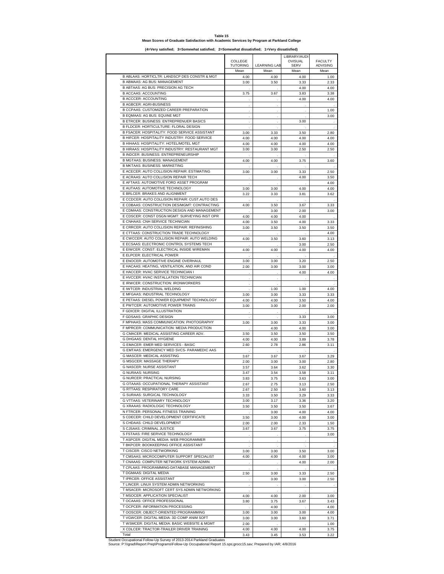#### **Table 15 Mean Scores of Graduate Satisfaction with Academic Services by Program at Parkland College**

**(4=Very satisfied; 3=Somewhat satisfied; 2=Somewhat dissatisfied; 1=Very dissatisfied)**

|                                                                                          |                         |                     | LIBRARY/AUDI         |                         |
|------------------------------------------------------------------------------------------|-------------------------|---------------------|----------------------|-------------------------|
|                                                                                          | COLLEGE                 | <b>LEARNING LAB</b> | OVISUAL              | <b>FACULTY</b>          |
|                                                                                          | <b>TUTORING</b><br>Mean | Mean                | <b>SERV</b><br>Mean  | <b>ADVISING</b><br>Mean |
| B ABLAAS: HORTICLTR: LANDSCP DES CONSTR & MGT                                            | 4.00                    | 4.00                | 4.00                 | 1.00                    |
| B ABMAAS: AG BUS: MANAGEMENT                                                             | 3.00                    | 3.50                | 3.33                 | 2.33                    |
| B ABTAAS: AG BUS: PRECISION AG TECH                                                      |                         |                     | 4.00                 | 4.00                    |
| <b>B ACCAAS: ACCOUNTING</b>                                                              | 3.75                    | 3.67                | 3.83                 | 3.38                    |
| <b>B ACCCER: ACCOUNTING</b>                                                              |                         |                     | 4.00                 | 4.00                    |
| <b>B AGBCER: AGRI-BUSINESS</b>                                                           |                         |                     |                      |                         |
| B CCPAAS: CUSTOMIZED CAREER PREPARATION                                                  |                         |                     |                      | 1.00                    |
| B EQMAAS: AG BUS: EQUINE MGT                                                             | $\lambda$               | i,                  |                      | 3.00                    |
| <b>B ETRCER: BUSINESS: ENTREPRENUER BASICS</b>                                           |                         | ä,                  | 3.00                 |                         |
| B FLDCER: HORTICULTURE: FLORAL DESIGN                                                    |                         |                     |                      | $\overline{a}$          |
| B FSACER: HOSPITALITY: FOOD SERVICE ASSISTANT                                            | 3.00                    | 3.33                | 3.50                 | 2.80                    |
| B HIFCER: HOSPITALITY INDUSTRY: FOOD SERVICE                                             | 4.00                    | 4.00                | 4.00                 | 4.00                    |
| B HIHAAS: HOSPITALITY: HOTEL/MOTEL MGT<br>B HIRAAS: HOSPITALITY INDUSTRY: RESTAURANT MGT | 4.00                    | 4.00                | 4.00                 | 4.00                    |
| <b>B INDCER: BUSINESS: ENTREPRENEURSHIP</b>                                              | 3.00                    | 3.00                | 2.50                 | 2.50                    |
| B MGTAAS: BUSINESS: MANAGEMENT                                                           |                         |                     |                      | 3.60                    |
| <b>B MKTAAS: BUSINESS: MARKETING</b>                                                     | 4.00                    | 4.00                | 3.75                 |                         |
| E ACECER: AUTO COLLISION REPAIR: ESTIMATING                                              | 3.00                    | 3.00                | 3.33                 | 2.50                    |
| E ACRAAS: AUTO COLLISION REPAIR TECH                                                     |                         |                     | 4.00                 | 3.50                    |
| E AFTAAS: AUTOMOTIVE FORD ASSET PROGRAM                                                  |                         |                     |                      | 4.00                    |
| E AUTAAS: AUTOMOTIVE TECHNOLOGY                                                          | 3.00                    | 3.00                | 4.00                 | 4.00                    |
| E BRLCER: BRAKES AND ALIGNMENT                                                           | 3.22                    | 3.33                | 3.81                 | 3.62                    |
| E CCDCER: AUTO COLLISION REPAIR: CUST.AUTO DES                                           |                         |                     |                      |                         |
| E CDBAAS: CONSTRUCTION DES/MGMT: CONTRACTING                                             | 4.00                    | 3.50                | 3.67                 | 3.33                    |
| E CDMAAS: CONSTRUCTION DESIGN AND MANAGEMENT                                             |                         | 3.00                | 2.00                 | 3.00                    |
| E CDSCER: CONST DSGN MGMT: SURVEYING INST OPR                                            | 4.00                    | 4.00                | 4.00                 |                         |
| E CNHAAS: CNH SERVICE TECHNICIAN                                                         | 4.00                    | 3.50                | 4.00                 | 3.33                    |
| E CRRCER: AUTO COLLISION REPAIR: REFINISHING                                             | 3.00                    | 3.50                | 3.50                 | 3.50                    |
| E CTTAAS: CONSTRUCTION TRADE TECHNOLOGY                                                  |                         |                     |                      | 4.00                    |
| E CWCCER: AUTO COLLISION REPAIR: AUTO WELDING                                            | 4.00                    | 3.50                | 3.60                 | 3.13                    |
| E ECSAAS: ELECTRONIC CONTROL SYSTEMS TECH                                                |                         |                     | 3.00                 | 2.50                    |
| E EIWCER: CONST: ELECTRICAL INSIDE WIREMAN                                               | 4.00                    | 4.00                | 4.00                 | 4.00                    |
| E ELPCER: ELECTRICAL POWER                                                               |                         |                     |                      |                         |
| E ENOCER: AUTOMOTIVE ENGINE OVERHAUL                                                     | 3.00                    | 3.00                | 3.20                 | 2.50                    |
| E HACAAS: HEATING, VENTILATION, AND AIR COND                                             | 2.00                    | 3.00                | 3.00                 | 3.00                    |
| E HACCER: HVAC SERVICE TECHNICIAN I                                                      |                         |                     | 4.00                 | 4.00                    |
| E HVCCER: HVAC INSTALLATION TECHNICIAN                                                   | l.                      | ÷,                  | $\ddot{\phantom{a}}$ | $\cdot$                 |
| E IRWCER: CONSTRUCTION: IRONWORKERS                                                      |                         |                     |                      |                         |
| E IWTCER: INDUSTRIAL WELDING                                                             |                         | 1.00                | 1.00                 | 4.00                    |
| E MFGAAS: INDUSTRIAL TECHNOLOGY                                                          | 3.00                    | 3.00                | 3.33                 | 3.33                    |
| E PETAAS: DIESEL POWER EQUIPMENT TECHNOLOGY<br>E PWTCER: AUTOMOTIVE POWER TRAINS         | 4.00                    | 4.00                | 3.50                 | 4.00                    |
| F GDICER: DIGITAL ILLUSTRATION                                                           | 3.00                    | 3.00                | 2.00                 | 2.00                    |
| F GDSAAS: GRAPHIC DESIGN                                                                 |                         |                     | 3.33                 | 3.00                    |
| F MPHAAS: MASS COMMUNICATION: PHOTOGRAPHY                                                | 3.00                    | 3.00                | 3.33                 | 3.00                    |
| F MPRCER: COMMUNICATION: MEDIA PRODUCTION                                                |                         | 4.00                | 4.00                 | 3.00                    |
| G CMACER: MEDICAL ASSISTING CAREER ADV.                                                  | 3.50                    | 3.50                | 3.50                 | 3.50                    |
| <b>G DHGAAS: DENTAL HYGIENE</b>                                                          | 4.00                    | 4.00                | 3.89                 | 3.78                    |
| <b>G EMACER: EMER MED SERVICES - BASIC</b>                                               | 2.60                    | 2.78                | 2.86                 | 3.11                    |
| G EMTAAS: EMERGENCY MED SVCS- PARAMEDIC AAS                                              |                         |                     |                      |                         |
| G MASCER: MEDICAL ASSISTING                                                              | 3.67                    | 3.67                | 3.67                 | 3.29                    |
| <b>G MSGCER: MASSAGE THERAPY</b>                                                         | 2.00                    | 3.00                | 3.00                 | 2.80                    |
| G NASCER: NURSE ASSISTANT                                                                | 3.57                    | 3.64                | 3.62                 | 3.30                    |
| <b>G NURAAS: NURSING</b>                                                                 | 3.47                    | 3.54                | 3.58                 | 3.11                    |
| G NURCER: PRACTICAL NURSING                                                              | 3.83                    | 3.75                | 3.63                 | 3.00                    |
| G OTAAAS: OCCUPATIONAL THERAPY ASSISTANT                                                 | 2.67                    | 2.75                | 3.13                 | 2.50                    |
| <b>G RTTAAS: RESPIRATORY CARE</b>                                                        | 2.67                    | 2.50                | 3.60                 | 3.13                    |
| G SURAAS: SURGICAL TECHNOLOGY                                                            | 3.33                    | 3.50                | 3.29                 | 3.33                    |
| G VTTAAS: VETERINARY TECHNOLOGY                                                          | 3.00                    | 3.17                | 3.36                 | 3.20                    |
| G XRAAAS: RADIOLOGIC TECHNOLOGY                                                          | 3.50                    | 3.50                | 3.50                 | 3.67                    |
| N FTRCER: PERSONAL FITNESS TRAINING                                                      |                         | 3.00                | 4.00                 | 4.00                    |
| S CDECER: CHILD DEVELOPMENT CERTIFICATE                                                  | 3.50                    | 3.00                | 4.00                 | 3.00                    |
| S CHDAAS: CHILD DEVELOPMENT                                                              | 2.00                    | 2.00                | 2.33                 | 1.50                    |
| S CJSAAS: CRIMINAL JUSTICE                                                               | 3.67                    | 3.67                | 3.75                 | 3.75                    |
| S FSTAAS: FIRE SERVICE TECHNOLOGY                                                        |                         |                     |                      | 3.00                    |
| T ASPCER: DIGITAL MEDIA: WEB PROGRAMMER                                                  |                         | $\cdot$             | ÷                    |                         |
| T BKPCER: BOOKKEEPING OFFICE ASSISTANT                                                   | i,                      |                     | $\cdot$              | $\cdot$                 |
| T CISCER: CISCO NETWORKING                                                               | 3.00                    | 3.00                | 3.50                 | 3.00                    |
| T CMSAAS: MICROCOMPUTER SUPPORT SPECIALIST                                               | 4.00                    | 4.00                | 4.00                 | 3.00                    |
| T CNAAAS: COMPUTER NETWORK SYSTEM ADMIN<br>T CPLAAS: PROGRAMMING-DATABASE MANAGEMENT     |                         |                     | 4.00                 | 2.00                    |
| T DGMAAS: DIGITAL MEDIA                                                                  | 2.50                    | 3.00                | 3.33                 | 2.50                    |
| T IPRCER: OFFICE ASSISTANT                                                               |                         | 3.00                | 3.00                 | 2.50                    |
| T LINCER: LINUX SYSTEM ADMIN NETWORKING                                                  |                         |                     | $\cdot$              |                         |
| T MSACER: MICROSOFT CERT SYS ADMIN NETWORKING                                            |                         |                     |                      |                         |
| T MSOCER: APPLICATION SPECIALIST                                                         | 4.00                    | 4.00                | 2.00                 | 3.00                    |
| T OCAAAS: OFFICE PROFESSIONAL                                                            | 3.80                    | 3.75                | 3.67                 | 3.43                    |
| T OCPCER: INFORMATION PROCESSING                                                         |                         | 4.00                |                      | 4.00                    |
| T OOSCER: OBJECT-ORIENTED PROGRAMMING                                                    | 3.00                    | 3.00                | 3.00                 | 4.00                    |
| T VGWCER: DIGITAL MEDIA: 3D COMP ANIM SOFT                                               | 3.00                    | 3.00                | 3.60                 | 3.71                    |
| T WSMCER: DIGITAL MEDIA: BASIC WEBSITE & MGMT                                            | 2.00                    |                     |                      | 1.00                    |
| X CDLCER: TRACTOR-TRAILER DRIVER TRAINING                                                | 4.00                    | 4.00                | 4.00                 | 3.75                    |
| Total                                                                                    | 3.43                    | 3.45                | 3.53                 | 3.22                    |

Total 3.43 3.45 3.53 3.22 Student Occupational Follow-Up Survey of 2013-2014 Parkland Graduates Source: P:\\\grad\Report Prep\Programs\Follow-Up Occupational Report 15.sps;grocc15.sav; Prepared by IAR; 4/8/2016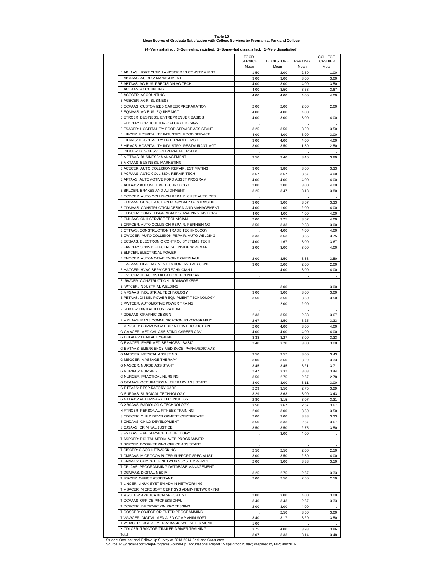#### **Table 16 Mean Scores of Graduate Satisfaction with College Services by Program at Parkland College**

**(4=Very satisfied; 3=Somewhat satisfied; 2=Somewhat dissatisfied; 1=Very dissatisfied)**

|                                                | <b>FOOD</b><br><b>SERVICE</b> | <b>BOOKSTORE</b>     | <b>PARKING</b> | COLLEGE<br><b>CASHIER</b> |
|------------------------------------------------|-------------------------------|----------------------|----------------|---------------------------|
|                                                | Mean                          | Mean                 | Mean           | Mean                      |
| B ABLAAS: HORTICLTR: LANDSCP DES CONSTR & MGT  | 1.50                          | 2.00                 | 2.50           | 1.00                      |
| B ABMAAS: AG BUS: MANAGEMENT                   | 3.00                          | 3.00                 | 3.00           | 3.00                      |
| B ABTAAS: AG BUS: PRECISION AG TECH            | 4.00                          | 3.00                 | 4.00           | 3.50                      |
| <b>B ACCAAS: ACCOUNTING</b>                    | 4.00                          | 3.50                 | 3.63           | 3.67                      |
| <b>B ACCCER: ACCOUNTING</b>                    | 4.00                          | 4.00                 | 4.00           | 4.00                      |
| <b>B AGBCER: AGRI-BUSINESS</b>                 |                               |                      |                |                           |
| B CCPAAS: CUSTOMIZED CAREER PREPARATION        | 2.00                          | 2.00                 | 2.00           | 2.00                      |
| B EQMAAS: AG BUS: EQUINE MGT                   | 4.00                          | 4.00                 | 4.00           |                           |
| <b>B ETRCER: BUSINESS: ENTREPRENUER BASICS</b> | 4.00                          | 3.00                 | 3.00           | 4.00                      |
| B FLDCER: HORTICULTURE: FLORAL DESIGN          |                               |                      |                |                           |
| B FSACER: HOSPITALITY: FOOD SERVICE ASSISTANT  |                               |                      |                |                           |
| B HIFCER: HOSPITALITY INDUSTRY: FOOD SERVICE   | 3.25                          | 3.50                 | 3.20           | 3.50                      |
|                                                | 4.00                          | 4.00                 | 3.00           | 3.00                      |
| B HIHAAS: HOSPITALITY: HOTEL/MOTEL MGT         | 3.00                          | 4.00                 | 4.00           | 4.00                      |
| B HIRAAS: HOSPITALITY INDUSTRY: RESTAURANT MGT | 3.00                          | 3.50                 | 1.50           | 2.50                      |
| B INDCER: BUSINESS: ENTREPRENEURSHIP           |                               |                      |                |                           |
| B MGTAAS: BUSINESS: MANAGEMENT                 | 3.50                          | 3.40                 | 3.40           | 3.80                      |
| <b>B MKTAAS: BUSINESS: MARKETING</b>           |                               |                      |                |                           |
| E ACECER: AUTO COLLISION REPAIR: ESTIMATING    | 3.00                          | 3.80                 | 3.00           | 3.33                      |
| E ACRAAS: AUTO COLLISION REPAIR TECH           | 3.67                          | 3.67                 | 3.67           | 4.00                      |
| E AFTAAS: AUTOMOTIVE FORD ASSET PROGRAM        | 4.00                          | 4.00                 | 4.00           | 4.00                      |
| E AUTAAS: AUTOMOTIVE TECHNOLOGY                | 2.00                          | 2.00                 | 3.00           | 4.00                      |
| E BRLCER: BRAKES AND ALIGNMENT                 | 3.25                          | 3.47                 | 3.18           | 3.80                      |
| E CCDCER: AUTO COLLISION REPAIR: CUST.AUTO DES |                               |                      |                |                           |
| E CDBAAS: CONSTRUCTION DES/MGMT: CONTRACTING   | 3.00                          | 3.00                 | 3.67           | 3.33                      |
| E CDMAAS: CONSTRUCTION DESIGN AND MANAGEMENT   | 4.00                          | 1.00                 | 2.00           | 4.00                      |
| E CDSCER: CONST DSGN MGMT: SURVEYING INST OPR  | 4.00                          | 4.00                 | 4.00           | 4.00                      |
| E CNHAAS: CNH SERVICE TECHNICIAN               | 2.00                          | 3.25                 | 3.67           | 4.00                      |
| E CRRCER: AUTO COLLISION REPAIR: REFINISHING   | 3.50                          | 3.33                 | 2.33           | 3.00                      |
| E CTTAAS: CONSTRUCTION TRADE TECHNOLOGY        |                               |                      |                |                           |
| E CWCCER: AUTO COLLISION REPAIR: AUTO WELDING  |                               | 4.00                 | 4.00           | 4.00                      |
|                                                | 3.33                          | 3.63                 | 3.56           | 3.75                      |
| E ECSAAS: ELECTRONIC CONTROL SYSTEMS TECH      | 4.00                          | 1.67                 | 3.00           | 3.67                      |
| E EIWCER: CONST: ELECTRICAL INSIDE WIREMAN     | 2.00                          | 3.00                 | 3.00           | 4.00                      |
| E ELPCER: ELECTRICAL POWER                     |                               |                      |                |                           |
| E ENOCER: AUTOMOTIVE ENGINE OVERHAUL           | 2.00                          | 3.50                 | 3.33           | 3.50                      |
| E HACAAS: HEATING, VENTILATION, AND AIR COND   | 3.00                          | 2.00                 | 2.00           | 2.00                      |
| E HACCER: HVAC SERVICE TECHNICIAN I            | J.                            | 4.00                 | 3.00           | 4.00                      |
| E HVCCER: HVAC INSTALLATION TECHNICIAN         |                               |                      |                |                           |
| E IRWCER: CONSTRUCTION: IRONWORKERS            |                               |                      |                |                           |
| E IWTCER: INDUSTRIAL WELDING                   |                               | 3.00                 |                | 3.00                      |
| E MFGAAS: INDUSTRIAL TECHNOLOGY                | 3.00                          | 3.00                 | 3.00           | 3.00                      |
| E PETAAS: DIESEL POWER EQUIPMENT TECHNOLOGY    | 3.50                          | 3.50                 | 3.50           | 3.50                      |
| E PWTCER: AUTOMOTIVE POWER TRAINS              |                               | 2.00                 | 2.00           |                           |
| F GDICER: DIGITAL ILLUSTRATION                 |                               |                      |                |                           |
| F GDSAAS: GRAPHIC DESIGN                       | 2.33                          | 3.50                 | 2.33           | 3.67                      |
| F MPHAAS: MASS COMMUNICATION: PHOTOGRAPHY      | 2.67                          | 3.50                 | 3.25           | 3.33                      |
| F MPRCER: COMMUNICATION: MEDIA PRODUCTION      | 2.00                          | 4.00                 | 3.00           | 4.00                      |
| G CMACER: MEDICAL ASSISTING CAREER ADV.        | 4.00                          | 4.00                 | 4.00           | 4.00                      |
| G DHGAAS: DENTAL HYGIENE                       | 3.38                          | 3.27                 | 3.00           | 3.33                      |
| <b>G EMACER: EMER MED SERVICES - BASIC</b>     |                               |                      |                |                           |
| G EMTAAS: EMERGENCY MED SVCS- PARAMEDIC AAS    | 2.40                          | 3.20                 | 3.00           | 3.00                      |
|                                                |                               |                      |                |                           |
| G MASCER: MEDICAL ASSISTING                    | 3.50                          | 3.57                 | 3.00           | 3.43                      |
| G MSGCER: MASSAGE THERAPY                      | 3.00                          | 3.60                 | 3.29           | 3.33                      |
| <b>G NASCER: NURSE ASSISTANT</b>               | 3.45                          | 3.45                 | 3.21           | 3.71                      |
| G NURAAS: NURSING                              | 2.47                          | 3.32                 | 3.03           | 3.44                      |
| <b>G NURCER: PRACTICAL NURSING</b>             | 3.50                          | 2.75                 | 2.67           | 2.78                      |
| G OTAAAS: OCCUPATIONAL THERAPY ASSISTANT       | 3.00                          | 3.00                 | 3.11           | 3.00                      |
| G RTTAAS: RESPIRATORY CARE                     | 2.29                          | 3.50                 | 2.75           | 3.29                      |
| G SURAAS: SURGICAL TECHNOLOGY                  | 3.29                          | 3.63                 | 3.00           | 3.43                      |
| G VTTAAS: VETERINARY TECHNOLOGY                | 2.80                          | 3.15                 | 3.07           | 3.31                      |
| <b>G XRAAAS: RADIOLOGIC TECHNOLOGY</b>         | 3.50                          | 3.67                 | 2.67           | 3.67                      |
| N FTRCER: PERSONAL FITNESS TRAINING            | 2.00                          | 3.00                 | 3.50           | 3.50                      |
| S CDECER: CHILD DEVELOPMENT CERTIFICATE        | 2.00                          | 3.00                 | 3.33           | 3.33                      |
| S CHDAAS: CHILD DEVELOPMENT                    | 3.50                          | 3.33                 | 2.67           | 3.67                      |
| S CJSAAS: CRIMINAL JUSTICE                     | 3.50                          | 3.50                 | 2.75           | 3.50                      |
| S FSTAAS: FIRE SERVICE TECHNOLOGY              |                               |                      |                |                           |
|                                                |                               | 3.00                 | 4.00           |                           |
| T ASPCER: DIGITAL MEDIA: WEB PROGRAMMER        | ÷.                            |                      |                |                           |
| T BKPCER: BOOKKEEPING OFFICE ASSISTANT         | ÷.                            | $\cdot$              | $\sim$         | $\lambda$                 |
| T CISCER: CISCO NETWORKING                     | 2.50                          | 2.50                 | 2.00           | 2.50                      |
| T CMSAAS: MICROCOMPUTER SUPPORT SPECIALIST     | 3.00                          | 3.50                 | 2.50           | 4.00                      |
| T CNAAAS: COMPUTER NETWORK SYSTEM ADMIN        | 2.00                          | 3.00                 | 3.33           | 3.50                      |
| T CPLAAS: PROGRAMMING-DATABASE MANAGEMENT      |                               |                      |                |                           |
| T DGMAAS: DIGITAL MEDIA                        | 3.25                          | 2.75                 | 2.67           | 3.33                      |
| T IPRCER: OFFICE ASSISTANT                     | 2.00                          | 2.50                 | 2.50           | 2.50                      |
| T LINCER: LINUX SYSTEM ADMIN NETWORKING        |                               |                      |                |                           |
| T MSACER: MICROSOFT CERT SYS ADMIN NETWORKING  | i,                            | $\ddot{\phantom{0}}$ | i,             | i,                        |
| T MSOCER: APPLICATION SPECIALIST               | 2.00                          | 3.00                 | 4.00           | 3.00                      |
| T OCAAAS: OFFICE PROFESSIONAL                  | 3.40                          | 3.43                 | 2.67           | 3.33                      |
| T OCPCER: INFORMATION PROCESSING               | 2.00                          | 3.00                 | 4.00           |                           |
| T OOSCER: OBJECT-ORIENTED PROGRAMMING          |                               | 2.50                 | 3.50           | 3.00                      |
| T VGWCER: DIGITAL MEDIA: 3D COMP ANIM SOFT     |                               |                      |                |                           |
| T WSMCER: DIGITAL MEDIA: BASIC WEBSITE & MGMT  | 3.40                          | 3.17                 | 3.20           | 3.50                      |
| X CDLCER: TRACTOR-TRAILER DRIVER TRAINING      | 1.00                          |                      |                |                           |
|                                                | 3.75                          | 4.00                 | 3.93           | 3.86                      |
| Total                                          | 3.07                          | 3.33                 | 3.14           | 3.48                      |

Total Student Occupational Follow-Up Survey of 2013-2014 Parkland Graduates Source: P:\\\grad\Report Prep\Programs\Follow-Up Occupational Report 15.sps;grocc15.sav; Prepared by IAR; 4/8/2016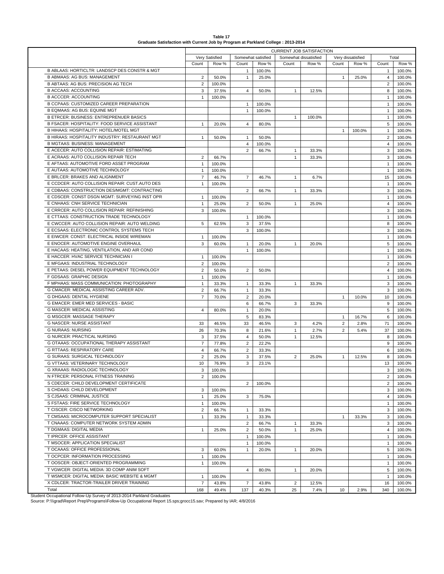| Very Satisfied<br>Somewhat satisfied<br>Somewhat dissatisfied<br>Count<br>Row %<br>Count<br>Row %<br>Count<br>Row %<br>B ABLAAS: HORTICLTR: LANDSCP DES CONSTR & MGT<br>100.0%<br>$\mathbf{1}$<br><b>B ABMAAS: AG BUS: MANAGEMENT</b><br>$\overline{2}$<br>50.0%<br>$\mathbf{1}$<br>25.0%<br>B ABTAAS: AG BUS: PRECISION AG TECH<br>$\overline{2}$<br>100.0%<br><b>B ACCAAS: ACCOUNTING</b><br>3<br>37.5%<br>$\mathbf{1}$<br>4<br>50.0%<br>12.5%<br><b>B ACCCER: ACCOUNTING</b><br>$\mathbf{1}$<br>100.0%<br>B CCPAAS: CUSTOMIZED CAREER PREPARATION<br>$\mathbf{1}$<br>100.0%<br>B EQMAAS: AG BUS: EQUINE MGT<br>$\mathbf{1}$<br>100.0%<br><b>B ETRCER: BUSINESS: ENTREPRENUER BASICS</b><br>$\mathbf{1}$<br>100.0%<br>B FSACER: HOSPITALITY: FOOD SERVICE ASSISTANT<br>20.0%<br>$\overline{4}$<br>80.0%<br>$\mathbf{1}$<br>B HIHAAS: HOSPITALITY: HOTEL/MOTEL MGT<br>B HIRAAS: HOSPITALITY INDUSTRY: RESTAURANT MGT<br>50.0%<br>$\mathbf{1}$<br>50.0%<br>$\mathbf{1}$<br><b>B MGTAAS: BUSINESS: MANAGEMENT</b><br>$\overline{4}$<br>100.0%<br>E ACECER: AUTO COLLISION REPAIR: ESTIMATING<br>$\overline{2}$<br>66.7%<br>$\mathbf{1}$<br>33.3%<br>E ACRAAS: AUTO COLLISION REPAIR TECH<br>$\overline{2}$<br>66.7%<br>$\mathbf{1}$<br>33.3%<br>E AFTAAS: AUTOMOTIVE FORD ASSET PROGRAM<br>100.0%<br>$\mathbf{1}$<br>E AUTAAS: AUTOMOTIVE TECHNOLOGY<br>100.0%<br>$\mathbf{1}$<br>E BRLCER: BRAKES AND ALIGNMENT<br>$\overline{7}$<br>46.7%<br>$\overline{7}$<br>46.7%<br>$\mathbf{1}$<br>6.7%<br>E CCDCER: AUTO COLLISION REPAIR: CUST.AUTO DES<br>100.0%<br>$\mathbf{1}$<br>E CDBAAS: CONSTRUCTION DES/MGMT: CONTRACTING<br>$\overline{2}$<br>66.7%<br>$\mathbf{1}$<br>33.3%<br>E CDSCER: CONST DSGN MGMT: SURVEYING INST OPR<br>100.0%<br>$\mathbf{1}$<br>E CNHAAS: CNH SERVICE TECHNICIAN<br>$\overline{2}$<br>$\mathbf{1}$<br>25.0%<br>$\mathbf{1}$<br>50.0%<br>25.0%<br>E CRRCER: AUTO COLLISION REPAIR: REFINISHING<br>3<br>100.0%<br>E CTTAAS: CONSTRUCTION TRADE TECHNOLOGY<br>$\mathbf{1}$<br>100.0%<br>E CWCCER: AUTO COLLISION REPAIR: AUTO WELDING<br>3<br>5<br>62.5%<br>37.5%<br>E ECSAAS: ELECTRONIC CONTROL SYSTEMS TECH<br>3<br>100.0%<br>E EIWCER: CONST: ELECTRICAL INSIDE WIREMAN<br>100.0%<br>$\mathbf{1}$<br>E ENOCER: AUTOMOTIVE ENGINE OVERHAUL<br>3<br>60.0%<br>20.0%<br>20.0%<br>$\mathbf{1}$<br>$\mathbf{1}$<br>E HACAAS: HEATING, VENTILATION, AND AIR COND<br>$\mathbf{1}$<br>100.0%<br>E HACCER: HVAC SERVICE TECHNICIAN I<br>100.0%<br>1<br>E MFGAAS: INDUSTRIAL TECHNOLOGY<br>$\overline{2}$<br>100.0%<br>E PETAAS: DIESEL POWER EQUIPMENT TECHNOLOGY<br>$\overline{2}$<br>$\overline{2}$<br>50.0%<br>50.0%<br>F GDSAAS: GRAPHIC DESIGN<br>100.0%<br>$\mathbf{1}$<br>F MPHAAS: MASS COMMUNICATION: PHOTOGRAPHY<br>33.3%<br>$\mathbf{1}$<br>$\mathbf{1}$<br>33.3%<br>$\mathbf{1}$<br>33.3% | Very dissatisfied<br>Count<br>$\mathbf{1}$<br>$\mathbf{1}$ | Row %<br>25.0%<br>100.0% | Count<br>$\mathbf{1}$<br>$\overline{4}$<br>$\overline{2}$<br>8<br>$\mathbf{1}$<br>$\mathbf{1}$<br>$\mathbf{1}$<br>$\mathbf{1}$<br>5<br>$\mathbf{1}$<br>$\overline{2}$<br>$\overline{4}$ | Total<br>Row %<br>100.0%<br>100.0%<br>100.0%<br>100.0%<br>100.0%<br>100.0%<br>100.0%<br>100.0%<br>100.0%<br>100.0%<br>100.0%<br>100.0% |
|--------------------------------------------------------------------------------------------------------------------------------------------------------------------------------------------------------------------------------------------------------------------------------------------------------------------------------------------------------------------------------------------------------------------------------------------------------------------------------------------------------------------------------------------------------------------------------------------------------------------------------------------------------------------------------------------------------------------------------------------------------------------------------------------------------------------------------------------------------------------------------------------------------------------------------------------------------------------------------------------------------------------------------------------------------------------------------------------------------------------------------------------------------------------------------------------------------------------------------------------------------------------------------------------------------------------------------------------------------------------------------------------------------------------------------------------------------------------------------------------------------------------------------------------------------------------------------------------------------------------------------------------------------------------------------------------------------------------------------------------------------------------------------------------------------------------------------------------------------------------------------------------------------------------------------------------------------------------------------------------------------------------------------------------------------------------------------------------------------------------------------------------------------------------------------------------------------------------------------------------------------------------------------------------------------------------------------------------------------------------------------------------------------------------------------------------------------------------------------------------------------------------------------------------------------------------------------------------------------------------------------------------------------------------------------------------------------------------------------------------------------------------------------------------------------------------------|------------------------------------------------------------|--------------------------|-----------------------------------------------------------------------------------------------------------------------------------------------------------------------------------------|----------------------------------------------------------------------------------------------------------------------------------------|
|                                                                                                                                                                                                                                                                                                                                                                                                                                                                                                                                                                                                                                                                                                                                                                                                                                                                                                                                                                                                                                                                                                                                                                                                                                                                                                                                                                                                                                                                                                                                                                                                                                                                                                                                                                                                                                                                                                                                                                                                                                                                                                                                                                                                                                                                                                                                                                                                                                                                                                                                                                                                                                                                                                                                                                                                                          |                                                            |                          |                                                                                                                                                                                         |                                                                                                                                        |
|                                                                                                                                                                                                                                                                                                                                                                                                                                                                                                                                                                                                                                                                                                                                                                                                                                                                                                                                                                                                                                                                                                                                                                                                                                                                                                                                                                                                                                                                                                                                                                                                                                                                                                                                                                                                                                                                                                                                                                                                                                                                                                                                                                                                                                                                                                                                                                                                                                                                                                                                                                                                                                                                                                                                                                                                                          |                                                            |                          |                                                                                                                                                                                         |                                                                                                                                        |
|                                                                                                                                                                                                                                                                                                                                                                                                                                                                                                                                                                                                                                                                                                                                                                                                                                                                                                                                                                                                                                                                                                                                                                                                                                                                                                                                                                                                                                                                                                                                                                                                                                                                                                                                                                                                                                                                                                                                                                                                                                                                                                                                                                                                                                                                                                                                                                                                                                                                                                                                                                                                                                                                                                                                                                                                                          |                                                            |                          |                                                                                                                                                                                         |                                                                                                                                        |
|                                                                                                                                                                                                                                                                                                                                                                                                                                                                                                                                                                                                                                                                                                                                                                                                                                                                                                                                                                                                                                                                                                                                                                                                                                                                                                                                                                                                                                                                                                                                                                                                                                                                                                                                                                                                                                                                                                                                                                                                                                                                                                                                                                                                                                                                                                                                                                                                                                                                                                                                                                                                                                                                                                                                                                                                                          |                                                            |                          |                                                                                                                                                                                         |                                                                                                                                        |
|                                                                                                                                                                                                                                                                                                                                                                                                                                                                                                                                                                                                                                                                                                                                                                                                                                                                                                                                                                                                                                                                                                                                                                                                                                                                                                                                                                                                                                                                                                                                                                                                                                                                                                                                                                                                                                                                                                                                                                                                                                                                                                                                                                                                                                                                                                                                                                                                                                                                                                                                                                                                                                                                                                                                                                                                                          |                                                            |                          |                                                                                                                                                                                         |                                                                                                                                        |
|                                                                                                                                                                                                                                                                                                                                                                                                                                                                                                                                                                                                                                                                                                                                                                                                                                                                                                                                                                                                                                                                                                                                                                                                                                                                                                                                                                                                                                                                                                                                                                                                                                                                                                                                                                                                                                                                                                                                                                                                                                                                                                                                                                                                                                                                                                                                                                                                                                                                                                                                                                                                                                                                                                                                                                                                                          |                                                            |                          |                                                                                                                                                                                         |                                                                                                                                        |
|                                                                                                                                                                                                                                                                                                                                                                                                                                                                                                                                                                                                                                                                                                                                                                                                                                                                                                                                                                                                                                                                                                                                                                                                                                                                                                                                                                                                                                                                                                                                                                                                                                                                                                                                                                                                                                                                                                                                                                                                                                                                                                                                                                                                                                                                                                                                                                                                                                                                                                                                                                                                                                                                                                                                                                                                                          |                                                            |                          |                                                                                                                                                                                         |                                                                                                                                        |
|                                                                                                                                                                                                                                                                                                                                                                                                                                                                                                                                                                                                                                                                                                                                                                                                                                                                                                                                                                                                                                                                                                                                                                                                                                                                                                                                                                                                                                                                                                                                                                                                                                                                                                                                                                                                                                                                                                                                                                                                                                                                                                                                                                                                                                                                                                                                                                                                                                                                                                                                                                                                                                                                                                                                                                                                                          |                                                            |                          |                                                                                                                                                                                         |                                                                                                                                        |
|                                                                                                                                                                                                                                                                                                                                                                                                                                                                                                                                                                                                                                                                                                                                                                                                                                                                                                                                                                                                                                                                                                                                                                                                                                                                                                                                                                                                                                                                                                                                                                                                                                                                                                                                                                                                                                                                                                                                                                                                                                                                                                                                                                                                                                                                                                                                                                                                                                                                                                                                                                                                                                                                                                                                                                                                                          |                                                            |                          |                                                                                                                                                                                         |                                                                                                                                        |
|                                                                                                                                                                                                                                                                                                                                                                                                                                                                                                                                                                                                                                                                                                                                                                                                                                                                                                                                                                                                                                                                                                                                                                                                                                                                                                                                                                                                                                                                                                                                                                                                                                                                                                                                                                                                                                                                                                                                                                                                                                                                                                                                                                                                                                                                                                                                                                                                                                                                                                                                                                                                                                                                                                                                                                                                                          |                                                            |                          |                                                                                                                                                                                         |                                                                                                                                        |
|                                                                                                                                                                                                                                                                                                                                                                                                                                                                                                                                                                                                                                                                                                                                                                                                                                                                                                                                                                                                                                                                                                                                                                                                                                                                                                                                                                                                                                                                                                                                                                                                                                                                                                                                                                                                                                                                                                                                                                                                                                                                                                                                                                                                                                                                                                                                                                                                                                                                                                                                                                                                                                                                                                                                                                                                                          |                                                            |                          |                                                                                                                                                                                         |                                                                                                                                        |
|                                                                                                                                                                                                                                                                                                                                                                                                                                                                                                                                                                                                                                                                                                                                                                                                                                                                                                                                                                                                                                                                                                                                                                                                                                                                                                                                                                                                                                                                                                                                                                                                                                                                                                                                                                                                                                                                                                                                                                                                                                                                                                                                                                                                                                                                                                                                                                                                                                                                                                                                                                                                                                                                                                                                                                                                                          |                                                            |                          |                                                                                                                                                                                         |                                                                                                                                        |
|                                                                                                                                                                                                                                                                                                                                                                                                                                                                                                                                                                                                                                                                                                                                                                                                                                                                                                                                                                                                                                                                                                                                                                                                                                                                                                                                                                                                                                                                                                                                                                                                                                                                                                                                                                                                                                                                                                                                                                                                                                                                                                                                                                                                                                                                                                                                                                                                                                                                                                                                                                                                                                                                                                                                                                                                                          |                                                            |                          |                                                                                                                                                                                         |                                                                                                                                        |
|                                                                                                                                                                                                                                                                                                                                                                                                                                                                                                                                                                                                                                                                                                                                                                                                                                                                                                                                                                                                                                                                                                                                                                                                                                                                                                                                                                                                                                                                                                                                                                                                                                                                                                                                                                                                                                                                                                                                                                                                                                                                                                                                                                                                                                                                                                                                                                                                                                                                                                                                                                                                                                                                                                                                                                                                                          |                                                            |                          |                                                                                                                                                                                         |                                                                                                                                        |
|                                                                                                                                                                                                                                                                                                                                                                                                                                                                                                                                                                                                                                                                                                                                                                                                                                                                                                                                                                                                                                                                                                                                                                                                                                                                                                                                                                                                                                                                                                                                                                                                                                                                                                                                                                                                                                                                                                                                                                                                                                                                                                                                                                                                                                                                                                                                                                                                                                                                                                                                                                                                                                                                                                                                                                                                                          |                                                            |                          | 3                                                                                                                                                                                       | 100.0%                                                                                                                                 |
|                                                                                                                                                                                                                                                                                                                                                                                                                                                                                                                                                                                                                                                                                                                                                                                                                                                                                                                                                                                                                                                                                                                                                                                                                                                                                                                                                                                                                                                                                                                                                                                                                                                                                                                                                                                                                                                                                                                                                                                                                                                                                                                                                                                                                                                                                                                                                                                                                                                                                                                                                                                                                                                                                                                                                                                                                          |                                                            |                          | 3                                                                                                                                                                                       | 100.0%                                                                                                                                 |
|                                                                                                                                                                                                                                                                                                                                                                                                                                                                                                                                                                                                                                                                                                                                                                                                                                                                                                                                                                                                                                                                                                                                                                                                                                                                                                                                                                                                                                                                                                                                                                                                                                                                                                                                                                                                                                                                                                                                                                                                                                                                                                                                                                                                                                                                                                                                                                                                                                                                                                                                                                                                                                                                                                                                                                                                                          |                                                            |                          | $\mathbf{1}$                                                                                                                                                                            | 100.0%                                                                                                                                 |
|                                                                                                                                                                                                                                                                                                                                                                                                                                                                                                                                                                                                                                                                                                                                                                                                                                                                                                                                                                                                                                                                                                                                                                                                                                                                                                                                                                                                                                                                                                                                                                                                                                                                                                                                                                                                                                                                                                                                                                                                                                                                                                                                                                                                                                                                                                                                                                                                                                                                                                                                                                                                                                                                                                                                                                                                                          |                                                            |                          | $\mathbf{1}$                                                                                                                                                                            | 100.0%                                                                                                                                 |
|                                                                                                                                                                                                                                                                                                                                                                                                                                                                                                                                                                                                                                                                                                                                                                                                                                                                                                                                                                                                                                                                                                                                                                                                                                                                                                                                                                                                                                                                                                                                                                                                                                                                                                                                                                                                                                                                                                                                                                                                                                                                                                                                                                                                                                                                                                                                                                                                                                                                                                                                                                                                                                                                                                                                                                                                                          |                                                            |                          | 15                                                                                                                                                                                      | 100.0%                                                                                                                                 |
|                                                                                                                                                                                                                                                                                                                                                                                                                                                                                                                                                                                                                                                                                                                                                                                                                                                                                                                                                                                                                                                                                                                                                                                                                                                                                                                                                                                                                                                                                                                                                                                                                                                                                                                                                                                                                                                                                                                                                                                                                                                                                                                                                                                                                                                                                                                                                                                                                                                                                                                                                                                                                                                                                                                                                                                                                          |                                                            |                          | $\mathbf{1}$                                                                                                                                                                            | 100.0%                                                                                                                                 |
|                                                                                                                                                                                                                                                                                                                                                                                                                                                                                                                                                                                                                                                                                                                                                                                                                                                                                                                                                                                                                                                                                                                                                                                                                                                                                                                                                                                                                                                                                                                                                                                                                                                                                                                                                                                                                                                                                                                                                                                                                                                                                                                                                                                                                                                                                                                                                                                                                                                                                                                                                                                                                                                                                                                                                                                                                          |                                                            |                          |                                                                                                                                                                                         |                                                                                                                                        |
|                                                                                                                                                                                                                                                                                                                                                                                                                                                                                                                                                                                                                                                                                                                                                                                                                                                                                                                                                                                                                                                                                                                                                                                                                                                                                                                                                                                                                                                                                                                                                                                                                                                                                                                                                                                                                                                                                                                                                                                                                                                                                                                                                                                                                                                                                                                                                                                                                                                                                                                                                                                                                                                                                                                                                                                                                          |                                                            |                          | 3                                                                                                                                                                                       | 100.0%                                                                                                                                 |
|                                                                                                                                                                                                                                                                                                                                                                                                                                                                                                                                                                                                                                                                                                                                                                                                                                                                                                                                                                                                                                                                                                                                                                                                                                                                                                                                                                                                                                                                                                                                                                                                                                                                                                                                                                                                                                                                                                                                                                                                                                                                                                                                                                                                                                                                                                                                                                                                                                                                                                                                                                                                                                                                                                                                                                                                                          |                                                            |                          | $\mathbf{1}$                                                                                                                                                                            | 100.0%                                                                                                                                 |
|                                                                                                                                                                                                                                                                                                                                                                                                                                                                                                                                                                                                                                                                                                                                                                                                                                                                                                                                                                                                                                                                                                                                                                                                                                                                                                                                                                                                                                                                                                                                                                                                                                                                                                                                                                                                                                                                                                                                                                                                                                                                                                                                                                                                                                                                                                                                                                                                                                                                                                                                                                                                                                                                                                                                                                                                                          |                                                            |                          | $\overline{4}$                                                                                                                                                                          | 100.0%                                                                                                                                 |
|                                                                                                                                                                                                                                                                                                                                                                                                                                                                                                                                                                                                                                                                                                                                                                                                                                                                                                                                                                                                                                                                                                                                                                                                                                                                                                                                                                                                                                                                                                                                                                                                                                                                                                                                                                                                                                                                                                                                                                                                                                                                                                                                                                                                                                                                                                                                                                                                                                                                                                                                                                                                                                                                                                                                                                                                                          |                                                            |                          | 3                                                                                                                                                                                       | 100.0%                                                                                                                                 |
|                                                                                                                                                                                                                                                                                                                                                                                                                                                                                                                                                                                                                                                                                                                                                                                                                                                                                                                                                                                                                                                                                                                                                                                                                                                                                                                                                                                                                                                                                                                                                                                                                                                                                                                                                                                                                                                                                                                                                                                                                                                                                                                                                                                                                                                                                                                                                                                                                                                                                                                                                                                                                                                                                                                                                                                                                          |                                                            |                          | $\mathbf{1}$                                                                                                                                                                            | 100.0%                                                                                                                                 |
|                                                                                                                                                                                                                                                                                                                                                                                                                                                                                                                                                                                                                                                                                                                                                                                                                                                                                                                                                                                                                                                                                                                                                                                                                                                                                                                                                                                                                                                                                                                                                                                                                                                                                                                                                                                                                                                                                                                                                                                                                                                                                                                                                                                                                                                                                                                                                                                                                                                                                                                                                                                                                                                                                                                                                                                                                          |                                                            |                          | 8                                                                                                                                                                                       | 100.0%                                                                                                                                 |
|                                                                                                                                                                                                                                                                                                                                                                                                                                                                                                                                                                                                                                                                                                                                                                                                                                                                                                                                                                                                                                                                                                                                                                                                                                                                                                                                                                                                                                                                                                                                                                                                                                                                                                                                                                                                                                                                                                                                                                                                                                                                                                                                                                                                                                                                                                                                                                                                                                                                                                                                                                                                                                                                                                                                                                                                                          |                                                            |                          | 3                                                                                                                                                                                       | 100.0%                                                                                                                                 |
|                                                                                                                                                                                                                                                                                                                                                                                                                                                                                                                                                                                                                                                                                                                                                                                                                                                                                                                                                                                                                                                                                                                                                                                                                                                                                                                                                                                                                                                                                                                                                                                                                                                                                                                                                                                                                                                                                                                                                                                                                                                                                                                                                                                                                                                                                                                                                                                                                                                                                                                                                                                                                                                                                                                                                                                                                          |                                                            |                          | $\mathbf{1}$                                                                                                                                                                            | 100.0%                                                                                                                                 |
|                                                                                                                                                                                                                                                                                                                                                                                                                                                                                                                                                                                                                                                                                                                                                                                                                                                                                                                                                                                                                                                                                                                                                                                                                                                                                                                                                                                                                                                                                                                                                                                                                                                                                                                                                                                                                                                                                                                                                                                                                                                                                                                                                                                                                                                                                                                                                                                                                                                                                                                                                                                                                                                                                                                                                                                                                          |                                                            |                          | 5                                                                                                                                                                                       | 100.0%                                                                                                                                 |
|                                                                                                                                                                                                                                                                                                                                                                                                                                                                                                                                                                                                                                                                                                                                                                                                                                                                                                                                                                                                                                                                                                                                                                                                                                                                                                                                                                                                                                                                                                                                                                                                                                                                                                                                                                                                                                                                                                                                                                                                                                                                                                                                                                                                                                                                                                                                                                                                                                                                                                                                                                                                                                                                                                                                                                                                                          |                                                            |                          | $\mathbf{1}$                                                                                                                                                                            | 100.0%                                                                                                                                 |
|                                                                                                                                                                                                                                                                                                                                                                                                                                                                                                                                                                                                                                                                                                                                                                                                                                                                                                                                                                                                                                                                                                                                                                                                                                                                                                                                                                                                                                                                                                                                                                                                                                                                                                                                                                                                                                                                                                                                                                                                                                                                                                                                                                                                                                                                                                                                                                                                                                                                                                                                                                                                                                                                                                                                                                                                                          |                                                            |                          | $\mathbf{1}$                                                                                                                                                                            | 100.0%                                                                                                                                 |
|                                                                                                                                                                                                                                                                                                                                                                                                                                                                                                                                                                                                                                                                                                                                                                                                                                                                                                                                                                                                                                                                                                                                                                                                                                                                                                                                                                                                                                                                                                                                                                                                                                                                                                                                                                                                                                                                                                                                                                                                                                                                                                                                                                                                                                                                                                                                                                                                                                                                                                                                                                                                                                                                                                                                                                                                                          |                                                            |                          | $\overline{2}$                                                                                                                                                                          | 100.0%                                                                                                                                 |
|                                                                                                                                                                                                                                                                                                                                                                                                                                                                                                                                                                                                                                                                                                                                                                                                                                                                                                                                                                                                                                                                                                                                                                                                                                                                                                                                                                                                                                                                                                                                                                                                                                                                                                                                                                                                                                                                                                                                                                                                                                                                                                                                                                                                                                                                                                                                                                                                                                                                                                                                                                                                                                                                                                                                                                                                                          |                                                            |                          | $\overline{4}$                                                                                                                                                                          | 100.0%                                                                                                                                 |
|                                                                                                                                                                                                                                                                                                                                                                                                                                                                                                                                                                                                                                                                                                                                                                                                                                                                                                                                                                                                                                                                                                                                                                                                                                                                                                                                                                                                                                                                                                                                                                                                                                                                                                                                                                                                                                                                                                                                                                                                                                                                                                                                                                                                                                                                                                                                                                                                                                                                                                                                                                                                                                                                                                                                                                                                                          |                                                            |                          | $\mathbf{1}$                                                                                                                                                                            | 100.0%                                                                                                                                 |
|                                                                                                                                                                                                                                                                                                                                                                                                                                                                                                                                                                                                                                                                                                                                                                                                                                                                                                                                                                                                                                                                                                                                                                                                                                                                                                                                                                                                                                                                                                                                                                                                                                                                                                                                                                                                                                                                                                                                                                                                                                                                                                                                                                                                                                                                                                                                                                                                                                                                                                                                                                                                                                                                                                                                                                                                                          |                                                            |                          | 3                                                                                                                                                                                       | 100.0%                                                                                                                                 |
| G CMACER: MEDICAL ASSISTING CAREER ADV.<br>$\overline{2}$<br>66.7%<br>33.3%<br>$\mathbf{1}$                                                                                                                                                                                                                                                                                                                                                                                                                                                                                                                                                                                                                                                                                                                                                                                                                                                                                                                                                                                                                                                                                                                                                                                                                                                                                                                                                                                                                                                                                                                                                                                                                                                                                                                                                                                                                                                                                                                                                                                                                                                                                                                                                                                                                                                                                                                                                                                                                                                                                                                                                                                                                                                                                                                              |                                                            |                          | 3                                                                                                                                                                                       | 100.0%                                                                                                                                 |
| G DHGAAS: DENTAL HYGIENE<br>$\overline{7}$<br>$\overline{2}$                                                                                                                                                                                                                                                                                                                                                                                                                                                                                                                                                                                                                                                                                                                                                                                                                                                                                                                                                                                                                                                                                                                                                                                                                                                                                                                                                                                                                                                                                                                                                                                                                                                                                                                                                                                                                                                                                                                                                                                                                                                                                                                                                                                                                                                                                                                                                                                                                                                                                                                                                                                                                                                                                                                                                             |                                                            |                          |                                                                                                                                                                                         |                                                                                                                                        |
| 70.0%<br>20.0%                                                                                                                                                                                                                                                                                                                                                                                                                                                                                                                                                                                                                                                                                                                                                                                                                                                                                                                                                                                                                                                                                                                                                                                                                                                                                                                                                                                                                                                                                                                                                                                                                                                                                                                                                                                                                                                                                                                                                                                                                                                                                                                                                                                                                                                                                                                                                                                                                                                                                                                                                                                                                                                                                                                                                                                                           | $\mathbf{1}$                                               | 10.0%                    | 10                                                                                                                                                                                      | 100.0%                                                                                                                                 |
| G EMACER: EMER MED SERVICES - BASIC<br>66.7%<br>6<br>3<br>33.3%                                                                                                                                                                                                                                                                                                                                                                                                                                                                                                                                                                                                                                                                                                                                                                                                                                                                                                                                                                                                                                                                                                                                                                                                                                                                                                                                                                                                                                                                                                                                                                                                                                                                                                                                                                                                                                                                                                                                                                                                                                                                                                                                                                                                                                                                                                                                                                                                                                                                                                                                                                                                                                                                                                                                                          |                                                            |                          | 9                                                                                                                                                                                       | 100.0%                                                                                                                                 |
| G MASCER: MEDICAL ASSISTING<br>4<br>80.0%<br>$\mathbf{1}$<br>20.0%                                                                                                                                                                                                                                                                                                                                                                                                                                                                                                                                                                                                                                                                                                                                                                                                                                                                                                                                                                                                                                                                                                                                                                                                                                                                                                                                                                                                                                                                                                                                                                                                                                                                                                                                                                                                                                                                                                                                                                                                                                                                                                                                                                                                                                                                                                                                                                                                                                                                                                                                                                                                                                                                                                                                                       |                                                            |                          | 5                                                                                                                                                                                       | 100.0%                                                                                                                                 |
| G MSGCER: MASSAGE THERAPY<br>5<br>83.3%                                                                                                                                                                                                                                                                                                                                                                                                                                                                                                                                                                                                                                                                                                                                                                                                                                                                                                                                                                                                                                                                                                                                                                                                                                                                                                                                                                                                                                                                                                                                                                                                                                                                                                                                                                                                                                                                                                                                                                                                                                                                                                                                                                                                                                                                                                                                                                                                                                                                                                                                                                                                                                                                                                                                                                                  | $\mathbf{1}$                                               | 16.7%                    | 6                                                                                                                                                                                       | 100.0%                                                                                                                                 |
| <b>G NASCER: NURSE ASSISTANT</b><br>33<br>33<br>46.5%<br>46.5%<br>3<br>4.2%                                                                                                                                                                                                                                                                                                                                                                                                                                                                                                                                                                                                                                                                                                                                                                                                                                                                                                                                                                                                                                                                                                                                                                                                                                                                                                                                                                                                                                                                                                                                                                                                                                                                                                                                                                                                                                                                                                                                                                                                                                                                                                                                                                                                                                                                                                                                                                                                                                                                                                                                                                                                                                                                                                                                              | $\overline{2}$                                             | 2.8%                     | 71                                                                                                                                                                                      | 100.0%                                                                                                                                 |
| <b>G NURAAS: NURSING</b><br>26<br>70.3%<br>8<br>21.6%<br>$\mathbf{1}$<br>2.7%                                                                                                                                                                                                                                                                                                                                                                                                                                                                                                                                                                                                                                                                                                                                                                                                                                                                                                                                                                                                                                                                                                                                                                                                                                                                                                                                                                                                                                                                                                                                                                                                                                                                                                                                                                                                                                                                                                                                                                                                                                                                                                                                                                                                                                                                                                                                                                                                                                                                                                                                                                                                                                                                                                                                            | $\overline{2}$                                             | 5.4%                     | 37                                                                                                                                                                                      | 100.0%                                                                                                                                 |
| <b>G NURCER: PRACTICAL NURSING</b><br>3<br>$\mathbf{1}$<br>37.5%<br>$\overline{4}$<br>50.0%<br>12.5%                                                                                                                                                                                                                                                                                                                                                                                                                                                                                                                                                                                                                                                                                                                                                                                                                                                                                                                                                                                                                                                                                                                                                                                                                                                                                                                                                                                                                                                                                                                                                                                                                                                                                                                                                                                                                                                                                                                                                                                                                                                                                                                                                                                                                                                                                                                                                                                                                                                                                                                                                                                                                                                                                                                     |                                                            |                          | 8                                                                                                                                                                                       | 100.0%                                                                                                                                 |
| G OTAAAS: OCCUPATIONAL THERAPY ASSISTANT<br>$\overline{7}$<br>77.8%<br>$\overline{c}$<br>22.2%                                                                                                                                                                                                                                                                                                                                                                                                                                                                                                                                                                                                                                                                                                                                                                                                                                                                                                                                                                                                                                                                                                                                                                                                                                                                                                                                                                                                                                                                                                                                                                                                                                                                                                                                                                                                                                                                                                                                                                                                                                                                                                                                                                                                                                                                                                                                                                                                                                                                                                                                                                                                                                                                                                                           |                                                            |                          | 9                                                                                                                                                                                       | 100.0%                                                                                                                                 |
| <b>G RTTAAS: RESPIRATORY CARE</b><br>$\overline{4}$<br>66.7%<br>$\overline{2}$<br>33.3%                                                                                                                                                                                                                                                                                                                                                                                                                                                                                                                                                                                                                                                                                                                                                                                                                                                                                                                                                                                                                                                                                                                                                                                                                                                                                                                                                                                                                                                                                                                                                                                                                                                                                                                                                                                                                                                                                                                                                                                                                                                                                                                                                                                                                                                                                                                                                                                                                                                                                                                                                                                                                                                                                                                                  |                                                            |                          | 6                                                                                                                                                                                       | 100.0%                                                                                                                                 |
| G SURAAS: SURGICAL TECHNOLOGY<br>$\overline{2}$<br>25.0%<br>3<br>37.5%<br>$\overline{2}$<br>25.0%                                                                                                                                                                                                                                                                                                                                                                                                                                                                                                                                                                                                                                                                                                                                                                                                                                                                                                                                                                                                                                                                                                                                                                                                                                                                                                                                                                                                                                                                                                                                                                                                                                                                                                                                                                                                                                                                                                                                                                                                                                                                                                                                                                                                                                                                                                                                                                                                                                                                                                                                                                                                                                                                                                                        | $\mathbf{1}$                                               | 12.5%                    | 8                                                                                                                                                                                       | 100.0%                                                                                                                                 |
| G VTTAAS: VETERINARY TECHNOLOGY<br>3<br>10<br>76.9%<br>23.1%                                                                                                                                                                                                                                                                                                                                                                                                                                                                                                                                                                                                                                                                                                                                                                                                                                                                                                                                                                                                                                                                                                                                                                                                                                                                                                                                                                                                                                                                                                                                                                                                                                                                                                                                                                                                                                                                                                                                                                                                                                                                                                                                                                                                                                                                                                                                                                                                                                                                                                                                                                                                                                                                                                                                                             |                                                            |                          | 13                                                                                                                                                                                      | 100.0%                                                                                                                                 |
| G XRAAAS: RADIOLOGIC TECHNOLOGY<br>3<br>100.0%                                                                                                                                                                                                                                                                                                                                                                                                                                                                                                                                                                                                                                                                                                                                                                                                                                                                                                                                                                                                                                                                                                                                                                                                                                                                                                                                                                                                                                                                                                                                                                                                                                                                                                                                                                                                                                                                                                                                                                                                                                                                                                                                                                                                                                                                                                                                                                                                                                                                                                                                                                                                                                                                                                                                                                           |                                                            |                          | 3                                                                                                                                                                                       | 100.0%                                                                                                                                 |
| N FTRCER: PERSONAL FITNESS TRAINING<br>$\overline{2}$<br>100.0%                                                                                                                                                                                                                                                                                                                                                                                                                                                                                                                                                                                                                                                                                                                                                                                                                                                                                                                                                                                                                                                                                                                                                                                                                                                                                                                                                                                                                                                                                                                                                                                                                                                                                                                                                                                                                                                                                                                                                                                                                                                                                                                                                                                                                                                                                                                                                                                                                                                                                                                                                                                                                                                                                                                                                          |                                                            |                          | 2                                                                                                                                                                                       | 100.0%                                                                                                                                 |
| S CDECER: CHILD DEVELOPMENT CERTIFICATE<br>$\overline{2}$<br>100.0%                                                                                                                                                                                                                                                                                                                                                                                                                                                                                                                                                                                                                                                                                                                                                                                                                                                                                                                                                                                                                                                                                                                                                                                                                                                                                                                                                                                                                                                                                                                                                                                                                                                                                                                                                                                                                                                                                                                                                                                                                                                                                                                                                                                                                                                                                                                                                                                                                                                                                                                                                                                                                                                                                                                                                      |                                                            |                          | 2                                                                                                                                                                                       | 100.0%                                                                                                                                 |
| S CHDAAS: CHILD DEVELOPMENT<br>3<br>100.0%                                                                                                                                                                                                                                                                                                                                                                                                                                                                                                                                                                                                                                                                                                                                                                                                                                                                                                                                                                                                                                                                                                                                                                                                                                                                                                                                                                                                                                                                                                                                                                                                                                                                                                                                                                                                                                                                                                                                                                                                                                                                                                                                                                                                                                                                                                                                                                                                                                                                                                                                                                                                                                                                                                                                                                               |                                                            |                          | 3                                                                                                                                                                                       | 100.0%                                                                                                                                 |
| S CJSAAS: CRIMINAL JUSTICE<br>3<br>$\mathbf{1}$<br>25.0%<br>75.0%                                                                                                                                                                                                                                                                                                                                                                                                                                                                                                                                                                                                                                                                                                                                                                                                                                                                                                                                                                                                                                                                                                                                                                                                                                                                                                                                                                                                                                                                                                                                                                                                                                                                                                                                                                                                                                                                                                                                                                                                                                                                                                                                                                                                                                                                                                                                                                                                                                                                                                                                                                                                                                                                                                                                                        |                                                            |                          | 4                                                                                                                                                                                       | 100.0%                                                                                                                                 |
| S FSTAAS: FIRE SERVICE TECHNOLOGY<br>100.0%<br>$\mathbf{1}$                                                                                                                                                                                                                                                                                                                                                                                                                                                                                                                                                                                                                                                                                                                                                                                                                                                                                                                                                                                                                                                                                                                                                                                                                                                                                                                                                                                                                                                                                                                                                                                                                                                                                                                                                                                                                                                                                                                                                                                                                                                                                                                                                                                                                                                                                                                                                                                                                                                                                                                                                                                                                                                                                                                                                              |                                                            |                          | $\mathbf{1}$                                                                                                                                                                            |                                                                                                                                        |
| T CISCER: CISCO NETWORKING                                                                                                                                                                                                                                                                                                                                                                                                                                                                                                                                                                                                                                                                                                                                                                                                                                                                                                                                                                                                                                                                                                                                                                                                                                                                                                                                                                                                                                                                                                                                                                                                                                                                                                                                                                                                                                                                                                                                                                                                                                                                                                                                                                                                                                                                                                                                                                                                                                                                                                                                                                                                                                                                                                                                                                                               |                                                            |                          |                                                                                                                                                                                         | 100.0%                                                                                                                                 |
| $\overline{2}$<br>66.7%<br>$\mathbf{1}$<br>33.3%                                                                                                                                                                                                                                                                                                                                                                                                                                                                                                                                                                                                                                                                                                                                                                                                                                                                                                                                                                                                                                                                                                                                                                                                                                                                                                                                                                                                                                                                                                                                                                                                                                                                                                                                                                                                                                                                                                                                                                                                                                                                                                                                                                                                                                                                                                                                                                                                                                                                                                                                                                                                                                                                                                                                                                         |                                                            |                          | 3                                                                                                                                                                                       | 100.0%                                                                                                                                 |
| T CMSAAS: MICROCOMPUTER SUPPORT SPECIALIST<br>33.3%<br>33.3%<br>$\mathbf{1}$<br>$\mathbf{1}$                                                                                                                                                                                                                                                                                                                                                                                                                                                                                                                                                                                                                                                                                                                                                                                                                                                                                                                                                                                                                                                                                                                                                                                                                                                                                                                                                                                                                                                                                                                                                                                                                                                                                                                                                                                                                                                                                                                                                                                                                                                                                                                                                                                                                                                                                                                                                                                                                                                                                                                                                                                                                                                                                                                             | $\mathbf{1}$                                               | 33.3%                    | 3                                                                                                                                                                                       | 100.0%                                                                                                                                 |
| T CNAAAS: COMPUTER NETWORK SYSTEM ADMIN<br>$\overline{2}$<br>66.7%<br>$\mathbf{1}$<br>33.3%                                                                                                                                                                                                                                                                                                                                                                                                                                                                                                                                                                                                                                                                                                                                                                                                                                                                                                                                                                                                                                                                                                                                                                                                                                                                                                                                                                                                                                                                                                                                                                                                                                                                                                                                                                                                                                                                                                                                                                                                                                                                                                                                                                                                                                                                                                                                                                                                                                                                                                                                                                                                                                                                                                                              |                                                            |                          | 3                                                                                                                                                                                       | 100.0%                                                                                                                                 |
| T DGMAAS: DIGITAL MEDIA<br>$\overline{2}$<br>$\mathbf{1}$<br>25.0%<br>$\mathbf{1}$<br>25.0%<br>50.0%                                                                                                                                                                                                                                                                                                                                                                                                                                                                                                                                                                                                                                                                                                                                                                                                                                                                                                                                                                                                                                                                                                                                                                                                                                                                                                                                                                                                                                                                                                                                                                                                                                                                                                                                                                                                                                                                                                                                                                                                                                                                                                                                                                                                                                                                                                                                                                                                                                                                                                                                                                                                                                                                                                                     |                                                            |                          | $\overline{4}$                                                                                                                                                                          | 100.0%                                                                                                                                 |
| T IPRCER: OFFICE ASSISTANT<br>$\mathbf{1}$<br>100.0%                                                                                                                                                                                                                                                                                                                                                                                                                                                                                                                                                                                                                                                                                                                                                                                                                                                                                                                                                                                                                                                                                                                                                                                                                                                                                                                                                                                                                                                                                                                                                                                                                                                                                                                                                                                                                                                                                                                                                                                                                                                                                                                                                                                                                                                                                                                                                                                                                                                                                                                                                                                                                                                                                                                                                                     |                                                            |                          | $\mathbf{1}$                                                                                                                                                                            | 100.0%                                                                                                                                 |
| T MSOCER: APPLICATION SPECIALIST<br>100.0%<br>$\mathbf{1}$                                                                                                                                                                                                                                                                                                                                                                                                                                                                                                                                                                                                                                                                                                                                                                                                                                                                                                                                                                                                                                                                                                                                                                                                                                                                                                                                                                                                                                                                                                                                                                                                                                                                                                                                                                                                                                                                                                                                                                                                                                                                                                                                                                                                                                                                                                                                                                                                                                                                                                                                                                                                                                                                                                                                                               |                                                            |                          | $\mathbf{1}$                                                                                                                                                                            | 100.0%                                                                                                                                 |
| T OCAAAS: OFFICE PROFESSIONAL<br>3<br>60.0%<br>$\mathbf{1}$<br>20.0%<br>$\mathbf{1}$<br>20.0%                                                                                                                                                                                                                                                                                                                                                                                                                                                                                                                                                                                                                                                                                                                                                                                                                                                                                                                                                                                                                                                                                                                                                                                                                                                                                                                                                                                                                                                                                                                                                                                                                                                                                                                                                                                                                                                                                                                                                                                                                                                                                                                                                                                                                                                                                                                                                                                                                                                                                                                                                                                                                                                                                                                            |                                                            |                          | 5                                                                                                                                                                                       | 100.0%                                                                                                                                 |
| T OCPCER: INFORMATION PROCESSING<br>100.0%<br>$\mathbf{1}$                                                                                                                                                                                                                                                                                                                                                                                                                                                                                                                                                                                                                                                                                                                                                                                                                                                                                                                                                                                                                                                                                                                                                                                                                                                                                                                                                                                                                                                                                                                                                                                                                                                                                                                                                                                                                                                                                                                                                                                                                                                                                                                                                                                                                                                                                                                                                                                                                                                                                                                                                                                                                                                                                                                                                               |                                                            |                          | $\mathbf{1}$                                                                                                                                                                            | 100.0%                                                                                                                                 |
| T OOSCER: OBJECT-ORIENTED PROGRAMMING<br>100.0%<br>$\mathbf{1}$                                                                                                                                                                                                                                                                                                                                                                                                                                                                                                                                                                                                                                                                                                                                                                                                                                                                                                                                                                                                                                                                                                                                                                                                                                                                                                                                                                                                                                                                                                                                                                                                                                                                                                                                                                                                                                                                                                                                                                                                                                                                                                                                                                                                                                                                                                                                                                                                                                                                                                                                                                                                                                                                                                                                                          |                                                            |                          | $\mathbf{1}$                                                                                                                                                                            | 100.0%                                                                                                                                 |
| T VGWCER: DIGITAL MEDIA: 3D COMP ANIM SOFT<br>$\overline{4}$<br>80.0%<br>$\mathbf{1}$<br>20.0%                                                                                                                                                                                                                                                                                                                                                                                                                                                                                                                                                                                                                                                                                                                                                                                                                                                                                                                                                                                                                                                                                                                                                                                                                                                                                                                                                                                                                                                                                                                                                                                                                                                                                                                                                                                                                                                                                                                                                                                                                                                                                                                                                                                                                                                                                                                                                                                                                                                                                                                                                                                                                                                                                                                           |                                                            |                          | 5                                                                                                                                                                                       | 100.0%                                                                                                                                 |
| T WSMCER: DIGITAL MEDIA: BASIC WEBSITE & MGMT<br>100.0%<br>$\mathbf{1}$                                                                                                                                                                                                                                                                                                                                                                                                                                                                                                                                                                                                                                                                                                                                                                                                                                                                                                                                                                                                                                                                                                                                                                                                                                                                                                                                                                                                                                                                                                                                                                                                                                                                                                                                                                                                                                                                                                                                                                                                                                                                                                                                                                                                                                                                                                                                                                                                                                                                                                                                                                                                                                                                                                                                                  |                                                            |                          | $\mathbf{1}$                                                                                                                                                                            | 100.0%                                                                                                                                 |
| X CDLCER: TRACTOR-TRAILER DRIVER TRAINING<br>$\overline{7}$<br>$\overline{7}$<br>43.8%<br>2<br>12.5%<br>43.8%                                                                                                                                                                                                                                                                                                                                                                                                                                                                                                                                                                                                                                                                                                                                                                                                                                                                                                                                                                                                                                                                                                                                                                                                                                                                                                                                                                                                                                                                                                                                                                                                                                                                                                                                                                                                                                                                                                                                                                                                                                                                                                                                                                                                                                                                                                                                                                                                                                                                                                                                                                                                                                                                                                            |                                                            |                          |                                                                                                                                                                                         |                                                                                                                                        |
| Total<br>25<br>168<br>49.4%<br>137<br>40.3%<br>7.4%                                                                                                                                                                                                                                                                                                                                                                                                                                                                                                                                                                                                                                                                                                                                                                                                                                                                                                                                                                                                                                                                                                                                                                                                                                                                                                                                                                                                                                                                                                                                                                                                                                                                                                                                                                                                                                                                                                                                                                                                                                                                                                                                                                                                                                                                                                                                                                                                                                                                                                                                                                                                                                                                                                                                                                      |                                                            |                          | 16                                                                                                                                                                                      | 100.0%                                                                                                                                 |

**Table 17 Graduate Satisfaction with Current Job by Program at Parkland College : 2013-2014**

Student Occupational Follow-Up Survey of 2013-2014 Parkland Graduates<br>Source: P:∖\\grad\Report Prep\Programs\Follow-Up Occupational Report 15.sps;grocc15.sav; Prepared by IAR; 4/8/2016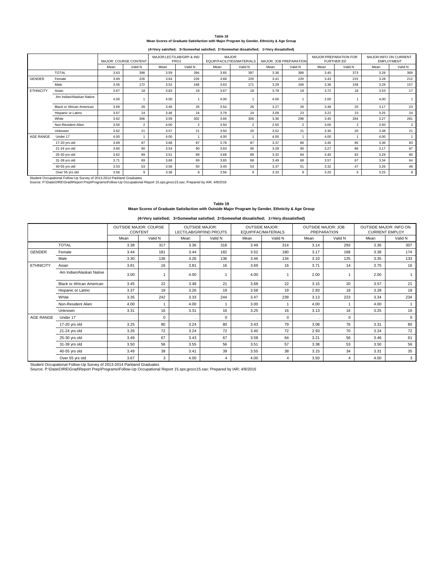**Table 18 Mean Scores of Graduate Satisfaction with Major Program by Gender, Ethnicity & Age Group**

**(4=Very satisfied; 3=Somewhat satisfied; 2=Somewhat dissatisfied; 1=Very dissatisfied)**

|                          |                                                                                                                                                                                                     |      | <b>MAJOR: COURSE CONTENT</b> |      | MAJOR:LECT/LAB/GRP & IND<br><b>PROJ</b> |      | MAJOR:<br>EQUIP/FACILITIES/MATERIALS |      | MAJOR: JOB PREPARATION |      | MAJOR: PREPARATION FOR<br><b>FURTHER ED</b> |      | <b>MAJOR:INFO ON CURRENT</b><br><b>EMPLOYMENT</b> |
|--------------------------|-----------------------------------------------------------------------------------------------------------------------------------------------------------------------------------------------------|------|------------------------------|------|-----------------------------------------|------|--------------------------------------|------|------------------------|------|---------------------------------------------|------|---------------------------------------------------|
|                          |                                                                                                                                                                                                     | Mean | Valid N                      | Mean | Valid N                                 | Mean | Valid N                              | Mean | Valid N                | Mean | Valid N                                     | Mean | Valid N                                           |
|                          | <b>TOTAL</b>                                                                                                                                                                                        | 3.63 | 398                          | 3.59 | 394                                     | 3.65 | 397                                  | 3.36 | 389                    | 3.40 | 373                                         | 3.28 | 369                                               |
| <b>GENDER</b>            | Female                                                                                                                                                                                              | 3.69 | 226                          | 3.64 | 226                                     | 3.68 | 226                                  | 3.41 | 220                    | 3.43 | 215                                         | 3.28 | 212                                               |
|                          | Male                                                                                                                                                                                                | 3.56 | 172                          | 3.52 | 168                                     | 3.63 | 171                                  | 3.29 | 169                    | 3.36 | 158                                         | 3.29 | 157                                               |
| <b>ETHNICITY</b>         | Asian                                                                                                                                                                                               | 3.67 | 18                           | 3.83 | 18                                      | 3.67 | 18                                   | 3.78 | 18                     | 3.72 | 18                                          | 3.53 | 17                                                |
| Am Indian/Alaskan Native |                                                                                                                                                                                                     | 4.00 |                              | 4.00 |                                         | 4.00 |                                      | 4.00 |                        | 2.00 |                                             | 4.00 |                                                   |
|                          | <b>Black or African American</b>                                                                                                                                                                    |      | 26                           | 3.46 | 26                                      | 3.54 | 26                                   | 3.27 | 26                     | 3.48 | 25                                          | 3.17 | 23                                                |
|                          | Hispanic or Latino                                                                                                                                                                                  | 3.67 | 24                           | 3.46 | 24                                      | 3.79 | 24                                   | 3.09 | 23                     | 3.22 | 23                                          | 3.25 | 24                                                |
|                          | White                                                                                                                                                                                               | 3.62 | 306                          | 3.59 | 302                                     | 3.66 | 306                                  | 3.36 | 298                    | 3.40 | 284                                         | 3.27 | 281                                               |
|                          | Non-Resident Alien                                                                                                                                                                                  | 3.50 | $\overline{2}$               | 4.00 | $\overline{2}$                          | 3.50 | $\overline{2}$                       | 2.50 | $\overline{2}$         | 3.00 | $\overline{2}$                              | 3.50 | $\overline{a}$                                    |
|                          | Unknown                                                                                                                                                                                             | 3.62 | 21                           | 3.57 | 21                                      | 3.50 | 20                                   | 3.52 | 21                     | 3.30 | 20                                          | 3.38 | 21                                                |
| AGE RANGE                | Under 17                                                                                                                                                                                            | 4.00 | $\overline{1}$               | 4.00 |                                         | 4.00 |                                      | 4.00 |                        | 4.00 |                                             | 4.00 |                                                   |
|                          | 17-20 vrs old                                                                                                                                                                                       | 3.69 | 87                           | 3.68 | 87                                      | 3.78 | 87                                   | 3.37 | 86                     | 3.45 | 85                                          | 3.36 | 83                                                |
|                          | 21-24 yrs old                                                                                                                                                                                       | 3.60 | 90                           | 3.54 | 90                                      | 3.63 | 90                                   | 3.28 | 90                     | 3.27 | 86                                          | 3.17 | 87                                                |
|                          | 25-30 yrs old                                                                                                                                                                                       | 3.62 | 89                           | 3.51 | 89                                      | 3.69 | 89                                   | 3.32 | 84                     | 3.40 | 82                                          | 3.29 | 80                                                |
|                          | 31-39 vrs old                                                                                                                                                                                       | 3.71 | 69                           | 3.68 | 69                                      | 3.65 | 68                                   | 3.49 | 68                     | 3.57 | 67                                          | 3.34 | 64                                                |
|                          | 40-55 yrs old                                                                                                                                                                                       | 3.53 | 53                           | 3.56 | 50                                      | 3.45 | 53                                   | 3.37 | 51                     | 3.32 | 47                                          | 3.26 | 46                                                |
|                          | Over 55 yrs old                                                                                                                                                                                     | 3.56 | 9                            | 3.38 | 8                                       | 3.56 | 9                                    | 3.33 | 9                      | 3.20 | 5                                           | 3.25 | 8                                                 |
|                          | Student Occupational Follow-Up Survey of 2013-2014 Parkland Graduates<br>Source: P:\Data\OIRE\Grad\Report Prep\Programs\Follow-Up Occupational Report 15.sps;grocc15.sav; Prepared by IAR; 4/8/2016 |      |                              |      |                                         |      |                                      |      |                        |      |                                             |      |                                                   |

**Table 19 Mean Scores of Graduate Satisfaction with Outside Major Program by Gender, Ethnicity & Age Group**

**(4=Very satisfied; 3=Somewhat satisfied; 2=Somewhat dissatisfied; 1=Very dissatisfied)**

|                  |                                  |          | <b>OUTSIDE MAJOR: COURSE</b><br>CONTENT |              | <b>OUTSIDE MAJOR:</b><br>LECT/LAB/GRP/IND PROJTS |      | <b>OUTSIDE MAJOR:</b><br>EQUIP/FAC/MATERIALS |      | <b>OUTSIDE MAJOR: JOB</b><br><b>PREPARATION</b> | OUTSIDE MAJOR: INFO ON<br><b>CURRENT EMPLOY</b> |             |
|------------------|----------------------------------|----------|-----------------------------------------|--------------|--------------------------------------------------|------|----------------------------------------------|------|-------------------------------------------------|-------------------------------------------------|-------------|
|                  |                                  | Mean     | Valid N                                 | Mean         | Valid N                                          | Mean | Valid N                                      | Mean | Valid N                                         | Mean                                            | Valid N     |
|                  | <b>TOTAL</b>                     | 3.38     | 317                                     | 3.36         | 318                                              | 3.49 | 314                                          | 3.14 | 293                                             | 3.36                                            | 307         |
| <b>GENDER</b>    | Female                           | 3.44     | 181                                     | 3.44         | 182                                              | 3.52 | 180                                          | 3.17 | 168                                             | 3.38                                            | 174         |
|                  | Male                             | 3.30     | 136                                     | 3.26         | 136                                              | 3.46 | 134                                          | 3.10 | 125                                             | 3.35                                            | 133         |
| <b>ETHNICITY</b> | Asian                            | 3.81     | 16                                      | 3.81         | 16                                               | 3.69 | 16                                           | 3.71 | 14                                              | 3.75                                            | 16          |
|                  | Am Indian/Alaskan Native         | 3.00     |                                         | 4.00         | 1                                                | 4.00 |                                              | 2.00 | 1                                               | 2.00                                            | 1           |
|                  | <b>Black or African American</b> | 3.45     | 22                                      | 3.48         | 21                                               | 3.68 | 22                                           | 3.15 | 20                                              | 3.57                                            | 21          |
|                  | Hispanic or Latino               | 3.37     | 19                                      | 3.26         | 19                                               | 3.58 | 19                                           | 2.83 | 18                                              | 3.28                                            | 18          |
|                  | White                            | 3.35     | 242                                     | 3.33         | 244                                              | 3.47 | 239                                          | 3.13 | 223                                             | 3.34                                            | 234         |
|                  | Non-Resident Alien               | 4.00     |                                         | 4.00         | 1                                                | 3.00 |                                              | 4.00 | 1                                               | 4.00                                            | 1           |
|                  | Unknown                          | 3.31     | 16                                      | 3.31         | 16                                               | 3.25 | 16                                           | 3.13 | 16                                              | 3.25                                            | 16          |
| AGE RANGE        | Under 17                         | <b>.</b> | $\mathbf 0$                             | $\mathbf{r}$ | 0                                                |      | $\mathbf 0$                                  |      | 0                                               |                                                 | $\mathbf 0$ |
|                  | 17-20 yrs old                    | 3.25     | 80                                      | 3.24         | 80                                               | 3.43 | 79                                           | 3.08 | 76                                              | 3.31                                            | 80          |
|                  | 21-24 yrs old                    | 3.26     | 72                                      | 3.24         | 72                                               | 3.40 | 72                                           | 2.93 | 70                                              | 3.24                                            | 72          |
|                  | 25-30 yrs old                    | 3.49     | 67                                      | 3.43         | 67                                               | 3.58 | 64                                           | 3.21 | 56                                              | 3.46                                            | 61          |
|                  | 31-39 yrs old                    | 3.50     | 56                                      | 3.55         | 56                                               | 3.51 | 57                                           | 3.38 | 53                                              | 3.50                                            | 56          |
|                  | 40-55 yrs old                    | 3.49     | 39                                      | 3.41         | 39                                               | 3.55 | 38                                           | 3.15 | 34                                              | 3.31                                            | 35          |
|                  | Over 55 yrs old                  | 3.67     | 3                                       | 4.00         | 4                                                | 4.00 | 4                                            | 3.50 | 4                                               | 4.00                                            | 3           |

Student Occupational Follow-Up Survey of 2013-2014 Parkland Graduates<br>Source: P:∖Data\OIRE\Grad\Report Prep\Programs\Follow-Up Occupational Report 15.sps;grocc15.sav; Prepared by IAR; 4/8/2016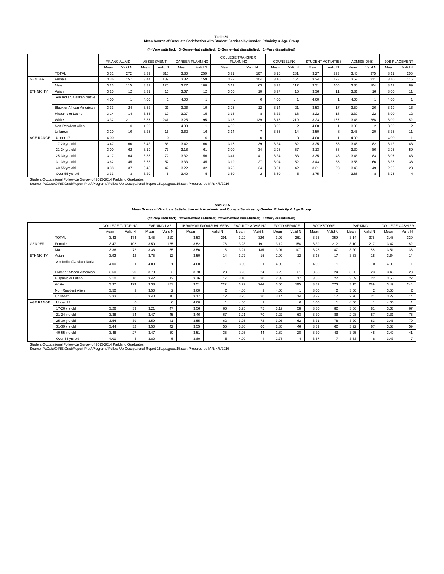| ı | .,<br>nır |  |  |
|---|-----------|--|--|

**Table 20 Mean Scores of Graduate Satisfaction with Student Services by Gender, Ethnicity & Age Group**

**(4=Very satisfied; 3=Somewhat satisfied; 2=Somewhat dissatisfied; 1=Very dissatisfied)**

|                  |                                                                                                                                                                                                     |      | <b>FINANCIAL AID</b> |      | <b>ASSESSMENT</b> |      | <b>CAREER PLANNING</b> |      | <b>COLLEGE TRANSFER</b><br><b>PLANNING</b> |      | COUNSELING     |      | <b>STUDENT ACTIVITIES</b> |      | <b>ADMISSIONS</b> |      | <b>JOB PLACEMENT</b> |
|------------------|-----------------------------------------------------------------------------------------------------------------------------------------------------------------------------------------------------|------|----------------------|------|-------------------|------|------------------------|------|--------------------------------------------|------|----------------|------|---------------------------|------|-------------------|------|----------------------|
|                  |                                                                                                                                                                                                     | Mean | Valid N              | Mean | Valid N           | Mean | Valid N                | Mean | Valid N                                    | Mean | Valid N        | Mean | Valid N                   | Mean | Valid N           | Mean | Valid N              |
|                  | <b>TOTAL</b>                                                                                                                                                                                        | 3.31 | 272                  | 3.39 | 315               | 3.30 | 259                    | 3.21 | 167                                        | 3.16 | 281            | 3.27 | 223                       | 3.45 | 375               | 3.11 | 205                  |
| <b>GENDER</b>    | Female                                                                                                                                                                                              | 3.36 | 157                  | 3.44 | 189               | 3.32 | 159                    | 3.22 | 104                                        | 3.10 | 164            | 3.24 | 123                       | 3.52 | 211               | 3.10 | 116                  |
|                  | Male                                                                                                                                                                                                | 3.23 | 115                  | 3.32 | 126               | 3.27 | 100                    | 3.19 | 63                                         | 3.23 | 117            | 3.31 | 100                       | 3.35 | 164               | 3.11 | 89                   |
| <b>ETHNICITY</b> | Asian                                                                                                                                                                                               | 3.25 | 12                   | 3.31 | 16                | 3.67 | 12                     | 3.60 | 10                                         | 3.27 | 15             | 3.36 | 11                        | 3.31 | 16                | 3.00 | 11                   |
|                  | Am Indian/Alaskan Native                                                                                                                                                                            | 4.00 |                      | 4.00 |                   | 4.00 |                        |      | $\Omega$                                   | 4.00 |                | 4.00 |                           | 4.00 |                   | 4.00 |                      |
|                  | <b>Black or African American</b>                                                                                                                                                                    | 3.33 | 24                   | 3.62 | 21                | 3.26 | 19                     | 3.25 | 12                                         | 3.14 | 21             | 3.53 | 17                        | 3.50 | 26                | 3.19 | 16                   |
|                  | Hispanic or Latino                                                                                                                                                                                  | 3.14 | 14                   | 3.53 | 19                | 3.27 | 15                     | 3.13 | 8                                          | 3.22 | 18             | 3.22 | 18                        | 3.32 | 22                | 3.00 | 12                   |
|                  | White                                                                                                                                                                                               | 3.32 | 211                  | 3.37 | 241               | 3.25 | 195                    | 3.18 | 129                                        | 3.13 | 210            | 3.23 | 167                       | 3.46 | 288               | 3.09 | 152                  |
|                  | Non-Resident Alien                                                                                                                                                                                  |      | $\Omega$             | 4.00 | 1                 | 4.00 |                        | 4.00 |                                            | 3.00 | $\overline{2}$ | 4.00 |                           | 3.00 | $\overline{2}$    | 3.00 | $\overline{2}$       |
|                  | Unknown                                                                                                                                                                                             | 3.20 | 10                   | 3.25 | 16                | 3.62 | 16                     | 3.14 | $\overline{7}$                             | 3.36 | 14             | 3.50 | 8                         | 3.45 | 20                | 3.36 | 11                   |
| AGE RANGE        | Under 17                                                                                                                                                                                            | 4.00 |                      |      | $\mathbf 0$       |      | $\mathbf 0$            |      | $\Omega$                                   |      | $\mathbf 0$    | 4.00 |                           | 4.00 |                   | 4.00 |                      |
|                  | 17-20 vrs old                                                                                                                                                                                       | 3.47 | 60                   | 3.42 | 66                | 3.42 | 60                     | 3.15 | 39                                         | 3.24 | 62             | 3.25 | 56                        | 3.45 | 82                | 3.12 | 43                   |
|                  | 21-24 yrs old                                                                                                                                                                                       | 3.00 | 62                   | 3.19 | 73                | 3.18 | 61                     | 3.00 | 34                                         | 2.98 | 57             | 3.13 | 56                        | 3.30 | 86                | 2.96 | 50                   |
|                  | 25-30 yrs old                                                                                                                                                                                       | 3.17 | 64                   | 3.38 | 72                | 3.32 | 56                     | 3.41 | 41                                         | 3.24 | 63             | 3.35 | 43                        | 3.46 | 83                | 3.07 | 43                   |
|                  | 31-39 vrs old                                                                                                                                                                                       | 3.62 | 45                   | 3.63 | 57                | 3.33 | 45                     | 3.19 | 27                                         | 3.04 | 52             | 3.43 | 35                        | 3.58 | 66                | 3.36 | 36                   |
|                  | 40-55 yrs old                                                                                                                                                                                       | 3.38 | 37                   | 3.43 | 42                | 3.22 | 32                     | 3.25 | 24                                         | 3.21 | 42             | 3.21 | 28                        | 3.43 | 49                | 2.96 | 28                   |
|                  | Over 55 vrs old                                                                                                                                                                                     | 3.33 | 3                    | 3.20 | 5                 | 3.40 | 5                      | 3.50 | $\overline{2}$                             | 3.80 | 5              | 3.75 | 4                         | 3.88 | 8                 | 3.75 | $\overline{4}$       |
|                  | Student Occupational Follow-Up Survey of 2013-2014 Parkland Graduates<br>Source: P:\Data\OIRE\Grad\Report Prep\Programs\Follow-Up Occupational Report 15.sps:grocc15.say: Prepared by IAR: 4/8/2016 |      |                      |      |                   |      |                        |      |                                            |      |                |      |                           |      |                   |      |                      |

**Table 20 A Mean Scores of Graduate Satisfaction with Academic and College Services by Gender, Ethnicity & Age Group**

|  |  | (4=Very satisfied; 3=Somewhat satisfied; 2=Somewhat dissatisfied; 1=Very dissatisfied) |  |
|--|--|----------------------------------------------------------------------------------------|--|
|--|--|----------------------------------------------------------------------------------------|--|

|                  |                                                                                                                                                                                                     |      | <b>COLLEGE TUTORING</b> |      | <b>LEARNING LAB</b> |      | LIBRARY/AUDIOVISUAL SERV |      | <b>FACULTY ADVISING</b> |      | <b>FOOD SERVICE</b> |      | <b>BOOKSTORE</b> |      | <b>PARKING</b> |      | <b>COLLEGE CASHIER</b> |
|------------------|-----------------------------------------------------------------------------------------------------------------------------------------------------------------------------------------------------|------|-------------------------|------|---------------------|------|--------------------------|------|-------------------------|------|---------------------|------|------------------|------|----------------|------|------------------------|
|                  |                                                                                                                                                                                                     | Mean | Valid N                 | Mean | Valid N             | Mean | Valid N                  | Mean | Valid N                 | Mean | Valid N             | Mean | Valid N          | Mean | Valid N        | Mean | Valid N                |
|                  | <b>TOTAL</b>                                                                                                                                                                                        | 3.43 | 174                     | 3.45 | 210                 | 3.53 | 291                      | 3.22 | 326                     | 3.07 | 261                 | 3.33 | 359              | 3.14 | 375            | 3.48 | 320                    |
| GENDER           | Female                                                                                                                                                                                              | 3.47 | 102                     | 3.50 | 125                 | 3.52 | 176                      | 3.23 | 191                     | 3.12 | 154                 | 3.39 | 212              | 3.10 | 217            | 3.47 | 182                    |
|                  | Male                                                                                                                                                                                                | 3.36 | 72                      | 3.36 | 85                  | 3.56 | 115                      | 3.21 | 135                     | 3.01 | 107                 | 3.23 | 147              | 3.20 | 158            | 3.51 | 138                    |
| <b>ETHNICITY</b> | Asian                                                                                                                                                                                               | 3.92 | 12                      | 3.75 | 12                  | 3.50 | 14                       | 3.27 | 15                      | 2.92 | 12                  | 3.18 | 17               | 3.33 | 18             | 3.64 | 14                     |
|                  | Am Indian/Alaskan Native                                                                                                                                                                            | 4.00 |                         | 4.00 |                     | 4.00 |                          | 3.00 |                         | 4.00 |                     | 4.00 |                  |      | $\mathbf 0$    | 4.00 |                        |
|                  | <b>Black or African American</b>                                                                                                                                                                    | 3.60 | 20                      | 3.73 | 22                  | 3.78 | 23                       | 3.25 | 24                      | 3.29 | 21                  | 3.38 | 24               | 3.26 | 23             | 3.43 | 23                     |
|                  | Hispanic or Latino                                                                                                                                                                                  | 3.10 | 10 <sup>1</sup>         | 3.42 | 12                  | 3.76 | 17                       | 3.10 | 20                      | 2.88 | 17                  | 3.55 | 22               | 3.09 | 22             | 3.50 | 22                     |
|                  | White                                                                                                                                                                                               | 3.37 | 123                     | 3.38 | 151                 | 3.51 | 222                      | 3.22 | 244                     | 3.06 | 195                 | 3.32 | 276              | 3.15 | 289            | 3.49 | 244                    |
|                  | Non-Resident Alien                                                                                                                                                                                  | 3.50 | $\overline{2}$          | 3.50 | $\overline{2}$      | 3.00 | $\overline{2}$           | 4.00 | $\overline{2}$          | 4.00 | $\overline{1}$      | 3.00 | $\overline{2}$   | 3.50 | $\overline{2}$ | 3.50 | $\overline{2}$         |
|                  | Unknown                                                                                                                                                                                             | 3.33 | 6                       | 3.40 | 10                  | 3.17 | 12                       | 3.25 | 20                      | 3.14 | 14                  | 3.29 | 17               | 2.76 | 21             | 3.29 | 14                     |
| AGE RANGE        | Under 17                                                                                                                                                                                            |      | $\Omega$                |      | $\Omega$            | 4.00 |                          | 4.00 |                         |      | $\Omega$            | 4.00 |                  | 4.00 |                | 4.00 |                        |
|                  | 17-20 vrs old                                                                                                                                                                                       | 3.26 | 39                      | 3.21 | 47                  | 3.56 | 66                       | 3.25 | 75                      | 3.19 | 58                  | 3.30 | 82               | 3.06 | 81             | 3.63 | 67                     |
|                  | 21-24 yrs old                                                                                                                                                                                       | 3.38 | 34                      | 3.47 | 45                  | 3.46 | 67                       | 3.01 | 70                      | 3.27 | 63                  | 3.30 | 86               | 2.98 | 87             | 3.31 | 75                     |
|                  | 25-30 vrs old                                                                                                                                                                                       | 3.54 | 39                      | 3.59 | 41                  | 3.55 | 62                       | 3.25 | 72                      | 3.06 | 62                  | 3.31 | 78               | 3.20 | 83             | 3.46 | 70                     |
|                  | 31-39 vrs old                                                                                                                                                                                       | 3.44 | 32                      | 3.50 | 42                  | 3.55 | 55                       | 3.30 | 60                      | 2.85 | 46                  | 3.39 | 62               | 3.22 | 67             | 3.58 | 59                     |
|                  | 40-55 vrs old                                                                                                                                                                                       | 3.48 | 27                      | 3.47 | 30                  | 3.51 | 35                       | 3.25 | 44                      | 2.82 | 28                  | 3.30 | 43               | 3.25 | 48             | 3.49 | 41                     |
|                  | Over 55 vrs old                                                                                                                                                                                     | 4.00 | 3                       | 3.80 | 5                   | 3.80 | 5                        | 4.00 | $\overline{4}$          | 2.75 | $\overline{4}$      | 3.57 | $\overline{7}$   | 3.63 | 8              | 3.43 | $\overline{7}$         |
|                  | Student Occupational Follow-Up Survey of 2013-2014 Parkland Graduates<br>Source: P:\Data\OIRE\Grad\Report Prep\Programs\Follow-Up Occupational Report 15.sps;grocc15.sav; Prepared by IAR; 4/8/2016 |      |                         |      |                     |      |                          |      |                         |      |                     |      |                  |      |                |      |                        |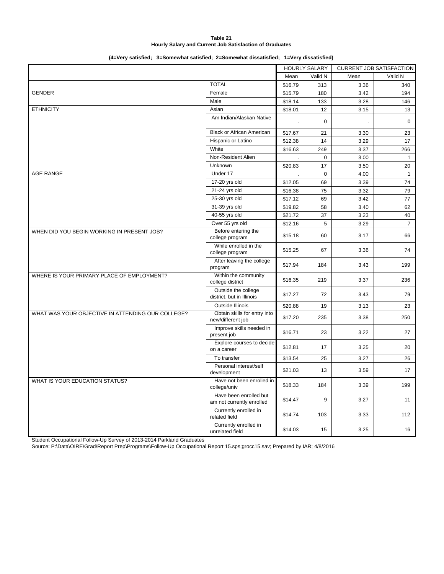#### **Table 21 Hourly Salary and Current Job Satisfaction of Graduates**

#### **(4=Very satisfied; 3=Somewhat satisfied; 2=Somewhat dissatisfied; 1=Very dissatisfied)**

|                                                   |                                                     |         | <b>HOURLY SALARY</b> |      | <b>CURRENT JOB SATISFACTION</b> |
|---------------------------------------------------|-----------------------------------------------------|---------|----------------------|------|---------------------------------|
|                                                   |                                                     | Mean    | Valid N              | Mean | Valid N                         |
|                                                   | <b>TOTAL</b>                                        | \$16.79 | 313                  | 3.36 | 340                             |
| <b>GENDER</b>                                     | Female                                              | \$15.79 | 180                  | 3.42 | 194                             |
|                                                   | Male                                                | \$18.14 | 133                  | 3.28 | 146                             |
| <b>ETHNICITY</b>                                  | Asian                                               | \$18.01 | 12                   | 3.15 | 13                              |
|                                                   | Am Indian/Alaskan Native                            |         | $\mathbf 0$          |      | $\mathbf 0$                     |
|                                                   | <b>Black or African American</b>                    | \$17.67 | 21                   | 3.30 | 23                              |
|                                                   | Hispanic or Latino                                  | \$12.38 | 14                   | 3.29 | 17                              |
|                                                   | White                                               | \$16.63 | 249                  | 3.37 | 266                             |
|                                                   | Non-Resident Alien                                  |         | $\mathbf 0$          | 3.00 | $\mathbf{1}$                    |
|                                                   | Unknown                                             | \$20.83 | 17                   | 3.50 | 20                              |
| <b>AGE RANGE</b>                                  | Under 17                                            |         | $\mathbf 0$          | 4.00 | $\mathbf{1}$                    |
|                                                   | 17-20 yrs old                                       | \$12.05 | 69                   | 3.39 | 74                              |
|                                                   | 21-24 yrs old                                       | \$16.38 | 75                   | 3.32 | 79                              |
|                                                   | 25-30 yrs old                                       | \$17.12 | 69                   | 3.42 | 77                              |
|                                                   | 31-39 yrs old                                       | \$19.82 | 58                   | 3.40 | 62                              |
|                                                   | 40-55 yrs old                                       | \$21.72 | 37                   | 3.23 | 40                              |
|                                                   | Over 55 yrs old                                     | \$12.16 | 5                    | 3.29 | $\overline{7}$                  |
| WHEN DID YOU BEGIN WORKING IN PRESENT JOB?        | Before entering the<br>college program              | \$15.18 | 60                   | 3.17 | 66                              |
|                                                   | While enrolled in the<br>college program            | \$15.25 | 67                   | 3.36 | 74                              |
|                                                   | After leaving the college<br>program                | \$17.94 | 184                  | 3.43 | 199                             |
| WHERE IS YOUR PRIMARY PLACE OF EMPLOYMENT?        | Within the community<br>college district            | \$16.35 | 219                  | 3.37 | 236                             |
|                                                   | Outside the college<br>district, but in Illinois    | \$17.27 | 72                   | 3.43 | 79                              |
|                                                   | Outside Illinois                                    | \$20.88 | 19                   | 3.13 | 23                              |
| WHAT WAS YOUR OBJECTIVE IN ATTENDING OUR COLLEGE? | Obtain skills for entry into<br>new/different job   | \$17.20 | 235                  | 3.38 | 250                             |
|                                                   | Improve skills needed in<br>present job             | \$16.71 | 23                   | 3.22 | 27                              |
|                                                   | Explore courses to decide<br>on a career            | \$12.81 | 17                   | 3.25 | 20                              |
|                                                   | To transfer                                         | \$13.54 | 25                   | 3.27 | 26                              |
|                                                   | Personal interest/self<br>development               | \$21.03 | 13                   | 3.59 | 17                              |
| WHAT IS YOUR EDUCATION STATUS?                    | Have not been enrolled in<br>college/univ           | \$18.33 | 184                  | 3.39 | 199                             |
|                                                   | Have been enrolled but<br>am not currently enrolled | \$14.47 | 9                    | 3.27 | 11                              |
|                                                   | Currently enrolled in<br>related field              | \$14.74 | 103                  | 3.33 | 112                             |
|                                                   | Currently enrolled in<br>unrelated field            | \$14.03 | 15                   | 3.25 | 16                              |

Student Occupational Follow-Up Survey of 2013-2014 Parkland Graduates

Source: P:\Data\OIRE\Grad\Report Prep\Programs\Follow-Up Occupational Report 15.sps;grocc15.sav; Prepared by IAR; 4/8/2016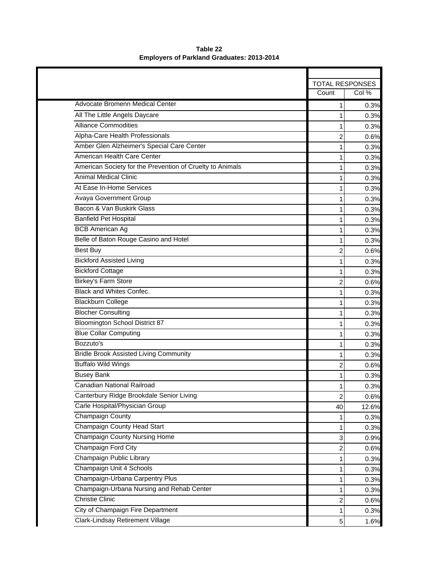|                                                           | <b>TOTAL RESPONSES</b> |       |
|-----------------------------------------------------------|------------------------|-------|
|                                                           | Count                  | Col % |
| <b>Advocate Bromenn Medical Center</b>                    | $\mathbf{1}$           | 0.3%  |
| All The Little Angels Daycare                             | 1                      | 0.3%  |
| <b>Alliance Commodities</b>                               | 1                      | 0.3%  |
| Alpha-Care Health Professionals                           | 2                      | 0.6%  |
| Amber Glen Alzheimer's Special Care Center                | 1                      | 0.3%  |
| American Health Care Center                               | 1                      | 0.3%  |
| American Society for the Prevention of Cruelty to Animals | 1                      | 0.3%  |
| <b>Animal Medical Clinic</b>                              | 1                      | 0.3%  |
| At Ease In-Home Services                                  | 1                      | 0.3%  |
| <b>Avaya Government Group</b>                             | 1                      | 0.3%  |
| Bacon & Van Buskirk Glass                                 | 1                      | 0.3%  |
| <b>Banfield Pet Hospital</b>                              | 1                      | 0.3%  |
| <b>BCB American Ag</b>                                    | 1                      | 0.3%  |
| Belle of Baton Rouge Casino and Hotel                     | 1                      | 0.3%  |
| <b>Best Buy</b>                                           | 2                      | 0.6%  |
| <b>Bickford Assisted Living</b>                           | 1                      | 0.3%  |
| <b>Bickford Cottage</b>                                   | 1                      | 0.3%  |
| <b>Birkey's Farm Store</b>                                | $\overline{c}$         | 0.6%  |
| <b>Black and Whites Confec.</b>                           | 1                      | 0.3%  |
| <b>Blackburn College</b>                                  | 1                      | 0.3%  |
| <b>Blocher Consulting</b>                                 | 1                      | 0.3%  |
| <b>Bloomington School District 87</b>                     | 1                      | 0.3%  |
| <b>Blue Collar Computing</b>                              | 1                      | 0.3%  |
| Bozzuto's                                                 | 1                      | 0.3%  |
| <b>Bridle Brook Assisted Living Community</b>             | 1                      | 0.3%  |
| <b>Buffalo Wild Wings</b>                                 | 2                      | 0.6%  |
| <b>Busey Bank</b>                                         | 1                      | 0.3%  |
| <b>Canadian National Railroad</b>                         | 1                      | 0.3%  |
| Canterbury Ridge Brookdale Senior Living                  | $\overline{c}$         | 0.6%  |
| Carle Hospital/Physician Group                            | 40                     | 12.6% |
| <b>Champaign County</b>                                   |                        | 0.3%  |
| Champaign County Head Start                               | 1                      | 0.3%  |
| <b>Champaign County Nursing Home</b>                      | 3                      | 0.9%  |
| Champaign Ford City                                       | 2                      | 0.6%  |
| Champaign Public Library                                  | 1                      | 0.3%  |
| Champaign Unit 4 Schools                                  | 1                      | 0.3%  |
| Champaign-Urbana Carpentry Plus                           | 1                      | 0.3%  |
| Champaign-Urbana Nursing and Rehab Center                 | 1                      | 0.3%  |
| <b>Christie Clinic</b>                                    | 2                      | 0.6%  |
| City of Champaign Fire Department                         | 1                      | 0.3%  |
| Clark-Lindsay Retirement Village                          | $\mathbf 5$            | 1.6%  |

**Table 22 Employers of Parkland Graduates: 2013-2014**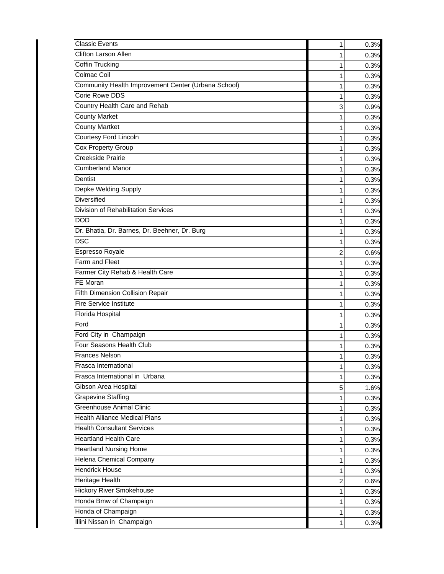| <b>Classic Events</b>                               | 1 | 0.3% |
|-----------------------------------------------------|---|------|
| Clifton Larson Allen                                | 1 | 0.3% |
| Coffin Trucking                                     | 1 | 0.3% |
| Colmac Coil                                         | 1 | 0.3% |
| Community Health Improvement Center (Urbana School) | 1 | 0.3% |
| <b>Corie Rowe DDS</b>                               | 1 | 0.3% |
| Country Health Care and Rehab                       | 3 | 0.9% |
| <b>County Market</b>                                | 1 | 0.3% |
| <b>County Martket</b>                               | 1 | 0.3% |
| <b>Courtesy Ford Lincoln</b>                        | 1 | 0.3% |
| Cox Property Group                                  | 1 | 0.3% |
| Creekside Prairie                                   | 1 | 0.3% |
| <b>Cumberland Manor</b>                             | 1 | 0.3% |
| Dentist                                             | 1 | 0.3% |
| Depke Welding Supply                                | 1 | 0.3% |
| <b>Diversified</b>                                  | 1 | 0.3% |
| <b>Division of Rehabilitation Services</b>          | 1 | 0.3% |
| <b>DOD</b>                                          | 1 | 0.3% |
| Dr. Bhatia, Dr. Barnes, Dr. Beehner, Dr. Burg       | 1 | 0.3% |
| <b>DSC</b>                                          | 1 | 0.3% |
| Espresso Royale                                     | 2 | 0.6% |
| Farm and Fleet                                      | 1 | 0.3% |
| Farmer City Rehab & Health Care                     | 1 | 0.3% |
| FE Moran                                            | 1 | 0.3% |
| Fifth Dimension Collision Repair                    | 1 | 0.3% |
| <b>Fire Service Institute</b>                       | 1 | 0.3% |
| Florida Hospital                                    | 1 | 0.3% |
| Ford                                                | 1 | 0.3% |
| Ford City in Champaign                              | 1 | 0.3% |
| Four Seasons Health Club                            | 1 | 0.3% |
| <b>Frances Nelson</b>                               |   | 0.3% |
| Frasca International                                | 1 | 0.3% |
| Frasca International in Urbana                      | 1 | 0.3% |
| Gibson Area Hospital                                | 5 | 1.6% |
| <b>Grapevine Staffing</b>                           | 1 | 0.3% |
| <b>Greenhouse Animal Clinic</b>                     | 1 | 0.3% |
| <b>Health Alliance Medical Plans</b>                | 1 | 0.3% |
| <b>Health Consultant Services</b>                   | 1 | 0.3% |
| <b>Heartland Health Care</b>                        | 1 | 0.3% |
| <b>Heartland Nursing Home</b>                       | 1 | 0.3% |
| Helena Chemical Company                             | 1 | 0.3% |
| <b>Hendrick House</b>                               | 1 | 0.3% |
| Heritage Health                                     | 2 | 0.6% |
| <b>Hickory River Smokehouse</b>                     | 1 | 0.3% |
| Honda Bmw of Champaign                              | 1 | 0.3% |
| Honda of Champaign                                  | 1 | 0.3% |
| Illini Nissan in Champaign                          | 1 | 0.3% |
|                                                     |   |      |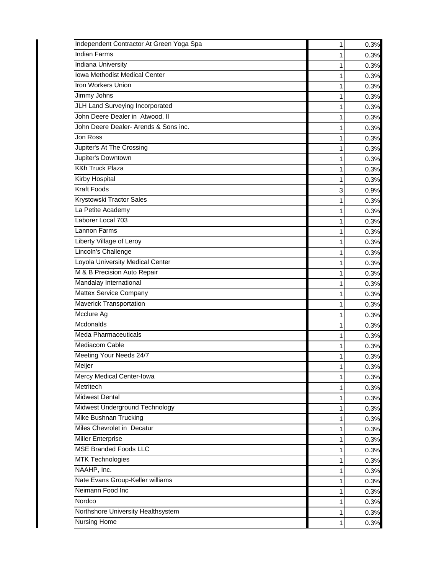| Independent Contractor At Green Yoga Spa | 1 | 0.3% |
|------------------------------------------|---|------|
| <b>Indian Farms</b>                      | 1 | 0.3% |
| <b>Indiana University</b>                |   | 0.3% |
| Iowa Methodist Medical Center            |   | 0.3% |
| Iron Workers Union                       | 1 | 0.3% |
| Jimmy Johns                              | 1 | 0.3% |
| JLH Land Surveying Incorporated          | 1 | 0.3% |
| John Deere Dealer in Atwood, II          |   | 0.3% |
| John Deere Dealer- Arends & Sons inc.    | 1 | 0.3% |
| Jon Ross                                 | 1 | 0.3% |
| Jupiter's At The Crossing                | 1 | 0.3% |
| Jupiter's Downtown                       | 1 | 0.3% |
| <b>K&amp;h Truck Plaza</b>               | 1 | 0.3% |
| <b>Kirby Hospital</b>                    | 1 | 0.3% |
| <b>Kraft Foods</b>                       | 3 | 0.9% |
| Krystowski Tractor Sales                 | 1 | 0.3% |
| La Petite Academy                        | 1 | 0.3% |
| Laborer Local 703                        | 1 | 0.3% |
| Lannon Farms                             | 1 | 0.3% |
| Liberty Village of Leroy                 | 1 | 0.3% |
| Lincoln's Challenge                      | 1 | 0.3% |
| Loyola University Medical Center         |   | 0.3% |
| M & B Precision Auto Repair              | 1 | 0.3% |
| Mandalay International                   | 1 | 0.3% |
| Mattex Service Company                   | 1 | 0.3% |
| Maverick Transportation                  | 1 | 0.3% |
| Mcclure Ag                               | 1 | 0.3% |
| Mcdonalds                                | 1 | 0.3% |
| <b>Meda Pharmaceuticals</b>              | 1 | 0.3% |
| Mediacom Cable                           | 1 | 0.3% |
| Meeting Your Needs 24/7                  | 1 | 0.3% |
| Meijer                                   | Ί | 0.3% |
| Mercy Medical Center-Iowa                | 1 | 0.3% |
| Metritech                                | 1 | 0.3% |
| <b>Midwest Dental</b>                    |   | 0.3% |
| Midwest Underground Technology           | 1 | 0.3% |
| Mike Bushnan Trucking                    | 1 | 0.3% |
| Miles Chevrolet in Decatur               | 1 | 0.3% |
| <b>Miller Enterprise</b>                 | 1 | 0.3% |
| <b>MSE Branded Foods LLC</b>             |   | 0.3% |
| <b>MTK Technologies</b>                  | 1 | 0.3% |
| NAAHP, Inc.                              | 1 | 0.3% |
| Nate Evans Group-Keller williams         | 1 | 0.3% |
| Neimann Food Inc                         | 1 | 0.3% |
| Nordco                                   |   | 0.3% |
| Northshore University Healthsystem       | 1 | 0.3% |
| <b>Nursing Home</b>                      | 1 | 0.3% |
|                                          |   |      |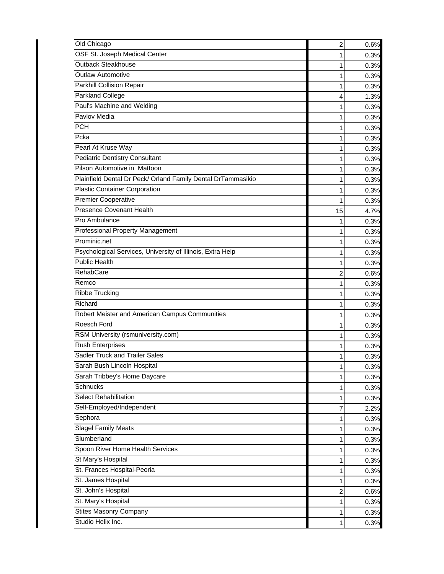| Old Chicago                                                  | 2  | 0.6% |
|--------------------------------------------------------------|----|------|
| OSF St. Joseph Medical Center                                | 1  | 0.3% |
| <b>Outback Steakhouse</b>                                    | 1  | 0.3% |
| <b>Outlaw Automotive</b>                                     | 1  | 0.3% |
| Parkhill Collision Repair                                    | 1  | 0.3% |
| Parkland College                                             | 4  | 1.3% |
| Paul's Machine and Welding                                   | 1  | 0.3% |
| Pavlov Media                                                 | 1  | 0.3% |
| <b>PCH</b>                                                   | 1  | 0.3% |
| Pcka                                                         | 1  | 0.3% |
| Pearl At Kruse Way                                           | 1  | 0.3% |
| <b>Pediatric Dentistry Consultant</b>                        | 1  | 0.3% |
| Pilson Automotive in Mattoon                                 | 1  | 0.3% |
| Plainfield Dental Dr Peck/ Orland Family Dental DrTammasikio |    | 0.3% |
| <b>Plastic Container Corporation</b>                         | 1  | 0.3% |
| <b>Premier Cooperative</b>                                   | 1  | 0.3% |
| <b>Presence Covenant Health</b>                              | 15 | 4.7% |
| Pro Ambulance                                                |    | 0.3% |
| Professional Property Management                             | 1  | 0.3% |
| Prominic.net                                                 | 1  | 0.3% |
| Psychological Services, University of Illinois, Extra Help   | 1  | 0.3% |
| <b>Public Health</b>                                         | 1  | 0.3% |
| RehabCare                                                    | 2  | 0.6% |
| Remco                                                        | 1  | 0.3% |
| <b>Ribbe Trucking</b>                                        | 1  | 0.3% |
| Richard                                                      | 1  | 0.3% |
| Robert Meister and American Campus Communities               | 1  | 0.3% |
| Roesch Ford                                                  | 1  | 0.3% |
| RSM University (rsmuniversity.com)                           | 1  | 0.3% |
| <b>Rush Enterprises</b>                                      | 1  | 0.3% |
| Sadler Truck and Trailer Sales                               | 1  | 0.3% |
| Sarah Bush Lincoln Hospital                                  |    | 0.3% |
| Sarah Tribbey's Home Daycare                                 | 1  | 0.3% |
| Schnucks                                                     | 1  | 0.3% |
| <b>Select Rehabilitation</b>                                 | 1  | 0.3% |
| Self-Employed/Independent                                    | 7  | 2.2% |
| Sephora                                                      |    | 0.3% |
| <b>Slagel Family Meats</b>                                   |    | 0.3% |
| Slumberland                                                  | 1  | 0.3% |
| Spoon River Home Health Services                             | 1  | 0.3% |
| St Mary's Hospital                                           |    | 0.3% |
| St. Frances Hospital-Peoria                                  | 1  | 0.3% |
| St. James Hospital                                           | 1  | 0.3% |
| St. John's Hospital                                          | 2  | 0.6% |
| St. Mary's Hospital                                          | 1  | 0.3% |
| <b>Stites Masonry Company</b>                                |    | 0.3% |
| Studio Helix Inc.                                            | 1  | 0.3% |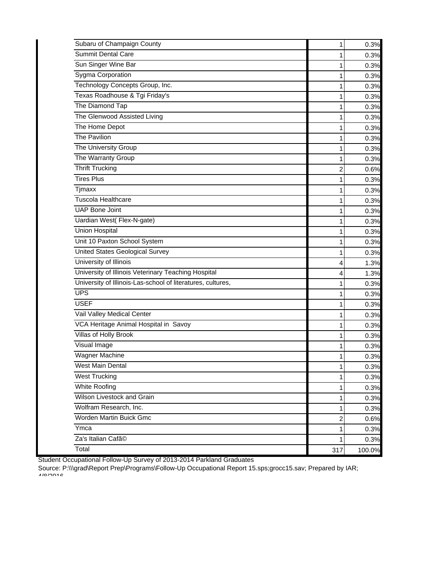| Subaru of Champaign County                                  | 1              | 0.3%   |
|-------------------------------------------------------------|----------------|--------|
| <b>Summit Dental Care</b>                                   | 1              | 0.3%   |
| Sun Singer Wine Bar                                         | 1              | 0.3%   |
| Sygma Corporation                                           | 1              | 0.3%   |
| Technology Concepts Group, Inc.                             | 1              | 0.3%   |
| Texas Roadhouse & Tgi Friday's                              | 1              | 0.3%   |
| The Diamond Tap                                             | 1              | 0.3%   |
| The Glenwood Assisted Living                                | 1              | 0.3%   |
| The Home Depot                                              | 1              | 0.3%   |
| The Pavilion                                                | 1              | 0.3%   |
| The University Group                                        | 1              | 0.3%   |
| The Warranty Group                                          | 1              | 0.3%   |
| <b>Thrift Trucking</b>                                      | $\overline{2}$ | 0.6%   |
| <b>Tires Plus</b>                                           | 1              | 0.3%   |
| <b>Tjmaxx</b>                                               | 1              | 0.3%   |
| <b>Tuscola Healthcare</b>                                   | 1              | 0.3%   |
| <b>UAP Bone Joint</b>                                       | 1              | 0.3%   |
| Uardian West(Flex-N-gate)                                   | 1              | 0.3%   |
| <b>Union Hospital</b>                                       | 1              | 0.3%   |
| Unit 10 Paxton School System                                | 1              | 0.3%   |
| <b>United States Geological Survey</b>                      | 1              | 0.3%   |
| University of Illinois                                      | 4              | 1.3%   |
| University of Illinois Veterinary Teaching Hospital         | 4              | 1.3%   |
| University of Illinois-Las-school of literatures, cultures, | 1              | 0.3%   |
| <b>UPS</b>                                                  | 1              | 0.3%   |
| <b>USEF</b>                                                 | 1              | 0.3%   |
| Vail Valley Medical Center                                  | 1              | 0.3%   |
| VCA Heritage Animal Hospital in Savoy                       | 1              | 0.3%   |
| Villas of Holly Brook                                       | 1              | 0.3%   |
| Visual Image                                                | 1              | 0.3%   |
| <b>Wagner Machine</b>                                       | 1              | 0.3%   |
| West Main Dental                                            | $\mathbf{1}$   | 0.3%   |
| <b>West Trucking</b>                                        | 1              | 0.3%   |
| White Roofing                                               | 1              | 0.3%   |
| Wilson Livestock and Grain                                  | 1              | 0.3%   |
| Wolfram Research, Inc.                                      | 1              | 0.3%   |
| Worden Martin Buick Gmc                                     | $\overline{2}$ | 0.6%   |
| Ymca                                                        | 1              | 0.3%   |
| Za's Italian Cafã <sup>©</sup>                              | 1              | 0.3%   |
| Total                                                       | 317            | 100.0% |

Student Occupational Follow-Up Survey of 2013-2014 Parkland Graduates

Source: P:\\\grad\Report Prep\Programs\Follow-Up Occupational Report 15.sps;grocc15.sav; Prepared by IAR; 4/8/2016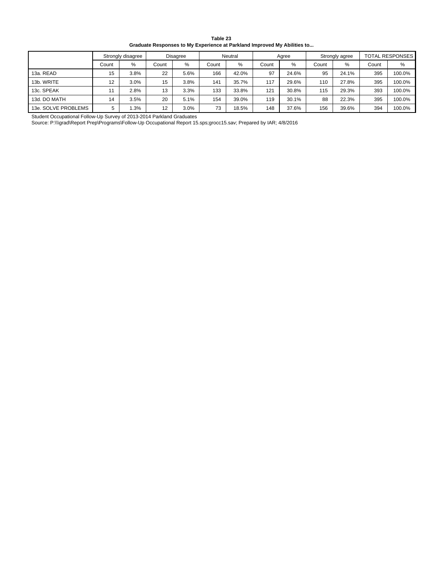| Table 23                                                                 |
|--------------------------------------------------------------------------|
| Graduate Responses to My Experience at Parkland Improved My Abilities to |

|                     |       | Strongly disagree |       | <b>Disagree</b> |       | Neutral |       | Agree |       | Strongly agree |       | <b>TOTAL RESPONSES</b> |
|---------------------|-------|-------------------|-------|-----------------|-------|---------|-------|-------|-------|----------------|-------|------------------------|
|                     | Count | %                 | Count | $\%$            | Count | %       | Count | %     | Count | $\%$           | Count | %                      |
| 13a. READ           | 15    | 3.8%              | 22    | 5.6%            | 166   | 42.0%   | 97    | 24.6% | 95    | 24.1%          | 395   | 100.0%                 |
| 13b. WRITE          | 12    | 3.0%              | 15    | 3.8%            | 141   | 35.7%   | 117   | 29.6% | 110   | 27.8%          | 395   | 100.0%                 |
| 13c. SPEAK          |       | 2.8%              | 13    | 3.3%            | 133   | 33.8%   | 121   | 30.8% | 115   | 29.3%          | 393   | 100.0%                 |
| 13d. DO MATH        | 14    | 3.5%              | 20    | 5.1%            | 154   | 39.0%   | 119   | 30.1% | 88    | 22.3%          | 395   | 100.0%                 |
| 13e. SOLVE PROBLEMS | 5     | 1.3%              | 12    | 3.0%            | 73    | 18.5%   | 148   | 37.6% | 156   | 39.6%          | 394   | 100.0%                 |

Student Occupational Follow-Up Survey of 2013-2014 Parkland Graduates

Source: P:\\\grad\Report Prep\Programs\Follow-Up Occupational Report 15.sps;grocc15.sav; Prepared by IAR; 4/8/2016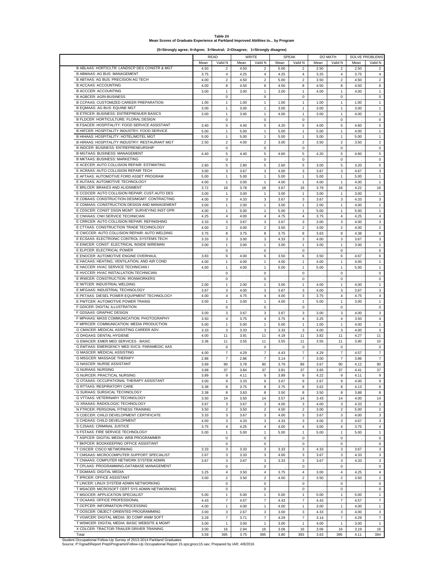| Table 24                                                                        |  |
|---------------------------------------------------------------------------------|--|
| Mean Scores of Graduate Experience at Parkland Improved Abilities to by Program |  |

**(5=Strongly agree; 4=Agree; 3=Neutral; 2=Disagree; 1=Strongly disagree)**

|                                                |      | <b>READ</b>      |      | <b>WRITE</b>              |         | <b>SPEAK</b>              |      | DO MATH                 |      | <b>SOLVE PROBLEMS</b>   |
|------------------------------------------------|------|------------------|------|---------------------------|---------|---------------------------|------|-------------------------|------|-------------------------|
|                                                | Mean | Valid N          | Mean | Valid N                   | Mean    | Valid N                   | Mean | Valid N                 | Mean | Valid N                 |
| B ABLAAS: HORTICLTR: LANDSCP DES CONSTR & MGT  |      |                  |      |                           |         |                           |      |                         |      |                         |
| <b>B ABMAAS: AG BUS: MANAGEMENT</b>            | 4.50 | $\overline{2}$   | 4.50 | $\overline{2}$            | 5.00    | $\overline{2}$            | 2.50 | $\overline{2}$          | 2.50 | 2                       |
|                                                | 3.75 | $\overline{4}$   | 4.25 | 4                         | 4.25    | $\overline{4}$            | 3.25 | $\overline{4}$          | 3.75 | $\overline{4}$          |
| <b>B ABTAAS: AG BUS: PRECISION AG TECH</b>     | 4.00 | $\overline{2}$   | 4.50 | $\overline{2}$            | 5.00    | $\overline{2}$            | 3.50 | $\overline{2}$          | 4.50 | $\overline{2}$          |
| <b>B ACCAAS: ACCOUNTING</b>                    | 4.00 | 8                | 4.50 | 8                         | 4.50    | 8                         | 4.50 | 8                       | 4.50 | 8                       |
| <b>B ACCCER: ACCOUNTING</b>                    | 3.00 | $\mathbf{1}$     | 3.00 | $\mathbf{1}$              | 3.00    | $\mathbf{1}$              | 4.00 | $\mathbf{1}$            | 4.00 | $\mathbf{1}$            |
| <b>B AGBCER: AGRI-BUSINESS</b>                 |      | 0                |      | $\mathbf 0$               |         | $\mathbf 0$               |      | $\mathbf 0$             |      | $\mathbf 0$             |
| B CCPAAS: CUSTOMIZED CAREER PREPARATION        | 1.00 | $\mathbf{1}$     | 1.00 | $\mathbf{1}$              | 1.00    | $\mathbf{1}$              | 1.00 | $\mathbf{1}$            | 1.00 | $\mathbf{1}$            |
| B EQMAAS: AG BUS: EQUINE MGT                   | 3.00 | 1                | 3.00 | 1                         | 3.00    | 1                         | 3.00 | 1                       | 3.00 | $\mathbf{1}$            |
| B ETRCER: BUSINESS: ENTREPRENUER BASICS        | 3.00 | $\mathbf{1}$     | 3.00 | $\mathbf{1}$              | 4.00    | $\mathbf{1}$              | 3.00 | $\mathbf{1}$            | 4.00 | $\mathbf{1}$            |
| B FLDCER: HORTICULTURE: FLORAL DESIGN          |      | 0                |      | $\mathsf 0$               |         | 0                         |      | $\mathsf 0$             |      | $\mathbf 0$             |
|                                                |      |                  |      |                           |         |                           |      |                         |      |                         |
| B FSACER: HOSPITALITY: FOOD SERVICE ASSISTANT  | 3.40 | 5                | 4.40 | 5                         | 4.20    | 5                         | 4.00 | 5                       | 4.60 | 5                       |
| B HIFCER: HOSPITALITY INDUSTRY: FOOD SERVICE   | 5.00 | $\mathbf{1}$     | 5.00 | $\mathbf{1}$              | 5.00    | $\mathbf{1}$              | 5.00 | $\mathbf{1}$            | 4.00 | $\mathbf{1}$            |
| B HIHAAS: HOSPITALITY: HOTEL/MOTEL MGT         | 5.00 | $\mathbf{1}$     | 5.00 | $\mathbf{1}$              | 5.00    | $\mathbf{1}$              | 5.00 | $\mathbf{1}$            | 5.00 | $\mathbf{1}$            |
| B HIRAAS: HOSPITALITY INDUSTRY: RESTAURANT MGT | 2.50 | $\overline{2}$   | 4.00 | $\overline{c}$            | 3.00    | $\overline{2}$            | 3.50 | $\overline{2}$          | 3.50 | $\overline{2}$          |
| B INDCER: BUSINESS: ENTREPRENEURSHIP           |      | $\mathbf 0$      |      | $\mathsf 0$               |         | $\mathbf 0$               |      | $\mathsf 0$             |      | $\bf 0$                 |
| <b>B MGTAAS: BUSINESS: MANAGEMENT</b>          | 4.40 | 5                | 4.40 | 5                         | 4.60    | 5                         | 4.20 | 5                       | 4.60 | 5                       |
| <b>B MKTAAS: BUSINESS: MARKETING</b>           |      | 0                |      | $\mathsf 0$               |         | $\mathsf 0$               |      | 0                       |      | $\mathbf 0$             |
| E ACECER: AUTO COLLISION REPAIR: ESTIMATING    | 2.60 | 5                | 2.80 | 5                         | 2.60    | 5                         | 3.00 | 5                       | 3.20 | 5                       |
|                                                |      |                  |      |                           |         |                           |      |                         |      |                         |
| E ACRAAS: AUTO COLLISION REPAIR TECH           | 3.00 | 3                | 3.67 | 3                         | 4.00    | 3                         | 3.67 | 3                       | 4.67 | 3                       |
| E AFTAAS: AUTOMOTIVE FORD ASSET PROGRAM        | 5.00 | $\mathbf{1}$     | 5.00 | $\mathbf{1}$              | 5.00    | $\mathbf{1}$              | 5.00 | $\mathbf{1}$            | 5.00 | $\mathbf{1}$            |
| E AUTAAS: AUTOMOTIVE TECHNOLOGY                | 4.00 | $\mathbf{1}$     | 3.00 | $\mathbf{1}$              | 4.00    | $\mathbf{1}$              | 4.00 | $\mathbf{1}$            | 4.00 | $\mathbf{1}$            |
| E BRLCER: BRAKES AND ALIGNMENT                 | 3.72 | 18               | 3.78 | 18                        | 3.67    | 18                        | 3.78 | 18                      | 4.22 | 18                      |
| E CCDCER: AUTO COLLISION REPAIR: CUST.AUTO DES | 3.00 | $\mathbf{1}$     | 3.00 | $\mathbf{1}$              | 3.00    | $\mathbf{1}$              | 3.00 | $\mathbf{1}$            | 3.00 | $\mathbf{1}$            |
| E CDBAAS: CONSTRUCTION DES/MGMT: CONTRACTING   | 4.00 | 3                | 4.33 | $\mathsf 3$               | 3.67    | 3                         | 3.67 | 3                       | 4.33 | $\mathsf 3$             |
| E CDMAAS: CONSTRUCTION DESIGN AND MANAGEMENT   | 3.00 | $\mathbf{1}$     | 2.00 | $\mathbf{1}$              | 3.00    | $\mathbf{1}$              | 2.00 | $\mathbf{1}$            | 4.00 | $\mathbf{1}$            |
| E CDSCER: CONST DSGN MGMT: SURVEYING INST OPR  |      |                  |      |                           |         |                           |      |                         |      |                         |
|                                                | 4.00 | $\mathbf{1}$     | 5.00 | $\mathbf{1}$              | 5.00    | $\mathbf{1}$              | 5.00 | $\mathbf{1}$            | 5.00 | $\mathbf{1}$            |
| E CNHAAS: CNH SERVICE TECHNICIAN               | 4.25 | 4                | 4.00 | 4                         | 4.75    | 4                         | 3.75 | 4                       | 4.25 | $\overline{4}$          |
| E CRRCER: AUTO COLLISION REPAIR: REFINISHING   | 3.33 | 3                | 3.67 | $\mathsf 3$               | 3.67    | 3                         | 3.00 | 3                       | 4.00 | 3                       |
| E CTTAAS: CONSTRUCTION TRADE TECHNOLOGY        | 4.00 | $\overline{2}$   | 4.00 | $\overline{2}$            | 3.50    | $\overline{2}$            | 3.00 | $\overline{c}$          | 4.00 | $\boldsymbol{2}$        |
| E CWCCER: AUTO COLLISION REPAIR: AUTO WELDING  | 3.75 | 8                | 3.75 | 8                         | 3.75    | 8                         | 3.63 | 8                       | 4.38 | 8                       |
| E ECSAAS: ELECTRONIC CONTROL SYSTEMS TECH      | 3.33 | 3                | 3.00 | 3                         | 4.33    | 3                         | 4.00 | 3                       | 3.67 | 3                       |
| E EIWCER: CONST: ELECTRICAL INSIDE WIREMAN     | 3.00 | $\mathbf{1}$     | 3.00 | $\mathbf{1}$              | 3.00    | $\mathbf{1}$              | 3.00 | $\mathbf{1}$            | 3.00 | $\mathbf{1}$            |
| E ELPCER: ELECTRICAL POWER                     |      |                  |      |                           |         |                           |      |                         |      |                         |
|                                                |      | 0                |      | $\mathsf{O}\xspace$       |         | $\mathsf 0$               |      | $\mathbf 0$             |      | $\mathbf 0$             |
| E ENOCER: AUTOMOTIVE ENGINE OVERHAUL           | 3.83 | 6                | 4.00 | 6                         | 3.50    | 6                         | 3.50 | 6                       | 4.67 | 6                       |
| E HACAAS: HEATING, VENTILATION, AND AIR COND   | 4.00 | $\mathbf{1}$     | 4.00 | $\mathbf{1}$              | 4.00    | $\mathbf{1}$              | 4.00 | $\mathbf{1}$            | 4.00 | $\mathbf{1}$            |
| E HACCER: HVAC SERVICE TECHNICIAN I            | 4.00 | $\mathbf{1}$     | 4.00 | $\mathbf{1}$              | 5.00    | $\mathbf{1}$              | 5.00 | $\mathbf{1}$            | 5.00 | $\mathbf{1}$            |
| E HVCCER: HVAC INSTALLATION TECHNICIAN         |      | 0                |      | $\mathsf 0$               |         | $\mathbf 0$               |      | $\mathsf 0$             |      | $\mathbf 0$             |
| E IRWCER: CONSTRUCTION: IRONWORKERS            |      | 0                |      | $\mathsf 0$               |         | $\mathsf 0$               |      | $\mathbf 0$             |      | $\mathbf 0$             |
| E IWTCER: INDUSTRIAL WELDING                   | 2.00 | $\mathbf{1}$     | 2.00 | $\mathbf{1}$              | 3.00    | $\mathbf{1}$              | 4.00 | 1                       | 4.00 | $\mathbf{1}$            |
| E MFGAAS: INDUSTRIAL TECHNOLOGY                | 3.67 | 3                | 4.00 | 3                         | 3.67    | 3                         | 4.00 | 3                       | 3.67 | 3                       |
|                                                |      |                  |      |                           |         |                           |      |                         |      |                         |
| E PETAAS: DIESEL POWER EQUIPMENT TECHNOLOGY    | 4.00 | $\overline{4}$   | 4.75 | $\overline{4}$            | 4.00    | 3                         | 3.75 | $\overline{\mathbf{4}}$ | 4.75 | $\sqrt{4}$              |
| E PWTCER: AUTOMOTIVE POWER TRAINS              | 3.00 | $\mathbf{1}$     | 3.00 | $\mathbf{1}$              | 4.00    | $\mathbf{1}$              | 5.00 | $\mathbf{1}$            | 3.00 | $\mathbf{1}$            |
| F GDICER: DIGITAL ILLUSTRATION                 |      | 0                |      | $\mathsf 0$               |         | $\mathsf 0$               |      | 0                       |      | $\mathbf 0$             |
| F GDSAAS: GRAPHIC DESIGN                       | 3.00 | 3                | 3.67 | 3                         | 3.67    | 3                         | 3.00 | 3                       | 4.00 | 3                       |
| F MPHAAS: MASS COMMUNICATION: PHOTOGRAPHY      | 3.50 | $\overline{4}$   | 3.75 | 4                         | 3.75    | 4                         | 3.25 | $\overline{4}$          | 3.50 | $\overline{4}$          |
| F MPRCER: COMMUNICATION: MEDIA PRODUCTION      | 5.00 | $\mathbf{1}$     | 5.00 | $\mathbf{1}$              | 5.00    | $\mathbf{1}$              | 1.00 | $\mathbf{1}$            | 4.00 | $\mathbf{1}$            |
| G CMACER: MEDICAL ASSISTING CAREER ADV.        | 3.33 | 3                | 3.33 | $\ensuremath{\mathsf{3}}$ | 3.33    | 3                         | 4.00 | 3                       | 4.00 | 3                       |
| G DHGAAS: DENTAL HYGIENE                       | 4.00 |                  |      |                           |         |                           |      |                         |      | 11                      |
|                                                |      | 11               | 3.91 | 11                        | 4.18    | 11                        | 3.82 | 11                      | 4.27 |                         |
| G EMACER: EMER MED SERVICES - BASIC            | 3.36 | 11               | 3.55 | 11                        | 3.55    | 11                        | 3.55 | 11                      | 3.90 | 10                      |
| G EMTAAS: EMERGENCY MED SVCS- PARAMEDIC AAS    |      | $\mathbf 0$      |      | $\mathsf 0$               |         | $\mathsf 0$               |      | $\mathsf 0$             |      | $\mathbf 0$             |
| G MASCER: MEDICAL ASSISTING                    | 4.00 | $\boldsymbol{7}$ | 4.29 | $\boldsymbol{7}$          | 4.43    | $\boldsymbol{7}$          | 4.29 | $\bf 7$                 | 4.57 | $\overline{7}$          |
| G MSGCER: MASSAGE THERAPY                      | 2.86 | $\overline{7}$   | 2.86 | $\overline{7}$            | 3.14    | $\overline{7}$            | 3.00 | $\overline{7}$          | 3.86 | $\overline{7}$          |
| <b>G NASCER: NURSE ASSISTANT</b>               | 3.69 | 90               | 3.78 | 90                        | 3.79    | 89                        | 3.67 | 90                      | 4.12 | 90                      |
| <b>G NURAAS: NURSING</b>                       | 3.68 | 37               | 3.84 | 37                        | 3.81    | 37                        | 3.65 | 37                      | 4.41 | 37                      |
| G NURCER: PRACTICAL NURSING                    | 3.89 | 9                | 4.11 | 9                         | 3.89    | 9                         | 4.22 | 9                       | 4.11 | $\boldsymbol{9}$        |
| G OTAAAS: OCCUPATIONAL THERAPY ASSISTANT       |      | 9                |      | 9                         |         | 9                         |      |                         | 4.00 | 9                       |
| G RTTAAS: RESPIRATORY CARE                     | 3.00 |                  | 3.33 |                           | 3.67    |                           | 2.67 | 9                       |      |                         |
|                                                | 3.38 | 8                | 3.75 | 8                         | 3.75    | 8                         | 3.62 | 8                       | 4.13 | 8                       |
| G SURAAS: SURGICAL TECHNOLOGY                  | 3.38 | 8                | 3.63 | 8                         | 3.50    | 8                         | 3.50 | 8                       | 3.88 | 8                       |
| G VTTAAS: VETERINARY TECHNOLOGY                | 3.50 | 14               | 3.50 | 14                        | 3.57    | 14                        | 3.43 | 14                      | 4.00 | 14                      |
| G XRAAAS: RADIOLOGIC TECHNOLOGY                | 3.67 | 3                | 3.67 | 3                         | 4.00    | $\ensuremath{\mathsf{3}}$ | 4.00 | 3                       | 4.33 | $\mathbf{3}$            |
| N FTRCER: PERSONAL FITNESS TRAINING            | 3.50 | $\overline{2}$   | 3.50 | $\overline{\mathbf{c}}$   | 4.50    | $\overline{2}$            | 3.00 | $\overline{c}$          | 5.00 | $\boldsymbol{2}$        |
| S CDECER: CHILD DEVELOPMENT CERTIFICATE        | 3.33 | 3                | 3.67 | 3                         | 4.00    | 3                         | 3.67 | 3                       | 4.00 | 3                       |
| S CHDAAS: CHILD DEVELOPMENT                    | 4.00 | 3                | 4.33 | 3                         | 4.33    | 3                         | 4.00 | 3                       | 4.67 | 3                       |
| S CJSAAS: CRIMINAL JUSTICE                     | 3.75 | $\overline{4}$   | 4.25 | 4                         | 4.00    | $\pmb{4}$                 | 3.00 | 4                       | 3.75 | $\pmb{4}$               |
| S FSTAAS: FIRE SERVICE TECHNOLOGY              |      |                  |      |                           |         |                           |      |                         |      | $\mathbf{1}$            |
|                                                | 5.00 | $\mathbf{1}$     | 5.00 | $\mathbf{1}$              | 5.00    | $\mathbf{1}$              | 5.00 | $\mathbf{1}$            | 5.00 |                         |
| T ASPCER: DIGITAL MEDIA: WEB PROGRAMMER        |      | 0                |      | 0                         | $\cdot$ | 0                         |      | 0                       |      | $\mathsf 0$             |
| T BKPCER: BOOKKEEPING OFFICE ASSISTANT         |      | 0                |      | $\mathsf 0$               |         | $\mathsf 0$               |      | $\mathbf 0$             |      | $\mathbf 0$             |
| T CISCER: CISCO NETWORKING                     | 3.33 | 3                | 3.33 | 3                         | 3.33    | 3                         | 4.33 | 3                       | 3.67 | 3                       |
| T CMSAAS: MICROCOMPUTER SUPPORT SPECIALIST     | 2.67 | 3                | 3.33 | 3                         | 4.00    | 3                         | 3.67 | 3                       | 4.33 | 3                       |
| T CNAAAS: COMPUTER NETWORK SYSTEM ADMIN        | 3.67 | 3                | 3.67 | $\mathbf 3$               | 3.33    | 3                         | 3.67 | 3                       | 4.33 | 3                       |
| T CPLAAS: PROGRAMMING-DATABASE MANAGEMENT      |      | 0                |      | 0                         |         | 0                         |      | 0                       |      | 0                       |
| T DGMAAS: DIGITAL MEDIA                        | 3.25 | 4                | 3.50 | $\overline{4}$            | 3.75    | 4                         | 3.00 | $\overline{4}$          | 4.25 | $\overline{\mathbf{4}}$ |
|                                                |      |                  |      |                           |         |                           |      |                         |      |                         |
| T IPRCER: OFFICE ASSISTANT                     | 3.00 | $\overline{2}$   | 3.50 | $\overline{c}$            | 4.00    | $\overline{2}$            | 3.50 | $\overline{a}$          | 3.50 | $\boldsymbol{2}$        |
| T LINCER: LINUX SYSTEM ADMIN NETWORKING        |      | 0                |      | 0                         |         | 0                         |      | 0                       |      | $\mathsf 0$             |
| T MSACER: MICROSOFT CERT SYS ADMIN NETWORKING  |      | 0                |      | 0                         |         | 0                         |      | 0                       |      | 0                       |
| T MSOCER: APPLICATION SPECIALIST               | 5.00 | 1                | 5.00 | $\mathbf{1}$              | 5.00    | $\mathbf{1}$              | 5.00 | $\mathbf{1}$            | 5.00 | $\mathbf{1}$            |
| T OCAAAS: OFFICE PROFESSIONAL                  | 4.43 | $\overline{7}$   | 4.57 | $\boldsymbol{7}$          | 4.43    | $\boldsymbol{7}$          | 4.43 | $\boldsymbol{7}$        | 4.57 | $\boldsymbol{7}$        |
| T OCPCER: INFORMATION PROCESSING               | 4.00 | $\mathbf{1}$     | 4.00 | $\mathbf{1}$              | 4.00    | $\mathbf{1}$              | 3.00 | $\mathbf{1}$            | 4.00 | $\mathbf{1}$            |
| T OOSCER: OBJECT-ORIENTED PROGRAMMING          | 3.00 | 3                | 2.67 | 3                         | 3.00    | 3                         | 4.33 | 3                       | 4.00 | 3                       |
| T VGWCER: DIGITAL MEDIA: 3D COMP ANIM SOFT     |      | $\overline{7}$   |      | $\overline{7}$            |         |                           |      | $\overline{7}$          |      |                         |
|                                                | 3.29 |                  | 3.71 |                           | 4.29    | $\overline{7}$            | 3.14 |                         | 4.29 | $\overline{7}$          |
| T WSMCER: DIGITAL MEDIA: BASIC WEBSITE & MGMT  | 3.00 | $\mathbf{1}$     | 3.00 | $\mathbf{1}$              | 3.00    | $\mathbf{1}$              | 4.00 | $\mathbf{1}$            | 3.00 | $\mathbf{1}$            |
| X CDLCER: TRACTOR-TRAILER DRIVER TRAINING      | 3.00 | 16               | 2.94 | 16                        | 3.06    | 16                        | 3.06 | 16                      | 3.19 | 16                      |
| Total                                          | 3.59 | 395              | 3.75 | 395                       | 3.80    | 393                       | 3.63 | 395                     | 4.11 | 394                     |

Total Student Occupational Follow-Up Survey of 2013-2014 Parkland Graduates Source: P:\\\grad\Report Prep\Programs\Follow-Up Occupational Report 15.sps;grocc15.sav; Prepared by IAR; 4/8/2016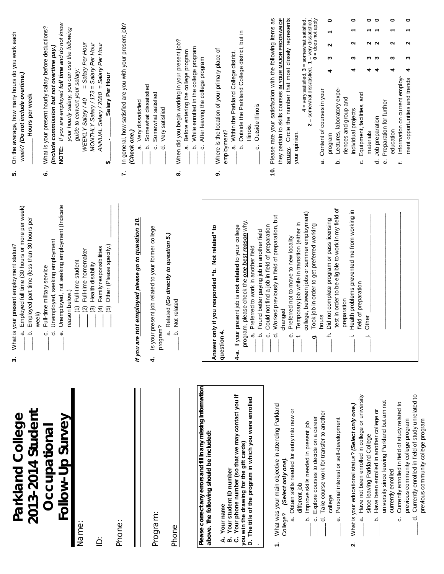| Parkland College<br>2013-2014 Student                                                             | Employed full time (30 hours or more per week)<br>Employed part time (less than 30 hours per<br>What is your present employment status?<br>week)<br>$\vec{a}$<br>م<br>ო, | On the average, how many hours do you work each<br>week? (Do not include overtime.)<br>Hours per week<br>ທ່                                                     |
|---------------------------------------------------------------------------------------------------|--------------------------------------------------------------------------------------------------------------------------------------------------------------------------|-----------------------------------------------------------------------------------------------------------------------------------------------------------------|
| Follow-Up Survey<br>Occupational                                                                  | Unemployed, not seeking employment (Indicate<br>Unemployed, seeking employment<br>Full-time military service<br>$\vec{c}$<br>$\dot{\omega}$<br>ن                         | NOTE: If you are employed full time and do not know<br>What is your present hourly salary before deductions?<br>(Include commission but not overtime pay.)<br>ق |
| Name:                                                                                             | Full-time homemaker<br>(1) Full-time student<br>reason below.)<br>$\widehat{\infty}$                                                                                     | your hourly salary, you can use the following<br>= Salary Per Hour<br>guide to convert your salary:<br>WEEKLY Salary / 40                                       |
| $\dot{\underline{\triangle}}$                                                                     | Other (Please specify.)<br>Family responsibilities<br>Health disability<br>$\widehat{f}$<br>$\widehat{\mathcal{O}}$<br>$\widehat{\mathbf{b}}$                            | MONTHLY Salary / 173 = Salary Per Hour<br>ANNUAL Salary / 2080 = Salary Per Hour<br>Salary Per Hour<br>မာ                                                       |
| Phone:                                                                                            |                                                                                                                                                                          | In general, how satisfied are you with your present job?<br>$\vec{r}$                                                                                           |
|                                                                                                   | 10.<br>re not employed please go to question<br>If you a                                                                                                                 | Very dissatisfied<br>(Check one.)<br>$\dot{\sigma}$                                                                                                             |
| Program:                                                                                          | Is your present job related to your former college<br>program?<br>4                                                                                                      | Somewhat dissatisfied<br>Somewhat satisfied<br>Very satisfied<br>ಕ<br>.<br>م<br>ن                                                                               |
| Phone                                                                                             | a. Related (Go directly to question 5.)<br>Not related<br>.<br>ف                                                                                                         | When did you begin working in your present job?<br>ထံ                                                                                                           |
| Please correct any errors and fill in any missing information                                     |                                                                                                                                                                          | b. While enrolled in the college program<br>a. Before entering the college program<br>After leaving the college program<br>ن<br>ن                               |
| above. The following should be included:                                                          | only if you responded "b. Not related" to<br>Answe                                                                                                                       | ৳<br>Where is the location of your primary place<br>တဲ                                                                                                          |
| Your student ID number<br>A. Your name<br>ø                                                       | question 4.                                                                                                                                                              | employment?                                                                                                                                                     |
| Your phone number (so that we may contact you if<br>you win the drawing for the gift cards)<br>ن  | program, please check the one best reason why.<br>4-a. If your present job is not related to your college                                                                | Outside the Parkland College district, but in<br>a. Within the Parkland College district.<br>Illinois.<br>م                                                     |
| D. The title of the program in which you were enrolled                                            | Found better paying job in another field<br>a. Preferred to work in another field<br>.<br>ف                                                                              | Outside Illinois<br>ن                                                                                                                                           |
| What was your main objective in attending Parkland<br>$\div$                                      | Worked previously in field of preparation, but<br>Could not find a job in field of preparation<br>$\vec{p}$<br>$\dot{\circ}$                                             | Please rate your satisfaction with the following items as<br>Ś.                                                                                                 |
| (Select only one)<br>College?                                                                     | changed                                                                                                                                                                  | they pertain to skills courses IN YOUR MAJOR PROGRAM OF<br>Circle the number that most closely represents<br><b>STUDY.</b>                                      |
| ŏ<br>Obtain skills needed for entry into new<br>different job<br>σà                               | Temporary job while in transition (either in<br>Preferred not to move to new locality<br>$\dot{\omega}$<br>$\div$                                                        | your opinion.                                                                                                                                                   |
| Improve skills needed in present job<br>خ                                                         | college, between jobs or summer employment)<br>Took job in order to get preferred working<br>တုံ                                                                         | $4 = \text{very satisfied}, 3 = \text{somewhat satisfied},$<br>2 = somewhat dissatisfied, $1 = \text{very classical}$<br>0 = does not apply                     |
| Take course work for transfer to another<br>Explore courses to decide on a career<br>$\circ$<br>ರ | hours                                                                                                                                                                    | Content of courses in your<br>σá                                                                                                                                |
| college                                                                                           | test in order to be eligible to work in my field of<br>Did not complete program or pass licensing<br>Ė                                                                   | ۰<br>٣<br>u<br>ω<br>4<br>program                                                                                                                                |
| Personal interest or self-development<br>Φ                                                        | preparation                                                                                                                                                              | Lectures, laboratory expe-<br>riences and group and<br>$\dot{\mathbf{c}}$                                                                                       |
| What is your educational status? (Select only one.)<br>N                                          | Health problems prevented me from working in<br>field of preparation<br>Ĩ,                                                                                               | 0<br>ี<br>∾<br>4<br>individual projects                                                                                                                         |
| Have not been enrolled in college or university<br>since leaving Parkland College<br>σà           | Other                                                                                                                                                                    | 0<br>4<br>Equipment, facilities, and<br>materials<br>ن                                                                                                          |
| Have been enrolled in another college or<br>نم                                                    |                                                                                                                                                                          | 0<br>ດ ດ<br>ო ო<br>₹<br>Job preparation<br>ರ                                                                                                                    |
| university since leaving Parkland but am not<br>currently enrolled                                |                                                                                                                                                                          | 0<br>ິ<br>S<br>4<br>Preparation for further<br>education<br>Φ                                                                                                   |
| Currently enrolled in field of study related to<br>previous community college program<br>ن        |                                                                                                                                                                          | Information on current employ-<br>÷,                                                                                                                            |
| Currently enrolled in field of study unrelated to<br>ಕ                                            |                                                                                                                                                                          | 0<br>N<br>S<br>4<br>ment opportunities and trends                                                                                                               |
| previous community college program                                                                |                                                                                                                                                                          |                                                                                                                                                                 |